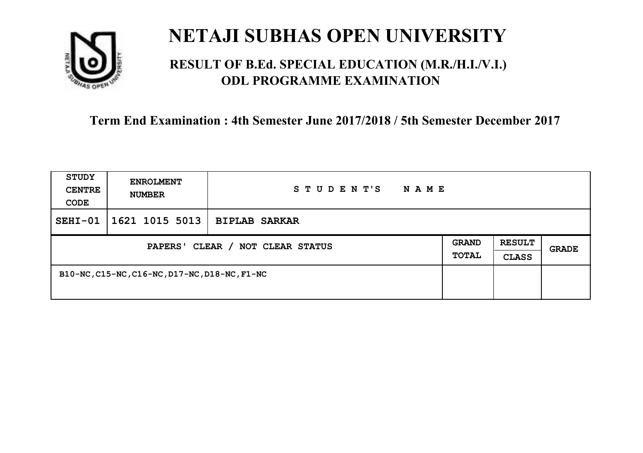

### **RESULT OF B.Ed. SPECIAL EDUCATION (M.R./H.I./V.I.) ODL PROGRAMME EXAMINATION**

| <b>STUDY</b><br><b>CENTRE</b><br>CODE | <b>ENROLMENT</b><br><b>NUMBER</b>             | STUDENT'S<br>N A M E |                              |                               |       |
|---------------------------------------|-----------------------------------------------|----------------------|------------------------------|-------------------------------|-------|
| $SEHI-01$                             | 1621 1015 5013                                | <b>BIPLAB SARKAR</b> |                              |                               |       |
| PAPERS' CLEAR / NOT CLEAR STATUS      |                                               |                      | <b>GRAND</b><br><b>TOTAL</b> | <b>RESULT</b><br><b>CLASS</b> | GRADE |
|                                       | B10-NC, C15-NC, C16-NC, D17-NC, D18-NC, F1-NC |                      |                              |                               |       |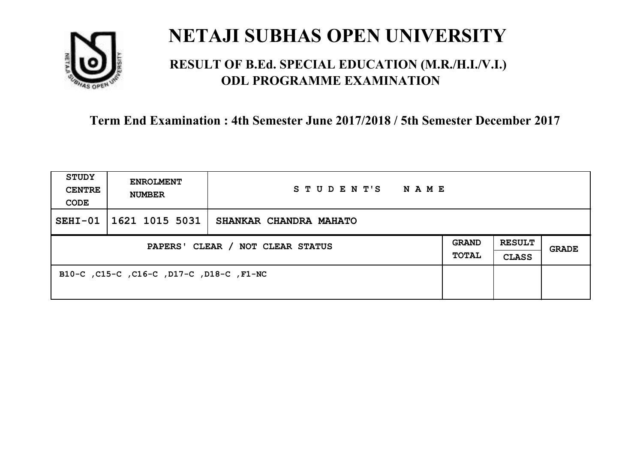

### **RESULT OF B.Ed. SPECIAL EDUCATION (M.R./H.I./V.I.) ODL PROGRAMME EXAMINATION**

| <b>STUDY</b><br><b>CENTRE</b><br>CODE | <b>ENROLMENT</b><br><b>NUMBER</b>        | STUDENT'S<br>NAME      |                              |                               |       |
|---------------------------------------|------------------------------------------|------------------------|------------------------------|-------------------------------|-------|
| $SEHI-01$                             | 1621 1015 5031                           | SHANKAR CHANDRA MAHATO |                              |                               |       |
| PAPERS' CLEAR / NOT CLEAR STATUS      |                                          |                        | <b>GRAND</b><br><b>TOTAL</b> | <b>RESULT</b><br><b>CLASS</b> | GRADE |
|                                       | B10-C, C15-C, C16-C, D17-C, D18-C, F1-NC |                        |                              |                               |       |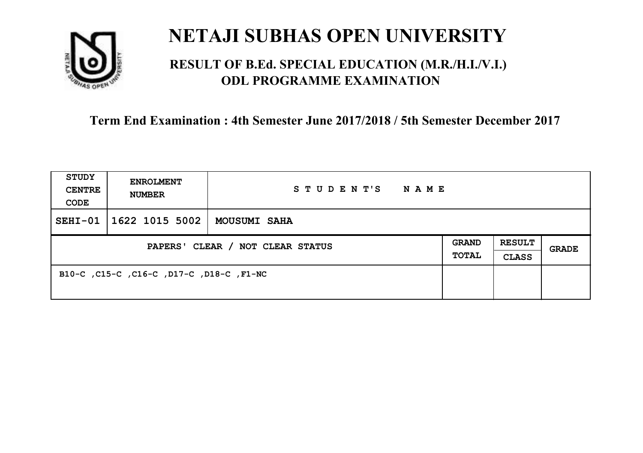

### **RESULT OF B.Ed. SPECIAL EDUCATION (M.R./H.I./V.I.) ODL PROGRAMME EXAMINATION**

| <b>STUDY</b><br><b>CENTRE</b><br>CODE | <b>ENROLMENT</b><br><b>NUMBER</b>        | STUDENT'S NAME      |  |                               |       |
|---------------------------------------|------------------------------------------|---------------------|--|-------------------------------|-------|
| $SEHI-01$                             | $\mid$ 1622 1015 5002 $\mid$             | <b>MOUSUMI SAHA</b> |  |                               |       |
| PAPERS' CLEAR / NOT CLEAR STATUS      |                                          |                     |  | <b>RESULT</b><br><b>CLASS</b> | GRADE |
|                                       | B10-C, C15-C, C16-C, D17-C, D18-C, F1-NC |                     |  |                               |       |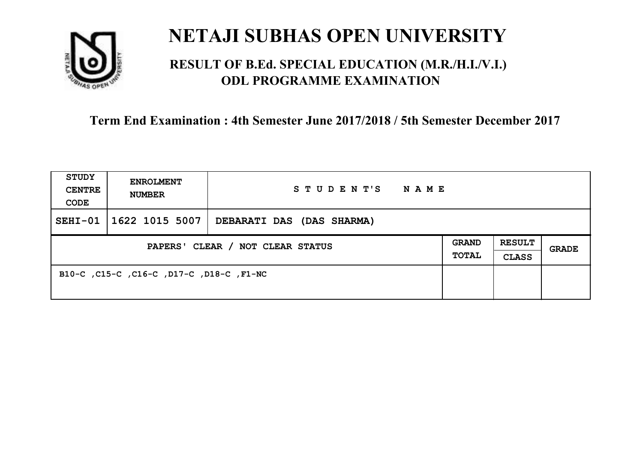

### **RESULT OF B.Ed. SPECIAL EDUCATION (M.R./H.I./V.I.) ODL PROGRAMME EXAMINATION**

| <b>STUDY</b><br><b>CENTRE</b><br>CODE | <b>ENROLMENT</b><br><b>NUMBER</b>        | STUDENT'S<br>NAME         |  |                               |       |
|---------------------------------------|------------------------------------------|---------------------------|--|-------------------------------|-------|
| $SEHI-01$                             | 1622 1015 5007                           | DEBARATI DAS (DAS SHARMA) |  |                               |       |
| PAPERS' CLEAR / NOT CLEAR STATUS      |                                          |                           |  | <b>RESULT</b><br><b>CLASS</b> | GRADE |
|                                       | B10-C, C15-C, C16-C, D17-C, D18-C, F1-NC |                           |  |                               |       |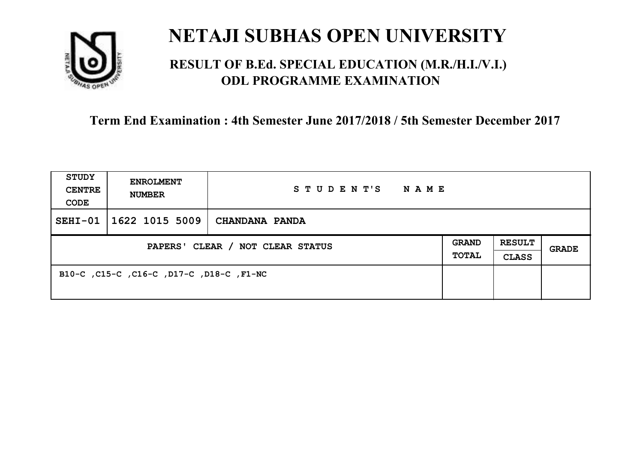

### **RESULT OF B.Ed. SPECIAL EDUCATION (M.R./H.I./V.I.) ODL PROGRAMME EXAMINATION**

| <b>STUDY</b><br><b>CENTRE</b><br>CODE | <b>ENROLMENT</b><br><b>NUMBER</b>        | STUDENT'S<br>NAME |                              |                               |       |
|---------------------------------------|------------------------------------------|-------------------|------------------------------|-------------------------------|-------|
| $SEHI-01$                             | 1622 1015 5009                           | CHANDANA PANDA    |                              |                               |       |
| PAPERS' CLEAR / NOT CLEAR STATUS      |                                          |                   | <b>GRAND</b><br><b>TOTAL</b> | <b>RESULT</b><br><b>CLASS</b> | GRADE |
|                                       | B10-C, C15-C, C16-C, D17-C, D18-C, F1-NC |                   |                              |                               |       |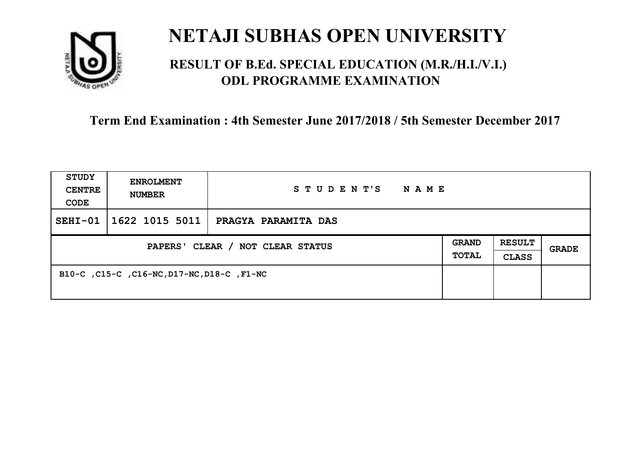

### **RESULT OF B.Ed. SPECIAL EDUCATION (M.R./H.I./V.I.) ODL PROGRAMME EXAMINATION**

| <b>STUDY</b><br><b>CENTRE</b><br>CODE | <b>ENROLMENT</b><br><b>NUMBER</b>          | STUDENT'S<br><b>NAME</b> |                              |                               |       |
|---------------------------------------|--------------------------------------------|--------------------------|------------------------------|-------------------------------|-------|
| $SEHI-01$                             | 1622 1015 5011                             | PRAGYA PARAMITA DAS      |                              |                               |       |
| PAPERS' CLEAR / NOT CLEAR STATUS      |                                            |                          | <b>GRAND</b><br><b>TOTAL</b> | <b>RESULT</b><br><b>CLASS</b> | GRADE |
|                                       | B10-C, C15-C, C16-NC, D17-NC, D18-C, F1-NC |                          |                              |                               |       |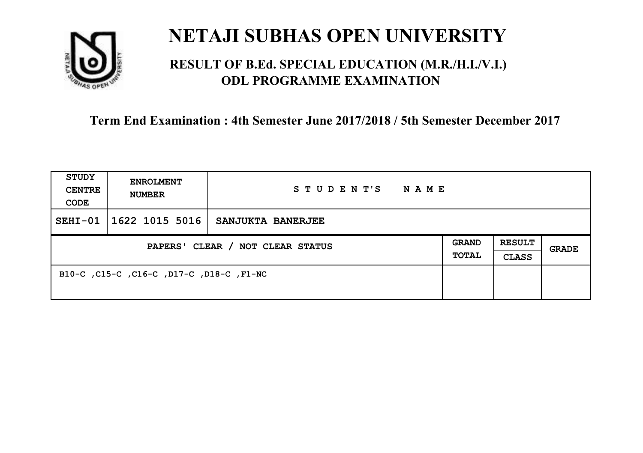

### **RESULT OF B.Ed. SPECIAL EDUCATION (M.R./H.I./V.I.) ODL PROGRAMME EXAMINATION**

| <b>STUDY</b><br><b>CENTRE</b><br>CODE | <b>ENROLMENT</b><br><b>NUMBER</b>        | STUDENT'S NAME    |  |                               |              |
|---------------------------------------|------------------------------------------|-------------------|--|-------------------------------|--------------|
| $SEHI-01$                             | 1622 1015 5016                           | SANJUKTA BANERJEE |  |                               |              |
| PAPERS' CLEAR / NOT CLEAR STATUS      |                                          |                   |  | <b>RESULT</b><br><b>CLASS</b> | <b>GRADE</b> |
|                                       | B10-C, C15-C, C16-C, D17-C, D18-C, F1-NC |                   |  |                               |              |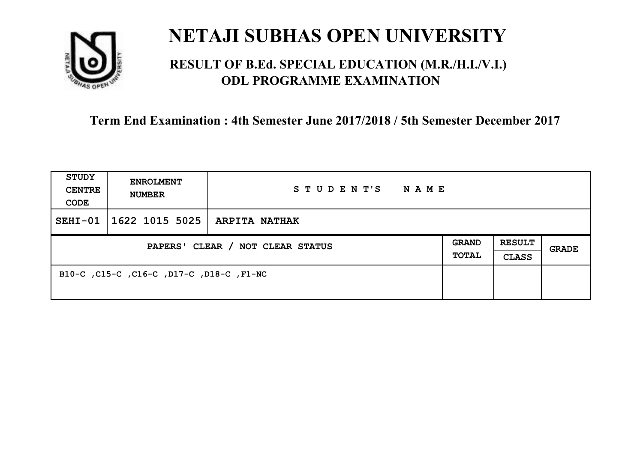

### **RESULT OF B.Ed. SPECIAL EDUCATION (M.R./H.I./V.I.) ODL PROGRAMME EXAMINATION**

| <b>STUDY</b><br><b>CENTRE</b><br>CODE | <b>ENROLMENT</b><br><b>NUMBER</b>        | STUDENT'S NAME |  |                               |              |
|---------------------------------------|------------------------------------------|----------------|--|-------------------------------|--------------|
| $SEHI-01$                             | $ 1622\;1015\;5025\; $ ARPITA NATHAK     |                |  |                               |              |
| PAPERS' CLEAR / NOT CLEAR STATUS      |                                          |                |  | <b>RESULT</b><br><b>CLASS</b> | <b>GRADE</b> |
|                                       | B10-C, C15-C, C16-C, D17-C, D18-C, F1-NC |                |  |                               |              |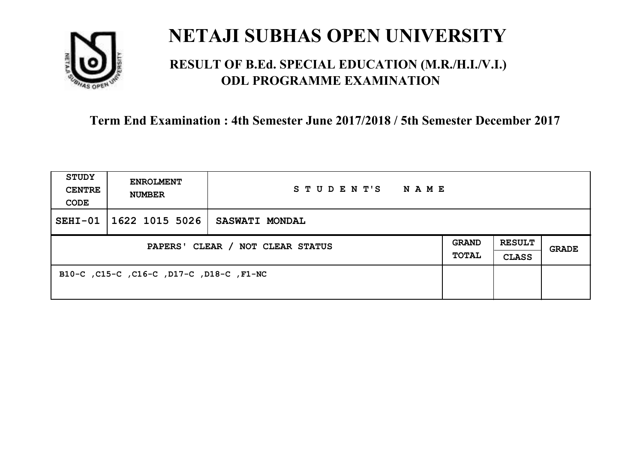

### **RESULT OF B.Ed. SPECIAL EDUCATION (M.R./H.I./V.I.) ODL PROGRAMME EXAMINATION**

| <b>STUDY</b><br><b>CENTRE</b><br>CODE | <b>ENROLMENT</b><br><b>NUMBER</b>        | STUDENT'S<br>NAME     |                              |                               |       |
|---------------------------------------|------------------------------------------|-----------------------|------------------------------|-------------------------------|-------|
| $SEHI-01$                             | 1622 1015 5026                           | <b>SASWATI MONDAL</b> |                              |                               |       |
| PAPERS' CLEAR / NOT CLEAR STATUS      |                                          |                       | <b>GRAND</b><br><b>TOTAL</b> | <b>RESULT</b><br><b>CLASS</b> | GRADE |
|                                       | B10-C, C15-C, C16-C, D17-C, D18-C, F1-NC |                       |                              |                               |       |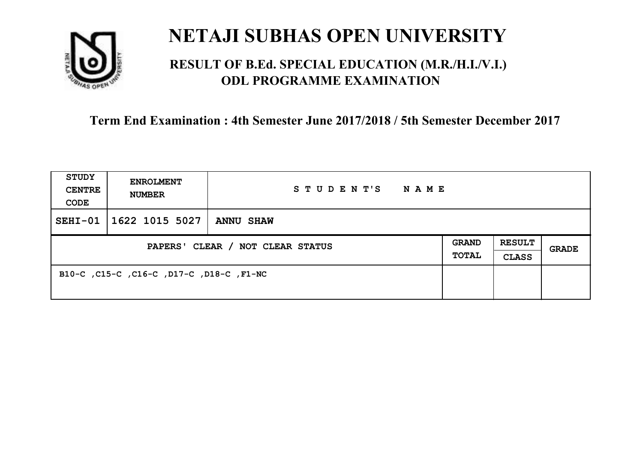

### **RESULT OF B.Ed. SPECIAL EDUCATION (M.R./H.I./V.I.) ODL PROGRAMME EXAMINATION**

| <b>STUDY</b><br><b>CENTRE</b><br>CODE | <b>ENROLMENT</b><br><b>NUMBER</b>        | STUDENT'S<br><b>NAME</b> |  |                               |              |
|---------------------------------------|------------------------------------------|--------------------------|--|-------------------------------|--------------|
| $SEHI-01$                             | 1622 1015 5027                           | <b>ANNU SHAW</b>         |  |                               |              |
| PAPERS' CLEAR / NOT CLEAR STATUS      |                                          |                          |  | <b>RESULT</b><br><b>CLASS</b> | <b>GRADE</b> |
|                                       | B10-C, C15-C, C16-C, D17-C, D18-C, F1-NC |                          |  |                               |              |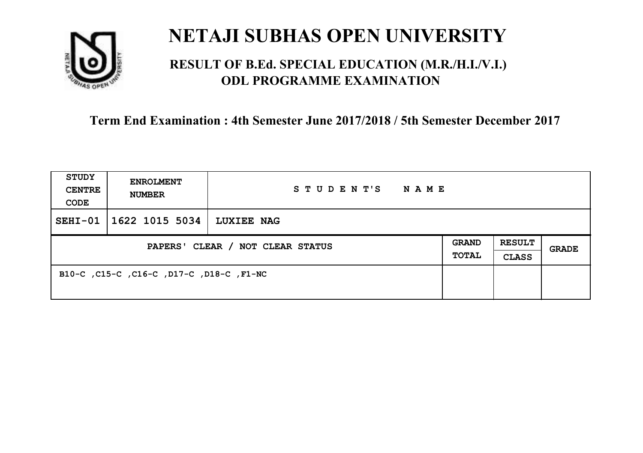

### **RESULT OF B.Ed. SPECIAL EDUCATION (M.R./H.I./V.I.) ODL PROGRAMME EXAMINATION**

| <b>STUDY</b><br><b>CENTRE</b><br>CODE | <b>ENROLMENT</b><br><b>NUMBER</b>        | STUDENT'S<br>NAME |                              |                               |       |
|---------------------------------------|------------------------------------------|-------------------|------------------------------|-------------------------------|-------|
| $SEHI-01$                             | 1622 1015 5034                           | <b>LUXIEE NAG</b> |                              |                               |       |
| PAPERS' CLEAR / NOT CLEAR STATUS      |                                          |                   | <b>GRAND</b><br><b>TOTAL</b> | <b>RESULT</b><br><b>CLASS</b> | GRADE |
|                                       | B10-C, C15-C, C16-C, D17-C, D18-C, F1-NC |                   |                              |                               |       |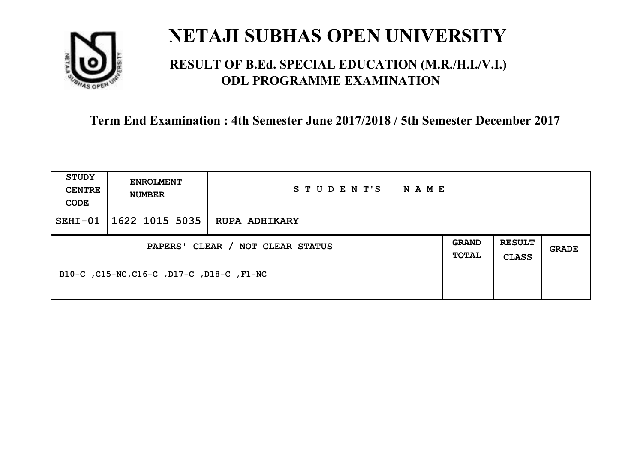

### **RESULT OF B.Ed. SPECIAL EDUCATION (M.R./H.I./V.I.) ODL PROGRAMME EXAMINATION**

| <b>STUDY</b><br><b>CENTRE</b><br>CODE | <b>ENROLMENT</b><br><b>NUMBER</b>         | STUDENT'S<br>N A M E |                              |                               |       |
|---------------------------------------|-------------------------------------------|----------------------|------------------------------|-------------------------------|-------|
| $SEHI-01$                             | 1622 1015 5035                            | <b>RUPA ADHIKARY</b> |                              |                               |       |
| PAPERS' CLEAR / NOT CLEAR STATUS      |                                           |                      | <b>GRAND</b><br><b>TOTAL</b> | <b>RESULT</b><br><b>CLASS</b> | GRADE |
|                                       | B10-C, C15-NC, C16-C, D17-C, D18-C, F1-NC |                      |                              |                               |       |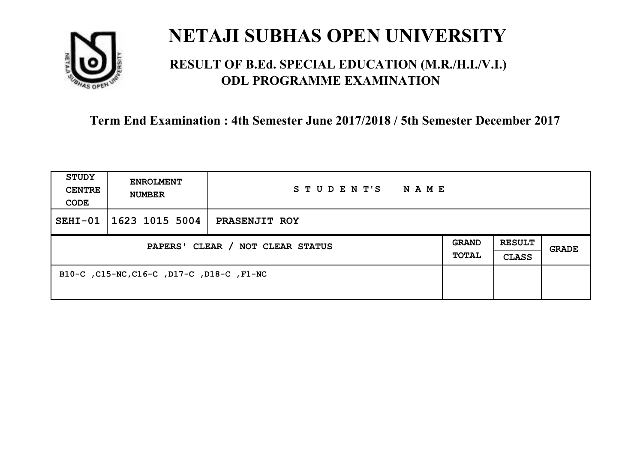

### **RESULT OF B.Ed. SPECIAL EDUCATION (M.R./H.I./V.I.) ODL PROGRAMME EXAMINATION**

| <b>STUDY</b><br><b>CENTRE</b><br>CODE | <b>ENROLMENT</b><br><b>NUMBER</b>         | STUDENT'S<br>N A M E |                              |                               |       |
|---------------------------------------|-------------------------------------------|----------------------|------------------------------|-------------------------------|-------|
| $SEHI-01$                             | 1623 1015 5004                            | PRASENJIT ROY        |                              |                               |       |
| PAPERS' CLEAR / NOT CLEAR STATUS      |                                           |                      | <b>GRAND</b><br><b>TOTAL</b> | <b>RESULT</b><br><b>CLASS</b> | GRADE |
|                                       | B10-C, C15-NC, C16-C, D17-C, D18-C, F1-NC |                      |                              |                               |       |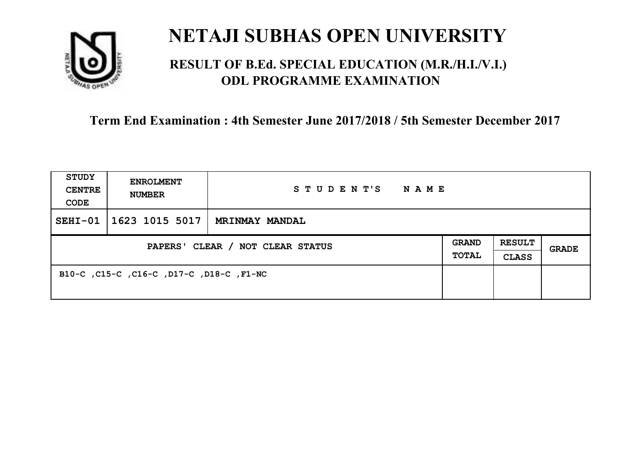

### **RESULT OF B.Ed. SPECIAL EDUCATION (M.R./H.I./V.I.) ODL PROGRAMME EXAMINATION**

| <b>STUDY</b><br><b>CENTRE</b><br>CODE | <b>ENROLMENT</b><br><b>NUMBER</b>        | STUDENT'S<br>NAME     |                              |                               |       |
|---------------------------------------|------------------------------------------|-----------------------|------------------------------|-------------------------------|-------|
| $SEHI-01$                             | 1623 1015 5017                           | <b>MRINMAY MANDAL</b> |                              |                               |       |
| PAPERS' CLEAR / NOT CLEAR STATUS      |                                          |                       | <b>GRAND</b><br><b>TOTAL</b> | <b>RESULT</b><br><b>CLASS</b> | GRADE |
|                                       | B10-C, C15-C, C16-C, D17-C, D18-C, F1-NC |                       |                              |                               |       |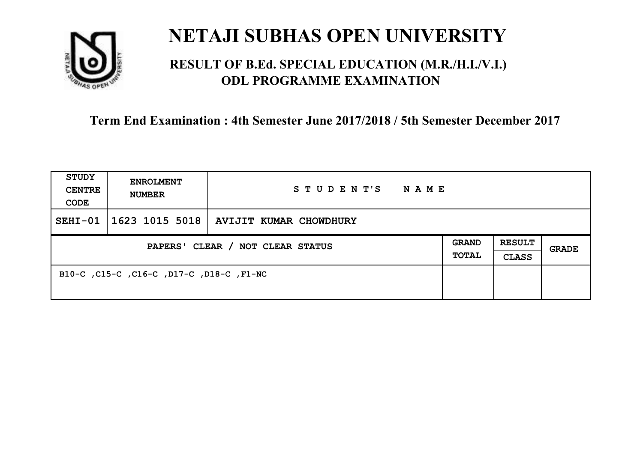

### **RESULT OF B.Ed. SPECIAL EDUCATION (M.R./H.I./V.I.) ODL PROGRAMME EXAMINATION**

| <b>STUDY</b><br><b>CENTRE</b><br>CODE | <b>ENROLMENT</b><br><b>NUMBER</b>        | STUDENT'S NAME                                      |  |                               |       |
|---------------------------------------|------------------------------------------|-----------------------------------------------------|--|-------------------------------|-------|
| $SEHI-01$                             |                                          | $\mid$ 1623 1015 5018 $\mid$ AVIJIT KUMAR CHOWDHURY |  |                               |       |
| PAPERS' CLEAR / NOT CLEAR STATUS      |                                          |                                                     |  | <b>RESULT</b><br><b>CLASS</b> | GRADE |
|                                       | B10-C, C15-C, C16-C, D17-C, D18-C, F1-NC |                                                     |  |                               |       |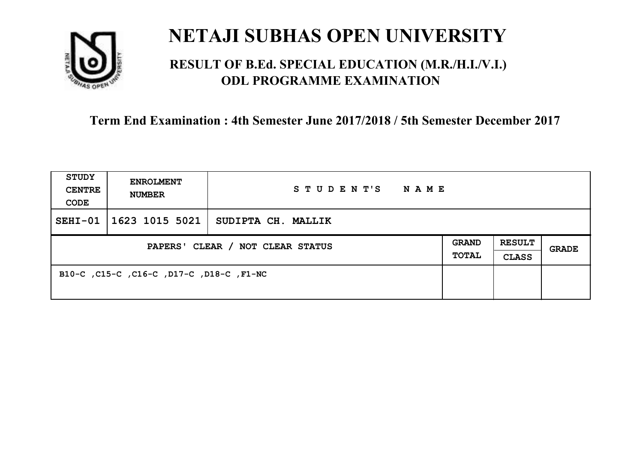

### **RESULT OF B.Ed. SPECIAL EDUCATION (M.R./H.I./V.I.) ODL PROGRAMME EXAMINATION**

| <b>STUDY</b><br><b>CENTRE</b><br>CODE | <b>ENROLMENT</b><br><b>NUMBER</b>        | STUDENT'S<br>NAME  |  |                               |       |
|---------------------------------------|------------------------------------------|--------------------|--|-------------------------------|-------|
| $SEHI-01$                             | 1623 1015 5021                           | SUDIPTA CH. MALLIK |  |                               |       |
| PAPERS' CLEAR / NOT CLEAR STATUS      |                                          |                    |  | <b>RESULT</b><br><b>CLASS</b> | GRADE |
|                                       | B10-C, C15-C, C16-C, D17-C, D18-C, F1-NC |                    |  |                               |       |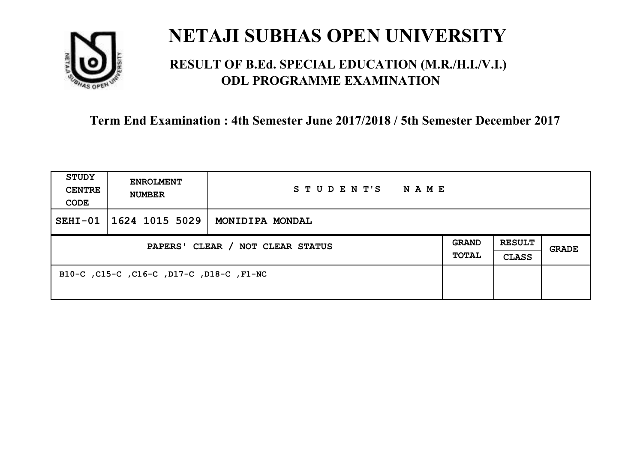

### **RESULT OF B.Ed. SPECIAL EDUCATION (M.R./H.I./V.I.) ODL PROGRAMME EXAMINATION**

| <b>STUDY</b><br><b>CENTRE</b><br>CODE | <b>ENROLMENT</b><br><b>NUMBER</b>        | STUDENT'S<br>NAME |                              |                               |       |
|---------------------------------------|------------------------------------------|-------------------|------------------------------|-------------------------------|-------|
| $SEHI-01$                             | 1624 1015 5029                           | MONIDIPA MONDAL   |                              |                               |       |
| PAPERS' CLEAR / NOT CLEAR STATUS      |                                          |                   | <b>GRAND</b><br><b>TOTAL</b> | <b>RESULT</b><br><b>CLASS</b> | GRADE |
|                                       | B10-C, C15-C, C16-C, D17-C, D18-C, F1-NC |                   |                              |                               |       |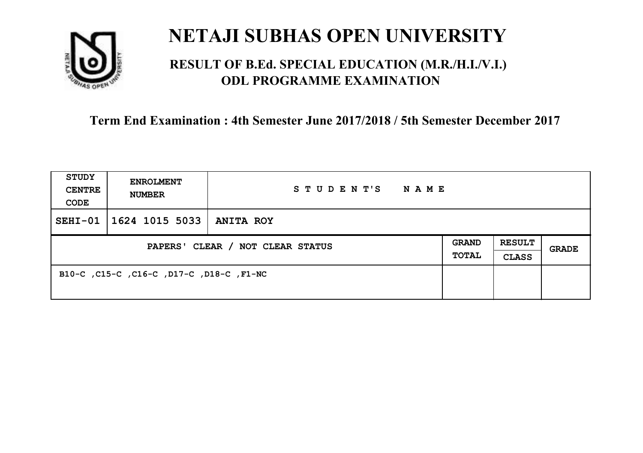

### **RESULT OF B.Ed. SPECIAL EDUCATION (M.R./H.I./V.I.) ODL PROGRAMME EXAMINATION**

| <b>STUDY</b><br><b>CENTRE</b><br>CODE | <b>ENROLMENT</b><br><b>NUMBER</b>        | STUDENT'S<br>N A M E |                              |                               |       |
|---------------------------------------|------------------------------------------|----------------------|------------------------------|-------------------------------|-------|
| $SEHI-01$                             | 1624 1015 5033                           | <b>ANITA ROY</b>     |                              |                               |       |
| PAPERS' CLEAR / NOT CLEAR STATUS      |                                          |                      | <b>GRAND</b><br><b>TOTAL</b> | <b>RESULT</b><br><b>CLASS</b> | GRADE |
|                                       | B10-C, C15-C, C16-C, D17-C, D18-C, F1-NC |                      |                              |                               |       |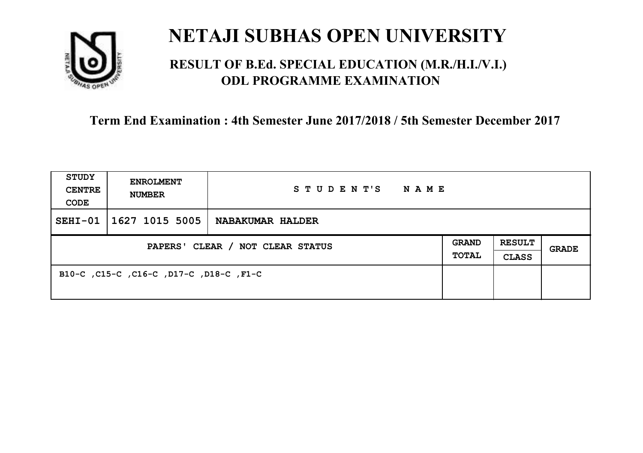

### **RESULT OF B.Ed. SPECIAL EDUCATION (M.R./H.I./V.I.) ODL PROGRAMME EXAMINATION**

| <b>STUDY</b><br><b>CENTRE</b><br>CODE | <b>ENROLMENT</b><br><b>NUMBER</b>       | STUDENT'S<br><b>NAME</b> |                              |                               |       |
|---------------------------------------|-----------------------------------------|--------------------------|------------------------------|-------------------------------|-------|
| $SEHI-01$                             | 1627 1015 5005                          | <b>NABAKUMAR HALDER</b>  |                              |                               |       |
| PAPERS' CLEAR / NOT CLEAR STATUS      |                                         |                          | <b>GRAND</b><br><b>TOTAL</b> | <b>RESULT</b><br><b>CLASS</b> | GRADE |
|                                       | B10-C, C15-C, C16-C, D17-C, D18-C, F1-C |                          |                              |                               |       |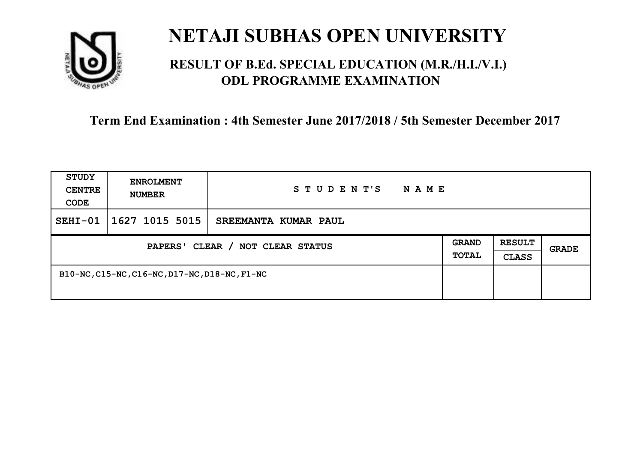

### **RESULT OF B.Ed. SPECIAL EDUCATION (M.R./H.I./V.I.) ODL PROGRAMME EXAMINATION**

| <b>STUDY</b><br><b>CENTRE</b><br>CODE | <b>ENROLMENT</b><br><b>NUMBER</b>             | STUDENT'S<br>N A M E |                       |                               |       |
|---------------------------------------|-----------------------------------------------|----------------------|-----------------------|-------------------------------|-------|
| $SEHI-01$                             | 1627 1015 5015                                | SREEMANTA KUMAR PAUL |                       |                               |       |
| PAPERS' CLEAR / NOT CLEAR STATUS      |                                               |                      | <b>GRAND</b><br>TOTAL | <b>RESULT</b><br><b>CLASS</b> | GRADE |
|                                       | B10-NC, C15-NC, C16-NC, D17-NC, D18-NC, F1-NC |                      |                       |                               |       |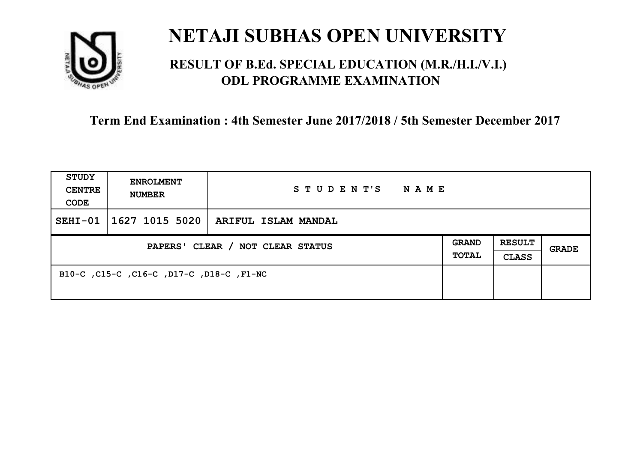

### **RESULT OF B.Ed. SPECIAL EDUCATION (M.R./H.I./V.I.) ODL PROGRAMME EXAMINATION**

| <b>STUDY</b><br><b>CENTRE</b><br>CODE | <b>ENROLMENT</b><br><b>NUMBER</b>        | STUDENT'S NAME                              |  |                               |              |
|---------------------------------------|------------------------------------------|---------------------------------------------|--|-------------------------------|--------------|
| $SEHI-01$                             |                                          | $\mid$ 1627 1015 5020   ARIFUL ISLAM MANDAL |  |                               |              |
| PAPERS' CLEAR / NOT CLEAR STATUS      |                                          |                                             |  | <b>RESULT</b><br><b>CLASS</b> | <b>GRADE</b> |
|                                       | B10-C, C15-C, C16-C, D17-C, D18-C, F1-NC |                                             |  |                               |              |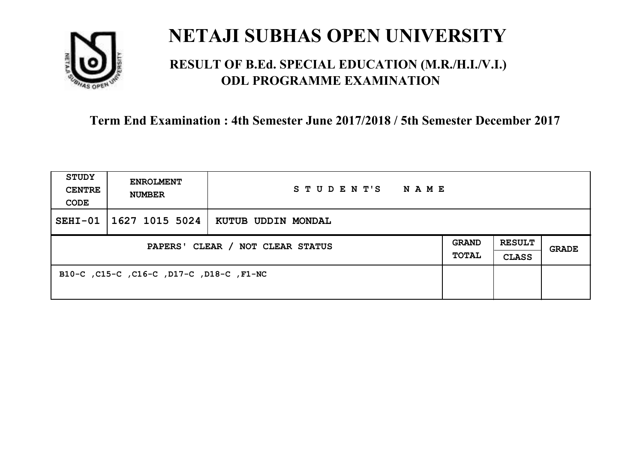

### **RESULT OF B.Ed. SPECIAL EDUCATION (M.R./H.I./V.I.) ODL PROGRAMME EXAMINATION**

| <b>STUDY</b><br><b>CENTRE</b><br>CODE | <b>ENROLMENT</b><br><b>NUMBER</b>        | STUDENT'S<br>NAME  |  |                               |       |
|---------------------------------------|------------------------------------------|--------------------|--|-------------------------------|-------|
| $SEHI-01$                             | 1627 1015 5024                           | KUTUB UDDIN MONDAL |  |                               |       |
| PAPERS' CLEAR / NOT CLEAR STATUS      |                                          |                    |  | <b>RESULT</b><br><b>CLASS</b> | GRADE |
|                                       | B10-C, C15-C, C16-C, D17-C, D18-C, F1-NC |                    |  |                               |       |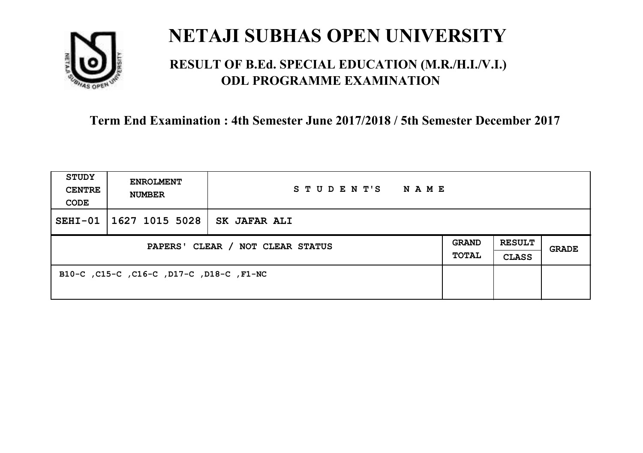

### **RESULT OF B.Ed. SPECIAL EDUCATION (M.R./H.I./V.I.) ODL PROGRAMME EXAMINATION**

| <b>STUDY</b><br><b>CENTRE</b><br>CODE | <b>ENROLMENT</b><br><b>NUMBER</b>        | STUDENT'S<br>NAME   |  |                               |       |
|---------------------------------------|------------------------------------------|---------------------|--|-------------------------------|-------|
| $SEHI-01$                             | 1627 1015 5028                           | <b>SK JAFAR ALI</b> |  |                               |       |
| PAPERS' CLEAR / NOT CLEAR STATUS      |                                          |                     |  | <b>RESULT</b><br><b>CLASS</b> | GRADE |
|                                       | B10-C, C15-C, C16-C, D17-C, D18-C, F1-NC |                     |  |                               |       |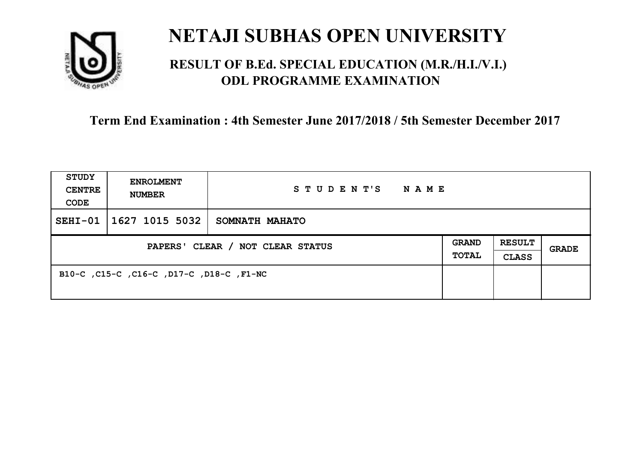

### **RESULT OF B.Ed. SPECIAL EDUCATION (M.R./H.I./V.I.) ODL PROGRAMME EXAMINATION**

| <b>STUDY</b><br><b>CENTRE</b><br>CODE | <b>ENROLMENT</b><br><b>NUMBER</b>        | STUDENT'S<br>NAME |                              |                               |       |
|---------------------------------------|------------------------------------------|-------------------|------------------------------|-------------------------------|-------|
| $SEHI-01$                             | 1627 1015 5032                           | SOMNATH MAHATO    |                              |                               |       |
| PAPERS' CLEAR / NOT CLEAR STATUS      |                                          |                   | <b>GRAND</b><br><b>TOTAL</b> | <b>RESULT</b><br><b>CLASS</b> | GRADE |
|                                       | B10-C, C15-C, C16-C, D17-C, D18-C, F1-NC |                   |                              |                               |       |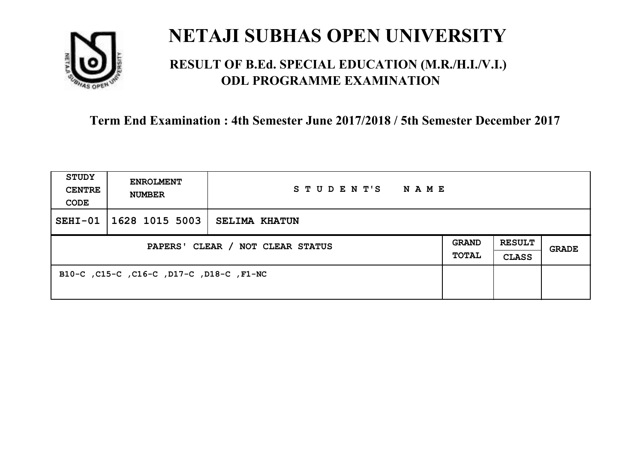

### **RESULT OF B.Ed. SPECIAL EDUCATION (M.R./H.I./V.I.) ODL PROGRAMME EXAMINATION**

| <b>STUDY</b><br><b>CENTRE</b><br>CODE | <b>ENROLMENT</b><br><b>NUMBER</b>        | STUDENT'S<br>NAME    |                              |                               |       |
|---------------------------------------|------------------------------------------|----------------------|------------------------------|-------------------------------|-------|
| $SEHI-01$                             | 1628 1015 5003                           | <b>SELIMA KHATUN</b> |                              |                               |       |
| PAPERS' CLEAR / NOT CLEAR STATUS      |                                          |                      | <b>GRAND</b><br><b>TOTAL</b> | <b>RESULT</b><br><b>CLASS</b> | GRADE |
|                                       | B10-C, C15-C, C16-C, D17-C, D18-C, F1-NC |                      |                              |                               |       |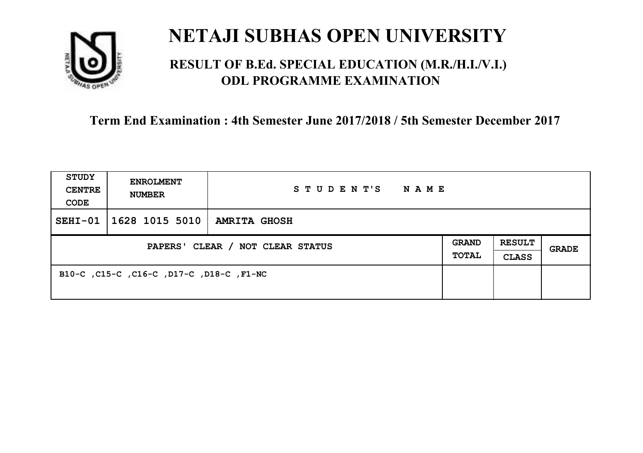

### **RESULT OF B.Ed. SPECIAL EDUCATION (M.R./H.I./V.I.) ODL PROGRAMME EXAMINATION**

| <b>STUDY</b><br><b>CENTRE</b><br>CODE | <b>ENROLMENT</b><br><b>NUMBER</b>        | STUDENT'S NAME      |  |                               |       |
|---------------------------------------|------------------------------------------|---------------------|--|-------------------------------|-------|
| $SEHI-01$                             | $\mid$ 1628 1015 5010 $\mid$             | <b>AMRITA GHOSH</b> |  |                               |       |
| PAPERS' CLEAR / NOT CLEAR STATUS      |                                          |                     |  | <b>RESULT</b><br><b>CLASS</b> | GRADE |
|                                       | B10-C, C15-C, C16-C, D17-C, D18-C, F1-NC |                     |  |                               |       |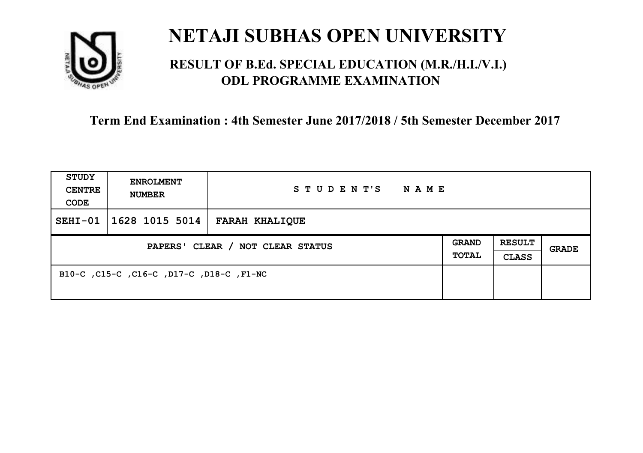

### **RESULT OF B.Ed. SPECIAL EDUCATION (M.R./H.I./V.I.) ODL PROGRAMME EXAMINATION**

| <b>STUDY</b><br><b>CENTRE</b><br>CODE | <b>ENROLMENT</b><br><b>NUMBER</b>        | STUDENT'S<br><b>NAME</b> |                       |                               |              |
|---------------------------------------|------------------------------------------|--------------------------|-----------------------|-------------------------------|--------------|
| $SEHI-01$                             | $1628$ 1015 5014                         | <b>FARAH KHALIQUE</b>    |                       |                               |              |
| PAPERS' CLEAR / NOT CLEAR STATUS      |                                          |                          | GRAND<br><b>TOTAL</b> | <b>RESULT</b><br><b>CLASS</b> | <b>GRADE</b> |
|                                       | B10-C, C15-C, C16-C, D17-C, D18-C, F1-NC |                          |                       |                               |              |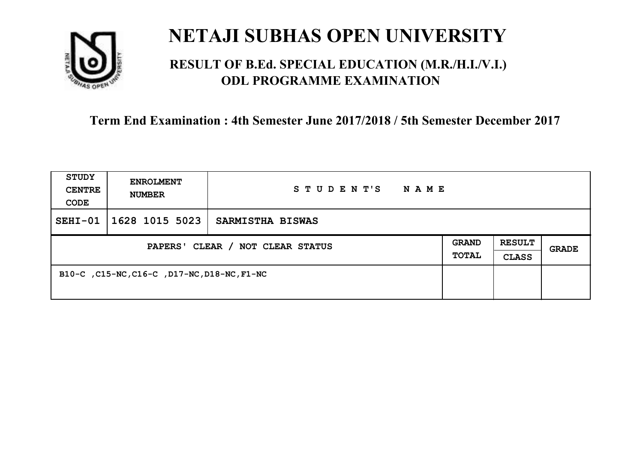

### **RESULT OF B.Ed. SPECIAL EDUCATION (M.R./H.I./V.I.) ODL PROGRAMME EXAMINATION**

| <b>STUDY</b><br><b>CENTRE</b><br>CODE | <b>ENROLMENT</b><br><b>NUMBER</b>           | STUDENT'S<br><b>NAME</b> |                              |                               |              |
|---------------------------------------|---------------------------------------------|--------------------------|------------------------------|-------------------------------|--------------|
| $SEHI-01$                             | 1628 1015 5023                              | SARMISTHA BISWAS         |                              |                               |              |
| PAPERS' CLEAR / NOT CLEAR STATUS      |                                             |                          | <b>GRAND</b><br><b>TOTAL</b> | <b>RESULT</b><br><b>CLASS</b> | <b>GRADE</b> |
|                                       | B10-C, C15-NC, C16-C, D17-NC, D18-NC, F1-NC |                          |                              |                               |              |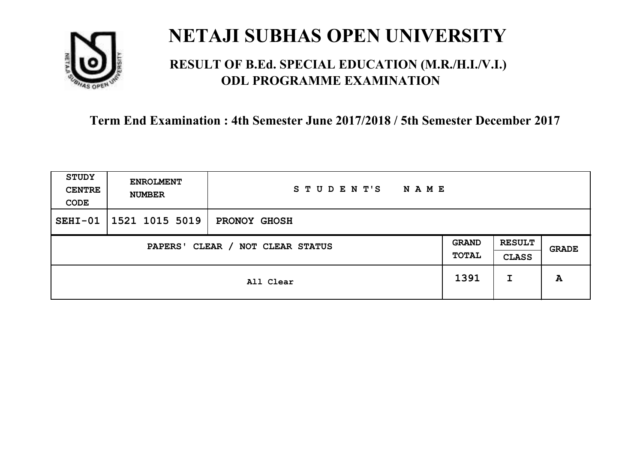

### **RESULT OF B.Ed. SPECIAL EDUCATION (M.R./H.I./V.I.) ODL PROGRAMME EXAMINATION**

| <b>STUDY</b><br><b>CENTRE</b><br>CODE | <b>ENROLMENT</b><br><b>NUMBER</b>   | STUDENT'S<br><b>NAME</b> |  |                               |       |
|---------------------------------------|-------------------------------------|--------------------------|--|-------------------------------|-------|
| $SEHI-01$                             | 1521 1015 5019                      | <b>PRONOY GHOSH</b>      |  |                               |       |
|                                       | CLEAR / NOT CLEAR STATUS<br>PAPERS' |                          |  | <b>RESULT</b><br><b>CLASS</b> | GRADE |
|                                       | All Clear                           |                          |  | I                             | A     |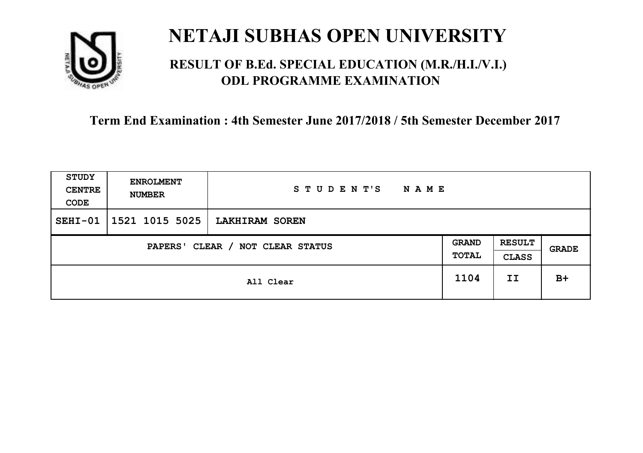

### **RESULT OF B.Ed. SPECIAL EDUCATION (M.R./H.I./V.I.) ODL PROGRAMME EXAMINATION**

| <b>STUDY</b><br><b>CENTRE</b><br>CODE | <b>ENROLMENT</b><br><b>NUMBER</b>   | STUDENT'S<br><b>NAME</b> |    |                               |              |
|---------------------------------------|-------------------------------------|--------------------------|----|-------------------------------|--------------|
| $SEHI-01$                             | 1521 1015 5025                      | LAKHIRAM SOREN           |    |                               |              |
|                                       | CLEAR / NOT CLEAR STATUS<br>PAPERS' |                          |    | <b>RESULT</b><br><b>CLASS</b> | <b>GRADE</b> |
| All Clear                             |                                     | 1104                     | II | $B+$                          |              |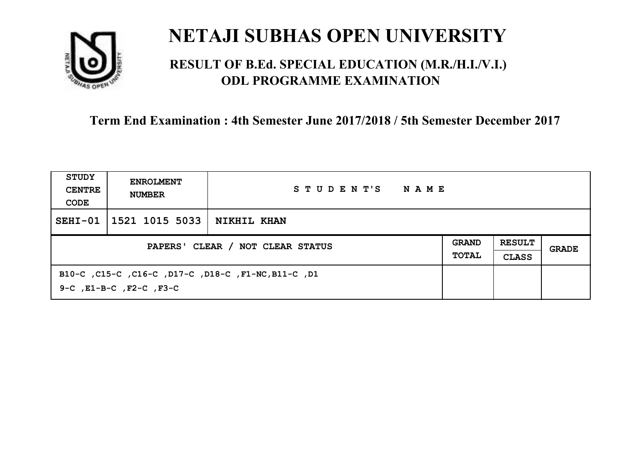

### **RESULT OF B.Ed. SPECIAL EDUCATION (M.R./H.I./V.I.) ODL PROGRAMME EXAMINATION**

| STUDY<br><b>CENTRE</b><br>CODE   | <b>ENROLMENT</b><br><b>NUMBER</b>                                              | STUDENT'S<br>NAME  |  |                               |       |
|----------------------------------|--------------------------------------------------------------------------------|--------------------|--|-------------------------------|-------|
| $SEHI-01$                        | 1521 1015 5033                                                                 | <b>NIKHIL KHAN</b> |  |                               |       |
| PAPERS' CLEAR / NOT CLEAR STATUS |                                                                                |                    |  | <b>RESULT</b><br><b>CLASS</b> | GRADE |
|                                  | B10-C, C15-C, C16-C, D17-C, D18-C, F1-NC, B11-C, D1<br>9-C, E1-B-C, F2-C, F3-C |                    |  |                               |       |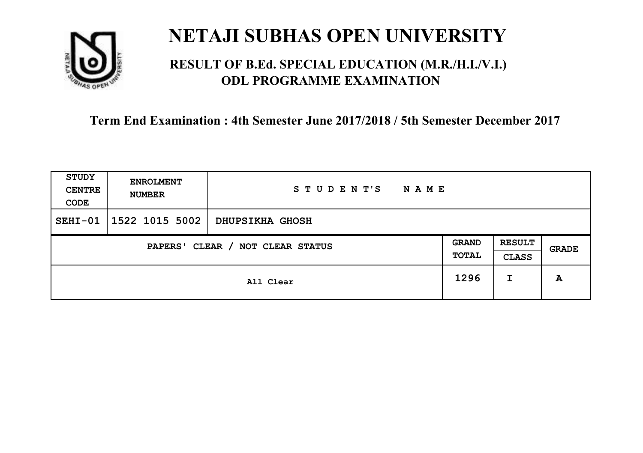

### **RESULT OF B.Ed. SPECIAL EDUCATION (M.R./H.I./V.I.) ODL PROGRAMME EXAMINATION**

| <b>STUDY</b><br><b>CENTRE</b><br>CODE | <b>ENROLMENT</b><br><b>NUMBER</b>   | STUDENT'S<br><b>NAME</b> |      |                               |       |
|---------------------------------------|-------------------------------------|--------------------------|------|-------------------------------|-------|
| $SEHI-01$                             | 1522 1015 5002                      | <b>DHUPSIKHA GHOSH</b>   |      |                               |       |
|                                       | CLEAR / NOT CLEAR STATUS<br>PAPERS' |                          |      | <b>RESULT</b><br><b>CLASS</b> | GRADE |
|                                       | All Clear                           |                          | 1296 | I                             | A     |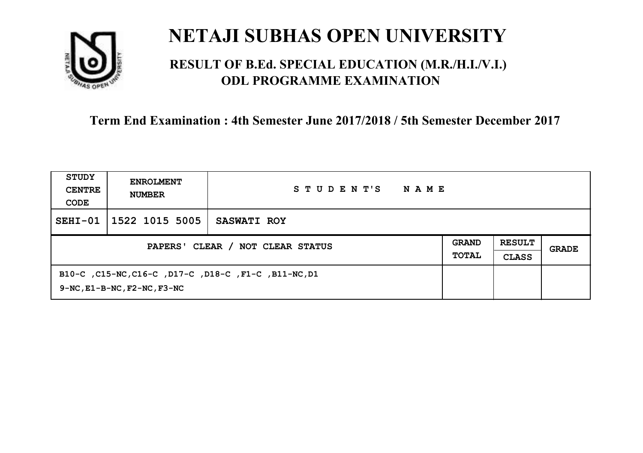

### **RESULT OF B.Ed. SPECIAL EDUCATION (M.R./H.I./V.I.) ODL PROGRAMME EXAMINATION**

| STUDY<br><b>CENTRE</b><br>CODE   | <b>ENROLMENT</b><br><b>NUMBER</b>                                                              | STUDENT'S<br><b>NAME</b> |                              |                               |       |
|----------------------------------|------------------------------------------------------------------------------------------------|--------------------------|------------------------------|-------------------------------|-------|
| $SEHI-01$                        | 1522 1015 5005                                                                                 | <b>SASWATI ROY</b>       |                              |                               |       |
| PAPERS' CLEAR / NOT CLEAR STATUS |                                                                                                |                          | <b>GRAND</b><br><b>TOTAL</b> | <b>RESULT</b><br><b>CLASS</b> | GRADE |
|                                  | B10-C, C15-NC, C16-C, D17-C, D18-C, F1-C, B11-NC, D1<br>$9-NC$ , $E1-B-NC$ , $F2-NC$ , $F3-NC$ |                          |                              |                               |       |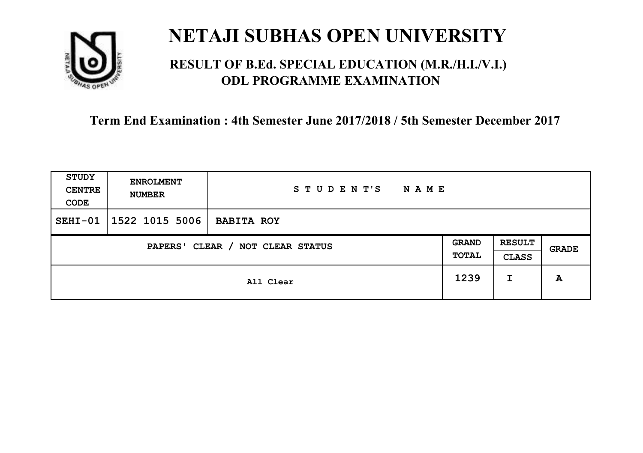

### **RESULT OF B.Ed. SPECIAL EDUCATION (M.R./H.I./V.I.) ODL PROGRAMME EXAMINATION**

| STUDY<br><b>CENTRE</b><br>CODE | <b>ENROLMENT</b><br><b>NUMBER</b>   | STUDENT'S<br><b>NAME</b> |      |                               |       |
|--------------------------------|-------------------------------------|--------------------------|------|-------------------------------|-------|
| $SEHI-01$                      | $1522$ 1015 5006                    | <b>BABITA ROY</b>        |      |                               |       |
|                                | CLEAR / NOT CLEAR STATUS<br>PAPERS' |                          |      | <b>RESULT</b><br><b>CLASS</b> | GRADE |
|                                | All Clear                           |                          | 1239 | I                             | A     |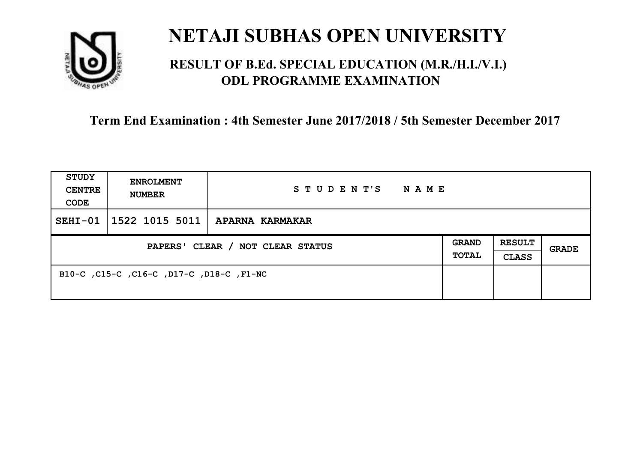

### **RESULT OF B.Ed. SPECIAL EDUCATION (M.R./H.I./V.I.) ODL PROGRAMME EXAMINATION**

| <b>STUDY</b><br><b>CENTRE</b><br>CODE | <b>ENROLMENT</b><br><b>NUMBER</b>        | STUDENT'S NAME                          |                       |                               |              |
|---------------------------------------|------------------------------------------|-----------------------------------------|-----------------------|-------------------------------|--------------|
| $SEHI-01$                             |                                          | $\mid$ 1522 1015 5011   APARNA KARMAKAR |                       |                               |              |
| PAPERS' CLEAR / NOT CLEAR STATUS      |                                          |                                         | GRAND<br><b>TOTAL</b> | <b>RESULT</b><br><b>CLASS</b> | <b>GRADE</b> |
|                                       | B10-C, C15-C, C16-C, D17-C, D18-C, F1-NC |                                         |                       |                               |              |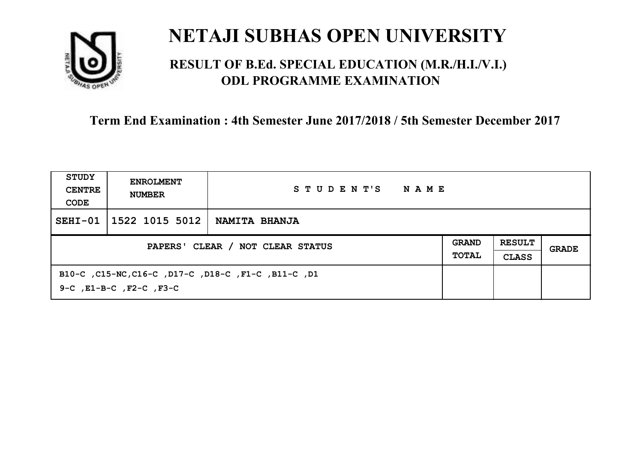

### **RESULT OF B.Ed. SPECIAL EDUCATION (M.R./H.I./V.I.) ODL PROGRAMME EXAMINATION**

| STUDY<br><b>CENTRE</b><br>CODE   | <b>ENROLMENT</b><br><b>NUMBER</b>                                              | STUDENT'S<br>NAME    |                              |                               |       |
|----------------------------------|--------------------------------------------------------------------------------|----------------------|------------------------------|-------------------------------|-------|
| $SEHI-01$                        | 1522 1015 5012                                                                 | <b>NAMITA BHANJA</b> |                              |                               |       |
| PAPERS' CLEAR / NOT CLEAR STATUS |                                                                                |                      | <b>GRAND</b><br><b>TOTAL</b> | <b>RESULT</b><br><b>CLASS</b> | GRADE |
|                                  | B10-C, C15-NC, C16-C, D17-C, D18-C, F1-C, B11-C, D1<br>9-C, E1-B-C, F2-C, F3-C |                      |                              |                               |       |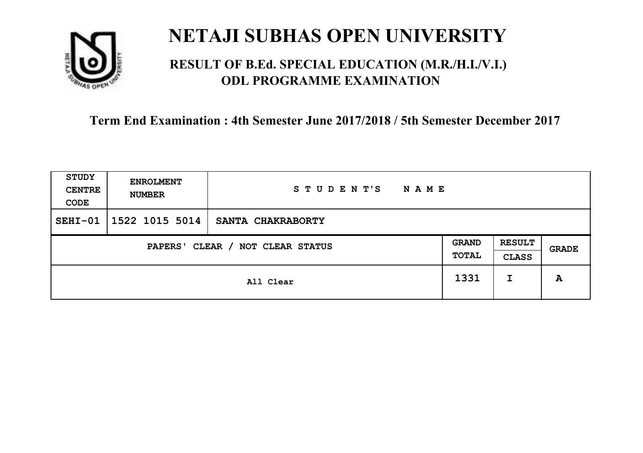

### **RESULT OF B.Ed. SPECIAL EDUCATION (M.R./H.I./V.I.) ODL PROGRAMME EXAMINATION**

| <b>STUDY</b><br><b>CENTRE</b><br>CODE | <b>ENROLMENT</b><br><b>NUMBER</b> | STUDENT'S<br><b>NAME</b> |                       |                               |       |
|---------------------------------------|-----------------------------------|--------------------------|-----------------------|-------------------------------|-------|
| $SEHI-01$                             | 1522 1015 5014                    | SANTA CHAKRABORTY        |                       |                               |       |
| CLEAR / NOT CLEAR STATUS<br>PAPERS'   |                                   |                          | <b>GRAND</b><br>TOTAL | <b>RESULT</b><br><b>CLASS</b> | GRADE |
|                                       | All Clear                         |                          | 1331                  | I                             | A     |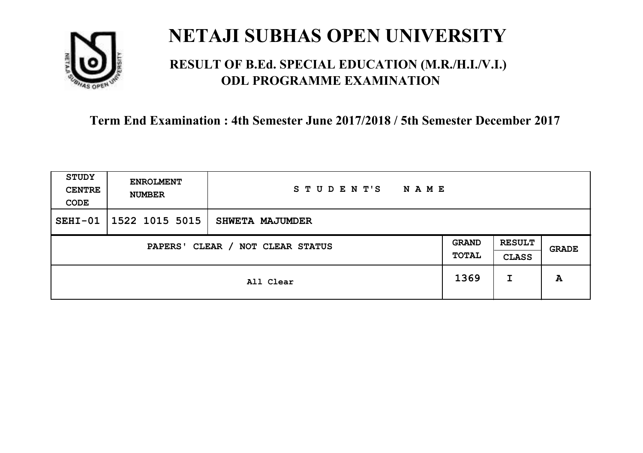

### **RESULT OF B.Ed. SPECIAL EDUCATION (M.R./H.I./V.I.) ODL PROGRAMME EXAMINATION**

| STUDY<br><b>CENTRE</b><br>CODE | <b>ENROLMENT</b><br><b>NUMBER</b>   | STUDENT'S<br>N A M E |      |                               |       |
|--------------------------------|-------------------------------------|----------------------|------|-------------------------------|-------|
| $SEHI-01$                      | 1522 1015 5015                      | SHWETA MAJUMDER      |      |                               |       |
|                                | CLEAR / NOT CLEAR STATUS<br>PAPERS' |                      |      | <b>RESULT</b><br><b>CLASS</b> | GRADE |
|                                |                                     | All Clear            | 1369 | I                             | A     |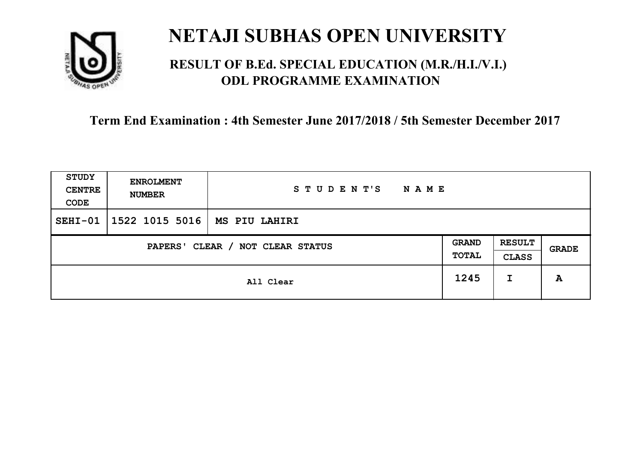

### **RESULT OF B.Ed. SPECIAL EDUCATION (M.R./H.I./V.I.) ODL PROGRAMME EXAMINATION**

| STUDY<br><b>CENTRE</b><br>CODE | <b>ENROLMENT</b><br><b>NUMBER</b>   | STUDENT'S<br><b>NAME</b> |      |                               |       |
|--------------------------------|-------------------------------------|--------------------------|------|-------------------------------|-------|
| $SEHI-01$                      | 1522 1015 5016                      | MS PIU LAHIRI            |      |                               |       |
|                                | CLEAR / NOT CLEAR STATUS<br>PAPERS' |                          |      | <b>RESULT</b><br><b>CLASS</b> | GRADE |
|                                | All Clear                           |                          | 1245 | I                             | A     |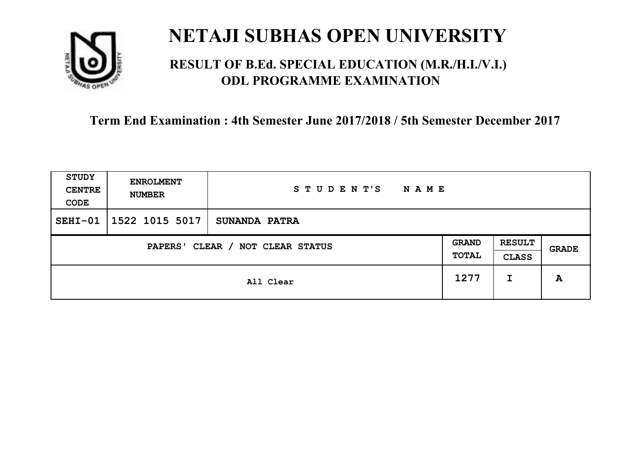

### **RESULT OF B.Ed. SPECIAL EDUCATION (M.R./H.I./V.I.) ODL PROGRAMME EXAMINATION**

| STUDY<br><b>CENTRE</b><br>CODE             | <b>ENROLMENT</b><br><b>NUMBER</b> | STUDENT'S<br><b>NAME</b> |                              |                               |              |
|--------------------------------------------|-----------------------------------|--------------------------|------------------------------|-------------------------------|--------------|
| $SEHI-01$                                  | 1522 1015 5017                    | <b>SUNANDA PATRA</b>     |                              |                               |              |
| CLEAR / NOT CLEAR STATUS<br><b>PAPERS'</b> |                                   |                          | <b>GRAND</b><br><b>TOTAL</b> | <b>RESULT</b><br><b>CLASS</b> | <b>GRADE</b> |
|                                            | All Clear                         |                          | 1277                         | I                             | A            |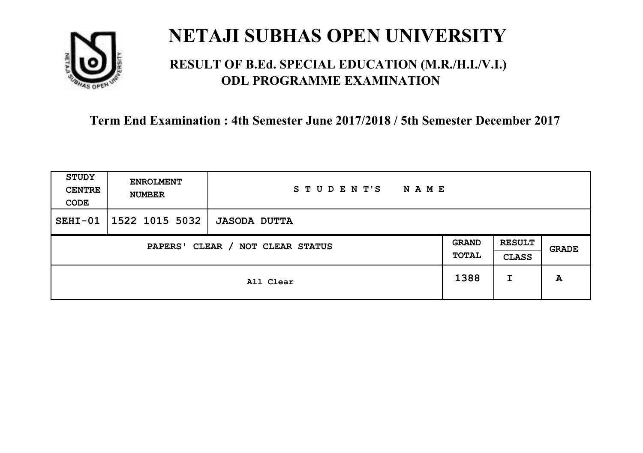

### **RESULT OF B.Ed. SPECIAL EDUCATION (M.R./H.I./V.I.) ODL PROGRAMME EXAMINATION**

| STUDY<br><b>CENTRE</b><br>CODE      | <b>ENROLMENT</b><br><b>NUMBER</b> | STUDENT'S<br><b>NAME</b> |                       |                               |       |
|-------------------------------------|-----------------------------------|--------------------------|-----------------------|-------------------------------|-------|
| $SEHI-01$                           | $1522$ 1015 5032                  | <b>JASODA DUTTA</b>      |                       |                               |       |
| CLEAR / NOT CLEAR STATUS<br>PAPERS' |                                   |                          | <b>GRAND</b><br>TOTAL | <b>RESULT</b><br><b>CLASS</b> | GRADE |
|                                     | All Clear                         |                          | 1388                  | I                             | A     |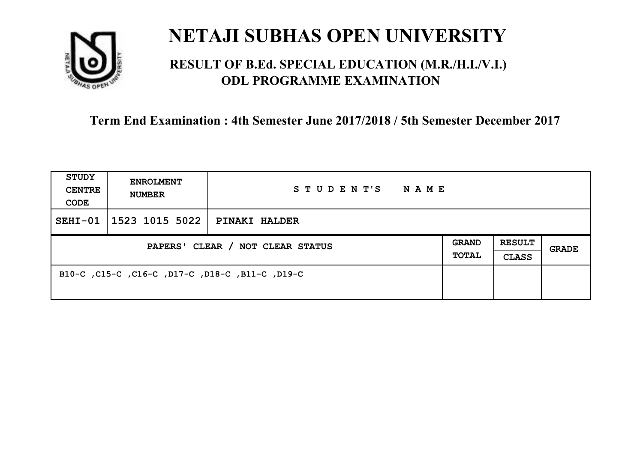

### **RESULT OF B.Ed. SPECIAL EDUCATION (M.R./H.I./V.I.) ODL PROGRAMME EXAMINATION**

| <b>STUDY</b><br><b>CENTRE</b><br>CODE | <b>ENROLMENT</b><br><b>NUMBER</b>               | STUDENT'S NAME |                       |                               |              |
|---------------------------------------|-------------------------------------------------|----------------|-----------------------|-------------------------------|--------------|
| $SEHI-01$                             | $\mid$ 1523 1015 5022   PINAKI HALDER           |                |                       |                               |              |
| PAPERS' CLEAR / NOT CLEAR STATUS      |                                                 |                | GRAND<br><b>TOTAL</b> | <b>RESULT</b><br><b>CLASS</b> | <b>GRADE</b> |
|                                       | B10-C, C15-C, C16-C, D17-C, D18-C, B11-C, C15-C |                |                       |                               |              |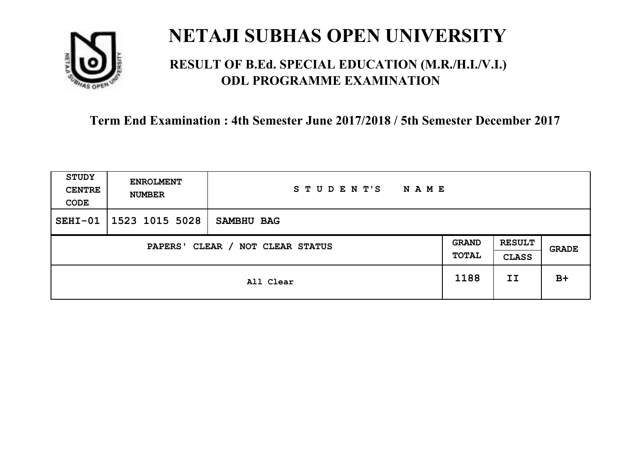

### **RESULT OF B.Ed. SPECIAL EDUCATION (M.R./H.I./V.I.) ODL PROGRAMME EXAMINATION**

| <b>STUDY</b><br><b>CENTRE</b><br>CODE | <b>ENROLMENT</b><br><b>NUMBER</b>          | STUDENT'S<br><b>NAME</b> |      |                               |              |
|---------------------------------------|--------------------------------------------|--------------------------|------|-------------------------------|--------------|
| $SEHI-01$                             | 1523 1015 5028                             | SAMBHU BAG               |      |                               |              |
|                                       | CLEAR / NOT CLEAR STATUS<br><b>PAPERS'</b> |                          |      | <b>RESULT</b><br><b>CLASS</b> | <b>GRADE</b> |
|                                       | All Clear                                  |                          | 1188 | II                            | $B+$         |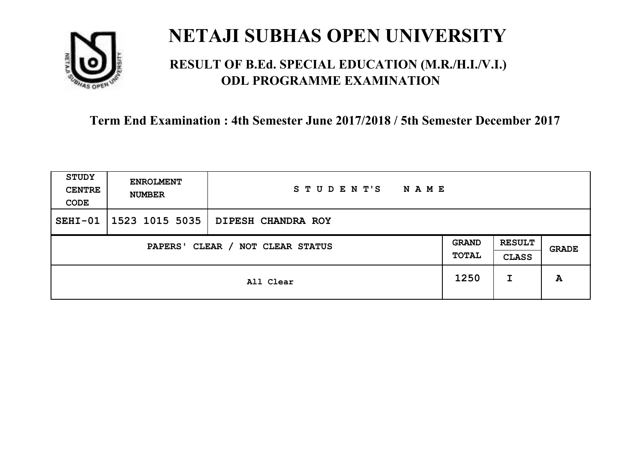

### **RESULT OF B.Ed. SPECIAL EDUCATION (M.R./H.I./V.I.) ODL PROGRAMME EXAMINATION**

| <b>STUDY</b><br><b>CENTRE</b><br>CODE | <b>ENROLMENT</b><br><b>NUMBER</b>   | STUDENT'S<br><b>NAME</b> |      |                               |       |
|---------------------------------------|-------------------------------------|--------------------------|------|-------------------------------|-------|
| $SEHI-01$                             | 1523 1015 5035                      | DIPESH CHANDRA ROY       |      |                               |       |
|                                       | CLEAR / NOT CLEAR STATUS<br>PAPERS' |                          |      | <b>RESULT</b><br><b>CLASS</b> | GRADE |
|                                       | All Clear                           |                          | 1250 | I                             | A     |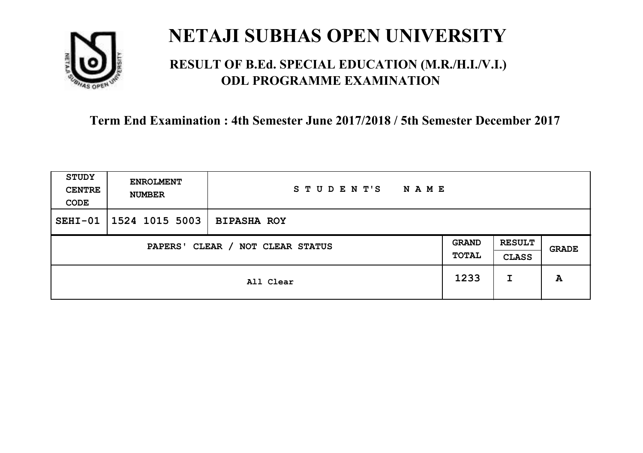

### **RESULT OF B.Ed. SPECIAL EDUCATION (M.R./H.I./V.I.) ODL PROGRAMME EXAMINATION**

| STUDY<br><b>CENTRE</b><br>CODE | <b>ENROLMENT</b><br><b>NUMBER</b>   | STUDENT'S<br><b>NAME</b> |  |                               |       |
|--------------------------------|-------------------------------------|--------------------------|--|-------------------------------|-------|
| $SEHI-01$                      | $1524$ 1015 5003                    | <b>BIPASHA ROY</b>       |  |                               |       |
|                                | CLEAR / NOT CLEAR STATUS<br>PAPERS' |                          |  | <b>RESULT</b><br><b>CLASS</b> | GRADE |
|                                | All Clear                           |                          |  | I                             | A     |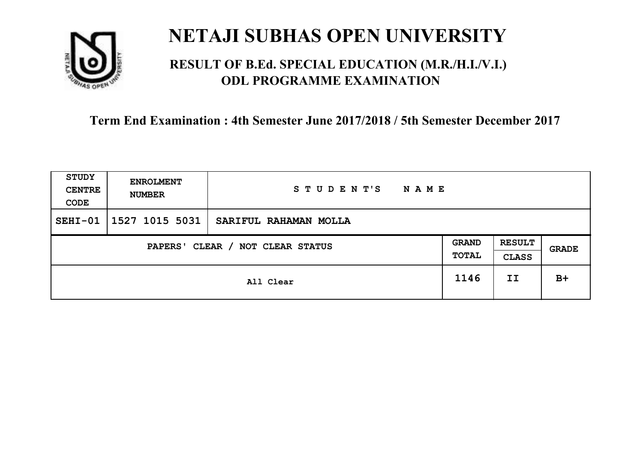

### **RESULT OF B.Ed. SPECIAL EDUCATION (M.R./H.I./V.I.) ODL PROGRAMME EXAMINATION**

| STUDY<br><b>CENTRE</b><br>CODE      | <b>ENROLMENT</b><br><b>NUMBER</b> | STUDENT'S<br><b>NAME</b> |                       |                               |       |
|-------------------------------------|-----------------------------------|--------------------------|-----------------------|-------------------------------|-------|
| $SEHI-01$                           | 1527 1015 5031                    | SARIFUL RAHAMAN MOLLA    |                       |                               |       |
| CLEAR / NOT CLEAR STATUS<br>PAPERS' |                                   |                          | <b>GRAND</b><br>TOTAL | <b>RESULT</b><br><b>CLASS</b> | GRADE |
|                                     | All Clear                         |                          | 1146                  | II                            | $B+$  |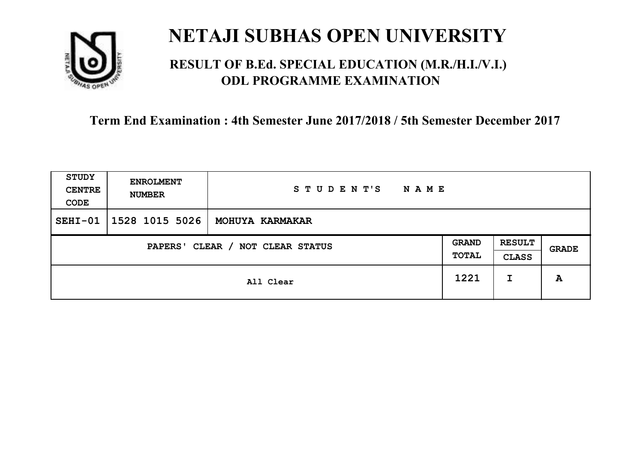

### **RESULT OF B.Ed. SPECIAL EDUCATION (M.R./H.I./V.I.) ODL PROGRAMME EXAMINATION**

| STUDY<br><b>CENTRE</b><br>CODE | <b>ENROLMENT</b><br><b>NUMBER</b>   | STUDENT'S<br>N A M E |      |                               |       |
|--------------------------------|-------------------------------------|----------------------|------|-------------------------------|-------|
| $SEHI-01$                      | 1528 1015 5026                      | MOHUYA KARMAKAR      |      |                               |       |
|                                | CLEAR / NOT CLEAR STATUS<br>PAPERS' |                      |      | <b>RESULT</b><br><b>CLASS</b> | GRADE |
|                                | All Clear                           |                      | 1221 | I                             | A     |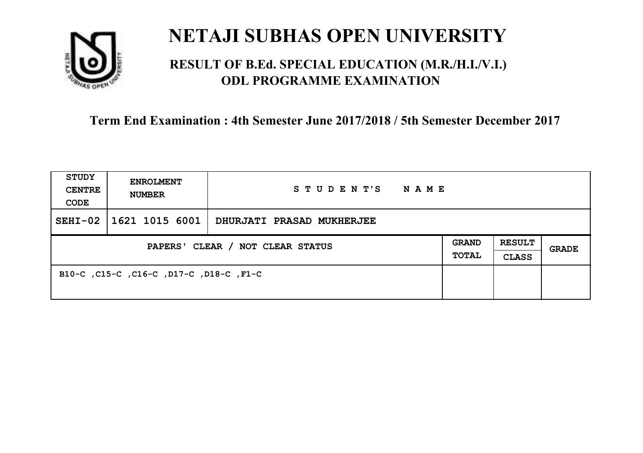

### **RESULT OF B.Ed. SPECIAL EDUCATION (M.R./H.I./V.I.) ODL PROGRAMME EXAMINATION**

| <b>STUDY</b><br><b>CENTRE</b><br>CODE | <b>ENROLMENT</b><br><b>NUMBER</b>       | STUDENT'S<br>NAME                |  |                               |       |
|---------------------------------------|-----------------------------------------|----------------------------------|--|-------------------------------|-------|
| $SEHI-02$                             | 1621 1015 6001                          | <b>DHURJATI PRASAD MUKHERJEE</b> |  |                               |       |
| PAPERS' CLEAR / NOT CLEAR STATUS      |                                         |                                  |  | <b>RESULT</b><br><b>CLASS</b> | GRADE |
|                                       | B10-C, C15-C, C16-C, D17-C, D18-C, F1-C |                                  |  |                               |       |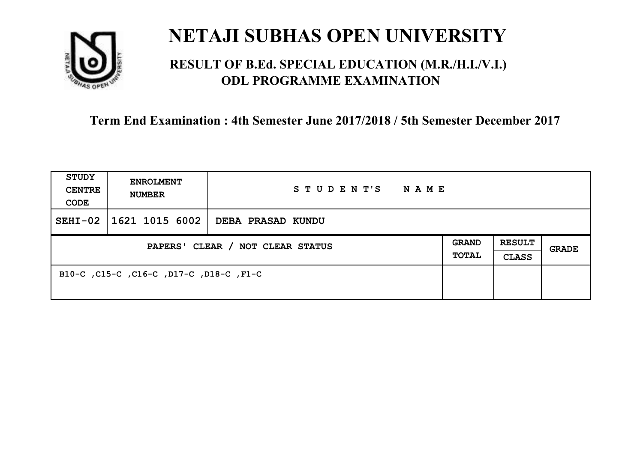

### **RESULT OF B.Ed. SPECIAL EDUCATION (M.R./H.I./V.I.) ODL PROGRAMME EXAMINATION**

| <b>STUDY</b><br><b>CENTRE</b><br>CODE | <b>ENROLMENT</b><br><b>NUMBER</b>       | STUDENT'S NAME                            |  |                               |              |
|---------------------------------------|-----------------------------------------|-------------------------------------------|--|-------------------------------|--------------|
| $SEHI-02$                             |                                         | $\mid$ 1621 1015 6002   DEBA PRASAD KUNDU |  |                               |              |
| PAPERS' CLEAR / NOT CLEAR STATUS      |                                         |                                           |  | <b>RESULT</b><br><b>CLASS</b> | <b>GRADE</b> |
|                                       | B10-C, C15-C, C16-C, D17-C, D18-C, F1-C |                                           |  |                               |              |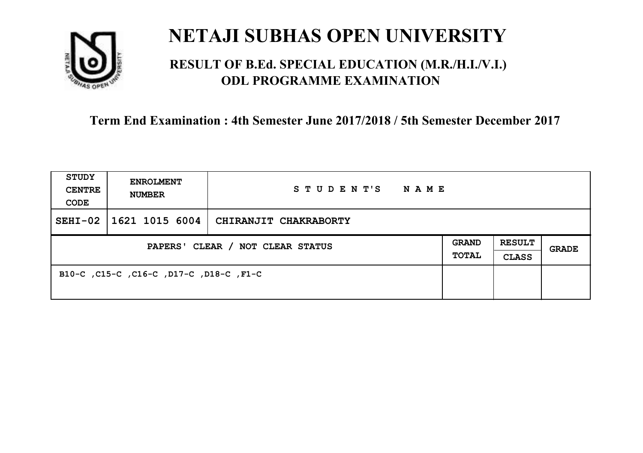

### **RESULT OF B.Ed. SPECIAL EDUCATION (M.R./H.I./V.I.) ODL PROGRAMME EXAMINATION**

| <b>STUDY</b><br><b>CENTRE</b><br>CODE | <b>ENROLMENT</b><br><b>NUMBER</b>       | STUDENT'S<br><b>NAME</b> |  |                               |       |
|---------------------------------------|-----------------------------------------|--------------------------|--|-------------------------------|-------|
| $SEHI-02$                             | 1621 1015 6004                          | CHIRANJIT CHAKRABORTY    |  |                               |       |
| PAPERS' CLEAR / NOT CLEAR STATUS      |                                         |                          |  | <b>RESULT</b><br><b>CLASS</b> | GRADE |
|                                       | B10-C, C15-C, C16-C, D17-C, D18-C, F1-C |                          |  |                               |       |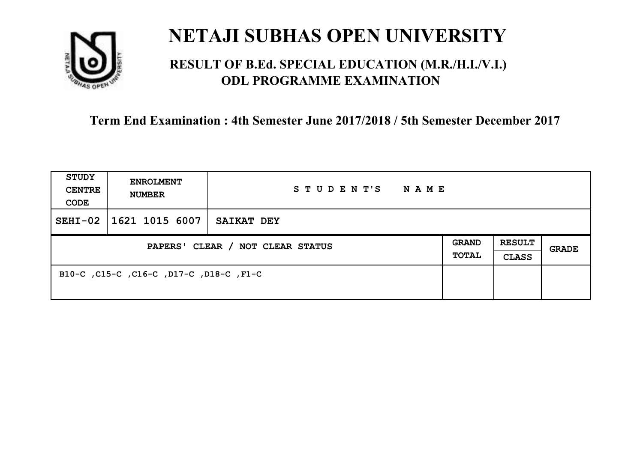

### **RESULT OF B.Ed. SPECIAL EDUCATION (M.R./H.I./V.I.) ODL PROGRAMME EXAMINATION**

| <b>STUDY</b><br><b>CENTRE</b><br>CODE | <b>ENROLMENT</b><br><b>NUMBER</b>       | STUDENT'S<br>NAME |  |                               |       |
|---------------------------------------|-----------------------------------------|-------------------|--|-------------------------------|-------|
| $SEHI-02$                             | 1621 1015 6007                          | SAIKAT DEY        |  |                               |       |
| PAPERS' CLEAR / NOT CLEAR STATUS      |                                         |                   |  | <b>RESULT</b><br><b>CLASS</b> | GRADE |
|                                       | B10-C, C15-C, C16-C, D17-C, D18-C, F1-C |                   |  |                               |       |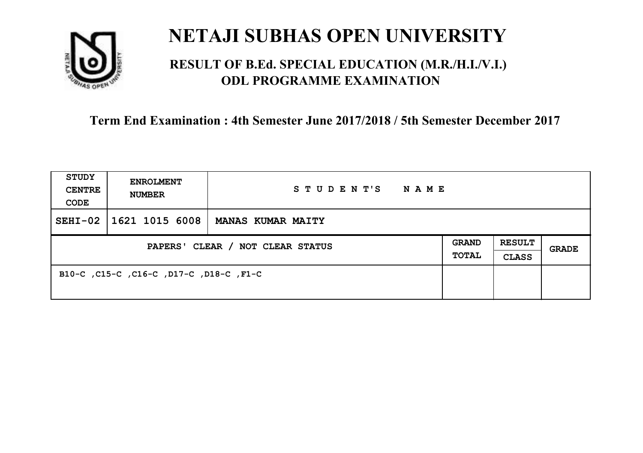

### **RESULT OF B.Ed. SPECIAL EDUCATION (M.R./H.I./V.I.) ODL PROGRAMME EXAMINATION**

| <b>STUDY</b><br><b>CENTRE</b><br>CODE | <b>ENROLMENT</b><br><b>NUMBER</b>       | STUDENT'S<br>NAME        |                              |                               |       |
|---------------------------------------|-----------------------------------------|--------------------------|------------------------------|-------------------------------|-------|
| $SEHI-02$                             | 1621 1015 6008                          | <b>MANAS KUMAR MAITY</b> |                              |                               |       |
| PAPERS' CLEAR / NOT CLEAR STATUS      |                                         |                          | <b>GRAND</b><br><b>TOTAL</b> | <b>RESULT</b><br><b>CLASS</b> | GRADE |
|                                       | B10-C, C15-C, C16-C, D17-C, D18-C, F1-C |                          |                              |                               |       |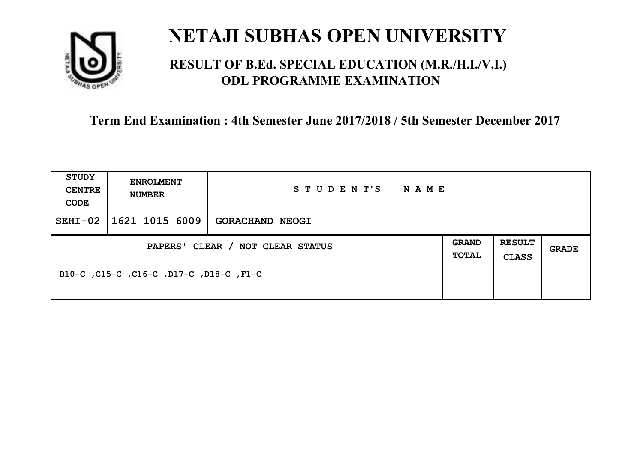

### **RESULT OF B.Ed. SPECIAL EDUCATION (M.R./H.I./V.I.) ODL PROGRAMME EXAMINATION**

| <b>STUDY</b><br><b>CENTRE</b><br>CODE | <b>ENROLMENT</b><br><b>NUMBER</b>       | STUDENT'S<br>NAME      |                              |                               |       |
|---------------------------------------|-----------------------------------------|------------------------|------------------------------|-------------------------------|-------|
| $SEHI-02$                             | 1621 1015 6009                          | <b>GORACHAND NEOGI</b> |                              |                               |       |
| PAPERS' CLEAR / NOT CLEAR STATUS      |                                         |                        | <b>GRAND</b><br><b>TOTAL</b> | <b>RESULT</b><br><b>CLASS</b> | GRADE |
|                                       | B10-C, C15-C, C16-C, D17-C, D18-C, F1-C |                        |                              |                               |       |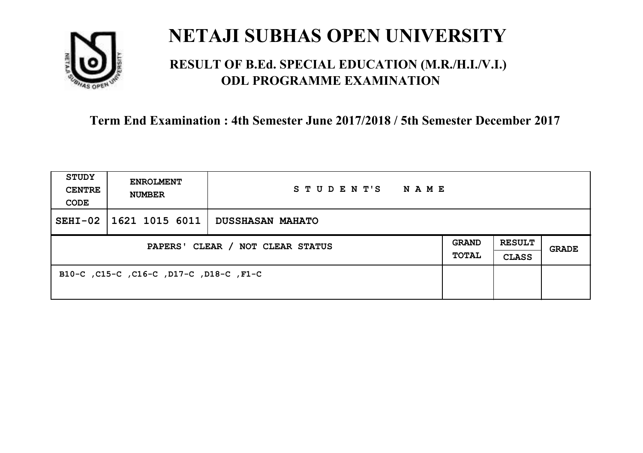

### **RESULT OF B.Ed. SPECIAL EDUCATION (M.R./H.I./V.I.) ODL PROGRAMME EXAMINATION**

| <b>STUDY</b><br><b>CENTRE</b><br>CODE | <b>ENROLMENT</b><br><b>NUMBER</b>       | STUDENT'S NAME   |  |                               |              |
|---------------------------------------|-----------------------------------------|------------------|--|-------------------------------|--------------|
| $SEHI-02$                             | $\mid$ 1621 1015 6011 $\mid$            | DUSSHASAN MAHATO |  |                               |              |
| PAPERS' CLEAR / NOT CLEAR STATUS      |                                         |                  |  | <b>RESULT</b><br><b>CLASS</b> | <b>GRADE</b> |
|                                       | B10-C, C15-C, C16-C, D17-C, D18-C, F1-C |                  |  |                               |              |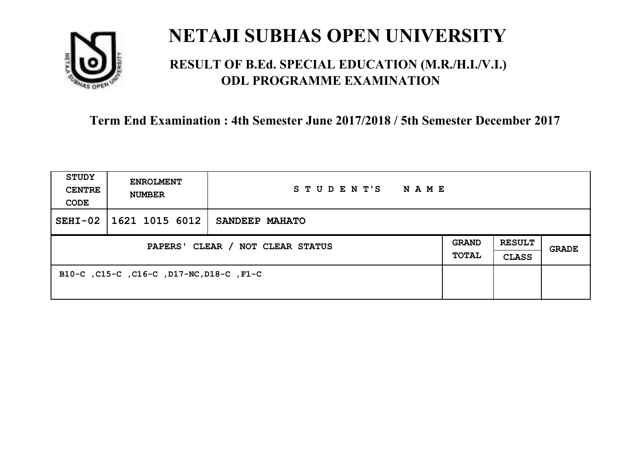

### **RESULT OF B.Ed. SPECIAL EDUCATION (M.R./H.I./V.I.) ODL PROGRAMME EXAMINATION**

| <b>STUDY</b><br><b>CENTRE</b><br>CODE | <b>ENROLMENT</b><br><b>NUMBER</b>        | STUDENT'S<br><b>NAME</b> |                       |                               |       |
|---------------------------------------|------------------------------------------|--------------------------|-----------------------|-------------------------------|-------|
| $SEHI-02$                             | 1621 1015 6012                           | SANDEEP MAHATO           |                       |                               |       |
| PAPERS' CLEAR / NOT CLEAR STATUS      |                                          |                          | <b>GRAND</b><br>TOTAL | <b>RESULT</b><br><b>CLASS</b> | GRADE |
|                                       | B10-C, C15-C, C16-C, D17-NC, D18-C, F1-C |                          |                       |                               |       |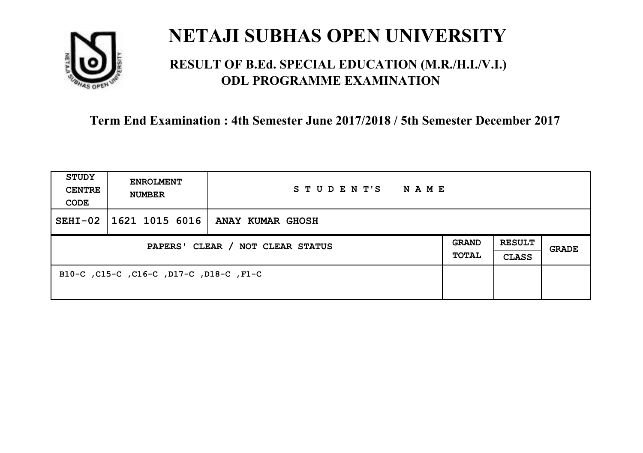

### **RESULT OF B.Ed. SPECIAL EDUCATION (M.R./H.I./V.I.) ODL PROGRAMME EXAMINATION**

| <b>STUDY</b><br><b>CENTRE</b><br>CODE | <b>ENROLMENT</b><br><b>NUMBER</b>       | STUDENT'S<br>NAME |  |                               |       |
|---------------------------------------|-----------------------------------------|-------------------|--|-------------------------------|-------|
| $SEHI-02$                             | 1621 1015 6016                          | ANAY KUMAR GHOSH  |  |                               |       |
| PAPERS' CLEAR / NOT CLEAR STATUS      |                                         |                   |  | <b>RESULT</b><br><b>CLASS</b> | GRADE |
|                                       | B10-C, C15-C, C16-C, D17-C, D18-C, F1-C |                   |  |                               |       |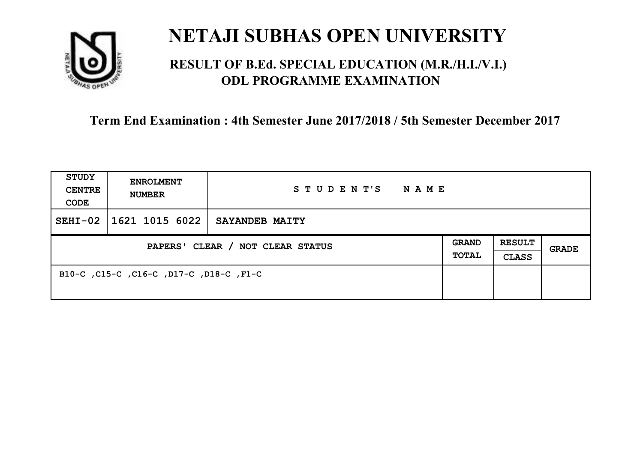

### **RESULT OF B.Ed. SPECIAL EDUCATION (M.R./H.I./V.I.) ODL PROGRAMME EXAMINATION**

| <b>STUDY</b><br><b>CENTRE</b><br>CODE | <b>ENROLMENT</b><br><b>NUMBER</b>       | STUDENT'S<br>NAME     |                       |                               |       |
|---------------------------------------|-----------------------------------------|-----------------------|-----------------------|-------------------------------|-------|
| $SEHI-02$                             | 1621 1015 6022                          | <b>SAYANDEB MAITY</b> |                       |                               |       |
| PAPERS' CLEAR / NOT CLEAR STATUS      |                                         |                       | <b>GRAND</b><br>TOTAL | <b>RESULT</b><br><b>CLASS</b> | GRADE |
|                                       | B10-C, C15-C, C16-C, D17-C, D18-C, F1-C |                       |                       |                               |       |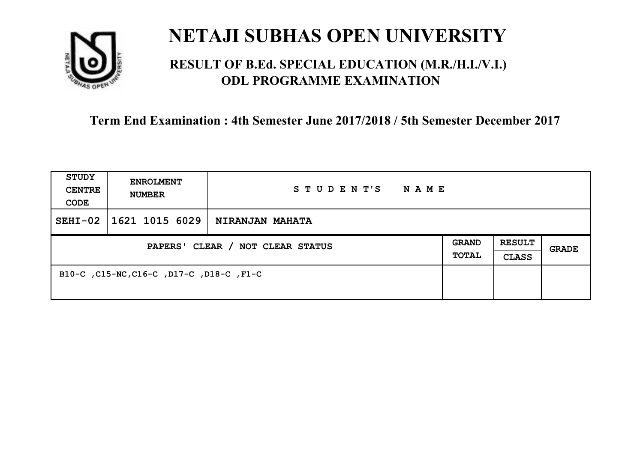

### **RESULT OF B.Ed. SPECIAL EDUCATION (M.R./H.I./V.I.) ODL PROGRAMME EXAMINATION**

| <b>STUDY</b><br><b>CENTRE</b><br>CODE | <b>ENROLMENT</b><br><b>NUMBER</b>        | STUDENT'S<br>N A M E   |                              |                               |       |
|---------------------------------------|------------------------------------------|------------------------|------------------------------|-------------------------------|-------|
| $SEHI-02$                             | 1621 1015 6029                           | <b>NIRANJAN MAHATA</b> |                              |                               |       |
| PAPERS' CLEAR / NOT CLEAR STATUS      |                                          |                        | <b>GRAND</b><br><b>TOTAL</b> | <b>RESULT</b><br><b>CLASS</b> | GRADE |
|                                       | B10-C, C15-NC, C16-C, D17-C, D18-C, F1-C |                        |                              |                               |       |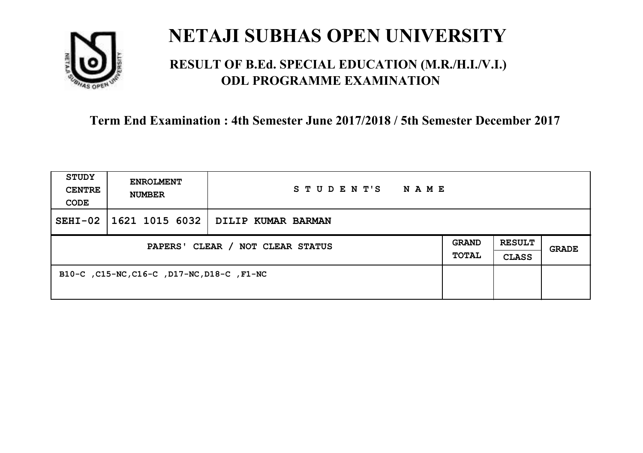

### **RESULT OF B.Ed. SPECIAL EDUCATION (M.R./H.I./V.I.) ODL PROGRAMME EXAMINATION**

| STUDY<br><b>CENTRE</b><br>CODE   | <b>ENROLMENT</b><br><b>NUMBER</b>          | STUDENT'S<br><b>NAME</b>                        |  |                               |       |
|----------------------------------|--------------------------------------------|-------------------------------------------------|--|-------------------------------|-------|
| $SEHI-02$                        |                                            | $\mid$ 1621 1015 6032 $\mid$ DILIP KUMAR BARMAN |  |                               |       |
| PAPERS' CLEAR / NOT CLEAR STATUS |                                            |                                                 |  | <b>RESULT</b><br><b>CLASS</b> | GRADE |
|                                  | B10-C, C15-NC, C16-C, D17-NC, D18-C, F1-NC |                                                 |  |                               |       |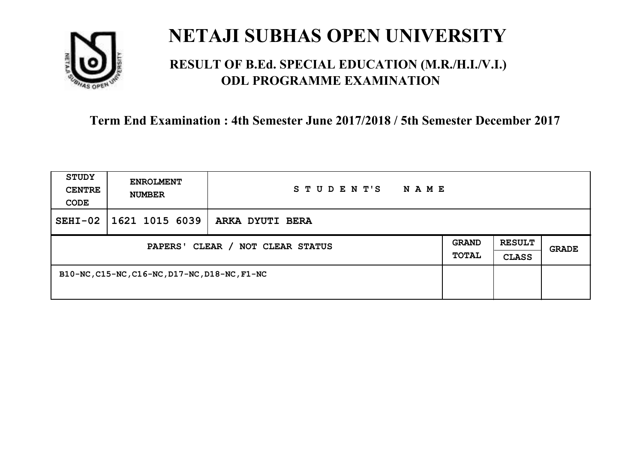

### **RESULT OF B.Ed. SPECIAL EDUCATION (M.R./H.I./V.I.) ODL PROGRAMME EXAMINATION**

| <b>STUDY</b><br><b>CENTRE</b><br>CODE | <b>ENROLMENT</b><br><b>NUMBER</b>             | STUDENT'S<br>N A M E |  |                               |       |
|---------------------------------------|-----------------------------------------------|----------------------|--|-------------------------------|-------|
| $SEHI-02$                             | 1621 1015 6039                                | ARKA DYUTI BERA      |  |                               |       |
| PAPERS' CLEAR / NOT CLEAR STATUS      |                                               |                      |  | <b>RESULT</b><br><b>CLASS</b> | GRADE |
|                                       | B10-NC, C15-NC, C16-NC, D17-NC, D18-NC, F1-NC |                      |  |                               |       |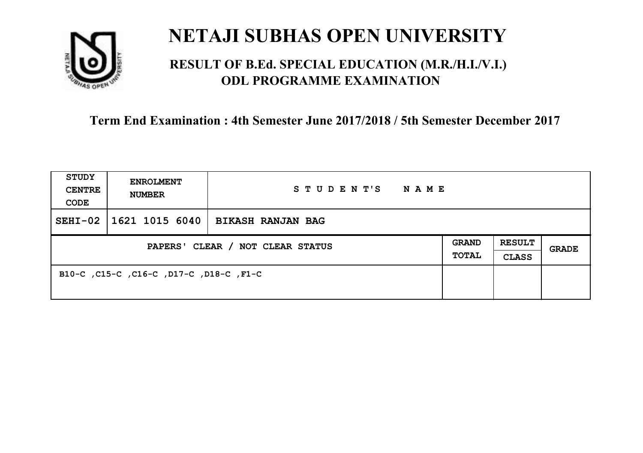

### **RESULT OF B.Ed. SPECIAL EDUCATION (M.R./H.I./V.I.) ODL PROGRAMME EXAMINATION**

| <b>STUDY</b><br><b>CENTRE</b><br>CODE | <b>ENROLMENT</b><br><b>NUMBER</b>       | STUDENT'S<br>NAME        |                              |                               |       |
|---------------------------------------|-----------------------------------------|--------------------------|------------------------------|-------------------------------|-------|
| $SEHI-02$                             | 1621 1015 6040                          | <b>BIKASH RANJAN BAG</b> |                              |                               |       |
| PAPERS' CLEAR / NOT CLEAR STATUS      |                                         |                          | <b>GRAND</b><br><b>TOTAL</b> | <b>RESULT</b><br><b>CLASS</b> | GRADE |
|                                       | B10-C, C15-C, C16-C, D17-C, D18-C, F1-C |                          |                              |                               |       |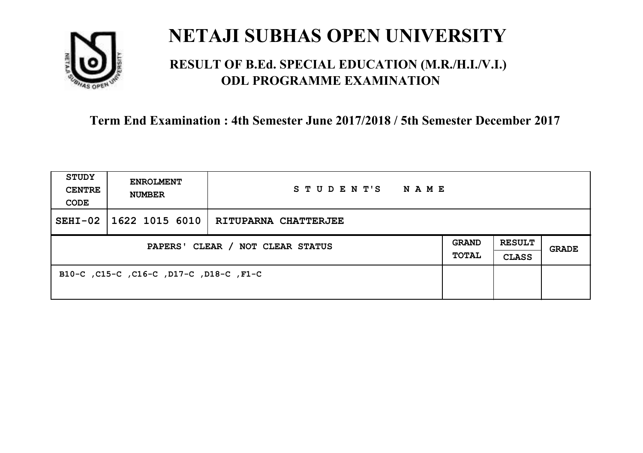

### **RESULT OF B.Ed. SPECIAL EDUCATION (M.R./H.I./V.I.) ODL PROGRAMME EXAMINATION**

| <b>STUDY</b><br><b>CENTRE</b><br>CODE | <b>ENROLMENT</b><br><b>NUMBER</b>       | STUDENT'S NAME              |  |                               |       |
|---------------------------------------|-----------------------------------------|-----------------------------|--|-------------------------------|-------|
| $SEHI-02$                             | $\mid$ 1622 1015 6010 $\mid$            | <b>RITUPARNA CHATTERJEE</b> |  |                               |       |
| PAPERS' CLEAR / NOT CLEAR STATUS      |                                         |                             |  | <b>RESULT</b><br><b>CLASS</b> | GRADE |
|                                       | B10-C, C15-C, C16-C, D17-C, D18-C, F1-C |                             |  |                               |       |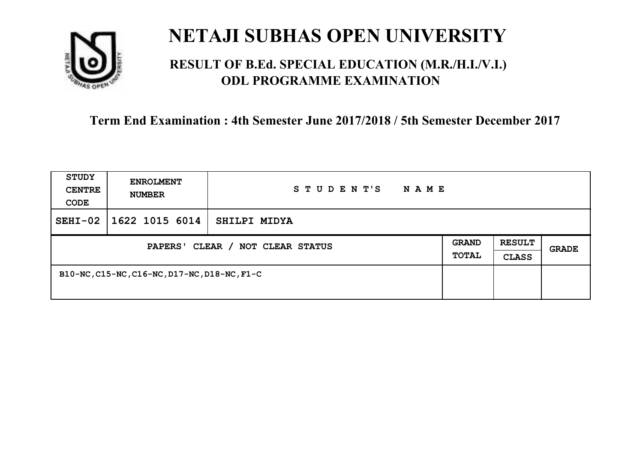

### **RESULT OF B.Ed. SPECIAL EDUCATION (M.R./H.I./V.I.) ODL PROGRAMME EXAMINATION**

| <b>STUDY</b><br><b>CENTRE</b><br>CODE | <b>ENROLMENT</b><br><b>NUMBER</b>            | STUDENT'S<br>N A M E |  |                               |       |
|---------------------------------------|----------------------------------------------|----------------------|--|-------------------------------|-------|
| $SEHI-02$                             | 1622 1015 6014                               | SHILPI MIDYA         |  |                               |       |
| PAPERS' CLEAR / NOT CLEAR STATUS      |                                              |                      |  | <b>RESULT</b><br><b>CLASS</b> | GRADE |
|                                       | B10-NC, C15-NC, C16-NC, D17-NC, D18-NC, F1-C |                      |  |                               |       |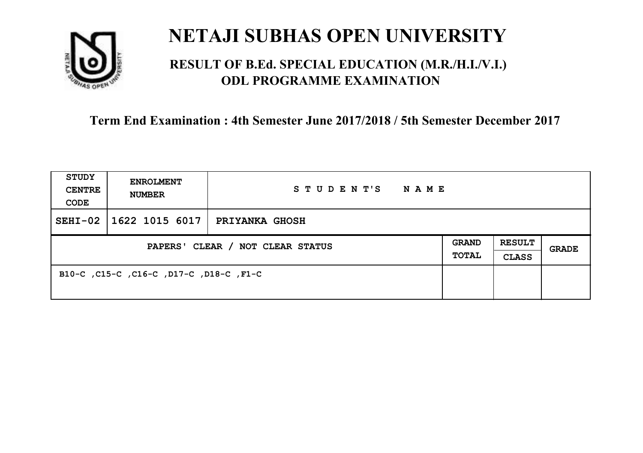

### **RESULT OF B.Ed. SPECIAL EDUCATION (M.R./H.I./V.I.) ODL PROGRAMME EXAMINATION**

| <b>STUDY</b><br><b>CENTRE</b><br>CODE | <b>ENROLMENT</b><br><b>NUMBER</b>       | STUDENT'S<br>NAME     |                       |                               |       |
|---------------------------------------|-----------------------------------------|-----------------------|-----------------------|-------------------------------|-------|
| $SEHI-02$                             | 1622 1015 6017                          | <b>PRIYANKA GHOSH</b> |                       |                               |       |
| PAPERS' CLEAR / NOT CLEAR STATUS      |                                         |                       | <b>GRAND</b><br>TOTAL | <b>RESULT</b><br><b>CLASS</b> | GRADE |
|                                       | B10-C, C15-C, C16-C, D17-C, D18-C, F1-C |                       |                       |                               |       |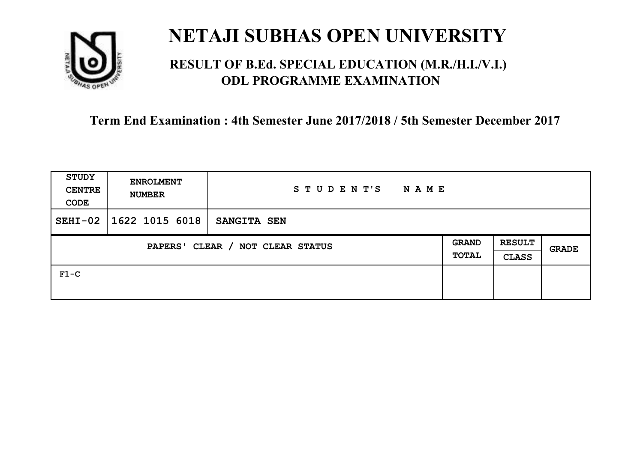

### **RESULT OF B.Ed. SPECIAL EDUCATION (M.R./H.I./V.I.) ODL PROGRAMME EXAMINATION**

| STUDY<br><b>CENTRE</b><br>CODE             | <b>ENROLMENT</b><br><b>NUMBER</b> | STUDENT'S<br>N A M E |                              |                               |              |
|--------------------------------------------|-----------------------------------|----------------------|------------------------------|-------------------------------|--------------|
| $SEHI-02$                                  | 1622 1015 6018                    | <b>SANGITA SEN</b>   |                              |                               |              |
| CLEAR / NOT CLEAR STATUS<br><b>PAPERS'</b> |                                   |                      | <b>GRAND</b><br><b>TOTAL</b> | <b>RESULT</b><br><b>CLASS</b> | <b>GRADE</b> |
| $F1-C$                                     |                                   |                      |                              |                               |              |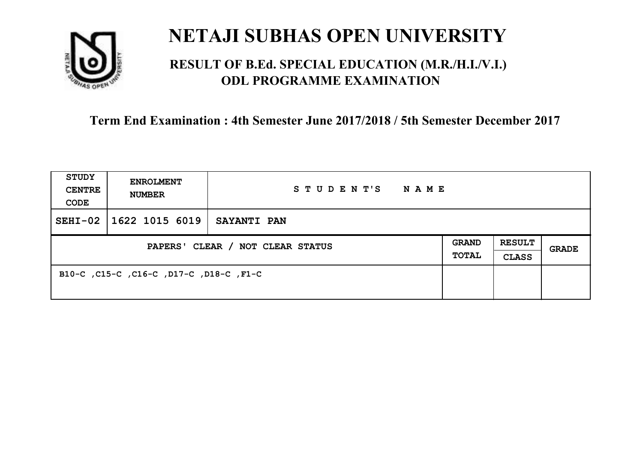

### **RESULT OF B.Ed. SPECIAL EDUCATION (M.R./H.I./V.I.) ODL PROGRAMME EXAMINATION**

| <b>STUDY</b><br><b>CENTRE</b><br>CODE | <b>ENROLMENT</b><br><b>NUMBER</b>       | STUDENT'S<br>NAME  |                              |                               |       |
|---------------------------------------|-----------------------------------------|--------------------|------------------------------|-------------------------------|-------|
| $SEHI-02$                             | 1622 1015 6019                          | <b>SAYANTI PAN</b> |                              |                               |       |
| PAPERS' CLEAR / NOT CLEAR STATUS      |                                         |                    | <b>GRAND</b><br><b>TOTAL</b> | <b>RESULT</b><br><b>CLASS</b> | GRADE |
|                                       | B10-C, C15-C, C16-C, D17-C, D18-C, F1-C |                    |                              |                               |       |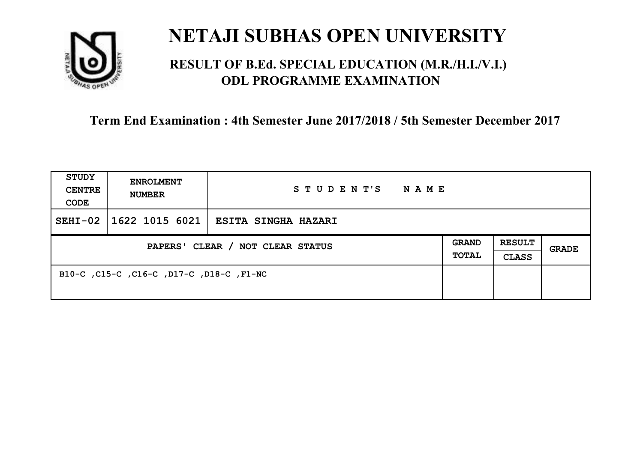

### **RESULT OF B.Ed. SPECIAL EDUCATION (M.R./H.I./V.I.) ODL PROGRAMME EXAMINATION**

| <b>STUDY</b><br><b>CENTRE</b><br>CODE | <b>ENROLMENT</b><br><b>NUMBER</b>        | STUDENT'S<br><b>NAME</b>             |                              |                               |       |
|---------------------------------------|------------------------------------------|--------------------------------------|------------------------------|-------------------------------|-------|
| $SEHI-02$                             |                                          | 1622 1015 6021   ESITA SINGHA HAZARI |                              |                               |       |
| PAPERS' CLEAR / NOT CLEAR STATUS      |                                          |                                      | <b>GRAND</b><br><b>TOTAL</b> | <b>RESULT</b><br><b>CLASS</b> | GRADE |
|                                       | B10-C, C15-C, C16-C, D17-C, D18-C, F1-NC |                                      |                              |                               |       |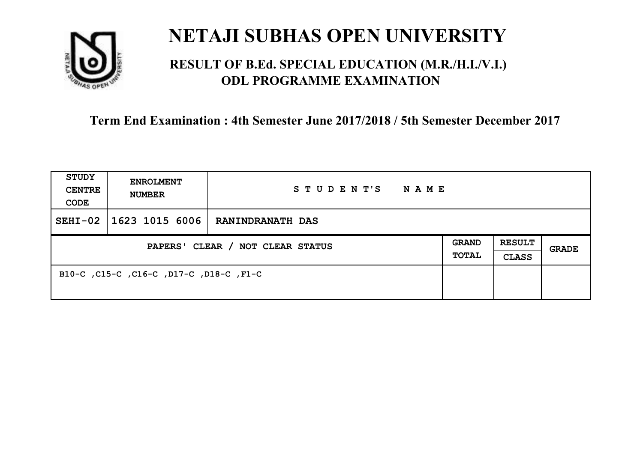

### **RESULT OF B.Ed. SPECIAL EDUCATION (M.R./H.I./V.I.) ODL PROGRAMME EXAMINATION**

| <b>STUDY</b><br><b>CENTRE</b><br>CODE | <b>ENROLMENT</b><br><b>NUMBER</b>       | STUDENT'S<br>NAME       |                              |                               |       |
|---------------------------------------|-----------------------------------------|-------------------------|------------------------------|-------------------------------|-------|
| $SEHI-02$                             | 1623 1015 6006                          | <b>RANINDRANATH DAS</b> |                              |                               |       |
| PAPERS' CLEAR / NOT CLEAR STATUS      |                                         |                         | <b>GRAND</b><br><b>TOTAL</b> | <b>RESULT</b><br><b>CLASS</b> | GRADE |
|                                       | B10-C, C15-C, C16-C, D17-C, D18-C, F1-C |                         |                              |                               |       |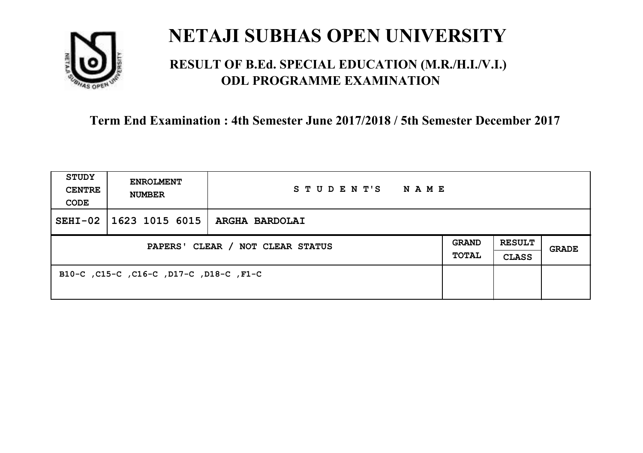

### **RESULT OF B.Ed. SPECIAL EDUCATION (M.R./H.I./V.I.) ODL PROGRAMME EXAMINATION**

| <b>STUDY</b><br><b>CENTRE</b><br>CODE | <b>ENROLMENT</b><br><b>NUMBER</b>       | STUDENT'S<br>NAME     |                              |                               |       |
|---------------------------------------|-----------------------------------------|-----------------------|------------------------------|-------------------------------|-------|
| $SEHI-02$                             | 1623 1015 6015                          | <b>ARGHA BARDOLAI</b> |                              |                               |       |
| PAPERS' CLEAR / NOT CLEAR STATUS      |                                         |                       | <b>GRAND</b><br><b>TOTAL</b> | <b>RESULT</b><br><b>CLASS</b> | GRADE |
|                                       | B10-C, C15-C, C16-C, D17-C, D18-C, F1-C |                       |                              |                               |       |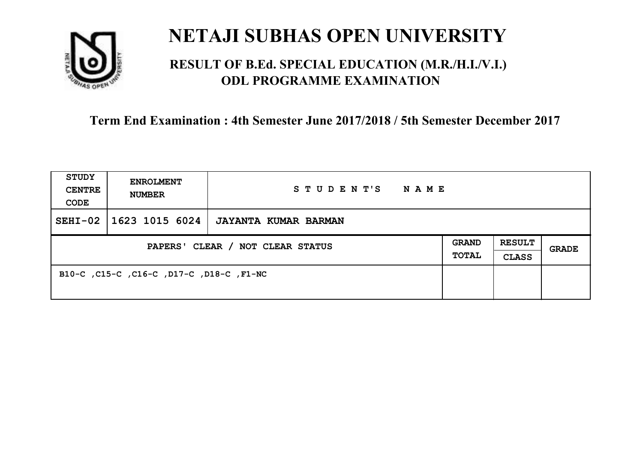

### **RESULT OF B.Ed. SPECIAL EDUCATION (M.R./H.I./V.I.) ODL PROGRAMME EXAMINATION**

| <b>STUDY</b><br><b>CENTRE</b><br>CODE | <b>ENROLMENT</b><br><b>NUMBER</b>        | STUDENT'S<br>NAME    |                              |                               |       |
|---------------------------------------|------------------------------------------|----------------------|------------------------------|-------------------------------|-------|
| $SEHI-02$                             | 1623 1015 6024                           | JAYANTA KUMAR BARMAN |                              |                               |       |
| PAPERS' CLEAR / NOT CLEAR STATUS      |                                          |                      | <b>GRAND</b><br><b>TOTAL</b> | <b>RESULT</b><br><b>CLASS</b> | GRADE |
|                                       | B10-C, C15-C, C16-C, D17-C, D18-C, F1-NC |                      |                              |                               |       |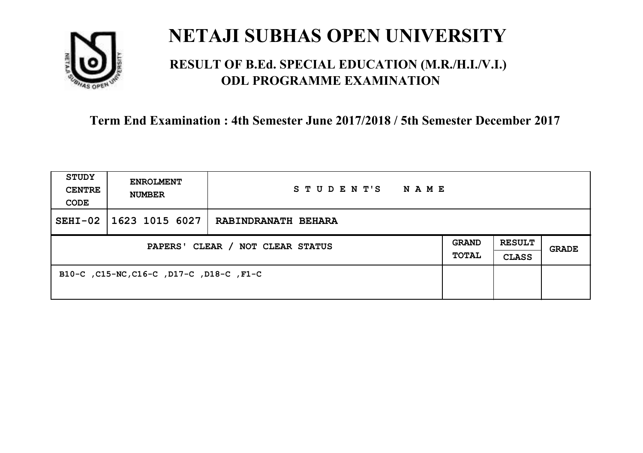

### **RESULT OF B.Ed. SPECIAL EDUCATION (M.R./H.I./V.I.) ODL PROGRAMME EXAMINATION**

| <b>STUDY</b><br><b>CENTRE</b><br>CODE | <b>ENROLMENT</b><br><b>NUMBER</b>        | STUDENT'S<br><b>NAME</b> |                              |                               |       |
|---------------------------------------|------------------------------------------|--------------------------|------------------------------|-------------------------------|-------|
| $SEHI-02$                             | 1623 1015 6027                           | RABINDRANATH BEHARA      |                              |                               |       |
| PAPERS' CLEAR / NOT CLEAR STATUS      |                                          |                          | <b>GRAND</b><br><b>TOTAL</b> | <b>RESULT</b><br><b>CLASS</b> | GRADE |
|                                       | B10-C, C15-NC, C16-C, D17-C, D18-C, F1-C |                          |                              |                               |       |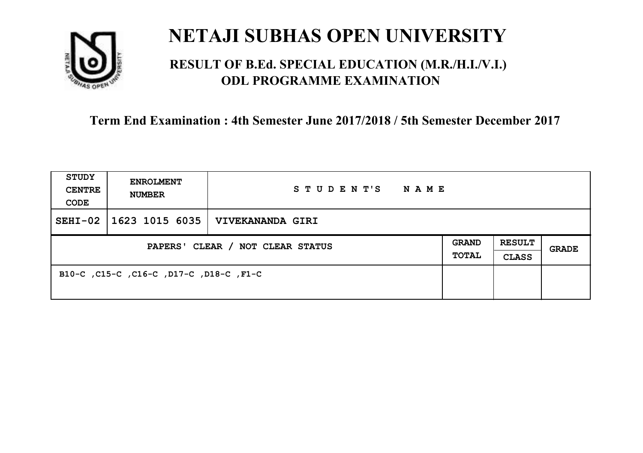

### **RESULT OF B.Ed. SPECIAL EDUCATION (M.R./H.I./V.I.) ODL PROGRAMME EXAMINATION**

| <b>STUDY</b><br><b>CENTRE</b><br>CODE | <b>ENROLMENT</b><br><b>NUMBER</b>       | STUDENT'S<br>NAME       |                              |                               |       |
|---------------------------------------|-----------------------------------------|-------------------------|------------------------------|-------------------------------|-------|
| $SEHI-02$                             | 1623 1015 6035                          | <b>VIVEKANANDA GIRI</b> |                              |                               |       |
| PAPERS' CLEAR / NOT CLEAR STATUS      |                                         |                         | <b>GRAND</b><br><b>TOTAL</b> | <b>RESULT</b><br><b>CLASS</b> | GRADE |
|                                       | B10-C, C15-C, C16-C, D17-C, D18-C, F1-C |                         |                              |                               |       |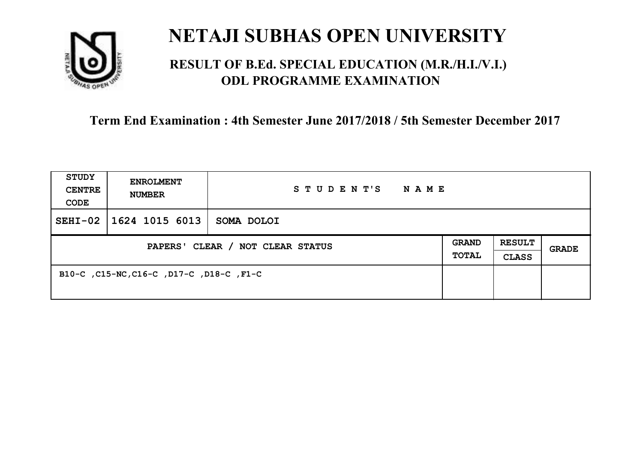

## **RESULT OF B.Ed. SPECIAL EDUCATION (M.R./H.I./V.I.) ODL PROGRAMME EXAMINATION**

| <b>STUDY</b><br><b>CENTRE</b><br>CODE | <b>ENROLMENT</b><br><b>NUMBER</b>        | STUDENT'S<br>N A M E |                              |                               |       |
|---------------------------------------|------------------------------------------|----------------------|------------------------------|-------------------------------|-------|
| $SEHI-02$                             | 1624 1015 6013                           | SOMA DOLOI           |                              |                               |       |
| PAPERS' CLEAR / NOT CLEAR STATUS      |                                          |                      | <b>GRAND</b><br><b>TOTAL</b> | <b>RESULT</b><br><b>CLASS</b> | GRADE |
|                                       | B10-C, C15-NC, C16-C, D17-C, D18-C, F1-C |                      |                              |                               |       |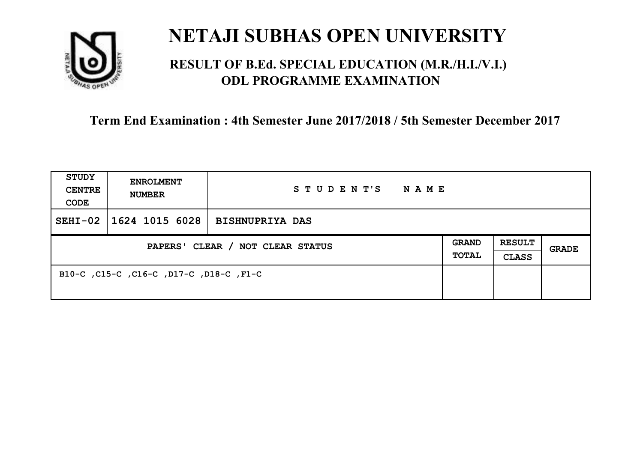

## **RESULT OF B.Ed. SPECIAL EDUCATION (M.R./H.I./V.I.) ODL PROGRAMME EXAMINATION**

| <b>STUDY</b><br><b>CENTRE</b><br>CODE | <b>ENROLMENT</b><br><b>NUMBER</b>       | STUDENT'S<br>NAME      |                              |                               |       |
|---------------------------------------|-----------------------------------------|------------------------|------------------------------|-------------------------------|-------|
| $SEHI-02$                             | 1624 1015 6028                          | <b>BISHNUPRIYA DAS</b> |                              |                               |       |
| PAPERS' CLEAR / NOT CLEAR STATUS      |                                         |                        | <b>GRAND</b><br><b>TOTAL</b> | <b>RESULT</b><br><b>CLASS</b> | GRADE |
|                                       | B10-C, C15-C, C16-C, D17-C, D18-C, F1-C |                        |                              |                               |       |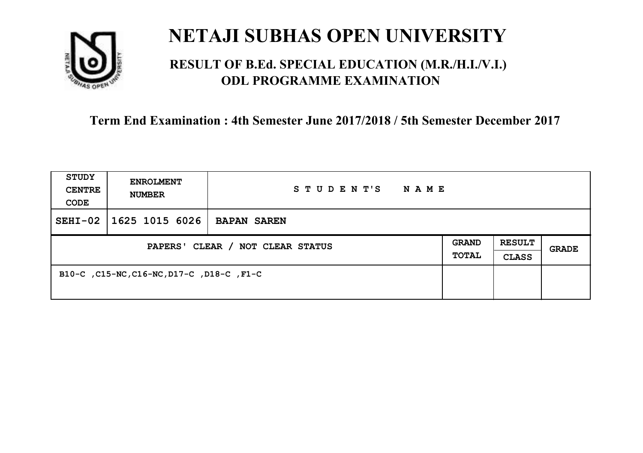

## **RESULT OF B.Ed. SPECIAL EDUCATION (M.R./H.I./V.I.) ODL PROGRAMME EXAMINATION**

| <b>STUDY</b><br><b>CENTRE</b><br>CODE | <b>ENROLMENT</b><br><b>NUMBER</b>         | STUDENT'S<br>N A M E |                              |                               |       |
|---------------------------------------|-------------------------------------------|----------------------|------------------------------|-------------------------------|-------|
| $SEHI-02$                             | 1625 1015 6026                            | <b>BAPAN SAREN</b>   |                              |                               |       |
| PAPERS' CLEAR / NOT CLEAR STATUS      |                                           |                      | <b>GRAND</b><br><b>TOTAL</b> | <b>RESULT</b><br><b>CLASS</b> | GRADE |
|                                       | B10-C, C15-NC, C16-NC, D17-C, D18-C, F1-C |                      |                              |                               |       |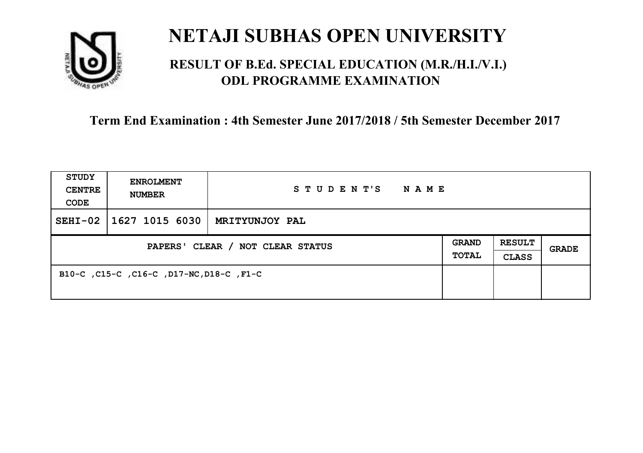

## **RESULT OF B.Ed. SPECIAL EDUCATION (M.R./H.I./V.I.) ODL PROGRAMME EXAMINATION**

| <b>STUDY</b><br><b>CENTRE</b><br>CODE | <b>ENROLMENT</b><br><b>NUMBER</b>        | STUDENT'S<br><b>NAME</b> |                              |                               |       |
|---------------------------------------|------------------------------------------|--------------------------|------------------------------|-------------------------------|-------|
| $SEHI-02$                             | 1627 1015 6030                           | MRITYUNJOY PAL           |                              |                               |       |
| PAPERS' CLEAR / NOT CLEAR STATUS      |                                          |                          | <b>GRAND</b><br><b>TOTAL</b> | <b>RESULT</b><br><b>CLASS</b> | GRADE |
|                                       | B10-C, C15-C, C16-C, D17-NC, D18-C, F1-C |                          |                              |                               |       |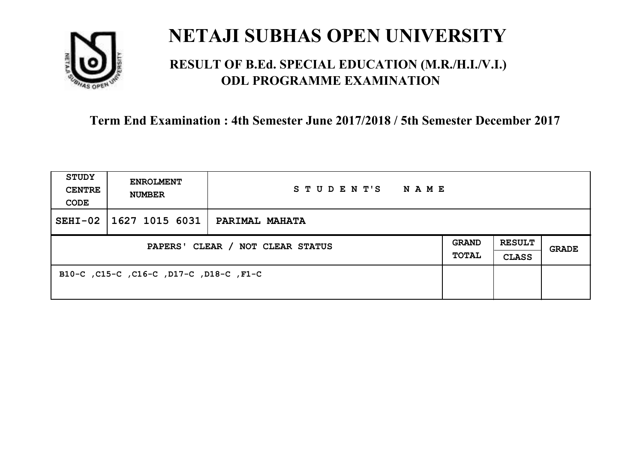

## **RESULT OF B.Ed. SPECIAL EDUCATION (M.R./H.I./V.I.) ODL PROGRAMME EXAMINATION**

| <b>STUDY</b><br><b>CENTRE</b><br>CODE | <b>ENROLMENT</b><br><b>NUMBER</b>       | STUDENT'S<br>NAME     |                       |                               |       |
|---------------------------------------|-----------------------------------------|-----------------------|-----------------------|-------------------------------|-------|
| $SEHI-02$                             | 1627 1015 6031                          | <b>PARIMAL MAHATA</b> |                       |                               |       |
| PAPERS' CLEAR / NOT CLEAR STATUS      |                                         |                       | <b>GRAND</b><br>TOTAL | <b>RESULT</b><br><b>CLASS</b> | GRADE |
|                                       | B10-C, C15-C, C16-C, D17-C, D18-C, F1-C |                       |                       |                               |       |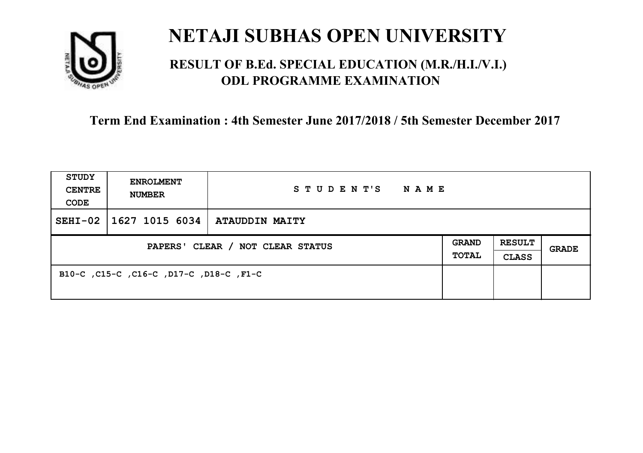

## **RESULT OF B.Ed. SPECIAL EDUCATION (M.R./H.I./V.I.) ODL PROGRAMME EXAMINATION**

| <b>STUDY</b><br><b>CENTRE</b><br>CODE | <b>ENROLMENT</b><br><b>NUMBER</b>       | STUDENT'S<br>NAME     |                       |                               |       |
|---------------------------------------|-----------------------------------------|-----------------------|-----------------------|-------------------------------|-------|
| $SEHI-02$                             | 1627 1015 6034                          | <b>ATAUDDIN MAITY</b> |                       |                               |       |
| PAPERS' CLEAR / NOT CLEAR STATUS      |                                         |                       | <b>GRAND</b><br>TOTAL | <b>RESULT</b><br><b>CLASS</b> | GRADE |
|                                       | B10-C, C15-C, C16-C, D17-C, D18-C, F1-C |                       |                       |                               |       |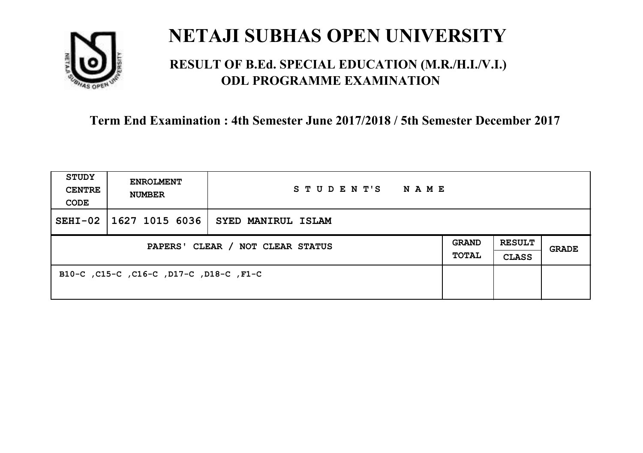

## **RESULT OF B.Ed. SPECIAL EDUCATION (M.R./H.I./V.I.) ODL PROGRAMME EXAMINATION**

| <b>STUDY</b><br><b>CENTRE</b><br>CODE | <b>ENROLMENT</b><br><b>NUMBER</b>       | STUDENT'S NAME                                  |  |                               |              |
|---------------------------------------|-----------------------------------------|-------------------------------------------------|--|-------------------------------|--------------|
| $SEHI-02$                             |                                         | $\mid$ 1627 1015 6036 $\mid$ SYED MANIRUL ISLAM |  |                               |              |
| PAPERS' CLEAR / NOT CLEAR STATUS      |                                         |                                                 |  | <b>RESULT</b><br><b>CLASS</b> | <b>GRADE</b> |
|                                       | B10-C, C15-C, C16-C, D17-C, D18-C, F1-C |                                                 |  |                               |              |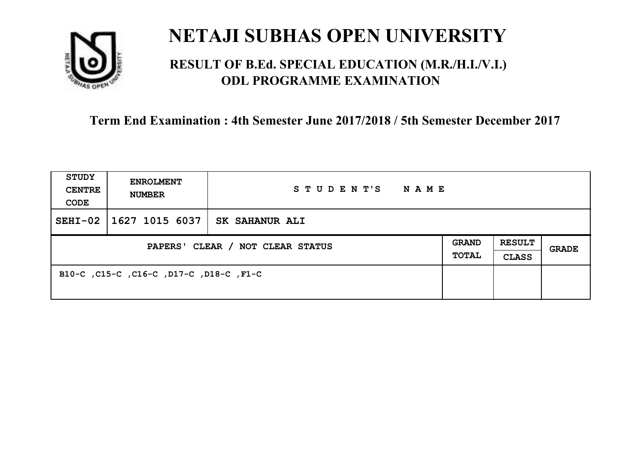

## **RESULT OF B.Ed. SPECIAL EDUCATION (M.R./H.I./V.I.) ODL PROGRAMME EXAMINATION**

| <b>STUDY</b><br><b>CENTRE</b><br>CODE | <b>ENROLMENT</b><br><b>NUMBER</b>       | STUDENT'S<br>NAME     |                              |                               |       |
|---------------------------------------|-----------------------------------------|-----------------------|------------------------------|-------------------------------|-------|
| $SEHI-02$                             | 1627 1015 6037                          | <b>SK SAHANUR ALI</b> |                              |                               |       |
| PAPERS' CLEAR / NOT CLEAR STATUS      |                                         |                       | <b>GRAND</b><br><b>TOTAL</b> | <b>RESULT</b><br><b>CLASS</b> | GRADE |
|                                       | B10-C, C15-C, C16-C, D17-C, D18-C, F1-C |                       |                              |                               |       |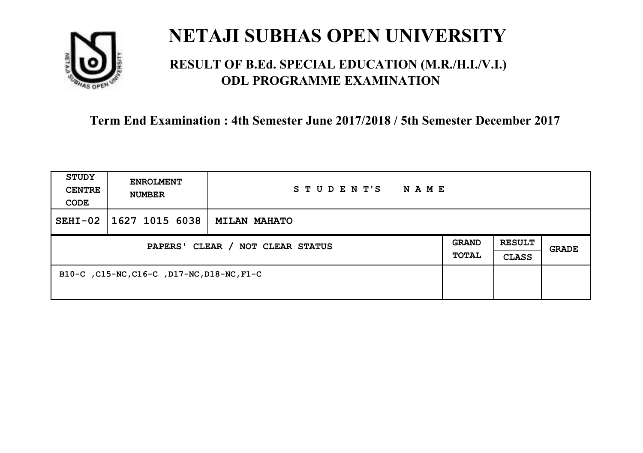

## **RESULT OF B.Ed. SPECIAL EDUCATION (M.R./H.I./V.I.) ODL PROGRAMME EXAMINATION**

| <b>STUDY</b><br><b>CENTRE</b><br>CODE | <b>ENROLMENT</b><br><b>NUMBER</b>          | STUDENT'S<br><b>NAME</b> |  |                               |              |
|---------------------------------------|--------------------------------------------|--------------------------|--|-------------------------------|--------------|
| $SEHI-02$                             | 1627 1015 6038                             | <b>MILAN MAHATO</b>      |  |                               |              |
| PAPERS' CLEAR / NOT CLEAR STATUS      |                                            |                          |  | <b>RESULT</b><br><b>CLASS</b> | <b>GRADE</b> |
|                                       | B10-C, C15-NC, C16-C, D17-NC, D18-NC, F1-C |                          |  |                               |              |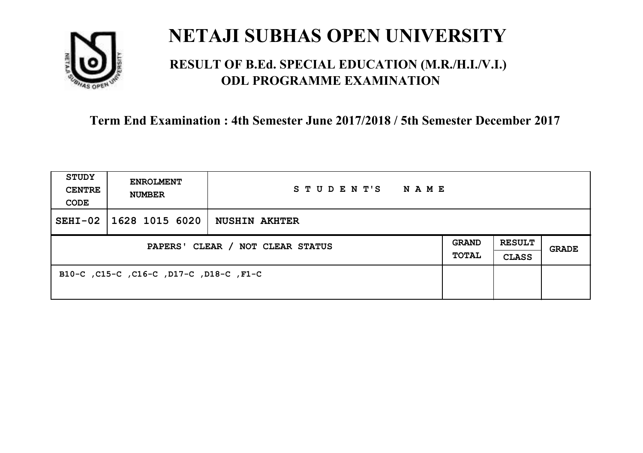

## **RESULT OF B.Ed. SPECIAL EDUCATION (M.R./H.I./V.I.) ODL PROGRAMME EXAMINATION**

| <b>STUDY</b><br><b>CENTRE</b><br>CODE | <b>ENROLMENT</b><br><b>NUMBER</b>       | STUDENT'S<br>NAME    |                       |                               |       |
|---------------------------------------|-----------------------------------------|----------------------|-----------------------|-------------------------------|-------|
| $SEHI-02$                             | 1628 1015 6020                          | <b>NUSHIN AKHTER</b> |                       |                               |       |
| PAPERS' CLEAR / NOT CLEAR STATUS      |                                         |                      | <b>GRAND</b><br>TOTAL | <b>RESULT</b><br><b>CLASS</b> | GRADE |
|                                       | B10-C, C15-C, C16-C, D17-C, D18-C, F1-C |                      |                       |                               |       |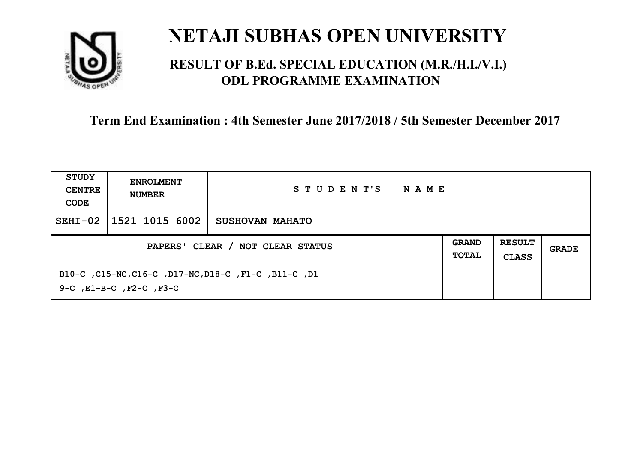

## **RESULT OF B.Ed. SPECIAL EDUCATION (M.R./H.I./V.I.) ODL PROGRAMME EXAMINATION**

| STUDY<br><b>CENTRE</b><br>CODE   | <b>ENROLMENT</b><br><b>NUMBER</b>  | STUDENT'S<br>NAME                                    |  |                               |       |
|----------------------------------|------------------------------------|------------------------------------------------------|--|-------------------------------|-------|
| $SEHI-02$                        | 1521 1015 6002                     | <b>SUSHOVAN MAHATO</b>                               |  |                               |       |
| PAPERS' CLEAR / NOT CLEAR STATUS |                                    |                                                      |  | <b>RESULT</b><br><b>CLASS</b> | GRADE |
|                                  | $9-C$ , $E1-B-C$ , $F2-C$ , $F3-C$ | B10-C, C15-NC, C16-C, D17-NC, D18-C, F1-C, B11-C, D1 |  |                               |       |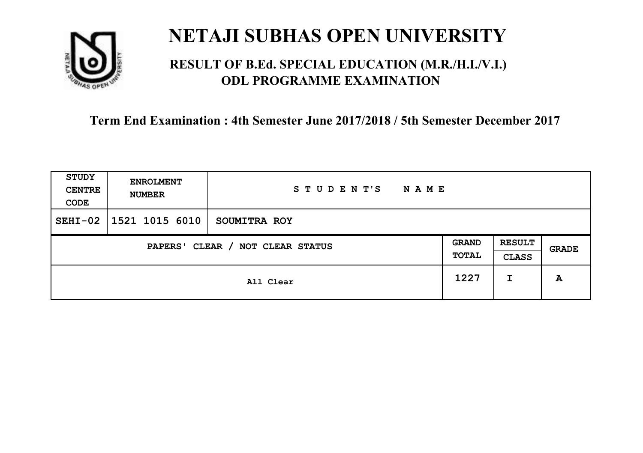

## **RESULT OF B.Ed. SPECIAL EDUCATION (M.R./H.I./V.I.) ODL PROGRAMME EXAMINATION**

| STUDY<br><b>CENTRE</b><br>CODE | <b>ENROLMENT</b><br><b>NUMBER</b>   | STUDENT'S<br>N A M E |      |                               |       |
|--------------------------------|-------------------------------------|----------------------|------|-------------------------------|-------|
| $SEHI-02$                      | $ 1521\;1015\;6010$                 | SOUMITRA ROY         |      |                               |       |
|                                | CLEAR / NOT CLEAR STATUS<br>PAPERS' |                      |      | <b>RESULT</b><br><b>CLASS</b> | GRADE |
|                                |                                     | All Clear            | 1227 | I                             | A     |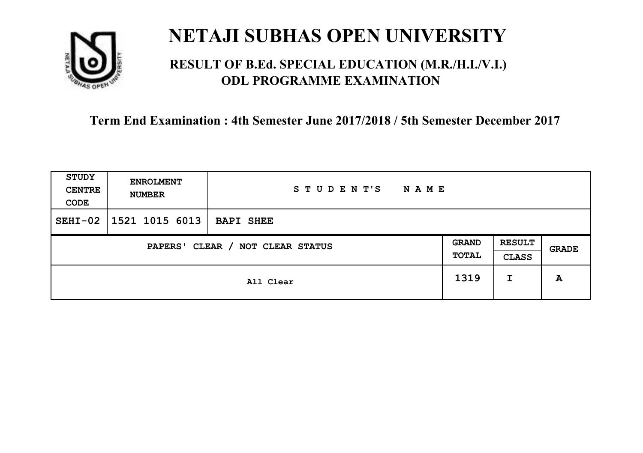

## **RESULT OF B.Ed. SPECIAL EDUCATION (M.R./H.I./V.I.) ODL PROGRAMME EXAMINATION**

| STUDY<br><b>CENTRE</b><br>CODE | <b>ENROLMENT</b><br><b>NUMBER</b>   | STUDENT'S<br><b>NAME</b> |      |   |       |
|--------------------------------|-------------------------------------|--------------------------|------|---|-------|
| $SEHI-02$                      | 1521 1015 6013                      | <b>BAPI SHEE</b>         |      |   |       |
|                                | CLEAR / NOT CLEAR STATUS<br>PAPERS' |                          |      |   | GRADE |
|                                |                                     | All Clear                | 1319 | I | A     |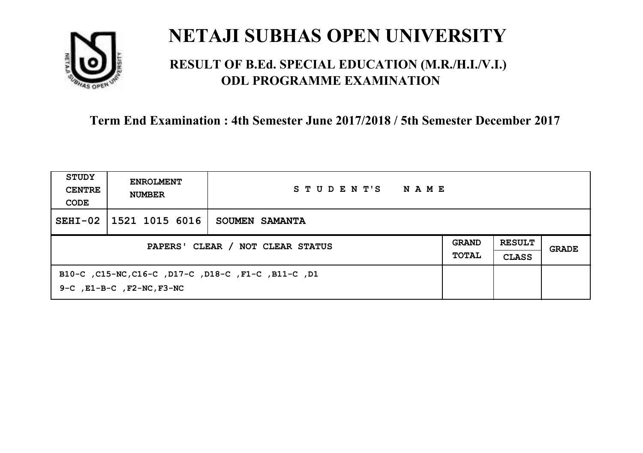

## **RESULT OF B.Ed. SPECIAL EDUCATION (M.R./H.I./V.I.) ODL PROGRAMME EXAMINATION**

| STUDY<br><b>CENTRE</b><br>CODE | <b>ENROLMENT</b><br><b>NUMBER</b>    | STUDENT'S<br>NAME                                   |                              |                               |       |
|--------------------------------|--------------------------------------|-----------------------------------------------------|------------------------------|-------------------------------|-------|
| $SEHI-02$                      | 1521 1015 6016                       | SOUMEN SAMANTA                                      |                              |                               |       |
|                                |                                      | PAPERS' CLEAR / NOT CLEAR STATUS                    | <b>GRAND</b><br><b>TOTAL</b> | <b>RESULT</b><br><b>CLASS</b> | GRADE |
|                                | $9-C$ , $E1-B-C$ , $F2-NC$ , $F3-NC$ | B10-C, C15-NC, C16-C, D17-C, D18-C, F1-C, B11-C, D1 |                              |                               |       |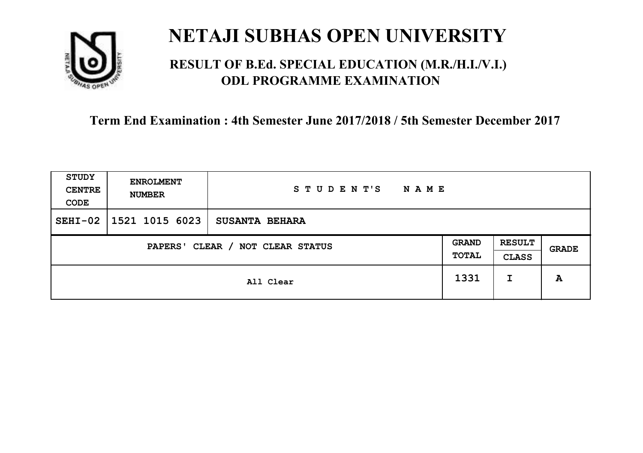

## **RESULT OF B.Ed. SPECIAL EDUCATION (M.R./H.I./V.I.) ODL PROGRAMME EXAMINATION**

| <b>STUDY</b><br><b>CENTRE</b><br>CODE | <b>ENROLMENT</b><br><b>NUMBER</b>   | STUDENT'S<br><b>NAME</b> |      |   |       |
|---------------------------------------|-------------------------------------|--------------------------|------|---|-------|
| $SEHI-02$                             | $1521$ 1015 6023                    | <b>SUSANTA BEHARA</b>    |      |   |       |
|                                       | CLEAR / NOT CLEAR STATUS<br>PAPERS' |                          |      |   | GRADE |
|                                       |                                     | All Clear                | 1331 | I | A     |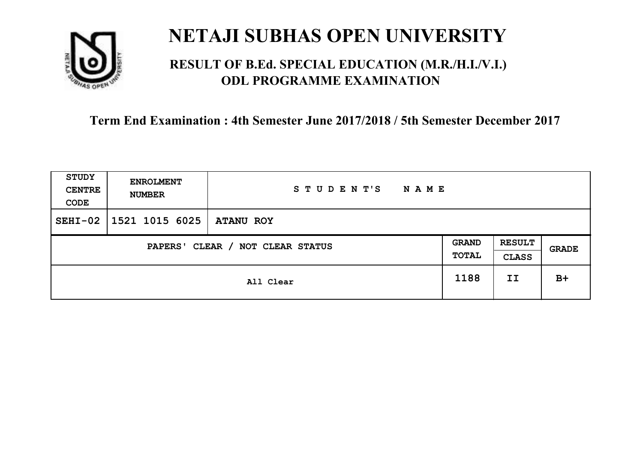

## **RESULT OF B.Ed. SPECIAL EDUCATION (M.R./H.I./V.I.) ODL PROGRAMME EXAMINATION**

| <b>STUDY</b><br><b>CENTRE</b><br>CODE | <b>ENROLMENT</b><br><b>NUMBER</b>   | STUDENT'S<br><b>NAME</b> |      |    |       |
|---------------------------------------|-------------------------------------|--------------------------|------|----|-------|
| $SEHI-02$                             | $1521$ 1015 6025                    | <b>ATANU ROY</b>         |      |    |       |
|                                       | CLEAR / NOT CLEAR STATUS<br>PAPERS' |                          |      |    | GRADE |
|                                       |                                     | All Clear                | 1188 | II | $B+$  |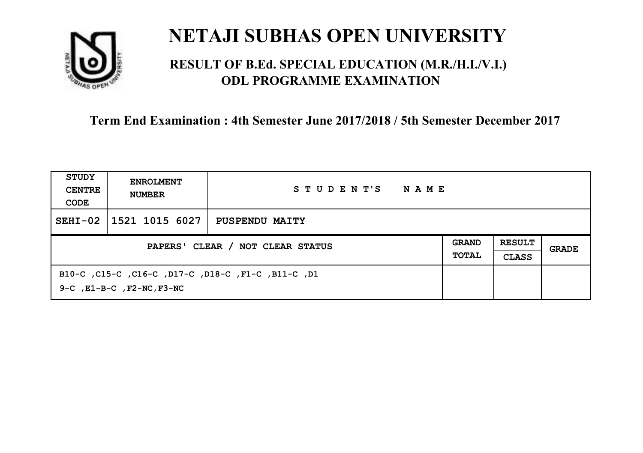

## **RESULT OF B.Ed. SPECIAL EDUCATION (M.R./H.I./V.I.) ODL PROGRAMME EXAMINATION**

| STUDY<br><b>CENTRE</b><br>CODE | <b>ENROLMENT</b><br><b>NUMBER</b>    | STUDENT'S<br>NAME                                  |  |  |       |
|--------------------------------|--------------------------------------|----------------------------------------------------|--|--|-------|
| $SEHI-02$                      | 1521 1015 6027                       | <b>PUSPENDU MAITY</b>                              |  |  |       |
|                                | PAPERS' CLEAR / NOT CLEAR STATUS     |                                                    |  |  | GRADE |
|                                | $9-C$ , $E1-B-C$ , $F2-NC$ , $F3-NC$ | B10-C ,C15-C ,C16-C ,D17-C ,D18-C ,F1-C ,B11-C ,D1 |  |  |       |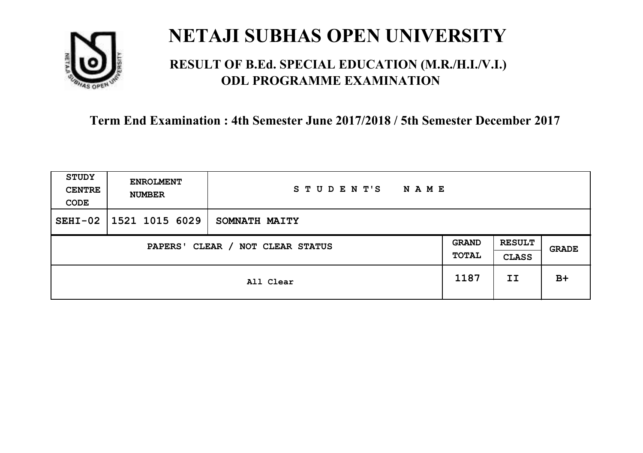

## **RESULT OF B.Ed. SPECIAL EDUCATION (M.R./H.I./V.I.) ODL PROGRAMME EXAMINATION**

| <b>STUDY</b><br><b>CENTRE</b><br>CODE | <b>ENROLMENT</b><br><b>NUMBER</b>   | STUDENT'S<br><b>NAME</b> |      |                               |       |
|---------------------------------------|-------------------------------------|--------------------------|------|-------------------------------|-------|
| $SEHI-02$                             | 1521 1015 6029                      | SOMNATH MAITY            |      |                               |       |
|                                       | CLEAR / NOT CLEAR STATUS<br>PAPERS' |                          |      | <b>RESULT</b><br><b>CLASS</b> | GRADE |
|                                       |                                     | All Clear                | 1187 | II                            | $B+$  |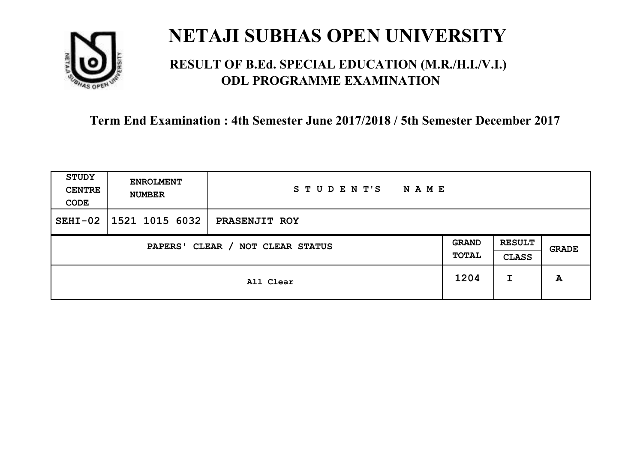

## **RESULT OF B.Ed. SPECIAL EDUCATION (M.R./H.I./V.I.) ODL PROGRAMME EXAMINATION**

| <b>STUDY</b><br><b>CENTRE</b><br>CODE | <b>ENROLMENT</b><br><b>NUMBER</b>   | STUDENT'S<br><b>NAME</b> |      |                               |       |
|---------------------------------------|-------------------------------------|--------------------------|------|-------------------------------|-------|
| $SEHI-02$                             | $1521$ 1015 6032                    | <b>PRASENJIT ROY</b>     |      |                               |       |
|                                       | CLEAR / NOT CLEAR STATUS<br>PAPERS' |                          |      | <b>RESULT</b><br><b>CLASS</b> | GRADE |
|                                       |                                     | All Clear                | 1204 | I                             | A     |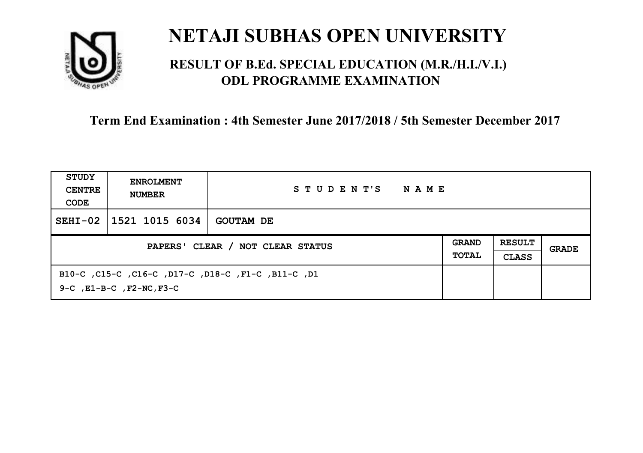

## **RESULT OF B.Ed. SPECIAL EDUCATION (M.R./H.I./V.I.) ODL PROGRAMME EXAMINATION**

| STUDY<br><b>CENTRE</b><br>CODE | <b>ENROLMENT</b><br><b>NUMBER</b>   | STUDENT'S<br>NAME                                  |  |  |       |
|--------------------------------|-------------------------------------|----------------------------------------------------|--|--|-------|
| $SEHI-02$                      | 1521 1015 6034                      | <b>GOUTAM DE</b>                                   |  |  |       |
|                                | PAPERS' CLEAR / NOT CLEAR STATUS    |                                                    |  |  | GRADE |
|                                | $9-C$ , $E1-B-C$ , $F2-NC$ , $F3-C$ | B10-C ,C15-C ,C16-C ,D17-C ,D18-C ,F1-C ,B11-C ,D1 |  |  |       |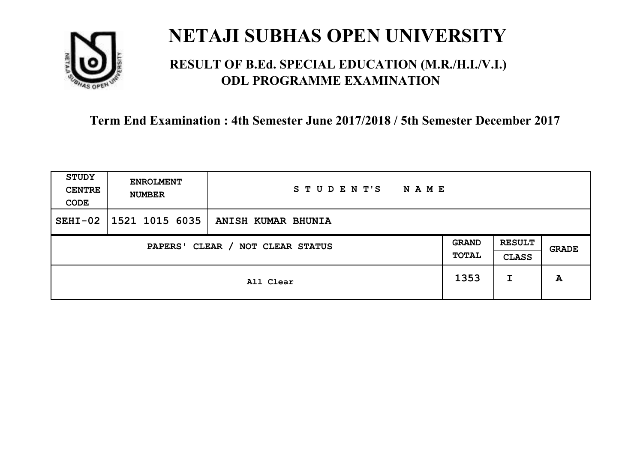

## **RESULT OF B.Ed. SPECIAL EDUCATION (M.R./H.I./V.I.) ODL PROGRAMME EXAMINATION**

| <b>STUDY</b><br><b>CENTRE</b><br>CODE | <b>ENROLMENT</b><br><b>NUMBER</b>   | STUDENT'S<br><b>NAME</b> |      |   |       |
|---------------------------------------|-------------------------------------|--------------------------|------|---|-------|
| $SEHI-02$                             | 1521 1015 6035                      | ANISH KUMAR BHUNIA       |      |   |       |
|                                       | CLEAR / NOT CLEAR STATUS<br>PAPERS' |                          |      |   | GRADE |
|                                       |                                     | All Clear                | 1353 | I | A     |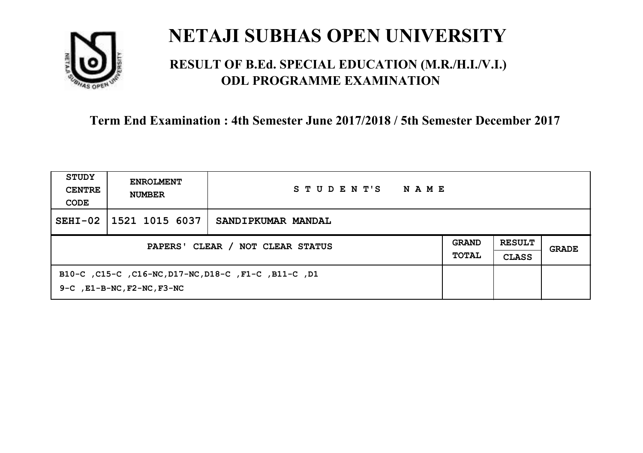

## **RESULT OF B.Ed. SPECIAL EDUCATION (M.R./H.I./V.I.) ODL PROGRAMME EXAMINATION**

| STUDY<br><b>CENTRE</b><br>CODE | <b>ENROLMENT</b><br><b>NUMBER</b>                                | STUDENT'S<br>NAME                                    |  |  |       |
|--------------------------------|------------------------------------------------------------------|------------------------------------------------------|--|--|-------|
| $SEHI-02$                      | 1521 1015 6037                                                   | SANDIPKUMAR MANDAL                                   |  |  |       |
|                                | <b>GRAND</b><br>PAPERS' CLEAR / NOT CLEAR STATUS<br><b>TOTAL</b> |                                                      |  |  | GRADE |
|                                | $9-C$ , $E1-B-NC$ , $F2-NC$ , $F3-NC$                            | B10-C, C15-C, C16-NC, D17-NC, D18-C, F1-C, B11-C, D1 |  |  |       |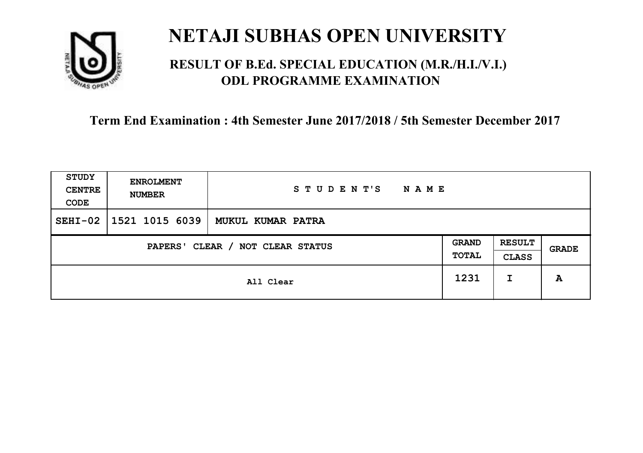

## **RESULT OF B.Ed. SPECIAL EDUCATION (M.R./H.I./V.I.) ODL PROGRAMME EXAMINATION**

| <b>STUDY</b><br><b>CENTRE</b><br>CODE | <b>ENROLMENT</b><br><b>NUMBER</b> | STUDENT'S<br><b>NAME</b> |                       |                               |       |
|---------------------------------------|-----------------------------------|--------------------------|-----------------------|-------------------------------|-------|
| $SEHI-02$                             | 1521 1015 6039                    | MUKUL KUMAR PATRA        |                       |                               |       |
| CLEAR / NOT CLEAR STATUS<br>PAPERS'   |                                   |                          | <b>GRAND</b><br>TOTAL | <b>RESULT</b><br><b>CLASS</b> | GRADE |
|                                       |                                   | All Clear                | 1231                  | I                             | A     |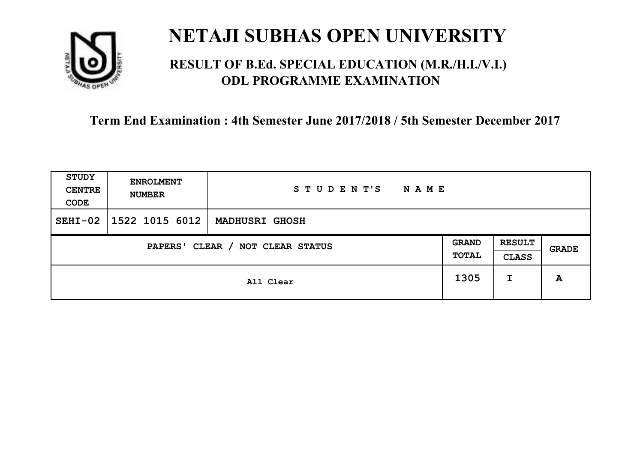

## **RESULT OF B.Ed. SPECIAL EDUCATION (M.R./H.I./V.I.) ODL PROGRAMME EXAMINATION**

| <b>STUDY</b><br><b>CENTRE</b><br>CODE | <b>ENROLMENT</b><br><b>NUMBER</b> | STUDENT'S<br><b>NAME</b> |                       |                               |       |
|---------------------------------------|-----------------------------------|--------------------------|-----------------------|-------------------------------|-------|
| $SEHI-02$                             | $1522$ 1015 6012                  | <b>MADHUSRI GHOSH</b>    |                       |                               |       |
| CLEAR / NOT CLEAR STATUS<br>PAPERS'   |                                   |                          | <b>GRAND</b><br>TOTAL | <b>RESULT</b><br><b>CLASS</b> | GRADE |
|                                       |                                   | All Clear                | 1305                  | I                             | A     |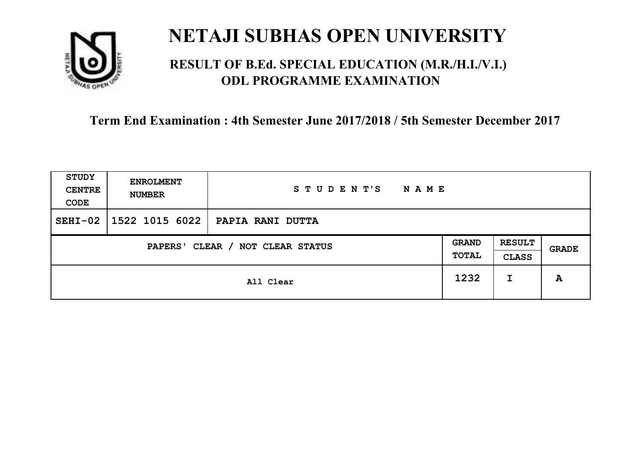

## **RESULT OF B.Ed. SPECIAL EDUCATION (M.R./H.I./V.I.) ODL PROGRAMME EXAMINATION**

| <b>STUDY</b><br><b>CENTRE</b><br>CODE | <b>ENROLMENT</b><br><b>NUMBER</b>   | STUDENT'S<br><b>NAME</b> |      |                               |       |
|---------------------------------------|-------------------------------------|--------------------------|------|-------------------------------|-------|
| $SEHI-02$                             | 1522 1015 6022                      | PAPIA RANI DUTTA         |      |                               |       |
|                                       | CLEAR / NOT CLEAR STATUS<br>PAPERS' |                          |      | <b>RESULT</b><br><b>CLASS</b> | GRADE |
|                                       |                                     | All Clear                | 1232 | I                             | A     |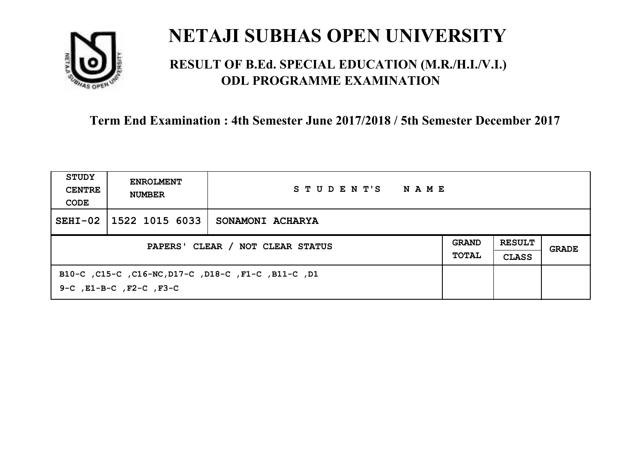

## **RESULT OF B.Ed. SPECIAL EDUCATION (M.R./H.I./V.I.) ODL PROGRAMME EXAMINATION**

| STUDY<br><b>CENTRE</b><br>CODE   | <b>ENROLMENT</b><br><b>NUMBER</b>  | STUDENT'S<br>NAME                                   |                              |                               |       |
|----------------------------------|------------------------------------|-----------------------------------------------------|------------------------------|-------------------------------|-------|
| $SEHI-02$                        | 1522 1015 6033                     | SONAMONI ACHARYA                                    |                              |                               |       |
| PAPERS' CLEAR / NOT CLEAR STATUS |                                    |                                                     | <b>GRAND</b><br><b>TOTAL</b> | <b>RESULT</b><br><b>CLASS</b> | GRADE |
|                                  | $9-C$ , $E1-B-C$ , $F2-C$ , $F3-C$ | B10-C, C15-C, C16-NC, D17-C, D18-C, F1-C, B11-C, D1 |                              |                               |       |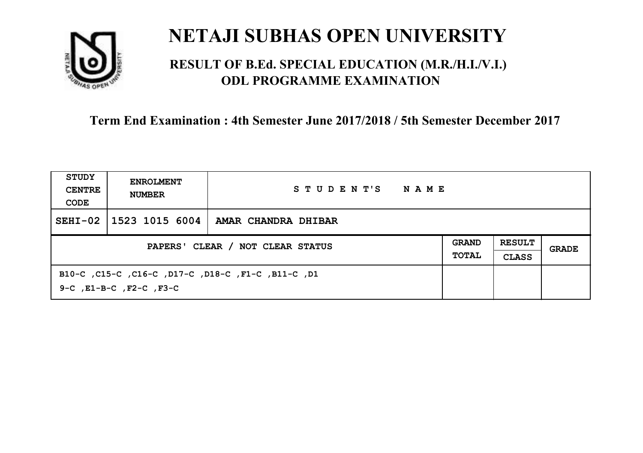

## **RESULT OF B.Ed. SPECIAL EDUCATION (M.R./H.I./V.I.) ODL PROGRAMME EXAMINATION**

| <b>STUDY</b><br><b>CENTRE</b><br>CODE | <b>ENROLMENT</b><br><b>NUMBER</b> | STUDENT'S<br>NAME                                  |                              |                               |       |
|---------------------------------------|-----------------------------------|----------------------------------------------------|------------------------------|-------------------------------|-------|
| $SEHI-02$                             | $\mid$ 1523 1015 6004             | AMAR CHANDRA DHIBAR                                |                              |                               |       |
| PAPERS' CLEAR / NOT CLEAR STATUS      |                                   |                                                    | <b>GRAND</b><br><b>TOTAL</b> | <b>RESULT</b><br><b>CLASS</b> | GRADE |
|                                       | 9-C, E1-B-C, F2-C, F3-C           | B10-C, C15-C, C16-C, D17-C, D18-C, F1-C, B11-C, D1 |                              |                               |       |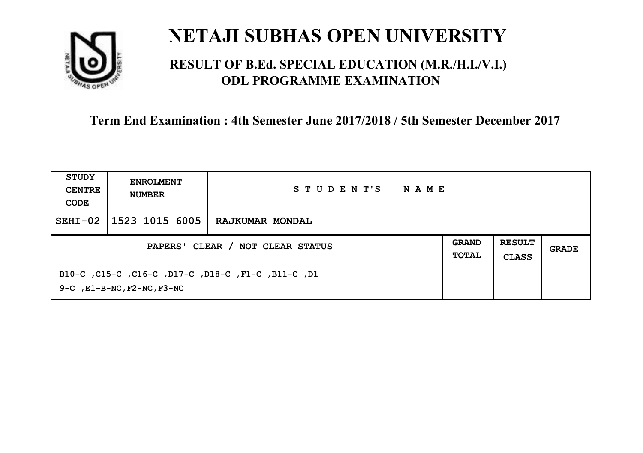

## **RESULT OF B.Ed. SPECIAL EDUCATION (M.R./H.I./V.I.) ODL PROGRAMME EXAMINATION**

| STUDY<br><b>CENTRE</b><br>CODE   | <b>ENROLMENT</b><br><b>NUMBER</b>     | STUDENT'S<br><b>NAME</b>                           |                              |                               |       |
|----------------------------------|---------------------------------------|----------------------------------------------------|------------------------------|-------------------------------|-------|
| $SEHI-02$                        | 1523 1015 6005                        | RAJKUMAR MONDAL                                    |                              |                               |       |
| PAPERS' CLEAR / NOT CLEAR STATUS |                                       |                                                    | <b>GRAND</b><br><b>TOTAL</b> | <b>RESULT</b><br><b>CLASS</b> | GRADE |
|                                  | $9-C$ , $E1-B-NC$ , $F2-NC$ , $F3-NC$ | B10-C ,C15-C ,C16-C ,D17-C ,D18-C ,F1-C ,B11-C ,D1 |                              |                               |       |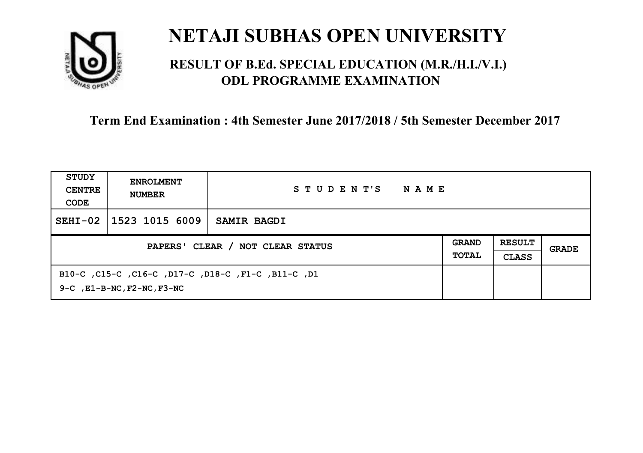

## **RESULT OF B.Ed. SPECIAL EDUCATION (M.R./H.I./V.I.) ODL PROGRAMME EXAMINATION**

| STUDY<br><b>CENTRE</b><br>CODE   | <b>ENROLMENT</b><br><b>NUMBER</b>     | STUDENT'S<br><b>NAME</b>                           |  |                               |       |
|----------------------------------|---------------------------------------|----------------------------------------------------|--|-------------------------------|-------|
| $SEHI-02$                        | $1523$ 1015 6009                      | <b>SAMIR BAGDI</b>                                 |  |                               |       |
| PAPERS' CLEAR / NOT CLEAR STATUS |                                       |                                                    |  | <b>RESULT</b><br><b>CLASS</b> | GRADE |
|                                  | $9-C$ , $E1-B-NC$ , $F2-NC$ , $F3-NC$ | B10-C ,C15-C ,C16-C ,D17-C ,D18-C ,F1-C ,B11-C ,D1 |  |                               |       |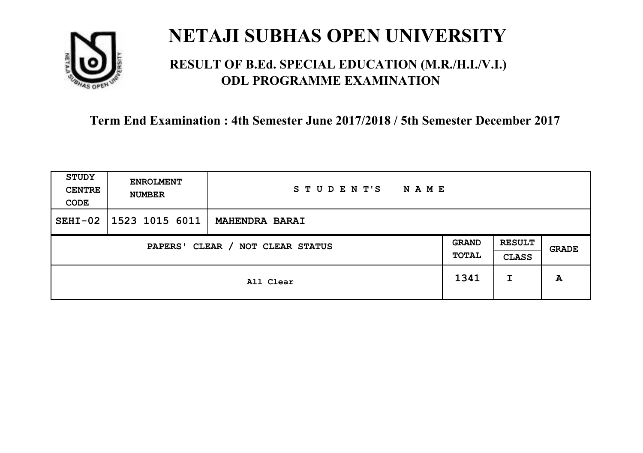

## **RESULT OF B.Ed. SPECIAL EDUCATION (M.R./H.I./V.I.) ODL PROGRAMME EXAMINATION**

| <b>STUDY</b><br><b>CENTRE</b><br>CODE | <b>ENROLMENT</b><br><b>NUMBER</b>   | STUDENT'S<br><b>NAME</b> |      |   |       |
|---------------------------------------|-------------------------------------|--------------------------|------|---|-------|
| $SEHI-02$                             | 1523 1015 6011                      | <b>MAHENDRA BARAI</b>    |      |   |       |
|                                       | CLEAR / NOT CLEAR STATUS<br>PAPERS' |                          |      |   | GRADE |
|                                       |                                     | All Clear                | 1341 | I | A     |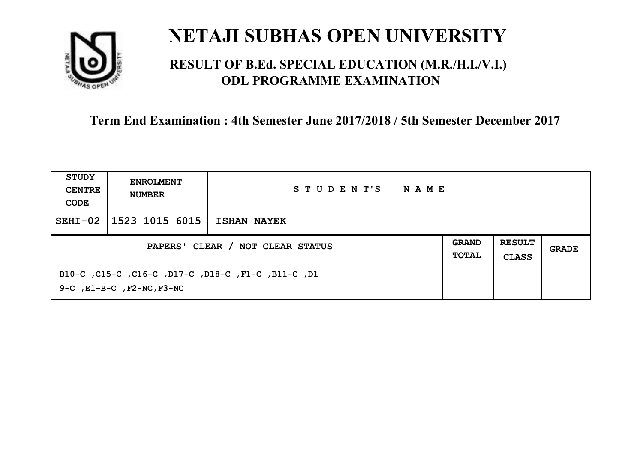

## **RESULT OF B.Ed. SPECIAL EDUCATION (M.R./H.I./V.I.) ODL PROGRAMME EXAMINATION**

| STUDY<br><b>CENTRE</b><br>CODE   | <b>ENROLMENT</b><br><b>NUMBER</b>    | STUDENT'S<br>NAME                                  |  |                               |       |
|----------------------------------|--------------------------------------|----------------------------------------------------|--|-------------------------------|-------|
| $SEHI-02$                        | 1523 1015 6015                       | <b>ISHAN NAYEK</b>                                 |  |                               |       |
| PAPERS' CLEAR / NOT CLEAR STATUS |                                      |                                                    |  | <b>RESULT</b><br><b>CLASS</b> | GRADE |
|                                  | $9-C$ , $E1-B-C$ , $F2-NC$ , $F3-NC$ | B10-C, C15-C, C16-C, D17-C, D18-C, F1-C, B11-C, D1 |  |                               |       |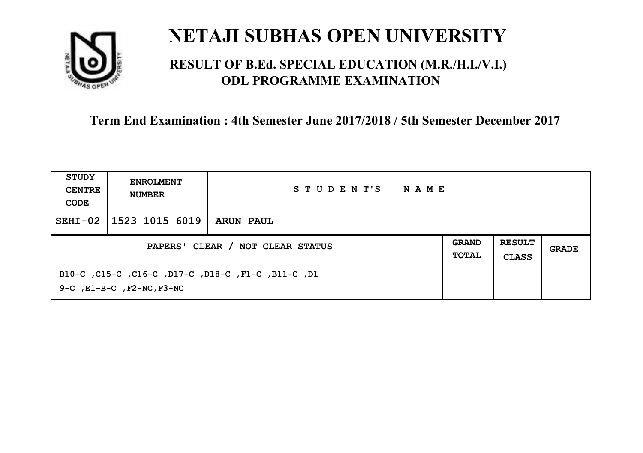

## **RESULT OF B.Ed. SPECIAL EDUCATION (M.R./H.I./V.I.) ODL PROGRAMME EXAMINATION**

| STUDY<br><b>CENTRE</b><br>CODE | <b>ENROLMENT</b><br><b>NUMBER</b>    | STUDENT'S<br>NAME                                  |  |                               |       |
|--------------------------------|--------------------------------------|----------------------------------------------------|--|-------------------------------|-------|
| $SEHI-02$                      | 1523 1015 6019                       | <b>ARUN PAUL</b>                                   |  |                               |       |
|                                | PAPERS' CLEAR / NOT CLEAR STATUS     |                                                    |  | <b>RESULT</b><br><b>CLASS</b> | GRADE |
|                                | $9-C$ , $E1-B-C$ , $F2-NC$ , $F3-NC$ | B10-C ,C15-C ,C16-C ,D17-C ,D18-C ,F1-C ,B11-C ,D1 |  |                               |       |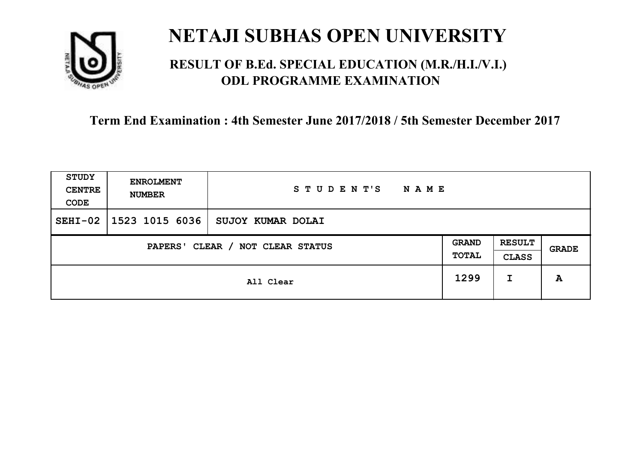

## **RESULT OF B.Ed. SPECIAL EDUCATION (M.R./H.I./V.I.) ODL PROGRAMME EXAMINATION**

| <b>STUDY</b><br><b>CENTRE</b><br>CODE | <b>ENROLMENT</b><br><b>NUMBER</b>   | STUDENT'S<br><b>NAME</b> |      |                               |       |
|---------------------------------------|-------------------------------------|--------------------------|------|-------------------------------|-------|
| $SEHI-02$                             | 1523 1015 6036                      | SUJOY KUMAR DOLAI        |      |                               |       |
|                                       | CLEAR / NOT CLEAR STATUS<br>PAPERS' |                          |      | <b>RESULT</b><br><b>CLASS</b> | GRADE |
|                                       |                                     | All Clear                | 1299 | I                             | A     |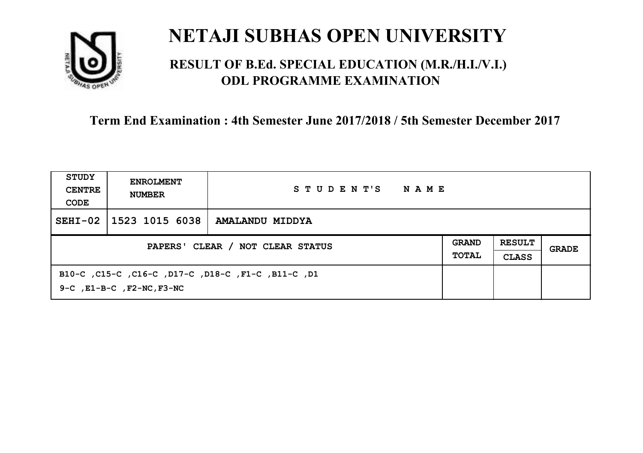

## **RESULT OF B.Ed. SPECIAL EDUCATION (M.R./H.I./V.I.) ODL PROGRAMME EXAMINATION**

| STUDY<br><b>CENTRE</b><br>CODE   | <b>ENROLMENT</b><br><b>NUMBER</b>    | STUDENT'S<br>NAME                                  |                              |                               |       |
|----------------------------------|--------------------------------------|----------------------------------------------------|------------------------------|-------------------------------|-------|
| $SEHI-02$                        | 1523 1015 6038                       | AMALANDU MIDDYA                                    |                              |                               |       |
| PAPERS' CLEAR / NOT CLEAR STATUS |                                      |                                                    | <b>GRAND</b><br><b>TOTAL</b> | <b>RESULT</b><br><b>CLASS</b> | GRADE |
|                                  | $9-C$ , $E1-B-C$ , $F2-NC$ , $F3-NC$ | B10-C, C15-C, C16-C, D17-C, D18-C, F1-C, B11-C, D1 |                              |                               |       |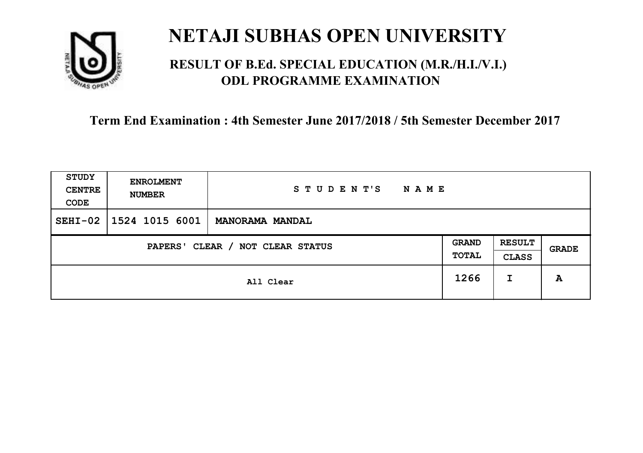

## **RESULT OF B.Ed. SPECIAL EDUCATION (M.R./H.I./V.I.) ODL PROGRAMME EXAMINATION**

| <b>STUDY</b><br><b>CENTRE</b><br>CODE | <b>ENROLMENT</b><br><b>NUMBER</b>   | STUDENT'S<br><b>NAME</b> |      |                               |       |
|---------------------------------------|-------------------------------------|--------------------------|------|-------------------------------|-------|
| $SEHI-02$                             | 1524 1015 6001                      | <b>MANORAMA MANDAL</b>   |      |                               |       |
|                                       | CLEAR / NOT CLEAR STATUS<br>PAPERS' |                          |      | <b>RESULT</b><br><b>CLASS</b> | GRADE |
|                                       |                                     | All Clear                | 1266 | I                             | A     |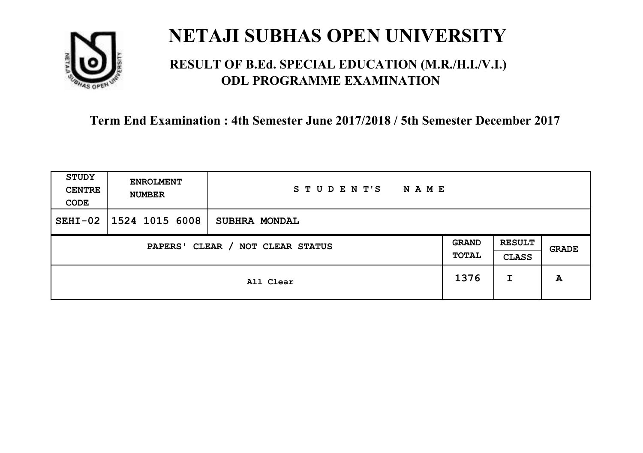

## **RESULT OF B.Ed. SPECIAL EDUCATION (M.R./H.I./V.I.) ODL PROGRAMME EXAMINATION**

| <b>STUDY</b><br><b>CENTRE</b><br>CODE | <b>ENROLMENT</b><br><b>NUMBER</b>          | STUDENT'S<br><b>NAME</b> |      |                               |              |
|---------------------------------------|--------------------------------------------|--------------------------|------|-------------------------------|--------------|
| $SEHI-02$                             | $1524$ 1015 6008                           | <b>SUBHRA MONDAL</b>     |      |                               |              |
|                                       | CLEAR / NOT CLEAR STATUS<br><b>PAPERS'</b> |                          |      | <b>RESULT</b><br><b>CLASS</b> | <b>GRADE</b> |
|                                       |                                            | All Clear                | 1376 | I                             | A            |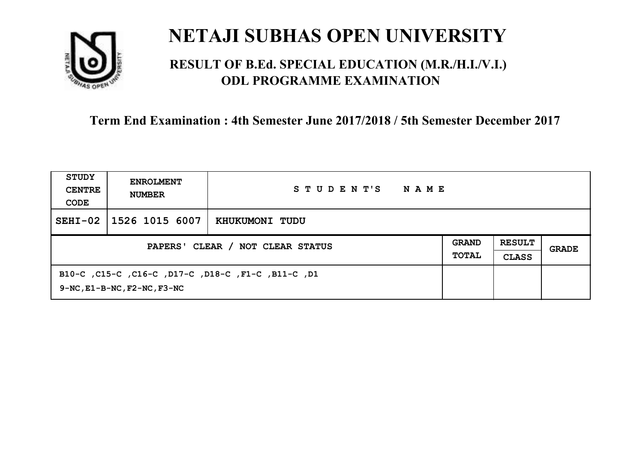

### **RESULT OF B.Ed. SPECIAL EDUCATION (M.R./H.I./V.I.) ODL PROGRAMME EXAMINATION**

| STUDY<br><b>CENTRE</b><br>CODE   | <b>ENROLMENT</b><br><b>NUMBER</b>      | STUDENT'S<br>NAME                                  |  |                               |       |
|----------------------------------|----------------------------------------|----------------------------------------------------|--|-------------------------------|-------|
| $SEHI-02$                        | 1526 1015 6007                         | KHUKUMONI TUDU                                     |  |                               |       |
| PAPERS' CLEAR / NOT CLEAR STATUS |                                        |                                                    |  | <b>RESULT</b><br><b>CLASS</b> | GRADE |
|                                  | $9-NC$ , $E1-B-NC$ , $F2-NC$ , $F3-NC$ | B10-C, C15-C, C16-C, D17-C, D18-C, F1-C, B11-C, D1 |  |                               |       |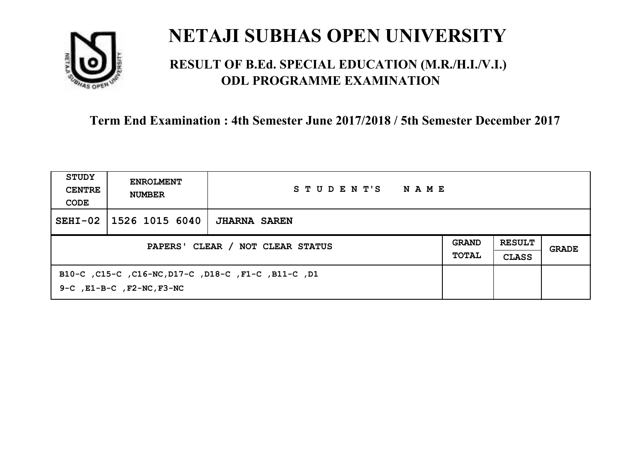

### **RESULT OF B.Ed. SPECIAL EDUCATION (M.R./H.I./V.I.) ODL PROGRAMME EXAMINATION**

| <b>STUDY</b><br><b>CENTRE</b><br>CODE | <b>ENROLMENT</b><br><b>NUMBER</b>    | STUDENT'S<br>NAME                                   |                              |                               |       |
|---------------------------------------|--------------------------------------|-----------------------------------------------------|------------------------------|-------------------------------|-------|
| $SEHI-02$                             | 1526 1015 6040                       | <b>JHARNA SAREN</b>                                 |                              |                               |       |
| PAPERS' CLEAR / NOT CLEAR STATUS      |                                      |                                                     | <b>GRAND</b><br><b>TOTAL</b> | <b>RESULT</b><br><b>CLASS</b> | GRADE |
|                                       | $9-C$ , $E1-B-C$ , $F2-NC$ , $F3-NC$ | B10-C, C15-C, C16-NC, D17-C, D18-C, F1-C, B11-C, D1 |                              |                               |       |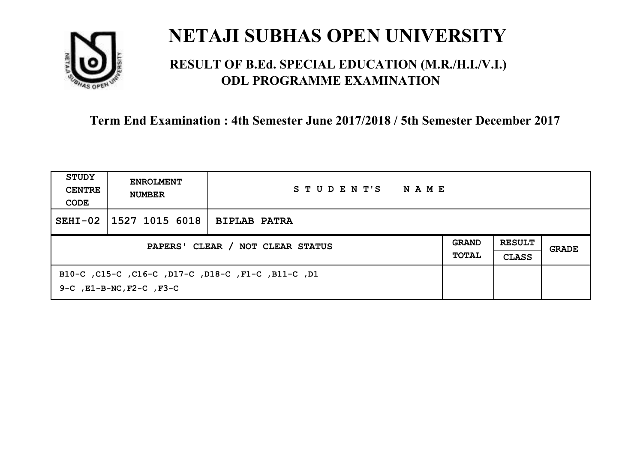

### **RESULT OF B.Ed. SPECIAL EDUCATION (M.R./H.I./V.I.) ODL PROGRAMME EXAMINATION**

| STUDY<br><b>CENTRE</b><br>CODE | <b>ENROLMENT</b><br><b>NUMBER</b>   | STUDENT'S<br>NAME                                  |  |  |       |
|--------------------------------|-------------------------------------|----------------------------------------------------|--|--|-------|
| $SEHI-02$                      | $ 1527 1015 6018 $ BIPLAB PATRA     |                                                    |  |  |       |
|                                | PAPERS' CLEAR / NOT CLEAR STATUS    |                                                    |  |  | GRADE |
|                                | $9-C$ , $E1-B-NC$ , $F2-C$ , $F3-C$ | B10-C, C15-C, C16-C, D17-C, D18-C, F1-C, B11-C, D1 |  |  |       |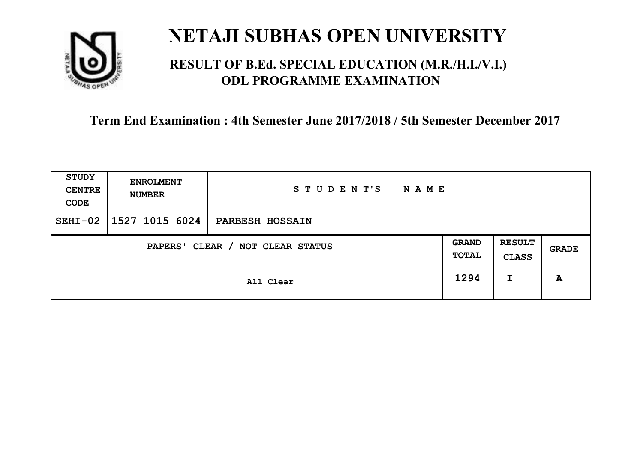

### **RESULT OF B.Ed. SPECIAL EDUCATION (M.R./H.I./V.I.) ODL PROGRAMME EXAMINATION**

| <b>STUDY</b><br><b>CENTRE</b><br>CODE | <b>ENROLMENT</b><br><b>NUMBER</b>   | STUDENT'S<br><b>NAME</b> |      |                               |       |
|---------------------------------------|-------------------------------------|--------------------------|------|-------------------------------|-------|
| $SEHI-02$                             | $1527$ 1015 6024                    | <b>PARBESH HOSSAIN</b>   |      |                               |       |
|                                       | CLEAR / NOT CLEAR STATUS<br>PAPERS' |                          |      | <b>RESULT</b><br><b>CLASS</b> | GRADE |
|                                       |                                     | All Clear                | 1294 | I                             | A     |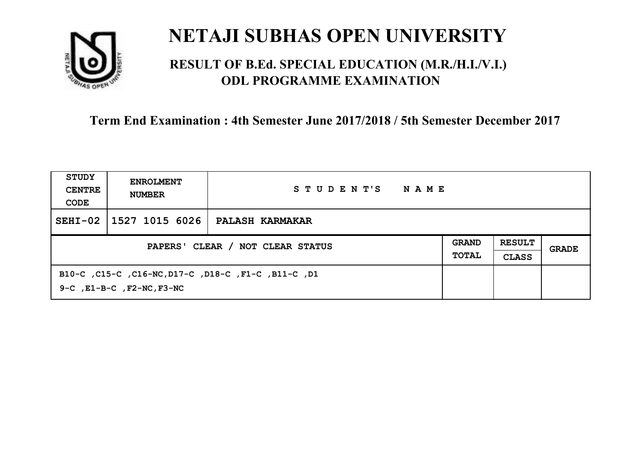

### **RESULT OF B.Ed. SPECIAL EDUCATION (M.R./H.I./V.I.) ODL PROGRAMME EXAMINATION**

| STUDY<br><b>CENTRE</b><br>CODE | <b>ENROLMENT</b><br><b>NUMBER</b>    | STUDENT'S<br>NAME                                   |  |  |       |
|--------------------------------|--------------------------------------|-----------------------------------------------------|--|--|-------|
| $SEHI-02$                      | 1527 1015 6026                       | <b>PALASH KARMAKAR</b>                              |  |  |       |
|                                | PAPERS' CLEAR / NOT CLEAR STATUS     |                                                     |  |  | GRADE |
|                                | $9-C$ , $E1-B-C$ , $F2-NC$ , $F3-NC$ | B10-C, C15-C, C16-NC, D17-C, D18-C, F1-C, B11-C, D1 |  |  |       |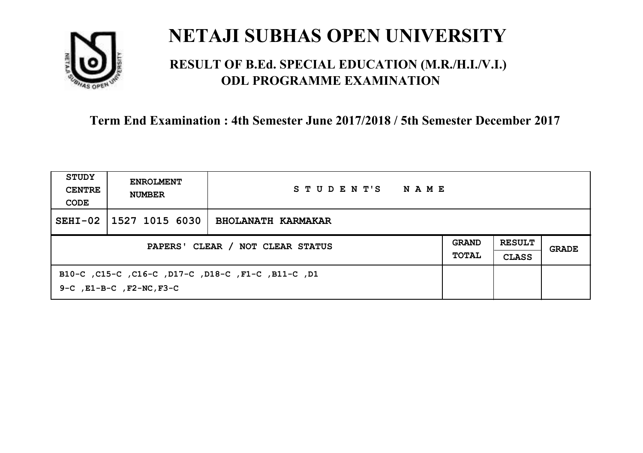

### **RESULT OF B.Ed. SPECIAL EDUCATION (M.R./H.I./V.I.) ODL PROGRAMME EXAMINATION**

| STUDY<br><b>CENTRE</b><br>CODE   | <b>ENROLMENT</b><br><b>NUMBER</b>   | STUDENT'S<br>NAME                                  |  |                               |       |
|----------------------------------|-------------------------------------|----------------------------------------------------|--|-------------------------------|-------|
| $SEHI-02$                        | 1527 1015 6030                      | <b>BHOLANATH KARMAKAR</b>                          |  |                               |       |
| PAPERS' CLEAR / NOT CLEAR STATUS |                                     |                                                    |  | <b>RESULT</b><br><b>CLASS</b> | GRADE |
|                                  | $9-C$ , $E1-B-C$ , $F2-NC$ , $F3-C$ | B10-C, C15-C, C16-C, D17-C, D18-C, F1-C, B11-C, D1 |  |                               |       |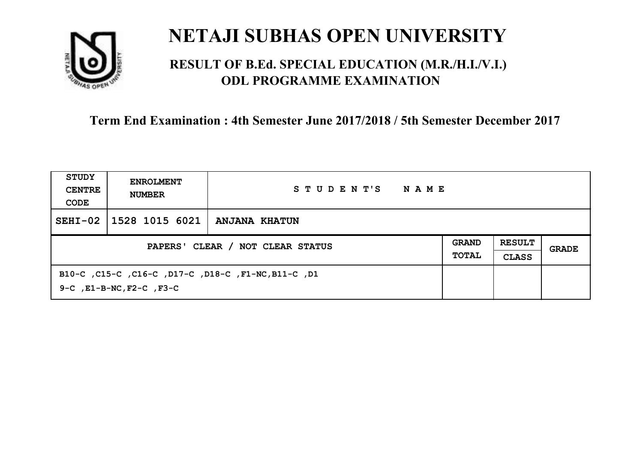

### **RESULT OF B.Ed. SPECIAL EDUCATION (M.R./H.I./V.I.) ODL PROGRAMME EXAMINATION**

| STUDY<br><b>CENTRE</b><br>CODE | <b>ENROLMENT</b><br><b>NUMBER</b>   | STUDENT'S<br>NAME                                   |  |  |       |
|--------------------------------|-------------------------------------|-----------------------------------------------------|--|--|-------|
| $SEHI-02$                      | 1528 1015 6021                      | ANJANA KHATUN                                       |  |  |       |
|                                | PAPERS' CLEAR / NOT CLEAR STATUS    |                                                     |  |  | GRADE |
|                                | $9-C$ , $E1-B-NC$ , $F2-C$ , $F3-C$ | B10-C, C15-C, C16-C, D17-C, D18-C, F1-NC, B11-C, D1 |  |  |       |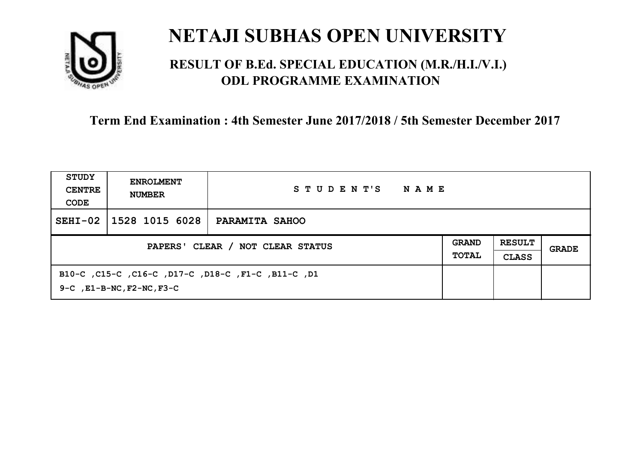

### **RESULT OF B.Ed. SPECIAL EDUCATION (M.R./H.I./V.I.) ODL PROGRAMME EXAMINATION**

| STUDY<br><b>CENTRE</b><br>CODE   | <b>ENROLMENT</b><br><b>NUMBER</b>    | STUDENT'S<br>NAME                                  |  |                               |       |
|----------------------------------|--------------------------------------|----------------------------------------------------|--|-------------------------------|-------|
| $SEHI-02$                        | 1528 1015 6028                       | PARAMITA SAHOO                                     |  |                               |       |
| PAPERS' CLEAR / NOT CLEAR STATUS |                                      |                                                    |  | <b>RESULT</b><br><b>CLASS</b> | GRADE |
|                                  | $9-C$ , $E1-B-NC$ , $F2-NC$ , $F3-C$ | B10-C, C15-C, C16-C, D17-C, D18-C, F1-C, B11-C, D1 |  |                               |       |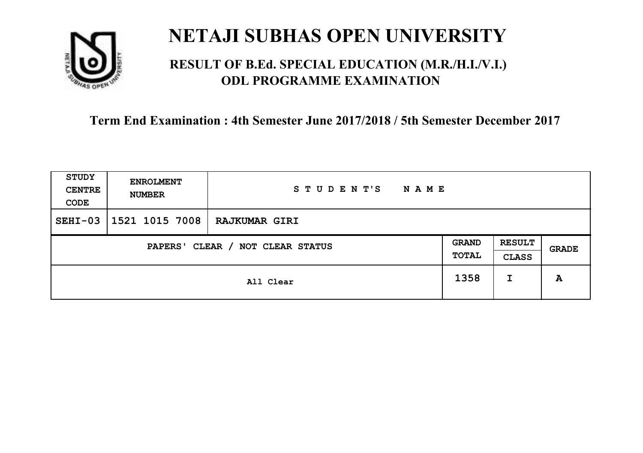

### **RESULT OF B.Ed. SPECIAL EDUCATION (M.R./H.I./V.I.) ODL PROGRAMME EXAMINATION**

| STUDY<br><b>CENTRE</b><br>CODE | <b>ENROLMENT</b><br><b>NUMBER</b>   | STUDENT'S<br>N A M E |      |                               |       |
|--------------------------------|-------------------------------------|----------------------|------|-------------------------------|-------|
| $SEHI-03$                      | 1521 1015 7008                      | <b>RAJKUMAR GIRI</b> |      |                               |       |
|                                | CLEAR / NOT CLEAR STATUS<br>PAPERS' |                      |      | <b>RESULT</b><br><b>CLASS</b> | GRADE |
|                                |                                     | All Clear            | 1358 | I                             | A     |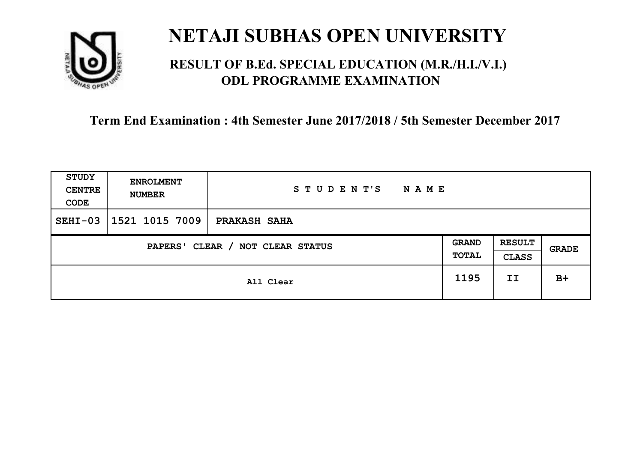

### **RESULT OF B.Ed. SPECIAL EDUCATION (M.R./H.I./V.I.) ODL PROGRAMME EXAMINATION**

| <b>STUDY</b><br><b>CENTRE</b><br>CODE | <b>ENROLMENT</b><br><b>NUMBER</b>   | STUDENT'S<br><b>NAME</b> |      |                               |              |
|---------------------------------------|-------------------------------------|--------------------------|------|-------------------------------|--------------|
| $SEHI-03$                             | 1521 1015 7009                      | <b>PRAKASH SAHA</b>      |      |                               |              |
|                                       | CLEAR / NOT CLEAR STATUS<br>PAPERS' |                          |      | <b>RESULT</b><br><b>CLASS</b> | <b>GRADE</b> |
|                                       |                                     | All Clear                | 1195 | II                            | $B+$         |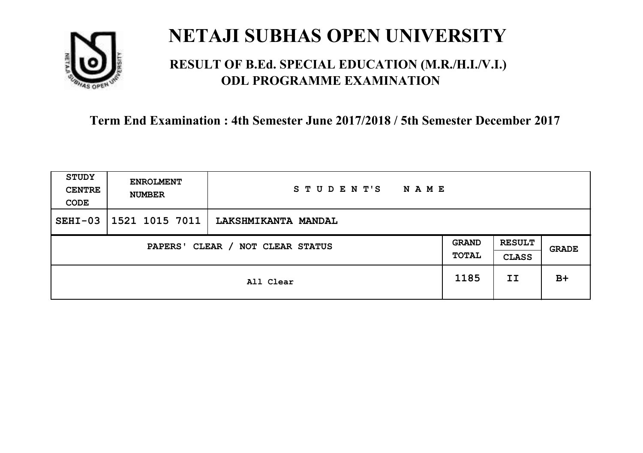

### **RESULT OF B.Ed. SPECIAL EDUCATION (M.R./H.I./V.I.) ODL PROGRAMME EXAMINATION**

| STUDY<br><b>CENTRE</b><br>CODE | <b>ENROLMENT</b><br><b>NUMBER</b>   | STUDENT'S<br><b>NAME</b> |      |                               |       |
|--------------------------------|-------------------------------------|--------------------------|------|-------------------------------|-------|
| $SEHI-03$                      | 1521 1015 7011                      | LAKSHMIKANTA MANDAL      |      |                               |       |
|                                | CLEAR / NOT CLEAR STATUS<br>PAPERS' |                          |      | <b>RESULT</b><br><b>CLASS</b> | GRADE |
|                                |                                     | All Clear                | 1185 | II                            | $B+$  |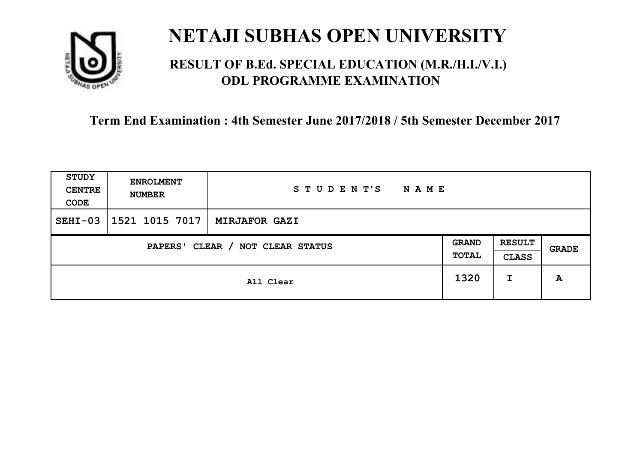

### **RESULT OF B.Ed. SPECIAL EDUCATION (M.R./H.I./V.I.) ODL PROGRAMME EXAMINATION**

| STUDY<br><b>CENTRE</b><br>CODE | <b>ENROLMENT</b><br><b>NUMBER</b>   | STUDENT'S<br>N A M E |      |                               |       |
|--------------------------------|-------------------------------------|----------------------|------|-------------------------------|-------|
| $SEHI-03$                      | 1521 1015 7017                      | <b>MIRJAFOR GAZI</b> |      |                               |       |
|                                | CLEAR / NOT CLEAR STATUS<br>PAPERS' |                      |      | <b>RESULT</b><br><b>CLASS</b> | GRADE |
|                                |                                     | All Clear            | 1320 | I                             | A     |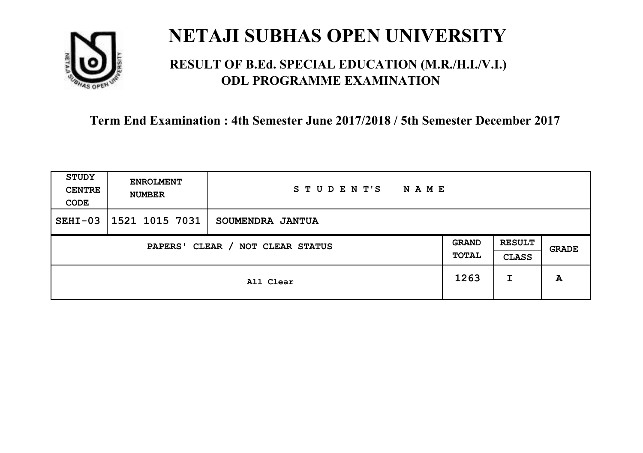

### **RESULT OF B.Ed. SPECIAL EDUCATION (M.R./H.I./V.I.) ODL PROGRAMME EXAMINATION**

| <b>STUDY</b><br><b>CENTRE</b><br>CODE | <b>ENROLMENT</b><br><b>NUMBER</b> | STUDENT'S<br><b>NAME</b> |                              |                               |              |
|---------------------------------------|-----------------------------------|--------------------------|------------------------------|-------------------------------|--------------|
| $SEHI-03$                             | 1521 1015 7031                    | SOUMENDRA JANTUA         |                              |                               |              |
| CLEAR / NOT CLEAR STATUS<br>PAPERS'   |                                   |                          | <b>GRAND</b><br><b>TOTAL</b> | <b>RESULT</b><br><b>CLASS</b> | <b>GRADE</b> |
|                                       | All Clear                         |                          | 1263                         | I                             | A            |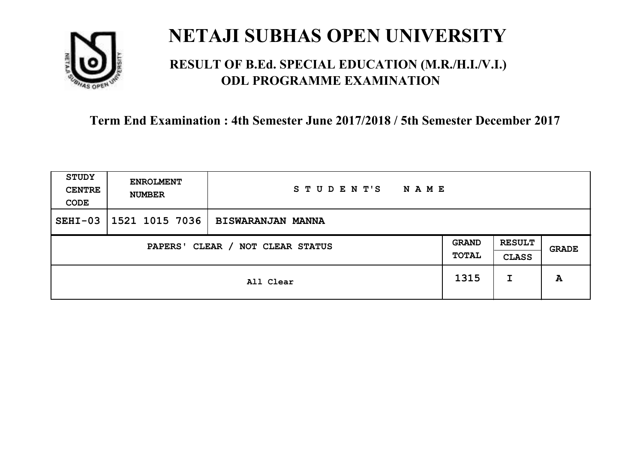

### **RESULT OF B.Ed. SPECIAL EDUCATION (M.R./H.I./V.I.) ODL PROGRAMME EXAMINATION**

| <b>STUDY</b><br><b>CENTRE</b><br>CODE | <b>ENROLMENT</b><br><b>NUMBER</b> | STUDENT'S<br><b>NAME</b> |                       |                               |       |
|---------------------------------------|-----------------------------------|--------------------------|-----------------------|-------------------------------|-------|
| $SEHI-03$                             | 1521 1015 7036                    | <b>BISWARANJAN MANNA</b> |                       |                               |       |
| CLEAR / NOT CLEAR STATUS<br>PAPERS'   |                                   |                          | <b>GRAND</b><br>TOTAL | <b>RESULT</b><br><b>CLASS</b> | GRADE |
|                                       | All Clear                         |                          | 1315                  | I                             | A     |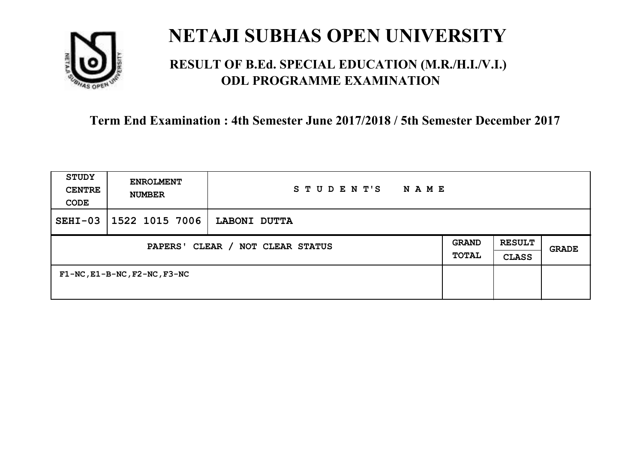

### **RESULT OF B.Ed. SPECIAL EDUCATION (M.R./H.I./V.I.) ODL PROGRAMME EXAMINATION**

| <b>STUDY</b><br><b>CENTRE</b><br>CODE      | <b>ENROLMENT</b><br><b>NUMBER</b>       | STUDENT'S<br>N A M E |                              |                               |              |
|--------------------------------------------|-----------------------------------------|----------------------|------------------------------|-------------------------------|--------------|
| $SEHI-03$                                  | 1522 1015 7006                          | LABONI DUTTA         |                              |                               |              |
| CLEAR / NOT CLEAR STATUS<br><b>PAPERS'</b> |                                         |                      | <b>GRAND</b><br><b>TOTAL</b> | <b>RESULT</b><br><b>CLASS</b> | <b>GRADE</b> |
|                                            | $F1-NC$ , $E1-B-NC$ , $F2-NC$ , $F3-NC$ |                      |                              |                               |              |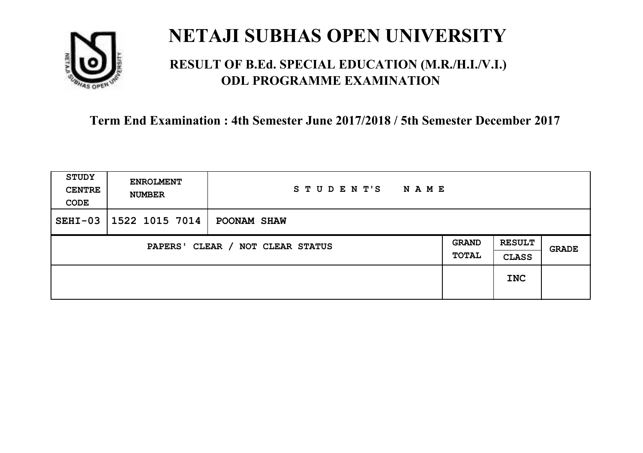

### **RESULT OF B.Ed. SPECIAL EDUCATION (M.R./H.I./V.I.) ODL PROGRAMME EXAMINATION**

| <b>STUDY</b><br><b>CENTRE</b><br>CODE | <b>ENROLMENT</b><br><b>NUMBER</b>          | S T U D E N T'S<br><b>NAME</b> |  |                               |              |
|---------------------------------------|--------------------------------------------|--------------------------------|--|-------------------------------|--------------|
| $SEHI-03$                             | 1522 1015 7014                             | POONAM SHAW                    |  |                               |              |
|                                       | CLEAR / NOT CLEAR STATUS<br><b>PAPERS'</b> |                                |  | <b>RESULT</b><br><b>CLASS</b> | <b>GRADE</b> |
|                                       |                                            |                                |  | <b>INC</b>                    |              |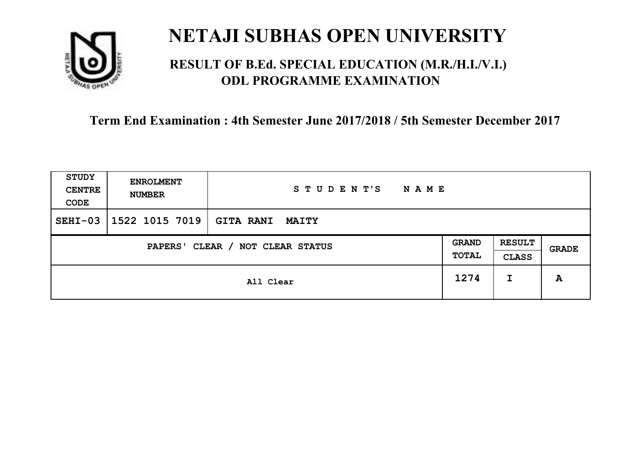

### **RESULT OF B.Ed. SPECIAL EDUCATION (M.R./H.I./V.I.) ODL PROGRAMME EXAMINATION**

| STUDY<br><b>CENTRE</b><br>CODE | <b>ENROLMENT</b><br><b>NUMBER</b>   | STUDENT'S<br>N A M E             |  |   |       |
|--------------------------------|-------------------------------------|----------------------------------|--|---|-------|
| $SEHI-03$                      | 1522 1015 7019                      | <b>GITA RANI</b><br><b>MAITY</b> |  |   |       |
|                                | CLEAR / NOT CLEAR STATUS<br>PAPERS' |                                  |  |   | GRADE |
|                                | All Clear                           |                                  |  | I | A     |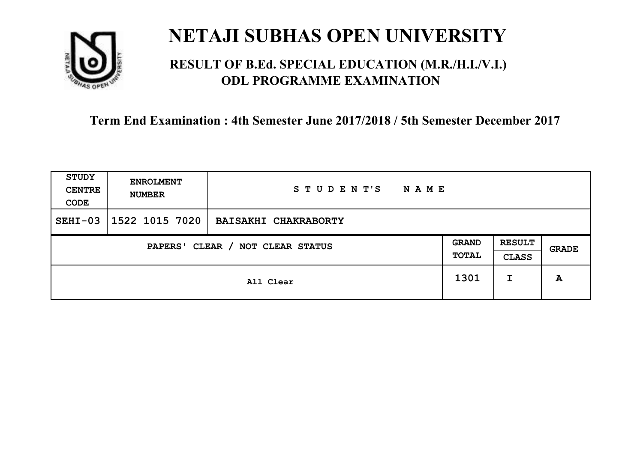

### **RESULT OF B.Ed. SPECIAL EDUCATION (M.R./H.I./V.I.) ODL PROGRAMME EXAMINATION**

| <b>STUDY</b><br><b>CENTRE</b><br>CODE | <b>ENROLMENT</b><br><b>NUMBER</b>   | STUDENT'S<br><b>NAME</b>    |      |                               |              |
|---------------------------------------|-------------------------------------|-----------------------------|------|-------------------------------|--------------|
| $SEHI-03$                             | 1522 1015 7020                      | <b>BAISAKHI CHAKRABORTY</b> |      |                               |              |
|                                       | CLEAR / NOT CLEAR STATUS<br>PAPERS' |                             |      | <b>RESULT</b><br><b>CLASS</b> | <b>GRADE</b> |
|                                       | All Clear                           |                             | 1301 | I                             | A            |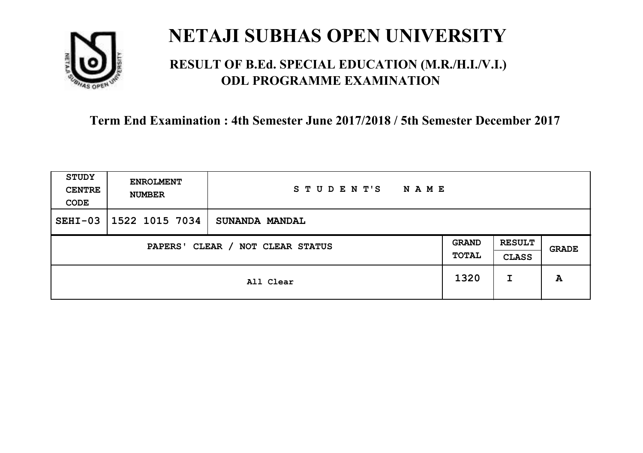

### **RESULT OF B.Ed. SPECIAL EDUCATION (M.R./H.I./V.I.) ODL PROGRAMME EXAMINATION**

| <b>STUDY</b><br><b>CENTRE</b><br>CODE | <b>ENROLMENT</b><br><b>NUMBER</b>   | STUDENT'S<br><b>NAME</b> |      |                               |              |
|---------------------------------------|-------------------------------------|--------------------------|------|-------------------------------|--------------|
| $SEHI-03$                             | 1522 1015 7034                      | <b>SUNANDA MANDAL</b>    |      |                               |              |
|                                       | CLEAR / NOT CLEAR STATUS<br>PAPERS' |                          |      | <b>RESULT</b><br><b>CLASS</b> | <b>GRADE</b> |
|                                       |                                     | All Clear                | 1320 | I                             | A            |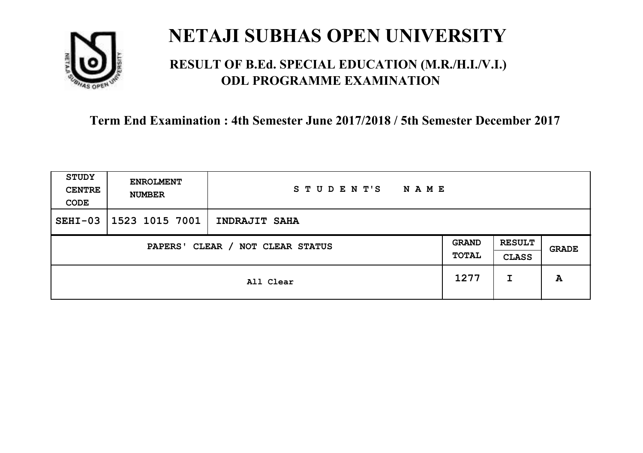

### **RESULT OF B.Ed. SPECIAL EDUCATION (M.R./H.I./V.I.) ODL PROGRAMME EXAMINATION**

| <b>STUDY</b><br><b>CENTRE</b><br>CODE | <b>ENROLMENT</b><br><b>NUMBER</b> | STUDENT'S<br><b>NAME</b> |                       |                               |       |
|---------------------------------------|-----------------------------------|--------------------------|-----------------------|-------------------------------|-------|
| $SEHI-03$                             | 1523 1015 7001                    | INDRAJIT SAHA            |                       |                               |       |
| CLEAR / NOT CLEAR STATUS<br>PAPERS'   |                                   |                          | <b>GRAND</b><br>TOTAL | <b>RESULT</b><br><b>CLASS</b> | GRADE |
|                                       | All Clear                         |                          | 1277                  | I                             | A     |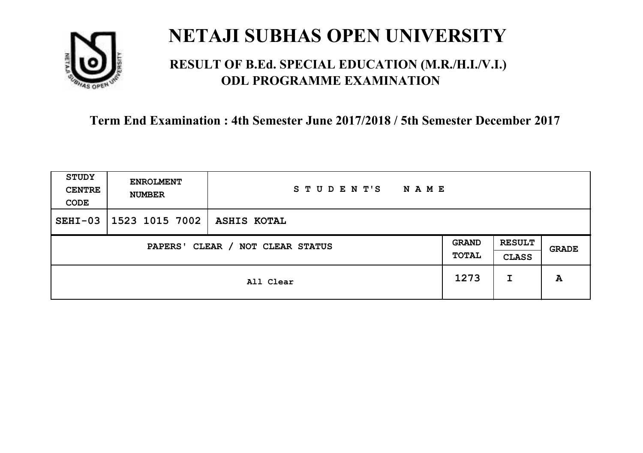

### **RESULT OF B.Ed. SPECIAL EDUCATION (M.R./H.I./V.I.) ODL PROGRAMME EXAMINATION**

| <b>STUDY</b><br><b>CENTRE</b><br>CODE | <b>ENROLMENT</b><br><b>NUMBER</b>   | STUDENT'S<br><b>NAME</b> |  |                               |              |
|---------------------------------------|-------------------------------------|--------------------------|--|-------------------------------|--------------|
| $SEHI-03$                             | 1523 1015 7002                      | <b>ASHIS KOTAL</b>       |  |                               |              |
|                                       | CLEAR / NOT CLEAR STATUS<br>PAPERS' |                          |  | <b>RESULT</b><br><b>CLASS</b> | <b>GRADE</b> |
|                                       | All Clear                           |                          |  | I                             | A            |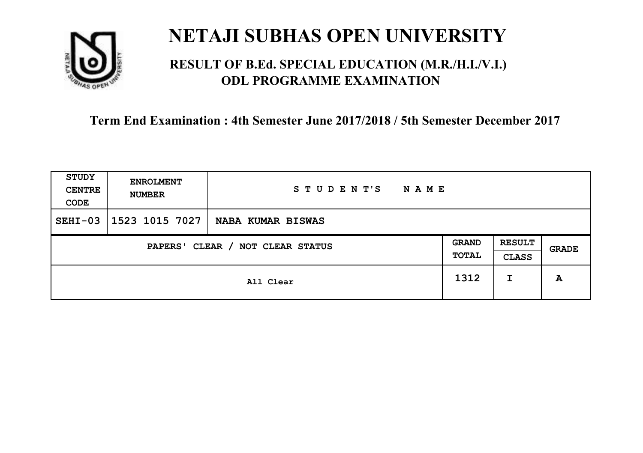

### **RESULT OF B.Ed. SPECIAL EDUCATION (M.R./H.I./V.I.) ODL PROGRAMME EXAMINATION**

| <b>STUDY</b><br><b>CENTRE</b><br>CODE | <b>ENROLMENT</b><br><b>NUMBER</b> | STUDENT'S<br><b>NAME</b> |                       |                               |       |
|---------------------------------------|-----------------------------------|--------------------------|-----------------------|-------------------------------|-------|
| $SEHI-03$                             | 1523 1015 7027                    | NABA KUMAR BISWAS        |                       |                               |       |
| CLEAR / NOT CLEAR STATUS<br>PAPERS'   |                                   |                          | <b>GRAND</b><br>TOTAL | <b>RESULT</b><br><b>CLASS</b> | GRADE |
|                                       | All Clear                         |                          | 1312                  | I                             | A     |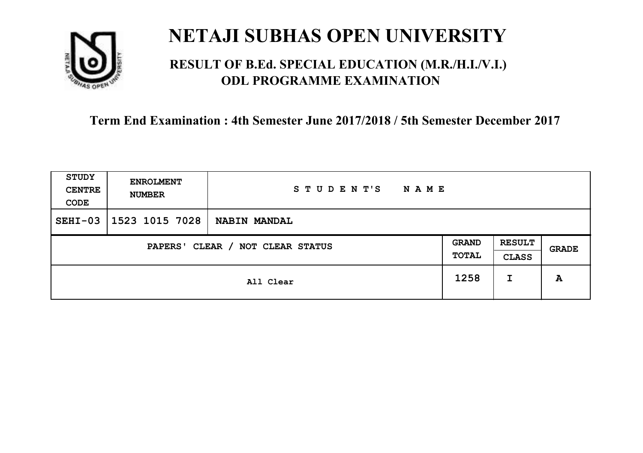

### **RESULT OF B.Ed. SPECIAL EDUCATION (M.R./H.I./V.I.) ODL PROGRAMME EXAMINATION**

| STUDY<br><b>CENTRE</b><br>CODE | <b>ENROLMENT</b><br><b>NUMBER</b>   | STUDENT'S<br><b>NAME</b> |      |                               |       |
|--------------------------------|-------------------------------------|--------------------------|------|-------------------------------|-------|
| $SEHI-03$                      | 1523 1015 7028                      | NABIN MANDAL             |      |                               |       |
|                                | CLEAR / NOT CLEAR STATUS<br>PAPERS' |                          |      | <b>RESULT</b><br><b>CLASS</b> | GRADE |
|                                | All Clear                           |                          | 1258 | I                             | A     |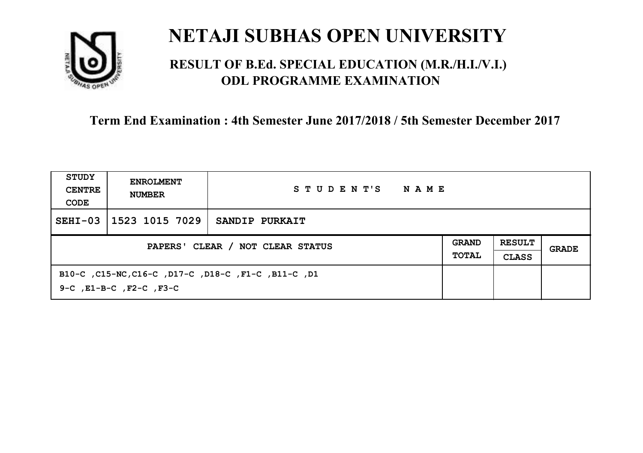

### **RESULT OF B.Ed. SPECIAL EDUCATION (M.R./H.I./V.I.) ODL PROGRAMME EXAMINATION**

| STUDY<br><b>CENTRE</b><br>CODE   | <b>ENROLMENT</b><br><b>NUMBER</b>                                                         | STUDENT'S<br>NAME |                              |                               |       |
|----------------------------------|-------------------------------------------------------------------------------------------|-------------------|------------------------------|-------------------------------|-------|
| $SEHI-03$                        | 1523 1015 7029                                                                            | SANDIP PURKAIT    |                              |                               |       |
| PAPERS' CLEAR / NOT CLEAR STATUS |                                                                                           |                   | <b>GRAND</b><br><b>TOTAL</b> | <b>RESULT</b><br><b>CLASS</b> | GRADE |
|                                  | B10-C, C15-NC, C16-C, D17-C, D18-C, F1-C, B11-C, D1<br>$9-C$ , $E1-B-C$ , $F2-C$ , $F3-C$ |                   |                              |                               |       |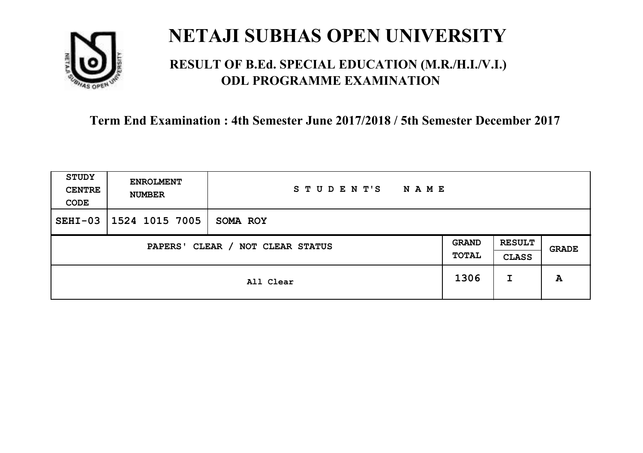

### **RESULT OF B.Ed. SPECIAL EDUCATION (M.R./H.I./V.I.) ODL PROGRAMME EXAMINATION**

| STUDY<br><b>CENTRE</b><br>CODE             | <b>ENROLMENT</b><br><b>NUMBER</b> | STUDENT'S<br>NAME |                       |                               |              |
|--------------------------------------------|-----------------------------------|-------------------|-----------------------|-------------------------------|--------------|
| $SEHI-03$                                  | 1524 1015 7005                    | SOMA ROY          |                       |                               |              |
| CLEAR / NOT CLEAR STATUS<br><b>PAPERS'</b> |                                   |                   | <b>GRAND</b><br>TOTAL | <b>RESULT</b><br><b>CLASS</b> | <b>GRADE</b> |
|                                            |                                   | All Clear         | 1306                  | I                             | A            |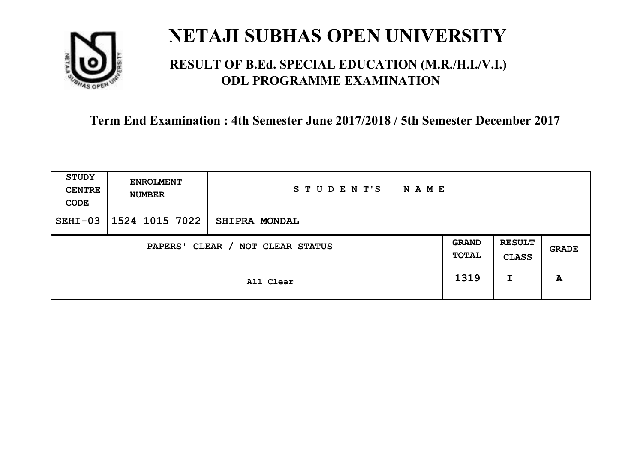

### **RESULT OF B.Ed. SPECIAL EDUCATION (M.R./H.I./V.I.) ODL PROGRAMME EXAMINATION**

| STUDY<br><b>CENTRE</b><br>CODE | <b>ENROLMENT</b><br><b>NUMBER</b>   | STUDENT'S<br>N A M E |      |                               |       |
|--------------------------------|-------------------------------------|----------------------|------|-------------------------------|-------|
| $SEHI-03$                      | 1524 1015 7022                      | <b>SHIPRA MONDAL</b> |      |                               |       |
|                                | CLEAR / NOT CLEAR STATUS<br>PAPERS' |                      |      | <b>RESULT</b><br><b>CLASS</b> | GRADE |
|                                |                                     | All Clear            | 1319 | I                             | A     |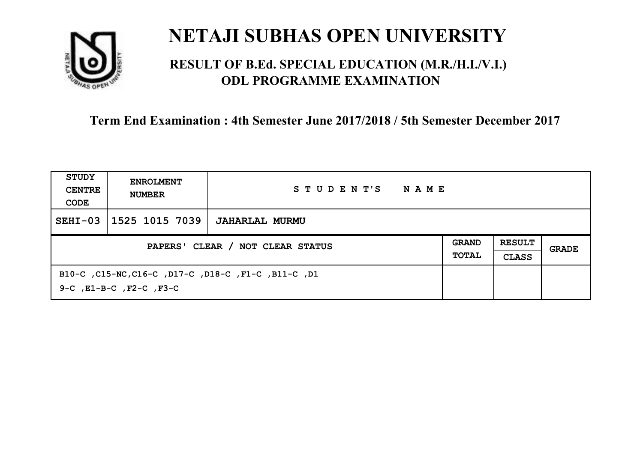

### **RESULT OF B.Ed. SPECIAL EDUCATION (M.R./H.I./V.I.) ODL PROGRAMME EXAMINATION**

| STUDY<br><b>CENTRE</b><br>CODE   | <b>ENROLMENT</b><br><b>NUMBER</b>  | STUDENT'S<br>NAME                                   |                              |                               |       |
|----------------------------------|------------------------------------|-----------------------------------------------------|------------------------------|-------------------------------|-------|
| $SEHI-03$                        | 1525 1015 7039                     | JAHARLAL MURMU                                      |                              |                               |       |
| PAPERS' CLEAR / NOT CLEAR STATUS |                                    |                                                     | <b>GRAND</b><br><b>TOTAL</b> | <b>RESULT</b><br><b>CLASS</b> | GRADE |
|                                  | $9-C$ , $E1-B-C$ , $F2-C$ , $F3-C$ | B10-C, C15-NC, C16-C, D17-C, D18-C, F1-C, B11-C, D1 |                              |                               |       |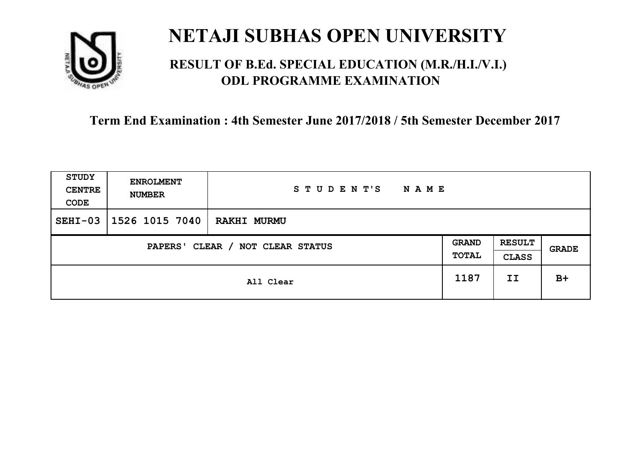

### **RESULT OF B.Ed. SPECIAL EDUCATION (M.R./H.I./V.I.) ODL PROGRAMME EXAMINATION**

| <b>STUDY</b><br><b>CENTRE</b><br>CODE | <b>ENROLMENT</b><br><b>NUMBER</b>   | STUDENT'S<br><b>NAME</b> |      |                               |       |
|---------------------------------------|-------------------------------------|--------------------------|------|-------------------------------|-------|
| $SEHI-03$                             | 1526 1015 7040                      | <b>RAKHI MURMU</b>       |      |                               |       |
|                                       | CLEAR / NOT CLEAR STATUS<br>PAPERS' |                          |      | <b>RESULT</b><br><b>CLASS</b> | GRADE |
|                                       |                                     | All Clear                | 1187 | II                            | $B+$  |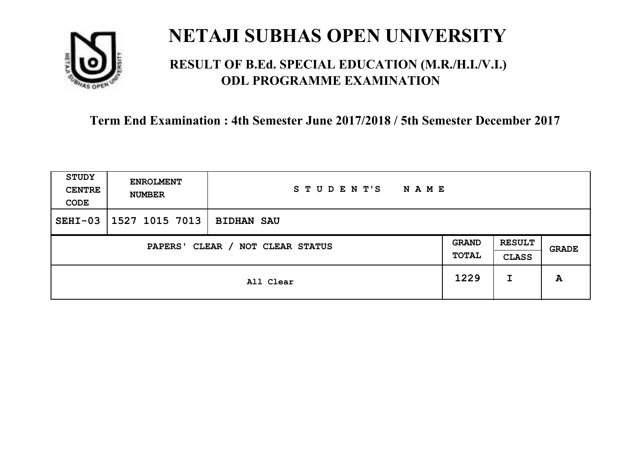

### **RESULT OF B.Ed. SPECIAL EDUCATION (M.R./H.I./V.I.) ODL PROGRAMME EXAMINATION**

| STUDY<br><b>CENTRE</b><br>CODE | <b>ENROLMENT</b><br><b>NUMBER</b>   | STUDENT'S<br><b>NAME</b> |      |                               |       |
|--------------------------------|-------------------------------------|--------------------------|------|-------------------------------|-------|
| $SEHI-03$                      | 1527 1015 7013                      | <b>BIDHAN SAU</b>        |      |                               |       |
|                                | CLEAR / NOT CLEAR STATUS<br>PAPERS' |                          |      | <b>RESULT</b><br><b>CLASS</b> | GRADE |
|                                |                                     | All Clear                | 1229 | I                             | A     |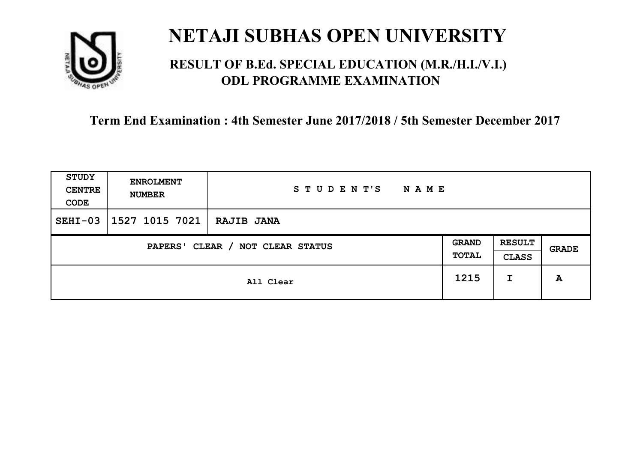

### **RESULT OF B.Ed. SPECIAL EDUCATION (M.R./H.I./V.I.) ODL PROGRAMME EXAMINATION**

| STUDY<br><b>CENTRE</b><br>CODE                                      | <b>ENROLMENT</b><br><b>NUMBER</b> | STUDENT'S<br><b>NAME</b> |      |                               |       |
|---------------------------------------------------------------------|-----------------------------------|--------------------------|------|-------------------------------|-------|
| $SEHI-03$                                                           | 1527 1015 7021   RAJIB JANA       |                          |      |                               |       |
| <b>GRAND</b><br>CLEAR / NOT CLEAR STATUS<br><b>PAPERS'</b><br>TOTAL |                                   |                          |      | <b>RESULT</b><br><b>CLASS</b> | GRADE |
|                                                                     |                                   | All Clear                | 1215 | I                             | A     |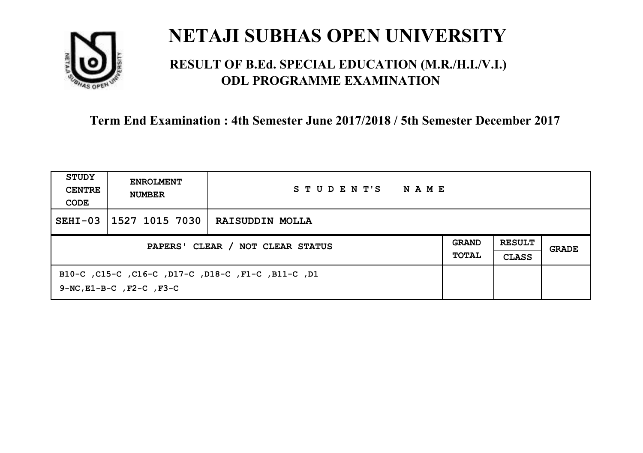

### **RESULT OF B.Ed. SPECIAL EDUCATION (M.R./H.I./V.I.) ODL PROGRAMME EXAMINATION**

| STUDY<br><b>CENTRE</b><br>CODE   | <b>ENROLMENT</b><br><b>NUMBER</b>   | STUDENT'S<br>NAME                                  |  |                               |       |
|----------------------------------|-------------------------------------|----------------------------------------------------|--|-------------------------------|-------|
| $SEHI-03$                        | 1527 1015 7030                      | <b>RAISUDDIN MOLLA</b>                             |  |                               |       |
| PAPERS' CLEAR / NOT CLEAR STATUS |                                     |                                                    |  | <b>RESULT</b><br><b>CLASS</b> | GRADE |
|                                  | $9-NC$ , $E1-B-C$ , $F2-C$ , $F3-C$ | B10-C, C15-C, C16-C, D17-C, D18-C, F1-C, B11-C, D1 |  |                               |       |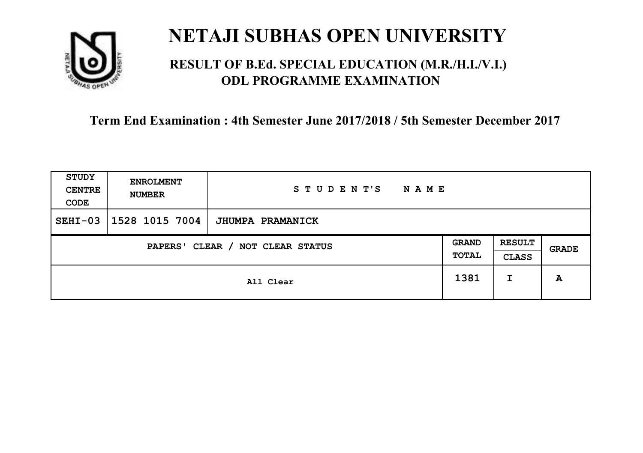

### **RESULT OF B.Ed. SPECIAL EDUCATION (M.R./H.I./V.I.) ODL PROGRAMME EXAMINATION**

| <b>STUDY</b><br><b>CENTRE</b><br>CODE | <b>ENROLMENT</b><br><b>NUMBER</b>   | STUDENT'S<br><b>NAME</b> |      |                               |       |
|---------------------------------------|-------------------------------------|--------------------------|------|-------------------------------|-------|
| $SEHI-03$                             | 1528 1015 7004                      | <b>JHUMPA PRAMANICK</b>  |      |                               |       |
|                                       | CLEAR / NOT CLEAR STATUS<br>PAPERS' |                          |      | <b>RESULT</b><br><b>CLASS</b> | GRADE |
|                                       |                                     | All Clear                | 1381 | I                             | A     |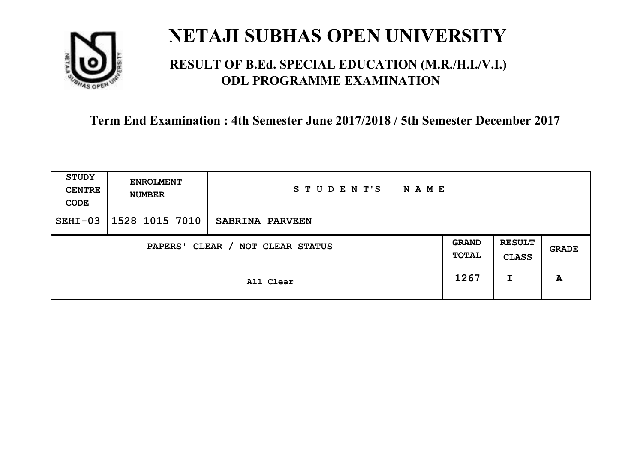

### **RESULT OF B.Ed. SPECIAL EDUCATION (M.R./H.I./V.I.) ODL PROGRAMME EXAMINATION**

| STUDY<br><b>CENTRE</b><br>CODE | <b>ENROLMENT</b><br><b>NUMBER</b>   | STUDENT'S<br>N A M E |      |                               |       |
|--------------------------------|-------------------------------------|----------------------|------|-------------------------------|-------|
| $SEHI-03$                      | 1528 1015 7010                      | SABRINA PARVEEN      |      |                               |       |
|                                | CLEAR / NOT CLEAR STATUS<br>PAPERS' |                      |      | <b>RESULT</b><br><b>CLASS</b> | GRADE |
|                                |                                     | All Clear            | 1267 | I                             | A     |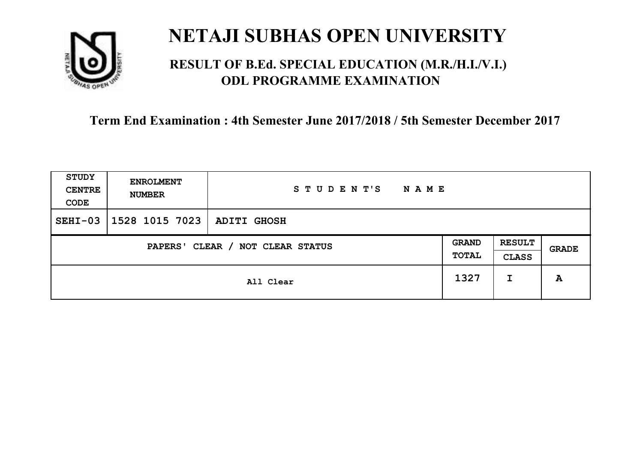

### **RESULT OF B.Ed. SPECIAL EDUCATION (M.R./H.I./V.I.) ODL PROGRAMME EXAMINATION**

| <b>STUDY</b><br><b>CENTRE</b><br>CODE | <b>ENROLMENT</b><br><b>NUMBER</b>   | STUDENT'S<br><b>NAME</b> |      |                               |              |
|---------------------------------------|-------------------------------------|--------------------------|------|-------------------------------|--------------|
| $SEHI-03$                             | 1528 1015 7023                      | <b>ADITI GHOSH</b>       |      |                               |              |
|                                       | CLEAR / NOT CLEAR STATUS<br>PAPERS' |                          |      | <b>RESULT</b><br><b>CLASS</b> | <b>GRADE</b> |
|                                       |                                     | All Clear                | 1327 | I                             | A            |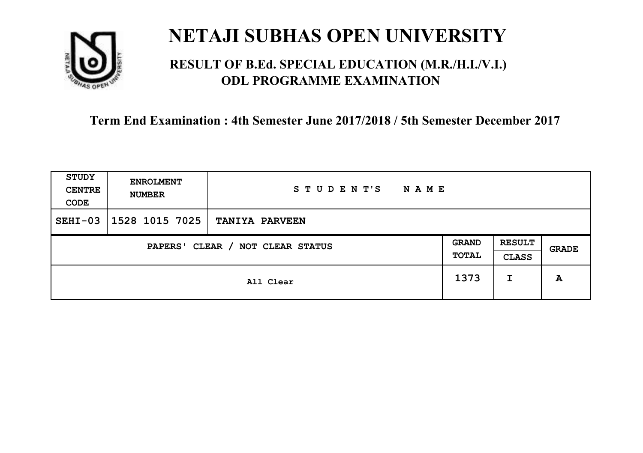

### **RESULT OF B.Ed. SPECIAL EDUCATION (M.R./H.I./V.I.) ODL PROGRAMME EXAMINATION**

| <b>STUDY</b><br><b>CENTRE</b><br>CODE | <b>ENROLMENT</b><br><b>NUMBER</b>   | STUDENT'S<br><b>NAME</b> |      |                               |       |
|---------------------------------------|-------------------------------------|--------------------------|------|-------------------------------|-------|
| $SEHI-03$                             | 1528 1015 7025                      | <b>TANIYA PARVEEN</b>    |      |                               |       |
|                                       | CLEAR / NOT CLEAR STATUS<br>PAPERS' |                          |      | <b>RESULT</b><br><b>CLASS</b> | GRADE |
|                                       |                                     | All Clear                | 1373 | I                             | A     |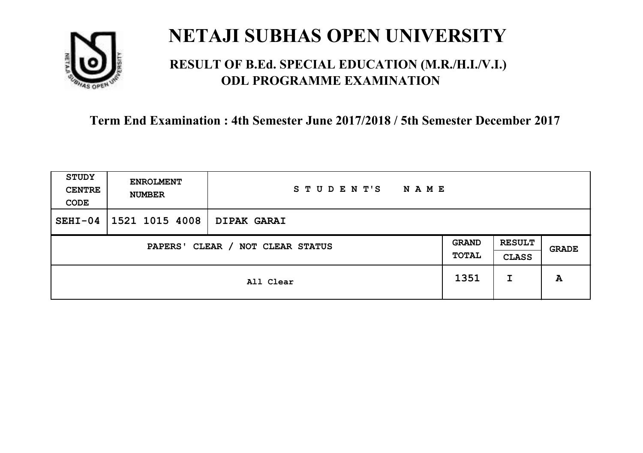

### **RESULT OF B.Ed. SPECIAL EDUCATION (M.R./H.I./V.I.) ODL PROGRAMME EXAMINATION**

| STUDY<br><b>CENTRE</b><br>CODE      | <b>ENROLMENT</b><br><b>NUMBER</b> | STUDENT'S<br><b>NAME</b> |                       |                               |       |
|-------------------------------------|-----------------------------------|--------------------------|-----------------------|-------------------------------|-------|
| $SEHI-04$                           | 1521 1015 4008                    | <b>DIPAK GARAI</b>       |                       |                               |       |
| CLEAR / NOT CLEAR STATUS<br>PAPERS' |                                   |                          | <b>GRAND</b><br>TOTAL | <b>RESULT</b><br><b>CLASS</b> | GRADE |
|                                     |                                   | All Clear                | 1351                  | I                             | A     |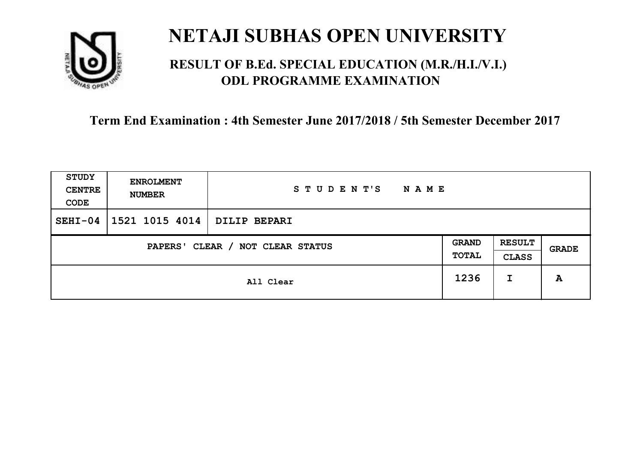

### **RESULT OF B.Ed. SPECIAL EDUCATION (M.R./H.I./V.I.) ODL PROGRAMME EXAMINATION**

| <b>STUDY</b><br><b>CENTRE</b><br>CODE | <b>ENROLMENT</b><br><b>NUMBER</b>   | STUDENT'S<br><b>NAME</b> |      |                               |       |
|---------------------------------------|-------------------------------------|--------------------------|------|-------------------------------|-------|
| $SEHI-04$                             | 1521 1015 4014                      | <b>DILIP BEPARI</b>      |      |                               |       |
|                                       | CLEAR / NOT CLEAR STATUS<br>PAPERS' |                          |      | <b>RESULT</b><br><b>CLASS</b> | GRADE |
|                                       |                                     | All Clear                | 1236 | I                             | A     |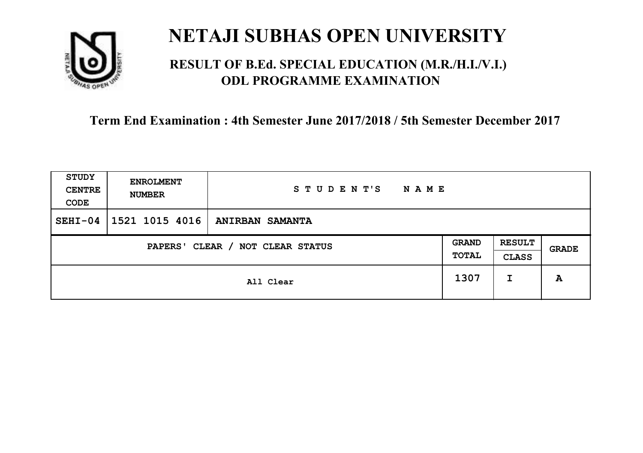

### **RESULT OF B.Ed. SPECIAL EDUCATION (M.R./H.I./V.I.) ODL PROGRAMME EXAMINATION**

| <b>STUDY</b><br><b>CENTRE</b><br>CODE | <b>ENROLMENT</b><br><b>NUMBER</b>   | STUDENT'S<br><b>NAME</b> |      |                               |       |
|---------------------------------------|-------------------------------------|--------------------------|------|-------------------------------|-------|
| $SEHI-04$                             | 1521 1015 4016                      | <b>ANIRBAN SAMANTA</b>   |      |                               |       |
|                                       | CLEAR / NOT CLEAR STATUS<br>PAPERS' |                          |      | <b>RESULT</b><br><b>CLASS</b> | GRADE |
|                                       |                                     | All Clear                | 1307 | I                             | A     |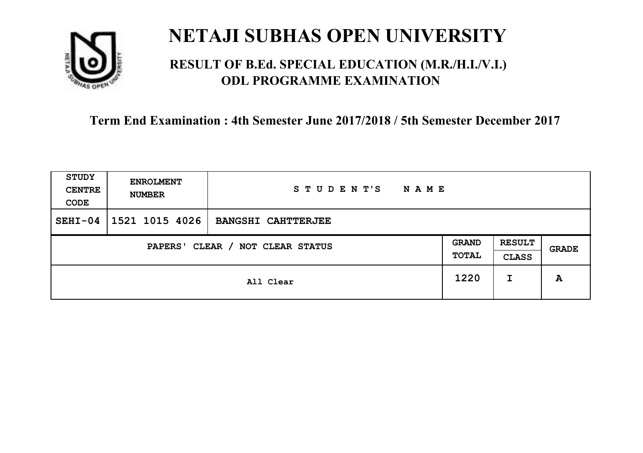

### **RESULT OF B.Ed. SPECIAL EDUCATION (M.R./H.I./V.I.) ODL PROGRAMME EXAMINATION**

| <b>STUDY</b><br><b>CENTRE</b><br>CODE | <b>ENROLMENT</b><br><b>NUMBER</b>   | STUDENT'S<br><b>NAME</b>  |      |                               |       |
|---------------------------------------|-------------------------------------|---------------------------|------|-------------------------------|-------|
| $SEHI-04$                             | 1521 1015 4026                      | <b>BANGSHI CAHTTERJEE</b> |      |                               |       |
|                                       | CLEAR / NOT CLEAR STATUS<br>PAPERS' |                           |      | <b>RESULT</b><br><b>CLASS</b> | GRADE |
|                                       |                                     | All Clear                 | 1220 | I                             | A     |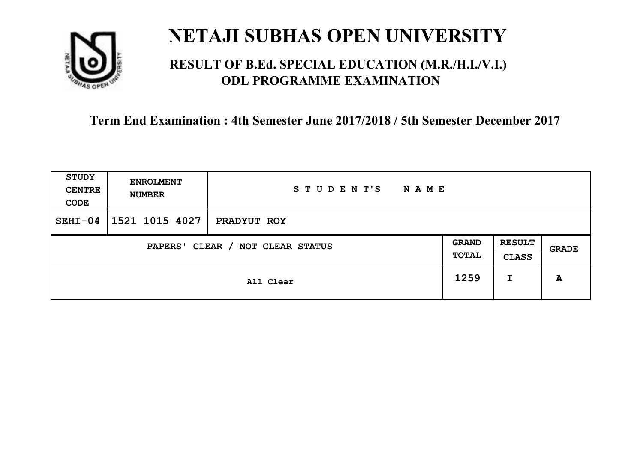

### **RESULT OF B.Ed. SPECIAL EDUCATION (M.R./H.I./V.I.) ODL PROGRAMME EXAMINATION**

| <b>STUDY</b><br><b>CENTRE</b><br>CODE | <b>ENROLMENT</b><br><b>NUMBER</b>   | STUDENT'S<br>NAME |      |                               |              |
|---------------------------------------|-------------------------------------|-------------------|------|-------------------------------|--------------|
| $SEHI-04$                             | 1521 1015 4027                      | PRADYUT ROY       |      |                               |              |
|                                       | CLEAR / NOT CLEAR STATUS<br>PAPERS' |                   |      | <b>RESULT</b><br><b>CLASS</b> | <b>GRADE</b> |
|                                       |                                     | All Clear         | 1259 | I                             | A            |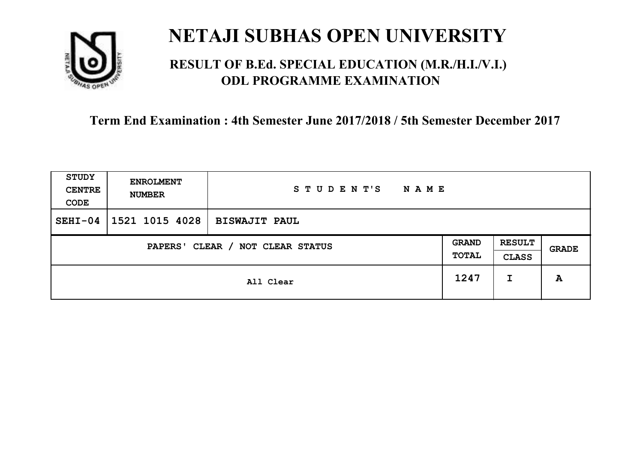

### **RESULT OF B.Ed. SPECIAL EDUCATION (M.R./H.I./V.I.) ODL PROGRAMME EXAMINATION**

| <b>STUDY</b><br><b>CENTRE</b><br>CODE | <b>ENROLMENT</b><br><b>NUMBER</b>   | STUDENT'S<br>NAME    |      |                               |              |
|---------------------------------------|-------------------------------------|----------------------|------|-------------------------------|--------------|
| $SEHI-04$                             | 1521 1015 4028                      | <b>BISWAJIT PAUL</b> |      |                               |              |
|                                       | CLEAR / NOT CLEAR STATUS<br>PAPERS' |                      |      | <b>RESULT</b><br><b>CLASS</b> | <b>GRADE</b> |
|                                       |                                     | All Clear            | 1247 | I                             | A            |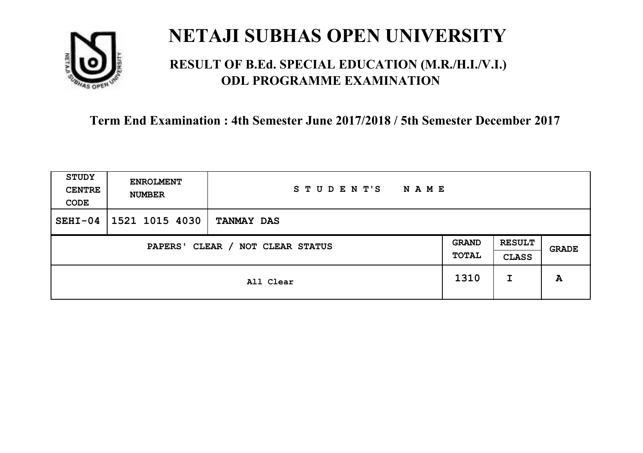

### **RESULT OF B.Ed. SPECIAL EDUCATION (M.R./H.I./V.I.) ODL PROGRAMME EXAMINATION**

| STUDY<br><b>CENTRE</b><br>CODE | <b>ENROLMENT</b><br><b>NUMBER</b>   | STUDENT'S<br><b>NAME</b> |      |                               |       |
|--------------------------------|-------------------------------------|--------------------------|------|-------------------------------|-------|
| $SEHI-04$                      | 1521 1015 4030                      | <b>TANMAY DAS</b>        |      |                               |       |
|                                | CLEAR / NOT CLEAR STATUS<br>PAPERS' |                          |      | <b>RESULT</b><br><b>CLASS</b> | GRADE |
|                                |                                     | All Clear                | 1310 | I                             | A     |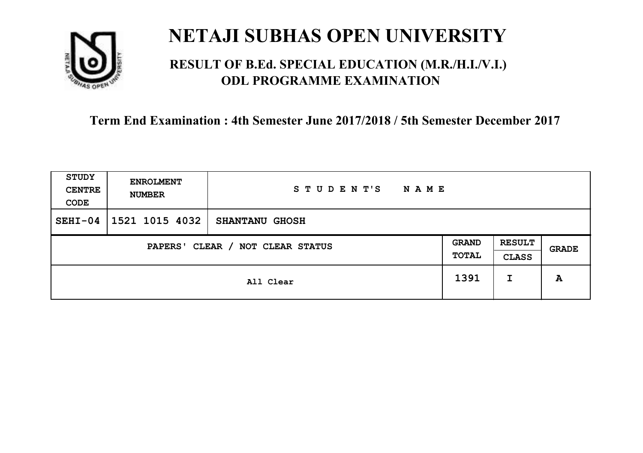

### **RESULT OF B.Ed. SPECIAL EDUCATION (M.R./H.I./V.I.) ODL PROGRAMME EXAMINATION**

| <b>STUDY</b><br><b>CENTRE</b><br>CODE | <b>ENROLMENT</b><br><b>NUMBER</b> | STUDENT'S<br><b>NAME</b> |                              |                               |              |
|---------------------------------------|-----------------------------------|--------------------------|------------------------------|-------------------------------|--------------|
| $SEHI-04$                             | 1521 1015 4032                    | <b>SHANTANU GHOSH</b>    |                              |                               |              |
| CLEAR / NOT CLEAR STATUS<br>PAPERS'   |                                   |                          | <b>GRAND</b><br><b>TOTAL</b> | <b>RESULT</b><br><b>CLASS</b> | <b>GRADE</b> |
|                                       |                                   | All Clear                | 1391                         | I                             | A            |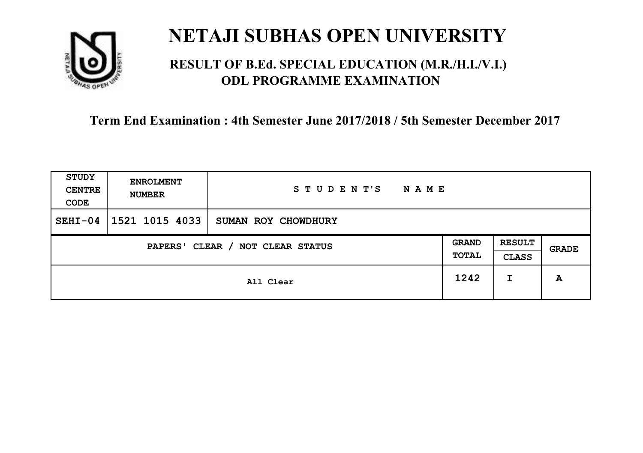

### **RESULT OF B.Ed. SPECIAL EDUCATION (M.R./H.I./V.I.) ODL PROGRAMME EXAMINATION**

| <b>STUDY</b><br><b>CENTRE</b><br>CODE | <b>ENROLMENT</b><br><b>NUMBER</b>   | STUDENT'S<br><b>NAME</b> |      |                               |       |
|---------------------------------------|-------------------------------------|--------------------------|------|-------------------------------|-------|
| $SEHI-04$                             | 1521 1015 4033                      | SUMAN ROY CHOWDHURY      |      |                               |       |
|                                       | CLEAR / NOT CLEAR STATUS<br>PAPERS' |                          |      | <b>RESULT</b><br><b>CLASS</b> | GRADE |
|                                       |                                     | All Clear                | 1242 | I                             | A     |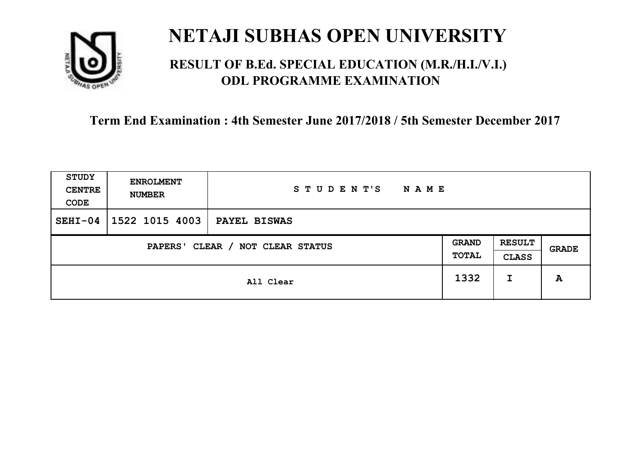

### **RESULT OF B.Ed. SPECIAL EDUCATION (M.R./H.I./V.I.) ODL PROGRAMME EXAMINATION**

| <b>STUDY</b><br><b>CENTRE</b><br>CODE | <b>ENROLMENT</b><br><b>NUMBER</b>   | STUDENT'S<br><b>NAME</b> |      |                               |       |
|---------------------------------------|-------------------------------------|--------------------------|------|-------------------------------|-------|
| $SEHI-04$                             | 1522 1015 4003                      | PAYEL BISWAS             |      |                               |       |
|                                       | CLEAR / NOT CLEAR STATUS<br>PAPERS' |                          |      | <b>RESULT</b><br><b>CLASS</b> | GRADE |
|                                       |                                     | All Clear                | 1332 | I                             | A     |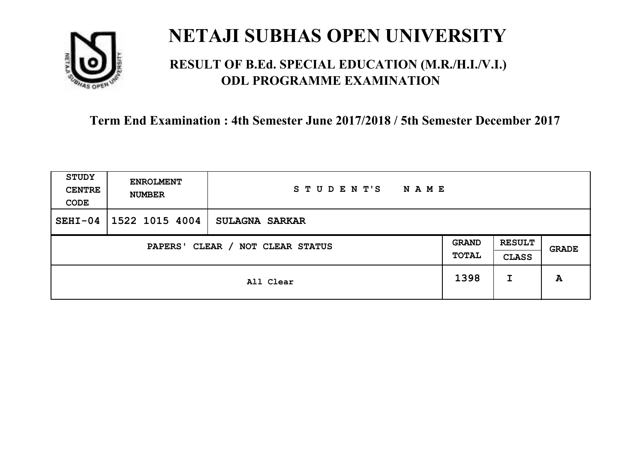

### **RESULT OF B.Ed. SPECIAL EDUCATION (M.R./H.I./V.I.) ODL PROGRAMME EXAMINATION**

| <b>STUDY</b><br><b>CENTRE</b><br>CODE      | <b>ENROLMENT</b><br><b>NUMBER</b> | STUDENT'S<br><b>NAME</b> |                              |                               |              |
|--------------------------------------------|-----------------------------------|--------------------------|------------------------------|-------------------------------|--------------|
| $SEHI-04$                                  | 1522 1015 4004                    | <b>SULAGNA SARKAR</b>    |                              |                               |              |
| CLEAR / NOT CLEAR STATUS<br><b>PAPERS'</b> |                                   |                          | <b>GRAND</b><br><b>TOTAL</b> | <b>RESULT</b><br><b>CLASS</b> | <b>GRADE</b> |
|                                            |                                   | All Clear                | 1398                         | I                             | A            |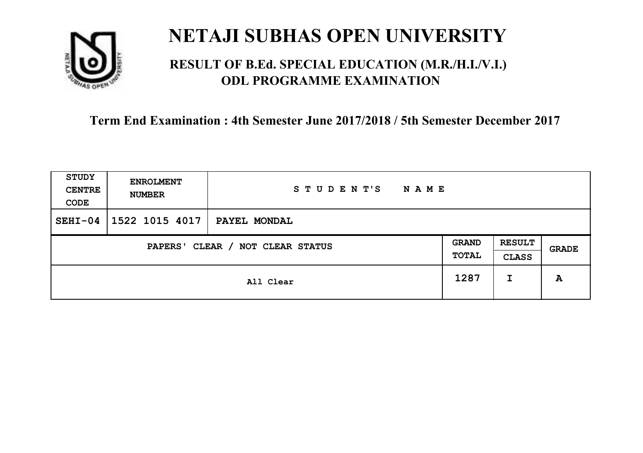

### **RESULT OF B.Ed. SPECIAL EDUCATION (M.R./H.I./V.I.) ODL PROGRAMME EXAMINATION**

| <b>STUDY</b><br><b>CENTRE</b><br>CODE | <b>ENROLMENT</b><br><b>NUMBER</b>   | STUDENT'S<br><b>NAME</b> |  |                               |              |
|---------------------------------------|-------------------------------------|--------------------------|--|-------------------------------|--------------|
| $SEHI-04$                             | 1522 1015 4017                      | PAYEL MONDAL             |  |                               |              |
|                                       | CLEAR / NOT CLEAR STATUS<br>PAPERS' |                          |  | <b>RESULT</b><br><b>CLASS</b> | <b>GRADE</b> |
|                                       | All Clear                           |                          |  | I                             | A            |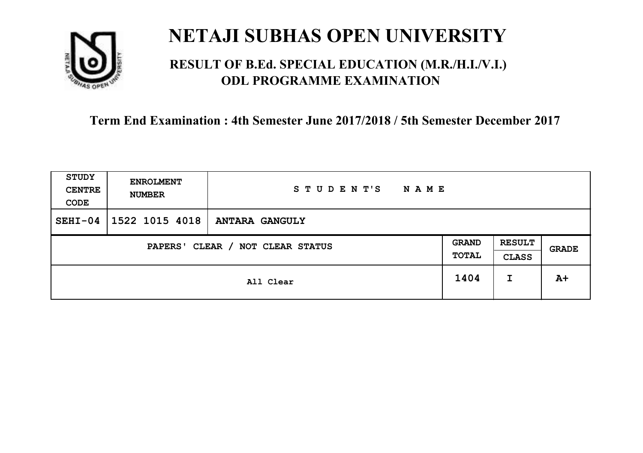

### **RESULT OF B.Ed. SPECIAL EDUCATION (M.R./H.I./V.I.) ODL PROGRAMME EXAMINATION**

| <b>STUDY</b><br><b>CENTRE</b><br>CODE | <b>ENROLMENT</b><br><b>NUMBER</b>   | STUDENT'S<br><b>NAME</b> |      |                               |       |
|---------------------------------------|-------------------------------------|--------------------------|------|-------------------------------|-------|
| $SEHI-04$                             | 1522 1015 4018                      | <b>ANTARA GANGULY</b>    |      |                               |       |
|                                       | CLEAR / NOT CLEAR STATUS<br>PAPERS' |                          |      | <b>RESULT</b><br><b>CLASS</b> | GRADE |
|                                       |                                     | All Clear                | 1404 | I                             | $A+$  |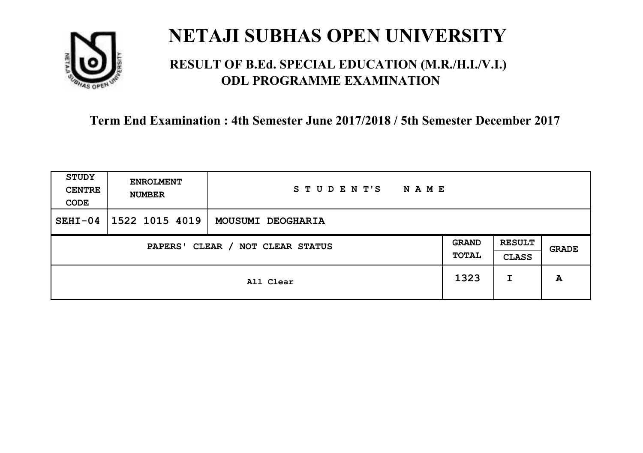

### **RESULT OF B.Ed. SPECIAL EDUCATION (M.R./H.I./V.I.) ODL PROGRAMME EXAMINATION**

| <b>STUDY</b><br><b>CENTRE</b><br>CODE | <b>ENROLMENT</b><br><b>NUMBER</b> | STUDENT'S<br><b>NAME</b> |                       |                               |       |
|---------------------------------------|-----------------------------------|--------------------------|-----------------------|-------------------------------|-------|
| $SEHI-04$                             | 1522 1015 4019                    | MOUSUMI DEOGHARIA        |                       |                               |       |
| CLEAR / NOT CLEAR STATUS<br>PAPERS'   |                                   |                          | <b>GRAND</b><br>TOTAL | <b>RESULT</b><br><b>CLASS</b> | GRADE |
|                                       |                                   | All Clear                | 1323                  | I                             | A     |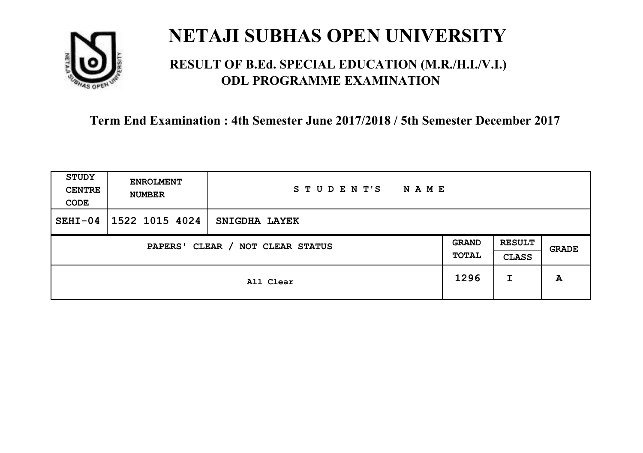

### **RESULT OF B.Ed. SPECIAL EDUCATION (M.R./H.I./V.I.) ODL PROGRAMME EXAMINATION**

| <b>STUDY</b><br><b>CENTRE</b><br>CODE | <b>ENROLMENT</b><br><b>NUMBER</b>   | STUDENT'S<br><b>NAME</b> |      |   |       |
|---------------------------------------|-------------------------------------|--------------------------|------|---|-------|
| $SEHI-04$                             | 1522 1015 4024                      | SNIGDHA LAYEK            |      |   |       |
|                                       | CLEAR / NOT CLEAR STATUS<br>PAPERS' |                          |      |   | GRADE |
|                                       |                                     | All Clear                | 1296 | I | A     |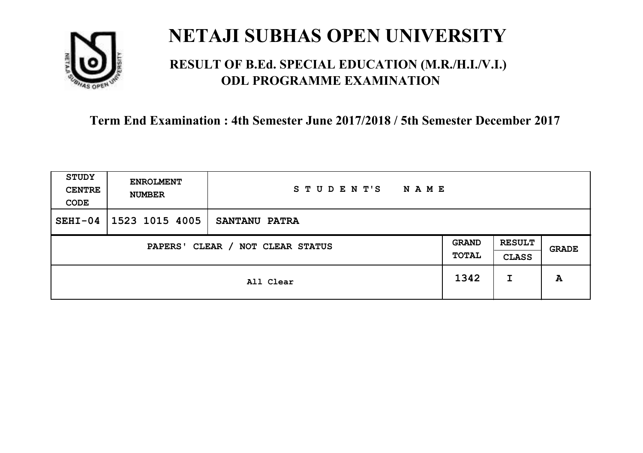

### **RESULT OF B.Ed. SPECIAL EDUCATION (M.R./H.I./V.I.) ODL PROGRAMME EXAMINATION**

| <b>STUDY</b><br><b>CENTRE</b><br>CODE | <b>ENROLMENT</b><br><b>NUMBER</b>   | STUDENT'S<br><b>NAME</b> |      |   |       |
|---------------------------------------|-------------------------------------|--------------------------|------|---|-------|
| $SEHI-04$                             | 1523 1015 4005                      | <b>SANTANU PATRA</b>     |      |   |       |
|                                       | CLEAR / NOT CLEAR STATUS<br>PAPERS' |                          |      |   | GRADE |
|                                       |                                     | All Clear                | 1342 | I | A     |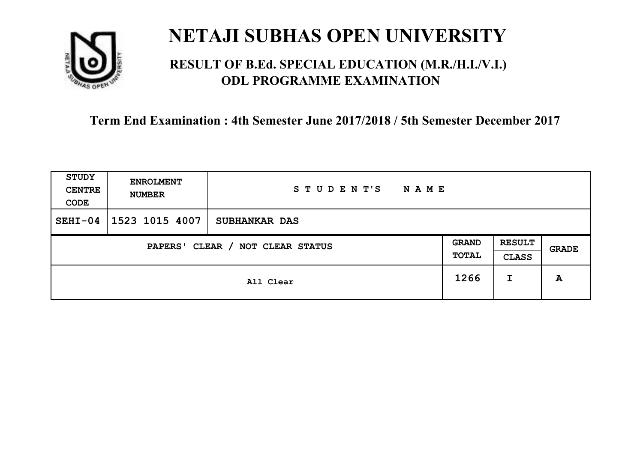

### **RESULT OF B.Ed. SPECIAL EDUCATION (M.R./H.I./V.I.) ODL PROGRAMME EXAMINATION**

| STUDY<br><b>CENTRE</b><br>CODE | <b>ENROLMENT</b><br><b>NUMBER</b>          | STUDENT'S<br>N A M E |      |                               |       |
|--------------------------------|--------------------------------------------|----------------------|------|-------------------------------|-------|
| $SEHI-04$                      | 1523 1015 4007                             | <b>SUBHANKAR DAS</b> |      |                               |       |
|                                | CLEAR / NOT CLEAR STATUS<br><b>PAPERS'</b> |                      |      | <b>RESULT</b><br><b>CLASS</b> | GRADE |
|                                |                                            | All Clear            | 1266 | I                             | A     |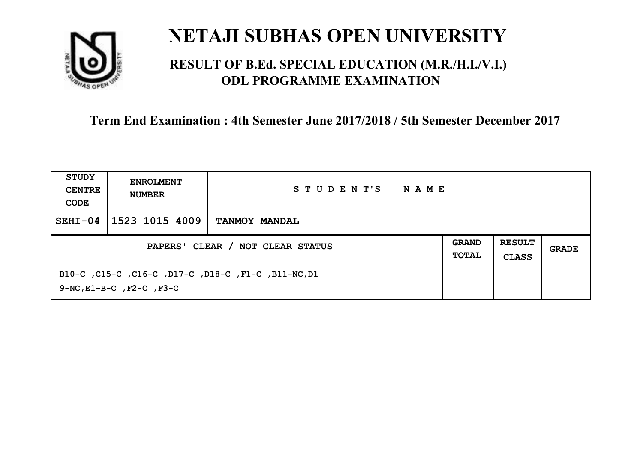

### **RESULT OF B.Ed. SPECIAL EDUCATION (M.R./H.I./V.I.) ODL PROGRAMME EXAMINATION**

| <b>STUDY</b><br><b>CENTRE</b><br>CODE | <b>ENROLMENT</b><br><b>NUMBER</b>   | STUDENT'S<br>NAME                                   |                              |                               |       |
|---------------------------------------|-------------------------------------|-----------------------------------------------------|------------------------------|-------------------------------|-------|
| $SEHI-04$                             | 1523 1015 4009                      | <b>TANMOY MANDAL</b>                                |                              |                               |       |
| PAPERS' CLEAR / NOT CLEAR STATUS      |                                     |                                                     | <b>GRAND</b><br><b>TOTAL</b> | <b>RESULT</b><br><b>CLASS</b> | GRADE |
|                                       | $9-NC$ , $E1-B-C$ , $F2-C$ , $F3-C$ | B10-C, C15-C, C16-C, D17-C, D18-C, F1-C, B11-NC, D1 |                              |                               |       |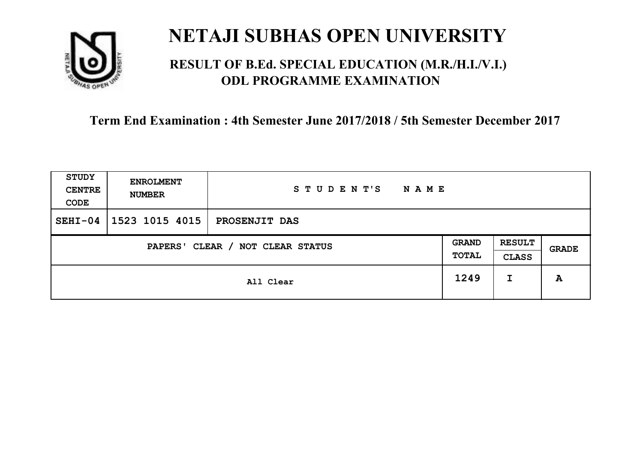

### **RESULT OF B.Ed. SPECIAL EDUCATION (M.R./H.I./V.I.) ODL PROGRAMME EXAMINATION**

| <b>STUDY</b><br><b>CENTRE</b><br>CODE | <b>ENROLMENT</b><br><b>NUMBER</b> | STUDENT'S<br><b>NAME</b> |                       |                               |       |
|---------------------------------------|-----------------------------------|--------------------------|-----------------------|-------------------------------|-------|
| $SEHI-04$                             | 1523 1015 4015                    | PROSENJIT DAS            |                       |                               |       |
| CLEAR / NOT CLEAR STATUS<br>PAPERS'   |                                   |                          | <b>GRAND</b><br>TOTAL | <b>RESULT</b><br><b>CLASS</b> | GRADE |
|                                       |                                   | All Clear                | 1249                  | I                             | A     |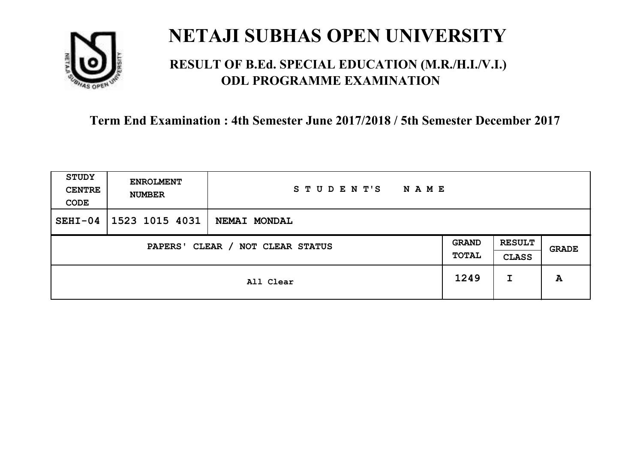

### **RESULT OF B.Ed. SPECIAL EDUCATION (M.R./H.I./V.I.) ODL PROGRAMME EXAMINATION**

| <b>STUDY</b><br><b>CENTRE</b><br>CODE | <b>ENROLMENT</b><br><b>NUMBER</b> | STUDENT'S<br><b>NAME</b> |  |                               |              |
|---------------------------------------|-----------------------------------|--------------------------|--|-------------------------------|--------------|
| $SEHI-04$                             | 1523 1015 4031                    | NEMAI MONDAL             |  |                               |              |
| CLEAR / NOT CLEAR STATUS<br>PAPERS'   |                                   |                          |  | <b>RESULT</b><br><b>CLASS</b> | <b>GRADE</b> |
|                                       | All Clear                         |                          |  | I                             | A            |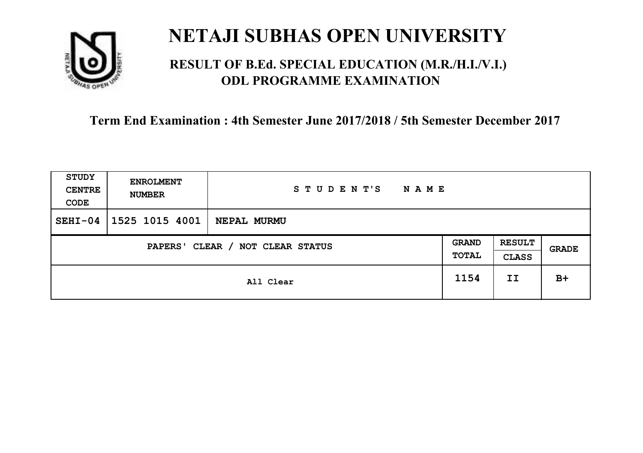

### **RESULT OF B.Ed. SPECIAL EDUCATION (M.R./H.I./V.I.) ODL PROGRAMME EXAMINATION**

| <b>STUDY</b><br><b>CENTRE</b><br>CODE | <b>ENROLMENT</b><br><b>NUMBER</b>   | STUDENT'S<br><b>NAME</b> |      |    |       |
|---------------------------------------|-------------------------------------|--------------------------|------|----|-------|
| $SEHI-04$                             | 1525 1015 4001                      | NEPAL MURMU              |      |    |       |
|                                       | CLEAR / NOT CLEAR STATUS<br>PAPERS' |                          |      |    | GRADE |
|                                       |                                     | All Clear                | 1154 | II | $B+$  |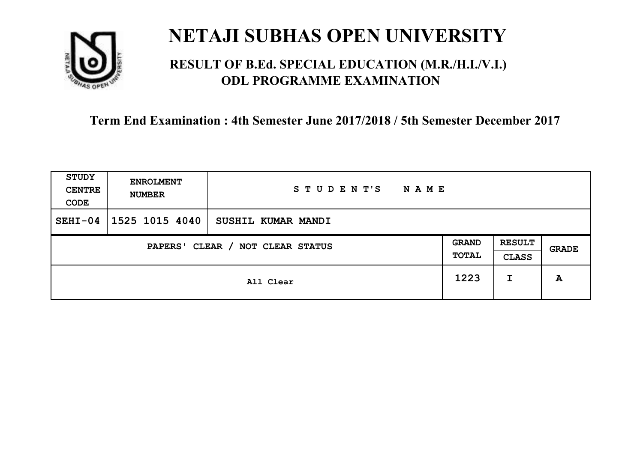

### **RESULT OF B.Ed. SPECIAL EDUCATION (M.R./H.I./V.I.) ODL PROGRAMME EXAMINATION**

| <b>STUDY</b><br><b>CENTRE</b><br>CODE | <b>ENROLMENT</b><br><b>NUMBER</b>   | STUDENT'S<br><b>NAME</b> |      |   |       |
|---------------------------------------|-------------------------------------|--------------------------|------|---|-------|
| $SEHI-04$                             | 1525 1015 4040                      | SUSHIL KUMAR MANDI       |      |   |       |
|                                       | CLEAR / NOT CLEAR STATUS<br>PAPERS' |                          |      |   | GRADE |
|                                       |                                     | All Clear                | 1223 | I | A     |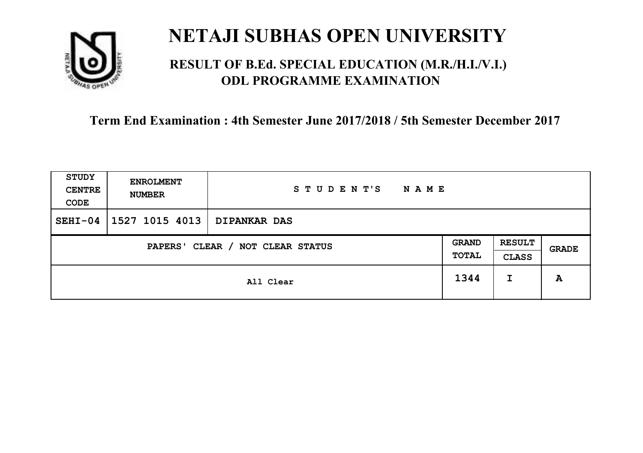

### **RESULT OF B.Ed. SPECIAL EDUCATION (M.R./H.I./V.I.) ODL PROGRAMME EXAMINATION**

| STUDY<br><b>CENTRE</b><br>CODE                               | <b>ENROLMENT</b><br><b>NUMBER</b> | STUDENT'S<br><b>NAME</b> |  |                               |       |
|--------------------------------------------------------------|-----------------------------------|--------------------------|--|-------------------------------|-------|
| $SEHI-04$                                                    | 1527 1015 4013                    | <b>DIPANKAR DAS</b>      |  |                               |       |
| <b>GRAND</b><br>CLEAR / NOT CLEAR STATUS<br>PAPERS'<br>TOTAL |                                   |                          |  | <b>RESULT</b><br><b>CLASS</b> | GRADE |
|                                                              | All Clear                         |                          |  | I                             | A     |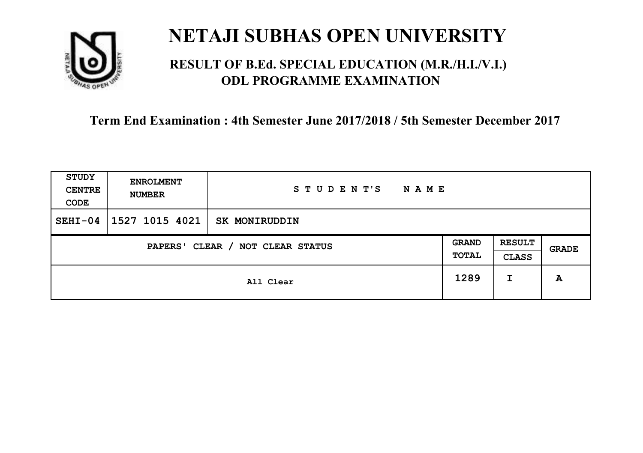

### **RESULT OF B.Ed. SPECIAL EDUCATION (M.R./H.I./V.I.) ODL PROGRAMME EXAMINATION**

| <b>STUDY</b><br><b>CENTRE</b><br>CODE | <b>ENROLMENT</b><br><b>NUMBER</b> | STUDENT'S<br><b>NAME</b> |                       |                               |       |
|---------------------------------------|-----------------------------------|--------------------------|-----------------------|-------------------------------|-------|
| $SEHI-04$                             | 1527 1015 4021                    | SK MONIRUDDIN            |                       |                               |       |
| CLEAR / NOT CLEAR STATUS<br>PAPERS'   |                                   |                          | <b>GRAND</b><br>TOTAL | <b>RESULT</b><br><b>CLASS</b> | GRADE |
|                                       |                                   | All Clear                | 1289                  | I                             | A     |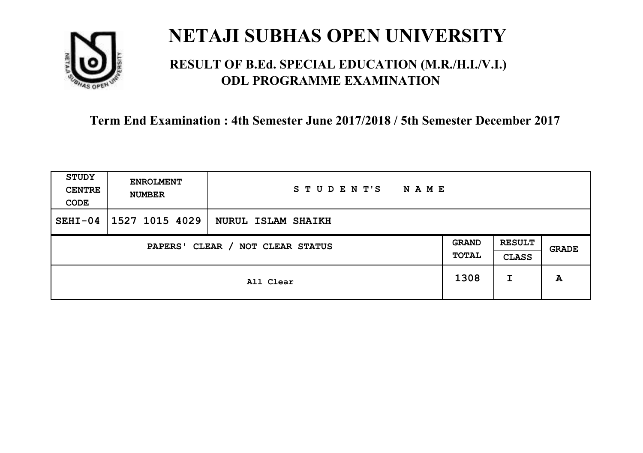

### **RESULT OF B.Ed. SPECIAL EDUCATION (M.R./H.I./V.I.) ODL PROGRAMME EXAMINATION**

| <b>STUDY</b><br><b>CENTRE</b><br>CODE | <b>ENROLMENT</b><br><b>NUMBER</b> | STUDENT'S<br><b>NAME</b> |      |                               |       |
|---------------------------------------|-----------------------------------|--------------------------|------|-------------------------------|-------|
| $SEHI-04$                             | 1527 1015 4029                    | NURUL ISLAM SHAIKH       |      |                               |       |
| CLEAR / NOT CLEAR STATUS<br>PAPERS'   |                                   |                          |      | <b>RESULT</b><br><b>CLASS</b> | GRADE |
|                                       |                                   | All Clear                | 1308 | I                             | A     |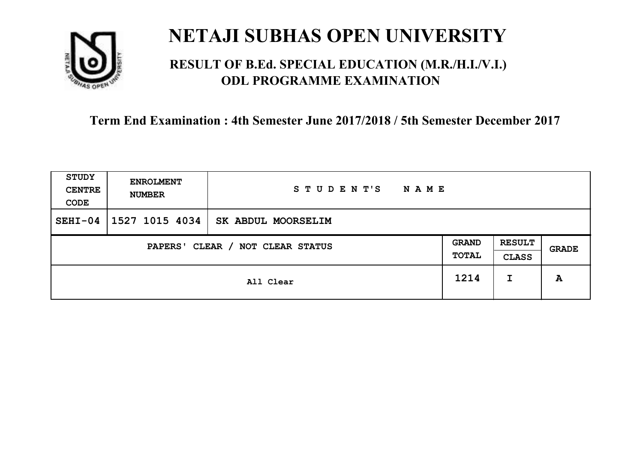

### **RESULT OF B.Ed. SPECIAL EDUCATION (M.R./H.I./V.I.) ODL PROGRAMME EXAMINATION**

| <b>STUDY</b><br><b>CENTRE</b><br>CODE | <b>ENROLMENT</b><br><b>NUMBER</b>   | STUDENT'S<br><b>NAME</b> |      |                               |              |
|---------------------------------------|-------------------------------------|--------------------------|------|-------------------------------|--------------|
| $SEHI-04$                             | 1527 1015 4034                      | SK ABDUL MOORSELIM       |      |                               |              |
|                                       | CLEAR / NOT CLEAR STATUS<br>PAPERS' |                          |      | <b>RESULT</b><br><b>CLASS</b> | <b>GRADE</b> |
|                                       |                                     | All Clear                | 1214 | I                             | A            |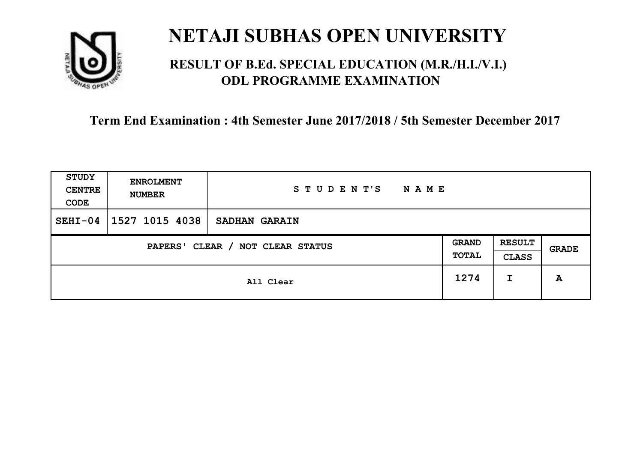

### **RESULT OF B.Ed. SPECIAL EDUCATION (M.R./H.I./V.I.) ODL PROGRAMME EXAMINATION**

| STUDY<br><b>CENTRE</b><br>CODE | <b>ENROLMENT</b><br><b>NUMBER</b>   | STUDENT'S<br><b>NAME</b> |      |                               |       |
|--------------------------------|-------------------------------------|--------------------------|------|-------------------------------|-------|
| $SEHI-04$                      | 1527 1015 4038                      | <b>SADHAN GARAIN</b>     |      |                               |       |
|                                | CLEAR / NOT CLEAR STATUS<br>PAPERS' |                          |      | <b>RESULT</b><br><b>CLASS</b> | GRADE |
|                                |                                     | All Clear                | 1274 | I                             | A     |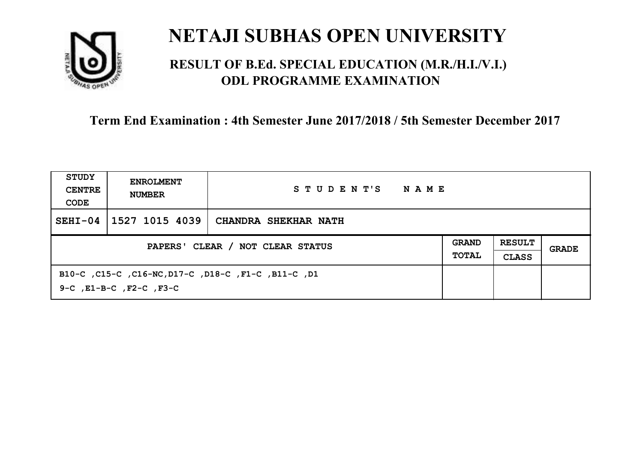

### **RESULT OF B.Ed. SPECIAL EDUCATION (M.R./H.I./V.I.) ODL PROGRAMME EXAMINATION**

| STUDY<br><b>CENTRE</b><br>CODE   | <b>ENROLMENT</b><br><b>NUMBER</b>                                                         | STUDENT'S<br>NAME    |                              |                               |       |
|----------------------------------|-------------------------------------------------------------------------------------------|----------------------|------------------------------|-------------------------------|-------|
| $SEHI-04$                        | 1527 1015 4039                                                                            | CHANDRA SHEKHAR NATH |                              |                               |       |
| PAPERS' CLEAR / NOT CLEAR STATUS |                                                                                           |                      | <b>GRAND</b><br><b>TOTAL</b> | <b>RESULT</b><br><b>CLASS</b> | GRADE |
|                                  | B10-C, C15-C, C16-NC, D17-C, D18-C, F1-C, B11-C, D1<br>$9-C$ , $E1-B-C$ , $F2-C$ , $F3-C$ |                      |                              |                               |       |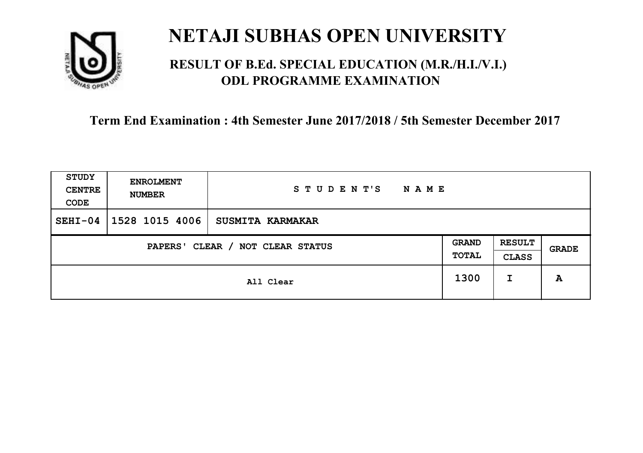

### **RESULT OF B.Ed. SPECIAL EDUCATION (M.R./H.I./V.I.) ODL PROGRAMME EXAMINATION**

| <b>STUDY</b><br><b>CENTRE</b><br>CODE | <b>ENROLMENT</b><br><b>NUMBER</b>   | STUDENT'S<br><b>NAME</b> |      |                               |       |
|---------------------------------------|-------------------------------------|--------------------------|------|-------------------------------|-------|
| $SEHI-04$                             | 1528 1015 4006                      | <b>SUSMITA KARMAKAR</b>  |      |                               |       |
|                                       | CLEAR / NOT CLEAR STATUS<br>PAPERS' |                          |      | <b>RESULT</b><br><b>CLASS</b> | GRADE |
|                                       |                                     | All Clear                | 1300 | I                             | A     |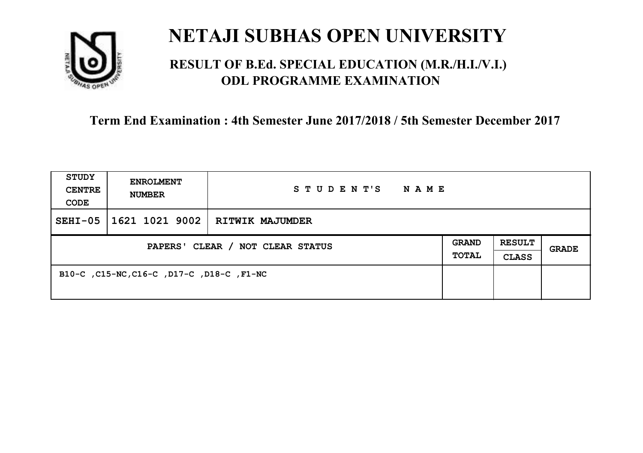

### **RESULT OF B.Ed. SPECIAL EDUCATION (M.R./H.I./V.I.) ODL PROGRAMME EXAMINATION**

| STUDY<br><b>CENTRE</b><br>CODE   | <b>ENROLMENT</b><br><b>NUMBER</b>         | STUDENT'S<br>NAME                |                              |                               |              |
|----------------------------------|-------------------------------------------|----------------------------------|------------------------------|-------------------------------|--------------|
| $SEHI-05$                        |                                           | 1621 1021 9002   RITWIK MAJUMDER |                              |                               |              |
| PAPERS' CLEAR / NOT CLEAR STATUS |                                           |                                  | <b>GRAND</b><br><b>TOTAL</b> | <b>RESULT</b><br><b>CLASS</b> | <b>GRADE</b> |
|                                  | B10-C, C15-NC, C16-C, D17-C, D18-C, F1-NC |                                  |                              |                               |              |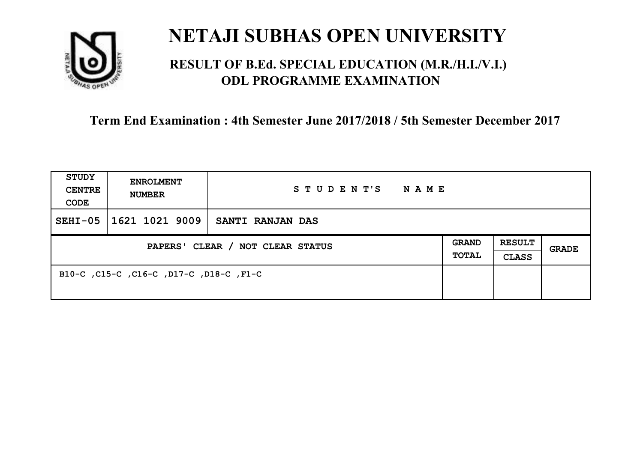

### **RESULT OF B.Ed. SPECIAL EDUCATION (M.R./H.I./V.I.) ODL PROGRAMME EXAMINATION**

| <b>STUDY</b><br><b>CENTRE</b><br>CODE | <b>ENROLMENT</b><br><b>NUMBER</b>       | STUDENT'S<br>NAME       |                       |                               |       |
|---------------------------------------|-----------------------------------------|-------------------------|-----------------------|-------------------------------|-------|
| $SEHI-05$                             | 1621 1021 9009                          | <b>SANTI RANJAN DAS</b> |                       |                               |       |
| PAPERS' CLEAR / NOT CLEAR STATUS      |                                         |                         | <b>GRAND</b><br>TOTAL | <b>RESULT</b><br><b>CLASS</b> | GRADE |
|                                       | B10-C, C15-C, C16-C, D17-C, D18-C, F1-C |                         |                       |                               |       |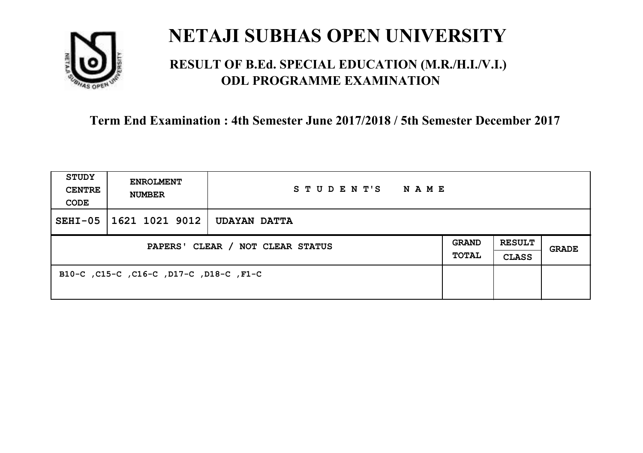

### **RESULT OF B.Ed. SPECIAL EDUCATION (M.R./H.I./V.I.) ODL PROGRAMME EXAMINATION**

| <b>STUDY</b><br><b>CENTRE</b><br>CODE | <b>ENROLMENT</b><br><b>NUMBER</b>       | STUDENT'S<br>NAME   |                       |                               |       |
|---------------------------------------|-----------------------------------------|---------------------|-----------------------|-------------------------------|-------|
| $SEHI-05$                             | 1621 1021 9012                          | <b>UDAYAN DATTA</b> |                       |                               |       |
| PAPERS' CLEAR / NOT CLEAR STATUS      |                                         |                     | <b>GRAND</b><br>TOTAL | <b>RESULT</b><br><b>CLASS</b> | GRADE |
|                                       | B10-C, C15-C, C16-C, D17-C, D18-C, F1-C |                     |                       |                               |       |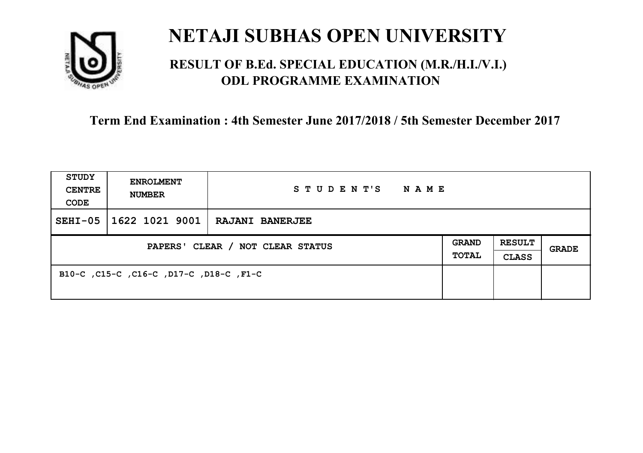

### **RESULT OF B.Ed. SPECIAL EDUCATION (M.R./H.I./V.I.) ODL PROGRAMME EXAMINATION**

| STUDY<br><b>CENTRE</b><br>CODE   | <b>ENROLMENT</b><br><b>NUMBER</b>       | STUDENT'S NAME                   |                              |                               |       |
|----------------------------------|-----------------------------------------|----------------------------------|------------------------------|-------------------------------|-------|
| $SEHI-05$                        |                                         | 1622 1021 9001   RAJANI BANERJEE |                              |                               |       |
| PAPERS' CLEAR / NOT CLEAR STATUS |                                         |                                  | <b>GRAND</b><br><b>TOTAL</b> | <b>RESULT</b><br><b>CLASS</b> | GRADE |
|                                  | B10-C, C15-C, C16-C, D17-C, D18-C, F1-C |                                  |                              |                               |       |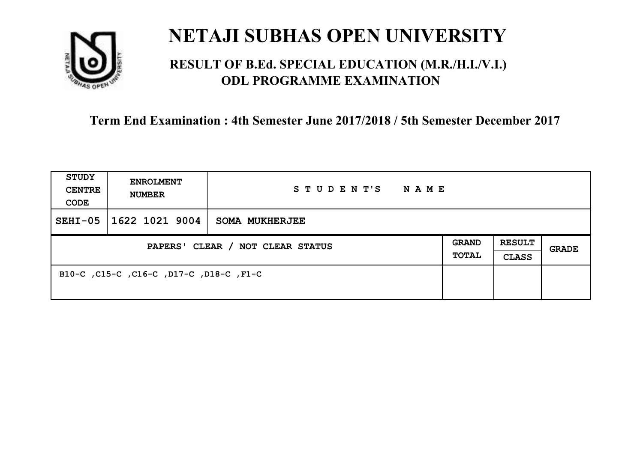

### **RESULT OF B.Ed. SPECIAL EDUCATION (M.R./H.I./V.I.) ODL PROGRAMME EXAMINATION**

| <b>STUDY</b><br><b>CENTRE</b><br>CODE | <b>ENROLMENT</b><br><b>NUMBER</b>       | STUDENT'S<br><b>NAME</b> |                       |                               |              |
|---------------------------------------|-----------------------------------------|--------------------------|-----------------------|-------------------------------|--------------|
| $SEHI-05$                             | 1622 1021 9004                          | <b>SOMA MUKHERJEE</b>    |                       |                               |              |
| PAPERS' CLEAR / NOT CLEAR STATUS      |                                         |                          | GRAND<br><b>TOTAL</b> | <b>RESULT</b><br><b>CLASS</b> | <b>GRADE</b> |
|                                       | B10-C, C15-C, C16-C, D17-C, D18-C, F1-C |                          |                       |                               |              |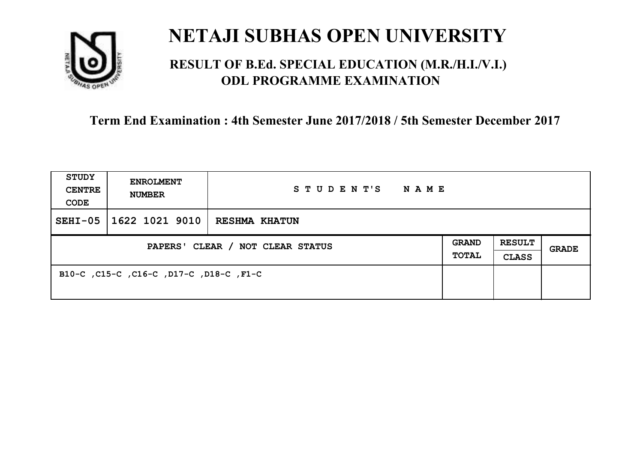

### **RESULT OF B.Ed. SPECIAL EDUCATION (M.R./H.I./V.I.) ODL PROGRAMME EXAMINATION**

| <b>STUDY</b><br><b>CENTRE</b><br>CODE | <b>ENROLMENT</b><br><b>NUMBER</b>       | STUDENT'S<br>NAME    |                       |                               |       |
|---------------------------------------|-----------------------------------------|----------------------|-----------------------|-------------------------------|-------|
| $SEHI-05$                             | 1622 1021 9010                          | <b>RESHMA KHATUN</b> |                       |                               |       |
| PAPERS' CLEAR / NOT CLEAR STATUS      |                                         |                      | <b>GRAND</b><br>TOTAL | <b>RESULT</b><br><b>CLASS</b> | GRADE |
|                                       | B10-C, C15-C, C16-C, D17-C, D18-C, F1-C |                      |                       |                               |       |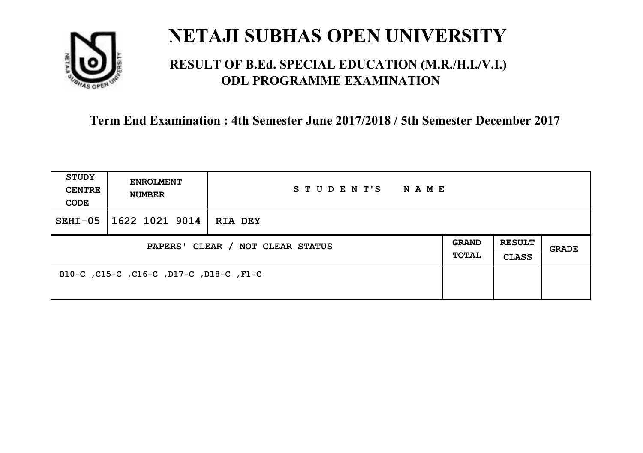

### **RESULT OF B.Ed. SPECIAL EDUCATION (M.R./H.I./V.I.) ODL PROGRAMME EXAMINATION**

| <b>STUDY</b><br><b>CENTRE</b><br>CODE | <b>ENROLMENT</b><br><b>NUMBER</b>       | STUDENT'S<br>NAME |  |                               |       |
|---------------------------------------|-----------------------------------------|-------------------|--|-------------------------------|-------|
| $SEHI-05$                             | 1622 1021 9014                          | RIA DEY           |  |                               |       |
| PAPERS' CLEAR / NOT CLEAR STATUS      |                                         |                   |  | <b>RESULT</b><br><b>CLASS</b> | GRADE |
|                                       | B10-C, C15-C, C16-C, D17-C, D18-C, F1-C |                   |  |                               |       |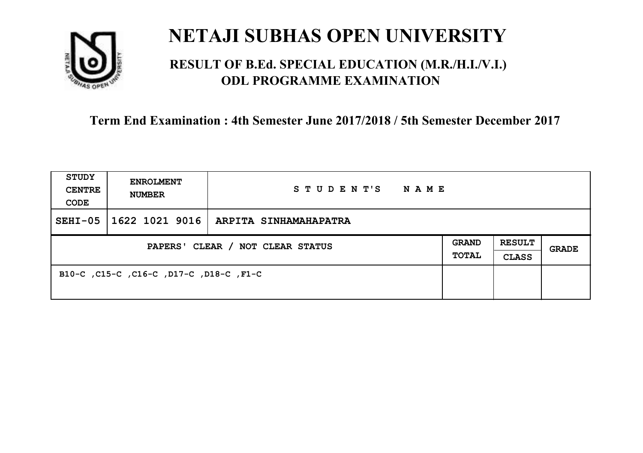

### **RESULT OF B.Ed. SPECIAL EDUCATION (M.R./H.I./V.I.) ODL PROGRAMME EXAMINATION**

| <b>STUDY</b><br><b>CENTRE</b><br>CODE | <b>ENROLMENT</b><br><b>NUMBER</b>       | STUDENT'S NAME        |  |                               |       |
|---------------------------------------|-----------------------------------------|-----------------------|--|-------------------------------|-------|
| $SEHI-05$                             | 1622 1021 9016                          | ARPITA SINHAMAHAPATRA |  |                               |       |
| PAPERS' CLEAR / NOT CLEAR STATUS      |                                         |                       |  | <b>RESULT</b><br><b>CLASS</b> | GRADE |
|                                       | B10-C, C15-C, C16-C, D17-C, D18-C, F1-C |                       |  |                               |       |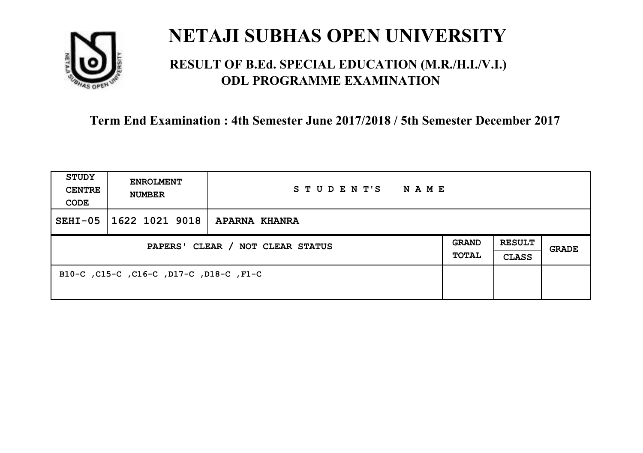

### **RESULT OF B.Ed. SPECIAL EDUCATION (M.R./H.I./V.I.) ODL PROGRAMME EXAMINATION**

| <b>STUDY</b><br><b>CENTRE</b><br>CODE | <b>ENROLMENT</b><br><b>NUMBER</b>       | STUDENT'S NAME       |                              |                               |              |
|---------------------------------------|-----------------------------------------|----------------------|------------------------------|-------------------------------|--------------|
| $SEHI-05$                             | 1622 1021 9018                          | <b>APARNA KHANRA</b> |                              |                               |              |
| PAPERS' CLEAR / NOT CLEAR STATUS      |                                         |                      | <b>GRAND</b><br><b>TOTAL</b> | <b>RESULT</b><br><b>CLASS</b> | <b>GRADE</b> |
|                                       | B10-C, C15-C, C16-C, D17-C, D18-C, F1-C |                      |                              |                               |              |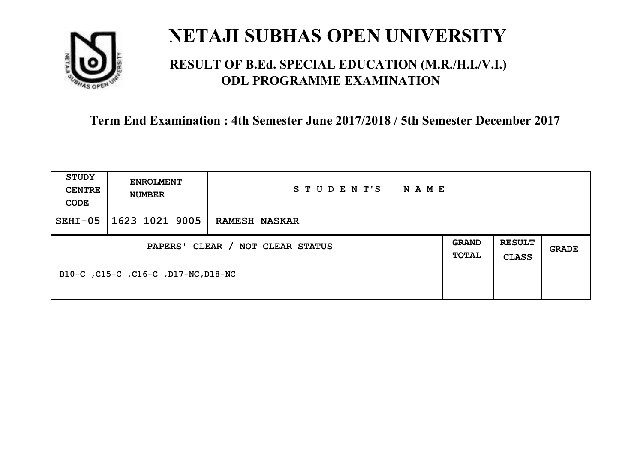

### **RESULT OF B.Ed. SPECIAL EDUCATION (M.R./H.I./V.I.) ODL PROGRAMME EXAMINATION**

| <b>STUDY</b><br><b>CENTRE</b><br>CODE | <b>ENROLMENT</b><br><b>NUMBER</b>   | STUDENT'S<br><b>NAME</b> |                              |                               |              |
|---------------------------------------|-------------------------------------|--------------------------|------------------------------|-------------------------------|--------------|
| $SEHI-05$                             | 1623 1021 9005                      | <b>RAMESH NASKAR</b>     |                              |                               |              |
| PAPERS' CLEAR / NOT CLEAR STATUS      |                                     |                          | <b>GRAND</b><br><b>TOTAL</b> | <b>RESULT</b><br><b>CLASS</b> | <b>GRADE</b> |
|                                       | B10-C, C15-C, C16-C, D17-NC, D18-NC |                          |                              |                               |              |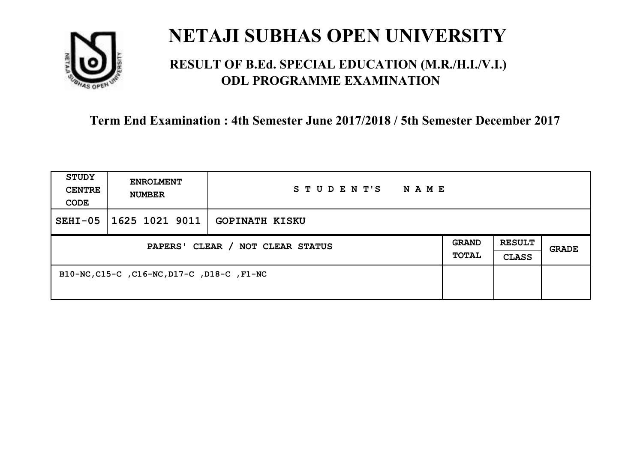

### **RESULT OF B.Ed. SPECIAL EDUCATION (M.R./H.I./V.I.) ODL PROGRAMME EXAMINATION**

| <b>STUDY</b><br><b>CENTRE</b><br>CODE | <b>ENROLMENT</b><br><b>NUMBER</b>          | STUDENT'S<br>N A M E  |                              |                               |       |
|---------------------------------------|--------------------------------------------|-----------------------|------------------------------|-------------------------------|-------|
| $SEHI-05$                             | 1625 1021 9011                             | <b>GOPINATH KISKU</b> |                              |                               |       |
| PAPERS' CLEAR / NOT CLEAR STATUS      |                                            |                       | <b>GRAND</b><br><b>TOTAL</b> | <b>RESULT</b><br><b>CLASS</b> | GRADE |
|                                       | B10-NC, C15-C, C16-NC, D17-C, D18-C, F1-NC |                       |                              |                               |       |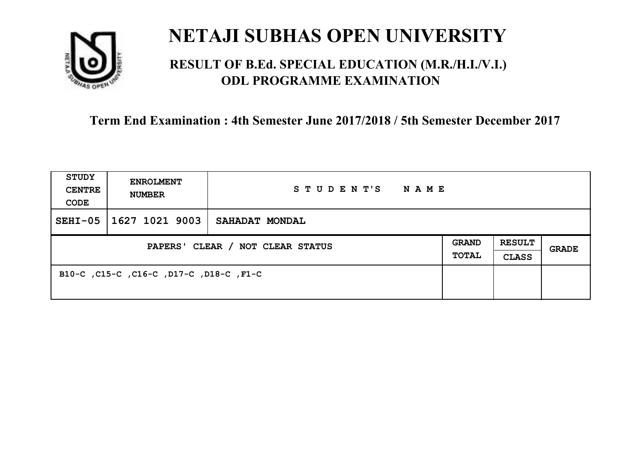

### **RESULT OF B.Ed. SPECIAL EDUCATION (M.R./H.I./V.I.) ODL PROGRAMME EXAMINATION**

| <b>STUDY</b><br><b>CENTRE</b><br>CODE | <b>ENROLMENT</b><br><b>NUMBER</b>       | STUDENT'S<br><b>NAME</b> |                              |                               |       |
|---------------------------------------|-----------------------------------------|--------------------------|------------------------------|-------------------------------|-------|
| $SEHI-05$                             | 1627 1021 9003                          | SAHADAT MONDAL           |                              |                               |       |
| PAPERS' CLEAR / NOT CLEAR STATUS      |                                         |                          | <b>GRAND</b><br><b>TOTAL</b> | <b>RESULT</b><br><b>CLASS</b> | GRADE |
|                                       | B10-C, C15-C, C16-C, D17-C, D18-C, F1-C |                          |                              |                               |       |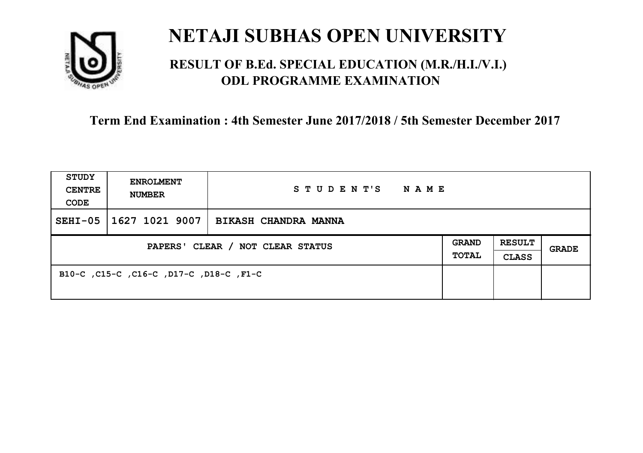

### **RESULT OF B.Ed. SPECIAL EDUCATION (M.R./H.I./V.I.) ODL PROGRAMME EXAMINATION**

| <b>STUDY</b><br><b>CENTRE</b><br>CODE | <b>ENROLMENT</b><br><b>NUMBER</b>       | STUDENT'S<br>NAME    |                              |                               |       |
|---------------------------------------|-----------------------------------------|----------------------|------------------------------|-------------------------------|-------|
| $SEHI-05$                             | 1627 1021 9007                          | BIKASH CHANDRA MANNA |                              |                               |       |
| PAPERS' CLEAR / NOT CLEAR STATUS      |                                         |                      | <b>GRAND</b><br><b>TOTAL</b> | <b>RESULT</b><br><b>CLASS</b> | GRADE |
|                                       | B10-C, C15-C, C16-C, D17-C, D18-C, F1-C |                      |                              |                               |       |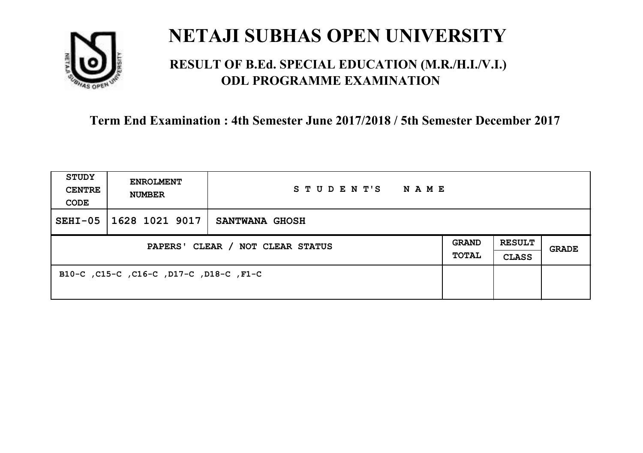

### **RESULT OF B.Ed. SPECIAL EDUCATION (M.R./H.I./V.I.) ODL PROGRAMME EXAMINATION**

| <b>STUDY</b><br><b>CENTRE</b><br>CODE | <b>ENROLMENT</b><br><b>NUMBER</b>       | STUDENT'S<br>NAME |                       |                               |       |
|---------------------------------------|-----------------------------------------|-------------------|-----------------------|-------------------------------|-------|
| $SEHI-05$                             | 1628 1021 9017                          | SANTWANA GHOSH    |                       |                               |       |
| PAPERS' CLEAR / NOT CLEAR STATUS      |                                         |                   | <b>GRAND</b><br>TOTAL | <b>RESULT</b><br><b>CLASS</b> | GRADE |
|                                       | B10-C, C15-C, C16-C, D17-C, D18-C, F1-C |                   |                       |                               |       |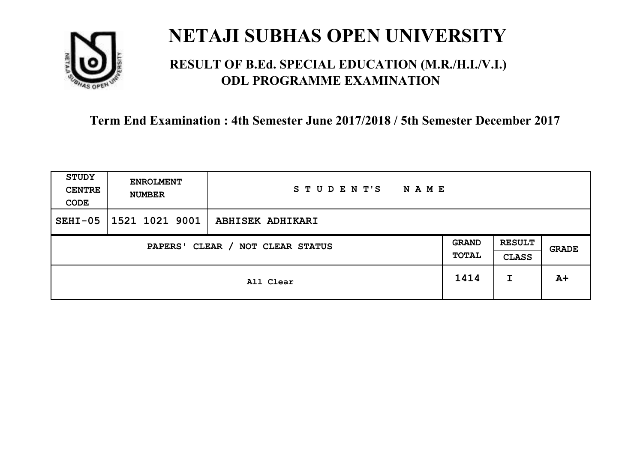

### **RESULT OF B.Ed. SPECIAL EDUCATION (M.R./H.I./V.I.) ODL PROGRAMME EXAMINATION**

| <b>STUDY</b><br><b>CENTRE</b><br>CODE | <b>ENROLMENT</b><br><b>NUMBER</b>   | STUDENT'S<br><b>NAME</b> |      |                               |       |
|---------------------------------------|-------------------------------------|--------------------------|------|-------------------------------|-------|
| $SEHI-05$                             | 1521 1021 9001                      | <b>ABHISEK ADHIKARI</b>  |      |                               |       |
|                                       | CLEAR / NOT CLEAR STATUS<br>PAPERS' |                          |      | <b>RESULT</b><br><b>CLASS</b> | GRADE |
|                                       | All Clear                           |                          | 1414 | I                             | $A+$  |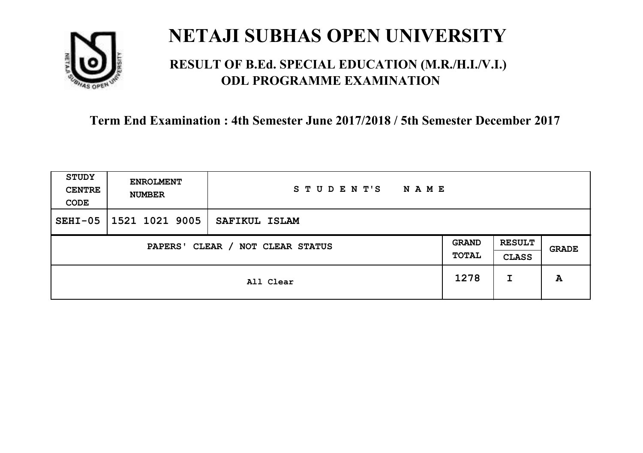

### **RESULT OF B.Ed. SPECIAL EDUCATION (M.R./H.I./V.I.) ODL PROGRAMME EXAMINATION**

| <b>STUDY</b><br><b>CENTRE</b><br>CODE | <b>ENROLMENT</b><br><b>NUMBER</b>   | STUDENT'S<br><b>NAME</b> |      |                               |       |
|---------------------------------------|-------------------------------------|--------------------------|------|-------------------------------|-------|
| $SEHI-05$                             | 1521 1021 9005                      | SAFIKUL ISLAM            |      |                               |       |
|                                       | CLEAR / NOT CLEAR STATUS<br>PAPERS' |                          |      | <b>RESULT</b><br><b>CLASS</b> | GRADE |
|                                       | All Clear                           |                          | 1278 | I                             | A     |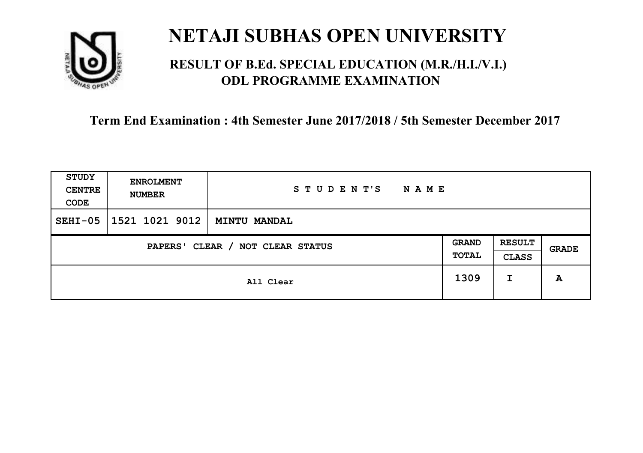

### **RESULT OF B.Ed. SPECIAL EDUCATION (M.R./H.I./V.I.) ODL PROGRAMME EXAMINATION**

| <b>STUDY</b><br><b>CENTRE</b><br>CODE | <b>ENROLMENT</b><br><b>NUMBER</b>   | STUDENT'S<br>NAME   |   |                               |              |
|---------------------------------------|-------------------------------------|---------------------|---|-------------------------------|--------------|
| $SEHI-05$                             | 1521 1021 9012                      | <b>MINTU MANDAL</b> |   |                               |              |
|                                       | CLEAR / NOT CLEAR STATUS<br>PAPERS' |                     |   | <b>RESULT</b><br><b>CLASS</b> | <b>GRADE</b> |
| All Clear                             |                                     | 1309                | I | A                             |              |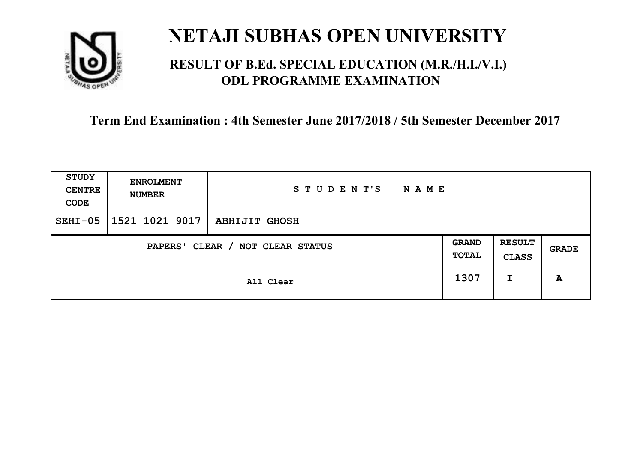

### **RESULT OF B.Ed. SPECIAL EDUCATION (M.R./H.I./V.I.) ODL PROGRAMME EXAMINATION**

| <b>STUDY</b><br><b>CENTRE</b><br>CODE | <b>ENROLMENT</b><br><b>NUMBER</b>   | STUDENT'S<br><b>NAME</b> |      |                               |       |
|---------------------------------------|-------------------------------------|--------------------------|------|-------------------------------|-------|
| $SEHI-05$                             | 1521 1021 9017                      | <b>ABHIJIT GHOSH</b>     |      |                               |       |
|                                       | CLEAR / NOT CLEAR STATUS<br>PAPERS' |                          |      | <b>RESULT</b><br><b>CLASS</b> | GRADE |
|                                       | All Clear                           |                          | 1307 | I                             | A     |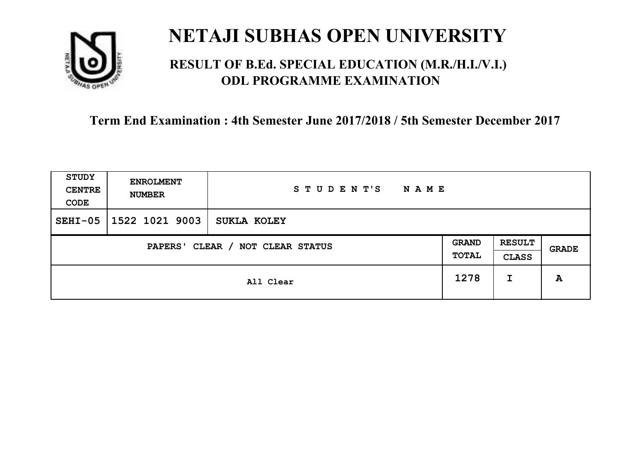

### **RESULT OF B.Ed. SPECIAL EDUCATION (M.R./H.I./V.I.) ODL PROGRAMME EXAMINATION**

| <b>STUDY</b><br><b>CENTRE</b><br>CODE | <b>ENROLMENT</b><br><b>NUMBER</b>   | STUDENT'S<br>NAME |      |                               |              |
|---------------------------------------|-------------------------------------|-------------------|------|-------------------------------|--------------|
| $SEHI-05$                             | 1522 1021 9003                      | SUKLA KOLEY       |      |                               |              |
|                                       | CLEAR / NOT CLEAR STATUS<br>PAPERS' |                   |      | <b>RESULT</b><br><b>CLASS</b> | <b>GRADE</b> |
|                                       | All Clear                           |                   | 1278 | I                             | A            |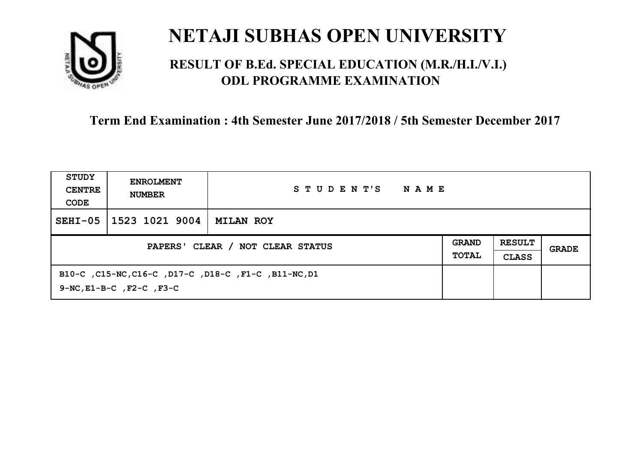

### **RESULT OF B.Ed. SPECIAL EDUCATION (M.R./H.I./V.I.) ODL PROGRAMME EXAMINATION**

| STUDY<br><b>CENTRE</b><br>CODE   | <b>ENROLMENT</b><br><b>NUMBER</b>                                                           | STUDENT'S<br>NAME |                              |                               |       |
|----------------------------------|---------------------------------------------------------------------------------------------|-------------------|------------------------------|-------------------------------|-------|
| $SEHI-05$                        | 1523 1021 9004                                                                              | <b>MILAN ROY</b>  |                              |                               |       |
| PAPERS' CLEAR / NOT CLEAR STATUS |                                                                                             |                   | <b>GRAND</b><br><b>TOTAL</b> | <b>RESULT</b><br><b>CLASS</b> | GRADE |
|                                  | B10-C, C15-NC, C16-C, D17-C, D18-C, F1-C, B11-NC, D1<br>$9-NC$ , $E1-B-C$ , $F2-C$ , $F3-C$ |                   |                              |                               |       |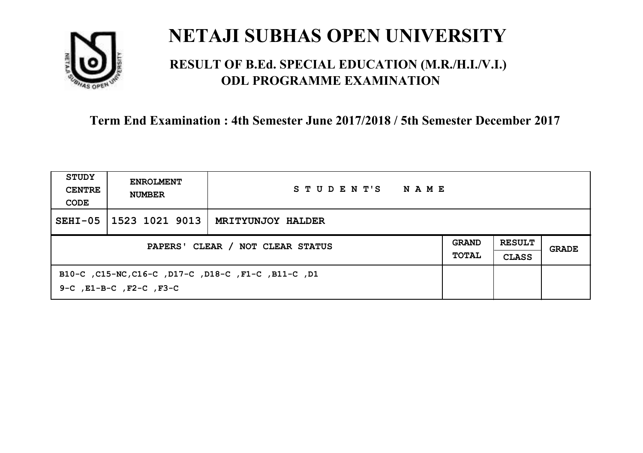

### **RESULT OF B.Ed. SPECIAL EDUCATION (M.R./H.I./V.I.) ODL PROGRAMME EXAMINATION**

| STUDY<br><b>CENTRE</b><br>CODE   | <b>ENROLMENT</b><br><b>NUMBER</b>                                                         | STUDENT'S<br>NAME        |                              |                               |       |
|----------------------------------|-------------------------------------------------------------------------------------------|--------------------------|------------------------------|-------------------------------|-------|
| $SEHI-05$                        | 1523 1021 9013                                                                            | <b>MRITYUNJOY HALDER</b> |                              |                               |       |
| PAPERS' CLEAR / NOT CLEAR STATUS |                                                                                           |                          | <b>GRAND</b><br><b>TOTAL</b> | <b>RESULT</b><br><b>CLASS</b> | GRADE |
|                                  | B10-C, C15-NC, C16-C, D17-C, D18-C, F1-C, B11-C, D1<br>$9-C$ , $E1-B-C$ , $F2-C$ , $F3-C$ |                          |                              |                               |       |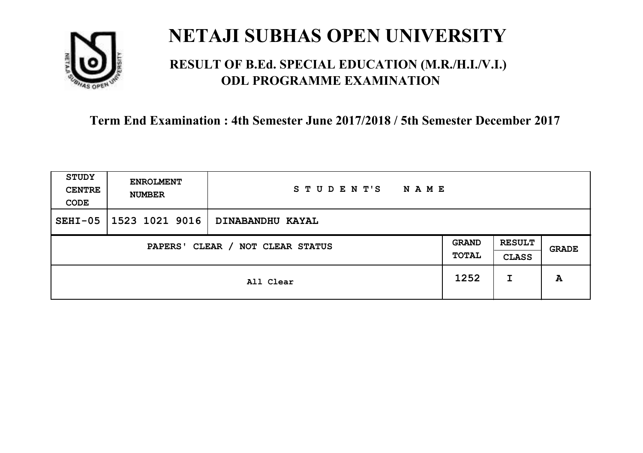

### **RESULT OF B.Ed. SPECIAL EDUCATION (M.R./H.I./V.I.) ODL PROGRAMME EXAMINATION**

| <b>STUDY</b><br><b>CENTRE</b><br>CODE | <b>ENROLMENT</b><br><b>NUMBER</b> | STUDENT'S<br><b>NAME</b> |                       |                               |       |
|---------------------------------------|-----------------------------------|--------------------------|-----------------------|-------------------------------|-------|
| $SEHI-05$                             | 1523 1021 9016                    | DINABANDHU KAYAL         |                       |                               |       |
| CLEAR / NOT CLEAR STATUS<br>PAPERS'   |                                   |                          | <b>GRAND</b><br>TOTAL | <b>RESULT</b><br><b>CLASS</b> | GRADE |
|                                       |                                   | All Clear                | 1252                  | I                             | A     |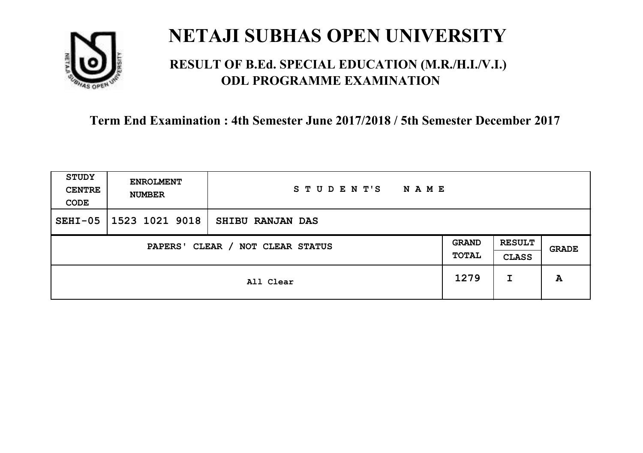

### **RESULT OF B.Ed. SPECIAL EDUCATION (M.R./H.I./V.I.) ODL PROGRAMME EXAMINATION**

| <b>STUDY</b><br><b>CENTRE</b><br>CODE | <b>ENROLMENT</b><br><b>NUMBER</b>   | STUDENT'S<br><b>NAME</b> |      |                               |       |
|---------------------------------------|-------------------------------------|--------------------------|------|-------------------------------|-------|
| $SEHI-05$                             | 1523 1021 9018                      | <b>SHIBU RANJAN DAS</b>  |      |                               |       |
|                                       | CLEAR / NOT CLEAR STATUS<br>PAPERS' |                          |      | <b>RESULT</b><br><b>CLASS</b> | GRADE |
|                                       |                                     | All Clear                | 1279 | I                             | A     |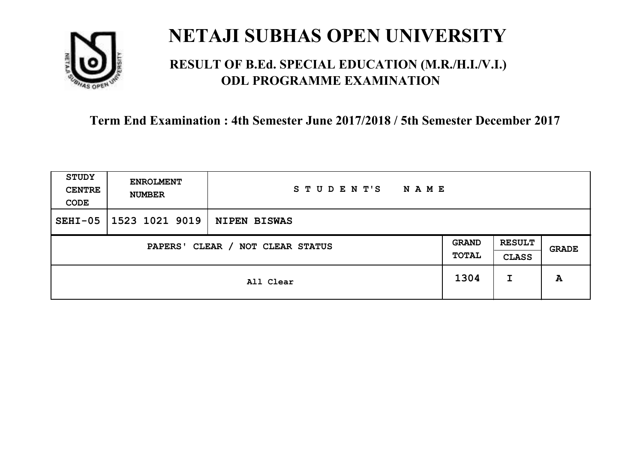

### **RESULT OF B.Ed. SPECIAL EDUCATION (M.R./H.I./V.I.) ODL PROGRAMME EXAMINATION**

| <b>STUDY</b><br><b>CENTRE</b><br>CODE | <b>ENROLMENT</b><br><b>NUMBER</b> | STUDENT'S<br>NAME   |      |                               |              |
|---------------------------------------|-----------------------------------|---------------------|------|-------------------------------|--------------|
| $SEHI-05$                             | 1523 1021 9019                    | <b>NIPEN BISWAS</b> |      |                               |              |
| CLEAR / NOT CLEAR STATUS<br>PAPERS'   |                                   |                     |      | <b>RESULT</b><br><b>CLASS</b> | <b>GRADE</b> |
|                                       |                                   | All Clear           | 1304 | I                             | A            |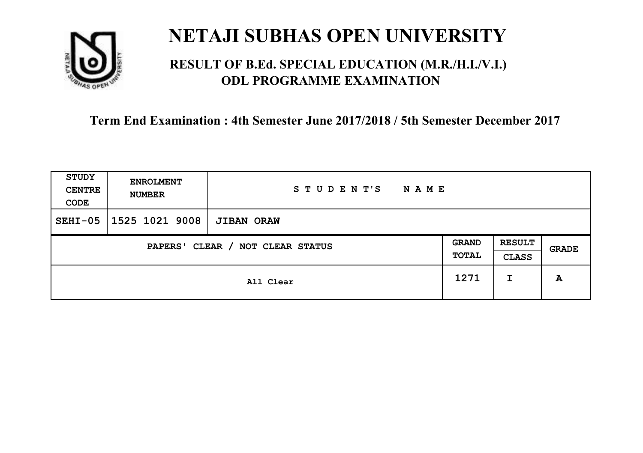

### **RESULT OF B.Ed. SPECIAL EDUCATION (M.R./H.I./V.I.) ODL PROGRAMME EXAMINATION**

| STUDY<br><b>CENTRE</b><br>CODE                                      | <b>ENROLMENT</b><br><b>NUMBER</b> | STUDENT'S<br><b>NAME</b> |      |                               |       |
|---------------------------------------------------------------------|-----------------------------------|--------------------------|------|-------------------------------|-------|
| $SEHI-05$                                                           | 1525 1021 9008                    | <b>JIBAN ORAW</b>        |      |                               |       |
| <b>GRAND</b><br>CLEAR / NOT CLEAR STATUS<br><b>PAPERS'</b><br>TOTAL |                                   |                          |      | <b>RESULT</b><br><b>CLASS</b> | GRADE |
|                                                                     |                                   | All Clear                | 1271 | I                             | A     |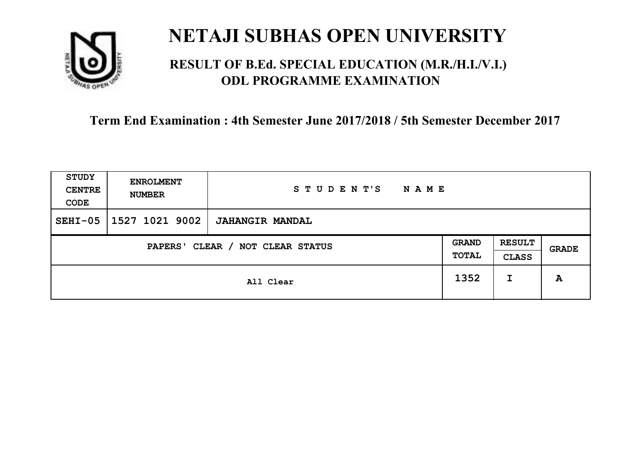

### **RESULT OF B.Ed. SPECIAL EDUCATION (M.R./H.I./V.I.) ODL PROGRAMME EXAMINATION**

| <b>STUDY</b><br><b>CENTRE</b><br>CODE | <b>ENROLMENT</b><br><b>NUMBER</b>   | STUDENT'S<br><b>NAME</b> |      |                               |       |
|---------------------------------------|-------------------------------------|--------------------------|------|-------------------------------|-------|
| $SEHI-05$                             | 1527 1021 9002                      | <b>JAHANGIR MANDAL</b>   |      |                               |       |
|                                       | CLEAR / NOT CLEAR STATUS<br>PAPERS' |                          |      | <b>RESULT</b><br><b>CLASS</b> | GRADE |
|                                       |                                     | All Clear                | 1352 | I                             | A     |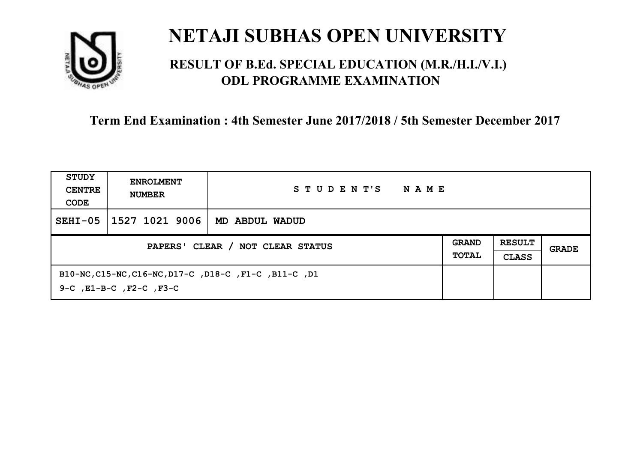

### **RESULT OF B.Ed. SPECIAL EDUCATION (M.R./H.I./V.I.) ODL PROGRAMME EXAMINATION**

| STUDY<br><b>CENTRE</b><br>CODE   | <b>ENROLMENT</b><br><b>NUMBER</b>  | STUDENT'S<br>NAME                                     |                              |                               |       |
|----------------------------------|------------------------------------|-------------------------------------------------------|------------------------------|-------------------------------|-------|
| $SEHI-05$                        | 1527 1021 9006                     | MD ABDUL WADUD                                        |                              |                               |       |
| PAPERS' CLEAR / NOT CLEAR STATUS |                                    |                                                       | <b>GRAND</b><br><b>TOTAL</b> | <b>RESULT</b><br><b>CLASS</b> | GRADE |
|                                  | $9-C$ , $E1-B-C$ , $F2-C$ , $F3-C$ | B10-NC, C15-NC, C16-NC, D17-C, D18-C, F1-C, B11-C, D1 |                              |                               |       |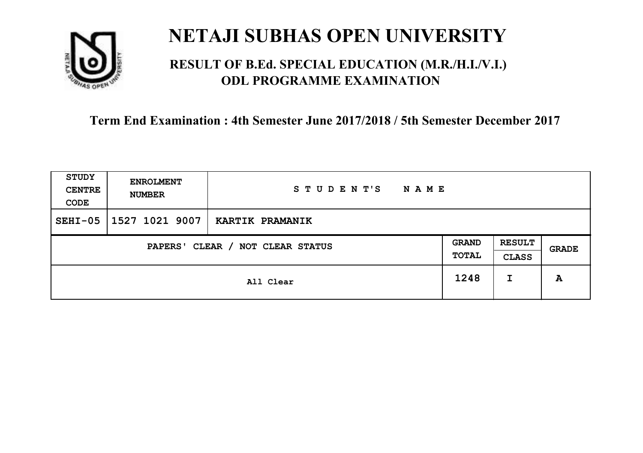

### **RESULT OF B.Ed. SPECIAL EDUCATION (M.R./H.I./V.I.) ODL PROGRAMME EXAMINATION**

| <b>STUDY</b><br><b>CENTRE</b><br>CODE | <b>ENROLMENT</b><br><b>NUMBER</b>   | STUDENT'S<br><b>NAME</b> |      |                               |       |
|---------------------------------------|-------------------------------------|--------------------------|------|-------------------------------|-------|
| $SEHI-05$                             | 1527 1021 9007                      | <b>KARTIK PRAMANIK</b>   |      |                               |       |
|                                       | CLEAR / NOT CLEAR STATUS<br>PAPERS' |                          |      | <b>RESULT</b><br><b>CLASS</b> | GRADE |
|                                       |                                     | All Clear                | 1248 | I                             | A     |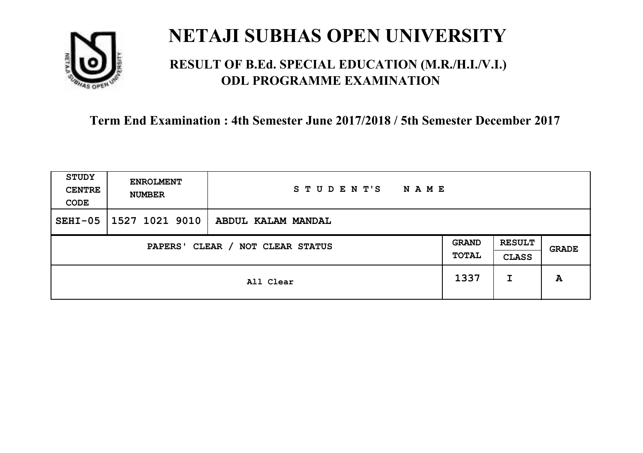

### **RESULT OF B.Ed. SPECIAL EDUCATION (M.R./H.I./V.I.) ODL PROGRAMME EXAMINATION**

| <b>STUDY</b><br><b>CENTRE</b><br>CODE | <b>ENROLMENT</b><br><b>NUMBER</b>   | STUDENT'S<br><b>NAME</b> |      |                               |              |
|---------------------------------------|-------------------------------------|--------------------------|------|-------------------------------|--------------|
| $SEHI-05$                             | 1527 1021 9010                      | ABDUL KALAM MANDAL       |      |                               |              |
|                                       | CLEAR / NOT CLEAR STATUS<br>PAPERS' |                          |      | <b>RESULT</b><br><b>CLASS</b> | <b>GRADE</b> |
|                                       |                                     | All Clear                | 1337 | I                             | A            |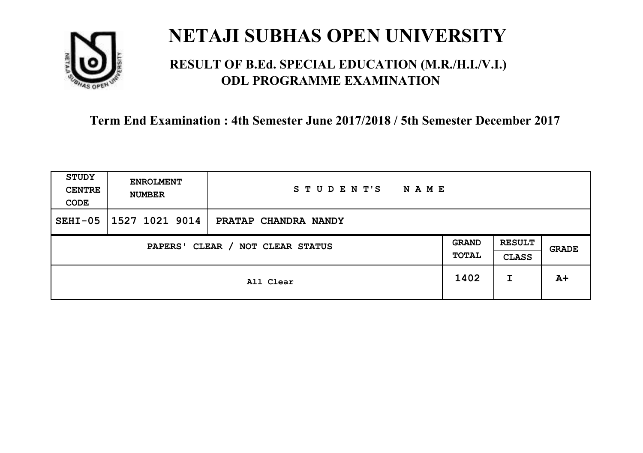

### **RESULT OF B.Ed. SPECIAL EDUCATION (M.R./H.I./V.I.) ODL PROGRAMME EXAMINATION**

| <b>STUDY</b><br><b>CENTRE</b><br>CODE      | <b>ENROLMENT</b><br><b>NUMBER</b> | STUDENT'S<br>NAME    |                              |                               |              |
|--------------------------------------------|-----------------------------------|----------------------|------------------------------|-------------------------------|--------------|
| $SEHI-05$                                  | 1527 1021 9014                    | PRATAP CHANDRA NANDY |                              |                               |              |
| CLEAR / NOT CLEAR STATUS<br><b>PAPERS'</b> |                                   |                      | <b>GRAND</b><br><b>TOTAL</b> | <b>RESULT</b><br><b>CLASS</b> | <b>GRADE</b> |
|                                            | All Clear                         |                      | 1402                         | I                             | $A+$         |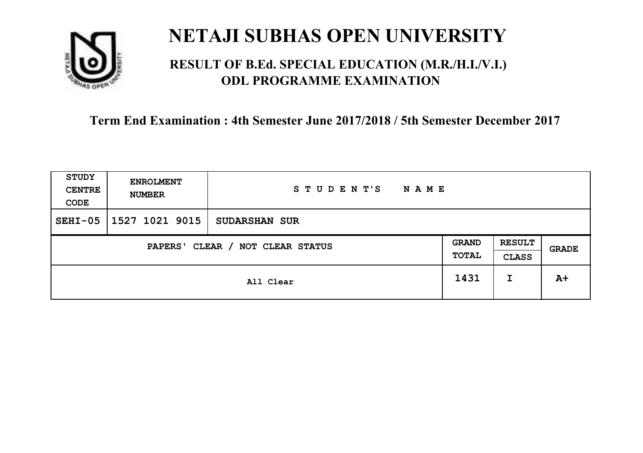

### **RESULT OF B.Ed. SPECIAL EDUCATION (M.R./H.I./V.I.) ODL PROGRAMME EXAMINATION**

| <b>STUDY</b><br><b>CENTRE</b><br>CODE | <b>ENROLMENT</b><br><b>NUMBER</b> | STUDENT'S<br><b>NAME</b> |                       |                               |       |
|---------------------------------------|-----------------------------------|--------------------------|-----------------------|-------------------------------|-------|
| $SEHI-05$                             | 1527 1021 9015                    | <b>SUDARSHAN SUR</b>     |                       |                               |       |
| CLEAR / NOT CLEAR STATUS<br>PAPERS'   |                                   |                          | <b>GRAND</b><br>TOTAL | <b>RESULT</b><br><b>CLASS</b> | GRADE |
|                                       |                                   | All Clear                | 1431                  | I                             | $A+$  |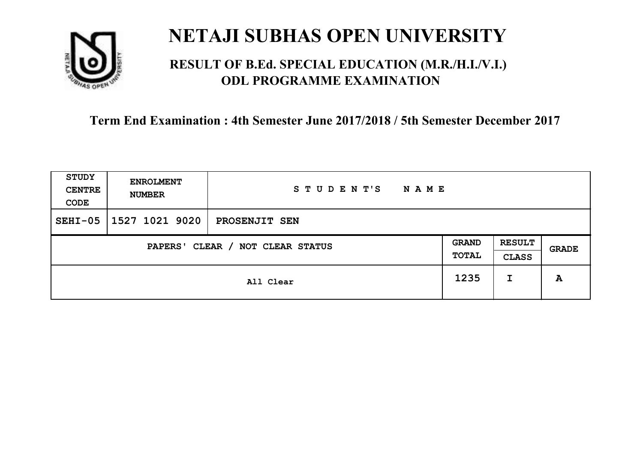

### **RESULT OF B.Ed. SPECIAL EDUCATION (M.R./H.I./V.I.) ODL PROGRAMME EXAMINATION**

| STUDY<br><b>CENTRE</b><br>CODE | <b>ENROLMENT</b><br><b>NUMBER</b>   | STUDENT'S<br>N A M E |      |                               |       |
|--------------------------------|-------------------------------------|----------------------|------|-------------------------------|-------|
| $SEHI-05$                      | 1527 1021 9020                      | PROSENJIT SEN        |      |                               |       |
|                                | CLEAR / NOT CLEAR STATUS<br>PAPERS' |                      |      | <b>RESULT</b><br><b>CLASS</b> | GRADE |
|                                |                                     | All Clear            | 1235 | I                             | A     |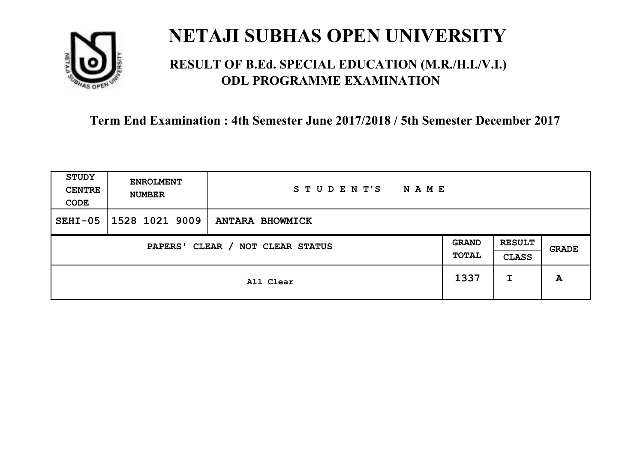

### **RESULT OF B.Ed. SPECIAL EDUCATION (M.R./H.I./V.I.) ODL PROGRAMME EXAMINATION**

| <b>STUDY</b><br><b>CENTRE</b><br>CODE | <b>ENROLMENT</b><br><b>NUMBER</b>   | STUDENT'S<br><b>NAME</b> |      |                               |       |
|---------------------------------------|-------------------------------------|--------------------------|------|-------------------------------|-------|
| $SEHI-05$                             | 1528 1021 9009                      | <b>ANTARA BHOWMICK</b>   |      |                               |       |
|                                       | CLEAR / NOT CLEAR STATUS<br>PAPERS' |                          |      | <b>RESULT</b><br><b>CLASS</b> | GRADE |
|                                       |                                     | All Clear                | 1337 | I                             | A     |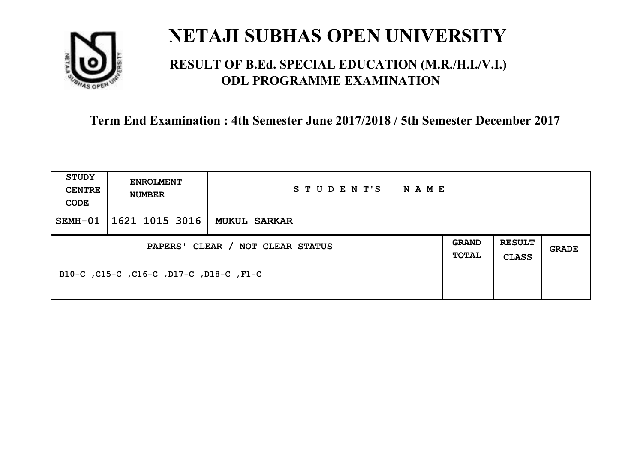

### **RESULT OF B.Ed. SPECIAL EDUCATION (M.R./H.I./V.I.) ODL PROGRAMME EXAMINATION**

| <b>STUDY</b><br><b>CENTRE</b><br>CODE | <b>ENROLMENT</b><br><b>NUMBER</b>       | STUDENT'S<br>NAME   |                              |                               |       |
|---------------------------------------|-----------------------------------------|---------------------|------------------------------|-------------------------------|-------|
| SEMH-01                               | 1621 1015 3016                          | <b>MUKUL SARKAR</b> |                              |                               |       |
| PAPERS' CLEAR / NOT CLEAR STATUS      |                                         |                     | <b>GRAND</b><br><b>TOTAL</b> | <b>RESULT</b><br><b>CLASS</b> | GRADE |
|                                       | B10-C, C15-C, C16-C, D17-C, D18-C, F1-C |                     |                              |                               |       |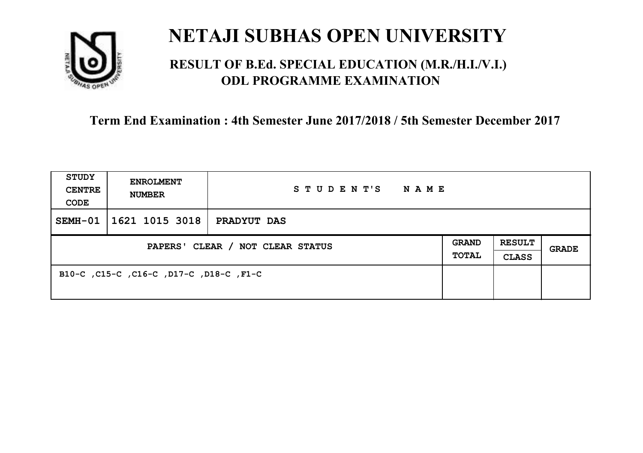

### **RESULT OF B.Ed. SPECIAL EDUCATION (M.R./H.I./V.I.) ODL PROGRAMME EXAMINATION**

| <b>STUDY</b><br><b>CENTRE</b><br>CODE | <b>ENROLMENT</b><br><b>NUMBER</b>       | STUDENT'S<br>NAME |                              |                               |       |
|---------------------------------------|-----------------------------------------|-------------------|------------------------------|-------------------------------|-------|
| SEMH-01                               | 1621 1015 3018                          | PRADYUT DAS       |                              |                               |       |
| PAPERS' CLEAR / NOT CLEAR STATUS      |                                         |                   | <b>GRAND</b><br><b>TOTAL</b> | <b>RESULT</b><br><b>CLASS</b> | GRADE |
|                                       | B10-C, C15-C, C16-C, D17-C, D18-C, F1-C |                   |                              |                               |       |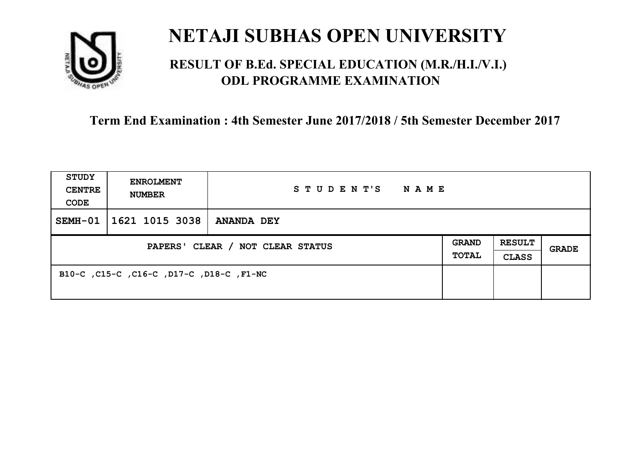

### **RESULT OF B.Ed. SPECIAL EDUCATION (M.R./H.I./V.I.) ODL PROGRAMME EXAMINATION**

| <b>STUDY</b><br><b>CENTRE</b><br>CODE | <b>ENROLMENT</b><br><b>NUMBER</b>        | STUDENT'S<br>N A M E |                              |                               |       |
|---------------------------------------|------------------------------------------|----------------------|------------------------------|-------------------------------|-------|
| $SEMH-01$                             | 1621 1015 3038                           | <b>ANANDA DEY</b>    |                              |                               |       |
| PAPERS' CLEAR / NOT CLEAR STATUS      |                                          |                      | <b>GRAND</b><br><b>TOTAL</b> | <b>RESULT</b><br><b>CLASS</b> | GRADE |
|                                       | B10-C, C15-C, C16-C, D17-C, D18-C, F1-NC |                      |                              |                               |       |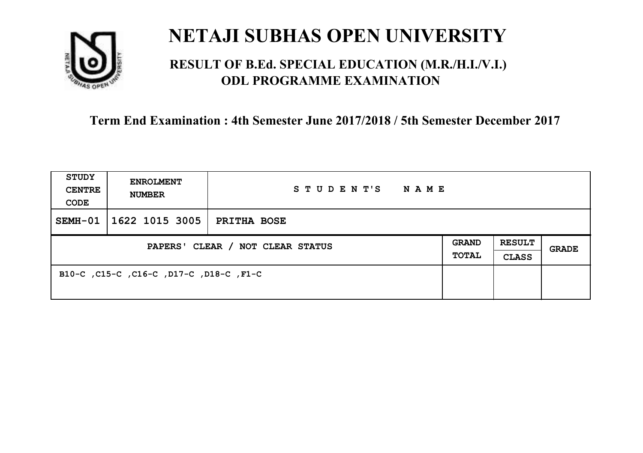

### **RESULT OF B.Ed. SPECIAL EDUCATION (M.R./H.I./V.I.) ODL PROGRAMME EXAMINATION**

| <b>STUDY</b><br><b>CENTRE</b><br>CODE | <b>ENROLMENT</b><br><b>NUMBER</b>       | STUDENT'S<br><b>NAME</b> |                              |                               |       |
|---------------------------------------|-----------------------------------------|--------------------------|------------------------------|-------------------------------|-------|
| $SEMH-01$                             | 1622 1015 3005                          | <b>PRITHA BOSE</b>       |                              |                               |       |
| PAPERS' CLEAR / NOT CLEAR STATUS      |                                         |                          | <b>GRAND</b><br><b>TOTAL</b> | <b>RESULT</b><br><b>CLASS</b> | GRADE |
|                                       | B10-C, C15-C, C16-C, D17-C, D18-C, F1-C |                          |                              |                               |       |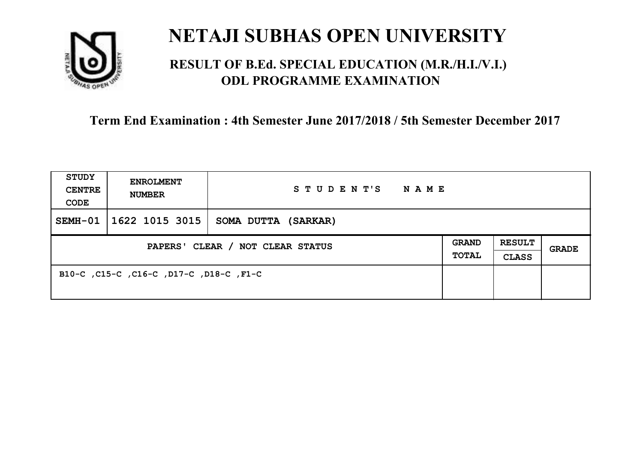

### **RESULT OF B.Ed. SPECIAL EDUCATION (M.R./H.I./V.I.) ODL PROGRAMME EXAMINATION**

| <b>STUDY</b><br><b>CENTRE</b><br>CODE | <b>ENROLMENT</b><br><b>NUMBER</b>       | STUDENT'S<br><b>NAME</b> |  |                               |       |
|---------------------------------------|-----------------------------------------|--------------------------|--|-------------------------------|-------|
| $SEMH-01$                             | 1622 1015 3015                          | SOMA DUTTA (SARKAR)      |  |                               |       |
| PAPERS' CLEAR / NOT CLEAR STATUS      |                                         |                          |  | <b>RESULT</b><br><b>CLASS</b> | GRADE |
|                                       | B10-C, C15-C, C16-C, D17-C, D18-C, F1-C |                          |  |                               |       |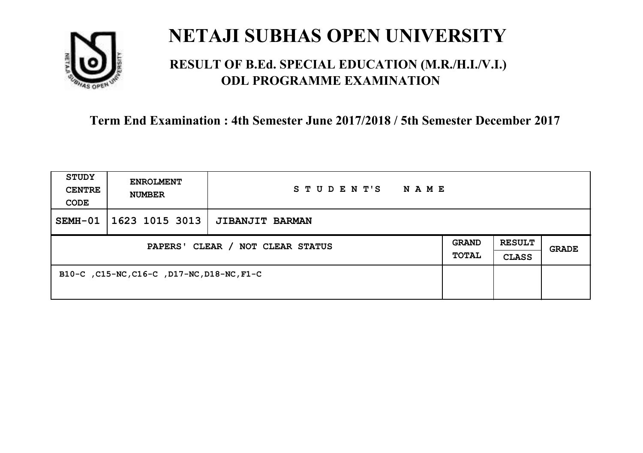

### **RESULT OF B.Ed. SPECIAL EDUCATION (M.R./H.I./V.I.) ODL PROGRAMME EXAMINATION**

| <b>STUDY</b><br><b>CENTRE</b><br>CODE | <b>ENROLMENT</b><br><b>NUMBER</b>          | STUDENT'S<br>NAME      |  |                               |              |
|---------------------------------------|--------------------------------------------|------------------------|--|-------------------------------|--------------|
| SEMH-01                               | 1623 1015 3013                             | <b>JIBANJIT BARMAN</b> |  |                               |              |
| PAPERS' CLEAR / NOT CLEAR STATUS      |                                            |                        |  | <b>RESULT</b><br><b>CLASS</b> | <b>GRADE</b> |
|                                       | B10-C, C15-NC, C16-C, D17-NC, D18-NC, F1-C |                        |  |                               |              |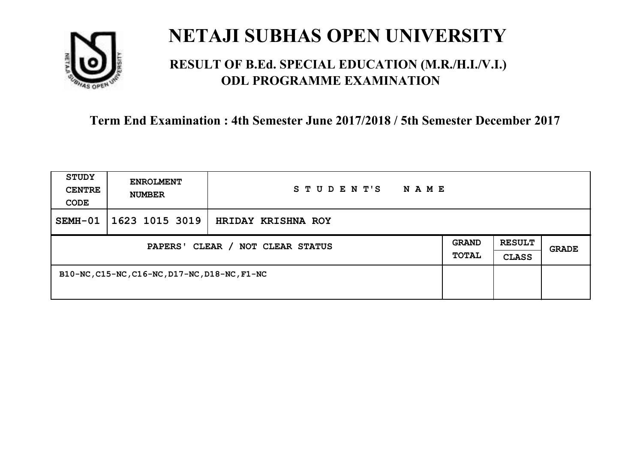

### **RESULT OF B.Ed. SPECIAL EDUCATION (M.R./H.I./V.I.) ODL PROGRAMME EXAMINATION**

| <b>STUDY</b><br><b>CENTRE</b><br>CODE | <b>ENROLMENT</b><br><b>NUMBER</b>             | STUDENT'S<br>N A M E |  |                               |       |
|---------------------------------------|-----------------------------------------------|----------------------|--|-------------------------------|-------|
| SEMH-01                               | 1623 1015 3019                                | HRIDAY KRISHNA ROY   |  |                               |       |
| PAPERS' CLEAR / NOT CLEAR STATUS      |                                               |                      |  | <b>RESULT</b><br><b>CLASS</b> | GRADE |
|                                       | B10-NC, C15-NC, C16-NC, D17-NC, D18-NC, F1-NC |                      |  |                               |       |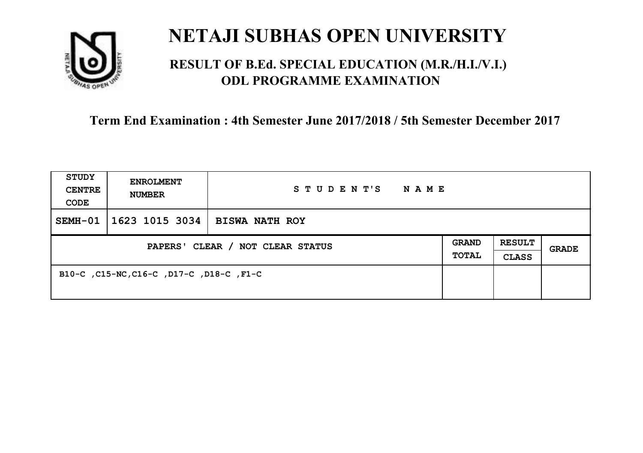

### **RESULT OF B.Ed. SPECIAL EDUCATION (M.R./H.I./V.I.) ODL PROGRAMME EXAMINATION**

| <b>STUDY</b><br><b>CENTRE</b><br>CODE | <b>ENROLMENT</b><br><b>NUMBER</b>        | STUDENT'S<br>N A M E  |                              |                               |       |
|---------------------------------------|------------------------------------------|-----------------------|------------------------------|-------------------------------|-------|
| $SEMH-01$                             | 1623 1015 3034                           | <b>BISWA NATH ROY</b> |                              |                               |       |
| PAPERS' CLEAR / NOT CLEAR STATUS      |                                          |                       | <b>GRAND</b><br><b>TOTAL</b> | <b>RESULT</b><br><b>CLASS</b> | GRADE |
|                                       | B10-C, C15-NC, C16-C, D17-C, D18-C, F1-C |                       |                              |                               |       |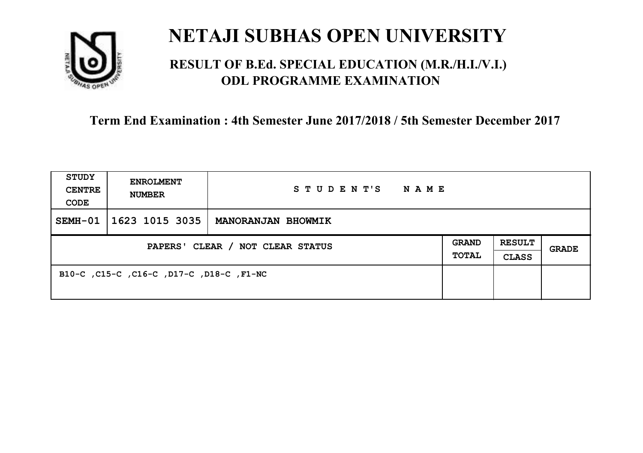

### **RESULT OF B.Ed. SPECIAL EDUCATION (M.R./H.I./V.I.) ODL PROGRAMME EXAMINATION**

| <b>STUDY</b><br><b>CENTRE</b><br>CODE | <b>ENROLMENT</b><br><b>NUMBER</b>        | STUDENT'S<br>NAME         |                              |                               |       |
|---------------------------------------|------------------------------------------|---------------------------|------------------------------|-------------------------------|-------|
| SEMH-01                               | 1623 1015 3035                           | <b>MANORANJAN BHOWMIK</b> |                              |                               |       |
| PAPERS' CLEAR / NOT CLEAR STATUS      |                                          |                           | <b>GRAND</b><br><b>TOTAL</b> | <b>RESULT</b><br><b>CLASS</b> | GRADE |
|                                       | B10-C, C15-C, C16-C, D17-C, D18-C, F1-NC |                           |                              |                               |       |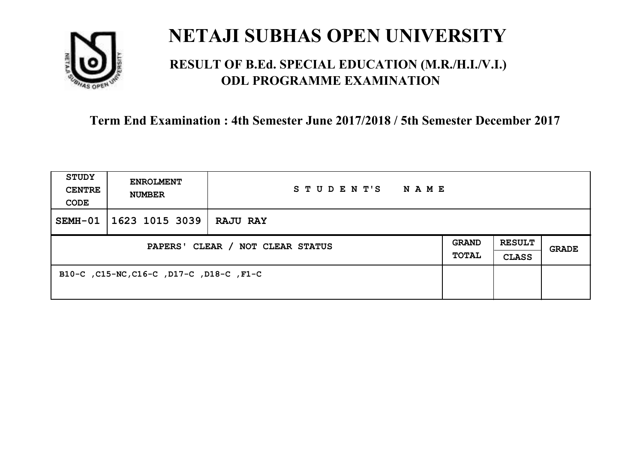

### **RESULT OF B.Ed. SPECIAL EDUCATION (M.R./H.I./V.I.) ODL PROGRAMME EXAMINATION**

| <b>STUDY</b><br><b>CENTRE</b><br>CODE | <b>ENROLMENT</b><br><b>NUMBER</b>        | STUDENT'S<br>NAME |  |                               |              |
|---------------------------------------|------------------------------------------|-------------------|--|-------------------------------|--------------|
| $SEMH-01$                             | $1623$ 1015 3039                         | <b>RAJU RAY</b>   |  |                               |              |
| PAPERS' CLEAR / NOT CLEAR STATUS      |                                          |                   |  | <b>RESULT</b><br><b>CLASS</b> | <b>GRADE</b> |
|                                       | B10-C, C15-NC, C16-C, D17-C, D18-C, F1-C |                   |  |                               |              |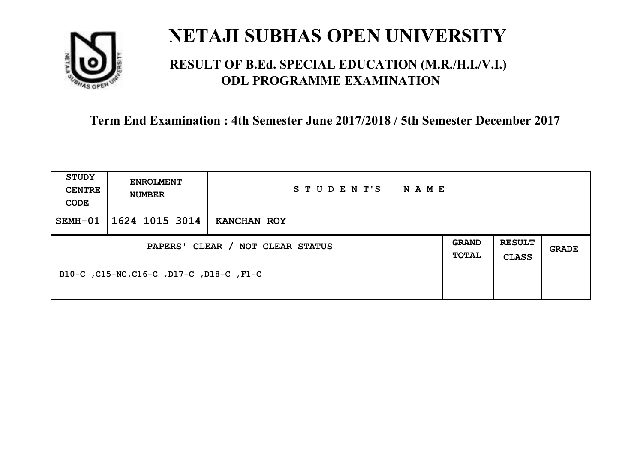

### **RESULT OF B.Ed. SPECIAL EDUCATION (M.R./H.I./V.I.) ODL PROGRAMME EXAMINATION**

| <b>STUDY</b><br><b>CENTRE</b><br>CODE | <b>ENROLMENT</b><br><b>NUMBER</b>        | STUDENT'S<br>N A M E |                              |                               |       |
|---------------------------------------|------------------------------------------|----------------------|------------------------------|-------------------------------|-------|
| $SEMH-01$                             | 1624 1015 3014                           | KANCHAN ROY          |                              |                               |       |
| PAPERS' CLEAR / NOT CLEAR STATUS      |                                          |                      | <b>GRAND</b><br><b>TOTAL</b> | <b>RESULT</b><br><b>CLASS</b> | GRADE |
|                                       | B10-C, C15-NC, C16-C, D17-C, D18-C, F1-C |                      |                              |                               |       |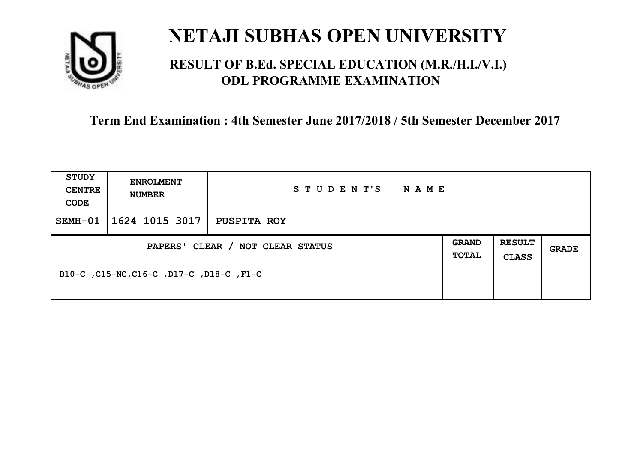

### **RESULT OF B.Ed. SPECIAL EDUCATION (M.R./H.I./V.I.) ODL PROGRAMME EXAMINATION**

| <b>STUDY</b><br><b>CENTRE</b><br>CODE | <b>ENROLMENT</b><br><b>NUMBER</b>        | STUDENT'S<br>N A M E |                              |                               |       |
|---------------------------------------|------------------------------------------|----------------------|------------------------------|-------------------------------|-------|
| $SEMH-01$                             | 1624 1015 3017                           | PUSPITA ROY          |                              |                               |       |
| PAPERS' CLEAR / NOT CLEAR STATUS      |                                          |                      | <b>GRAND</b><br><b>TOTAL</b> | <b>RESULT</b><br><b>CLASS</b> | GRADE |
|                                       | B10-C, C15-NC, C16-C, D17-C, D18-C, F1-C |                      |                              |                               |       |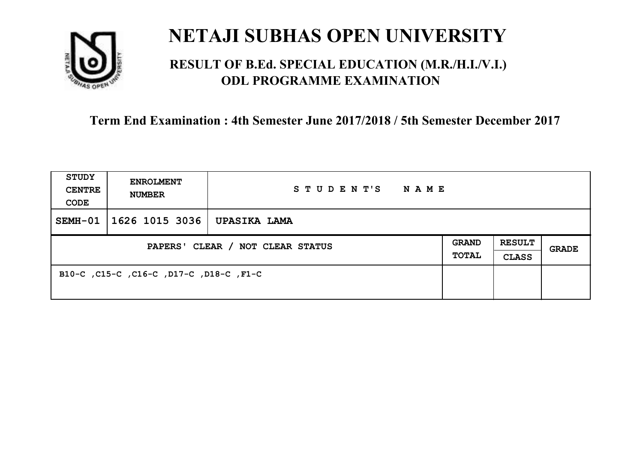

### **RESULT OF B.Ed. SPECIAL EDUCATION (M.R./H.I./V.I.) ODL PROGRAMME EXAMINATION**

| <b>STUDY</b><br><b>CENTRE</b><br>CODE | <b>ENROLMENT</b><br><b>NUMBER</b>       | STUDENT'S<br><b>NAME</b> |                              |                               |       |
|---------------------------------------|-----------------------------------------|--------------------------|------------------------------|-------------------------------|-------|
| $SEMH-01$                             | 1626 1015 3036                          | UPASIKA LAMA             |                              |                               |       |
| PAPERS' CLEAR / NOT CLEAR STATUS      |                                         |                          | <b>GRAND</b><br><b>TOTAL</b> | <b>RESULT</b><br><b>CLASS</b> | GRADE |
|                                       | B10-C, C15-C, C16-C, D17-C, D18-C, F1-C |                          |                              |                               |       |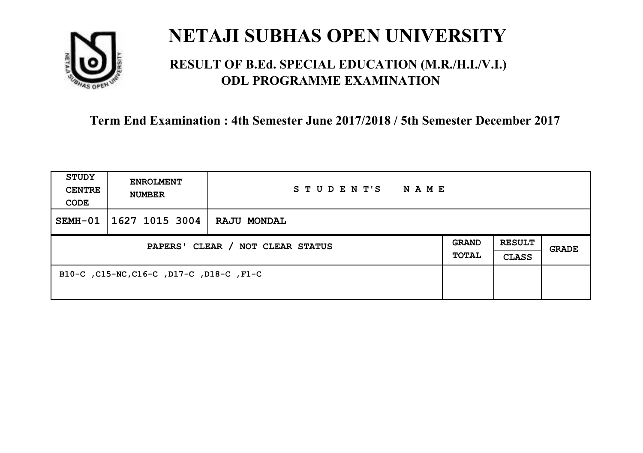

### **RESULT OF B.Ed. SPECIAL EDUCATION (M.R./H.I./V.I.) ODL PROGRAMME EXAMINATION**

| <b>STUDY</b><br><b>CENTRE</b><br>CODE | <b>ENROLMENT</b><br><b>NUMBER</b>        | STUDENT'S<br>NAME  |                              |                               |              |
|---------------------------------------|------------------------------------------|--------------------|------------------------------|-------------------------------|--------------|
| $SEMH-01$                             | 1627 1015 3004                           | <b>RAJU MONDAL</b> |                              |                               |              |
| PAPERS' CLEAR / NOT CLEAR STATUS      |                                          |                    | <b>GRAND</b><br><b>TOTAL</b> | <b>RESULT</b><br><b>CLASS</b> | <b>GRADE</b> |
|                                       | B10-C, C15-NC, C16-C, D17-C, D18-C, F1-C |                    |                              |                               |              |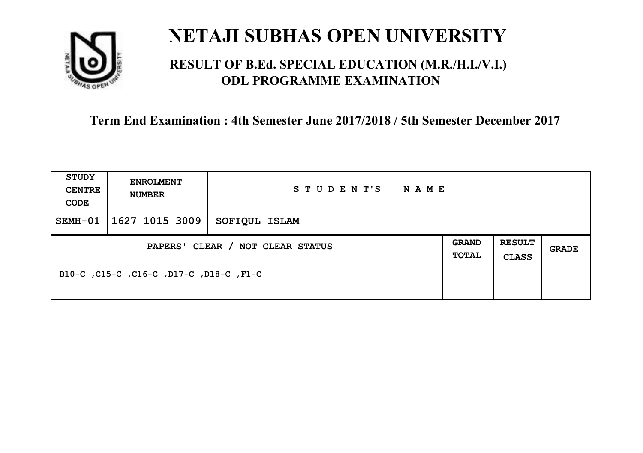

### **RESULT OF B.Ed. SPECIAL EDUCATION (M.R./H.I./V.I.) ODL PROGRAMME EXAMINATION**

| <b>STUDY</b><br><b>CENTRE</b><br>CODE | <b>ENROLMENT</b><br><b>NUMBER</b>       | STUDENT'S<br><b>NAME</b> |                              |                               |       |
|---------------------------------------|-----------------------------------------|--------------------------|------------------------------|-------------------------------|-------|
| $SEMH-01$                             | 1627 1015 3009                          | SOFIQUL ISLAM            |                              |                               |       |
| PAPERS' CLEAR / NOT CLEAR STATUS      |                                         |                          | <b>GRAND</b><br><b>TOTAL</b> | <b>RESULT</b><br><b>CLASS</b> | GRADE |
|                                       | B10-C, C15-C, C16-C, D17-C, D18-C, F1-C |                          |                              |                               |       |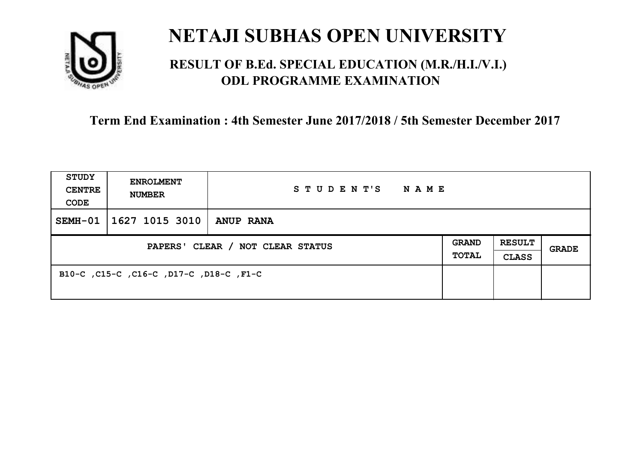

### **RESULT OF B.Ed. SPECIAL EDUCATION (M.R./H.I./V.I.) ODL PROGRAMME EXAMINATION**

| <b>STUDY</b><br><b>CENTRE</b><br>CODE | <b>ENROLMENT</b><br><b>NUMBER</b>       | STUDENT'S<br><b>NAME</b> |                              |                               |       |
|---------------------------------------|-----------------------------------------|--------------------------|------------------------------|-------------------------------|-------|
| SEMH-01                               | 1627 1015 3010                          | <b>ANUP RANA</b>         |                              |                               |       |
| PAPERS' CLEAR / NOT CLEAR STATUS      |                                         |                          | <b>GRAND</b><br><b>TOTAL</b> | <b>RESULT</b><br><b>CLASS</b> | GRADE |
|                                       | B10-C, C15-C, C16-C, D17-C, D18-C, F1-C |                          |                              |                               |       |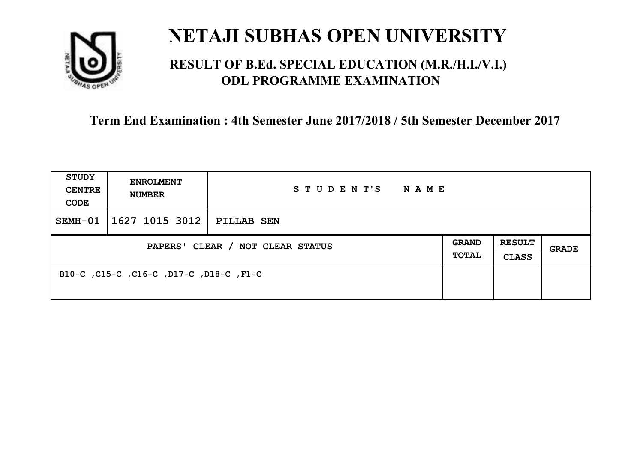

### **RESULT OF B.Ed. SPECIAL EDUCATION (M.R./H.I./V.I.) ODL PROGRAMME EXAMINATION**

| <b>STUDY</b><br><b>CENTRE</b><br>CODE | <b>ENROLMENT</b><br><b>NUMBER</b>       | STUDENT'S<br>NAME |                              |                               |       |
|---------------------------------------|-----------------------------------------|-------------------|------------------------------|-------------------------------|-------|
| SEMH-01                               | 1627 1015 3012                          | PILLAB SEN        |                              |                               |       |
| PAPERS' CLEAR / NOT CLEAR STATUS      |                                         |                   | <b>GRAND</b><br><b>TOTAL</b> | <b>RESULT</b><br><b>CLASS</b> | GRADE |
|                                       | B10-C, C15-C, C16-C, D17-C, D18-C, F1-C |                   |                              |                               |       |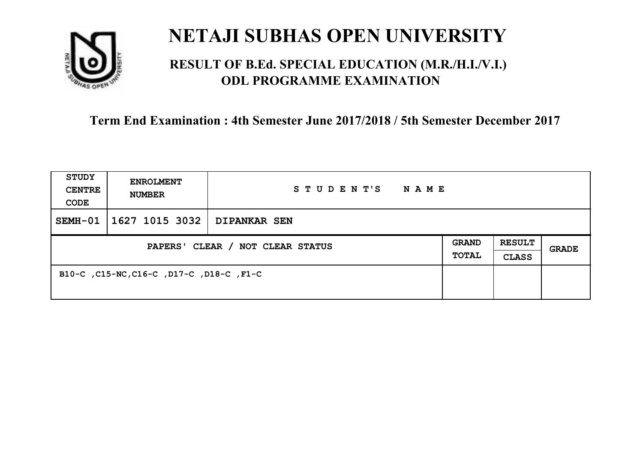

### **RESULT OF B.Ed. SPECIAL EDUCATION (M.R./H.I./V.I.) ODL PROGRAMME EXAMINATION**

| STUDY<br><b>CENTRE</b><br>CODE   | <b>ENROLMENT</b><br><b>NUMBER</b>        | STUDENT'S<br>NAME   |                              |                               |              |
|----------------------------------|------------------------------------------|---------------------|------------------------------|-------------------------------|--------------|
| SEMH-01                          | 1627 1015 3032                           | <b>DIPANKAR SEN</b> |                              |                               |              |
| PAPERS' CLEAR / NOT CLEAR STATUS |                                          |                     | <b>GRAND</b><br><b>TOTAL</b> | <b>RESULT</b><br><b>CLASS</b> | <b>GRADE</b> |
|                                  | B10-C, C15-NC, C16-C, D17-C, D18-C, F1-C |                     |                              |                               |              |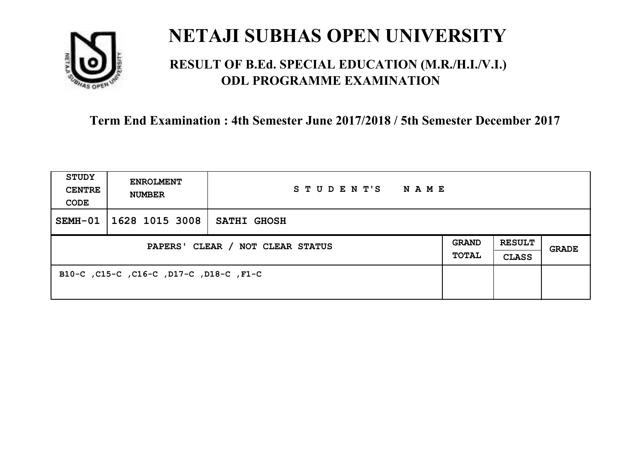

### **RESULT OF B.Ed. SPECIAL EDUCATION (M.R./H.I./V.I.) ODL PROGRAMME EXAMINATION**

| <b>STUDY</b><br><b>CENTRE</b><br>CODE | <b>ENROLMENT</b><br><b>NUMBER</b>       | STUDENT'S<br>NAME  |                              |                               |       |
|---------------------------------------|-----------------------------------------|--------------------|------------------------------|-------------------------------|-------|
| SEMH-01                               | 1628 1015 3008                          | <b>SATHI GHOSH</b> |                              |                               |       |
| PAPERS' CLEAR / NOT CLEAR STATUS      |                                         |                    | <b>GRAND</b><br><b>TOTAL</b> | <b>RESULT</b><br><b>CLASS</b> | GRADE |
|                                       | B10-C, C15-C, C16-C, D17-C, D18-C, F1-C |                    |                              |                               |       |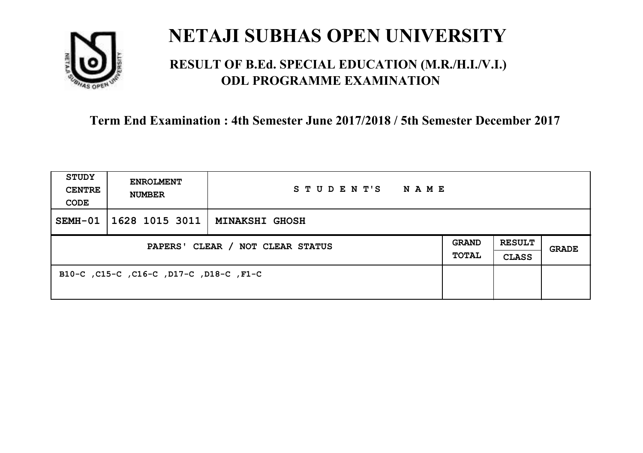

### **RESULT OF B.Ed. SPECIAL EDUCATION (M.R./H.I./V.I.) ODL PROGRAMME EXAMINATION**

| <b>STUDY</b><br><b>CENTRE</b><br>CODE | <b>ENROLMENT</b><br><b>NUMBER</b>       | STUDENT'S NAME |                       |                               |              |
|---------------------------------------|-----------------------------------------|----------------|-----------------------|-------------------------------|--------------|
| SEMH-01                               | 1628 1015 3011   MINAKSHI GHOSH         |                |                       |                               |              |
| PAPERS' CLEAR / NOT CLEAR STATUS      |                                         |                | GRAND<br><b>TOTAL</b> | <b>RESULT</b><br><b>CLASS</b> | <b>GRADE</b> |
|                                       | B10-C, C15-C, C16-C, D17-C, D18-C, F1-C |                |                       |                               |              |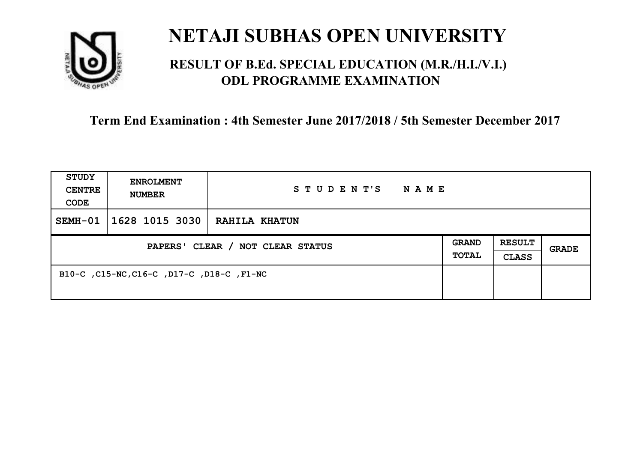

### **RESULT OF B.Ed. SPECIAL EDUCATION (M.R./H.I./V.I.) ODL PROGRAMME EXAMINATION**

| <b>STUDY</b><br><b>CENTRE</b><br>CODE | <b>ENROLMENT</b><br><b>NUMBER</b>         | STUDENT'S<br>N A M E |                              |                               |       |
|---------------------------------------|-------------------------------------------|----------------------|------------------------------|-------------------------------|-------|
| SEMH-01                               | 1628 1015 3030                            | RAHILA KHATUN        |                              |                               |       |
| PAPERS' CLEAR / NOT CLEAR STATUS      |                                           |                      | <b>GRAND</b><br><b>TOTAL</b> | <b>RESULT</b><br><b>CLASS</b> | GRADE |
|                                       | B10-C, C15-NC, C16-C, D17-C, D18-C, F1-NC |                      |                              |                               |       |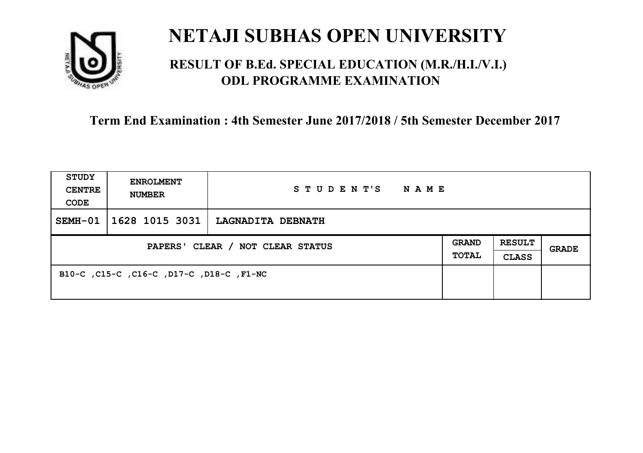

### **RESULT OF B.Ed. SPECIAL EDUCATION (M.R./H.I./V.I.) ODL PROGRAMME EXAMINATION**

| <b>STUDY</b><br><b>CENTRE</b><br>CODE | <b>ENROLMENT</b><br><b>NUMBER</b>        | STUDENT'S<br><b>NAME</b> |                              |                               |       |
|---------------------------------------|------------------------------------------|--------------------------|------------------------------|-------------------------------|-------|
| SEMH-01                               | 1628 1015 3031                           | LAGNADITA DEBNATH        |                              |                               |       |
| PAPERS' CLEAR / NOT CLEAR STATUS      |                                          |                          | <b>GRAND</b><br><b>TOTAL</b> | <b>RESULT</b><br><b>CLASS</b> | GRADE |
|                                       | B10-C, C15-C, C16-C, D17-C, D18-C, F1-NC |                          |                              |                               |       |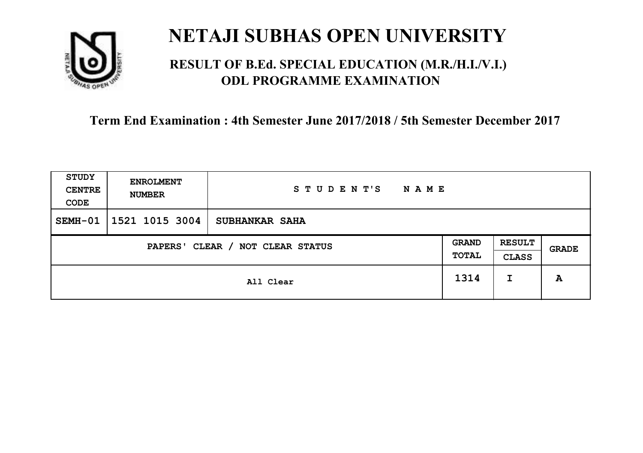

### **RESULT OF B.Ed. SPECIAL EDUCATION (M.R./H.I./V.I.) ODL PROGRAMME EXAMINATION**

| <b>STUDY</b><br><b>CENTRE</b><br>CODE | <b>ENROLMENT</b><br><b>NUMBER</b> | STUDENT'S<br><b>NAME</b> |                       |                               |       |
|---------------------------------------|-----------------------------------|--------------------------|-----------------------|-------------------------------|-------|
| SEMH-01                               | 1521 1015 3004                    | <b>SUBHANKAR SAHA</b>    |                       |                               |       |
| CLEAR / NOT CLEAR STATUS<br>PAPERS'   |                                   |                          | <b>GRAND</b><br>TOTAL | <b>RESULT</b><br><b>CLASS</b> | GRADE |
|                                       |                                   | All Clear                | 1314                  | I                             | A     |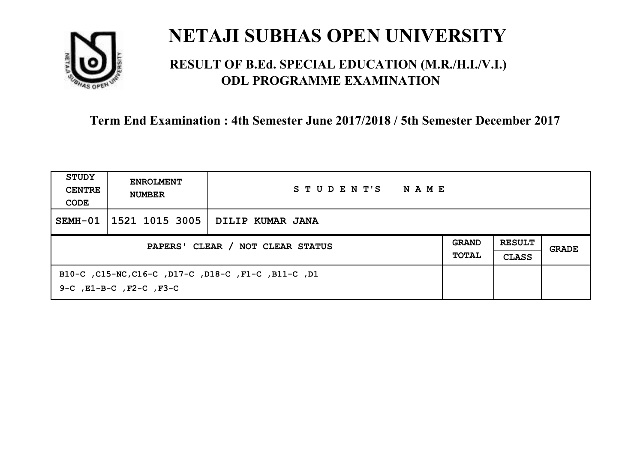

### **RESULT OF B.Ed. SPECIAL EDUCATION (M.R./H.I./V.I.) ODL PROGRAMME EXAMINATION**

| STUDY<br><b>CENTRE</b><br>CODE   | <b>ENROLMENT</b><br><b>NUMBER</b>                                                         | STUDENT'S<br>NAME |                              |                               |       |
|----------------------------------|-------------------------------------------------------------------------------------------|-------------------|------------------------------|-------------------------------|-------|
| SEMH-01                          | 1521 1015 3005                                                                            | DILIP KUMAR JANA  |                              |                               |       |
| PAPERS' CLEAR / NOT CLEAR STATUS |                                                                                           |                   | <b>GRAND</b><br><b>TOTAL</b> | <b>RESULT</b><br><b>CLASS</b> | GRADE |
|                                  | B10-C, C15-NC, C16-C, D17-C, D18-C, F1-C, B11-C, D1<br>$9-C$ , $E1-B-C$ , $F2-C$ , $F3-C$ |                   |                              |                               |       |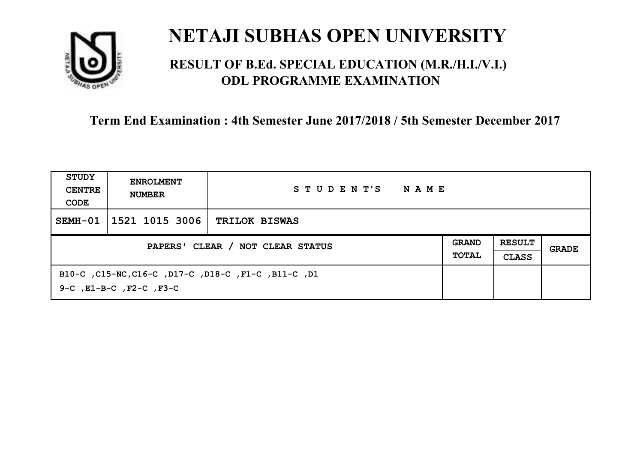

### **RESULT OF B.Ed. SPECIAL EDUCATION (M.R./H.I./V.I.) ODL PROGRAMME EXAMINATION**

| STUDY<br><b>CENTRE</b><br>CODE   | <b>ENROLMENT</b><br><b>NUMBER</b>                                                         | STUDENT'S<br>NAME    |                              |                               |       |
|----------------------------------|-------------------------------------------------------------------------------------------|----------------------|------------------------------|-------------------------------|-------|
| SEMH-01                          | 1521 1015 3006                                                                            | <b>TRILOK BISWAS</b> |                              |                               |       |
| PAPERS' CLEAR / NOT CLEAR STATUS |                                                                                           |                      | <b>GRAND</b><br><b>TOTAL</b> | <b>RESULT</b><br><b>CLASS</b> | GRADE |
|                                  | B10-C, C15-NC, C16-C, D17-C, D18-C, F1-C, B11-C, D1<br>$9-C$ , $E1-B-C$ , $F2-C$ , $F3-C$ |                      |                              |                               |       |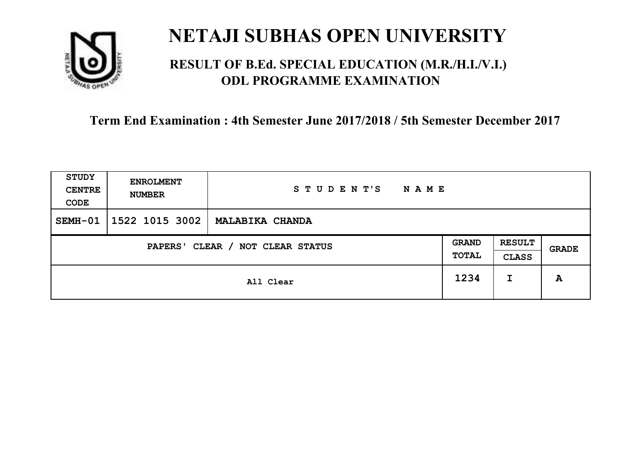

### **RESULT OF B.Ed. SPECIAL EDUCATION (M.R./H.I./V.I.) ODL PROGRAMME EXAMINATION**

| <b>STUDY</b><br><b>CENTRE</b><br>CODE | <b>ENROLMENT</b><br><b>NUMBER</b> | STUDENT'S<br><b>NAME</b> |                       |                               |       |
|---------------------------------------|-----------------------------------|--------------------------|-----------------------|-------------------------------|-------|
| SEMH-01                               | 1522 1015 3002                    | <b>MALABIKA CHANDA</b>   |                       |                               |       |
| CLEAR / NOT CLEAR STATUS<br>PAPERS'   |                                   |                          | <b>GRAND</b><br>TOTAL | <b>RESULT</b><br><b>CLASS</b> | GRADE |
|                                       | All Clear                         |                          | 1234                  | I                             | A     |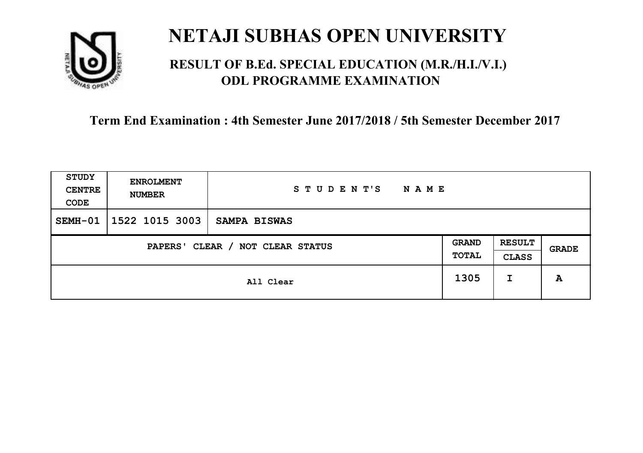

### **RESULT OF B.Ed. SPECIAL EDUCATION (M.R./H.I./V.I.) ODL PROGRAMME EXAMINATION**

| STUDY<br><b>CENTRE</b><br>CODE | <b>ENROLMENT</b><br><b>NUMBER</b>   | STUDENT'S<br>N A M E |      |                               |       |
|--------------------------------|-------------------------------------|----------------------|------|-------------------------------|-------|
| SEMH-01                        | $1522$ 1015 3003                    | <b>SAMPA BISWAS</b>  |      |                               |       |
|                                | CLEAR / NOT CLEAR STATUS<br>PAPERS' |                      |      | <b>RESULT</b><br><b>CLASS</b> | GRADE |
|                                | All Clear                           |                      | 1305 | I                             | A     |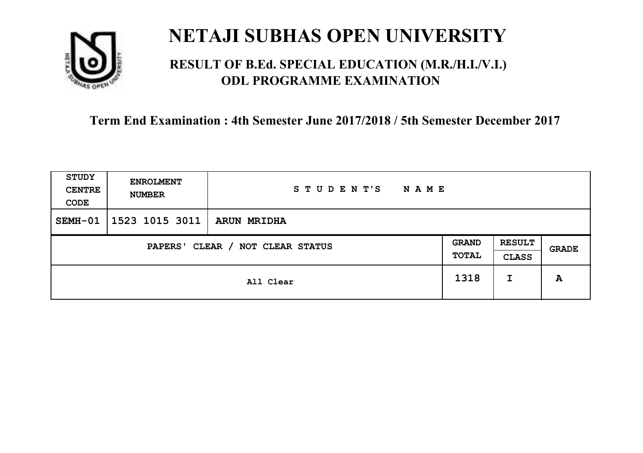

### **RESULT OF B.Ed. SPECIAL EDUCATION (M.R./H.I./V.I.) ODL PROGRAMME EXAMINATION**

| <b>STUDY</b><br><b>CENTRE</b><br>CODE | <b>ENROLMENT</b><br><b>NUMBER</b> | STUDENT'S<br>NAME  |                       |                               |              |
|---------------------------------------|-----------------------------------|--------------------|-----------------------|-------------------------------|--------------|
| SEMH-01                               | 1523 1015 3011                    | <b>ARUN MRIDHA</b> |                       |                               |              |
| CLEAR / NOT CLEAR STATUS<br>PAPERS'   |                                   |                    | <b>GRAND</b><br>TOTAL | <b>RESULT</b><br><b>CLASS</b> | <b>GRADE</b> |
|                                       | All Clear                         |                    | 1318                  | I                             | A            |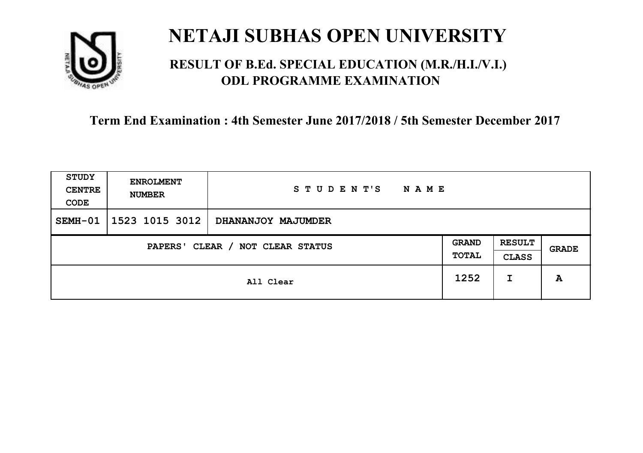

### **RESULT OF B.Ed. SPECIAL EDUCATION (M.R./H.I./V.I.) ODL PROGRAMME EXAMINATION**

| <b>STUDY</b><br><b>CENTRE</b><br>CODE | <b>ENROLMENT</b><br><b>NUMBER</b>   | STUDENT'S<br><b>NAME</b> |      |                               |       |
|---------------------------------------|-------------------------------------|--------------------------|------|-------------------------------|-------|
| SEMH-01                               | 1523 1015 3012                      | DHANANJOY MAJUMDER       |      |                               |       |
|                                       | CLEAR / NOT CLEAR STATUS<br>PAPERS' |                          |      | <b>RESULT</b><br><b>CLASS</b> | GRADE |
|                                       | All Clear                           |                          | 1252 | I                             | A     |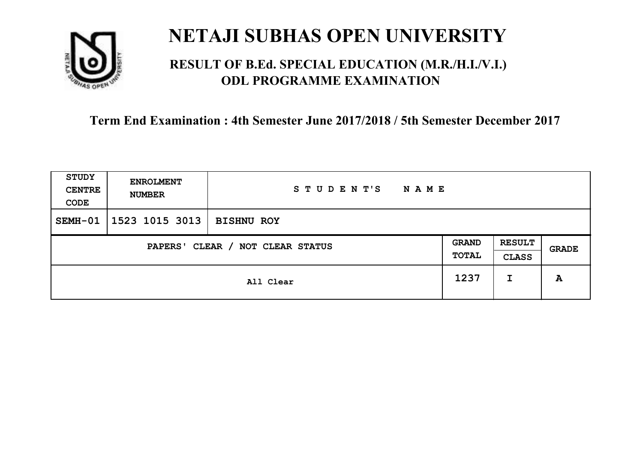

### **RESULT OF B.Ed. SPECIAL EDUCATION (M.R./H.I./V.I.) ODL PROGRAMME EXAMINATION**

| STUDY<br><b>CENTRE</b><br>CODE      | <b>ENROLMENT</b><br><b>NUMBER</b> | STUDENT'S<br><b>NAME</b> |                       |                               |       |
|-------------------------------------|-----------------------------------|--------------------------|-----------------------|-------------------------------|-------|
| SEMH-01                             | 1523 1015 3013                    | <b>BISHNU ROY</b>        |                       |                               |       |
| CLEAR / NOT CLEAR STATUS<br>PAPERS' |                                   |                          | <b>GRAND</b><br>TOTAL | <b>RESULT</b><br><b>CLASS</b> | GRADE |
|                                     | All Clear                         |                          | 1237                  | I                             | A     |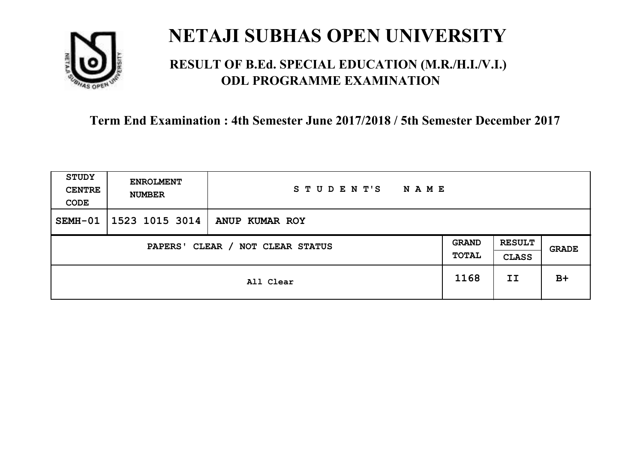

### **RESULT OF B.Ed. SPECIAL EDUCATION (M.R./H.I./V.I.) ODL PROGRAMME EXAMINATION**

| <b>STUDY</b><br><b>CENTRE</b><br>CODE | <b>ENROLMENT</b><br><b>NUMBER</b>   | STUDENT'S<br><b>NAME</b> |      |                               |       |
|---------------------------------------|-------------------------------------|--------------------------|------|-------------------------------|-------|
| SEMH-01                               | 1523 1015 3014                      | ANUP KUMAR ROY           |      |                               |       |
|                                       | CLEAR / NOT CLEAR STATUS<br>PAPERS' |                          |      | <b>RESULT</b><br><b>CLASS</b> | GRADE |
|                                       | All Clear                           |                          | 1168 | II                            | $B+$  |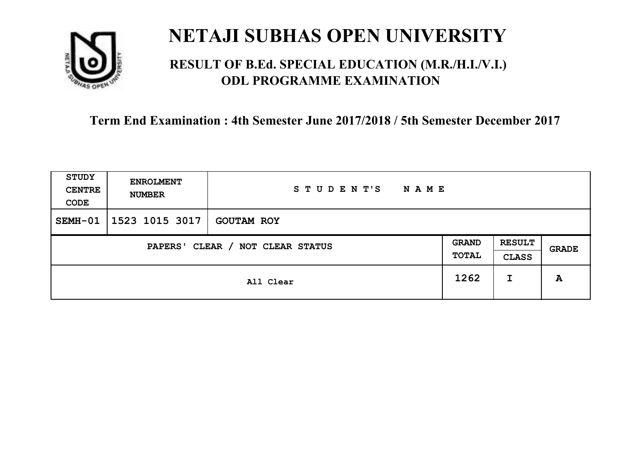

### **RESULT OF B.Ed. SPECIAL EDUCATION (M.R./H.I./V.I.) ODL PROGRAMME EXAMINATION**

| STUDY<br><b>CENTRE</b><br>CODE      | <b>ENROLMENT</b><br><b>NUMBER</b> | STUDENT'S<br><b>NAME</b> |                       |                               |       |
|-------------------------------------|-----------------------------------|--------------------------|-----------------------|-------------------------------|-------|
| SEMH-01                             | 1523 1015 3017                    | <b>GOUTAM ROY</b>        |                       |                               |       |
| CLEAR / NOT CLEAR STATUS<br>PAPERS' |                                   |                          | <b>GRAND</b><br>TOTAL | <b>RESULT</b><br><b>CLASS</b> | GRADE |
|                                     |                                   | All Clear                | 1262                  | I                             | A     |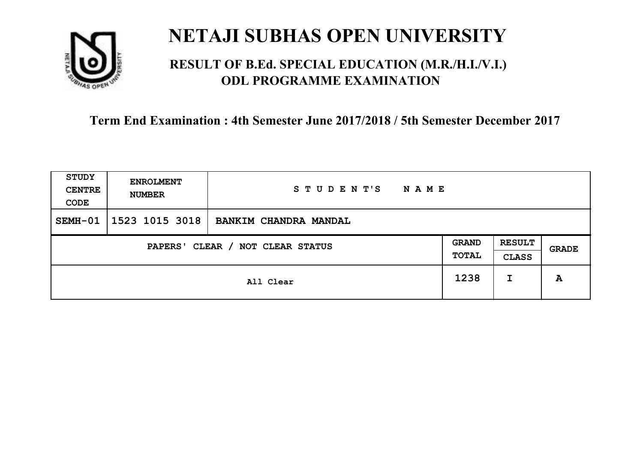

### **RESULT OF B.Ed. SPECIAL EDUCATION (M.R./H.I./V.I.) ODL PROGRAMME EXAMINATION**

| <b>STUDY</b><br><b>CENTRE</b><br>CODE | <b>ENROLMENT</b><br><b>NUMBER</b>   | STUDENT'S<br><b>NAME</b> |      |                               |       |
|---------------------------------------|-------------------------------------|--------------------------|------|-------------------------------|-------|
| SEMH-01                               | 1523 1015 3018                      | BANKIM CHANDRA MANDAL    |      |                               |       |
|                                       | CLEAR / NOT CLEAR STATUS<br>PAPERS' |                          |      | <b>RESULT</b><br><b>CLASS</b> | GRADE |
|                                       | All Clear                           |                          | 1238 | I                             | A     |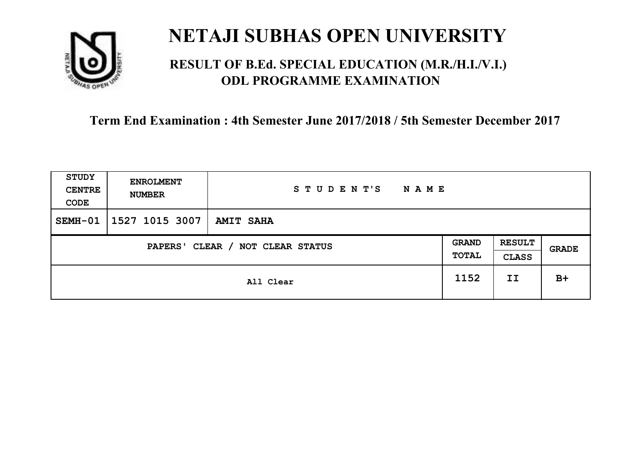

### **RESULT OF B.Ed. SPECIAL EDUCATION (M.R./H.I./V.I.) ODL PROGRAMME EXAMINATION**

| <b>STUDY</b><br><b>CENTRE</b><br>CODE | <b>ENROLMENT</b><br><b>NUMBER</b> | STUDENT'S<br><b>NAME</b> |                       |                               |       |
|---------------------------------------|-----------------------------------|--------------------------|-----------------------|-------------------------------|-------|
| SEMH-01                               | 1527 1015 3007                    | <b>AMIT SAHA</b>         |                       |                               |       |
| CLEAR / NOT CLEAR STATUS<br>PAPERS'   |                                   |                          | <b>GRAND</b><br>TOTAL | <b>RESULT</b><br><b>CLASS</b> | GRADE |
|                                       | All Clear                         |                          | 1152                  | II                            | $B+$  |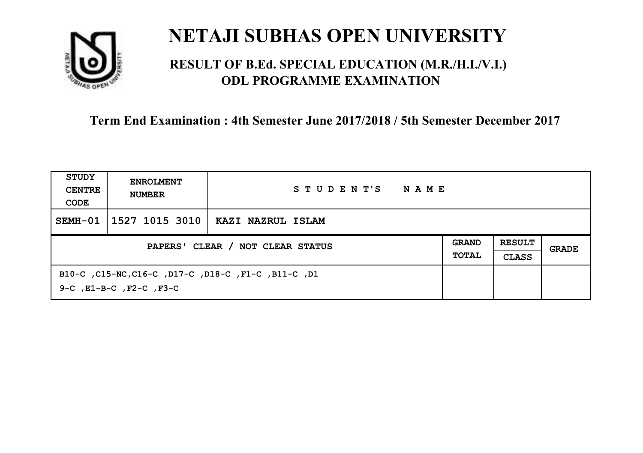

### **RESULT OF B.Ed. SPECIAL EDUCATION (M.R./H.I./V.I.) ODL PROGRAMME EXAMINATION**

| STUDY<br><b>CENTRE</b><br>CODE   | <b>ENROLMENT</b><br><b>NUMBER</b>                                                         | STUDENT'S<br>NAME |                              |                               |       |
|----------------------------------|-------------------------------------------------------------------------------------------|-------------------|------------------------------|-------------------------------|-------|
| SEMH-01                          | 1527 1015 3010                                                                            | KAZI NAZRUL ISLAM |                              |                               |       |
| PAPERS' CLEAR / NOT CLEAR STATUS |                                                                                           |                   | <b>GRAND</b><br><b>TOTAL</b> | <b>RESULT</b><br><b>CLASS</b> | GRADE |
|                                  | B10-C, C15-NC, C16-C, D17-C, D18-C, F1-C, B11-C, D1<br>$9-C$ , $E1-B-C$ , $F2-C$ , $F3-C$ |                   |                              |                               |       |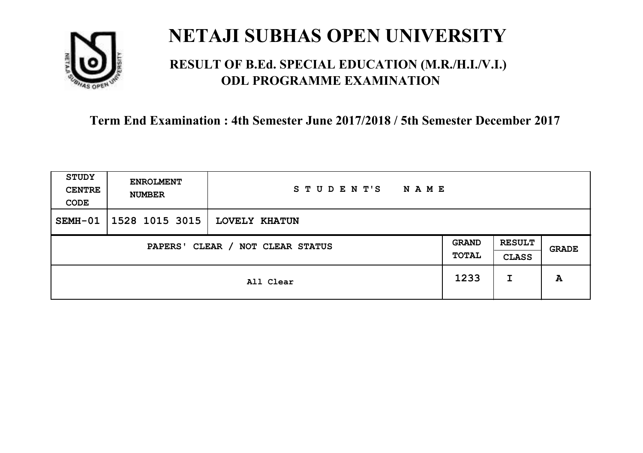

### **RESULT OF B.Ed. SPECIAL EDUCATION (M.R./H.I./V.I.) ODL PROGRAMME EXAMINATION**

| STUDY<br><b>CENTRE</b><br>CODE | <b>ENROLMENT</b><br><b>NUMBER</b>   | STUDENT'S<br>N A M E |      |                               |       |
|--------------------------------|-------------------------------------|----------------------|------|-------------------------------|-------|
| SEMH-01                        | 1528 1015 3015                      | <b>LOVELY KHATUN</b> |      |                               |       |
|                                | CLEAR / NOT CLEAR STATUS<br>PAPERS' |                      |      | <b>RESULT</b><br><b>CLASS</b> | GRADE |
|                                | All Clear                           |                      | 1233 | I                             | A     |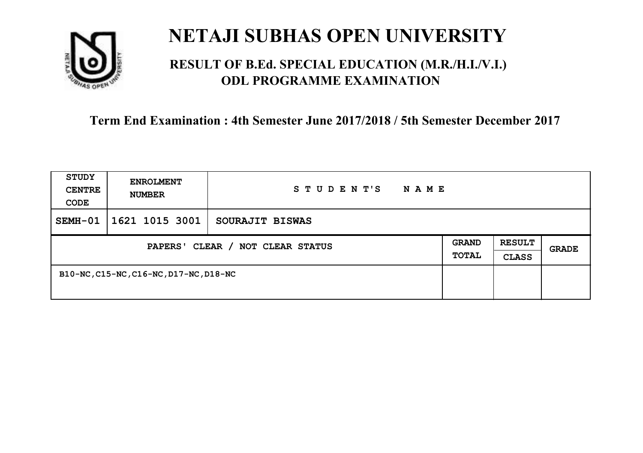

### **RESULT OF B.Ed. SPECIAL EDUCATION (M.R./H.I./V.I.) ODL PROGRAMME EXAMINATION**

| <b>STUDY</b><br><b>CENTRE</b><br>CODE      | <b>ENROLMENT</b><br><b>NUMBER</b>      | STUDENT'S<br><b>NAME</b> |  |                               |              |
|--------------------------------------------|----------------------------------------|--------------------------|--|-------------------------------|--------------|
| SEMH-01                                    | 1621 1015 3001                         | SOURAJIT BISWAS          |  |                               |              |
| CLEAR / NOT CLEAR STATUS<br><b>PAPERS'</b> |                                        |                          |  | <b>RESULT</b><br><b>CLASS</b> | <b>GRADE</b> |
|                                            | B10-NC, C15-NC, C16-NC, D17-NC, D18-NC |                          |  |                               |              |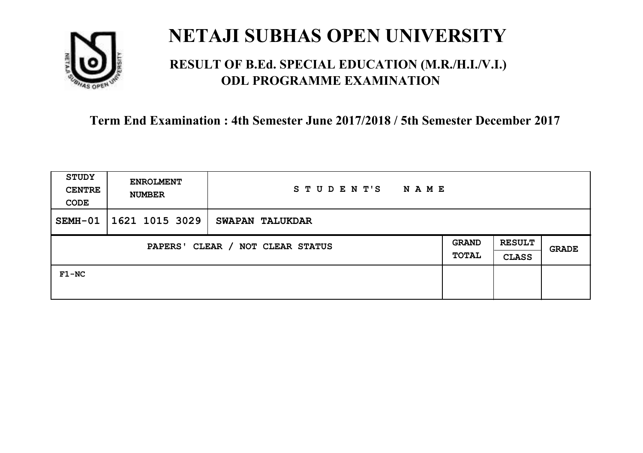

### **RESULT OF B.Ed. SPECIAL EDUCATION (M.R./H.I./V.I.) ODL PROGRAMME EXAMINATION**

| STUDY<br><b>CENTRE</b><br>CODE             | <b>ENROLMENT</b><br><b>NUMBER</b> | STUDENT'S<br>N A M E |  |                               |              |
|--------------------------------------------|-----------------------------------|----------------------|--|-------------------------------|--------------|
| SEMH-01                                    | 1621 1015 3029                    | SWAPAN TALUKDAR      |  |                               |              |
| CLEAR / NOT CLEAR STATUS<br><b>PAPERS'</b> |                                   |                      |  | <b>RESULT</b><br><b>CLASS</b> | <b>GRADE</b> |
| $F1-NC$                                    |                                   |                      |  |                               |              |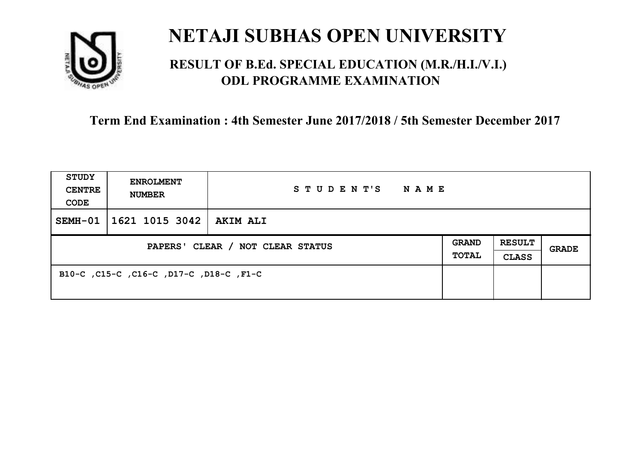

### **RESULT OF B.Ed. SPECIAL EDUCATION (M.R./H.I./V.I.) ODL PROGRAMME EXAMINATION**

| <b>STUDY</b><br><b>CENTRE</b><br>CODE | <b>ENROLMENT</b><br><b>NUMBER</b>       | STUDENT'S<br><b>NAME</b> |  |                               |       |
|---------------------------------------|-----------------------------------------|--------------------------|--|-------------------------------|-------|
| $SEMH-01$                             | 1621 1015 3042                          | <b>AKIM ALI</b>          |  |                               |       |
| PAPERS' CLEAR / NOT CLEAR STATUS      |                                         |                          |  | <b>RESULT</b><br><b>CLASS</b> | GRADE |
|                                       | B10-C, C15-C, C16-C, D17-C, D18-C, F1-C |                          |  |                               |       |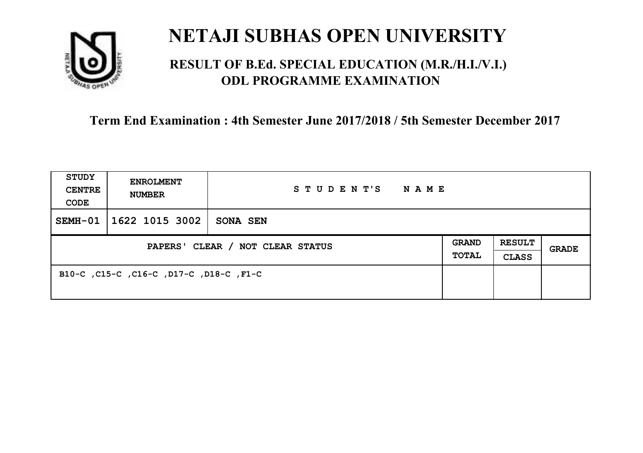

### **RESULT OF B.Ed. SPECIAL EDUCATION (M.R./H.I./V.I.) ODL PROGRAMME EXAMINATION**

| <b>STUDY</b><br><b>CENTRE</b><br>CODE | <b>ENROLMENT</b><br><b>NUMBER</b>       | STUDENT'S<br>NAME |                              |                               |       |
|---------------------------------------|-----------------------------------------|-------------------|------------------------------|-------------------------------|-------|
| SEMH-01                               | 1622 1015 3002                          | SONA SEN          |                              |                               |       |
| PAPERS' CLEAR / NOT CLEAR STATUS      |                                         |                   | <b>GRAND</b><br><b>TOTAL</b> | <b>RESULT</b><br><b>CLASS</b> | GRADE |
|                                       | B10-C, C15-C, C16-C, D17-C, D18-C, F1-C |                   |                              |                               |       |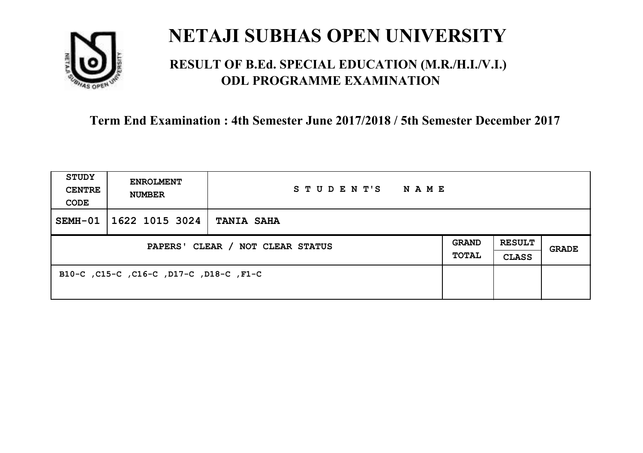

### **RESULT OF B.Ed. SPECIAL EDUCATION (M.R./H.I./V.I.) ODL PROGRAMME EXAMINATION**

| <b>STUDY</b><br><b>CENTRE</b><br>CODE | <b>ENROLMENT</b><br><b>NUMBER</b>       | STUDENT'S<br>N A M E |  |                               |       |
|---------------------------------------|-----------------------------------------|----------------------|--|-------------------------------|-------|
| $SEMH-01$                             | 1622 1015 3024                          | <b>TANIA SAHA</b>    |  |                               |       |
| PAPERS' CLEAR / NOT CLEAR STATUS      |                                         |                      |  | <b>RESULT</b><br><b>CLASS</b> | GRADE |
|                                       | B10-C, C15-C, C16-C, D17-C, D18-C, F1-C |                      |  |                               |       |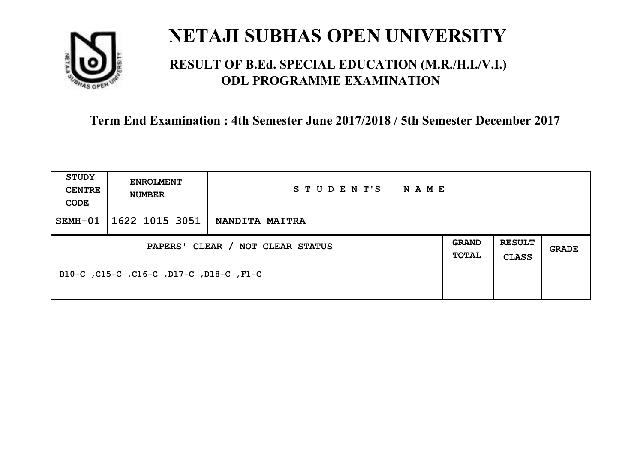

### **RESULT OF B.Ed. SPECIAL EDUCATION (M.R./H.I./V.I.) ODL PROGRAMME EXAMINATION**

| <b>STUDY</b><br><b>CENTRE</b><br>CODE | <b>ENROLMENT</b><br><b>NUMBER</b>       | STUDENT'S<br>NAME     |                       |                               |       |
|---------------------------------------|-----------------------------------------|-----------------------|-----------------------|-------------------------------|-------|
| SEMH-01                               | 1622 1015 3051                          | <b>NANDITA MAITRA</b> |                       |                               |       |
| PAPERS' CLEAR / NOT CLEAR STATUS      |                                         |                       | <b>GRAND</b><br>TOTAL | <b>RESULT</b><br><b>CLASS</b> | GRADE |
|                                       | B10-C, C15-C, C16-C, D17-C, D18-C, F1-C |                       |                       |                               |       |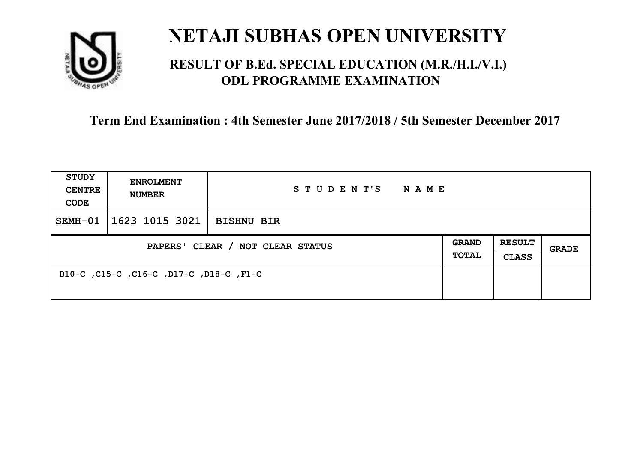

### **RESULT OF B.Ed. SPECIAL EDUCATION (M.R./H.I./V.I.) ODL PROGRAMME EXAMINATION**

| <b>STUDY</b><br><b>CENTRE</b><br>CODE | <b>ENROLMENT</b><br><b>NUMBER</b>       | STUDENT'S<br>NAME |  |                               |       |
|---------------------------------------|-----------------------------------------|-------------------|--|-------------------------------|-------|
| SEMH-01                               | 1623 1015 3021                          | <b>BISHNU BIR</b> |  |                               |       |
| PAPERS' CLEAR / NOT CLEAR STATUS      |                                         |                   |  | <b>RESULT</b><br><b>CLASS</b> | GRADE |
|                                       | B10-C, C15-C, C16-C, D17-C, D18-C, F1-C |                   |  |                               |       |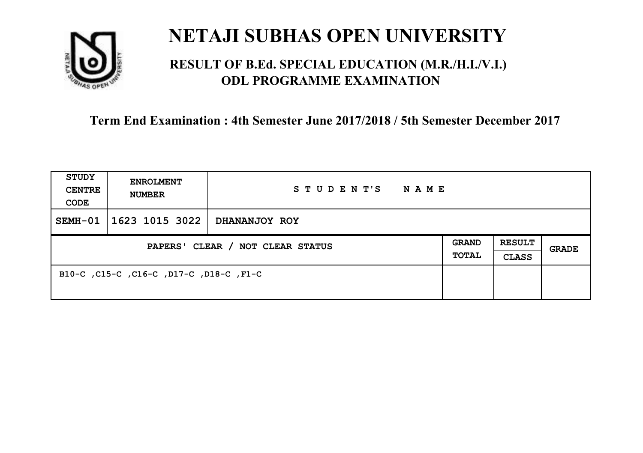

### **RESULT OF B.Ed. SPECIAL EDUCATION (M.R./H.I./V.I.) ODL PROGRAMME EXAMINATION**

| <b>STUDY</b><br><b>CENTRE</b><br>CODE | <b>ENROLMENT</b><br><b>NUMBER</b>       | STUDENT'S<br><b>NAME</b> |                              |                        |       |
|---------------------------------------|-----------------------------------------|--------------------------|------------------------------|------------------------|-------|
| $SEMH-01$                             | 1623 1015 3022                          | DHANANJOY ROY            |                              |                        |       |
| PAPERS' CLEAR / NOT CLEAR STATUS      |                                         |                          | <b>GRAND</b><br><b>TOTAL</b> | <b>RESULT</b><br>CLASS | GRADE |
|                                       | B10-C, C15-C, C16-C, D17-C, D18-C, F1-C |                          |                              |                        |       |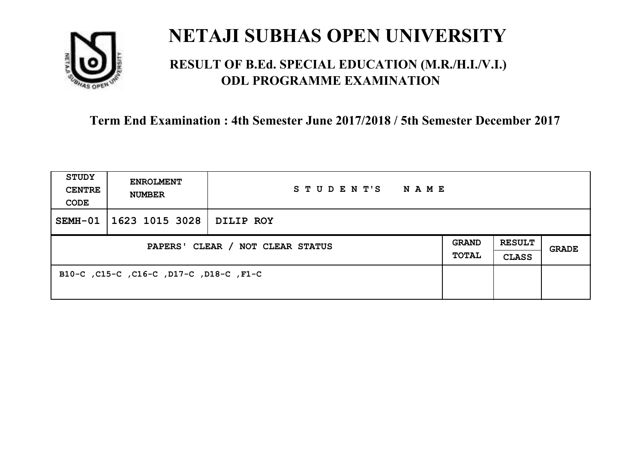

### **RESULT OF B.Ed. SPECIAL EDUCATION (M.R./H.I./V.I.) ODL PROGRAMME EXAMINATION**

| <b>STUDY</b><br><b>CENTRE</b><br>CODE | <b>ENROLMENT</b><br><b>NUMBER</b>       | STUDENT'S<br>NAME |  |                               |       |
|---------------------------------------|-----------------------------------------|-------------------|--|-------------------------------|-------|
| SEMH-01                               | 1623 1015 3028                          | DILIP ROY         |  |                               |       |
| PAPERS' CLEAR / NOT CLEAR STATUS      |                                         |                   |  | <b>RESULT</b><br><b>CLASS</b> | GRADE |
|                                       | B10-C, C15-C, C16-C, D17-C, D18-C, F1-C |                   |  |                               |       |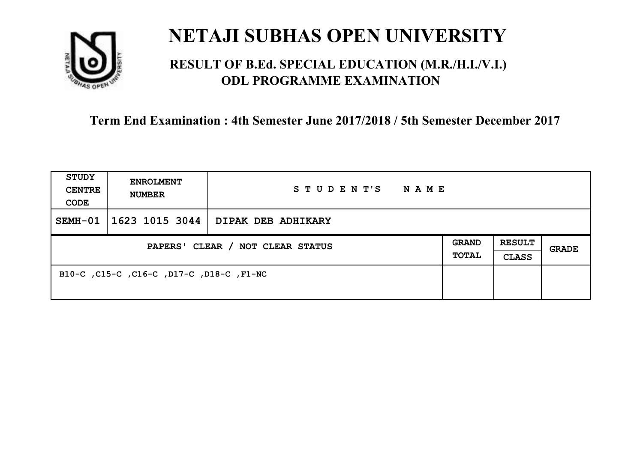

### **RESULT OF B.Ed. SPECIAL EDUCATION (M.R./H.I./V.I.) ODL PROGRAMME EXAMINATION**

| <b>STUDY</b><br><b>CENTRE</b><br>CODE | <b>ENROLMENT</b><br><b>NUMBER</b>        | STUDENT'S NAME                      |                       |                               |              |
|---------------------------------------|------------------------------------------|-------------------------------------|-----------------------|-------------------------------|--------------|
| SEMH-01                               |                                          | 1623 1015 3044   DIPAK DEB ADHIKARY |                       |                               |              |
| PAPERS' CLEAR / NOT CLEAR STATUS      |                                          |                                     | GRAND<br><b>TOTAL</b> | <b>RESULT</b><br><b>CLASS</b> | <b>GRADE</b> |
|                                       | B10-C, C15-C, C16-C, D17-C, D18-C, F1-NC |                                     |                       |                               |              |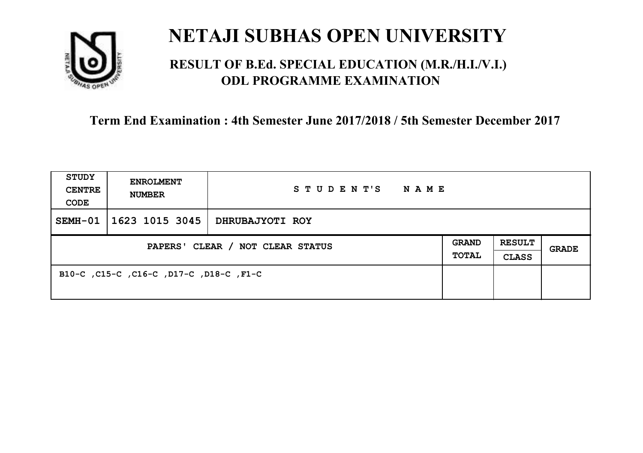

### **RESULT OF B.Ed. SPECIAL EDUCATION (M.R./H.I./V.I.) ODL PROGRAMME EXAMINATION**

| <b>STUDY</b><br><b>CENTRE</b><br>CODE | <b>ENROLMENT</b><br><b>NUMBER</b>       | STUDENT'S<br>NAME |  |                               |       |
|---------------------------------------|-----------------------------------------|-------------------|--|-------------------------------|-------|
| SEMH-01                               | 1623 1015 3045                          | DHRUBAJYOTI ROY   |  |                               |       |
| PAPERS' CLEAR / NOT CLEAR STATUS      |                                         |                   |  | <b>RESULT</b><br><b>CLASS</b> | GRADE |
|                                       | B10-C, C15-C, C16-C, D17-C, D18-C, F1-C |                   |  |                               |       |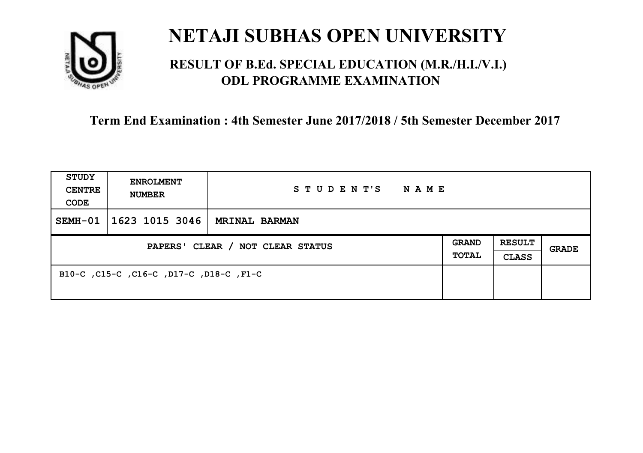

### **RESULT OF B.Ed. SPECIAL EDUCATION (M.R./H.I./V.I.) ODL PROGRAMME EXAMINATION**

| <b>STUDY</b><br><b>CENTRE</b><br>CODE | <b>ENROLMENT</b><br><b>NUMBER</b>       | STUDENT'S<br>NAME    |                              |                               |       |
|---------------------------------------|-----------------------------------------|----------------------|------------------------------|-------------------------------|-------|
| SEMH-01                               | 1623 1015 3046                          | <b>MRINAL BARMAN</b> |                              |                               |       |
| PAPERS' CLEAR / NOT CLEAR STATUS      |                                         |                      | <b>GRAND</b><br><b>TOTAL</b> | <b>RESULT</b><br><b>CLASS</b> | GRADE |
|                                       | B10-C, C15-C, C16-C, D17-C, D18-C, F1-C |                      |                              |                               |       |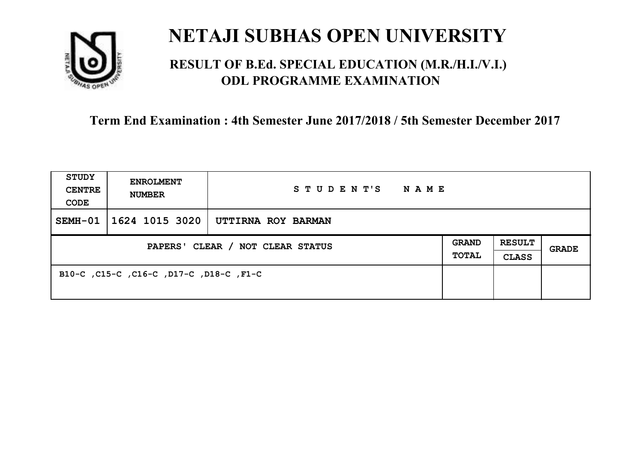

### **RESULT OF B.Ed. SPECIAL EDUCATION (M.R./H.I./V.I.) ODL PROGRAMME EXAMINATION**

| <b>STUDY</b><br><b>CENTRE</b><br>CODE | <b>ENROLMENT</b><br><b>NUMBER</b>       | STUDENT'S<br>NAME  |  |                               |       |
|---------------------------------------|-----------------------------------------|--------------------|--|-------------------------------|-------|
| SEMH-01                               | 1624 1015 3020                          | UTTIRNA ROY BARMAN |  |                               |       |
| PAPERS' CLEAR / NOT CLEAR STATUS      |                                         |                    |  | <b>RESULT</b><br><b>CLASS</b> | GRADE |
|                                       | B10-C, C15-C, C16-C, D17-C, D18-C, F1-C |                    |  |                               |       |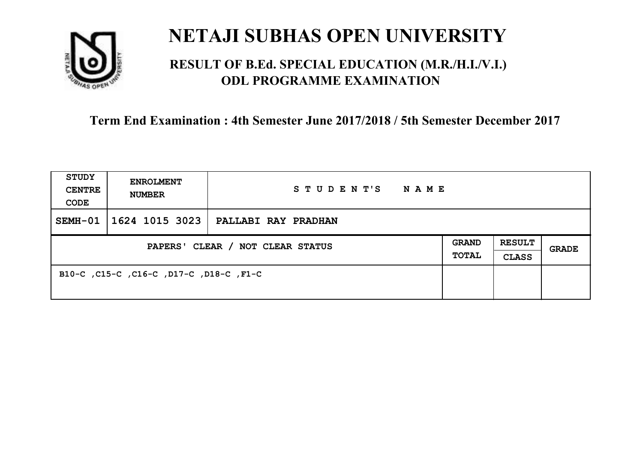

### **RESULT OF B.Ed. SPECIAL EDUCATION (M.R./H.I./V.I.) ODL PROGRAMME EXAMINATION**

| <b>STUDY</b><br><b>CENTRE</b><br>CODE | <b>ENROLMENT</b><br><b>NUMBER</b>       | STUDENT'S<br>NAME   |                              |                               |       |
|---------------------------------------|-----------------------------------------|---------------------|------------------------------|-------------------------------|-------|
| SEMH-01                               | 1624 1015 3023                          | PALLABI RAY PRADHAN |                              |                               |       |
| PAPERS' CLEAR / NOT CLEAR STATUS      |                                         |                     | <b>GRAND</b><br><b>TOTAL</b> | <b>RESULT</b><br><b>CLASS</b> | GRADE |
|                                       | B10-C, C15-C, C16-C, D17-C, D18-C, F1-C |                     |                              |                               |       |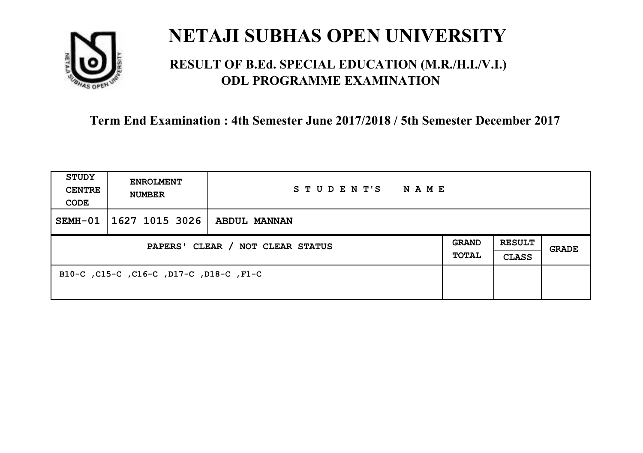

### **RESULT OF B.Ed. SPECIAL EDUCATION (M.R./H.I./V.I.) ODL PROGRAMME EXAMINATION**

| <b>STUDY</b><br><b>CENTRE</b><br>CODE | <b>ENROLMENT</b><br><b>NUMBER</b>       | STUDENT'S<br>NAME |                       |                               |       |
|---------------------------------------|-----------------------------------------|-------------------|-----------------------|-------------------------------|-------|
| SEMH-01                               | 1627 1015 3026                          | ABDUL MANNAN      |                       |                               |       |
| PAPERS' CLEAR / NOT CLEAR STATUS      |                                         |                   | <b>GRAND</b><br>TOTAL | <b>RESULT</b><br><b>CLASS</b> | GRADE |
|                                       | B10-C, C15-C, C16-C, D17-C, D18-C, F1-C |                   |                       |                               |       |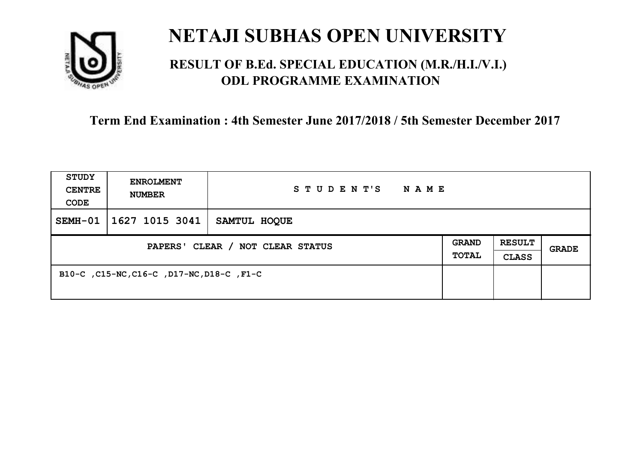

### **RESULT OF B.Ed. SPECIAL EDUCATION (M.R./H.I./V.I.) ODL PROGRAMME EXAMINATION**

| <b>STUDY</b><br><b>CENTRE</b><br>CODE | <b>ENROLMENT</b><br><b>NUMBER</b>         | STUDENT'S<br><b>NAME</b> |                              |                               |              |
|---------------------------------------|-------------------------------------------|--------------------------|------------------------------|-------------------------------|--------------|
| SEMH-01                               | $1627$ 1015 3041                          | SAMTUL HOOUE             |                              |                               |              |
| PAPERS' CLEAR / NOT CLEAR STATUS      |                                           |                          | <b>GRAND</b><br><b>TOTAL</b> | <b>RESULT</b><br><b>CLASS</b> | <b>GRADE</b> |
|                                       | B10-C, C15-NC, C16-C, D17-NC, D18-C, F1-C |                          |                              |                               |              |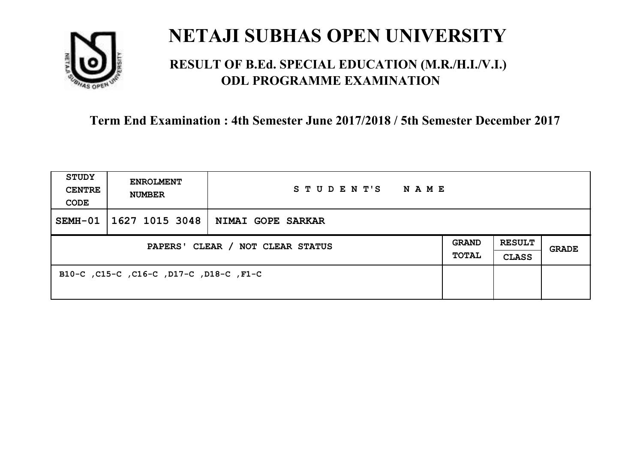

### **RESULT OF B.Ed. SPECIAL EDUCATION (M.R./H.I./V.I.) ODL PROGRAMME EXAMINATION**

| <b>STUDY</b><br><b>CENTRE</b><br>CODE | <b>ENROLMENT</b><br><b>NUMBER</b>       | STUDENT'S<br>NAME |                              |                               |       |
|---------------------------------------|-----------------------------------------|-------------------|------------------------------|-------------------------------|-------|
| SEMH-01                               | 1627 1015 3048                          | NIMAI GOPE SARKAR |                              |                               |       |
| PAPERS' CLEAR / NOT CLEAR STATUS      |                                         |                   | <b>GRAND</b><br><b>TOTAL</b> | <b>RESULT</b><br><b>CLASS</b> | GRADE |
|                                       | B10-C, C15-C, C16-C, D17-C, D18-C, F1-C |                   |                              |                               |       |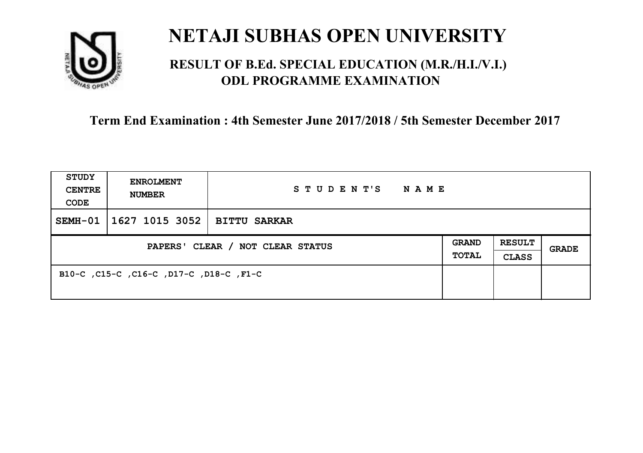

### **RESULT OF B.Ed. SPECIAL EDUCATION (M.R./H.I./V.I.) ODL PROGRAMME EXAMINATION**

| <b>STUDY</b><br><b>CENTRE</b><br>CODE | <b>ENROLMENT</b><br><b>NUMBER</b>       | STUDENT'S<br>NAME   |                       |                               |       |
|---------------------------------------|-----------------------------------------|---------------------|-----------------------|-------------------------------|-------|
| SEMH-01                               | 1627 1015 3052                          | <b>BITTU SARKAR</b> |                       |                               |       |
| PAPERS' CLEAR / NOT CLEAR STATUS      |                                         |                     | <b>GRAND</b><br>TOTAL | <b>RESULT</b><br><b>CLASS</b> | GRADE |
|                                       | B10-C, C15-C, C16-C, D17-C, D18-C, F1-C |                     |                       |                               |       |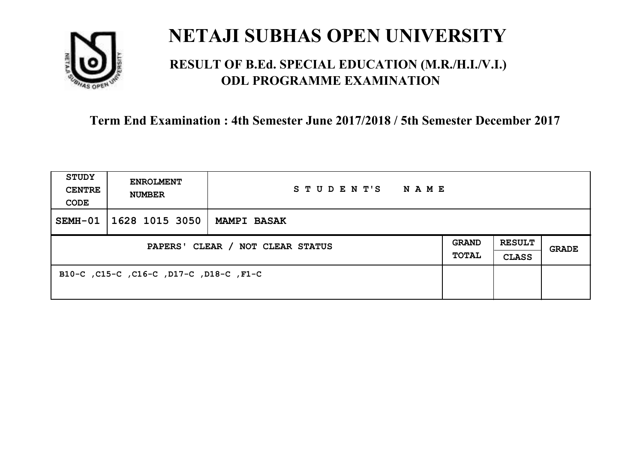

### **RESULT OF B.Ed. SPECIAL EDUCATION (M.R./H.I./V.I.) ODL PROGRAMME EXAMINATION**

| <b>STUDY</b><br><b>CENTRE</b><br>CODE | <b>ENROLMENT</b><br><b>NUMBER</b>       | STUDENT'S<br>NAME  |                              |                               |       |
|---------------------------------------|-----------------------------------------|--------------------|------------------------------|-------------------------------|-------|
| SEMH-01                               | 1628 1015 3050                          | <b>MAMPI BASAK</b> |                              |                               |       |
| PAPERS' CLEAR / NOT CLEAR STATUS      |                                         |                    | <b>GRAND</b><br><b>TOTAL</b> | <b>RESULT</b><br><b>CLASS</b> | GRADE |
|                                       | B10-C, C15-C, C16-C, D17-C, D18-C, F1-C |                    |                              |                               |       |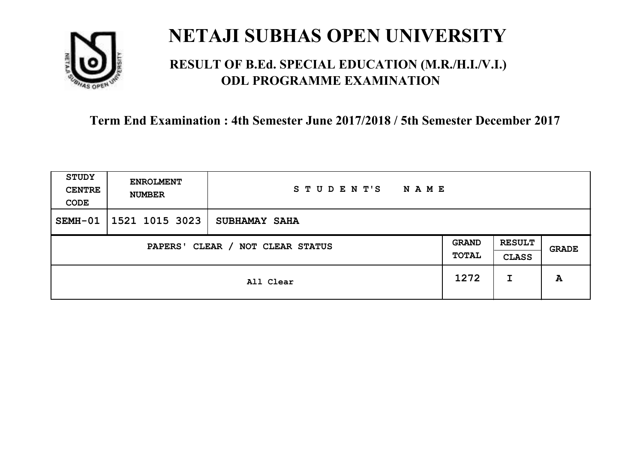

### **RESULT OF B.Ed. SPECIAL EDUCATION (M.R./H.I./V.I.) ODL PROGRAMME EXAMINATION**

| STUDY<br><b>CENTRE</b><br>CODE | <b>ENROLMENT</b><br><b>NUMBER</b>   | STUDENT'S<br>N A M E |      |                               |       |
|--------------------------------|-------------------------------------|----------------------|------|-------------------------------|-------|
| SEMH-01                        | 1521 1015 3023                      | <b>SUBHAMAY SAHA</b> |      |                               |       |
|                                | CLEAR / NOT CLEAR STATUS<br>PAPERS' |                      |      | <b>RESULT</b><br><b>CLASS</b> | GRADE |
|                                | All Clear                           |                      | 1272 | I                             | A     |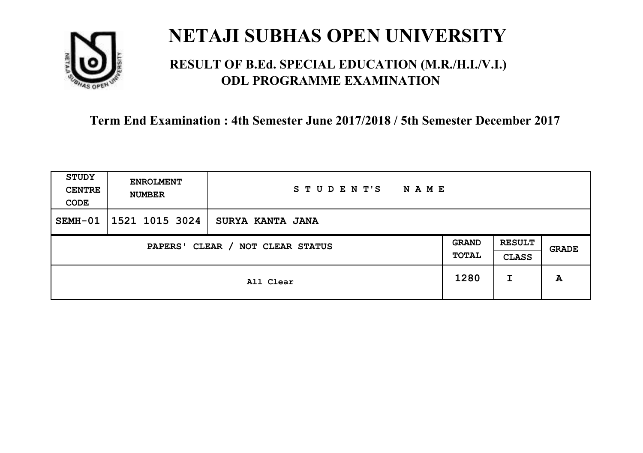

### **RESULT OF B.Ed. SPECIAL EDUCATION (M.R./H.I./V.I.) ODL PROGRAMME EXAMINATION**

| <b>STUDY</b><br><b>CENTRE</b><br>CODE | <b>ENROLMENT</b><br><b>NUMBER</b> | STUDENT'S<br><b>NAME</b> |                       |                               |       |
|---------------------------------------|-----------------------------------|--------------------------|-----------------------|-------------------------------|-------|
| SEMH-01                               | 1521 1015 3024                    | <b>SURYA KANTA JANA</b>  |                       |                               |       |
| CLEAR / NOT CLEAR STATUS<br>PAPERS'   |                                   |                          | <b>GRAND</b><br>TOTAL | <b>RESULT</b><br><b>CLASS</b> | GRADE |
|                                       |                                   | All Clear                | 1280                  | I                             | A     |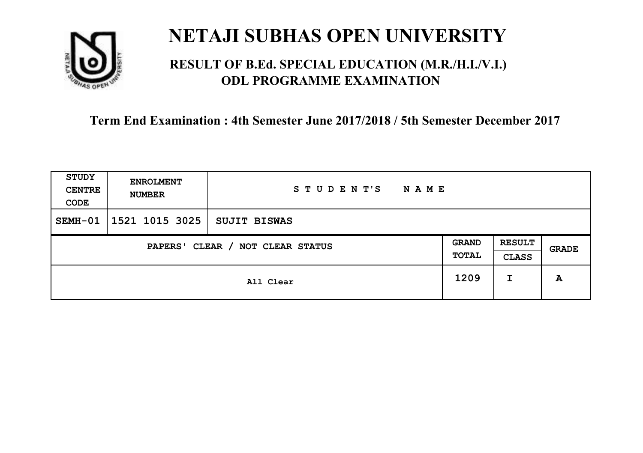

### **RESULT OF B.Ed. SPECIAL EDUCATION (M.R./H.I./V.I.) ODL PROGRAMME EXAMINATION**

| <b>STUDY</b><br><b>CENTRE</b><br>CODE | <b>ENROLMENT</b><br><b>NUMBER</b>   | STUDENT'S<br><b>NAME</b> |      |                               |              |
|---------------------------------------|-------------------------------------|--------------------------|------|-------------------------------|--------------|
| SEMH-01                               | 1521 1015 3025                      | <b>SUJIT BISWAS</b>      |      |                               |              |
|                                       | CLEAR / NOT CLEAR STATUS<br>PAPERS' |                          |      | <b>RESULT</b><br><b>CLASS</b> | <b>GRADE</b> |
|                                       |                                     | All Clear                | 1209 | I                             | A            |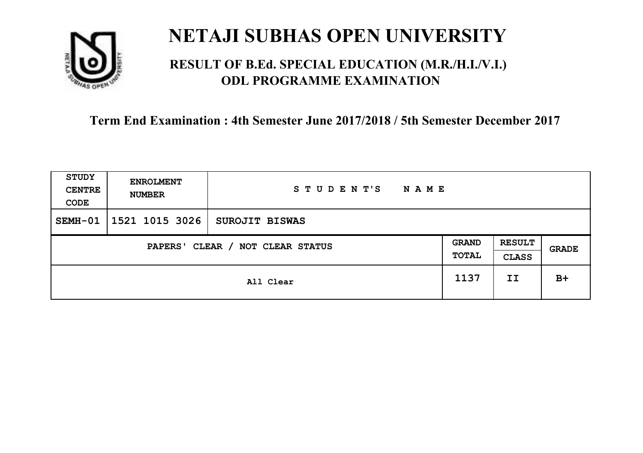

### **RESULT OF B.Ed. SPECIAL EDUCATION (M.R./H.I./V.I.) ODL PROGRAMME EXAMINATION**

| <b>STUDY</b><br><b>CENTRE</b><br>CODE | <b>ENROLMENT</b><br><b>NUMBER</b>   | STUDENT'S<br><b>NAME</b> |  |                               |       |
|---------------------------------------|-------------------------------------|--------------------------|--|-------------------------------|-------|
| SEMH-01                               | 1521 1015 3026                      | <b>SUROJIT BISWAS</b>    |  |                               |       |
|                                       | CLEAR / NOT CLEAR STATUS<br>PAPERS' |                          |  | <b>RESULT</b><br><b>CLASS</b> | GRADE |
|                                       | All Clear                           |                          |  | II                            | $B+$  |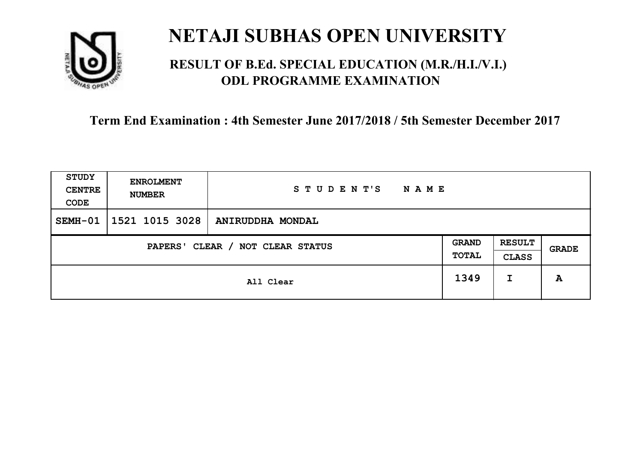

### **RESULT OF B.Ed. SPECIAL EDUCATION (M.R./H.I./V.I.) ODL PROGRAMME EXAMINATION**

| <b>STUDY</b><br><b>CENTRE</b><br>CODE | <b>ENROLMENT</b><br><b>NUMBER</b> | STUDENT'S<br><b>NAME</b> |                       |                               |       |
|---------------------------------------|-----------------------------------|--------------------------|-----------------------|-------------------------------|-------|
| SEMH-01                               | 1521 1015 3028                    | ANIRUDDHA MONDAL         |                       |                               |       |
| CLEAR / NOT CLEAR STATUS<br>PAPERS'   |                                   |                          | <b>GRAND</b><br>TOTAL | <b>RESULT</b><br><b>CLASS</b> | GRADE |
|                                       | All Clear                         |                          | 1349                  | I                             | A     |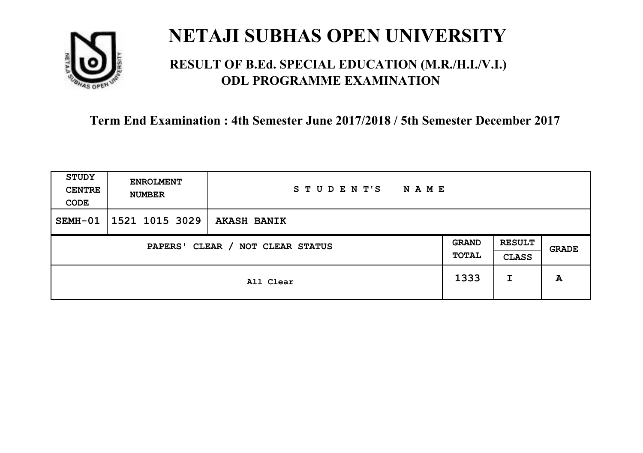

### **RESULT OF B.Ed. SPECIAL EDUCATION (M.R./H.I./V.I.) ODL PROGRAMME EXAMINATION**

| STUDY<br><b>CENTRE</b><br>CODE      | <b>ENROLMENT</b><br><b>NUMBER</b> | STUDENT'S<br><b>NAME</b> |                       |                               |       |
|-------------------------------------|-----------------------------------|--------------------------|-----------------------|-------------------------------|-------|
| SEMH-01                             | 1521 1015 3029                    | <b>AKASH BANIK</b>       |                       |                               |       |
| CLEAR / NOT CLEAR STATUS<br>PAPERS' |                                   |                          | <b>GRAND</b><br>TOTAL | <b>RESULT</b><br><b>CLASS</b> | GRADE |
|                                     | All Clear                         |                          | 1333                  | I                             | A     |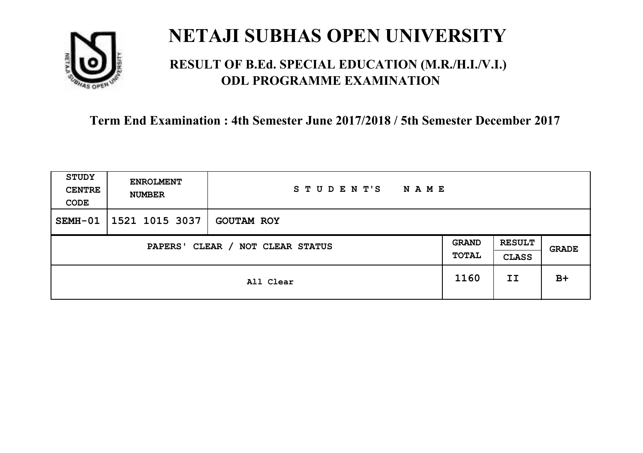

### **RESULT OF B.Ed. SPECIAL EDUCATION (M.R./H.I./V.I.) ODL PROGRAMME EXAMINATION**

| <b>STUDY</b><br><b>CENTRE</b><br>CODE | <b>ENROLMENT</b><br><b>NUMBER</b>   | STUDENT'S<br><b>NAME</b> |  |                               |       |
|---------------------------------------|-------------------------------------|--------------------------|--|-------------------------------|-------|
| SEMH-01                               | 1521 1015 3037                      | <b>GOUTAM ROY</b>        |  |                               |       |
|                                       | CLEAR / NOT CLEAR STATUS<br>PAPERS' |                          |  | <b>RESULT</b><br><b>CLASS</b> | GRADE |
|                                       | All Clear                           |                          |  | II                            | $B+$  |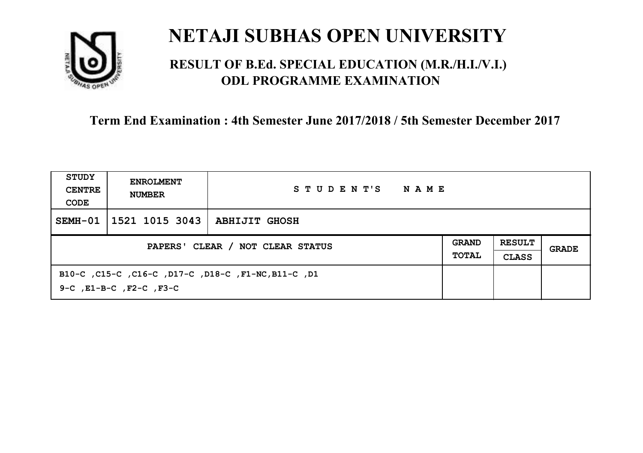

### **RESULT OF B.Ed. SPECIAL EDUCATION (M.R./H.I./V.I.) ODL PROGRAMME EXAMINATION**

| STUDY<br><b>CENTRE</b><br>CODE   | <b>ENROLMENT</b><br><b>NUMBER</b>                                              | STUDENT'S<br>NAME    |                              |                               |       |
|----------------------------------|--------------------------------------------------------------------------------|----------------------|------------------------------|-------------------------------|-------|
| SEMH-01                          | 1521 1015 3043                                                                 | <b>ABHIJIT GHOSH</b> |                              |                               |       |
| PAPERS' CLEAR / NOT CLEAR STATUS |                                                                                |                      | <b>GRAND</b><br><b>TOTAL</b> | <b>RESULT</b><br><b>CLASS</b> | GRADE |
|                                  | B10-C, C15-C, C16-C, D17-C, D18-C, F1-NC, B11-C, D1<br>9-C, E1-B-C, F2-C, F3-C |                      |                              |                               |       |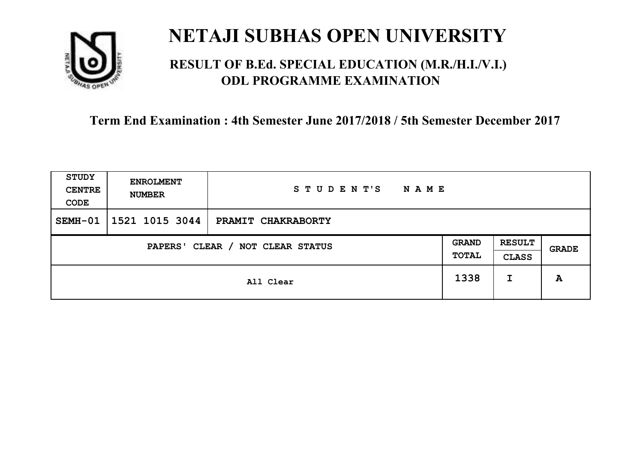

### **RESULT OF B.Ed. SPECIAL EDUCATION (M.R./H.I./V.I.) ODL PROGRAMME EXAMINATION**

| <b>STUDY</b><br><b>CENTRE</b><br>CODE | <b>ENROLMENT</b><br><b>NUMBER</b>   | STUDENT'S<br><b>NAME</b> |      |                               |       |
|---------------------------------------|-------------------------------------|--------------------------|------|-------------------------------|-------|
| SEMH-01                               | 1521 1015 3044                      | PRAMIT CHAKRABORTY       |      |                               |       |
|                                       | CLEAR / NOT CLEAR STATUS<br>PAPERS' |                          |      | <b>RESULT</b><br><b>CLASS</b> | GRADE |
|                                       | All Clear                           |                          | 1338 | I                             | A     |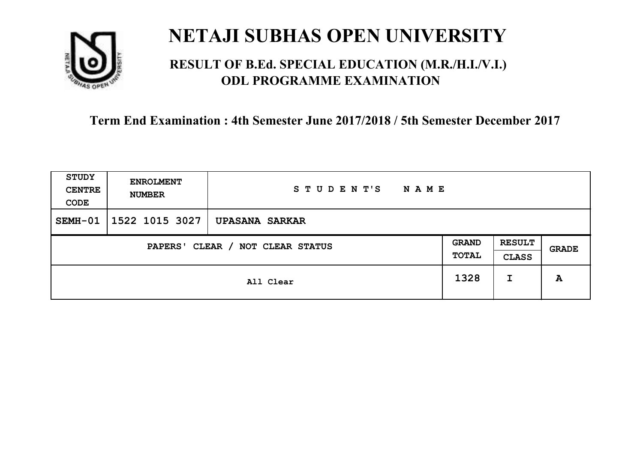

### **RESULT OF B.Ed. SPECIAL EDUCATION (M.R./H.I./V.I.) ODL PROGRAMME EXAMINATION**

| <b>STUDY</b><br><b>CENTRE</b><br>CODE | <b>ENROLMENT</b><br><b>NUMBER</b> | STUDENT'S<br><b>NAME</b> |                       |                               |       |
|---------------------------------------|-----------------------------------|--------------------------|-----------------------|-------------------------------|-------|
| SEMH-01                               | 1522 1015 3027                    | <b>UPASANA SARKAR</b>    |                       |                               |       |
| CLEAR / NOT CLEAR STATUS<br>PAPERS'   |                                   |                          | <b>GRAND</b><br>TOTAL | <b>RESULT</b><br><b>CLASS</b> | GRADE |
|                                       | All Clear                         |                          | 1328                  | I                             | A     |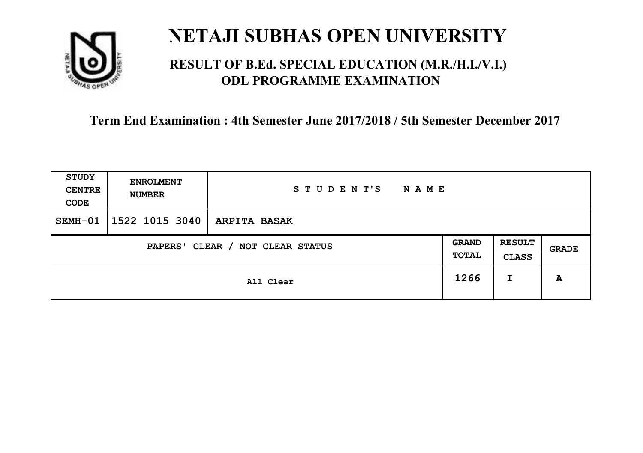

### **RESULT OF B.Ed. SPECIAL EDUCATION (M.R./H.I./V.I.) ODL PROGRAMME EXAMINATION**

| STUDY<br><b>CENTRE</b><br>CODE | <b>ENROLMENT</b><br><b>NUMBER</b>   | STUDENT'S<br>N A M E |      |                               |       |
|--------------------------------|-------------------------------------|----------------------|------|-------------------------------|-------|
| SEMH-01                        | 1522 1015 3040                      | <b>ARPITA BASAK</b>  |      |                               |       |
|                                | CLEAR / NOT CLEAR STATUS<br>PAPERS' |                      |      | <b>RESULT</b><br><b>CLASS</b> | GRADE |
|                                |                                     | All Clear            | 1266 | I                             | A     |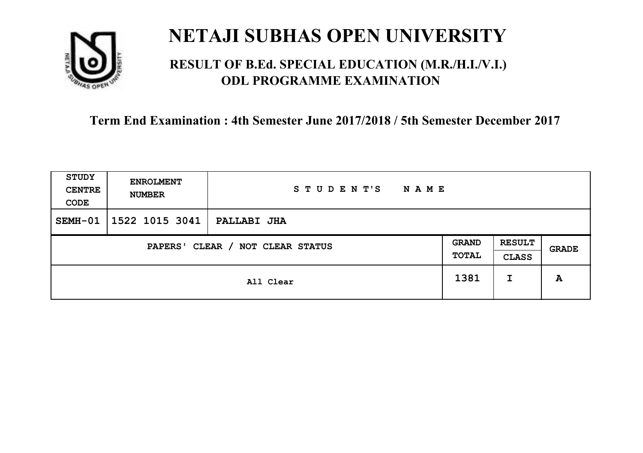

### **RESULT OF B.Ed. SPECIAL EDUCATION (M.R./H.I./V.I.) ODL PROGRAMME EXAMINATION**

| STUDY<br><b>CENTRE</b><br>CODE | <b>ENROLMENT</b><br><b>NUMBER</b>   | STUDENT'S<br><b>NAME</b> |      |                               |       |
|--------------------------------|-------------------------------------|--------------------------|------|-------------------------------|-------|
| SEMH-01                        | 1522 1015 3041                      | <b>PALLABI JHA</b>       |      |                               |       |
|                                | CLEAR / NOT CLEAR STATUS<br>PAPERS' |                          |      | <b>RESULT</b><br><b>CLASS</b> | GRADE |
|                                |                                     | All Clear                | 1381 | I                             | A     |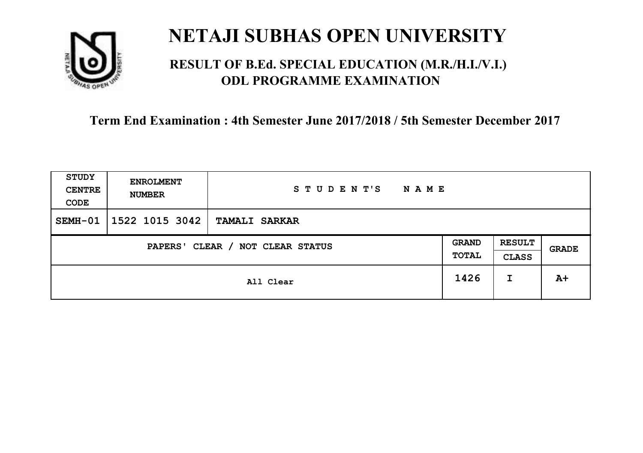

### **RESULT OF B.Ed. SPECIAL EDUCATION (M.R./H.I./V.I.) ODL PROGRAMME EXAMINATION**

| STUDY<br><b>CENTRE</b><br>CODE | <b>ENROLMENT</b><br><b>NUMBER</b>   | STUDENT'S<br><b>NAME</b> |   |                               |       |
|--------------------------------|-------------------------------------|--------------------------|---|-------------------------------|-------|
| SEMH-01                        | 1522 1015 3042                      | <b>TAMALI SARKAR</b>     |   |                               |       |
|                                | CLEAR / NOT CLEAR STATUS<br>PAPERS' |                          |   | <b>RESULT</b><br><b>CLASS</b> | GRADE |
| All Clear                      |                                     | 1426                     | I | $A+$                          |       |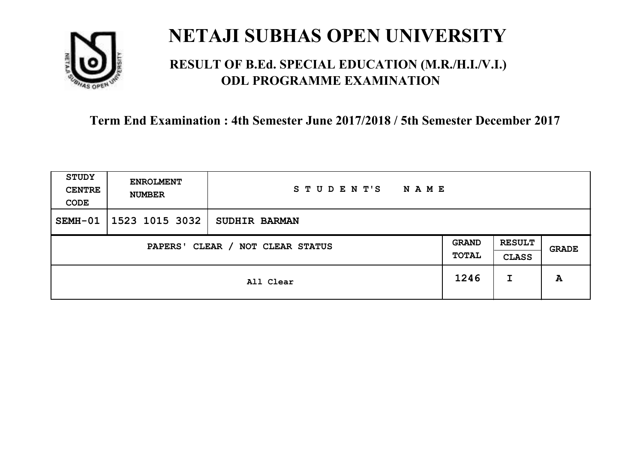

### **RESULT OF B.Ed. SPECIAL EDUCATION (M.R./H.I./V.I.) ODL PROGRAMME EXAMINATION**

| <b>STUDY</b><br><b>CENTRE</b><br>CODE | <b>ENROLMENT</b><br><b>NUMBER</b>   | STUDENT'S<br><b>NAME</b> |      |                               |       |
|---------------------------------------|-------------------------------------|--------------------------|------|-------------------------------|-------|
| SEMH-01                               | 1523 1015 3032                      | <b>SUDHIR BARMAN</b>     |      |                               |       |
|                                       | CLEAR / NOT CLEAR STATUS<br>PAPERS' |                          |      | <b>RESULT</b><br><b>CLASS</b> | GRADE |
|                                       | All Clear                           |                          | 1246 | I                             | A     |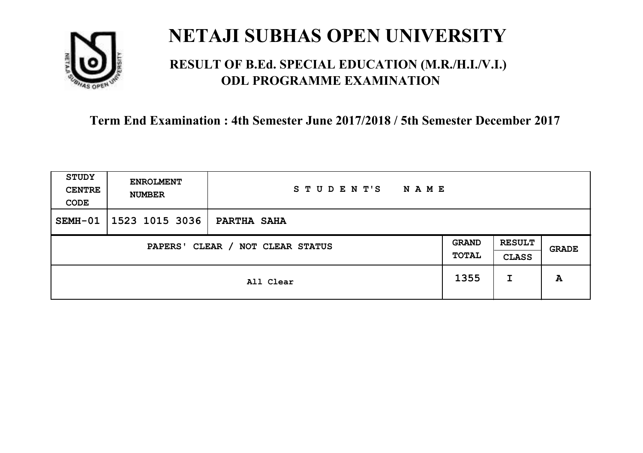

### **RESULT OF B.Ed. SPECIAL EDUCATION (M.R./H.I./V.I.) ODL PROGRAMME EXAMINATION**

| STUDY<br><b>CENTRE</b><br>CODE      | <b>ENROLMENT</b><br><b>NUMBER</b> | STUDENT'S<br><b>NAME</b> |                       |                               |       |
|-------------------------------------|-----------------------------------|--------------------------|-----------------------|-------------------------------|-------|
| SEMH-01                             | 1523 1015 3036                    | PARTHA SAHA              |                       |                               |       |
| CLEAR / NOT CLEAR STATUS<br>PAPERS' |                                   |                          | <b>GRAND</b><br>TOTAL | <b>RESULT</b><br><b>CLASS</b> | GRADE |
|                                     | All Clear                         |                          | 1355                  | I                             | A     |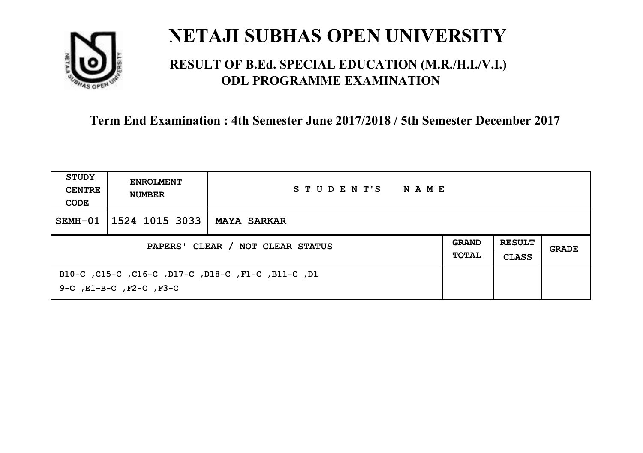

### **RESULT OF B.Ed. SPECIAL EDUCATION (M.R./H.I./V.I.) ODL PROGRAMME EXAMINATION**

| STUDY<br><b>CENTRE</b><br>CODE   | <b>ENROLMENT</b><br><b>NUMBER</b> | STUDENT'S<br>NAME                                  |                              |                               |       |
|----------------------------------|-----------------------------------|----------------------------------------------------|------------------------------|-------------------------------|-------|
| SEMH-01                          | 1524 1015 3033                    | <b>MAYA SARKAR</b>                                 |                              |                               |       |
| PAPERS' CLEAR / NOT CLEAR STATUS |                                   |                                                    | <b>GRAND</b><br><b>TOTAL</b> | <b>RESULT</b><br><b>CLASS</b> | GRADE |
|                                  | 9-C, E1-B-C, F2-C, F3-C           | B10-C, C15-C, C16-C, D17-C, D18-C, F1-C, B11-C, D1 |                              |                               |       |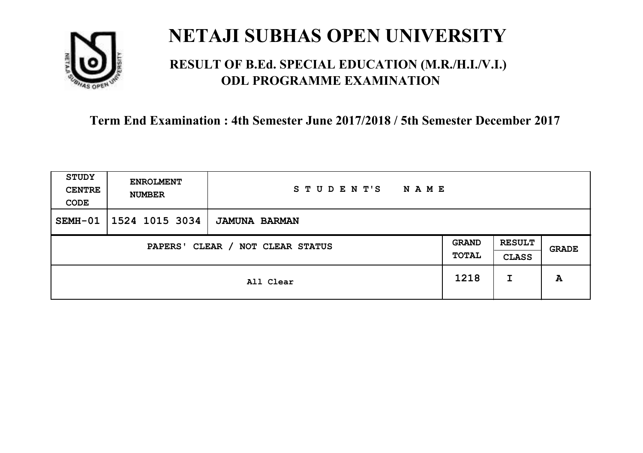

### **RESULT OF B.Ed. SPECIAL EDUCATION (M.R./H.I./V.I.) ODL PROGRAMME EXAMINATION**

| STUDY<br><b>CENTRE</b><br>CODE      | <b>ENROLMENT</b><br><b>NUMBER</b> | STUDENT'S<br>N A M E |                       |                               |       |
|-------------------------------------|-----------------------------------|----------------------|-----------------------|-------------------------------|-------|
| SEMH-01                             | 1524 1015 3034                    | <b>JAMUNA BARMAN</b> |                       |                               |       |
| CLEAR / NOT CLEAR STATUS<br>PAPERS' |                                   |                      | <b>GRAND</b><br>TOTAL | <b>RESULT</b><br><b>CLASS</b> | GRADE |
|                                     |                                   | All Clear            | 1218                  | I                             | A     |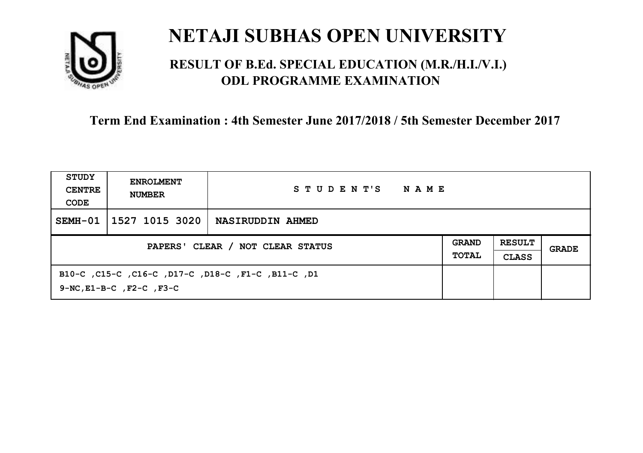

### **RESULT OF B.Ed. SPECIAL EDUCATION (M.R./H.I./V.I.) ODL PROGRAMME EXAMINATION**

| STUDY<br><b>CENTRE</b><br>CODE   | <b>ENROLMENT</b><br><b>NUMBER</b>   | STUDENT'S<br>NAME                                  |  |                               |       |
|----------------------------------|-------------------------------------|----------------------------------------------------|--|-------------------------------|-------|
| SEMH-01                          | 1527 1015 3020                      | NASIRUDDIN AHMED                                   |  |                               |       |
| PAPERS' CLEAR / NOT CLEAR STATUS |                                     |                                                    |  | <b>RESULT</b><br><b>CLASS</b> | GRADE |
|                                  | $9-NC$ , $E1-B-C$ , $F2-C$ , $F3-C$ | B10-C, C15-C, C16-C, D17-C, D18-C, F1-C, B11-C, D1 |  |                               |       |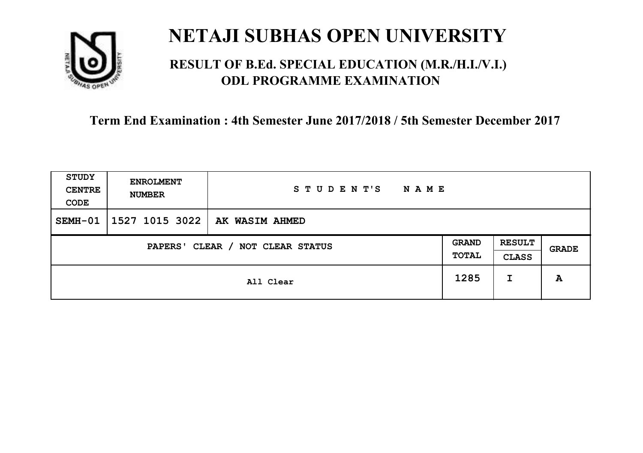

### **RESULT OF B.Ed. SPECIAL EDUCATION (M.R./H.I./V.I.) ODL PROGRAMME EXAMINATION**

| <b>STUDY</b><br><b>CENTRE</b><br>CODE | <b>ENROLMENT</b><br><b>NUMBER</b> | STUDENT'S<br><b>NAME</b> |                       |                               |       |
|---------------------------------------|-----------------------------------|--------------------------|-----------------------|-------------------------------|-------|
| SEMH-01                               | 1527 1015 3022                    | <b>AK WASIM AHMED</b>    |                       |                               |       |
| CLEAR / NOT CLEAR STATUS<br>PAPERS'   |                                   |                          | <b>GRAND</b><br>TOTAL | <b>RESULT</b><br><b>CLASS</b> | GRADE |
|                                       | All Clear                         |                          |                       | I                             | A     |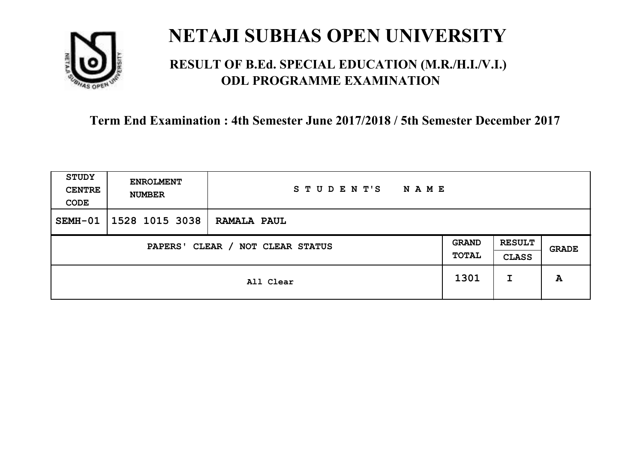

### **RESULT OF B.Ed. SPECIAL EDUCATION (M.R./H.I./V.I.) ODL PROGRAMME EXAMINATION**

| STUDY<br><b>CENTRE</b><br>CODE | <b>ENROLMENT</b><br><b>NUMBER</b>   | STUDENT'S<br><b>NAME</b> |      |                               |       |
|--------------------------------|-------------------------------------|--------------------------|------|-------------------------------|-------|
| SEMH-01                        | 1528 1015 3038                      | <b>RAMALA PAUL</b>       |      |                               |       |
|                                | CLEAR / NOT CLEAR STATUS<br>PAPERS' |                          |      | <b>RESULT</b><br><b>CLASS</b> | GRADE |
|                                |                                     | All Clear                | 1301 | I                             | A     |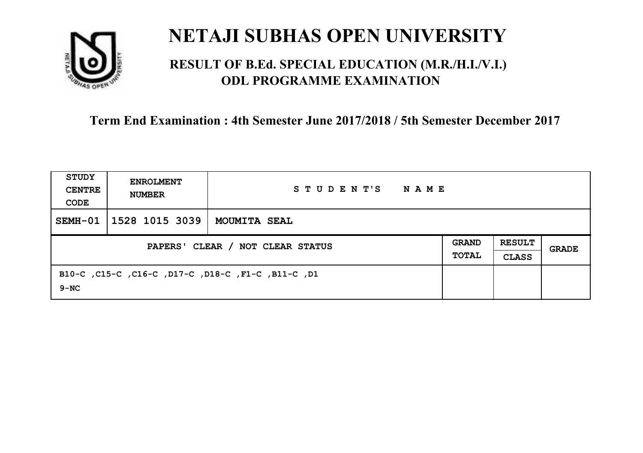

### **RESULT OF B.Ed. SPECIAL EDUCATION (M.R./H.I./V.I.) ODL PROGRAMME EXAMINATION**

| <b>STUDY</b><br><b>CENTRE</b><br>CODE | <b>ENROLMENT</b><br><b>NUMBER</b> | STUDENT'S<br>NAME                                  |                              |                               |       |
|---------------------------------------|-----------------------------------|----------------------------------------------------|------------------------------|-------------------------------|-------|
| $SEMH-01$                             | 1528 1015 3039                    | MOUMITA SEAL                                       |                              |                               |       |
| PAPERS' CLEAR / NOT CLEAR STATUS      |                                   |                                                    | <b>GRAND</b><br><b>TOTAL</b> | <b>RESULT</b><br><b>CLASS</b> | GRADE |
| $9 - NC$                              |                                   | B10-C, C15-C, C16-C, D17-C, D18-C, F1-C, B11-C, D1 |                              |                               |       |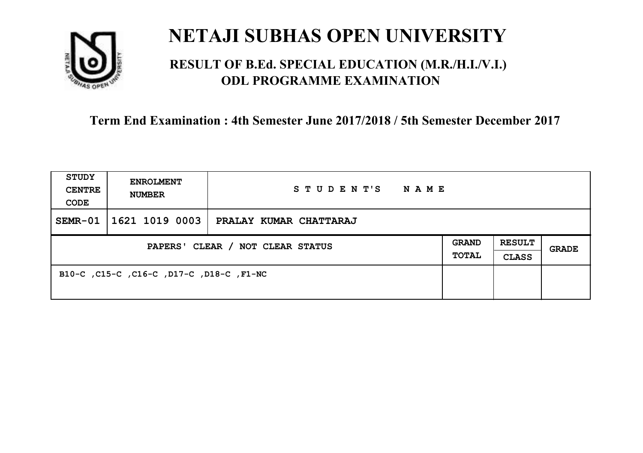

### **RESULT OF B.Ed. SPECIAL EDUCATION (M.R./H.I./V.I.) ODL PROGRAMME EXAMINATION**

| <b>STUDY</b><br><b>CENTRE</b><br>CODE | <b>ENROLMENT</b><br><b>NUMBER</b>        | STUDENT'S<br>NAME      |                              |                               |       |
|---------------------------------------|------------------------------------------|------------------------|------------------------------|-------------------------------|-------|
| $SEMR-01$                             | 1621 1019 0003                           | PRALAY KUMAR CHATTARAJ |                              |                               |       |
| PAPERS' CLEAR / NOT CLEAR STATUS      |                                          |                        | <b>GRAND</b><br><b>TOTAL</b> | <b>RESULT</b><br><b>CLASS</b> | GRADE |
|                                       | B10-C, C15-C, C16-C, D17-C, D18-C, F1-NC |                        |                              |                               |       |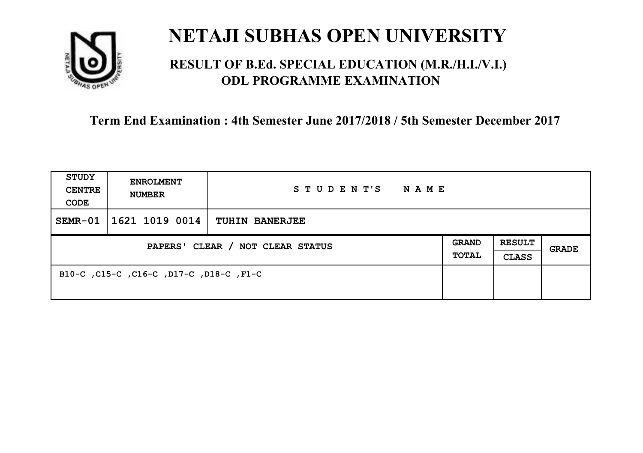

### **RESULT OF B.Ed. SPECIAL EDUCATION (M.R./H.I./V.I.) ODL PROGRAMME EXAMINATION**

| <b>STUDY</b><br><b>CENTRE</b><br>CODE | <b>ENROLMENT</b><br><b>NUMBER</b>       | STUDENT'S<br><b>NAME</b> |  |                               |              |
|---------------------------------------|-----------------------------------------|--------------------------|--|-------------------------------|--------------|
| SEMR-01                               | $1621$ 1019 0014                        | <b>TUHIN BANERJEE</b>    |  |                               |              |
| PAPERS' CLEAR / NOT CLEAR STATUS      |                                         |                          |  | <b>RESULT</b><br><b>CLASS</b> | <b>GRADE</b> |
|                                       | B10-C, C15-C, C16-C, D17-C, D18-C, F1-C |                          |  |                               |              |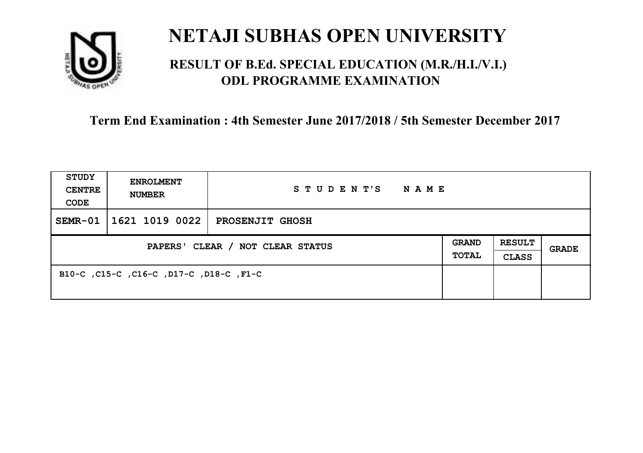

### **RESULT OF B.Ed. SPECIAL EDUCATION (M.R./H.I./V.I.) ODL PROGRAMME EXAMINATION**

| <b>STUDY</b><br><b>CENTRE</b><br>CODE | <b>ENROLMENT</b><br><b>NUMBER</b>       | STUDENT'S NAME         |  |                               |              |
|---------------------------------------|-----------------------------------------|------------------------|--|-------------------------------|--------------|
| $SEMR-01$                             | 1621 1019 0022                          | <b>PROSENJIT GHOSH</b> |  |                               |              |
| PAPERS' CLEAR / NOT CLEAR STATUS      |                                         |                        |  | <b>RESULT</b><br><b>CLASS</b> | <b>GRADE</b> |
|                                       | B10-C, C15-C, C16-C, D17-C, D18-C, F1-C |                        |  |                               |              |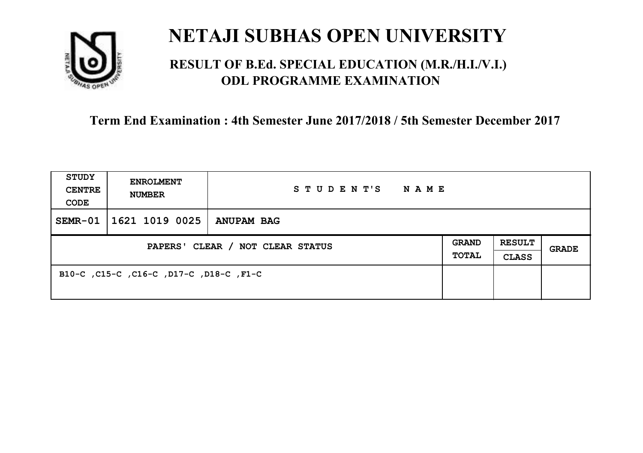

### **RESULT OF B.Ed. SPECIAL EDUCATION (M.R./H.I./V.I.) ODL PROGRAMME EXAMINATION**

| <b>STUDY</b><br><b>CENTRE</b><br>CODE | <b>ENROLMENT</b><br><b>NUMBER</b>       | STUDENT'S<br>NAME |  |                               |       |
|---------------------------------------|-----------------------------------------|-------------------|--|-------------------------------|-------|
| $SEMR-01$                             | 1621 1019 0025                          | <b>ANUPAM BAG</b> |  |                               |       |
| PAPERS' CLEAR / NOT CLEAR STATUS      |                                         |                   |  | <b>RESULT</b><br><b>CLASS</b> | GRADE |
|                                       | B10-C, C15-C, C16-C, D17-C, D18-C, F1-C |                   |  |                               |       |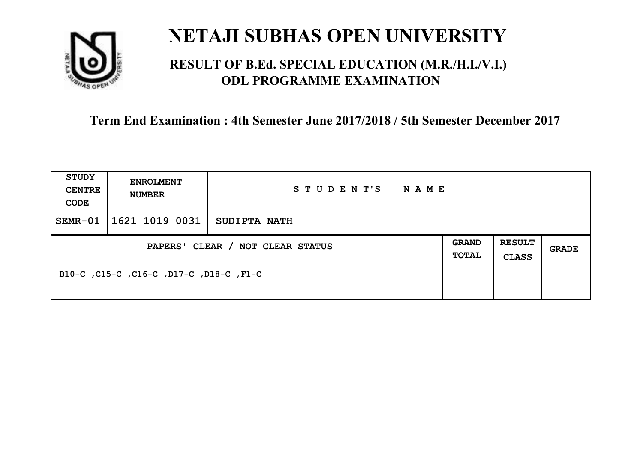

### **RESULT OF B.Ed. SPECIAL EDUCATION (M.R./H.I./V.I.) ODL PROGRAMME EXAMINATION**

| <b>STUDY</b><br><b>CENTRE</b><br>CODE | <b>ENROLMENT</b><br><b>NUMBER</b>       | STUDENT'S<br>NAME   |  |                               |       |
|---------------------------------------|-----------------------------------------|---------------------|--|-------------------------------|-------|
| $SEMR-01$                             | 1621 1019 0031                          | <b>SUDIPTA NATH</b> |  |                               |       |
| PAPERS' CLEAR / NOT CLEAR STATUS      |                                         |                     |  | <b>RESULT</b><br><b>CLASS</b> | GRADE |
|                                       | B10-C, C15-C, C16-C, D17-C, D18-C, F1-C |                     |  |                               |       |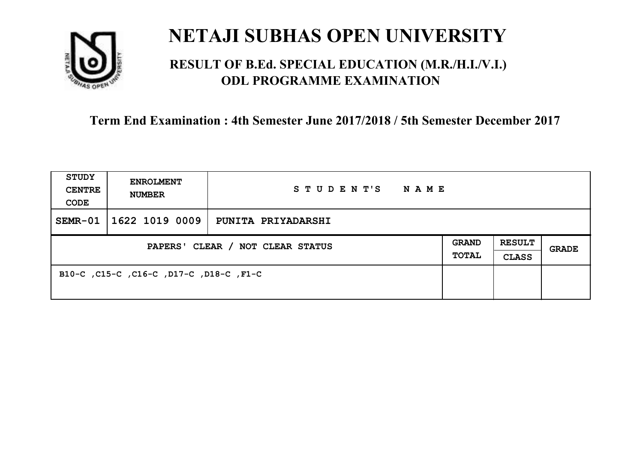

### **RESULT OF B.Ed. SPECIAL EDUCATION (M.R./H.I./V.I.) ODL PROGRAMME EXAMINATION**

| <b>STUDY</b><br><b>CENTRE</b><br>CODE | <b>ENROLMENT</b><br><b>NUMBER</b>       | STUDENT'S<br>NAME         |                              |                               |       |
|---------------------------------------|-----------------------------------------|---------------------------|------------------------------|-------------------------------|-------|
| $SEMR-01$                             | 1622 1019 0009                          | <b>PUNITA PRIYADARSHI</b> |                              |                               |       |
| PAPERS' CLEAR / NOT CLEAR STATUS      |                                         |                           | <b>GRAND</b><br><b>TOTAL</b> | <b>RESULT</b><br><b>CLASS</b> | GRADE |
|                                       | B10-C, C15-C, C16-C, D17-C, D18-C, F1-C |                           |                              |                               |       |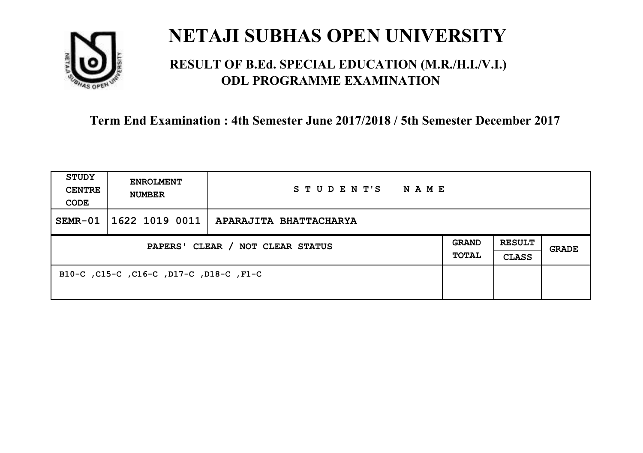

### **RESULT OF B.Ed. SPECIAL EDUCATION (M.R./H.I./V.I.) ODL PROGRAMME EXAMINATION**

| <b>STUDY</b><br><b>CENTRE</b><br>CODE | <b>ENROLMENT</b><br><b>NUMBER</b>       | STUDENT'S<br>NAME      |                              |                               |       |
|---------------------------------------|-----------------------------------------|------------------------|------------------------------|-------------------------------|-------|
| $SEMR-01$                             | 1622 1019 0011                          | APARAJITA BHATTACHARYA |                              |                               |       |
| PAPERS' CLEAR / NOT CLEAR STATUS      |                                         |                        | <b>GRAND</b><br><b>TOTAL</b> | <b>RESULT</b><br><b>CLASS</b> | GRADE |
|                                       | B10-C, C15-C, C16-C, D17-C, D18-C, F1-C |                        |                              |                               |       |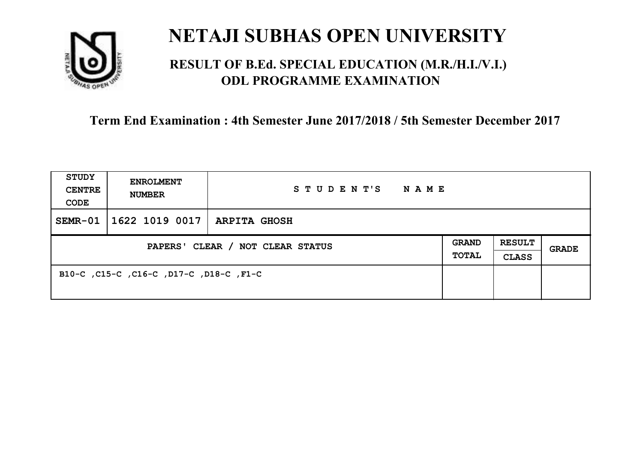

### **RESULT OF B.Ed. SPECIAL EDUCATION (M.R./H.I./V.I.) ODL PROGRAMME EXAMINATION**

| <b>STUDY</b><br><b>CENTRE</b><br>CODE | <b>ENROLMENT</b><br><b>NUMBER</b>       | STUDENT'S<br>NAME   |                       |                               |       |
|---------------------------------------|-----------------------------------------|---------------------|-----------------------|-------------------------------|-------|
| $SEMR-01$                             | 1622 1019 0017                          | <b>ARPITA GHOSH</b> |                       |                               |       |
| PAPERS' CLEAR / NOT CLEAR STATUS      |                                         |                     | <b>GRAND</b><br>TOTAL | <b>RESULT</b><br><b>CLASS</b> | GRADE |
|                                       | B10-C, C15-C, C16-C, D17-C, D18-C, F1-C |                     |                       |                               |       |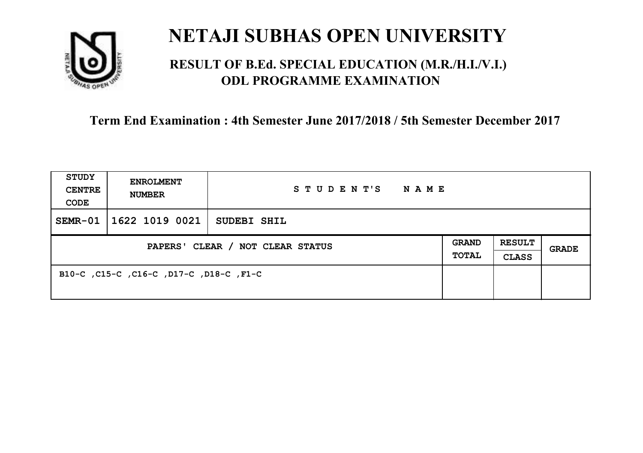

### **RESULT OF B.Ed. SPECIAL EDUCATION (M.R./H.I./V.I.) ODL PROGRAMME EXAMINATION**

| <b>STUDY</b><br><b>CENTRE</b><br>CODE | <b>ENROLMENT</b><br><b>NUMBER</b>       | STUDENT'S<br>NAME |  |                               |       |
|---------------------------------------|-----------------------------------------|-------------------|--|-------------------------------|-------|
| $SEMR-01$                             | 1622 1019 0021                          | SUDEBI SHIL       |  |                               |       |
| PAPERS' CLEAR / NOT CLEAR STATUS      |                                         |                   |  | <b>RESULT</b><br><b>CLASS</b> | GRADE |
|                                       | B10-C, C15-C, C16-C, D17-C, D18-C, F1-C |                   |  |                               |       |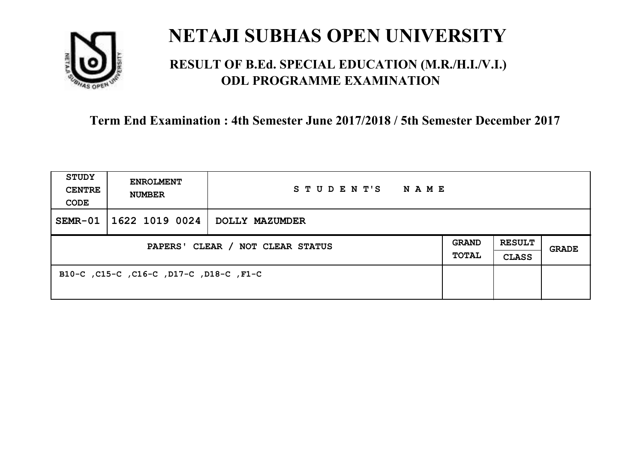

### **RESULT OF B.Ed. SPECIAL EDUCATION (M.R./H.I./V.I.) ODL PROGRAMME EXAMINATION**

| <b>STUDY</b><br><b>CENTRE</b><br>CODE | <b>ENROLMENT</b><br><b>NUMBER</b>       | STUDENT'S<br>NAME     |                       |                               |       |
|---------------------------------------|-----------------------------------------|-----------------------|-----------------------|-------------------------------|-------|
| $SEMR-01$                             | 1622 1019 0024                          | <b>DOLLY MAZUMDER</b> |                       |                               |       |
| PAPERS' CLEAR / NOT CLEAR STATUS      |                                         |                       | <b>GRAND</b><br>TOTAL | <b>RESULT</b><br><b>CLASS</b> | GRADE |
|                                       | B10-C, C15-C, C16-C, D17-C, D18-C, F1-C |                       |                       |                               |       |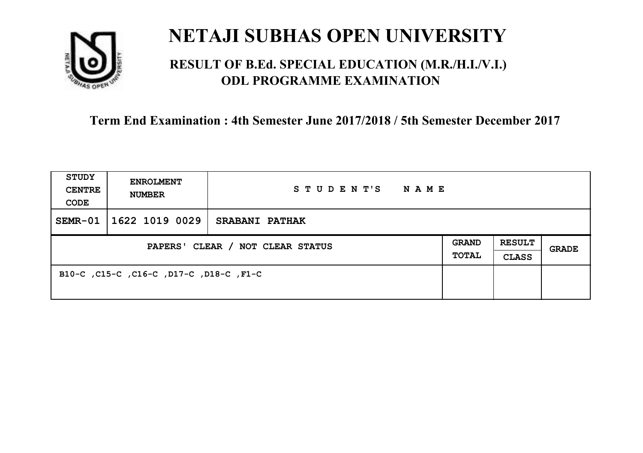

### **RESULT OF B.Ed. SPECIAL EDUCATION (M.R./H.I./V.I.) ODL PROGRAMME EXAMINATION**

| <b>STUDY</b><br><b>CENTRE</b><br>CODE | <b>ENROLMENT</b><br><b>NUMBER</b>       | STUDENT'S<br>NAME     |                       |                               |       |
|---------------------------------------|-----------------------------------------|-----------------------|-----------------------|-------------------------------|-------|
| SEMR-01                               | 1622 1019 0029                          | <b>SRABANI PATHAK</b> |                       |                               |       |
| PAPERS' CLEAR / NOT CLEAR STATUS      |                                         |                       | <b>GRAND</b><br>TOTAL | <b>RESULT</b><br><b>CLASS</b> | GRADE |
|                                       | B10-C, C15-C, C16-C, D17-C, D18-C, F1-C |                       |                       |                               |       |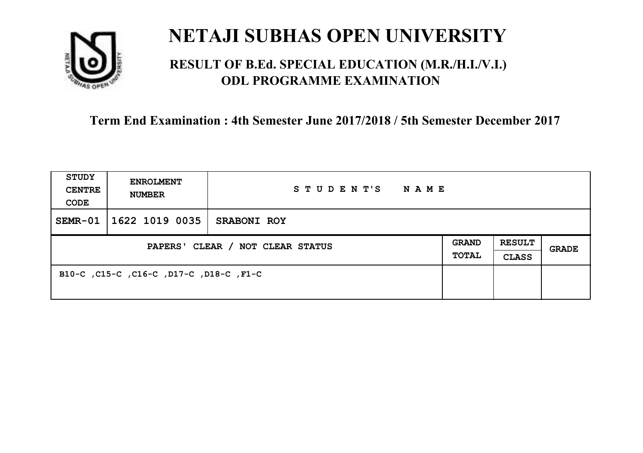

### **RESULT OF B.Ed. SPECIAL EDUCATION (M.R./H.I./V.I.) ODL PROGRAMME EXAMINATION**

| <b>STUDY</b><br><b>CENTRE</b><br>CODE | <b>ENROLMENT</b><br><b>NUMBER</b>       | STUDENT'S<br><b>NAME</b> |                              |                        |       |
|---------------------------------------|-----------------------------------------|--------------------------|------------------------------|------------------------|-------|
| $SEMR-01$                             | 1622 1019 0035                          | <b>SRABONI ROY</b>       |                              |                        |       |
| PAPERS' CLEAR / NOT CLEAR STATUS      |                                         |                          | <b>GRAND</b><br><b>TOTAL</b> | <b>RESULT</b><br>CLASS | GRADE |
|                                       | B10-C, C15-C, C16-C, D17-C, D18-C, F1-C |                          |                              |                        |       |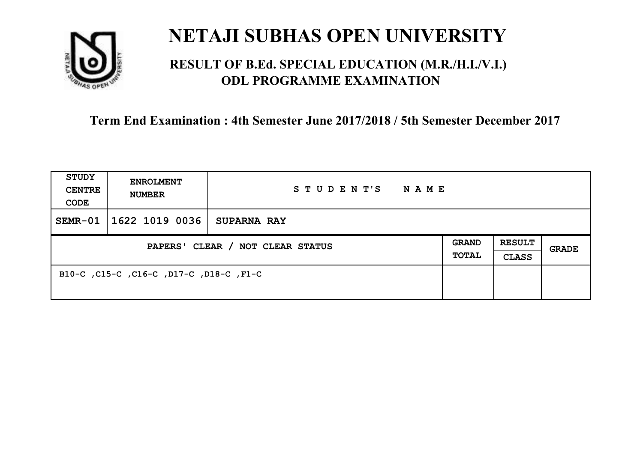

### **RESULT OF B.Ed. SPECIAL EDUCATION (M.R./H.I./V.I.) ODL PROGRAMME EXAMINATION**

| <b>STUDY</b><br><b>CENTRE</b><br>CODE | <b>ENROLMENT</b><br><b>NUMBER</b>       | STUDENT'S<br><b>NAME</b> |                              |                               |       |
|---------------------------------------|-----------------------------------------|--------------------------|------------------------------|-------------------------------|-------|
| SEMR-01                               | 1622 1019 0036                          | <b>SUPARNA RAY</b>       |                              |                               |       |
| PAPERS' CLEAR / NOT CLEAR STATUS      |                                         |                          | <b>GRAND</b><br><b>TOTAL</b> | <b>RESULT</b><br><b>CLASS</b> | GRADE |
|                                       | B10-C, C15-C, C16-C, D17-C, D18-C, F1-C |                          |                              |                               |       |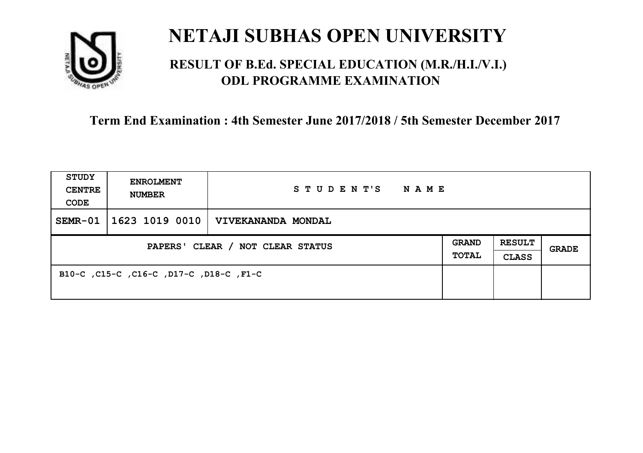

### **RESULT OF B.Ed. SPECIAL EDUCATION (M.R./H.I./V.I.) ODL PROGRAMME EXAMINATION**

| STUDY<br><b>CENTRE</b><br>CODE   | <b>ENROLMENT</b><br><b>NUMBER</b>       | STUDENT'S NAME                        |                              |                               |       |
|----------------------------------|-----------------------------------------|---------------------------------------|------------------------------|-------------------------------|-------|
| $SEMR-01$                        |                                         | $ 1623 1019 0010 $ VIVEKANANDA MONDAL |                              |                               |       |
| PAPERS' CLEAR / NOT CLEAR STATUS |                                         |                                       | <b>GRAND</b><br><b>TOTAL</b> | <b>RESULT</b><br><b>CLASS</b> | GRADE |
|                                  | B10-C, C15-C, C16-C, D17-C, D18-C, F1-C |                                       |                              |                               |       |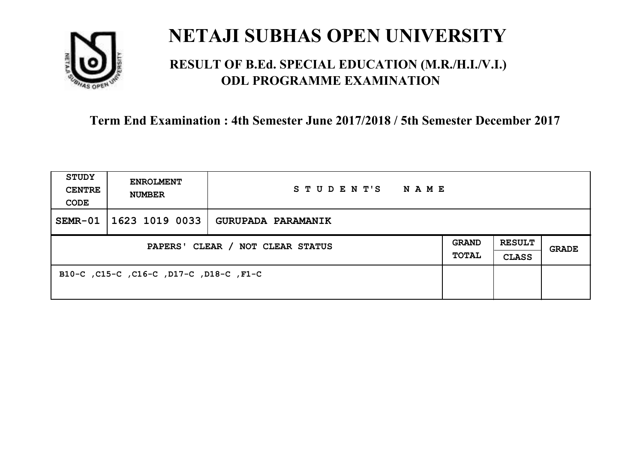

### **RESULT OF B.Ed. SPECIAL EDUCATION (M.R./H.I./V.I.) ODL PROGRAMME EXAMINATION**

| <b>STUDY</b><br><b>CENTRE</b><br>CODE | <b>ENROLMENT</b><br><b>NUMBER</b>       | STUDENT'S<br>NAME  |  |                               |       |
|---------------------------------------|-----------------------------------------|--------------------|--|-------------------------------|-------|
| $SEMR-01$                             | 1623 1019 0033                          | GURUPADA PARAMANIK |  |                               |       |
| PAPERS' CLEAR / NOT CLEAR STATUS      |                                         |                    |  | <b>RESULT</b><br><b>CLASS</b> | GRADE |
|                                       | B10-C, C15-C, C16-C, D17-C, D18-C, F1-C |                    |  |                               |       |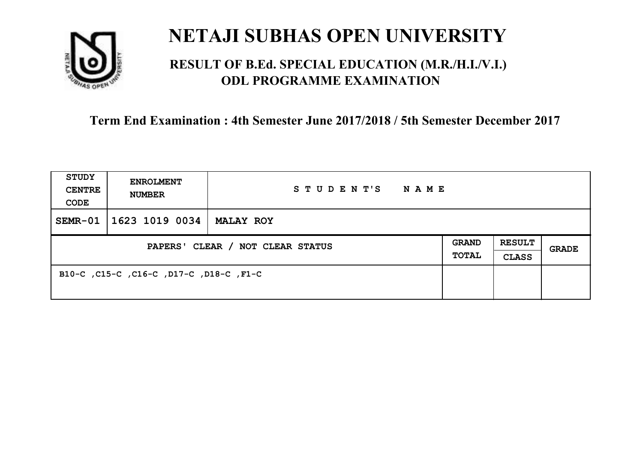

### **RESULT OF B.Ed. SPECIAL EDUCATION (M.R./H.I./V.I.) ODL PROGRAMME EXAMINATION**

| <b>STUDY</b><br><b>CENTRE</b><br>CODE | <b>ENROLMENT</b><br><b>NUMBER</b>       | STUDENT'S<br>NAME |                              |                               |       |
|---------------------------------------|-----------------------------------------|-------------------|------------------------------|-------------------------------|-------|
| $SEMR-01$                             | 1623 1019 0034                          | <b>MALAY ROY</b>  |                              |                               |       |
| PAPERS' CLEAR / NOT CLEAR STATUS      |                                         |                   | <b>GRAND</b><br><b>TOTAL</b> | <b>RESULT</b><br><b>CLASS</b> | GRADE |
|                                       | B10-C, C15-C, C16-C, D17-C, D18-C, F1-C |                   |                              |                               |       |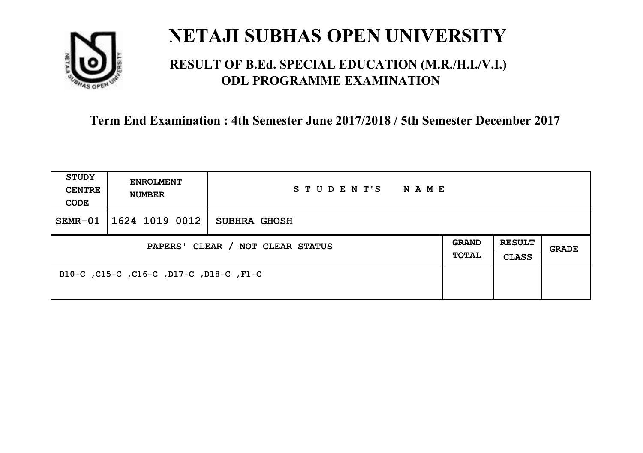

### **RESULT OF B.Ed. SPECIAL EDUCATION (M.R./H.I./V.I.) ODL PROGRAMME EXAMINATION**

| <b>STUDY</b><br><b>CENTRE</b><br>CODE | <b>ENROLMENT</b><br><b>NUMBER</b>       | STUDENT'S<br>NAME   |                       |                               |       |
|---------------------------------------|-----------------------------------------|---------------------|-----------------------|-------------------------------|-------|
| SEMR-01                               | 1624 1019 0012                          | <b>SUBHRA GHOSH</b> |                       |                               |       |
| PAPERS' CLEAR / NOT CLEAR STATUS      |                                         |                     | <b>GRAND</b><br>TOTAL | <b>RESULT</b><br><b>CLASS</b> | GRADE |
|                                       | B10-C, C15-C, C16-C, D17-C, D18-C, F1-C |                     |                       |                               |       |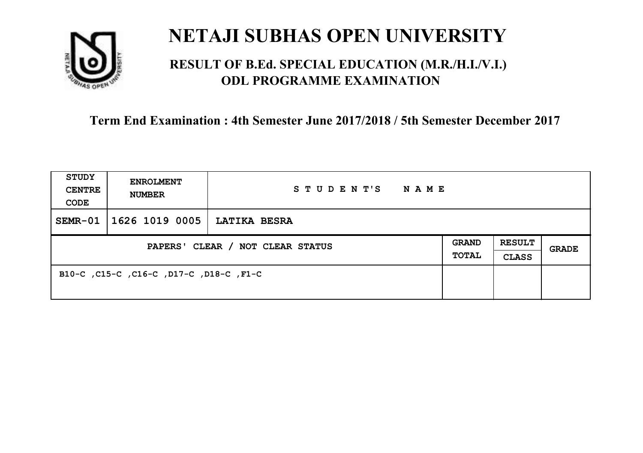

### **RESULT OF B.Ed. SPECIAL EDUCATION (M.R./H.I./V.I.) ODL PROGRAMME EXAMINATION**

| <b>STUDY</b><br><b>CENTRE</b><br>CODE | <b>ENROLMENT</b><br><b>NUMBER</b>       | STUDENT'S<br>NAME   |                       |                               |       |
|---------------------------------------|-----------------------------------------|---------------------|-----------------------|-------------------------------|-------|
| SEMR-01                               | 1626 1019 0005                          | <b>LATIKA BESRA</b> |                       |                               |       |
| PAPERS' CLEAR / NOT CLEAR STATUS      |                                         |                     | <b>GRAND</b><br>TOTAL | <b>RESULT</b><br><b>CLASS</b> | GRADE |
|                                       | B10-C, C15-C, C16-C, D17-C, D18-C, F1-C |                     |                       |                               |       |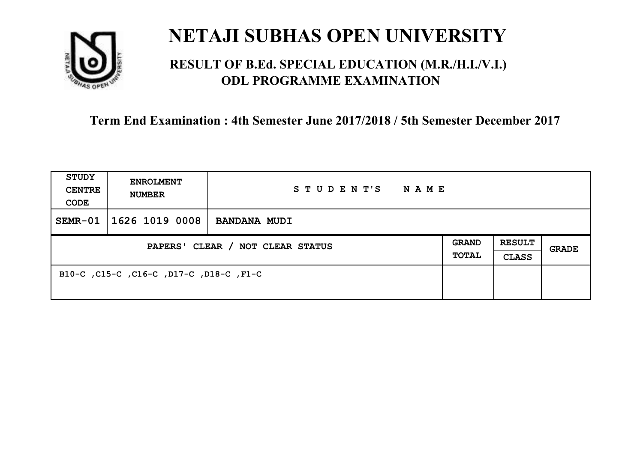

### **RESULT OF B.Ed. SPECIAL EDUCATION (M.R./H.I./V.I.) ODL PROGRAMME EXAMINATION**

| <b>STUDY</b><br><b>CENTRE</b><br>CODE | <b>ENROLMENT</b><br><b>NUMBER</b>       | STUDENT'S<br>NAME   |                       |                               |       |
|---------------------------------------|-----------------------------------------|---------------------|-----------------------|-------------------------------|-------|
| SEMR-01                               | 1626 1019 0008                          | <b>BANDANA MUDI</b> |                       |                               |       |
| PAPERS' CLEAR / NOT CLEAR STATUS      |                                         |                     | <b>GRAND</b><br>TOTAL | <b>RESULT</b><br><b>CLASS</b> | GRADE |
|                                       | B10-C, C15-C, C16-C, D17-C, D18-C, F1-C |                     |                       |                               |       |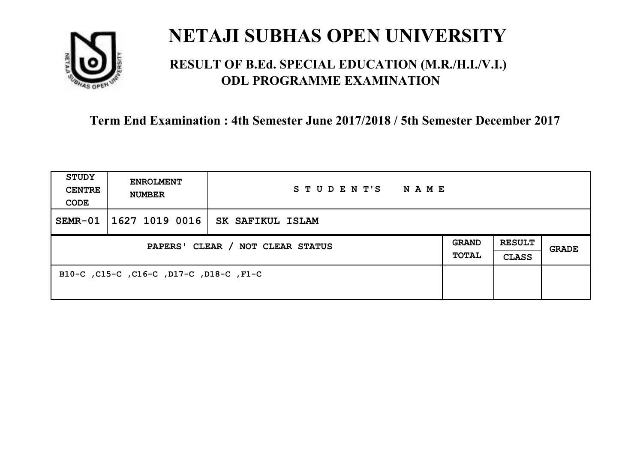

### **RESULT OF B.Ed. SPECIAL EDUCATION (M.R./H.I./V.I.) ODL PROGRAMME EXAMINATION**

| <b>STUDY</b><br><b>CENTRE</b><br>CODE | <b>ENROLMENT</b><br><b>NUMBER</b>       | STUDENT'S<br>NAME |                       |                               |       |
|---------------------------------------|-----------------------------------------|-------------------|-----------------------|-------------------------------|-------|
| $SEMR-01$                             | 1627 1019 0016                          | SK SAFIKUL ISLAM  |                       |                               |       |
| PAPERS' CLEAR / NOT CLEAR STATUS      |                                         |                   | <b>GRAND</b><br>TOTAL | <b>RESULT</b><br><b>CLASS</b> | GRADE |
|                                       | B10-C, C15-C, C16-C, D17-C, D18-C, F1-C |                   |                       |                               |       |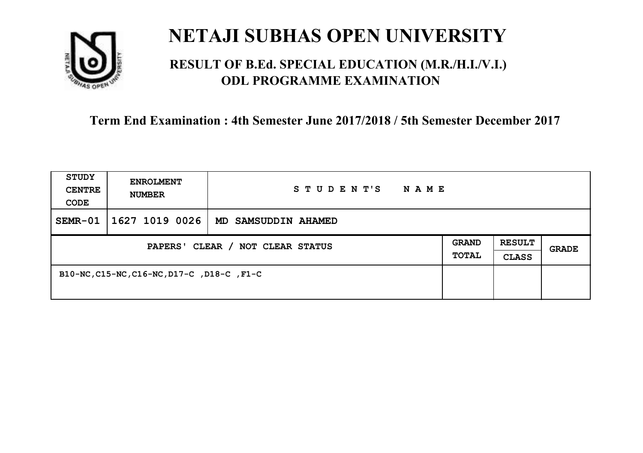

### **RESULT OF B.Ed. SPECIAL EDUCATION (M.R./H.I./V.I.) ODL PROGRAMME EXAMINATION**

| <b>STUDY</b><br><b>CENTRE</b><br>CODE | <b>ENROLMENT</b><br><b>NUMBER</b>          | STUDENT'S<br>N A M E |                       |                               |       |
|---------------------------------------|--------------------------------------------|----------------------|-----------------------|-------------------------------|-------|
| SEMR-01                               | 1627 1019 0026                             | MD SAMSUDDIN AHAMED  |                       |                               |       |
| PAPERS' CLEAR / NOT CLEAR STATUS      |                                            |                      | <b>GRAND</b><br>TOTAL | <b>RESULT</b><br><b>CLASS</b> | GRADE |
|                                       | B10-NC, C15-NC, C16-NC, D17-C, D18-C, F1-C |                      |                       |                               |       |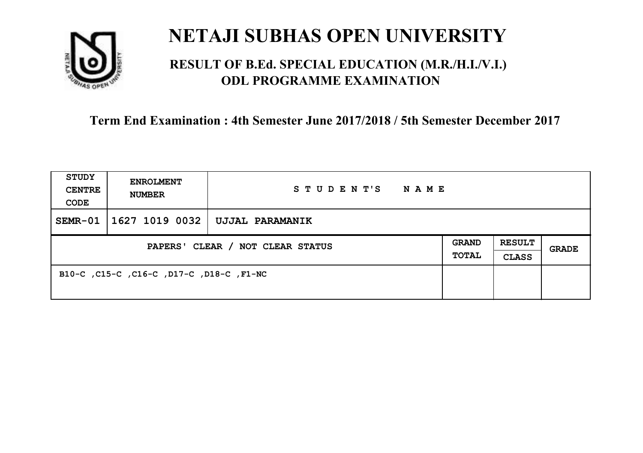

### **RESULT OF B.Ed. SPECIAL EDUCATION (M.R./H.I./V.I.) ODL PROGRAMME EXAMINATION**

| <b>STUDY</b><br><b>CENTRE</b><br>CODE | <b>ENROLMENT</b><br><b>NUMBER</b>        | STUDENT'S<br>NAME |                              |                               |       |
|---------------------------------------|------------------------------------------|-------------------|------------------------------|-------------------------------|-------|
| $SEMR-01$                             | 1627 1019 0032                           | UJJAL PARAMANIK   |                              |                               |       |
| PAPERS' CLEAR / NOT CLEAR STATUS      |                                          |                   | <b>GRAND</b><br><b>TOTAL</b> | <b>RESULT</b><br><b>CLASS</b> | GRADE |
|                                       | B10-C, C15-C, C16-C, D17-C, D18-C, F1-NC |                   |                              |                               |       |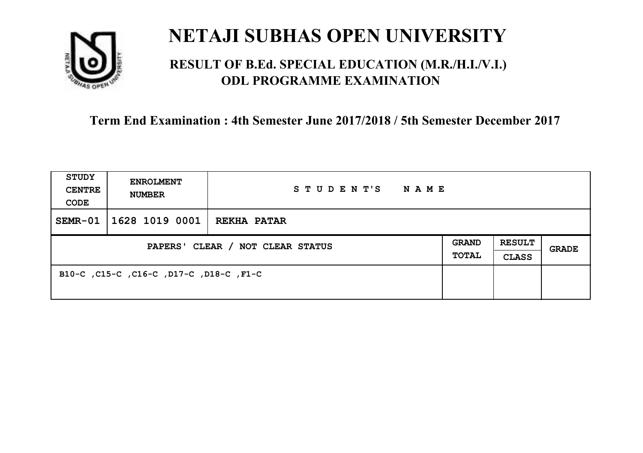

### **RESULT OF B.Ed. SPECIAL EDUCATION (M.R./H.I./V.I.) ODL PROGRAMME EXAMINATION**

| <b>STUDY</b><br><b>CENTRE</b><br>CODE | <b>ENROLMENT</b><br><b>NUMBER</b>       | STUDENT'S<br>NAME  |                              |                               |       |
|---------------------------------------|-----------------------------------------|--------------------|------------------------------|-------------------------------|-------|
| $SEMR-01$                             | 1628 1019 0001                          | <b>REKHA PATAR</b> |                              |                               |       |
| PAPERS' CLEAR / NOT CLEAR STATUS      |                                         |                    | <b>GRAND</b><br><b>TOTAL</b> | <b>RESULT</b><br><b>CLASS</b> | GRADE |
|                                       | B10-C, C15-C, C16-C, D17-C, D18-C, F1-C |                    |                              |                               |       |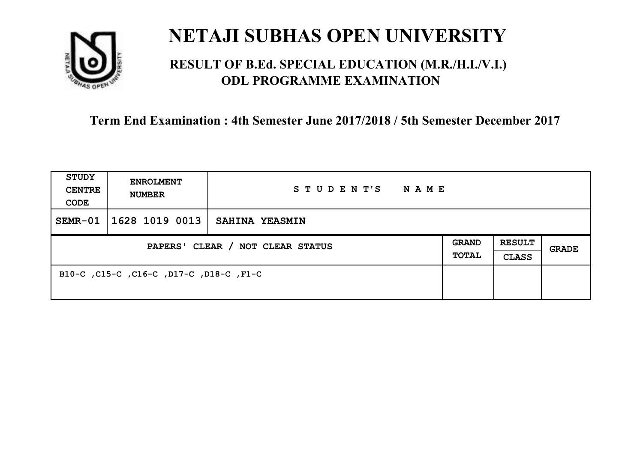

### **RESULT OF B.Ed. SPECIAL EDUCATION (M.R./H.I./V.I.) ODL PROGRAMME EXAMINATION**

| <b>STUDY</b><br><b>CENTRE</b><br>CODE | <b>ENROLMENT</b><br><b>NUMBER</b>       | STUDENT'S<br>NAME     |                       |                               |       |
|---------------------------------------|-----------------------------------------|-----------------------|-----------------------|-------------------------------|-------|
| $SEMR-01$                             | 1628 1019 0013                          | <b>SAHINA YEASMIN</b> |                       |                               |       |
| PAPERS' CLEAR / NOT CLEAR STATUS      |                                         |                       | <b>GRAND</b><br>TOTAL | <b>RESULT</b><br><b>CLASS</b> | GRADE |
|                                       | B10-C, C15-C, C16-C, D17-C, D18-C, F1-C |                       |                       |                               |       |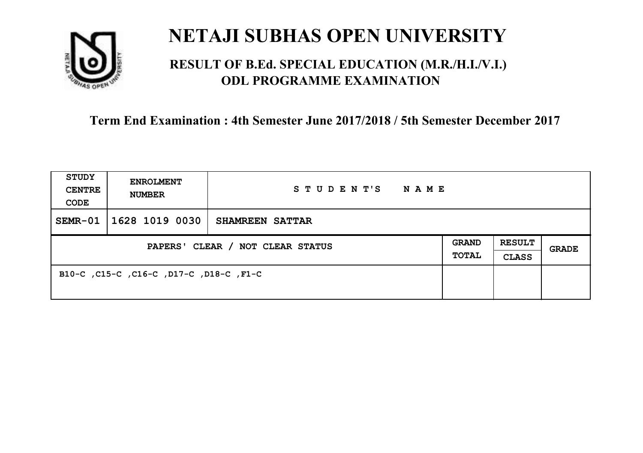

### **RESULT OF B.Ed. SPECIAL EDUCATION (M.R./H.I./V.I.) ODL PROGRAMME EXAMINATION**

| <b>STUDY</b><br><b>CENTRE</b><br>CODE | <b>ENROLMENT</b><br><b>NUMBER</b>       | STUDENT'S<br>NAME |                       |                               |       |
|---------------------------------------|-----------------------------------------|-------------------|-----------------------|-------------------------------|-------|
| $SEMR-01$                             | 1628 1019 0030                          | SHAMREEN SATTAR   |                       |                               |       |
| PAPERS' CLEAR / NOT CLEAR STATUS      |                                         |                   | <b>GRAND</b><br>TOTAL | <b>RESULT</b><br><b>CLASS</b> | GRADE |
|                                       | B10-C, C15-C, C16-C, D17-C, D18-C, F1-C |                   |                       |                               |       |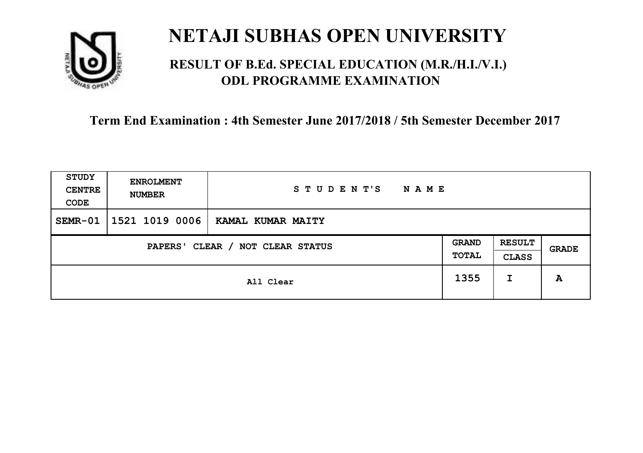

### **RESULT OF B.Ed. SPECIAL EDUCATION (M.R./H.I./V.I.) ODL PROGRAMME EXAMINATION**

| <b>STUDY</b><br><b>CENTRE</b><br>CODE | <b>ENROLMENT</b><br><b>NUMBER</b> | STUDENT'S<br><b>NAME</b> |                       |                               |       |
|---------------------------------------|-----------------------------------|--------------------------|-----------------------|-------------------------------|-------|
| SEMR-01                               | 1521 1019 0006                    | KAMAL KUMAR MAITY        |                       |                               |       |
| CLEAR / NOT CLEAR STATUS<br>PAPERS'   |                                   |                          | <b>GRAND</b><br>TOTAL | <b>RESULT</b><br><b>CLASS</b> | GRADE |
|                                       |                                   | All Clear                | 1355                  | I                             | A     |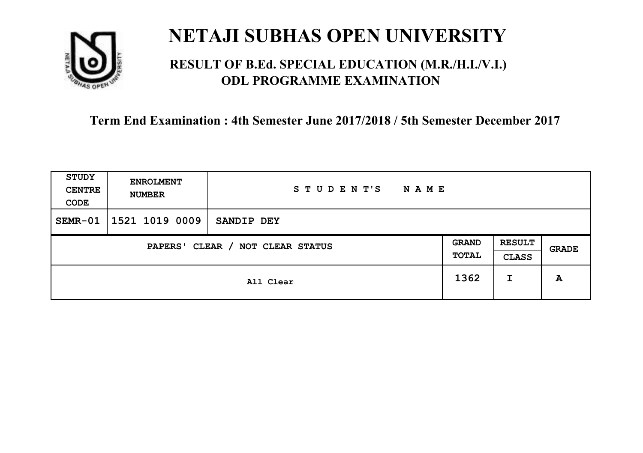

### **RESULT OF B.Ed. SPECIAL EDUCATION (M.R./H.I./V.I.) ODL PROGRAMME EXAMINATION**

| <b>STUDY</b><br><b>CENTRE</b><br>CODE | <b>ENROLMENT</b><br><b>NUMBER</b> | STUDENT'S<br><b>NAME</b> |                       |                               |       |
|---------------------------------------|-----------------------------------|--------------------------|-----------------------|-------------------------------|-------|
| SEMR-01                               | 1521 1019 0009                    | SANDIP DEY               |                       |                               |       |
| CLEAR / NOT CLEAR STATUS<br>PAPERS'   |                                   |                          | <b>GRAND</b><br>TOTAL | <b>RESULT</b><br><b>CLASS</b> | GRADE |
|                                       | All Clear                         |                          |                       | I                             | A     |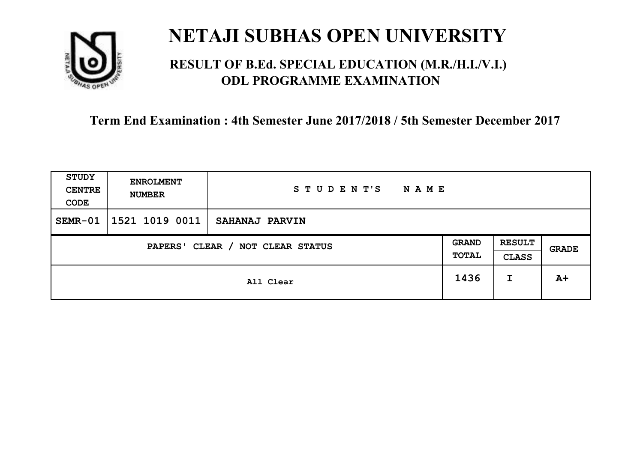

### **RESULT OF B.Ed. SPECIAL EDUCATION (M.R./H.I./V.I.) ODL PROGRAMME EXAMINATION**

| <b>STUDY</b><br><b>CENTRE</b><br>CODE | <b>ENROLMENT</b><br><b>NUMBER</b> | STUDENT'S<br><b>NAME</b> |                       |                               |       |
|---------------------------------------|-----------------------------------|--------------------------|-----------------------|-------------------------------|-------|
| $SEMR-01$                             | 1521 1019 0011                    | SAHANAJ PARVIN           |                       |                               |       |
| CLEAR / NOT CLEAR STATUS<br>PAPERS'   |                                   |                          | <b>GRAND</b><br>TOTAL | <b>RESULT</b><br><b>CLASS</b> | GRADE |
|                                       |                                   | All Clear                | 1436                  | I                             | $A+$  |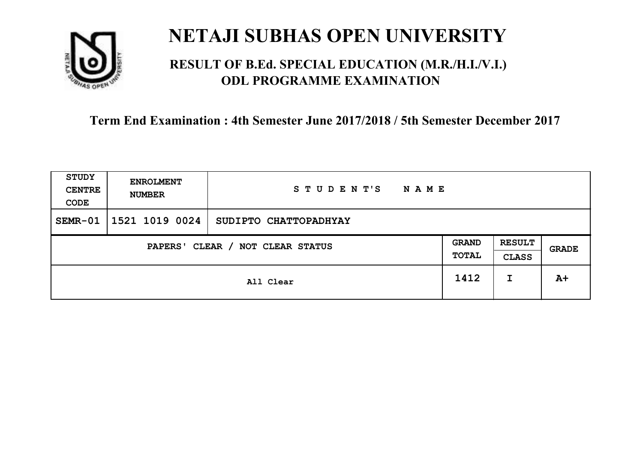

### **RESULT OF B.Ed. SPECIAL EDUCATION (M.R./H.I./V.I.) ODL PROGRAMME EXAMINATION**

| <b>STUDY</b><br><b>CENTRE</b><br>CODE | <b>ENROLMENT</b><br><b>NUMBER</b> | STUDENT'S<br><b>NAME</b> |                              |                               |       |
|---------------------------------------|-----------------------------------|--------------------------|------------------------------|-------------------------------|-------|
| $SEMR-01$                             | 1521 1019 0024                    | SUDIPTO CHATTOPADHYAY    |                              |                               |       |
| CLEAR / NOT CLEAR STATUS<br>PAPERS'   |                                   |                          | <b>GRAND</b><br><b>TOTAL</b> | <b>RESULT</b><br><b>CLASS</b> | GRADE |
|                                       | All Clear                         |                          | 1412                         | I                             | $A+$  |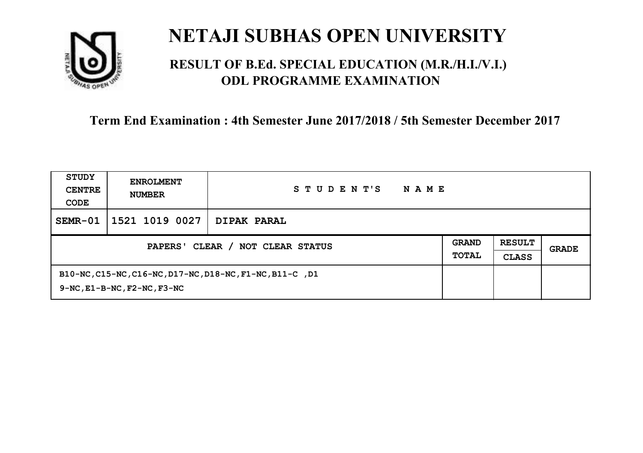

### **RESULT OF B.Ed. SPECIAL EDUCATION (M.R./H.I./V.I.) ODL PROGRAMME EXAMINATION**

| STUDY<br><b>CENTRE</b><br>CODE             | <b>ENROLMENT</b><br><b>NUMBER</b>                                                                  | STUDENT'S<br><b>NAME</b> |                              |                               |       |
|--------------------------------------------|----------------------------------------------------------------------------------------------------|--------------------------|------------------------------|-------------------------------|-------|
| SEMR-01                                    | 1521 1019 0027                                                                                     | DIPAK PARAL              |                              |                               |       |
| CLEAR / NOT CLEAR STATUS<br><b>PAPERS'</b> |                                                                                                    |                          | <b>GRAND</b><br><b>TOTAL</b> | <b>RESULT</b><br><b>CLASS</b> | GRADE |
|                                            | B10-NC, C15-NC, C16-NC, D17-NC, D18-NC, F1-NC, B11-C, D1<br>$9-NC$ , $E1-B-NC$ , $F2-NC$ , $F3-NC$ |                          |                              |                               |       |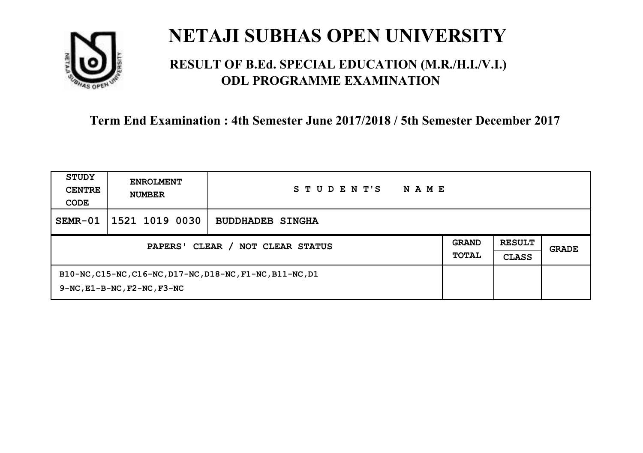

### **RESULT OF B.Ed. SPECIAL EDUCATION (M.R./H.I./V.I.) ODL PROGRAMME EXAMINATION**

| STUDY<br><b>CENTRE</b><br>CODE             | <b>ENROLMENT</b><br><b>NUMBER</b>                                                                   | STUDENT'S<br><b>NAME</b> |                              |                               |       |
|--------------------------------------------|-----------------------------------------------------------------------------------------------------|--------------------------|------------------------------|-------------------------------|-------|
| SEMR-01                                    | 1521 1019 0030                                                                                      | <b>BUDDHADEB SINGHA</b>  |                              |                               |       |
| CLEAR / NOT CLEAR STATUS<br><b>PAPERS'</b> |                                                                                                     |                          | <b>GRAND</b><br><b>TOTAL</b> | <b>RESULT</b><br><b>CLASS</b> | GRADE |
|                                            | B10-NC, C15-NC, C16-NC, D17-NC, D18-NC, F1-NC, B11-NC, D1<br>$9-NC$ , $E1-B-NC$ , $F2-NC$ , $F3-NC$ |                          |                              |                               |       |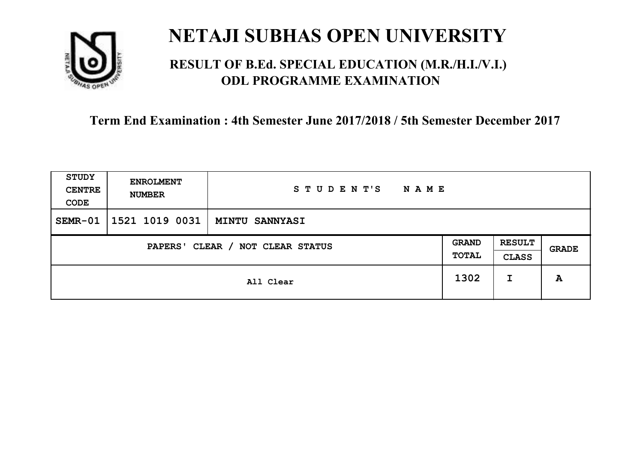

### **RESULT OF B.Ed. SPECIAL EDUCATION (M.R./H.I./V.I.) ODL PROGRAMME EXAMINATION**

| <b>STUDY</b><br><b>CENTRE</b><br>CODE                        | <b>ENROLMENT</b><br><b>NUMBER</b> | STUDENT'S<br><b>NAME</b> |      |                               |       |
|--------------------------------------------------------------|-----------------------------------|--------------------------|------|-------------------------------|-------|
| $SEMR-01$                                                    | 1521 1019 0031                    | <b>MINTU SANNYASI</b>    |      |                               |       |
| <b>GRAND</b><br>CLEAR / NOT CLEAR STATUS<br>PAPERS'<br>TOTAL |                                   |                          |      | <b>RESULT</b><br><b>CLASS</b> | GRADE |
|                                                              |                                   | All Clear                | 1302 | I                             | A     |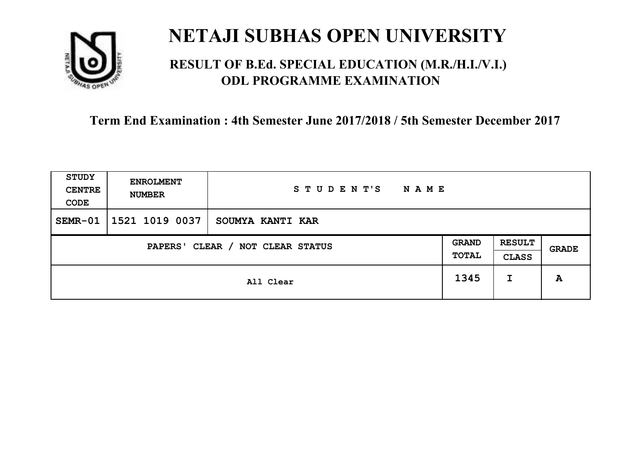

### **RESULT OF B.Ed. SPECIAL EDUCATION (M.R./H.I./V.I.) ODL PROGRAMME EXAMINATION**

| <b>STUDY</b><br><b>CENTRE</b><br>CODE | <b>ENROLMENT</b><br><b>NUMBER</b>   | STUDENT'S<br><b>NAME</b> |      |   |       |
|---------------------------------------|-------------------------------------|--------------------------|------|---|-------|
| $SEMR-01$                             | 1521 1019 0037                      | SOUMYA KANTI KAR         |      |   |       |
|                                       | CLEAR / NOT CLEAR STATUS<br>PAPERS' |                          |      |   | GRADE |
|                                       |                                     | All Clear                | 1345 | I | A     |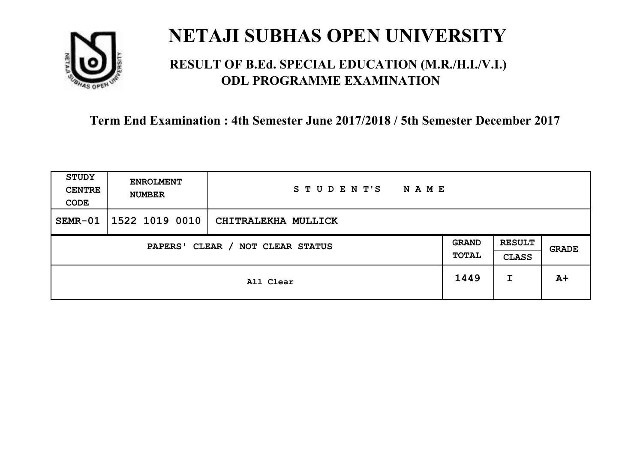

### **RESULT OF B.Ed. SPECIAL EDUCATION (M.R./H.I./V.I.) ODL PROGRAMME EXAMINATION**

| <b>STUDY</b><br><b>CENTRE</b><br>CODE | <b>ENROLMENT</b><br><b>NUMBER</b>   | STUDENT'S<br><b>NAME</b> |      |   |       |
|---------------------------------------|-------------------------------------|--------------------------|------|---|-------|
| $SEMR-01$                             | 1522 1019 0010                      | CHITRALEKHA MULLICK      |      |   |       |
|                                       | CLEAR / NOT CLEAR STATUS<br>PAPERS' |                          |      |   | GRADE |
|                                       |                                     | All Clear                | 1449 | I | $A+$  |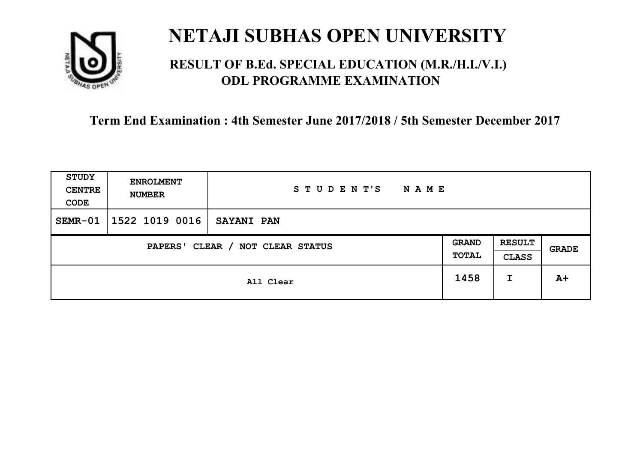

### **RESULT OF B.Ed. SPECIAL EDUCATION (M.R./H.I./V.I.) ODL PROGRAMME EXAMINATION**

| <b>STUDY</b><br><b>CENTRE</b><br>CODE                                                         | <b>ENROLMENT</b><br><b>NUMBER</b> | STUDENT'S<br><b>NAME</b> |      |       |      |
|-----------------------------------------------------------------------------------------------|-----------------------------------|--------------------------|------|-------|------|
| $SEMR-01$                                                                                     | 1522 1019 0016                    | <b>SAYANI PAN</b>        |      |       |      |
| <b>RESULT</b><br><b>GRAND</b><br>CLEAR / NOT CLEAR STATUS<br>PAPERS'<br>TOTAL<br><b>CLASS</b> |                                   |                          |      | GRADE |      |
|                                                                                               |                                   | All Clear                | 1458 | I     | $A+$ |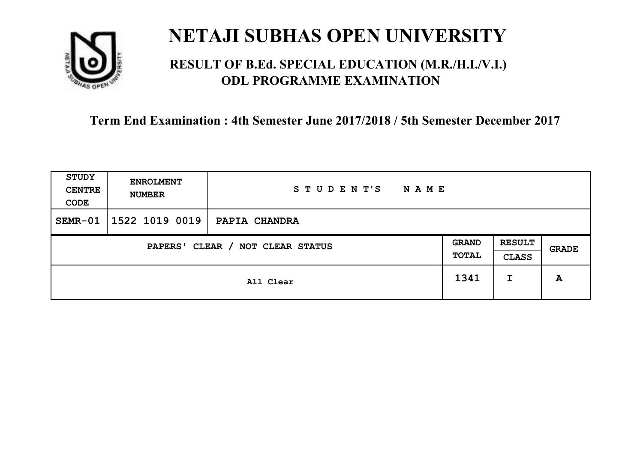

### **RESULT OF B.Ed. SPECIAL EDUCATION (M.R./H.I./V.I.) ODL PROGRAMME EXAMINATION**

| <b>STUDY</b><br><b>CENTRE</b><br>CODE                        | <b>ENROLMENT</b><br><b>NUMBER</b> | STUDENT'S<br><b>NAME</b> |      |                               |       |
|--------------------------------------------------------------|-----------------------------------|--------------------------|------|-------------------------------|-------|
| $SEMR-01$                                                    | 1522 1019 0019                    | PAPIA CHANDRA            |      |                               |       |
| <b>GRAND</b><br>CLEAR / NOT CLEAR STATUS<br>PAPERS'<br>TOTAL |                                   |                          |      | <b>RESULT</b><br><b>CLASS</b> | GRADE |
|                                                              |                                   | All Clear                | 1341 | I                             | A     |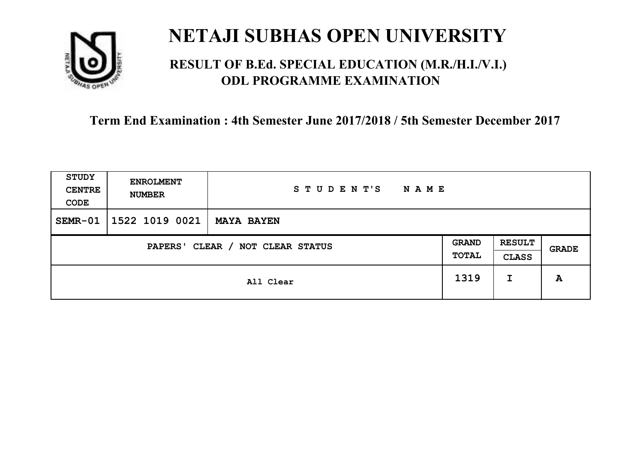

### **RESULT OF B.Ed. SPECIAL EDUCATION (M.R./H.I./V.I.) ODL PROGRAMME EXAMINATION**

| <b>STUDY</b><br><b>CENTRE</b><br>CODE                                                         | <b>ENROLMENT</b><br><b>NUMBER</b> | STUDENT'S<br><b>NAME</b> |      |       |   |
|-----------------------------------------------------------------------------------------------|-----------------------------------|--------------------------|------|-------|---|
| $SEMR-01$                                                                                     | 1522 1019 0021                    | <b>MAYA BAYEN</b>        |      |       |   |
| <b>RESULT</b><br><b>GRAND</b><br>CLEAR / NOT CLEAR STATUS<br>PAPERS'<br>TOTAL<br><b>CLASS</b> |                                   |                          |      | GRADE |   |
|                                                                                               |                                   | All Clear                | 1319 | I     | A |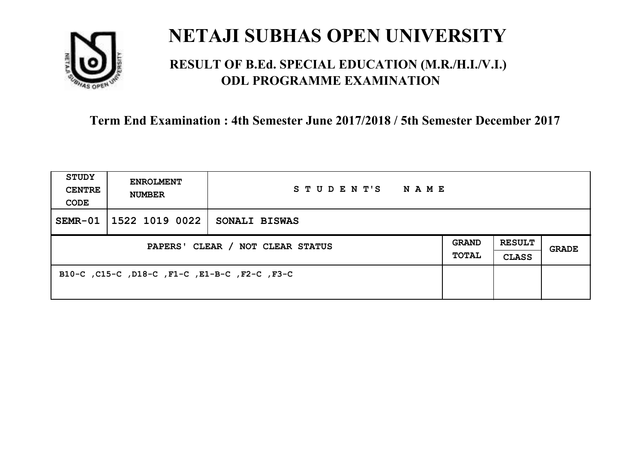

### **RESULT OF B.Ed. SPECIAL EDUCATION (M.R./H.I./V.I.) ODL PROGRAMME EXAMINATION**

| <b>STUDY</b><br><b>CENTRE</b><br>CODE | <b>ENROLMENT</b><br><b>NUMBER</b>             | STUDENT'S NAME |                       |                               |              |
|---------------------------------------|-----------------------------------------------|----------------|-----------------------|-------------------------------|--------------|
| SEMR-01                               | 1522 1019 0022                                | SONALI BISWAS  |                       |                               |              |
| PAPERS' CLEAR / NOT CLEAR STATUS      |                                               |                | GRAND<br><b>TOTAL</b> | <b>RESULT</b><br><b>CLASS</b> | <b>GRADE</b> |
|                                       | B10-C, C15-C, D18-C, F1-C, E1-B-C, F2-C, F3-C |                |                       |                               |              |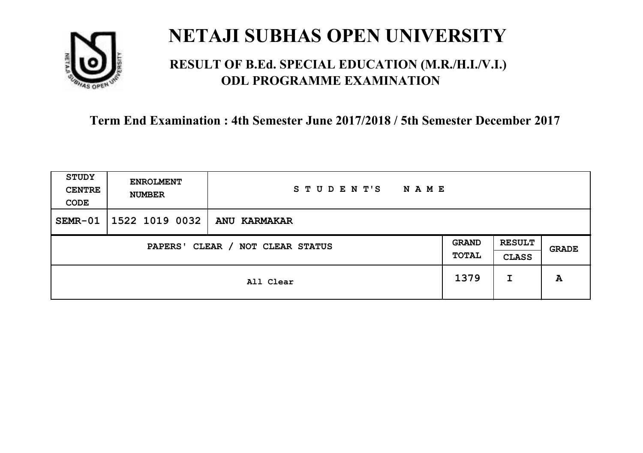

### **RESULT OF B.Ed. SPECIAL EDUCATION (M.R./H.I./V.I.) ODL PROGRAMME EXAMINATION**

| <b>STUDY</b><br><b>CENTRE</b><br>CODE                                                         | <b>ENROLMENT</b><br><b>NUMBER</b> | STUDENT'S<br><b>NAME</b> |      |   |       |
|-----------------------------------------------------------------------------------------------|-----------------------------------|--------------------------|------|---|-------|
| $SEMR-01$                                                                                     | 1522 1019 0032                    | ANU KARMAKAR             |      |   |       |
| <b>RESULT</b><br><b>GRAND</b><br>CLEAR / NOT CLEAR STATUS<br>PAPERS'<br>TOTAL<br><b>CLASS</b> |                                   |                          |      |   | GRADE |
|                                                                                               |                                   | All Clear                | 1379 | I | A     |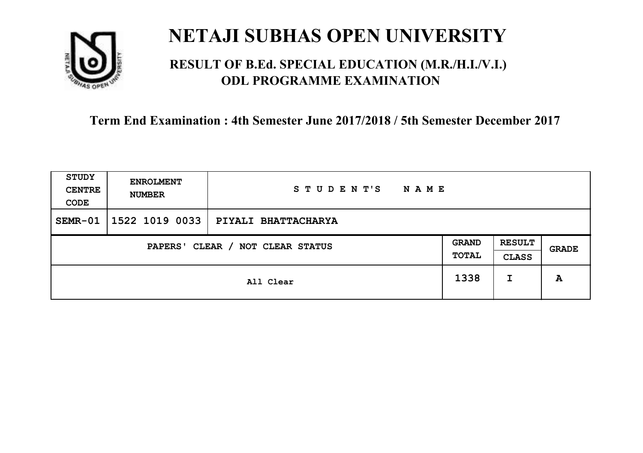

### **RESULT OF B.Ed. SPECIAL EDUCATION (M.R./H.I./V.I.) ODL PROGRAMME EXAMINATION**

| <b>STUDY</b><br><b>CENTRE</b><br>CODE | <b>ENROLMENT</b><br><b>NUMBER</b>   | STUDENT'S<br><b>NAME</b> |      |   |       |
|---------------------------------------|-------------------------------------|--------------------------|------|---|-------|
| $SEMR-01$                             | 1522 1019 0033                      | PIYALI BHATTACHARYA      |      |   |       |
|                                       | CLEAR / NOT CLEAR STATUS<br>PAPERS' |                          |      |   | GRADE |
|                                       |                                     | All Clear                | 1338 | I | A     |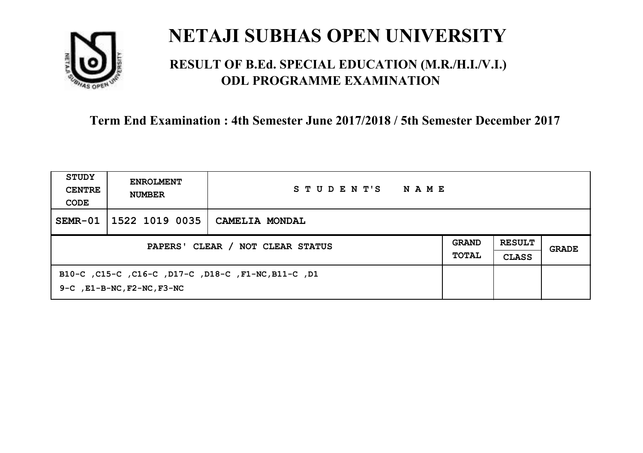

### **RESULT OF B.Ed. SPECIAL EDUCATION (M.R./H.I./V.I.) ODL PROGRAMME EXAMINATION**

| STUDY<br><b>CENTRE</b><br>CODE | <b>ENROLMENT</b><br><b>NUMBER</b>     | STUDENT'S<br>NAME                                   |  |  |       |
|--------------------------------|---------------------------------------|-----------------------------------------------------|--|--|-------|
| $SEMR-01$                      | 1522 1019 0035                        | CAMELIA MONDAL                                      |  |  |       |
|                                | PAPERS' CLEAR / NOT CLEAR STATUS      |                                                     |  |  | GRADE |
|                                | $9-C$ , $E1-B-NC$ , $F2-NC$ , $F3-NC$ | B10-C, C15-C, C16-C, D17-C, D18-C, F1-NC, B11-C, D1 |  |  |       |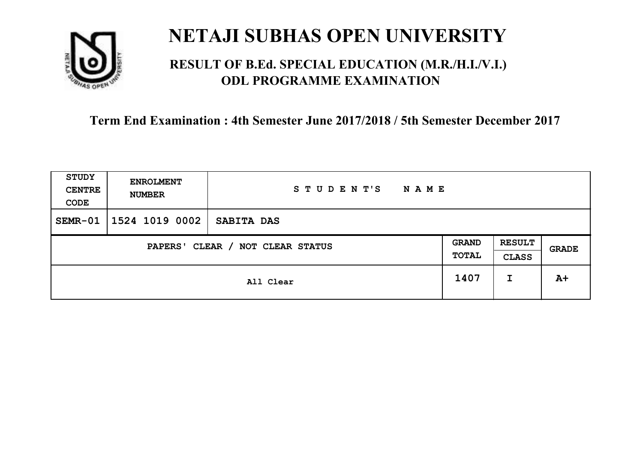

### **RESULT OF B.Ed. SPECIAL EDUCATION (M.R./H.I./V.I.) ODL PROGRAMME EXAMINATION**

| <b>STUDY</b><br><b>CENTRE</b><br>CODE                        | <b>ENROLMENT</b><br><b>NUMBER</b> | STUDENT'S<br><b>NAME</b> |      |                               |       |
|--------------------------------------------------------------|-----------------------------------|--------------------------|------|-------------------------------|-------|
| $SEMR-01$                                                    | 1524 1019 0002                    | SABITA DAS               |      |                               |       |
| <b>GRAND</b><br>CLEAR / NOT CLEAR STATUS<br>PAPERS'<br>TOTAL |                                   |                          |      | <b>RESULT</b><br><b>CLASS</b> | GRADE |
|                                                              |                                   | All Clear                | 1407 | I                             | $A+$  |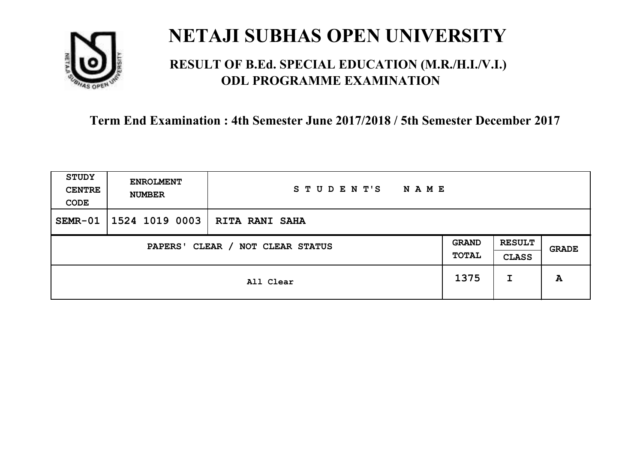

### **RESULT OF B.Ed. SPECIAL EDUCATION (M.R./H.I./V.I.) ODL PROGRAMME EXAMINATION**

| <b>STUDY</b><br><b>CENTRE</b><br>CODE | <b>ENROLMENT</b><br><b>NUMBER</b> | STUDENT'S<br><b>NAME</b> |      |                               |       |
|---------------------------------------|-----------------------------------|--------------------------|------|-------------------------------|-------|
| $SEMR-01$                             | 1524 1019 0003                    | <b>RITA RANI SAHA</b>    |      |                               |       |
| CLEAR / NOT CLEAR STATUS<br>PAPERS'   |                                   |                          |      | <b>RESULT</b><br><b>CLASS</b> | GRADE |
|                                       |                                   | All Clear                | 1375 | I                             | A     |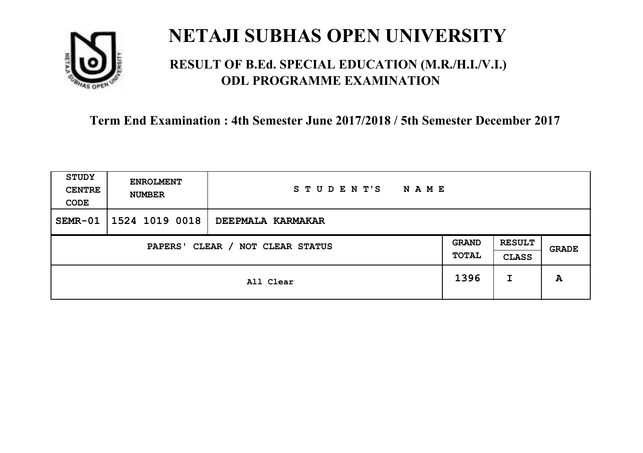

### **RESULT OF B.Ed. SPECIAL EDUCATION (M.R./H.I./V.I.) ODL PROGRAMME EXAMINATION**

| <b>STUDY</b><br><b>CENTRE</b><br>CODE | <b>ENROLMENT</b><br><b>NUMBER</b>   | STUDENT'S<br><b>NAME</b> |      |                               |       |
|---------------------------------------|-------------------------------------|--------------------------|------|-------------------------------|-------|
| $SEMR-01$                             | 1524 1019 0018                      | DEEPMALA KARMAKAR        |      |                               |       |
|                                       | CLEAR / NOT CLEAR STATUS<br>PAPERS' |                          |      | <b>RESULT</b><br><b>CLASS</b> | GRADE |
|                                       |                                     | All Clear                | 1396 | I                             | A     |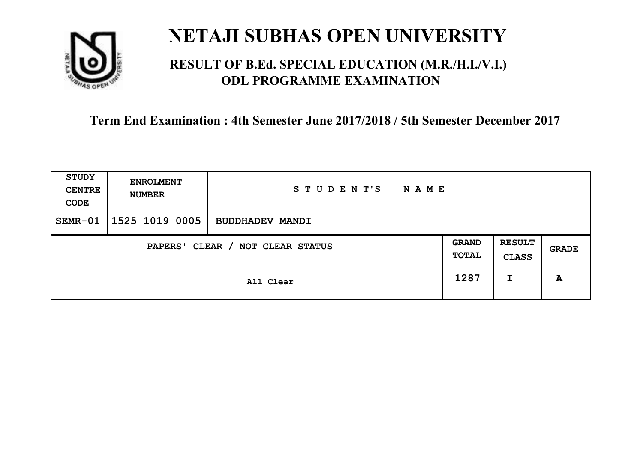

### **RESULT OF B.Ed. SPECIAL EDUCATION (M.R./H.I./V.I.) ODL PROGRAMME EXAMINATION**

| <b>STUDY</b><br><b>CENTRE</b><br>CODE | <b>ENROLMENT</b><br><b>NUMBER</b> | STUDENT'S<br><b>NAME</b> |                       |                               |       |
|---------------------------------------|-----------------------------------|--------------------------|-----------------------|-------------------------------|-------|
| SEMR-01                               | 1525 1019 0005                    | <b>BUDDHADEV MANDI</b>   |                       |                               |       |
| CLEAR / NOT CLEAR STATUS<br>PAPERS'   |                                   |                          | <b>GRAND</b><br>TOTAL | <b>RESULT</b><br><b>CLASS</b> | GRADE |
|                                       | All Clear                         |                          |                       | I                             | A     |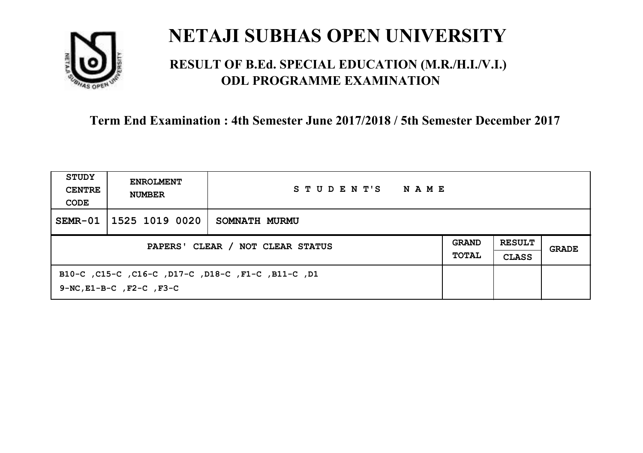

### **RESULT OF B.Ed. SPECIAL EDUCATION (M.R./H.I./V.I.) ODL PROGRAMME EXAMINATION**

| STUDY<br><b>CENTRE</b><br>CODE   | <b>ENROLMENT</b><br><b>NUMBER</b>   | STUDENT'S<br>NAME                                  |                              |                               |       |
|----------------------------------|-------------------------------------|----------------------------------------------------|------------------------------|-------------------------------|-------|
| $SEMR-01$                        | 1525 1019 0020                      | SOMNATH MURMU                                      |                              |                               |       |
| PAPERS' CLEAR / NOT CLEAR STATUS |                                     |                                                    | <b>GRAND</b><br><b>TOTAL</b> | <b>RESULT</b><br><b>CLASS</b> | GRADE |
|                                  | $9-NC$ , $E1-B-C$ , $F2-C$ , $F3-C$ | B10-C, C15-C, C16-C, D17-C, D18-C, F1-C, B11-C, D1 |                              |                               |       |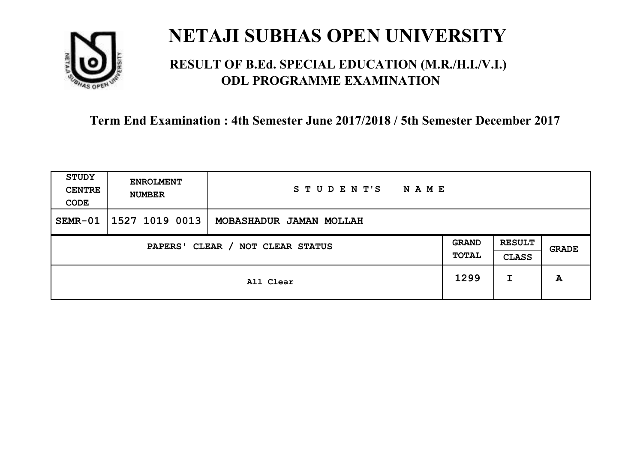

### **RESULT OF B.Ed. SPECIAL EDUCATION (M.R./H.I./V.I.) ODL PROGRAMME EXAMINATION**

| <b>STUDY</b><br><b>CENTRE</b><br>CODE | <b>ENROLMENT</b><br><b>NUMBER</b>   | STUDENT'S<br><b>NAME</b> |      |                               |       |
|---------------------------------------|-------------------------------------|--------------------------|------|-------------------------------|-------|
| $SEMR-01$                             | 1527 1019 0013                      | MOBASHADUR JAMAN MOLLAH  |      |                               |       |
|                                       | CLEAR / NOT CLEAR STATUS<br>PAPERS' |                          |      | <b>RESULT</b><br><b>CLASS</b> | GRADE |
|                                       |                                     | All Clear                | 1299 | I                             | A     |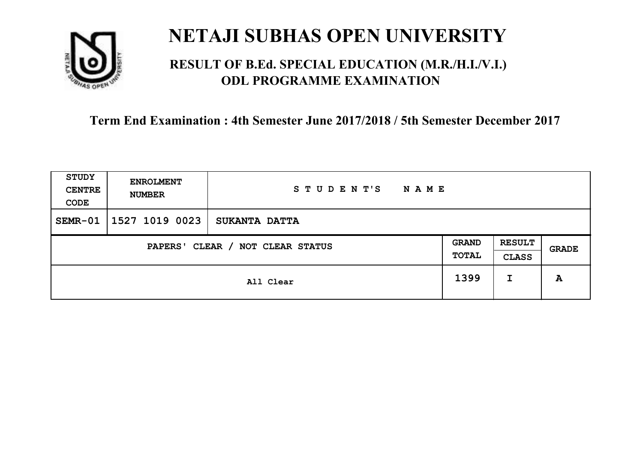

### **RESULT OF B.Ed. SPECIAL EDUCATION (M.R./H.I./V.I.) ODL PROGRAMME EXAMINATION**

| <b>STUDY</b><br><b>CENTRE</b><br>CODE | <b>ENROLMENT</b><br><b>NUMBER</b>   | STUDENT'S<br><b>NAME</b> |      |   |       |
|---------------------------------------|-------------------------------------|--------------------------|------|---|-------|
| SEMR-01                               | 1527 1019 0023                      | <b>SUKANTA DATTA</b>     |      |   |       |
|                                       | CLEAR / NOT CLEAR STATUS<br>PAPERS' |                          |      |   | GRADE |
|                                       |                                     | All Clear                | 1399 | I | A     |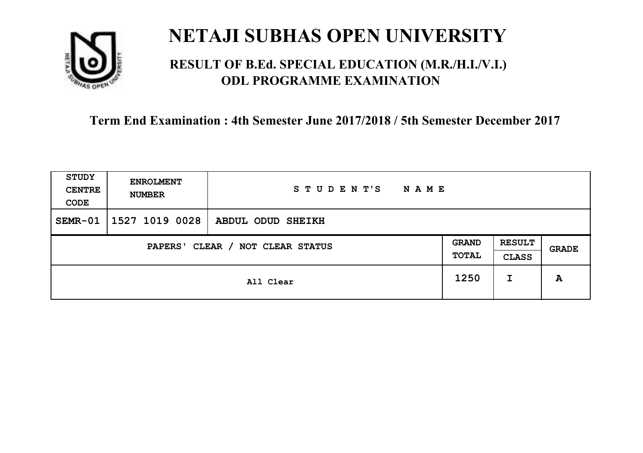

### **RESULT OF B.Ed. SPECIAL EDUCATION (M.R./H.I./V.I.) ODL PROGRAMME EXAMINATION**

| <b>STUDY</b><br><b>CENTRE</b><br>CODE | <b>ENROLMENT</b><br><b>NUMBER</b>   | STUDENT'S<br><b>NAME</b> |      |                               |              |
|---------------------------------------|-------------------------------------|--------------------------|------|-------------------------------|--------------|
| $SEMR-01$                             | 1527 1019 0028                      | ABDUL ODUD SHEIKH        |      |                               |              |
|                                       | CLEAR / NOT CLEAR STATUS<br>PAPERS' |                          |      | <b>RESULT</b><br><b>CLASS</b> | <b>GRADE</b> |
|                                       |                                     | All Clear                | 1250 | I                             | A            |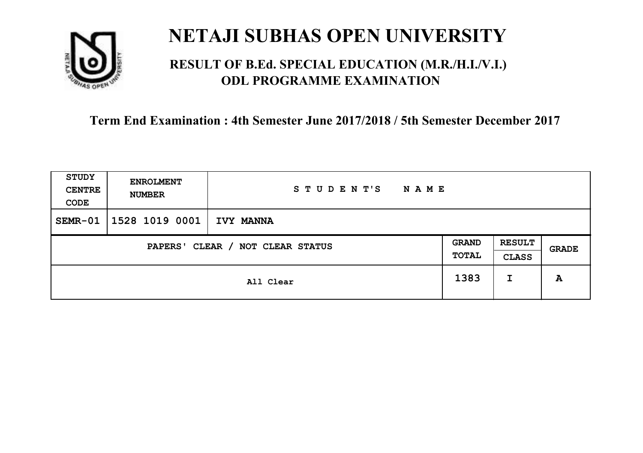

### **RESULT OF B.Ed. SPECIAL EDUCATION (M.R./H.I./V.I.) ODL PROGRAMME EXAMINATION**

| <b>STUDY</b><br><b>CENTRE</b><br>CODE | <b>ENROLMENT</b><br><b>NUMBER</b>   | STUDENT'S<br><b>NAME</b> |      |   |       |
|---------------------------------------|-------------------------------------|--------------------------|------|---|-------|
| $SEMR-01$                             | 1528 1019 0001                      | <b>IVY MANNA</b>         |      |   |       |
|                                       | CLEAR / NOT CLEAR STATUS<br>PAPERS' |                          |      |   | GRADE |
|                                       |                                     | All Clear                | 1383 | I | A     |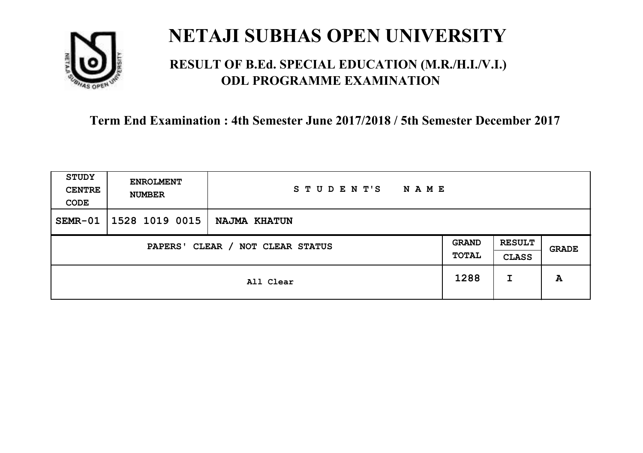

### **RESULT OF B.Ed. SPECIAL EDUCATION (M.R./H.I./V.I.) ODL PROGRAMME EXAMINATION**

| <b>STUDY</b><br><b>CENTRE</b><br>CODE | <b>ENROLMENT</b><br><b>NUMBER</b> | STUDENT'S<br><b>NAME</b> |      |                               |       |
|---------------------------------------|-----------------------------------|--------------------------|------|-------------------------------|-------|
| $SEMR-01$                             | 1528 1019 0015                    | NAJMA KHATUN             |      |                               |       |
| CLEAR / NOT CLEAR STATUS<br>PAPERS'   |                                   |                          |      | <b>RESULT</b><br><b>CLASS</b> | GRADE |
|                                       | All Clear                         |                          | 1288 | I                             | A     |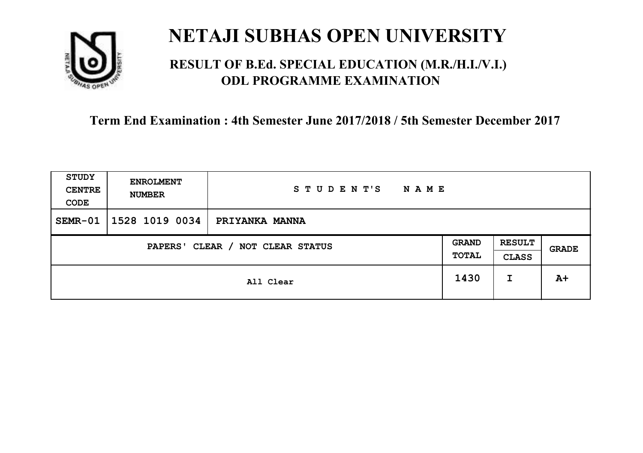

### **RESULT OF B.Ed. SPECIAL EDUCATION (M.R./H.I./V.I.) ODL PROGRAMME EXAMINATION**

| <b>STUDY</b><br><b>CENTRE</b><br>CODE | <b>ENROLMENT</b><br><b>NUMBER</b>   | STUDENT'S<br><b>NAME</b> |  |   |       |
|---------------------------------------|-------------------------------------|--------------------------|--|---|-------|
| $SEMR-01$                             | 1528 1019 0034                      | PRIYANKA MANNA           |  |   |       |
|                                       | CLEAR / NOT CLEAR STATUS<br>PAPERS' |                          |  |   | GRADE |
|                                       | All Clear                           |                          |  | I | $A+$  |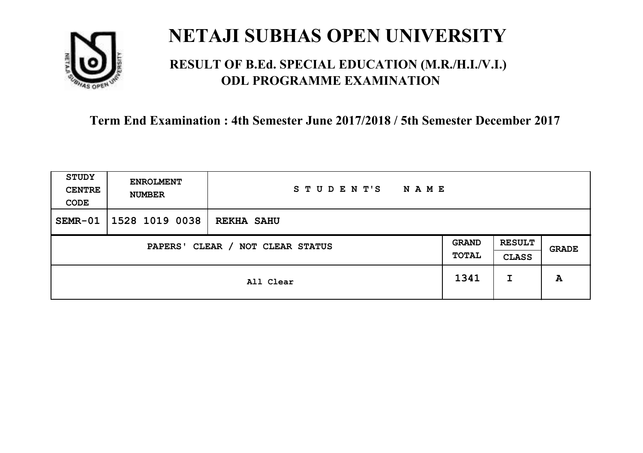

### **RESULT OF B.Ed. SPECIAL EDUCATION (M.R./H.I./V.I.) ODL PROGRAMME EXAMINATION**

| <b>STUDY</b><br><b>CENTRE</b><br>CODE | <b>ENROLMENT</b><br><b>NUMBER</b> | STUDENT'S<br><b>NAME</b> |  |                               |              |
|---------------------------------------|-----------------------------------|--------------------------|--|-------------------------------|--------------|
| SEMR-01                               | 1528 1019 0038                    | <b>REKHA SAHU</b>        |  |                               |              |
| CLEAR / NOT CLEAR STATUS<br>PAPERS'   |                                   |                          |  | <b>RESULT</b><br><b>CLASS</b> | <b>GRADE</b> |
|                                       | All Clear                         |                          |  | I                             | A            |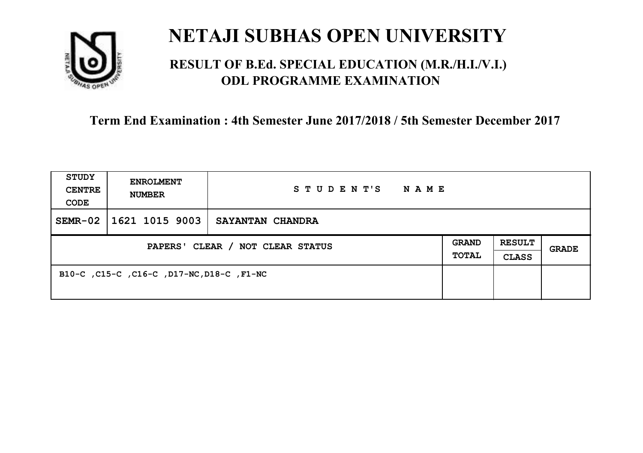

### **RESULT OF B.Ed. SPECIAL EDUCATION (M.R./H.I./V.I.) ODL PROGRAMME EXAMINATION**

| <b>STUDY</b><br><b>CENTRE</b><br>CODE | <b>ENROLMENT</b><br><b>NUMBER</b>         | STUDENT'S<br><b>NAME</b> |                              |                               |       |
|---------------------------------------|-------------------------------------------|--------------------------|------------------------------|-------------------------------|-------|
| $SEMR-02$                             | 1621 1015 9003                            | SAYANTAN CHANDRA         |                              |                               |       |
| PAPERS' CLEAR / NOT CLEAR STATUS      |                                           |                          | <b>GRAND</b><br><b>TOTAL</b> | <b>RESULT</b><br><b>CLASS</b> | GRADE |
|                                       | B10-C, C15-C, C16-C, D17-NC, D18-C, F1-NC |                          |                              |                               |       |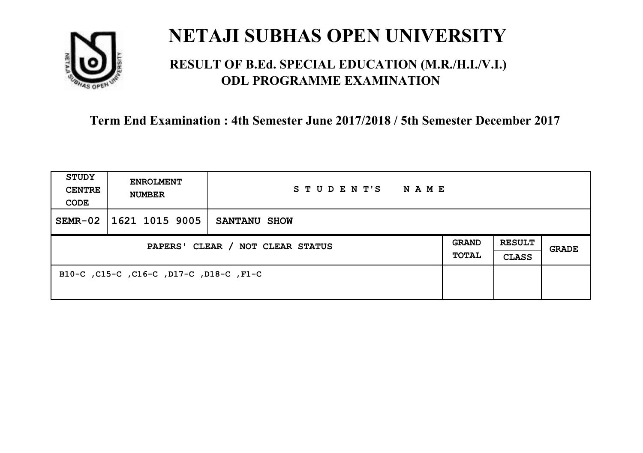

### **RESULT OF B.Ed. SPECIAL EDUCATION (M.R./H.I./V.I.) ODL PROGRAMME EXAMINATION**

| <b>STUDY</b><br><b>CENTRE</b><br>CODE | <b>ENROLMENT</b><br><b>NUMBER</b>       | STUDENT'S NAME      |  |                               |              |
|---------------------------------------|-----------------------------------------|---------------------|--|-------------------------------|--------------|
| $SEMR-02$                             | 1621 1015 9005                          | <b>SANTANU SHOW</b> |  |                               |              |
| PAPERS' CLEAR / NOT CLEAR STATUS      |                                         |                     |  | <b>RESULT</b><br><b>CLASS</b> | <b>GRADE</b> |
|                                       | B10-C, C15-C, C16-C, D17-C, D18-C, F1-C |                     |  |                               |              |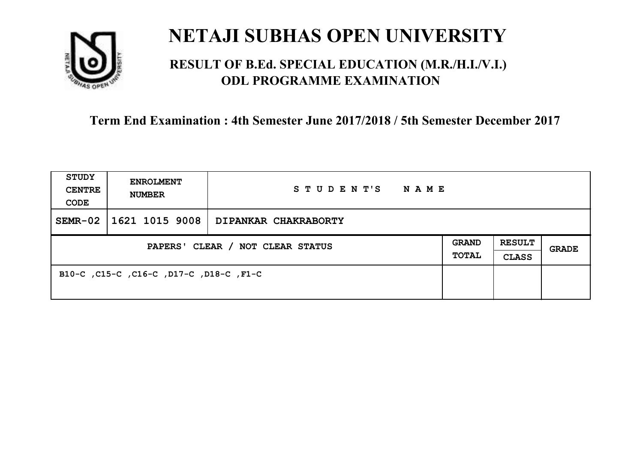

### **RESULT OF B.Ed. SPECIAL EDUCATION (M.R./H.I./V.I.) ODL PROGRAMME EXAMINATION**

| <b>STUDY</b><br><b>CENTRE</b><br>CODE | <b>ENROLMENT</b><br><b>NUMBER</b>       | STUDENT'S NAME              |  |                               |              |
|---------------------------------------|-----------------------------------------|-----------------------------|--|-------------------------------|--------------|
| $SEMR-02$                             | $ 1621\;1015\;9008 $                    | <b>DIPANKAR CHAKRABORTY</b> |  |                               |              |
| PAPERS' CLEAR / NOT CLEAR STATUS      |                                         |                             |  | <b>RESULT</b><br><b>CLASS</b> | <b>GRADE</b> |
|                                       | B10-C, C15-C, C16-C, D17-C, D18-C, F1-C |                             |  |                               |              |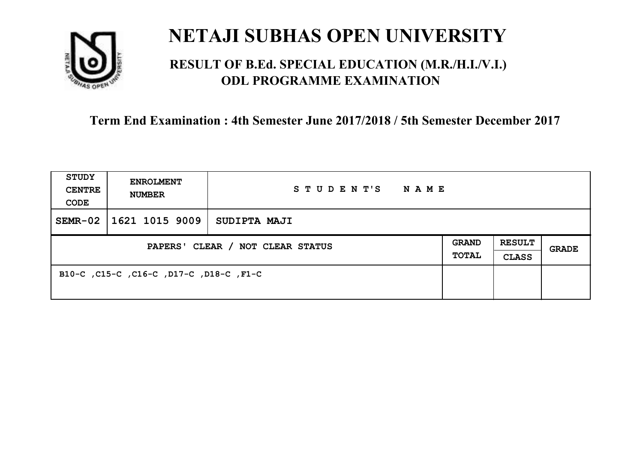

### **RESULT OF B.Ed. SPECIAL EDUCATION (M.R./H.I./V.I.) ODL PROGRAMME EXAMINATION**

| <b>STUDY</b><br><b>CENTRE</b><br>CODE | <b>ENROLMENT</b><br><b>NUMBER</b>       | STUDENT'S<br>NAME |  |                               |       |
|---------------------------------------|-----------------------------------------|-------------------|--|-------------------------------|-------|
| $SEMR-02$                             | 1621 1015 9009                          | SUDIPTA MAJI      |  |                               |       |
| PAPERS' CLEAR / NOT CLEAR STATUS      |                                         |                   |  | <b>RESULT</b><br><b>CLASS</b> | GRADE |
|                                       | B10-C, C15-C, C16-C, D17-C, D18-C, F1-C |                   |  |                               |       |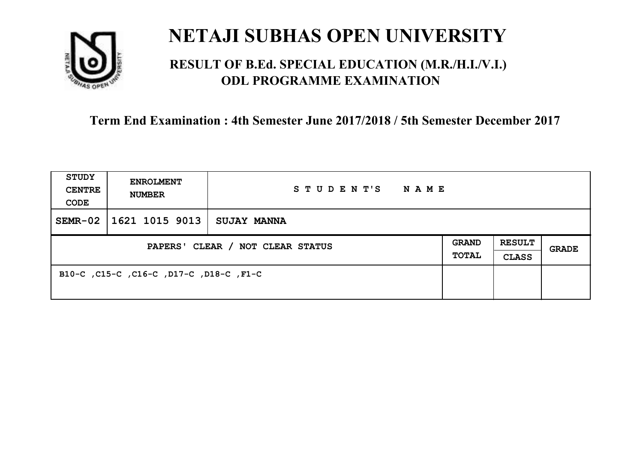

### **RESULT OF B.Ed. SPECIAL EDUCATION (M.R./H.I./V.I.) ODL PROGRAMME EXAMINATION**

| <b>STUDY</b><br><b>CENTRE</b><br>CODE | <b>ENROLMENT</b><br><b>NUMBER</b>       | STUDENT'S<br><b>NAME</b> |  |                               |              |
|---------------------------------------|-----------------------------------------|--------------------------|--|-------------------------------|--------------|
| $SEMR-02$                             | 1621 1015 9013                          | <b>SUJAY MANNA</b>       |  |                               |              |
| PAPERS' CLEAR / NOT CLEAR STATUS      |                                         |                          |  | <b>RESULT</b><br><b>CLASS</b> | <b>GRADE</b> |
|                                       | B10-C, C15-C, C16-C, D17-C, D18-C, F1-C |                          |  |                               |              |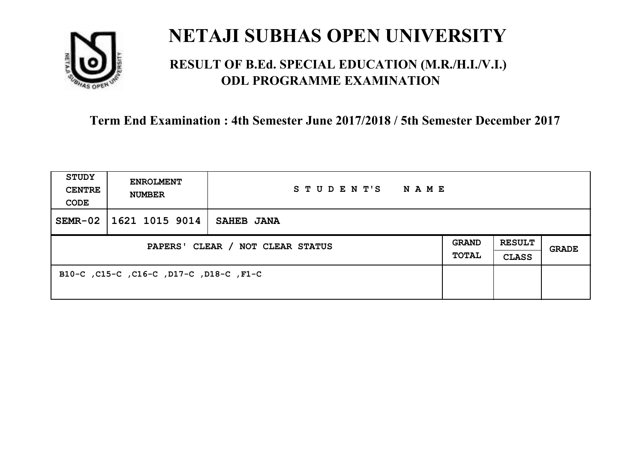

### **RESULT OF B.Ed. SPECIAL EDUCATION (M.R./H.I./V.I.) ODL PROGRAMME EXAMINATION**

| <b>STUDY</b><br><b>CENTRE</b><br>CODE | <b>ENROLMENT</b><br><b>NUMBER</b>       | STUDENT'S<br>NAME |                              |                               |       |
|---------------------------------------|-----------------------------------------|-------------------|------------------------------|-------------------------------|-------|
| $SEMR-02$                             | 1621 1015 9014                          | <b>SAHEB JANA</b> |                              |                               |       |
| PAPERS' CLEAR / NOT CLEAR STATUS      |                                         |                   | <b>GRAND</b><br><b>TOTAL</b> | <b>RESULT</b><br><b>CLASS</b> | GRADE |
|                                       | B10-C, C15-C, C16-C, D17-C, D18-C, F1-C |                   |                              |                               |       |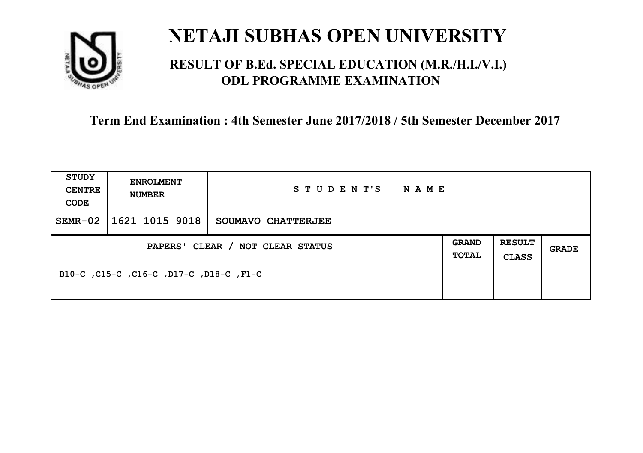

### **RESULT OF B.Ed. SPECIAL EDUCATION (M.R./H.I./V.I.) ODL PROGRAMME EXAMINATION**

| <b>STUDY</b><br><b>CENTRE</b><br>CODE | <b>ENROLMENT</b><br><b>NUMBER</b>       | STUDENT'S<br>NAME  |                              |                               |       |
|---------------------------------------|-----------------------------------------|--------------------|------------------------------|-------------------------------|-------|
| $SEMR-02$                             | 1621 1015 9018                          | SOUMAVO CHATTERJEE |                              |                               |       |
| PAPERS' CLEAR / NOT CLEAR STATUS      |                                         |                    | <b>GRAND</b><br><b>TOTAL</b> | <b>RESULT</b><br><b>CLASS</b> | GRADE |
|                                       | B10-C, C15-C, C16-C, D17-C, D18-C, F1-C |                    |                              |                               |       |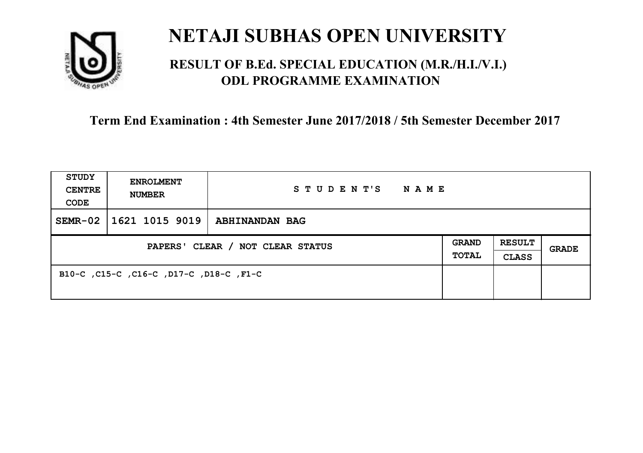

### **RESULT OF B.Ed. SPECIAL EDUCATION (M.R./H.I./V.I.) ODL PROGRAMME EXAMINATION**

| <b>STUDY</b><br><b>CENTRE</b><br>CODE | <b>ENROLMENT</b><br><b>NUMBER</b>       | STUDENT'S<br>NAME     |                              |                               |       |
|---------------------------------------|-----------------------------------------|-----------------------|------------------------------|-------------------------------|-------|
| $SEMR-02$                             | 1621 1015 9019                          | <b>ABHINANDAN BAG</b> |                              |                               |       |
| PAPERS' CLEAR / NOT CLEAR STATUS      |                                         |                       | <b>GRAND</b><br><b>TOTAL</b> | <b>RESULT</b><br><b>CLASS</b> | GRADE |
|                                       | B10-C, C15-C, C16-C, D17-C, D18-C, F1-C |                       |                              |                               |       |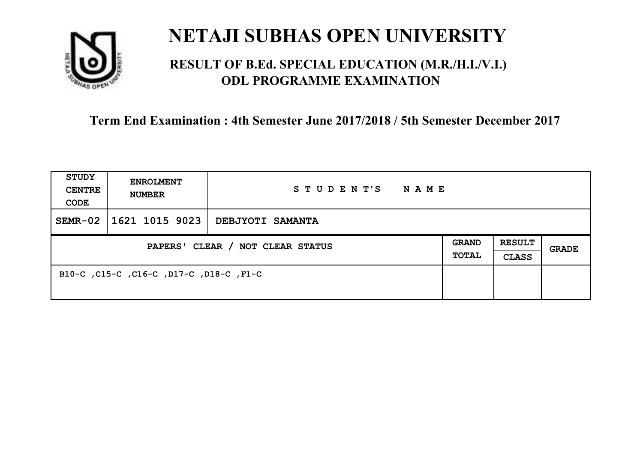

### **RESULT OF B.Ed. SPECIAL EDUCATION (M.R./H.I./V.I.) ODL PROGRAMME EXAMINATION**

| <b>STUDY</b><br><b>CENTRE</b><br>CODE | <b>ENROLMENT</b><br><b>NUMBER</b>       | STUDENT'S<br>NAME       |                              |                               |       |
|---------------------------------------|-----------------------------------------|-------------------------|------------------------------|-------------------------------|-------|
| $SEMR-02$                             | 1621 1015 9023                          | <b>DEBJYOTI SAMANTA</b> |                              |                               |       |
| PAPERS' CLEAR / NOT CLEAR STATUS      |                                         |                         | <b>GRAND</b><br><b>TOTAL</b> | <b>RESULT</b><br><b>CLASS</b> | GRADE |
|                                       | B10-C, C15-C, C16-C, D17-C, D18-C, F1-C |                         |                              |                               |       |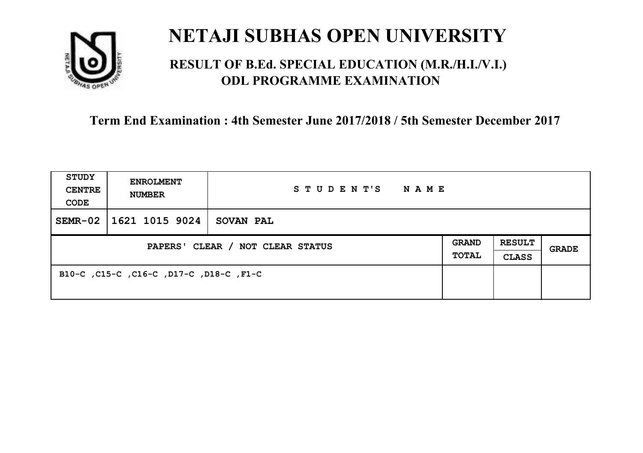

### **RESULT OF B.Ed. SPECIAL EDUCATION (M.R./H.I./V.I.) ODL PROGRAMME EXAMINATION**

| <b>STUDY</b><br><b>CENTRE</b><br>CODE | <b>ENROLMENT</b><br><b>NUMBER</b>       | STUDENT'S<br>NAME |                              |                               |       |
|---------------------------------------|-----------------------------------------|-------------------|------------------------------|-------------------------------|-------|
| $SEMR-02$                             | 1621 1015 9024                          | <b>SOVAN PAL</b>  |                              |                               |       |
| PAPERS' CLEAR / NOT CLEAR STATUS      |                                         |                   | <b>GRAND</b><br><b>TOTAL</b> | <b>RESULT</b><br><b>CLASS</b> | GRADE |
|                                       | B10-C, C15-C, C16-C, D17-C, D18-C, F1-C |                   |                              |                               |       |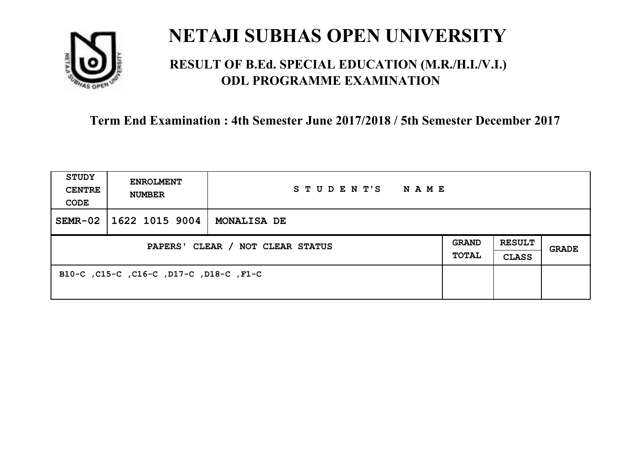

### **RESULT OF B.Ed. SPECIAL EDUCATION (M.R./H.I./V.I.) ODL PROGRAMME EXAMINATION**

| <b>STUDY</b><br><b>CENTRE</b><br>CODE | <b>ENROLMENT</b><br><b>NUMBER</b>       | STUDENT'S<br>NAME  |                              |                               |       |
|---------------------------------------|-----------------------------------------|--------------------|------------------------------|-------------------------------|-------|
| $SEMR-02$                             | 1622 1015 9004                          | <b>MONALISA DE</b> |                              |                               |       |
| PAPERS' CLEAR / NOT CLEAR STATUS      |                                         |                    | <b>GRAND</b><br><b>TOTAL</b> | <b>RESULT</b><br><b>CLASS</b> | GRADE |
|                                       | B10-C, C15-C, C16-C, D17-C, D18-C, F1-C |                    |                              |                               |       |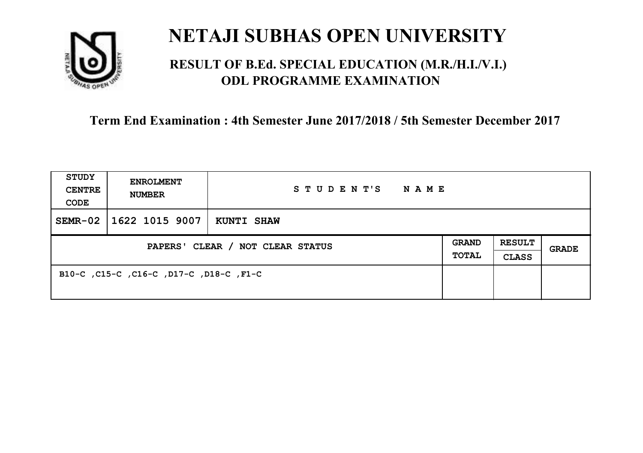

### **RESULT OF B.Ed. SPECIAL EDUCATION (M.R./H.I./V.I.) ODL PROGRAMME EXAMINATION**

| <b>STUDY</b><br><b>CENTRE</b><br>CODE | <b>ENROLMENT</b><br><b>NUMBER</b>       | STUDENT'S<br><b>NAME</b> |  |                               |              |
|---------------------------------------|-----------------------------------------|--------------------------|--|-------------------------------|--------------|
| $SEMR-02$                             | 1622 1015 9007                          | <b>KUNTI SHAW</b>        |  |                               |              |
| PAPERS' CLEAR / NOT CLEAR STATUS      |                                         |                          |  | <b>RESULT</b><br><b>CLASS</b> | <b>GRADE</b> |
|                                       | B10-C, C15-C, C16-C, D17-C, D18-C, F1-C |                          |  |                               |              |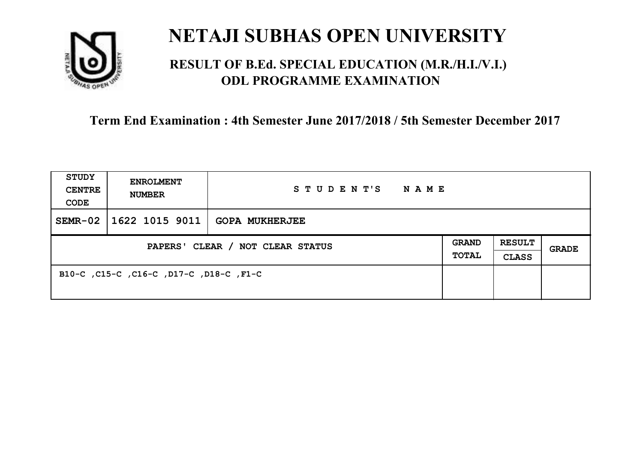

### **RESULT OF B.Ed. SPECIAL EDUCATION (M.R./H.I./V.I.) ODL PROGRAMME EXAMINATION**

| <b>STUDY</b><br><b>CENTRE</b><br>CODE | <b>ENROLMENT</b><br><b>NUMBER</b>       | STUDENT'S<br><b>NAME</b> |  |                               |              |
|---------------------------------------|-----------------------------------------|--------------------------|--|-------------------------------|--------------|
| $SEMR-02$                             | $\vert$ 1622 1015 9011   GOPA MUKHERJEE |                          |  |                               |              |
| PAPERS' CLEAR / NOT CLEAR STATUS      |                                         |                          |  | <b>RESULT</b><br><b>CLASS</b> | <b>GRADE</b> |
|                                       | B10-C, C15-C, C16-C, D17-C, D18-C, F1-C |                          |  |                               |              |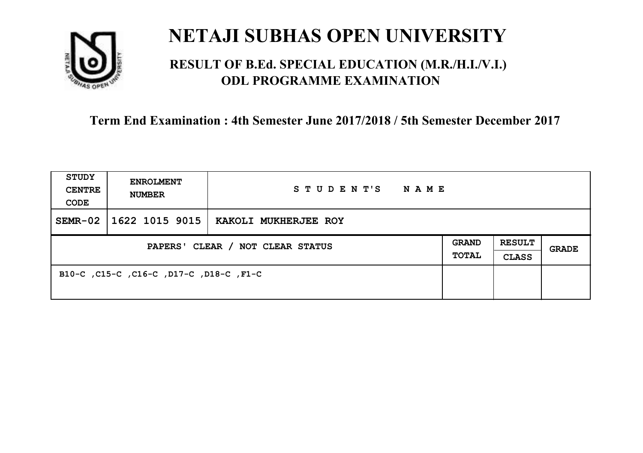

### **RESULT OF B.Ed. SPECIAL EDUCATION (M.R./H.I./V.I.) ODL PROGRAMME EXAMINATION**

| <b>STUDY</b><br><b>CENTRE</b><br>CODE | <b>ENROLMENT</b><br><b>NUMBER</b>       | STUDENT'S<br>NAME    |                              |                               |       |
|---------------------------------------|-----------------------------------------|----------------------|------------------------------|-------------------------------|-------|
| $SEMR-02$                             | 1622 1015 9015                          | KAKOLI MUKHERJEE ROY |                              |                               |       |
| PAPERS' CLEAR / NOT CLEAR STATUS      |                                         |                      | <b>GRAND</b><br><b>TOTAL</b> | <b>RESULT</b><br><b>CLASS</b> | GRADE |
|                                       | B10-C, C15-C, C16-C, D17-C, D18-C, F1-C |                      |                              |                               |       |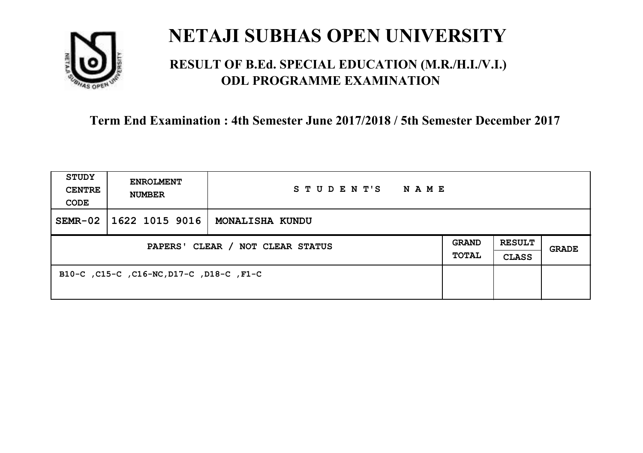

### **RESULT OF B.Ed. SPECIAL EDUCATION (M.R./H.I./V.I.) ODL PROGRAMME EXAMINATION**

| <b>STUDY</b><br><b>CENTRE</b><br>CODE | <b>ENROLMENT</b><br><b>NUMBER</b>        | STUDENT'S<br><b>NAME</b> |                              |                               |       |
|---------------------------------------|------------------------------------------|--------------------------|------------------------------|-------------------------------|-------|
| $SEMR-02$                             | 1622 1015 9016                           | MONALISHA KUNDU          |                              |                               |       |
| PAPERS' CLEAR / NOT CLEAR STATUS      |                                          |                          | <b>GRAND</b><br><b>TOTAL</b> | <b>RESULT</b><br><b>CLASS</b> | GRADE |
|                                       | B10-C, C15-C, C16-NC, D17-C, D18-C, F1-C |                          |                              |                               |       |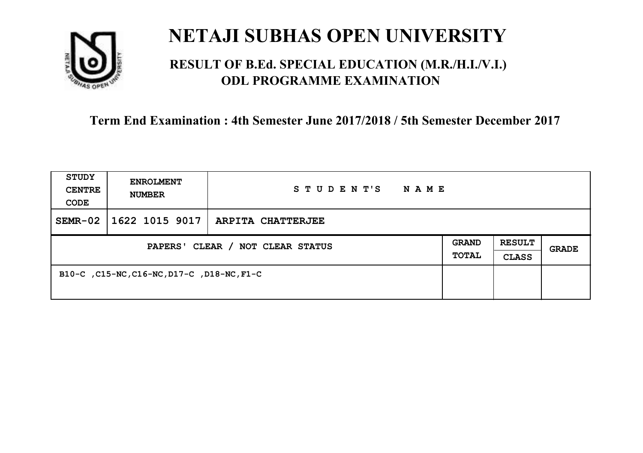

### **RESULT OF B.Ed. SPECIAL EDUCATION (M.R./H.I./V.I.) ODL PROGRAMME EXAMINATION**

| <b>STUDY</b><br><b>CENTRE</b><br>CODE | <b>ENROLMENT</b><br><b>NUMBER</b>          | STUDENT'S<br>NAME |                              |                               |              |
|---------------------------------------|--------------------------------------------|-------------------|------------------------------|-------------------------------|--------------|
| $SEMR-02$                             | 1622 1015 9017                             | ARPITA CHATTERJEE |                              |                               |              |
| PAPERS' CLEAR / NOT CLEAR STATUS      |                                            |                   | <b>GRAND</b><br><b>TOTAL</b> | <b>RESULT</b><br><b>CLASS</b> | <b>GRADE</b> |
|                                       | B10-C, C15-NC, C16-NC, D17-C, D18-NC, F1-C |                   |                              |                               |              |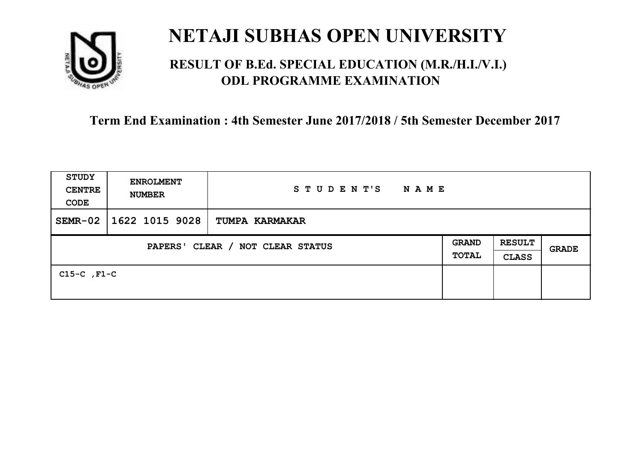

### **RESULT OF B.Ed. SPECIAL EDUCATION (M.R./H.I./V.I.) ODL PROGRAMME EXAMINATION**

| <b>STUDY</b><br><b>CENTRE</b><br>CODE | <b>ENROLMENT</b><br><b>NUMBER</b> | STUDENT'S<br>NAME     |  |                               |              |
|---------------------------------------|-----------------------------------|-----------------------|--|-------------------------------|--------------|
| $SEMR-02$                             | 1622 1015 9028                    | <b>TUMPA KARMAKAR</b> |  |                               |              |
| PAPERS' CLEAR / NOT CLEAR STATUS      |                                   |                       |  | <b>RESULT</b><br><b>CLASS</b> | <b>GRADE</b> |
| $C15-C$ , $F1-C$                      |                                   |                       |  |                               |              |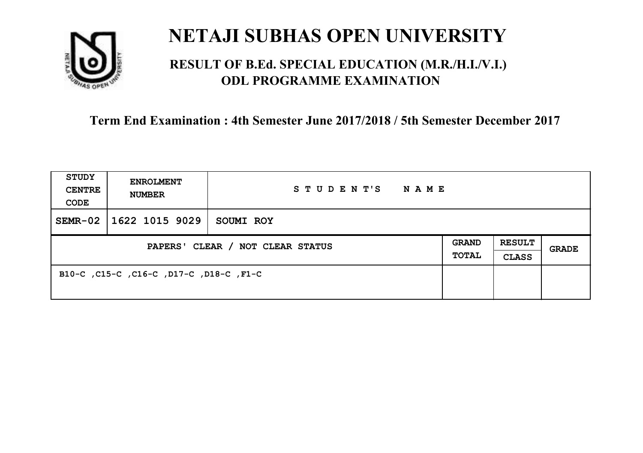

### **RESULT OF B.Ed. SPECIAL EDUCATION (M.R./H.I./V.I.) ODL PROGRAMME EXAMINATION**

| <b>STUDY</b><br><b>CENTRE</b><br>CODE | <b>ENROLMENT</b><br><b>NUMBER</b>       | STUDENT'S<br><b>NAME</b> |                              |                               |       |
|---------------------------------------|-----------------------------------------|--------------------------|------------------------------|-------------------------------|-------|
| $SEMR-02$                             | 1622 1015 9029                          | SOUMI ROY                |                              |                               |       |
| PAPERS' CLEAR / NOT CLEAR STATUS      |                                         |                          | <b>GRAND</b><br><b>TOTAL</b> | <b>RESULT</b><br><b>CLASS</b> | GRADE |
|                                       | B10-C, C15-C, C16-C, D17-C, D18-C, F1-C |                          |                              |                               |       |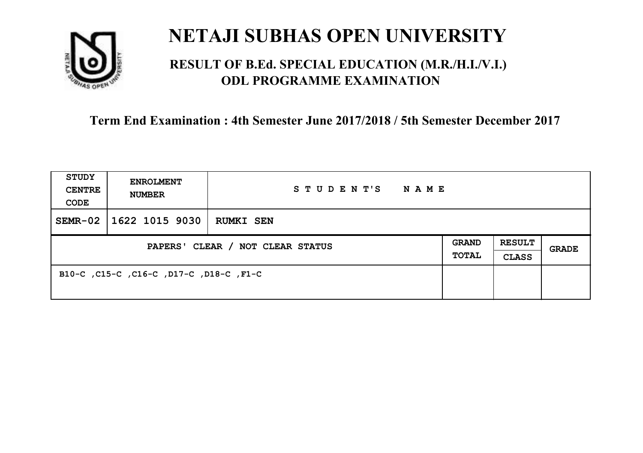

### **RESULT OF B.Ed. SPECIAL EDUCATION (M.R./H.I./V.I.) ODL PROGRAMME EXAMINATION**

| <b>STUDY</b><br><b>CENTRE</b><br>CODE | <b>ENROLMENT</b><br><b>NUMBER</b>       | STUDENT'S<br>NAME |                              |                               |       |
|---------------------------------------|-----------------------------------------|-------------------|------------------------------|-------------------------------|-------|
| $SEMR-02$                             | 1622 1015 9030                          | <b>RUMKI SEN</b>  |                              |                               |       |
| PAPERS' CLEAR / NOT CLEAR STATUS      |                                         |                   | <b>GRAND</b><br><b>TOTAL</b> | <b>RESULT</b><br><b>CLASS</b> | GRADE |
|                                       | B10-C, C15-C, C16-C, D17-C, D18-C, F1-C |                   |                              |                               |       |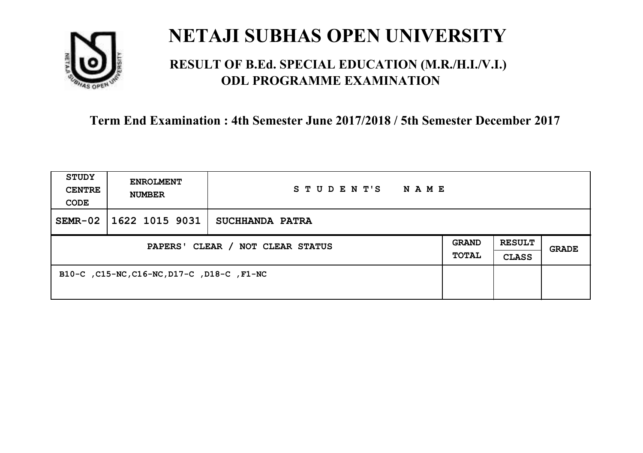

### **RESULT OF B.Ed. SPECIAL EDUCATION (M.R./H.I./V.I.) ODL PROGRAMME EXAMINATION**

| <b>STUDY</b><br><b>CENTRE</b><br>CODE | <b>ENROLMENT</b><br><b>NUMBER</b>          | STUDENT'S<br>N A M E |                              |                               |       |
|---------------------------------------|--------------------------------------------|----------------------|------------------------------|-------------------------------|-------|
| $SEMR-02$                             | 1622 1015 9031                             | SUCHHANDA PATRA      |                              |                               |       |
| PAPERS' CLEAR / NOT CLEAR STATUS      |                                            |                      | <b>GRAND</b><br><b>TOTAL</b> | <b>RESULT</b><br><b>CLASS</b> | GRADE |
|                                       | B10-C, C15-NC, C16-NC, D17-C, D18-C, F1-NC |                      |                              |                               |       |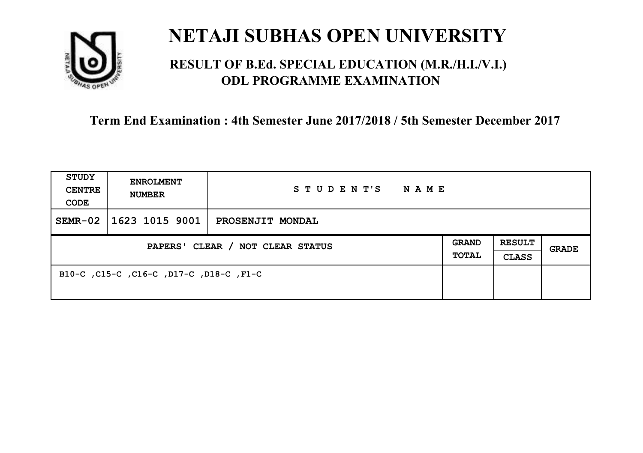

### **RESULT OF B.Ed. SPECIAL EDUCATION (M.R./H.I./V.I.) ODL PROGRAMME EXAMINATION**

| <b>STUDY</b><br><b>CENTRE</b><br>CODE | <b>ENROLMENT</b><br><b>NUMBER</b>       | STUDENT'S<br>NAME |                              |                               |       |
|---------------------------------------|-----------------------------------------|-------------------|------------------------------|-------------------------------|-------|
| $SEMR-02$                             | 1623 1015 9001                          | PROSENJIT MONDAL  |                              |                               |       |
| PAPERS' CLEAR / NOT CLEAR STATUS      |                                         |                   | <b>GRAND</b><br><b>TOTAL</b> | <b>RESULT</b><br><b>CLASS</b> | GRADE |
|                                       | B10-C, C15-C, C16-C, D17-C, D18-C, F1-C |                   |                              |                               |       |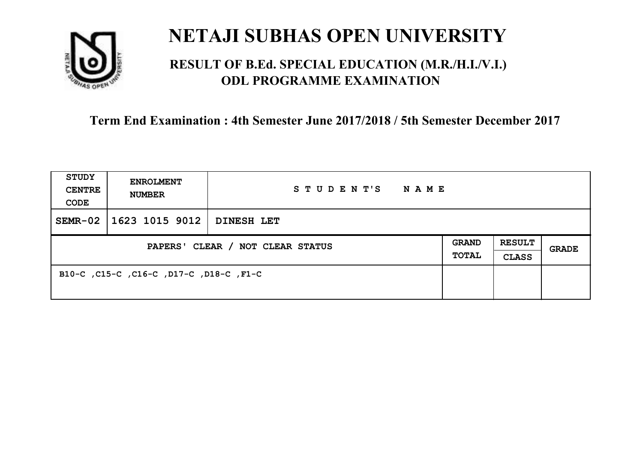

### **RESULT OF B.Ed. SPECIAL EDUCATION (M.R./H.I./V.I.) ODL PROGRAMME EXAMINATION**

| <b>STUDY</b><br><b>CENTRE</b><br>CODE | <b>ENROLMENT</b><br><b>NUMBER</b>       | STUDENT'S<br>NAME |                       |                               |       |
|---------------------------------------|-----------------------------------------|-------------------|-----------------------|-------------------------------|-------|
| $SEMR-02$                             | 1623 1015 9012                          | <b>DINESH LET</b> |                       |                               |       |
| PAPERS' CLEAR / NOT CLEAR STATUS      |                                         |                   | <b>GRAND</b><br>TOTAL | <b>RESULT</b><br><b>CLASS</b> | GRADE |
|                                       | B10-C, C15-C, C16-C, D17-C, D18-C, F1-C |                   |                       |                               |       |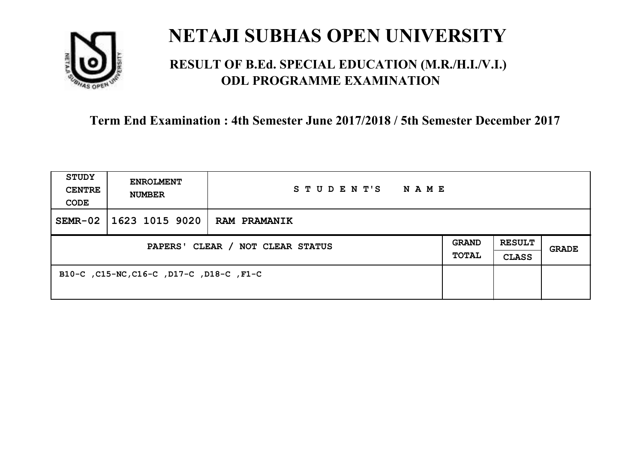

### **RESULT OF B.Ed. SPECIAL EDUCATION (M.R./H.I./V.I.) ODL PROGRAMME EXAMINATION**

| <b>STUDY</b><br><b>CENTRE</b><br>CODE | <b>ENROLMENT</b><br><b>NUMBER</b>        | STUDENT'S<br>N A M E |                              |                               |       |
|---------------------------------------|------------------------------------------|----------------------|------------------------------|-------------------------------|-------|
| $SEMR-02$                             | 1623 1015 9020                           | <b>RAM PRAMANIK</b>  |                              |                               |       |
| PAPERS' CLEAR / NOT CLEAR STATUS      |                                          |                      | <b>GRAND</b><br><b>TOTAL</b> | <b>RESULT</b><br><b>CLASS</b> | GRADE |
|                                       | B10-C, C15-NC, C16-C, D17-C, D18-C, F1-C |                      |                              |                               |       |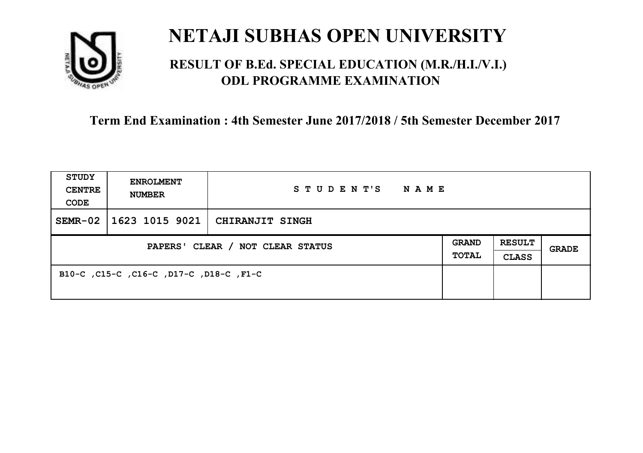

### **RESULT OF B.Ed. SPECIAL EDUCATION (M.R./H.I./V.I.) ODL PROGRAMME EXAMINATION**

| <b>STUDY</b><br><b>CENTRE</b><br>CODE | <b>ENROLMENT</b><br><b>NUMBER</b>       | STUDENT'S NAME                          |                       |                               |              |
|---------------------------------------|-----------------------------------------|-----------------------------------------|-----------------------|-------------------------------|--------------|
| $SEMR-02$                             |                                         | $\mid$ 1623 1015 9021   CHIRANJIT SINGH |                       |                               |              |
| PAPERS' CLEAR / NOT CLEAR STATUS      |                                         |                                         | GRAND<br><b>TOTAL</b> | <b>RESULT</b><br><b>CLASS</b> | <b>GRADE</b> |
|                                       | B10-C, C15-C, C16-C, D17-C, D18-C, F1-C |                                         |                       |                               |              |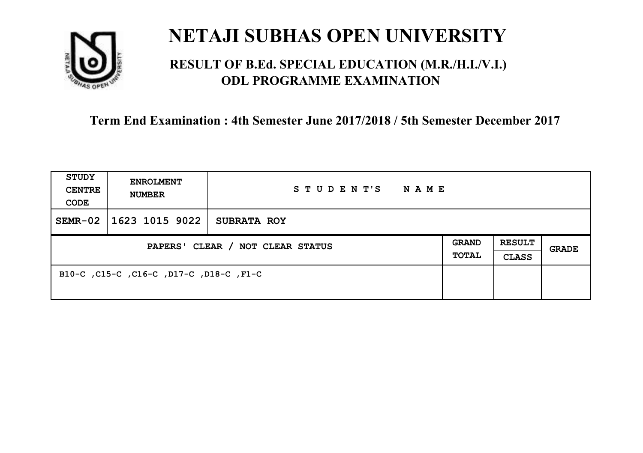

### **RESULT OF B.Ed. SPECIAL EDUCATION (M.R./H.I./V.I.) ODL PROGRAMME EXAMINATION**

| <b>STUDY</b><br><b>CENTRE</b><br>CODE | <b>ENROLMENT</b><br><b>NUMBER</b>       | STUDENT'S<br>NAME  |                              |                               |       |
|---------------------------------------|-----------------------------------------|--------------------|------------------------------|-------------------------------|-------|
| $SEMR-02$                             | 1623 1015 9022                          | <b>SUBRATA ROY</b> |                              |                               |       |
| PAPERS' CLEAR / NOT CLEAR STATUS      |                                         |                    | <b>GRAND</b><br><b>TOTAL</b> | <b>RESULT</b><br><b>CLASS</b> | GRADE |
|                                       | B10-C, C15-C, C16-C, D17-C, D18-C, F1-C |                    |                              |                               |       |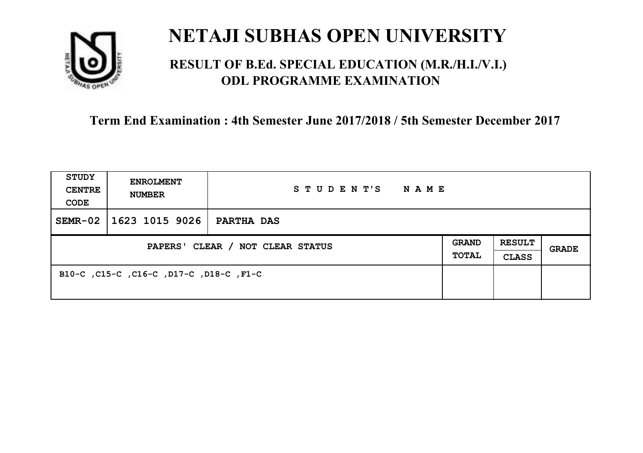

### **RESULT OF B.Ed. SPECIAL EDUCATION (M.R./H.I./V.I.) ODL PROGRAMME EXAMINATION**

| <b>STUDY</b><br><b>CENTRE</b><br>CODE | <b>ENROLMENT</b><br><b>NUMBER</b>       | STUDENT'S<br>NAME |                              |                               |       |
|---------------------------------------|-----------------------------------------|-------------------|------------------------------|-------------------------------|-------|
| $SEMR-02$                             | 1623 1015 9026                          | <b>PARTHA DAS</b> |                              |                               |       |
| PAPERS' CLEAR / NOT CLEAR STATUS      |                                         |                   | <b>GRAND</b><br><b>TOTAL</b> | <b>RESULT</b><br><b>CLASS</b> | GRADE |
|                                       | B10-C, C15-C, C16-C, D17-C, D18-C, F1-C |                   |                              |                               |       |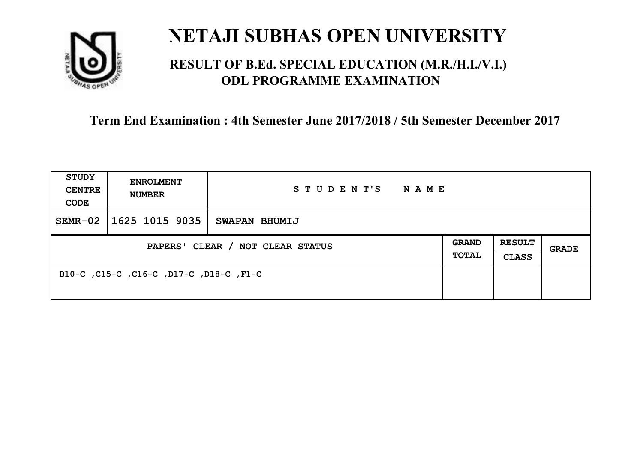

### **RESULT OF B.Ed. SPECIAL EDUCATION (M.R./H.I./V.I.) ODL PROGRAMME EXAMINATION**

| <b>STUDY</b><br><b>CENTRE</b><br>CODE | <b>ENROLMENT</b><br><b>NUMBER</b>       | STUDENT'S<br>NAME |                              |                               |       |
|---------------------------------------|-----------------------------------------|-------------------|------------------------------|-------------------------------|-------|
| $SEMR-02$                             | 1625 1015 9035                          | SWAPAN BHUMIJ     |                              |                               |       |
| PAPERS' CLEAR / NOT CLEAR STATUS      |                                         |                   | <b>GRAND</b><br><b>TOTAL</b> | <b>RESULT</b><br><b>CLASS</b> | GRADE |
|                                       | B10-C, C15-C, C16-C, D17-C, D18-C, F1-C |                   |                              |                               |       |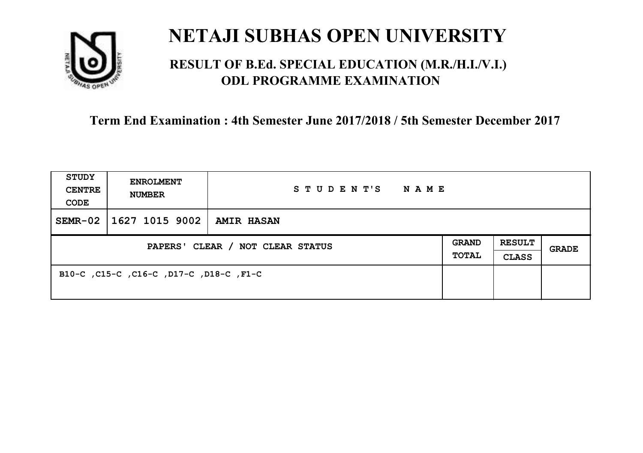

### **RESULT OF B.Ed. SPECIAL EDUCATION (M.R./H.I./V.I.) ODL PROGRAMME EXAMINATION**

| <b>STUDY</b><br><b>CENTRE</b><br>CODE | <b>ENROLMENT</b><br><b>NUMBER</b>       | STUDENT'S<br>NAME |                              |                               |       |
|---------------------------------------|-----------------------------------------|-------------------|------------------------------|-------------------------------|-------|
| $SEMR-02$                             | 1627 1015 9002                          | <b>AMIR HASAN</b> |                              |                               |       |
| PAPERS' CLEAR / NOT CLEAR STATUS      |                                         |                   | <b>GRAND</b><br><b>TOTAL</b> | <b>RESULT</b><br><b>CLASS</b> | GRADE |
|                                       | B10-C, C15-C, C16-C, D17-C, D18-C, F1-C |                   |                              |                               |       |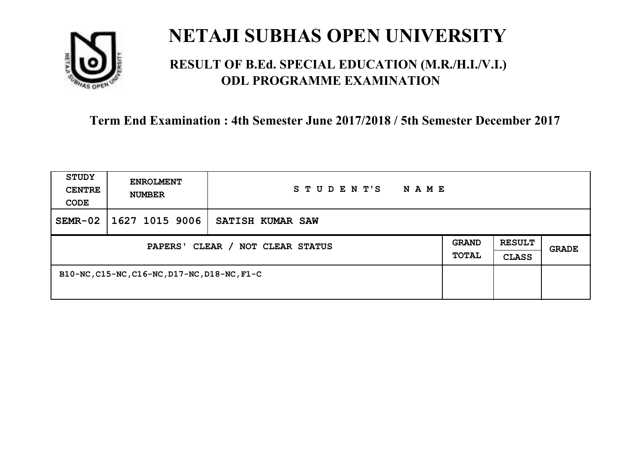

### **RESULT OF B.Ed. SPECIAL EDUCATION (M.R./H.I./V.I.) ODL PROGRAMME EXAMINATION**

| <b>STUDY</b><br><b>CENTRE</b><br>CODE | <b>ENROLMENT</b><br><b>NUMBER</b>            | STUDENT'S<br>N A M E |                       |                               |       |
|---------------------------------------|----------------------------------------------|----------------------|-----------------------|-------------------------------|-------|
| $SEMR-02$                             | 1627 1015 9006                               | SATISH KUMAR SAW     |                       |                               |       |
| PAPERS' CLEAR / NOT CLEAR STATUS      |                                              |                      | <b>GRAND</b><br>TOTAL | <b>RESULT</b><br><b>CLASS</b> | GRADE |
|                                       | B10-NC, C15-NC, C16-NC, D17-NC, D18-NC, F1-C |                      |                       |                               |       |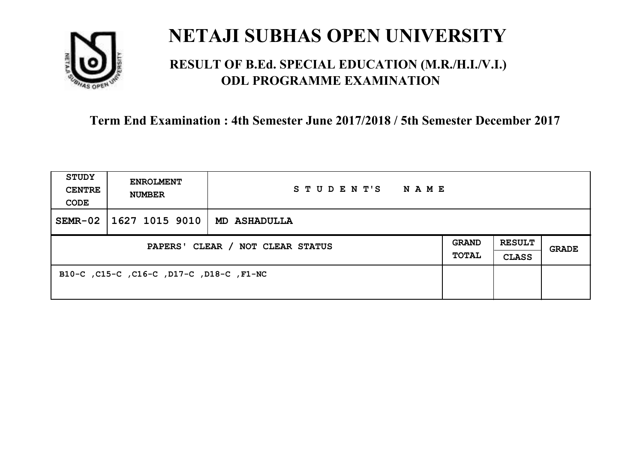

### **RESULT OF B.Ed. SPECIAL EDUCATION (M.R./H.I./V.I.) ODL PROGRAMME EXAMINATION**

| <b>STUDY</b><br><b>CENTRE</b><br>CODE | <b>ENROLMENT</b><br><b>NUMBER</b>        | STUDENT'S<br><b>NAME</b> |                              |                               |       |
|---------------------------------------|------------------------------------------|--------------------------|------------------------------|-------------------------------|-------|
| $SEMR-02$                             | 1627 1015 9010                           | <b>MD ASHADULLA</b>      |                              |                               |       |
| PAPERS' CLEAR / NOT CLEAR STATUS      |                                          |                          | <b>GRAND</b><br><b>TOTAL</b> | <b>RESULT</b><br><b>CLASS</b> | GRADE |
|                                       | B10-C, C15-C, C16-C, D17-C, D18-C, F1-NC |                          |                              |                               |       |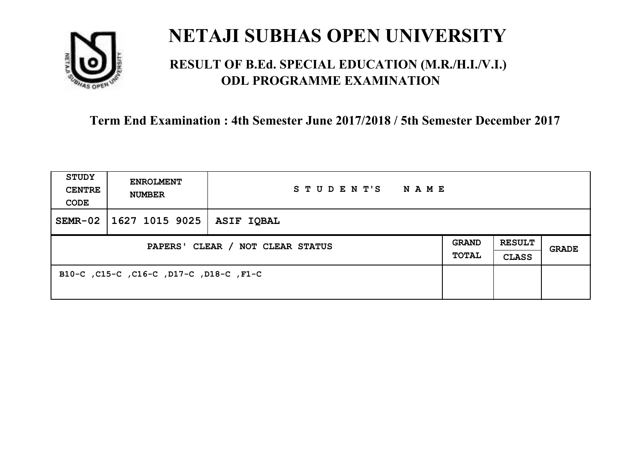

### **RESULT OF B.Ed. SPECIAL EDUCATION (M.R./H.I./V.I.) ODL PROGRAMME EXAMINATION**

| <b>STUDY</b><br><b>CENTRE</b><br>CODE | <b>ENROLMENT</b><br><b>NUMBER</b>       | STUDENT'S<br>NAME |                              |                               |       |
|---------------------------------------|-----------------------------------------|-------------------|------------------------------|-------------------------------|-------|
| $SEMR-02$                             | 1627 1015 9025                          | <b>ASIF IQBAL</b> |                              |                               |       |
| PAPERS' CLEAR / NOT CLEAR STATUS      |                                         |                   | <b>GRAND</b><br><b>TOTAL</b> | <b>RESULT</b><br><b>CLASS</b> | GRADE |
|                                       | B10-C, C15-C, C16-C, D17-C, D18-C, F1-C |                   |                              |                               |       |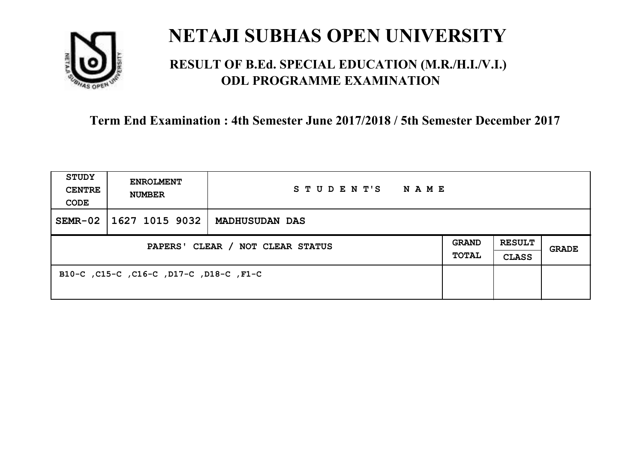

### **RESULT OF B.Ed. SPECIAL EDUCATION (M.R./H.I./V.I.) ODL PROGRAMME EXAMINATION**

| <b>STUDY</b><br><b>CENTRE</b><br>CODE | <b>ENROLMENT</b><br><b>NUMBER</b>       | STUDENT'S<br>NAME     |                       |                               |       |
|---------------------------------------|-----------------------------------------|-----------------------|-----------------------|-------------------------------|-------|
| $SEMR-02$                             | 1627 1015 9032                          | <b>MADHUSUDAN DAS</b> |                       |                               |       |
| PAPERS' CLEAR / NOT CLEAR STATUS      |                                         |                       | <b>GRAND</b><br>TOTAL | <b>RESULT</b><br><b>CLASS</b> | GRADE |
|                                       | B10-C, C15-C, C16-C, D17-C, D18-C, F1-C |                       |                       |                               |       |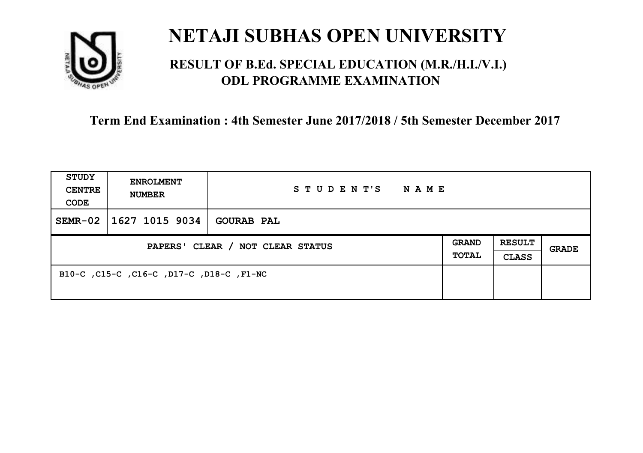

### **RESULT OF B.Ed. SPECIAL EDUCATION (M.R./H.I./V.I.) ODL PROGRAMME EXAMINATION**

| <b>STUDY</b><br><b>CENTRE</b><br>CODE | <b>ENROLMENT</b><br><b>NUMBER</b>        | STUDENT'S<br>NAME |                              |                               |       |
|---------------------------------------|------------------------------------------|-------------------|------------------------------|-------------------------------|-------|
| $SEMR-02$                             | 1627 1015 9034                           | <b>GOURAB PAL</b> |                              |                               |       |
| PAPERS' CLEAR / NOT CLEAR STATUS      |                                          |                   | <b>GRAND</b><br><b>TOTAL</b> | <b>RESULT</b><br><b>CLASS</b> | GRADE |
|                                       | B10-C, C15-C, C16-C, D17-C, D18-C, F1-NC |                   |                              |                               |       |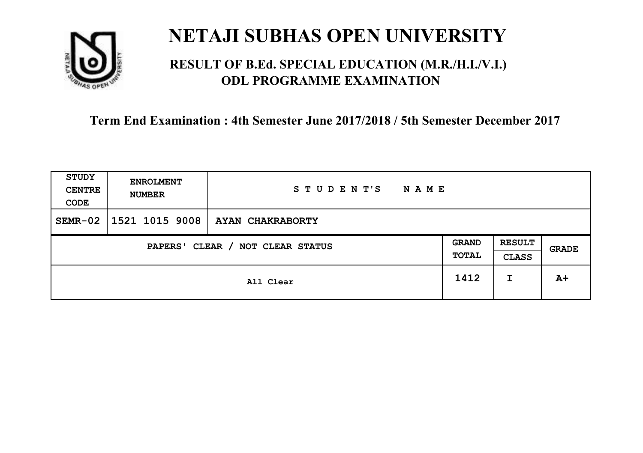

### **RESULT OF B.Ed. SPECIAL EDUCATION (M.R./H.I./V.I.) ODL PROGRAMME EXAMINATION**

| <b>STUDY</b><br><b>CENTRE</b><br>CODE | <b>ENROLMENT</b><br><b>NUMBER</b> | STUDENT'S<br><b>NAME</b> |                              |                               |       |
|---------------------------------------|-----------------------------------|--------------------------|------------------------------|-------------------------------|-------|
| $SEMR-02$                             | 1521 1015 9008                    | AYAN CHAKRABORTY         |                              |                               |       |
| CLEAR / NOT CLEAR STATUS<br>PAPERS'   |                                   |                          | <b>GRAND</b><br><b>TOTAL</b> | <b>RESULT</b><br><b>CLASS</b> | GRADE |
|                                       |                                   | All Clear                | 1412                         | I                             | $A+$  |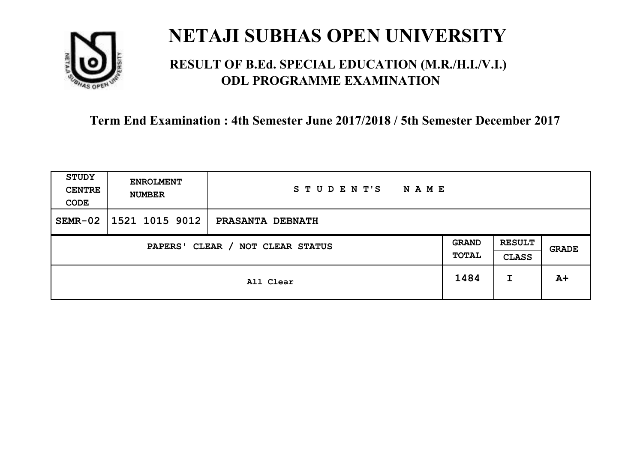

### **RESULT OF B.Ed. SPECIAL EDUCATION (M.R./H.I./V.I.) ODL PROGRAMME EXAMINATION**

| <b>STUDY</b><br><b>CENTRE</b><br>CODE | <b>ENROLMENT</b><br><b>NUMBER</b> | STUDENT'S<br><b>NAME</b> |                       |                               |       |
|---------------------------------------|-----------------------------------|--------------------------|-----------------------|-------------------------------|-------|
| $SEMR-02$                             | 1521 1015 9012                    | PRASANTA DEBNATH         |                       |                               |       |
| CLEAR / NOT CLEAR STATUS<br>PAPERS'   |                                   |                          | <b>GRAND</b><br>TOTAL | <b>RESULT</b><br><b>CLASS</b> | GRADE |
|                                       |                                   | All Clear                | 1484                  | I                             | $A+$  |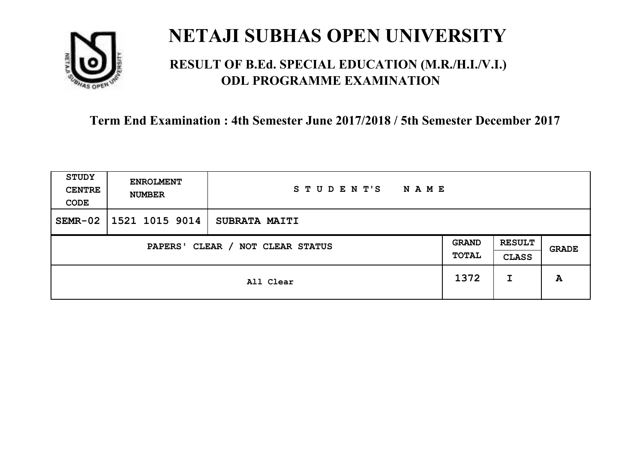

### **RESULT OF B.Ed. SPECIAL EDUCATION (M.R./H.I./V.I.) ODL PROGRAMME EXAMINATION**

| <b>STUDY</b><br><b>CENTRE</b><br>CODE | <b>ENROLMENT</b><br><b>NUMBER</b>   | STUDENT'S<br><b>NAME</b> |      |                               |              |
|---------------------------------------|-------------------------------------|--------------------------|------|-------------------------------|--------------|
| $SEMR-02$                             | 1521 1015 9014                      | <b>SUBRATA MAITI</b>     |      |                               |              |
|                                       | CLEAR / NOT CLEAR STATUS<br>PAPERS' |                          |      | <b>RESULT</b><br><b>CLASS</b> | <b>GRADE</b> |
|                                       |                                     | All Clear                | 1372 | I                             | A            |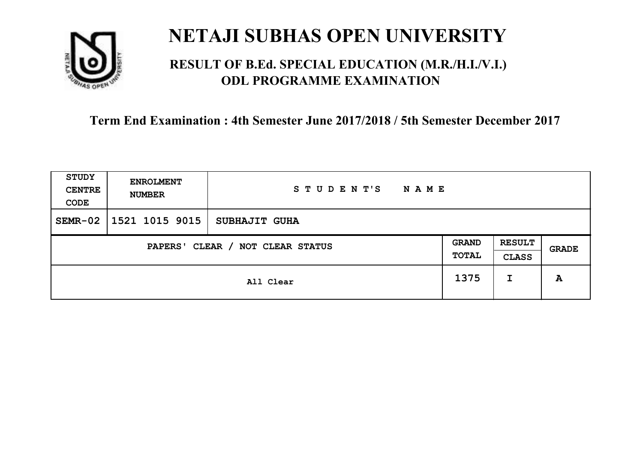

### **RESULT OF B.Ed. SPECIAL EDUCATION (M.R./H.I./V.I.) ODL PROGRAMME EXAMINATION**

| <b>STUDY</b><br><b>CENTRE</b><br>CODE | <b>ENROLMENT</b><br><b>NUMBER</b> | STUDENT'S<br><b>NAME</b> |                       |                               |       |
|---------------------------------------|-----------------------------------|--------------------------|-----------------------|-------------------------------|-------|
| $SEMR-02$                             | 1521 1015 9015                    | <b>SUBHAJIT GUHA</b>     |                       |                               |       |
| CLEAR / NOT CLEAR STATUS<br>PAPERS'   |                                   |                          | <b>GRAND</b><br>TOTAL | <b>RESULT</b><br><b>CLASS</b> | GRADE |
|                                       |                                   | All Clear                | 1375                  | I                             | A     |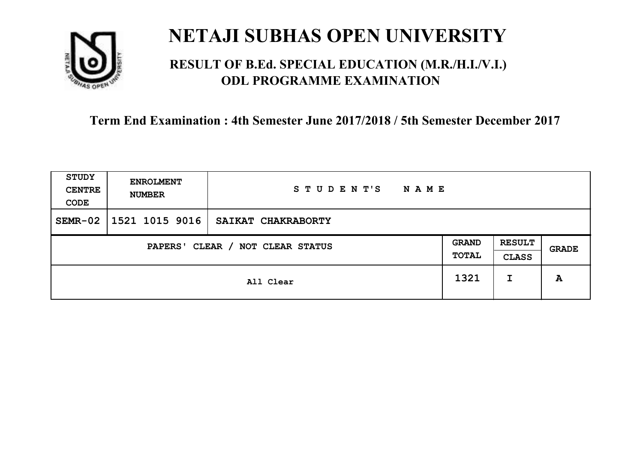

### **RESULT OF B.Ed. SPECIAL EDUCATION (M.R./H.I./V.I.) ODL PROGRAMME EXAMINATION**

| <b>STUDY</b><br><b>CENTRE</b><br>CODE | <b>ENROLMENT</b><br><b>NUMBER</b>   | STUDENT'S<br><b>NAME</b> |      |                               |       |
|---------------------------------------|-------------------------------------|--------------------------|------|-------------------------------|-------|
| $SEMR-02$                             | 1521 1015 9016                      | SAIKAT CHAKRABORTY       |      |                               |       |
|                                       | CLEAR / NOT CLEAR STATUS<br>PAPERS' |                          |      | <b>RESULT</b><br><b>CLASS</b> | GRADE |
|                                       |                                     | All Clear                | 1321 | I                             | A     |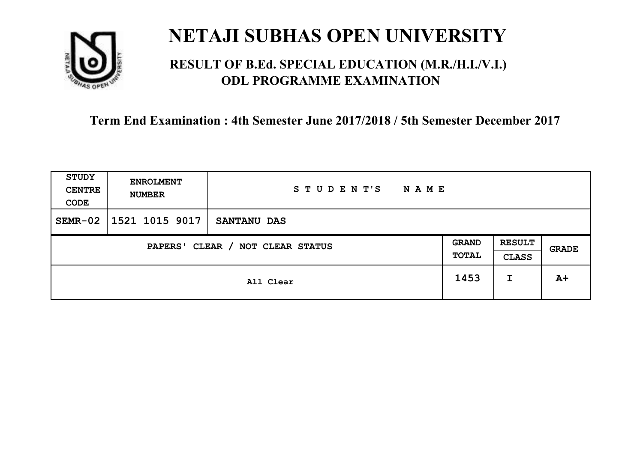

### **RESULT OF B.Ed. SPECIAL EDUCATION (M.R./H.I./V.I.) ODL PROGRAMME EXAMINATION**

| <b>STUDY</b><br><b>CENTRE</b><br>CODE | <b>ENROLMENT</b><br><b>NUMBER</b> | STUDENT'S<br><b>NAME</b> |                       |                               |       |
|---------------------------------------|-----------------------------------|--------------------------|-----------------------|-------------------------------|-------|
| $SEMR-02$                             | 1521 1015 9017                    | <b>SANTANU DAS</b>       |                       |                               |       |
| CLEAR / NOT CLEAR STATUS<br>PAPERS'   |                                   |                          | <b>GRAND</b><br>TOTAL | <b>RESULT</b><br><b>CLASS</b> | GRADE |
|                                       |                                   | All Clear                | 1453                  | I                             | $A+$  |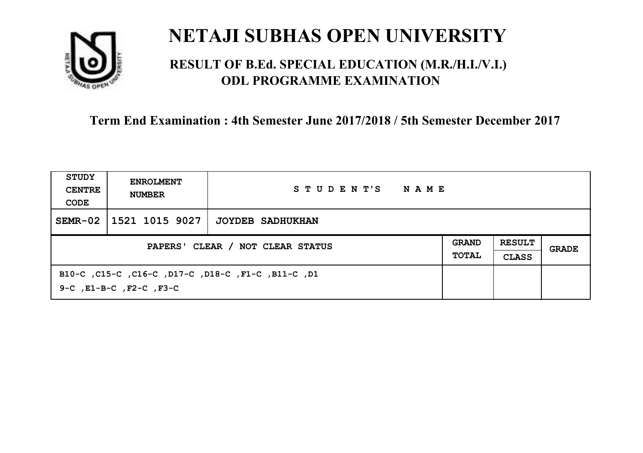

### **RESULT OF B.Ed. SPECIAL EDUCATION (M.R./H.I./V.I.) ODL PROGRAMME EXAMINATION**

| <b>STUDY</b><br><b>CENTRE</b><br>CODE | <b>ENROLMENT</b><br><b>NUMBER</b>                                                        | STUDENT'S<br>NAME |                              |                               |       |
|---------------------------------------|------------------------------------------------------------------------------------------|-------------------|------------------------------|-------------------------------|-------|
| $SEMR-02$                             | 1521 1015 9027                                                                           | JOYDEB SADHUKHAN  |                              |                               |       |
| PAPERS' CLEAR / NOT CLEAR STATUS      |                                                                                          |                   | <b>GRAND</b><br><b>TOTAL</b> | <b>RESULT</b><br><b>CLASS</b> | GRADE |
|                                       | B10-C, C15-C, C16-C, D17-C, D18-C, F1-C, B11-C, D1<br>$9-C$ , $E1-B-C$ , $F2-C$ , $F3-C$ |                   |                              |                               |       |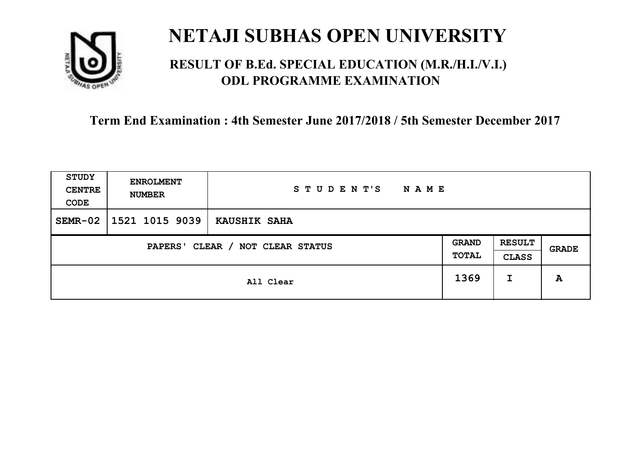

### **RESULT OF B.Ed. SPECIAL EDUCATION (M.R./H.I./V.I.) ODL PROGRAMME EXAMINATION**

| <b>STUDY</b><br><b>CENTRE</b><br>CODE | <b>ENROLMENT</b><br><b>NUMBER</b> | STUDENT'S<br><b>NAME</b> |                              |                               |              |
|---------------------------------------|-----------------------------------|--------------------------|------------------------------|-------------------------------|--------------|
| $SEMR-02$                             | 1521 1015 9039                    | KAUSHIK SAHA             |                              |                               |              |
| CLEAR / NOT CLEAR STATUS<br>PAPERS'   |                                   |                          | <b>GRAND</b><br><b>TOTAL</b> | <b>RESULT</b><br><b>CLASS</b> | <b>GRADE</b> |
|                                       |                                   | All Clear                | 1369                         | I                             | A            |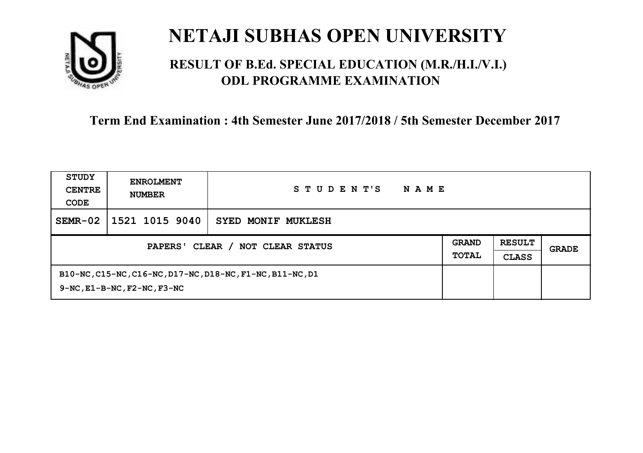

### **RESULT OF B.Ed. SPECIAL EDUCATION (M.R./H.I./V.I.) ODL PROGRAMME EXAMINATION**

| STUDY<br><b>CENTRE</b><br>CODE             | <b>ENROLMENT</b><br><b>NUMBER</b>      | STUDENT'S<br><b>NAME</b>                                  |                              |                               |       |
|--------------------------------------------|----------------------------------------|-----------------------------------------------------------|------------------------------|-------------------------------|-------|
| $SEMR-02$                                  | 1521 1015 9040                         | SYED MONIF MUKLESH                                        |                              |                               |       |
| CLEAR / NOT CLEAR STATUS<br><b>PAPERS'</b> |                                        |                                                           | <b>GRAND</b><br><b>TOTAL</b> | <b>RESULT</b><br><b>CLASS</b> | GRADE |
|                                            | $9-NC$ , $E1-B-NC$ , $F2-NC$ , $F3-NC$ | B10-NC, C15-NC, C16-NC, D17-NC, D18-NC, F1-NC, B11-NC, D1 |                              |                               |       |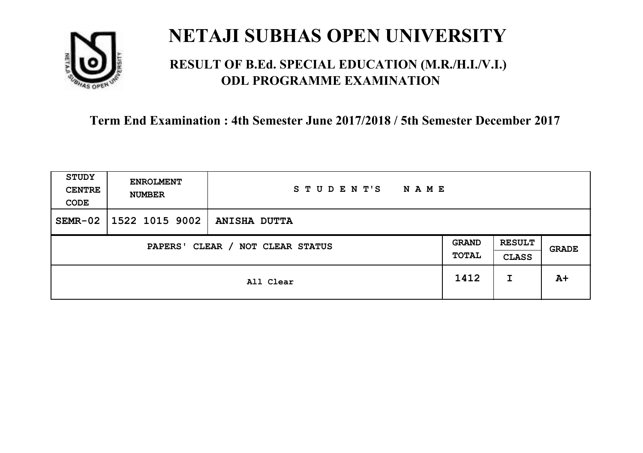

### **RESULT OF B.Ed. SPECIAL EDUCATION (M.R./H.I./V.I.) ODL PROGRAMME EXAMINATION**

| <b>STUDY</b><br><b>CENTRE</b><br>CODE | <b>ENROLMENT</b><br><b>NUMBER</b> | STUDENT'S<br><b>NAME</b> |                       |                               |       |
|---------------------------------------|-----------------------------------|--------------------------|-----------------------|-------------------------------|-------|
| $SEMR-02$                             | 1522 1015 9002                    | <b>ANISHA DUTTA</b>      |                       |                               |       |
| CLEAR / NOT CLEAR STATUS<br>PAPERS'   |                                   |                          | <b>GRAND</b><br>TOTAL | <b>RESULT</b><br><b>CLASS</b> | GRADE |
|                                       |                                   | All Clear                | 1412                  | I                             | $A+$  |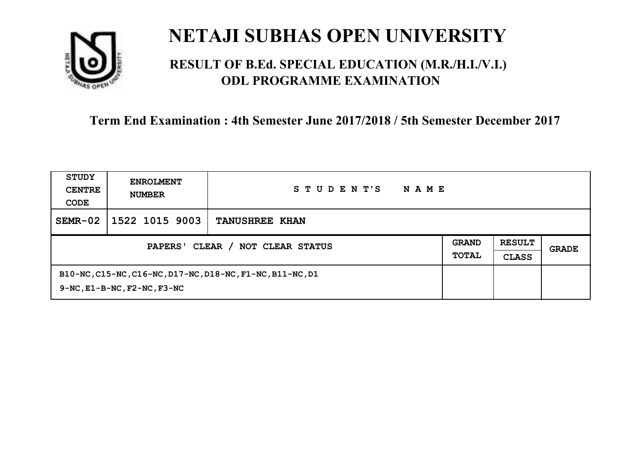

### **RESULT OF B.Ed. SPECIAL EDUCATION (M.R./H.I./V.I.) ODL PROGRAMME EXAMINATION**

| STUDY<br><b>CENTRE</b><br>CODE             | <b>ENROLMENT</b><br><b>NUMBER</b>      | STUDENT'S<br><b>NAME</b>                                  |                              |                               |       |
|--------------------------------------------|----------------------------------------|-----------------------------------------------------------|------------------------------|-------------------------------|-------|
| $SEMR-02$                                  | 1522 1015 9003                         | <b>TANUSHREE KHAN</b>                                     |                              |                               |       |
| CLEAR / NOT CLEAR STATUS<br><b>PAPERS'</b> |                                        |                                                           | <b>GRAND</b><br><b>TOTAL</b> | <b>RESULT</b><br><b>CLASS</b> | GRADE |
|                                            | $9-NC$ , $E1-B-NC$ , $F2-NC$ , $F3-NC$ | B10-NC, C15-NC, C16-NC, D17-NC, D18-NC, F1-NC, B11-NC, D1 |                              |                               |       |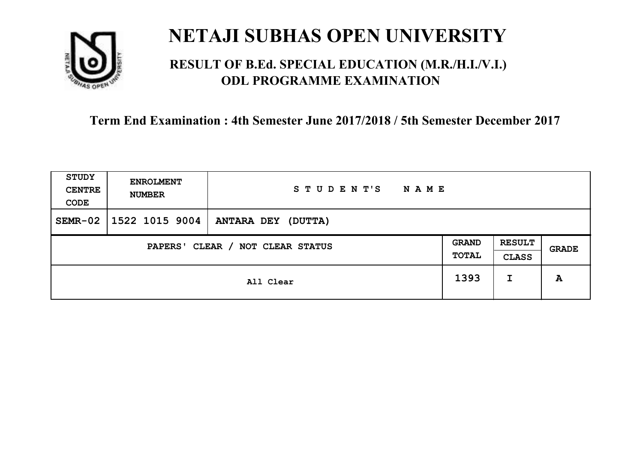

### **RESULT OF B.Ed. SPECIAL EDUCATION (M.R./H.I./V.I.) ODL PROGRAMME EXAMINATION**

| <b>STUDY</b><br><b>CENTRE</b><br>CODE | <b>ENROLMENT</b><br><b>NUMBER</b>          | STUDENT'S<br><b>NAME</b>  |      |                               |       |
|---------------------------------------|--------------------------------------------|---------------------------|------|-------------------------------|-------|
| $SEMR-02$                             | $1522$ 1015 9004                           | <b>ANTARA DEY (DUTTA)</b> |      |                               |       |
|                                       | CLEAR / NOT CLEAR STATUS<br><b>PAPERS'</b> |                           |      | <b>RESULT</b><br><b>CLASS</b> | GRADE |
|                                       |                                            | All Clear                 | 1393 | I                             | A     |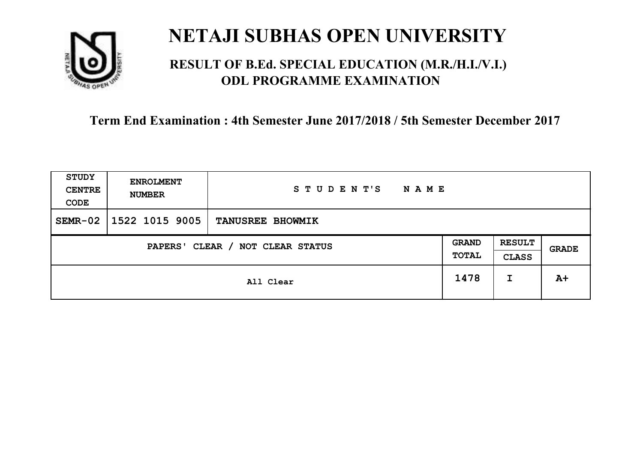

### **RESULT OF B.Ed. SPECIAL EDUCATION (M.R./H.I./V.I.) ODL PROGRAMME EXAMINATION**

| <b>STUDY</b><br><b>CENTRE</b><br>CODE | <b>ENROLMENT</b><br><b>NUMBER</b> | STUDENT'S<br><b>NAME</b> |                       |                               |       |
|---------------------------------------|-----------------------------------|--------------------------|-----------------------|-------------------------------|-------|
| $SEMR-02$                             | 1522 1015 9005                    | <b>TANUSREE BHOWMIK</b>  |                       |                               |       |
| CLEAR / NOT CLEAR STATUS<br>PAPERS'   |                                   |                          | <b>GRAND</b><br>TOTAL | <b>RESULT</b><br><b>CLASS</b> | GRADE |
|                                       |                                   | All Clear                | 1478                  | I                             | $A+$  |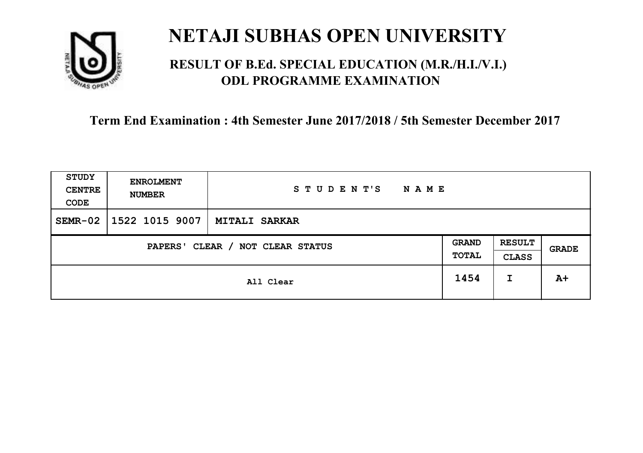

### **RESULT OF B.Ed. SPECIAL EDUCATION (M.R./H.I./V.I.) ODL PROGRAMME EXAMINATION**

| <b>STUDY</b><br><b>CENTRE</b><br>CODE | <b>ENROLMENT</b><br><b>NUMBER</b>   | STUDENT'S<br><b>NAME</b> |      |                               |       |
|---------------------------------------|-------------------------------------|--------------------------|------|-------------------------------|-------|
| $SEMR-02$                             | 1522 1015 9007                      | <b>MITALI SARKAR</b>     |      |                               |       |
|                                       | CLEAR / NOT CLEAR STATUS<br>PAPERS' |                          |      | <b>RESULT</b><br><b>CLASS</b> | GRADE |
|                                       |                                     | All Clear                | 1454 | I                             | $A+$  |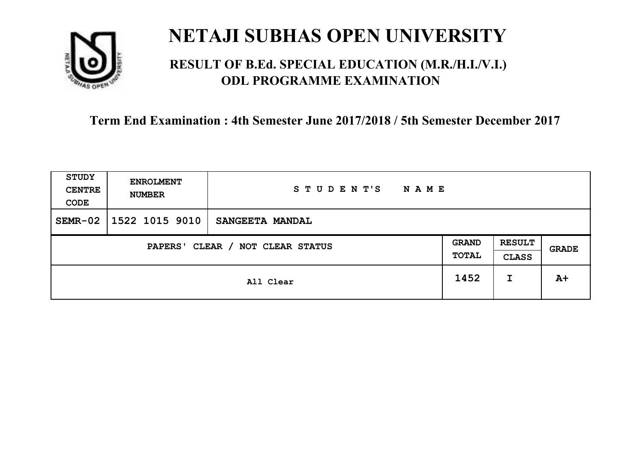

### **RESULT OF B.Ed. SPECIAL EDUCATION (M.R./H.I./V.I.) ODL PROGRAMME EXAMINATION**

| <b>STUDY</b><br><b>CENTRE</b><br>CODE | <b>ENROLMENT</b><br><b>NUMBER</b> | STUDENT'S<br><b>NAME</b> |                       |                               |       |
|---------------------------------------|-----------------------------------|--------------------------|-----------------------|-------------------------------|-------|
| $SEMR-02$                             | 1522 1015 9010                    | SANGEETA MANDAL          |                       |                               |       |
| CLEAR / NOT CLEAR STATUS<br>PAPERS'   |                                   |                          | <b>GRAND</b><br>TOTAL | <b>RESULT</b><br><b>CLASS</b> | GRADE |
|                                       |                                   | All Clear                | 1452                  | I                             | $A+$  |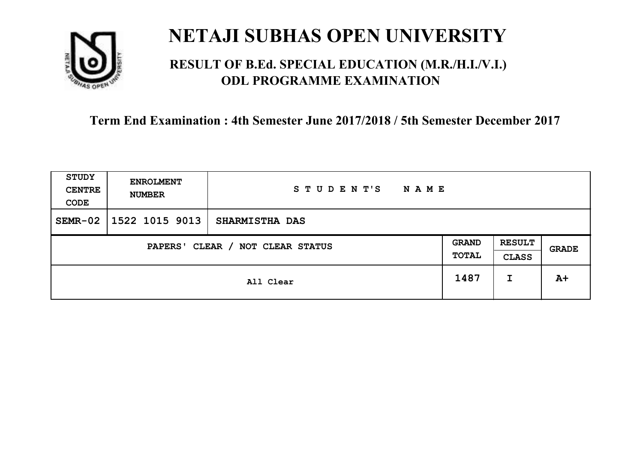

### **RESULT OF B.Ed. SPECIAL EDUCATION (M.R./H.I./V.I.) ODL PROGRAMME EXAMINATION**

| <b>STUDY</b><br><b>CENTRE</b><br>CODE | <b>ENROLMENT</b><br><b>NUMBER</b> | STUDENT'S<br><b>NAME</b> |                       |                               |       |
|---------------------------------------|-----------------------------------|--------------------------|-----------------------|-------------------------------|-------|
| $SEMR-02$                             | 1522 1015 9013                    | <b>SHARMISTHA DAS</b>    |                       |                               |       |
| CLEAR / NOT CLEAR STATUS<br>PAPERS'   |                                   |                          | <b>GRAND</b><br>TOTAL | <b>RESULT</b><br><b>CLASS</b> | GRADE |
|                                       |                                   | All Clear                | 1487                  | I                             | $A+$  |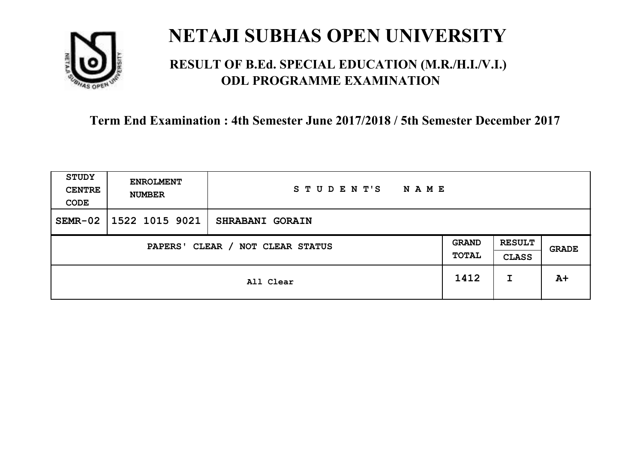

### **RESULT OF B.Ed. SPECIAL EDUCATION (M.R./H.I./V.I.) ODL PROGRAMME EXAMINATION**

| <b>STUDY</b><br><b>CENTRE</b><br>CODE | <b>ENROLMENT</b><br><b>NUMBER</b> | STUDENT'S<br><b>NAME</b> |                       |                               |       |
|---------------------------------------|-----------------------------------|--------------------------|-----------------------|-------------------------------|-------|
| $SEMR-02$                             | 1522 1015 9021                    | <b>SHRABANI GORAIN</b>   |                       |                               |       |
| CLEAR / NOT CLEAR STATUS<br>PAPERS'   |                                   |                          | <b>GRAND</b><br>TOTAL | <b>RESULT</b><br><b>CLASS</b> | GRADE |
|                                       |                                   | All Clear                | 1412                  | I                             | $A+$  |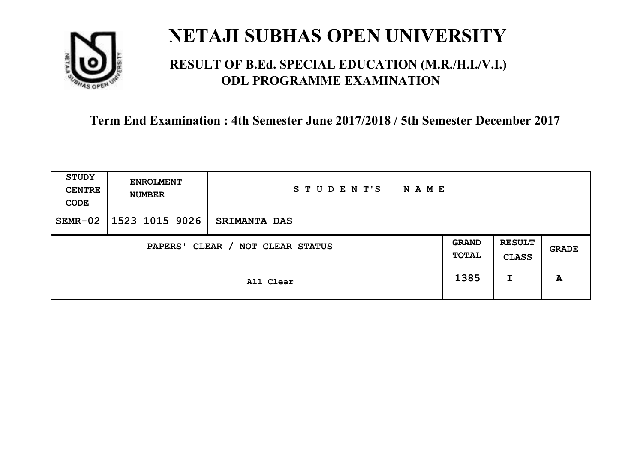

### **RESULT OF B.Ed. SPECIAL EDUCATION (M.R./H.I./V.I.) ODL PROGRAMME EXAMINATION**

| <b>STUDY</b><br><b>CENTRE</b><br>CODE | <b>ENROLMENT</b><br><b>NUMBER</b>   | STUDENT'S<br><b>NAME</b> |  |                               |       |
|---------------------------------------|-------------------------------------|--------------------------|--|-------------------------------|-------|
| $SEMR-02$                             | 1523 1015 9026                      | <b>SRIMANTA DAS</b>      |  |                               |       |
|                                       | CLEAR / NOT CLEAR STATUS<br>PAPERS' |                          |  | <b>RESULT</b><br><b>CLASS</b> | GRADE |
|                                       | All Clear                           |                          |  | I                             | A     |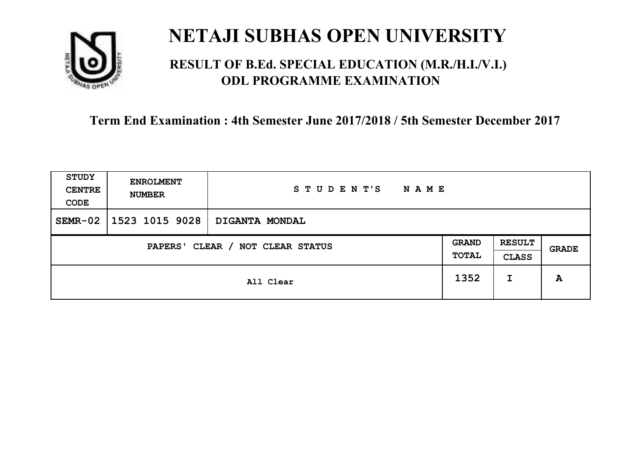

### **RESULT OF B.Ed. SPECIAL EDUCATION (M.R./H.I./V.I.) ODL PROGRAMME EXAMINATION**

| <b>STUDY</b><br><b>CENTRE</b><br>CODE | <b>ENROLMENT</b><br><b>NUMBER</b>   | STUDENT'S<br><b>NAME</b> |      |                               |              |
|---------------------------------------|-------------------------------------|--------------------------|------|-------------------------------|--------------|
| $SEMR-02$                             | 1523 1015 9028                      | DIGANTA MONDAL           |      |                               |              |
|                                       | CLEAR / NOT CLEAR STATUS<br>PAPERS' |                          |      | <b>RESULT</b><br><b>CLASS</b> | <b>GRADE</b> |
|                                       | All Clear                           |                          | 1352 | I                             | A            |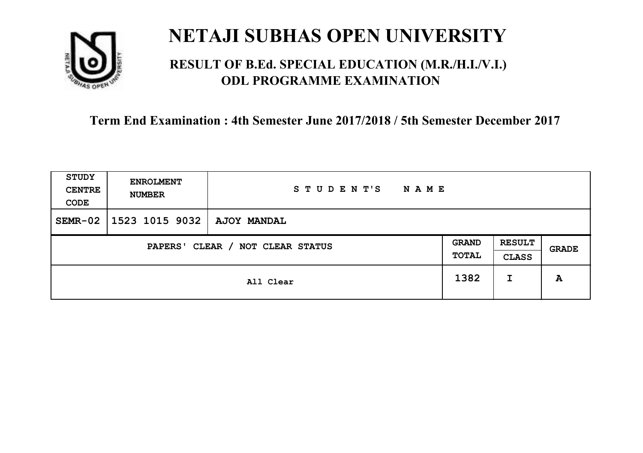

### **RESULT OF B.Ed. SPECIAL EDUCATION (M.R./H.I./V.I.) ODL PROGRAMME EXAMINATION**

| <b>STUDY</b><br><b>CENTRE</b><br>CODE | <b>ENROLMENT</b><br><b>NUMBER</b>   | STUDENT'S<br><b>NAME</b> |  |   |       |
|---------------------------------------|-------------------------------------|--------------------------|--|---|-------|
| $SEMR-02$                             | 1523 1015 9032                      | <b>AJOY MANDAL</b>       |  |   |       |
|                                       | CLEAR / NOT CLEAR STATUS<br>PAPERS' |                          |  |   | GRADE |
|                                       | All Clear                           |                          |  | I | A     |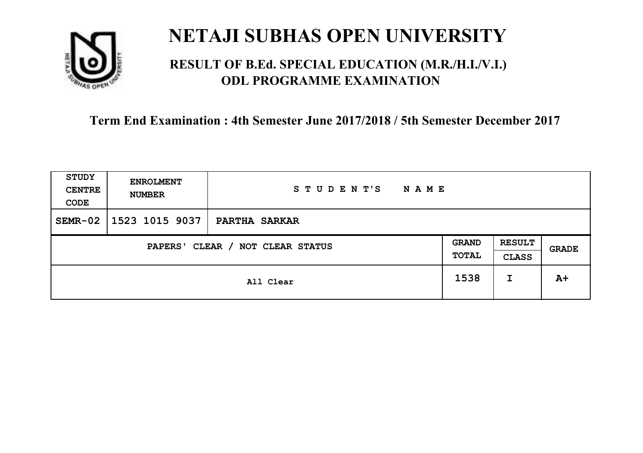

### **RESULT OF B.Ed. SPECIAL EDUCATION (M.R./H.I./V.I.) ODL PROGRAMME EXAMINATION**

| <b>STUDY</b><br><b>CENTRE</b><br>CODE | <b>ENROLMENT</b><br><b>NUMBER</b>   | STUDENT'S<br><b>NAME</b> |      |                               |              |
|---------------------------------------|-------------------------------------|--------------------------|------|-------------------------------|--------------|
| $SEMR-02$                             | 1523 1015 9037                      | PARTHA SARKAR            |      |                               |              |
|                                       | CLEAR / NOT CLEAR STATUS<br>PAPERS' |                          |      | <b>RESULT</b><br><b>CLASS</b> | <b>GRADE</b> |
| All Clear                             |                                     |                          | 1538 | I                             | $A+$         |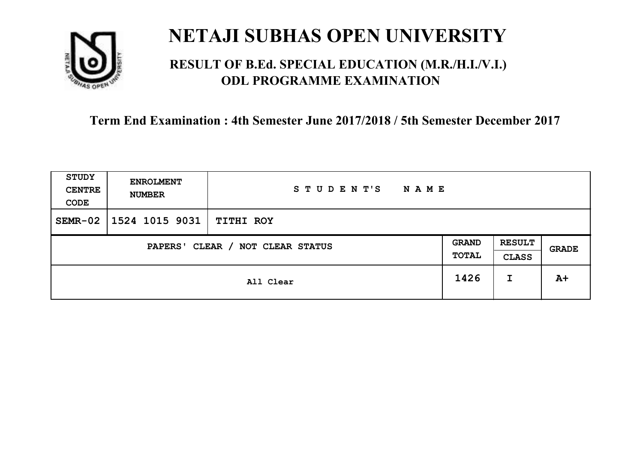

### **RESULT OF B.Ed. SPECIAL EDUCATION (M.R./H.I./V.I.) ODL PROGRAMME EXAMINATION**

| <b>STUDY</b><br><b>CENTRE</b><br>CODE | <b>ENROLMENT</b><br><b>NUMBER</b>   | STUDENT'S<br><b>NAME</b> |  |                               |       |
|---------------------------------------|-------------------------------------|--------------------------|--|-------------------------------|-------|
| $SEMR-02$                             | 1524 1015 9031                      | <b>TITHI ROY</b>         |  |                               |       |
|                                       | CLEAR / NOT CLEAR STATUS<br>PAPERS' |                          |  | <b>RESULT</b><br><b>CLASS</b> | GRADE |
|                                       | All Clear                           |                          |  | I                             | $A+$  |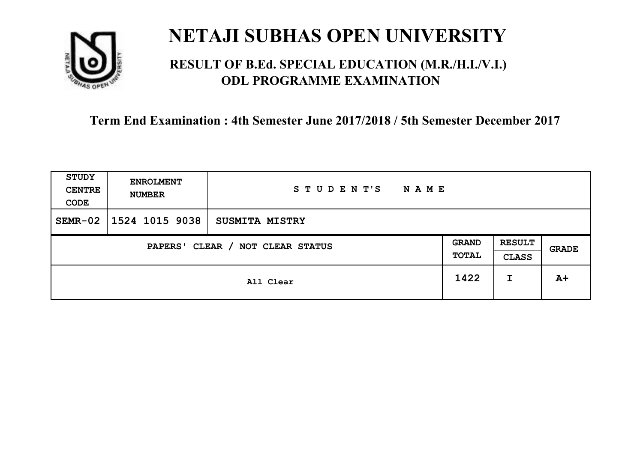

### **RESULT OF B.Ed. SPECIAL EDUCATION (M.R./H.I./V.I.) ODL PROGRAMME EXAMINATION**

| <b>STUDY</b><br><b>CENTRE</b><br>CODE | <b>ENROLMENT</b><br><b>NUMBER</b>   | STUDENT'S<br><b>NAME</b> |  |   |       |
|---------------------------------------|-------------------------------------|--------------------------|--|---|-------|
| $SEMR-02$                             | 1524 1015 9038                      | <b>SUSMITA MISTRY</b>    |  |   |       |
|                                       | CLEAR / NOT CLEAR STATUS<br>PAPERS' |                          |  |   | GRADE |
|                                       | All Clear                           |                          |  | I | $A+$  |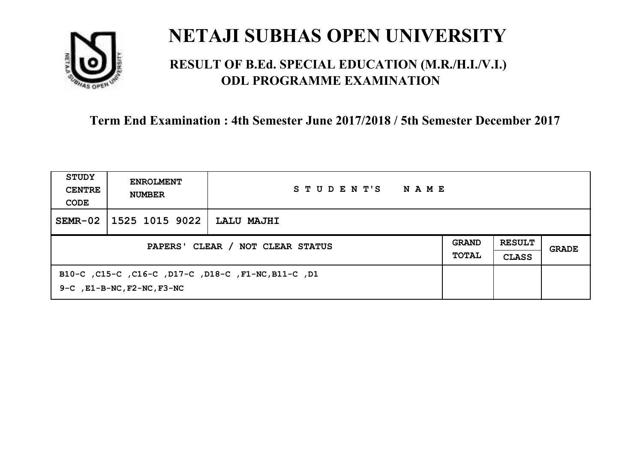

### **RESULT OF B.Ed. SPECIAL EDUCATION (M.R./H.I./V.I.) ODL PROGRAMME EXAMINATION**

| STUDY<br><b>CENTRE</b><br>CODE   | <b>ENROLMENT</b><br><b>NUMBER</b>                                                            | STUDENT'S<br>NAME |  |                               |       |
|----------------------------------|----------------------------------------------------------------------------------------------|-------------------|--|-------------------------------|-------|
| $SEMR-02$                        | 1525 1015 9022                                                                               | LALU MAJHI        |  |                               |       |
| PAPERS' CLEAR / NOT CLEAR STATUS |                                                                                              |                   |  | <b>RESULT</b><br><b>CLASS</b> | GRADE |
|                                  | B10-C, C15-C, C16-C, D17-C, D18-C, F1-NC, B11-C, D1<br>$9-C$ , $E1-B-NC$ , $F2-NC$ , $F3-NC$ |                   |  |                               |       |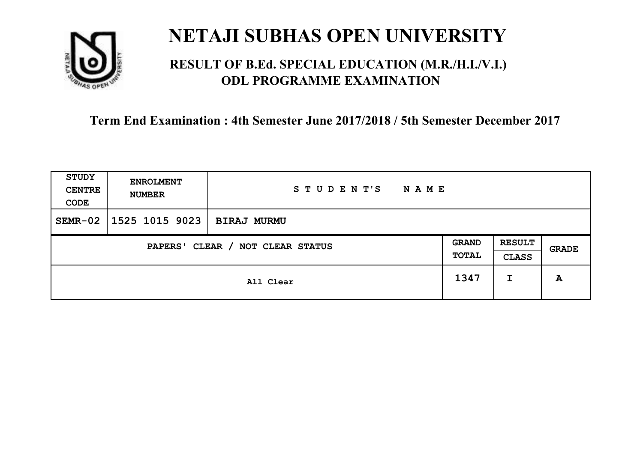

### **RESULT OF B.Ed. SPECIAL EDUCATION (M.R./H.I./V.I.) ODL PROGRAMME EXAMINATION**

| <b>STUDY</b><br><b>CENTRE</b><br>CODE | <b>ENROLMENT</b><br><b>NUMBER</b>   | STUDENT'S<br><b>NAME</b> |  |   |       |
|---------------------------------------|-------------------------------------|--------------------------|--|---|-------|
| $SEMR-02$                             | 1525 1015 9023                      | <b>BIRAJ MURMU</b>       |  |   |       |
|                                       | CLEAR / NOT CLEAR STATUS<br>PAPERS' |                          |  |   | GRADE |
|                                       | All Clear                           |                          |  | I | A     |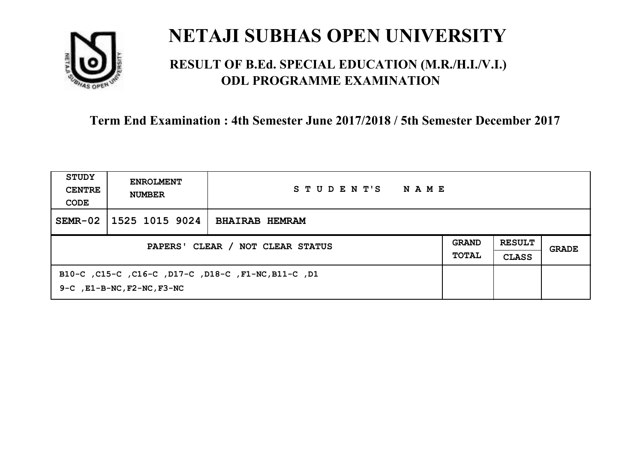

### **RESULT OF B.Ed. SPECIAL EDUCATION (M.R./H.I./V.I.) ODL PROGRAMME EXAMINATION**

| STUDY<br><b>CENTRE</b><br>CODE | <b>ENROLMENT</b><br><b>NUMBER</b>                                                            | STUDENT'S<br>NAME     |  |  |       |
|--------------------------------|----------------------------------------------------------------------------------------------|-----------------------|--|--|-------|
| $SEMR-02$                      | 1525 1015 9024                                                                               | <b>BHAIRAB HEMRAM</b> |  |  |       |
|                                | PAPERS' CLEAR / NOT CLEAR STATUS                                                             |                       |  |  | GRADE |
|                                | B10-C, C15-C, C16-C, D17-C, D18-C, F1-NC, B11-C, D1<br>$9-C$ , $E1-B-NC$ , $F2-NC$ , $F3-NC$ |                       |  |  |       |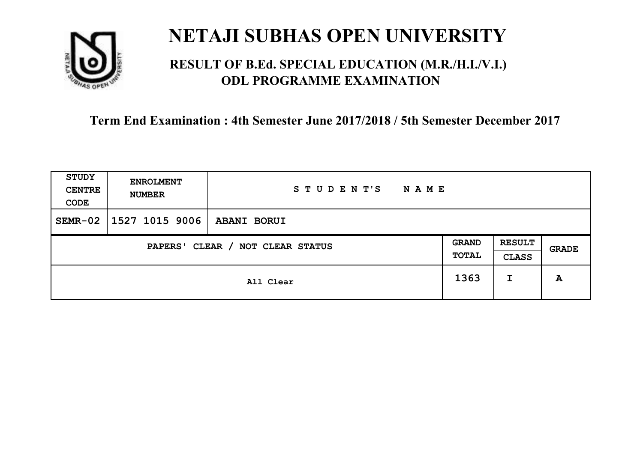

### **RESULT OF B.Ed. SPECIAL EDUCATION (M.R./H.I./V.I.) ODL PROGRAMME EXAMINATION**

| STUDY<br><b>CENTRE</b><br>CODE | <b>ENROLMENT</b><br><b>NUMBER</b>   | STUDENT'S<br><b>NAME</b> |      |                               |       |
|--------------------------------|-------------------------------------|--------------------------|------|-------------------------------|-------|
| $SEMR-02$                      | $1527$ 1015 9006                    | <b>ABANI BORUI</b>       |      |                               |       |
|                                | CLEAR / NOT CLEAR STATUS<br>PAPERS' |                          |      | <b>RESULT</b><br><b>CLASS</b> | GRADE |
|                                |                                     | All Clear                | 1363 | I                             | A     |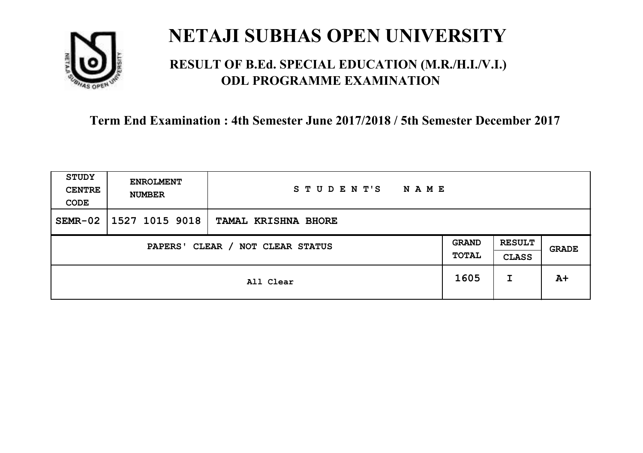

### **RESULT OF B.Ed. SPECIAL EDUCATION (M.R./H.I./V.I.) ODL PROGRAMME EXAMINATION**

| <b>STUDY</b><br><b>CENTRE</b><br>CODE | <b>ENROLMENT</b><br><b>NUMBER</b>   | STUDENT'S<br><b>NAME</b> |      |                               |       |
|---------------------------------------|-------------------------------------|--------------------------|------|-------------------------------|-------|
| $SEMR-02$                             | 1527 1015 9018                      | TAMAL KRISHNA BHORE      |      |                               |       |
|                                       | CLEAR / NOT CLEAR STATUS<br>PAPERS' |                          |      | <b>RESULT</b><br><b>CLASS</b> | GRADE |
|                                       | All Clear                           |                          | 1605 | I                             | $A+$  |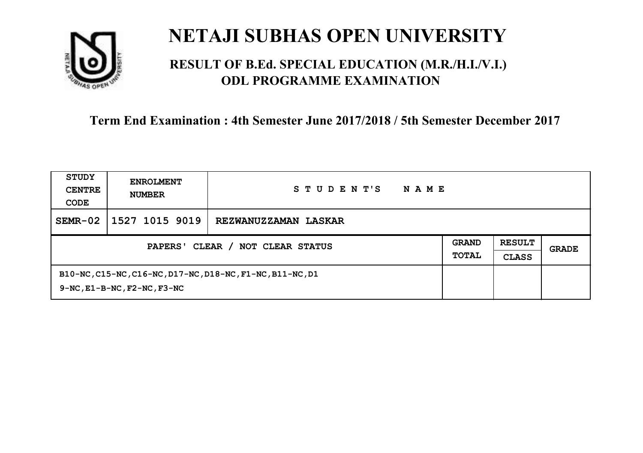

### **RESULT OF B.Ed. SPECIAL EDUCATION (M.R./H.I./V.I.) ODL PROGRAMME EXAMINATION**

| STUDY<br><b>CENTRE</b><br>CODE      | <b>ENROLMENT</b><br><b>NUMBER</b>                                                                   | STUDENT'S<br><b>NAME</b>    |                              |                               |       |
|-------------------------------------|-----------------------------------------------------------------------------------------------------|-----------------------------|------------------------------|-------------------------------|-------|
| $SEMR-02$                           | 1527 1015 9019                                                                                      | <b>REZWANUZZAMAN LASKAR</b> |                              |                               |       |
| CLEAR / NOT CLEAR STATUS<br>PAPERS' |                                                                                                     |                             | <b>GRAND</b><br><b>TOTAL</b> | <b>RESULT</b><br><b>CLASS</b> | GRADE |
|                                     | B10-NC, C15-NC, C16-NC, D17-NC, D18-NC, F1-NC, B11-NC, D1<br>$9-NC$ , $E1-B-NC$ , $F2-NC$ , $F3-NC$ |                             |                              |                               |       |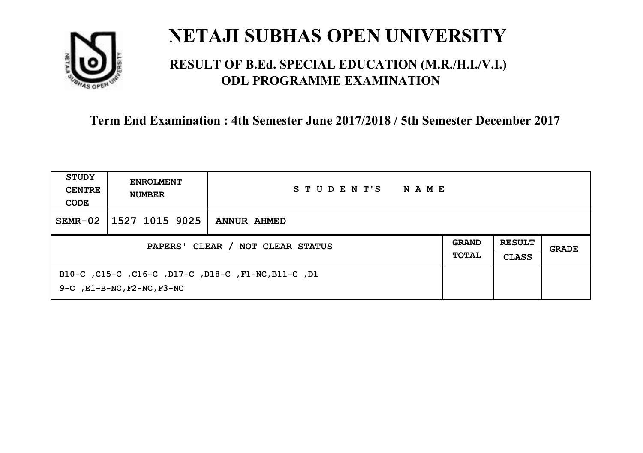

### **RESULT OF B.Ed. SPECIAL EDUCATION (M.R./H.I./V.I.) ODL PROGRAMME EXAMINATION**

| STUDY<br><b>CENTRE</b><br>CODE   | <b>ENROLMENT</b><br><b>NUMBER</b>                                                                  | STUDENT'S<br>NAME  |                              |                               |       |
|----------------------------------|----------------------------------------------------------------------------------------------------|--------------------|------------------------------|-------------------------------|-------|
| $SEMR-02$                        | 1527 1015 9025                                                                                     | <b>ANNUR AHMED</b> |                              |                               |       |
| PAPERS' CLEAR / NOT CLEAR STATUS |                                                                                                    |                    | <b>GRAND</b><br><b>TOTAL</b> | <b>RESULT</b><br><b>CLASS</b> | GRADE |
|                                  | B10-C , C15-C , C16-C , D17-C , D18-C , F1-NC, B11-C , D1<br>$9-C$ , $E1-B-NC$ , $F2-NC$ , $F3-NC$ |                    |                              |                               |       |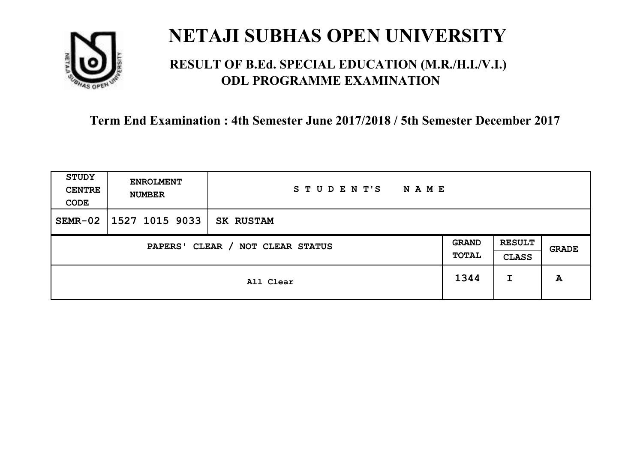

### **RESULT OF B.Ed. SPECIAL EDUCATION (M.R./H.I./V.I.) ODL PROGRAMME EXAMINATION**

| <b>STUDY</b><br><b>CENTRE</b><br>CODE | <b>ENROLMENT</b><br><b>NUMBER</b> | STUDENT'S<br><b>NAME</b> |  |                               |       |
|---------------------------------------|-----------------------------------|--------------------------|--|-------------------------------|-------|
| $SEMR-02$                             | 1527 1015 9033                    | <b>SK RUSTAM</b>         |  |                               |       |
| CLEAR / NOT CLEAR STATUS<br>PAPERS'   |                                   |                          |  | <b>RESULT</b><br><b>CLASS</b> | GRADE |
|                                       | All Clear                         |                          |  | I                             | A     |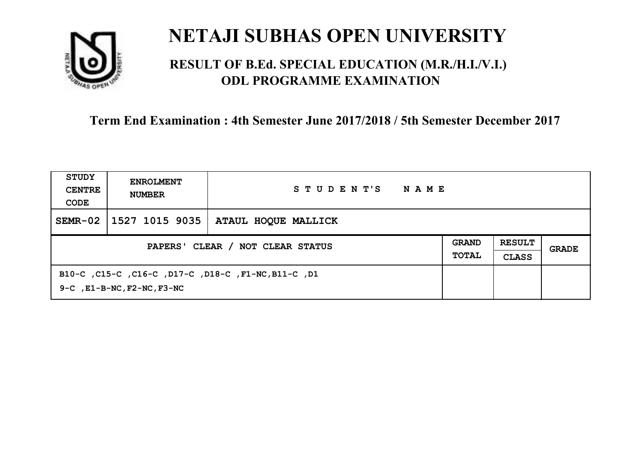

### **RESULT OF B.Ed. SPECIAL EDUCATION (M.R./H.I./V.I.) ODL PROGRAMME EXAMINATION**

| STUDY<br><b>CENTRE</b><br>CODE   | <b>ENROLMENT</b><br><b>NUMBER</b>                                                            | STUDENT'S<br>NAME   |  |                               |       |
|----------------------------------|----------------------------------------------------------------------------------------------|---------------------|--|-------------------------------|-------|
| $SEMR-02$                        | 1527 1015 9035                                                                               | ATAUL HOQUE MALLICK |  |                               |       |
| PAPERS' CLEAR / NOT CLEAR STATUS |                                                                                              |                     |  | <b>RESULT</b><br><b>CLASS</b> | GRADE |
|                                  | B10-C, C15-C, C16-C, D17-C, D18-C, F1-NC, B11-C, D1<br>$9-C$ , $E1-B-NC$ , $F2-NC$ , $F3-NC$ |                     |  |                               |       |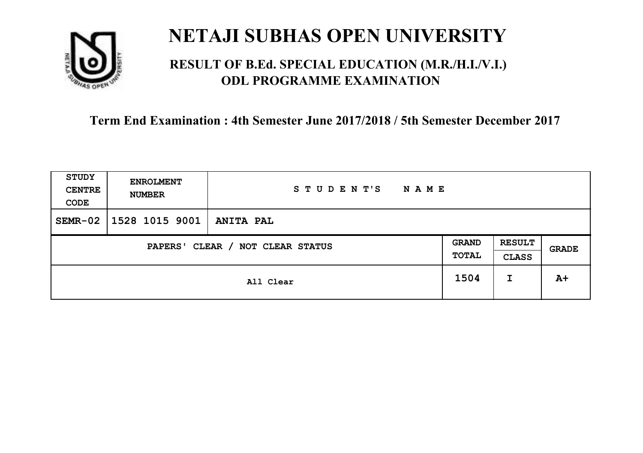

### **RESULT OF B.Ed. SPECIAL EDUCATION (M.R./H.I./V.I.) ODL PROGRAMME EXAMINATION**

| <b>STUDY</b><br><b>CENTRE</b><br>CODE | <b>ENROLMENT</b><br><b>NUMBER</b>   | STUDENT'S<br><b>NAME</b> |  |   |              |
|---------------------------------------|-------------------------------------|--------------------------|--|---|--------------|
| $SEMR-02$                             | 1528 1015 9001                      | <b>ANITA PAL</b>         |  |   |              |
|                                       | CLEAR / NOT CLEAR STATUS<br>PAPERS' |                          |  |   | <b>GRADE</b> |
|                                       | All Clear                           |                          |  | I | $A+$         |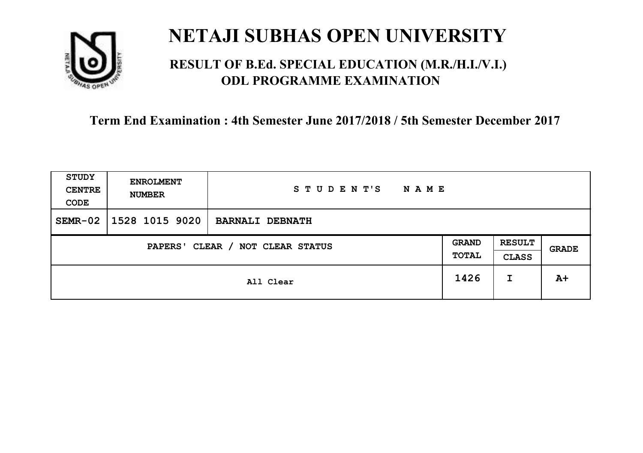

### **RESULT OF B.Ed. SPECIAL EDUCATION (M.R./H.I./V.I.) ODL PROGRAMME EXAMINATION**

| <b>STUDY</b><br><b>CENTRE</b><br>CODE | <b>ENROLMENT</b><br><b>NUMBER</b> | STUDENT'S<br><b>NAME</b> |  |                               |       |
|---------------------------------------|-----------------------------------|--------------------------|--|-------------------------------|-------|
| $SEMR-02$                             | 1528 1015 9020                    | <b>BARNALI DEBNATH</b>   |  |                               |       |
| CLEAR / NOT CLEAR STATUS<br>PAPERS'   |                                   |                          |  | <b>RESULT</b><br><b>CLASS</b> | GRADE |
|                                       | All Clear                         |                          |  | I                             | $A+$  |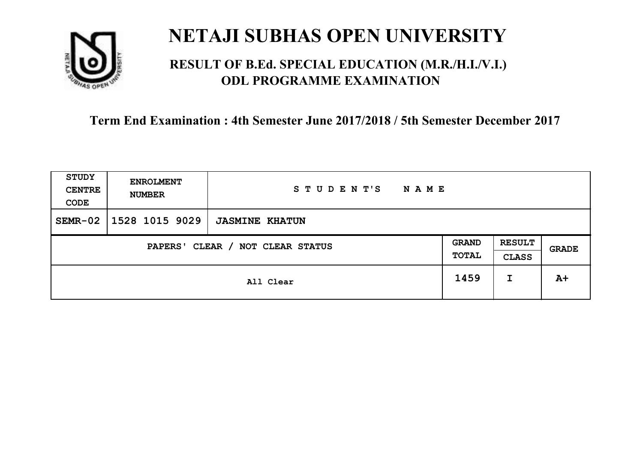

### **RESULT OF B.Ed. SPECIAL EDUCATION (M.R./H.I./V.I.) ODL PROGRAMME EXAMINATION**

| <b>STUDY</b><br><b>CENTRE</b><br>CODE | <b>ENROLMENT</b><br><b>NUMBER</b> | STUDENT'S<br><b>NAME</b> |  |                               |       |
|---------------------------------------|-----------------------------------|--------------------------|--|-------------------------------|-------|
| $SEMR-02$                             | 1528 1015 9029                    | <b>JASMINE KHATUN</b>    |  |                               |       |
| CLEAR / NOT CLEAR STATUS<br>PAPERS'   |                                   |                          |  | <b>RESULT</b><br><b>CLASS</b> | GRADE |
|                                       | All Clear                         |                          |  | I                             | $A+$  |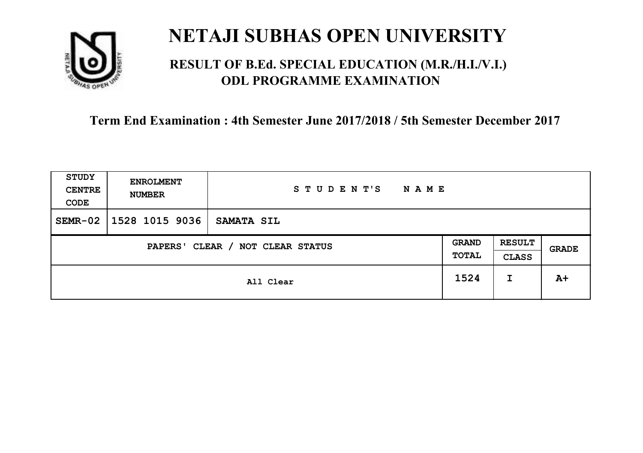

### **RESULT OF B.Ed. SPECIAL EDUCATION (M.R./H.I./V.I.) ODL PROGRAMME EXAMINATION**

| <b>STUDY</b><br><b>CENTRE</b><br>CODE | <b>ENROLMENT</b><br><b>NUMBER</b> | STUDENT'S<br><b>NAME</b> |  |                               |       |
|---------------------------------------|-----------------------------------|--------------------------|--|-------------------------------|-------|
| $SEMR-02$                             | 1528 1015 9036                    | <b>SAMATA SIL</b>        |  |                               |       |
| CLEAR / NOT CLEAR STATUS<br>PAPERS'   |                                   |                          |  | <b>RESULT</b><br><b>CLASS</b> | GRADE |
|                                       | All Clear                         |                          |  | I                             | $A+$  |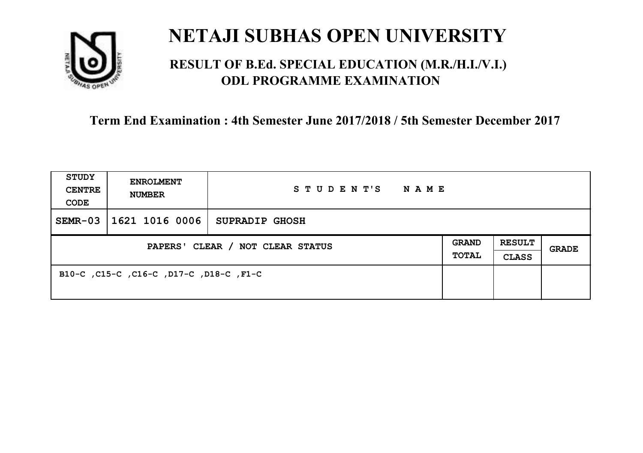

### **RESULT OF B.Ed. SPECIAL EDUCATION (M.R./H.I./V.I.) ODL PROGRAMME EXAMINATION**

| <b>STUDY</b><br><b>CENTRE</b><br>CODE | <b>ENROLMENT</b><br><b>NUMBER</b>       | STUDENT'S<br>NAME     |                       |                               |       |
|---------------------------------------|-----------------------------------------|-----------------------|-----------------------|-------------------------------|-------|
| $SEMR-03$                             | 1621 1016 0006                          | <b>SUPRADIP GHOSH</b> |                       |                               |       |
| PAPERS' CLEAR / NOT CLEAR STATUS      |                                         |                       | <b>GRAND</b><br>TOTAL | <b>RESULT</b><br><b>CLASS</b> | GRADE |
|                                       | B10-C, C15-C, C16-C, D17-C, D18-C, F1-C |                       |                       |                               |       |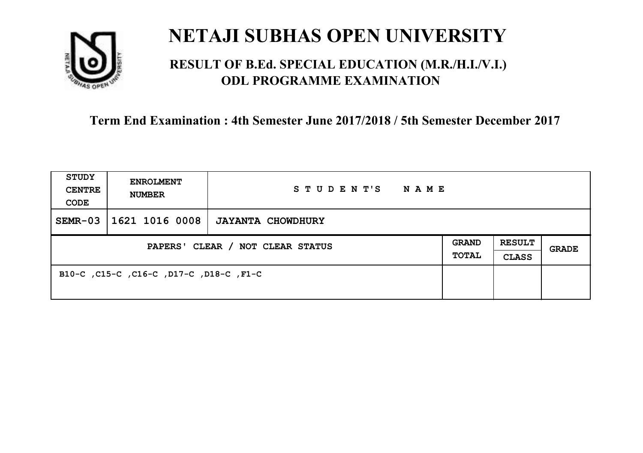

### **RESULT OF B.Ed. SPECIAL EDUCATION (M.R./H.I./V.I.) ODL PROGRAMME EXAMINATION**

| <b>STUDY</b><br><b>CENTRE</b><br>CODE | <b>ENROLMENT</b><br><b>NUMBER</b>       | STUDENT'S<br>NAME        |                              |                               |       |
|---------------------------------------|-----------------------------------------|--------------------------|------------------------------|-------------------------------|-------|
| $SEMR-03$                             | 1621 1016 0008                          | <b>JAYANTA CHOWDHURY</b> |                              |                               |       |
| PAPERS' CLEAR / NOT CLEAR STATUS      |                                         |                          | <b>GRAND</b><br><b>TOTAL</b> | <b>RESULT</b><br><b>CLASS</b> | GRADE |
|                                       | B10-C, C15-C, C16-C, D17-C, D18-C, F1-C |                          |                              |                               |       |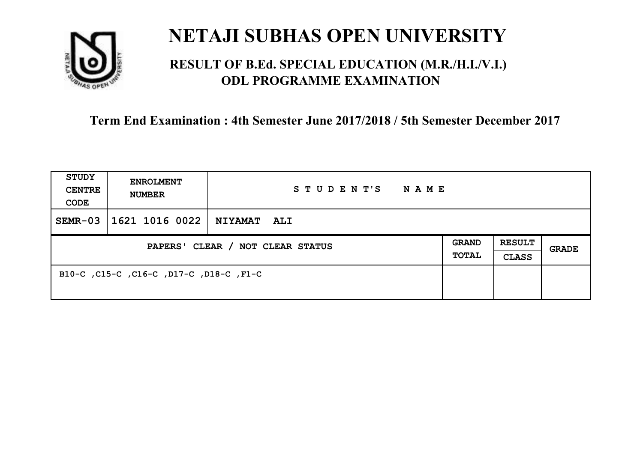

### **RESULT OF B.Ed. SPECIAL EDUCATION (M.R./H.I./V.I.) ODL PROGRAMME EXAMINATION**

| <b>STUDY</b><br><b>CENTRE</b><br>CODE | <b>ENROLMENT</b><br><b>NUMBER</b>       | STUDENT'S<br>NAME  |                              |                               |       |
|---------------------------------------|-----------------------------------------|--------------------|------------------------------|-------------------------------|-------|
| $SEMR-03$                             | 1621 1016 0022                          | <b>NIYAMAT ALI</b> |                              |                               |       |
| PAPERS' CLEAR / NOT CLEAR STATUS      |                                         |                    | <b>GRAND</b><br><b>TOTAL</b> | <b>RESULT</b><br><b>CLASS</b> | GRADE |
|                                       | B10-C, C15-C, C16-C, D17-C, D18-C, F1-C |                    |                              |                               |       |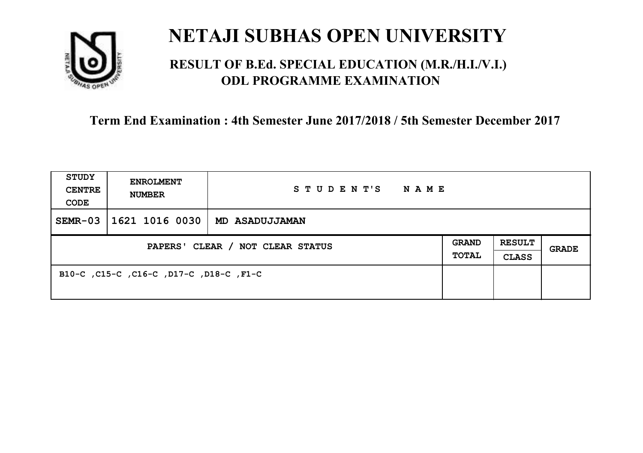

### **RESULT OF B.Ed. SPECIAL EDUCATION (M.R./H.I./V.I.) ODL PROGRAMME EXAMINATION**

| <b>STUDY</b><br><b>CENTRE</b><br>CODE | <b>ENROLMENT</b><br><b>NUMBER</b>       | STUDENT'S<br><b>NAME</b> |                       |                               |       |
|---------------------------------------|-----------------------------------------|--------------------------|-----------------------|-------------------------------|-------|
| $SEMR-03$                             | 1621 1016 0030                          | <b>MD ASADUJJAMAN</b>    |                       |                               |       |
| PAPERS' CLEAR / NOT CLEAR STATUS      |                                         |                          | <b>GRAND</b><br>TOTAL | <b>RESULT</b><br><b>CLASS</b> | GRADE |
|                                       | B10-C, C15-C, C16-C, D17-C, D18-C, F1-C |                          |                       |                               |       |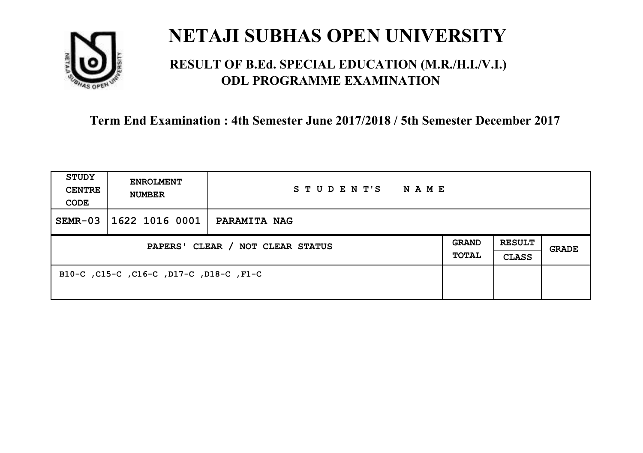

### **RESULT OF B.Ed. SPECIAL EDUCATION (M.R./H.I./V.I.) ODL PROGRAMME EXAMINATION**

| <b>STUDY</b><br><b>CENTRE</b><br>CODE | <b>ENROLMENT</b><br><b>NUMBER</b>       | STUDENT'S<br>NAME   |                       |                               |       |
|---------------------------------------|-----------------------------------------|---------------------|-----------------------|-------------------------------|-------|
| $SEMR-03$                             | 1622 1016 0001                          | <b>PARAMITA NAG</b> |                       |                               |       |
| PAPERS' CLEAR / NOT CLEAR STATUS      |                                         |                     | <b>GRAND</b><br>TOTAL | <b>RESULT</b><br><b>CLASS</b> | GRADE |
|                                       | B10-C, C15-C, C16-C, D17-C, D18-C, F1-C |                     |                       |                               |       |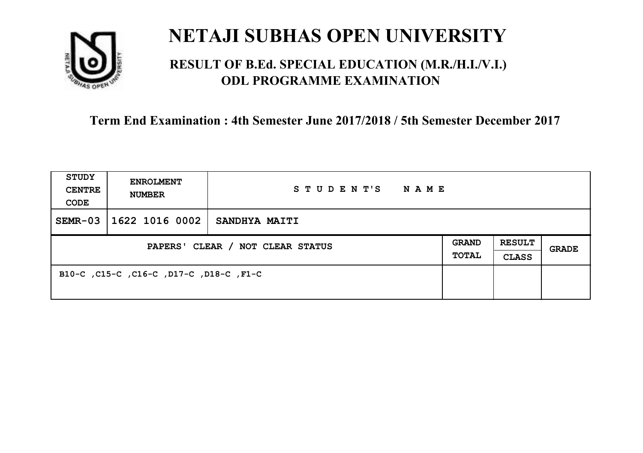

### **RESULT OF B.Ed. SPECIAL EDUCATION (M.R./H.I./V.I.) ODL PROGRAMME EXAMINATION**

| <b>STUDY</b><br><b>CENTRE</b><br>CODE | <b>ENROLMENT</b><br><b>NUMBER</b>       | STUDENT'S<br>NAME    |                       |                               |       |
|---------------------------------------|-----------------------------------------|----------------------|-----------------------|-------------------------------|-------|
| $SEMR-03$                             | 1622 1016 0002                          | <b>SANDHYA MAITI</b> |                       |                               |       |
| PAPERS' CLEAR / NOT CLEAR STATUS      |                                         |                      | <b>GRAND</b><br>TOTAL | <b>RESULT</b><br><b>CLASS</b> | GRADE |
|                                       | B10-C, C15-C, C16-C, D17-C, D18-C, F1-C |                      |                       |                               |       |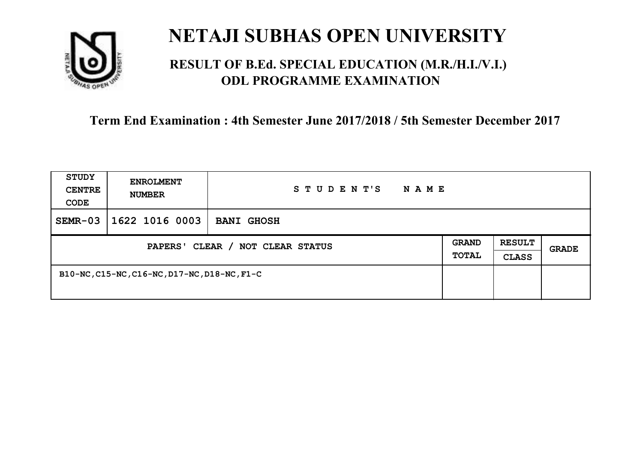

### **RESULT OF B.Ed. SPECIAL EDUCATION (M.R./H.I./V.I.) ODL PROGRAMME EXAMINATION**

| <b>STUDY</b><br><b>CENTRE</b><br>CODE | <b>ENROLMENT</b><br><b>NUMBER</b>            | STUDENT'S<br>N A M E |  |                               |       |
|---------------------------------------|----------------------------------------------|----------------------|--|-------------------------------|-------|
| $SEMR-03$                             | 1622 1016 0003                               | <b>BANI GHOSH</b>    |  |                               |       |
| PAPERS' CLEAR / NOT CLEAR STATUS      |                                              |                      |  | <b>RESULT</b><br><b>CLASS</b> | GRADE |
|                                       | B10-NC, C15-NC, C16-NC, D17-NC, D18-NC, F1-C |                      |  |                               |       |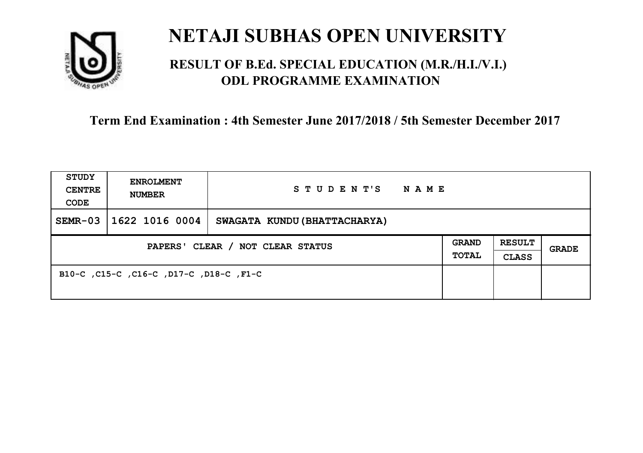

### **RESULT OF B.Ed. SPECIAL EDUCATION (M.R./H.I./V.I.) ODL PROGRAMME EXAMINATION**

| <b>STUDY</b><br><b>CENTRE</b><br>CODE | <b>ENROLMENT</b><br><b>NUMBER</b>       | STUDENT'S                    | <b>NAME</b> |                              |                               |       |
|---------------------------------------|-----------------------------------------|------------------------------|-------------|------------------------------|-------------------------------|-------|
| $SEMR-03$                             | 1622 1016 0004                          | SWAGATA KUNDU (BHATTACHARYA) |             |                              |                               |       |
| PAPERS' CLEAR / NOT CLEAR STATUS      |                                         |                              |             | <b>GRAND</b><br><b>TOTAL</b> | <b>RESULT</b><br><b>CLASS</b> | GRADE |
|                                       | B10-C, C15-C, C16-C, D17-C, D18-C, F1-C |                              |             |                              |                               |       |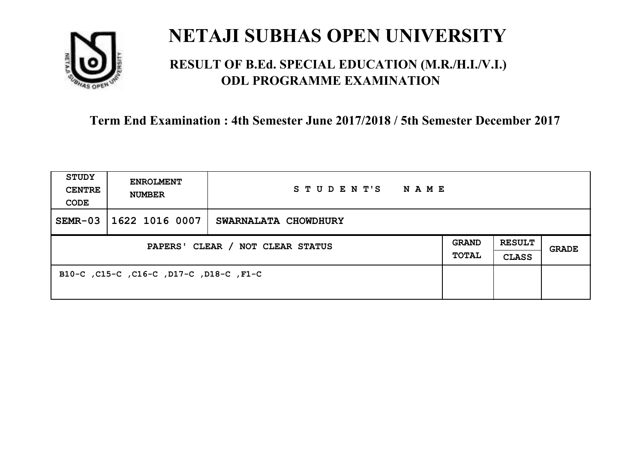

### **RESULT OF B.Ed. SPECIAL EDUCATION (M.R./H.I./V.I.) ODL PROGRAMME EXAMINATION**

| <b>STUDY</b><br><b>CENTRE</b><br>CODE | <b>ENROLMENT</b><br><b>NUMBER</b>       | STUDENT'S<br>NAME    |                              |                               |       |
|---------------------------------------|-----------------------------------------|----------------------|------------------------------|-------------------------------|-------|
| $SEMR-03$                             | 1622 1016 0007                          | SWARNALATA CHOWDHURY |                              |                               |       |
| PAPERS' CLEAR / NOT CLEAR STATUS      |                                         |                      | <b>GRAND</b><br><b>TOTAL</b> | <b>RESULT</b><br><b>CLASS</b> | GRADE |
|                                       | B10-C, C15-C, C16-C, D17-C, D18-C, F1-C |                      |                              |                               |       |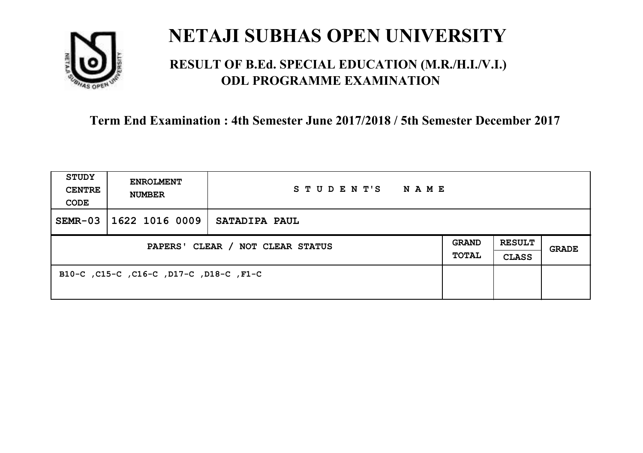

### **RESULT OF B.Ed. SPECIAL EDUCATION (M.R./H.I./V.I.) ODL PROGRAMME EXAMINATION**

| <b>STUDY</b><br><b>CENTRE</b><br>CODE | <b>ENROLMENT</b><br><b>NUMBER</b>       | STUDENT'S<br>NAME |                       |                               |       |
|---------------------------------------|-----------------------------------------|-------------------|-----------------------|-------------------------------|-------|
| $SEMR-03$                             | 1622 1016 0009                          | SATADIPA PAUL     |                       |                               |       |
| PAPERS' CLEAR / NOT CLEAR STATUS      |                                         |                   | <b>GRAND</b><br>TOTAL | <b>RESULT</b><br><b>CLASS</b> | GRADE |
|                                       | B10-C, C15-C, C16-C, D17-C, D18-C, F1-C |                   |                       |                               |       |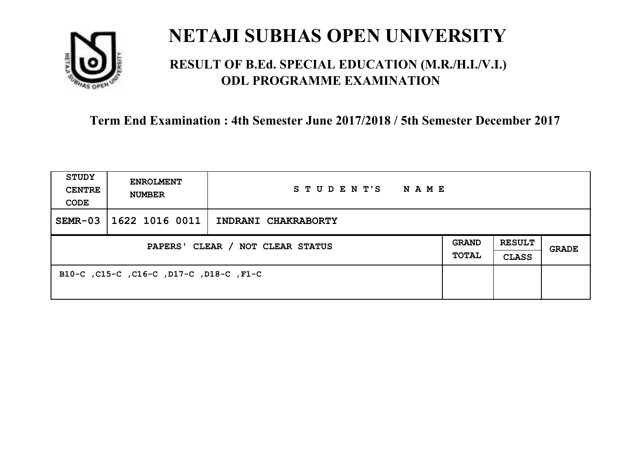

### **RESULT OF B.Ed. SPECIAL EDUCATION (M.R./H.I./V.I.) ODL PROGRAMME EXAMINATION**

| <b>STUDY</b><br><b>CENTRE</b><br>CODE | <b>ENROLMENT</b><br><b>NUMBER</b>       | STUDENT'S NAME      |  |                               |              |
|---------------------------------------|-----------------------------------------|---------------------|--|-------------------------------|--------------|
| $SEMR-03$                             | 1622 1016 0011                          | INDRANI CHAKRABORTY |  |                               |              |
| PAPERS' CLEAR / NOT CLEAR STATUS      |                                         |                     |  | <b>RESULT</b><br><b>CLASS</b> | <b>GRADE</b> |
|                                       | B10-C, C15-C, C16-C, D17-C, D18-C, F1-C |                     |  |                               |              |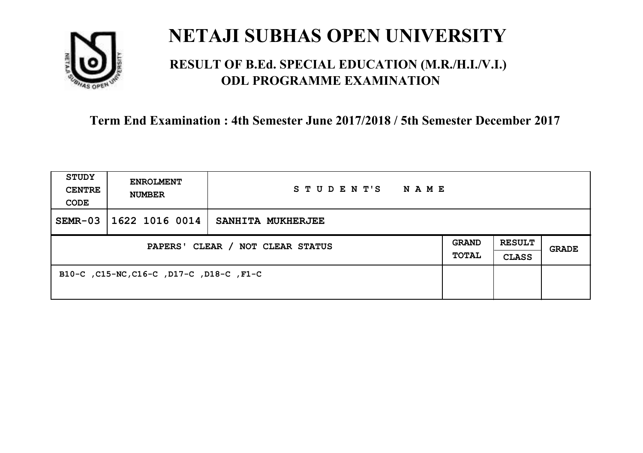

### **RESULT OF B.Ed. SPECIAL EDUCATION (M.R./H.I./V.I.) ODL PROGRAMME EXAMINATION**

| <b>STUDY</b><br><b>CENTRE</b><br>CODE | <b>ENROLMENT</b><br><b>NUMBER</b>        | STUDENT'S<br><b>NAME</b> |                              |                               |              |
|---------------------------------------|------------------------------------------|--------------------------|------------------------------|-------------------------------|--------------|
| $SEMR-03$                             | 1622 1016 0014                           | SANHITA MUKHERJEE        |                              |                               |              |
| PAPERS' CLEAR / NOT CLEAR STATUS      |                                          |                          | <b>GRAND</b><br><b>TOTAL</b> | <b>RESULT</b><br><b>CLASS</b> | <b>GRADE</b> |
|                                       | B10-C, C15-NC, C16-C, D17-C, D18-C, F1-C |                          |                              |                               |              |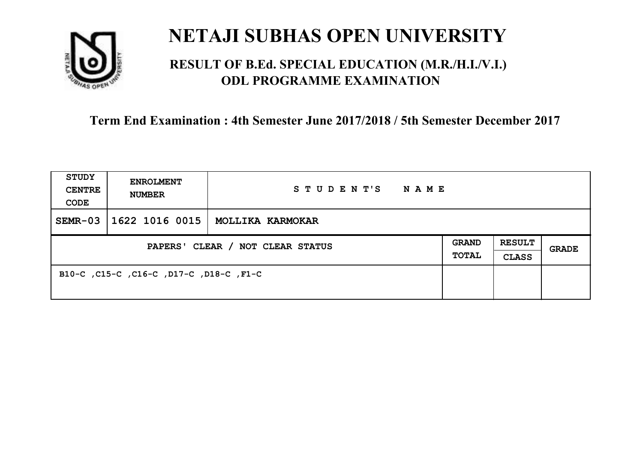

### **RESULT OF B.Ed. SPECIAL EDUCATION (M.R./H.I./V.I.) ODL PROGRAMME EXAMINATION**

| <b>STUDY</b><br><b>CENTRE</b><br>CODE | <b>ENROLMENT</b><br><b>NUMBER</b>       | STUDENT'S<br>NAME |                              |                               |       |
|---------------------------------------|-----------------------------------------|-------------------|------------------------------|-------------------------------|-------|
| $SEMR-03$                             | 1622 1016 0015                          | MOLLIKA KARMOKAR  |                              |                               |       |
| PAPERS' CLEAR / NOT CLEAR STATUS      |                                         |                   | <b>GRAND</b><br><b>TOTAL</b> | <b>RESULT</b><br><b>CLASS</b> | GRADE |
|                                       | B10-C, C15-C, C16-C, D17-C, D18-C, F1-C |                   |                              |                               |       |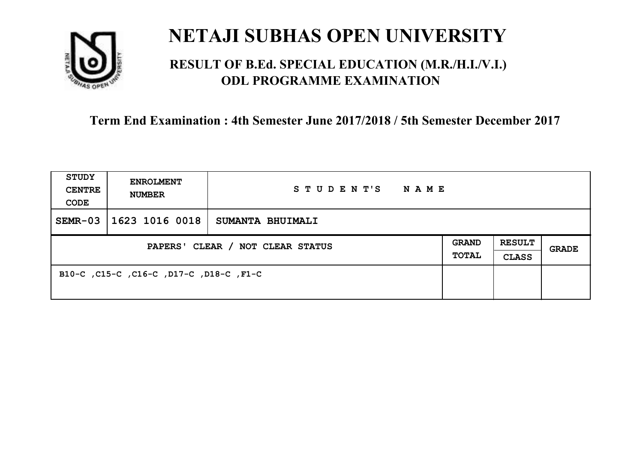

### **RESULT OF B.Ed. SPECIAL EDUCATION (M.R./H.I./V.I.) ODL PROGRAMME EXAMINATION**

| <b>STUDY</b><br><b>CENTRE</b><br>CODE | <b>ENROLMENT</b><br><b>NUMBER</b>       | STUDENT'S<br>NAME |                              |                               |       |
|---------------------------------------|-----------------------------------------|-------------------|------------------------------|-------------------------------|-------|
| $SEMR-03$                             | 1623 1016 0018                          | SUMANTA BHUIMALI  |                              |                               |       |
| PAPERS' CLEAR / NOT CLEAR STATUS      |                                         |                   | <b>GRAND</b><br><b>TOTAL</b> | <b>RESULT</b><br><b>CLASS</b> | GRADE |
|                                       | B10-C, C15-C, C16-C, D17-C, D18-C, F1-C |                   |                              |                               |       |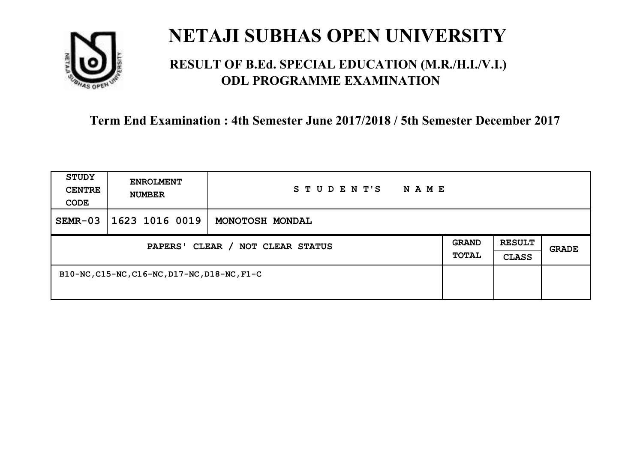

### **RESULT OF B.Ed. SPECIAL EDUCATION (M.R./H.I./V.I.) ODL PROGRAMME EXAMINATION**

| <b>STUDY</b><br><b>CENTRE</b><br>CODE | <b>ENROLMENT</b><br><b>NUMBER</b>            | STUDENT'S<br>N A M E |  |                               |       |
|---------------------------------------|----------------------------------------------|----------------------|--|-------------------------------|-------|
| $SEMR-03$                             | 1623 1016 0019                               | MONOTOSH MONDAL      |  |                               |       |
| PAPERS' CLEAR / NOT CLEAR STATUS      |                                              |                      |  | <b>RESULT</b><br><b>CLASS</b> | GRADE |
|                                       | B10-NC, C15-NC, C16-NC, D17-NC, D18-NC, F1-C |                      |  |                               |       |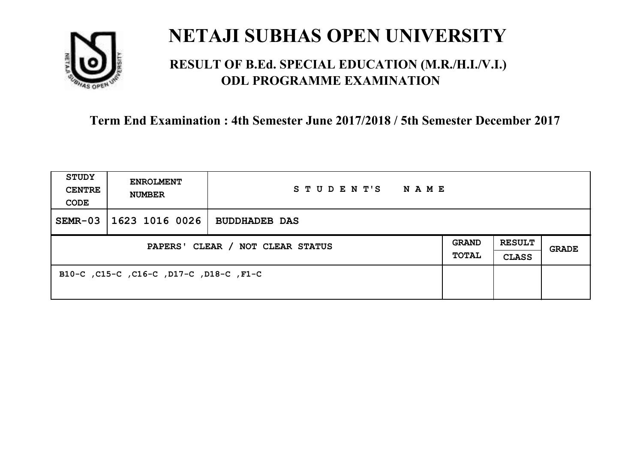

### **RESULT OF B.Ed. SPECIAL EDUCATION (M.R./H.I./V.I.) ODL PROGRAMME EXAMINATION**

| <b>STUDY</b><br><b>CENTRE</b><br>CODE | <b>ENROLMENT</b><br><b>NUMBER</b>       | STUDENT'S<br>NAME    |  |                               |       |
|---------------------------------------|-----------------------------------------|----------------------|--|-------------------------------|-------|
| $SEMR-03$                             | 1623 1016 0026                          | <b>BUDDHADEB DAS</b> |  |                               |       |
| PAPERS' CLEAR / NOT CLEAR STATUS      |                                         |                      |  | <b>RESULT</b><br><b>CLASS</b> | GRADE |
|                                       | B10-C, C15-C, C16-C, D17-C, D18-C, F1-C |                      |  |                               |       |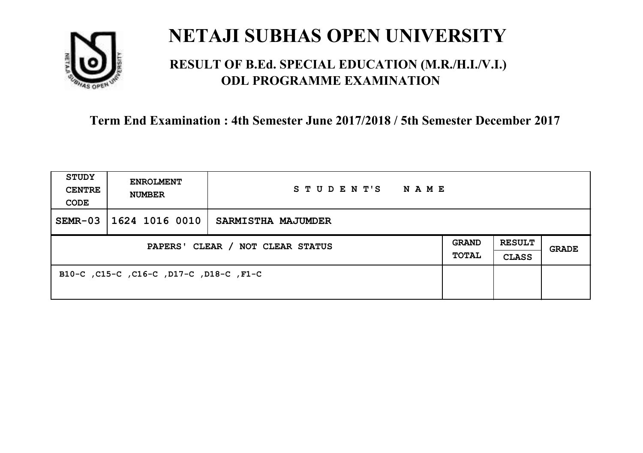

### **RESULT OF B.Ed. SPECIAL EDUCATION (M.R./H.I./V.I.) ODL PROGRAMME EXAMINATION**

| <b>STUDY</b><br><b>CENTRE</b><br>CODE | <b>ENROLMENT</b><br><b>NUMBER</b>       | STUDENT'S<br>NAME  |                              |                               |       |
|---------------------------------------|-----------------------------------------|--------------------|------------------------------|-------------------------------|-------|
| $SEMR-03$                             | 1624 1016 0010                          | SARMISTHA MAJUMDER |                              |                               |       |
| PAPERS' CLEAR / NOT CLEAR STATUS      |                                         |                    | <b>GRAND</b><br><b>TOTAL</b> | <b>RESULT</b><br><b>CLASS</b> | GRADE |
|                                       | B10-C, C15-C, C16-C, D17-C, D18-C, F1-C |                    |                              |                               |       |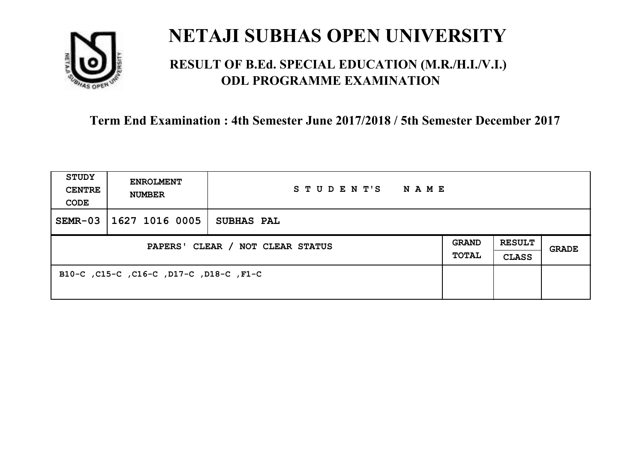

### **RESULT OF B.Ed. SPECIAL EDUCATION (M.R./H.I./V.I.) ODL PROGRAMME EXAMINATION**

| <b>STUDY</b><br><b>CENTRE</b><br>CODE | <b>ENROLMENT</b><br><b>NUMBER</b>       | STUDENT'S<br>NAME |  |                               |       |
|---------------------------------------|-----------------------------------------|-------------------|--|-------------------------------|-------|
| $SEMR-03$                             | 1627 1016 0005                          | SUBHAS PAL        |  |                               |       |
| PAPERS' CLEAR / NOT CLEAR STATUS      |                                         |                   |  | <b>RESULT</b><br><b>CLASS</b> | GRADE |
|                                       | B10-C, C15-C, C16-C, D17-C, D18-C, F1-C |                   |  |                               |       |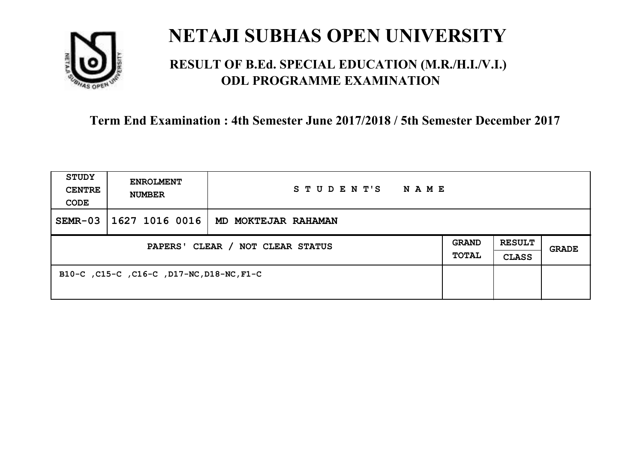

### **RESULT OF B.Ed. SPECIAL EDUCATION (M.R./H.I./V.I.) ODL PROGRAMME EXAMINATION**

| <b>STUDY</b><br><b>CENTRE</b><br>CODE | <b>ENROLMENT</b><br><b>NUMBER</b>         | STUDENT'S<br>NAME   |  |                               |       |
|---------------------------------------|-------------------------------------------|---------------------|--|-------------------------------|-------|
| $SEMR-03$                             | 1627 1016 0016                            | MD MOKTEJAR RAHAMAN |  |                               |       |
| PAPERS' CLEAR / NOT CLEAR STATUS      |                                           |                     |  | <b>RESULT</b><br><b>CLASS</b> | GRADE |
|                                       | B10-C, C15-C, C16-C, D17-NC, D18-NC, F1-C |                     |  |                               |       |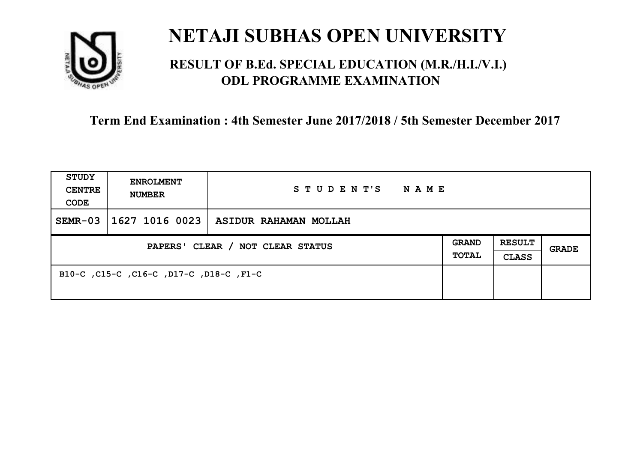

### **RESULT OF B.Ed. SPECIAL EDUCATION (M.R./H.I./V.I.) ODL PROGRAMME EXAMINATION**

| <b>STUDY</b><br><b>CENTRE</b><br>CODE | <b>ENROLMENT</b><br><b>NUMBER</b>       | STUDENT'S NAME                              |  |                               |              |
|---------------------------------------|-----------------------------------------|---------------------------------------------|--|-------------------------------|--------------|
| $SEMR-03$                             |                                         | $\mid$ 1627 1016 0023 ASIDUR RAHAMAN MOLLAH |  |                               |              |
| PAPERS' CLEAR / NOT CLEAR STATUS      |                                         |                                             |  | <b>RESULT</b><br><b>CLASS</b> | <b>GRADE</b> |
|                                       | B10-C, C15-C, C16-C, D17-C, D18-C, F1-C |                                             |  |                               |              |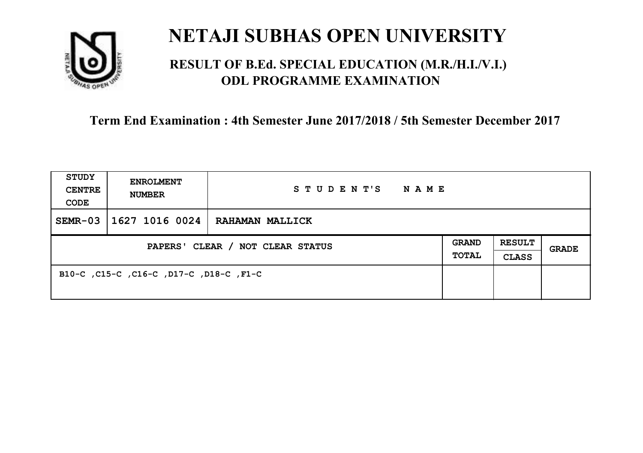

### **RESULT OF B.Ed. SPECIAL EDUCATION (M.R./H.I./V.I.) ODL PROGRAMME EXAMINATION**

| <b>STUDY</b><br><b>CENTRE</b><br>CODE | <b>ENROLMENT</b><br><b>NUMBER</b>       | STUDENT'S<br>NAME      |                       |                               |       |
|---------------------------------------|-----------------------------------------|------------------------|-----------------------|-------------------------------|-------|
| $SEMR-03$                             | 1627 1016 0024                          | <b>RAHAMAN MALLICK</b> |                       |                               |       |
| PAPERS' CLEAR / NOT CLEAR STATUS      |                                         |                        | <b>GRAND</b><br>TOTAL | <b>RESULT</b><br><b>CLASS</b> | GRADE |
|                                       | B10-C, C15-C, C16-C, D17-C, D18-C, F1-C |                        |                       |                               |       |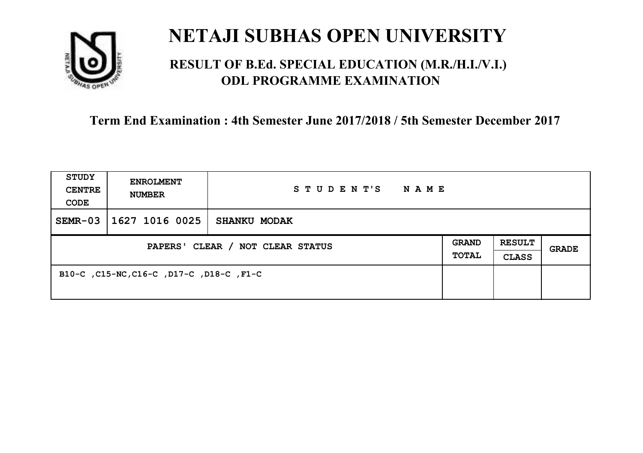

### **RESULT OF B.Ed. SPECIAL EDUCATION (M.R./H.I./V.I.) ODL PROGRAMME EXAMINATION**

| <b>STUDY</b><br><b>CENTRE</b><br>CODE | <b>ENROLMENT</b><br><b>NUMBER</b>        | STUDENT'S<br><b>NAME</b> |                       |                               |       |
|---------------------------------------|------------------------------------------|--------------------------|-----------------------|-------------------------------|-------|
| $SEMR-03$                             | 1627 1016 0025                           | <b>SHANKU MODAK</b>      |                       |                               |       |
| PAPERS' CLEAR / NOT CLEAR STATUS      |                                          |                          | <b>GRAND</b><br>TOTAL | <b>RESULT</b><br><b>CLASS</b> | GRADE |
|                                       | B10-C, C15-NC, C16-C, D17-C, D18-C, F1-C |                          |                       |                               |       |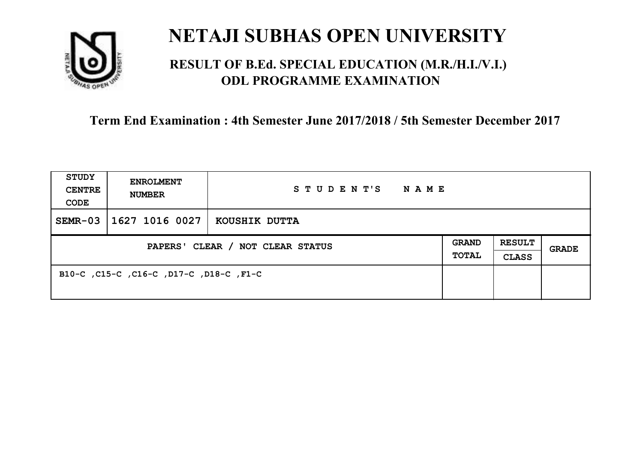

### **RESULT OF B.Ed. SPECIAL EDUCATION (M.R./H.I./V.I.) ODL PROGRAMME EXAMINATION**

| <b>STUDY</b><br><b>CENTRE</b><br>CODE | <b>ENROLMENT</b><br><b>NUMBER</b>       | STUDENT'S<br><b>NAME</b> |                       |                               |       |
|---------------------------------------|-----------------------------------------|--------------------------|-----------------------|-------------------------------|-------|
| $SEMR-03$                             | 1627 1016 0027                          | KOUSHIK DUTTA            |                       |                               |       |
| PAPERS' CLEAR / NOT CLEAR STATUS      |                                         |                          | <b>GRAND</b><br>TOTAL | <b>RESULT</b><br><b>CLASS</b> | GRADE |
|                                       | B10-C, C15-C, C16-C, D17-C, D18-C, F1-C |                          |                       |                               |       |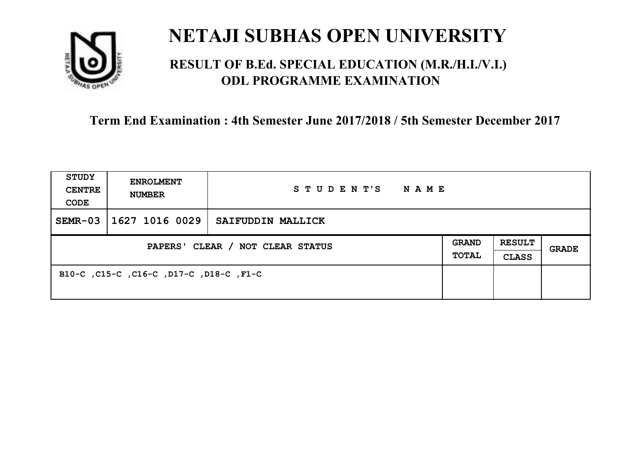

### **RESULT OF B.Ed. SPECIAL EDUCATION (M.R./H.I./V.I.) ODL PROGRAMME EXAMINATION**

| <b>STUDY</b><br><b>CENTRE</b><br>CODE | <b>ENROLMENT</b><br><b>NUMBER</b>       | STUDENT'S<br>NAME |                              |                               |       |
|---------------------------------------|-----------------------------------------|-------------------|------------------------------|-------------------------------|-------|
| $SEMR-03$                             | 1627 1016 0029                          | SAIFUDDIN MALLICK |                              |                               |       |
| PAPERS' CLEAR / NOT CLEAR STATUS      |                                         |                   | <b>GRAND</b><br><b>TOTAL</b> | <b>RESULT</b><br><b>CLASS</b> | GRADE |
|                                       | B10-C, C15-C, C16-C, D17-C, D18-C, F1-C |                   |                              |                               |       |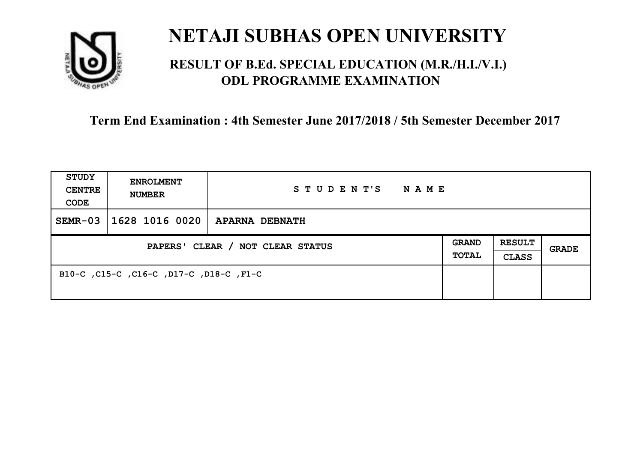

### **RESULT OF B.Ed. SPECIAL EDUCATION (M.R./H.I./V.I.) ODL PROGRAMME EXAMINATION**

| <b>STUDY</b><br><b>CENTRE</b><br>CODE | <b>ENROLMENT</b><br><b>NUMBER</b>       | STUDENT'S NAME        |                       |                               |              |
|---------------------------------------|-----------------------------------------|-----------------------|-----------------------|-------------------------------|--------------|
| $SEMR-03$                             | $ 1628\;1016\;0020 $                    | <b>APARNA DEBNATH</b> |                       |                               |              |
| PAPERS' CLEAR / NOT CLEAR STATUS      |                                         |                       | GRAND<br><b>TOTAL</b> | <b>RESULT</b><br><b>CLASS</b> | <b>GRADE</b> |
|                                       | B10-C, C15-C, C16-C, D17-C, D18-C, F1-C |                       |                       |                               |              |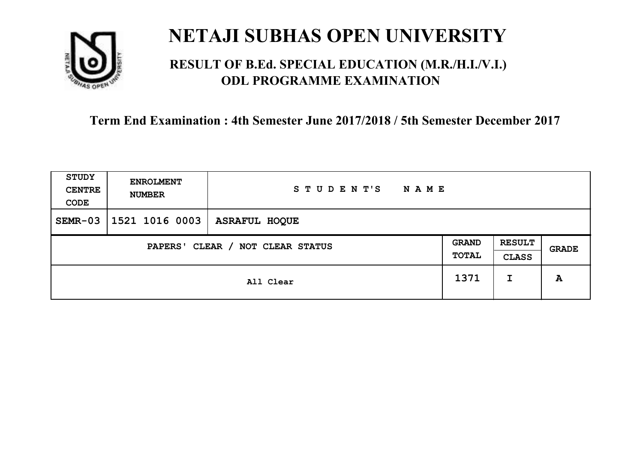

### **RESULT OF B.Ed. SPECIAL EDUCATION (M.R./H.I./V.I.) ODL PROGRAMME EXAMINATION**

| <b>STUDY</b><br><b>CENTRE</b><br>CODE | <b>ENROLMENT</b><br><b>NUMBER</b>          | STUDENT'S<br><b>NAME</b> |      |                               |              |
|---------------------------------------|--------------------------------------------|--------------------------|------|-------------------------------|--------------|
| $SEMR-03$                             | 1521 1016 0003                             | <b>ASRAFUL HOQUE</b>     |      |                               |              |
|                                       | CLEAR / NOT CLEAR STATUS<br><b>PAPERS'</b> |                          |      | <b>RESULT</b><br><b>CLASS</b> | <b>GRADE</b> |
|                                       |                                            | All Clear                | 1371 | I                             | A            |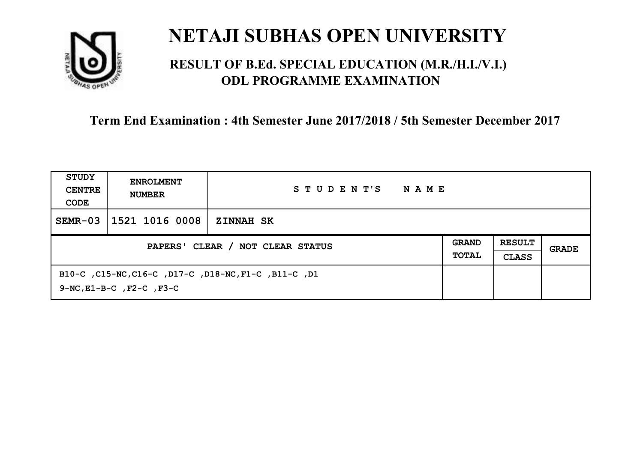

### **RESULT OF B.Ed. SPECIAL EDUCATION (M.R./H.I./V.I.) ODL PROGRAMME EXAMINATION**

| STUDY<br><b>CENTRE</b><br>CODE   | <b>ENROLMENT</b><br><b>NUMBER</b>                                                           | STUDENT'S<br>NAME |                              |                               |       |
|----------------------------------|---------------------------------------------------------------------------------------------|-------------------|------------------------------|-------------------------------|-------|
| $SEMR-03$                        | 1521 1016 0008                                                                              | <b>ZINNAH SK</b>  |                              |                               |       |
| PAPERS' CLEAR / NOT CLEAR STATUS |                                                                                             |                   | <b>GRAND</b><br><b>TOTAL</b> | <b>RESULT</b><br><b>CLASS</b> | GRADE |
|                                  | B10-C, C15-NC, C16-C, D17-C, D18-NC, F1-C, B11-C, D1<br>$9-NC$ , $E1-B-C$ , $F2-C$ , $F3-C$ |                   |                              |                               |       |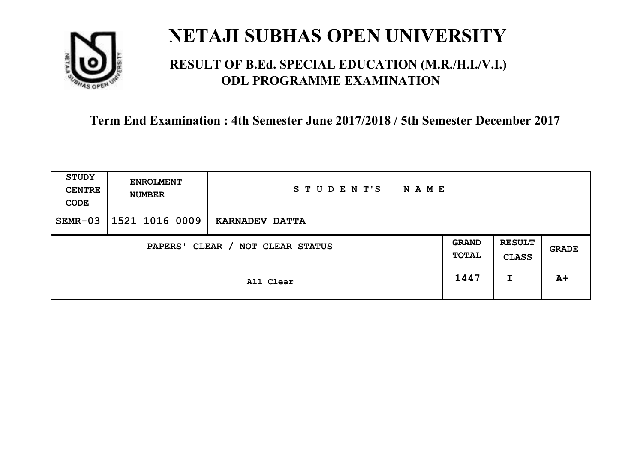

### **RESULT OF B.Ed. SPECIAL EDUCATION (M.R./H.I./V.I.) ODL PROGRAMME EXAMINATION**

| <b>STUDY</b><br><b>CENTRE</b><br>CODE | <b>ENROLMENT</b><br><b>NUMBER</b> | STUDENT'S<br><b>NAME</b> |                       |                               |       |
|---------------------------------------|-----------------------------------|--------------------------|-----------------------|-------------------------------|-------|
| $SEMR-03$                             | 1521 1016 0009                    | KARNADEV DATTA           |                       |                               |       |
| CLEAR / NOT CLEAR STATUS<br>PAPERS'   |                                   |                          | <b>GRAND</b><br>TOTAL | <b>RESULT</b><br><b>CLASS</b> | GRADE |
|                                       |                                   | All Clear                | 1447                  | I                             | $A+$  |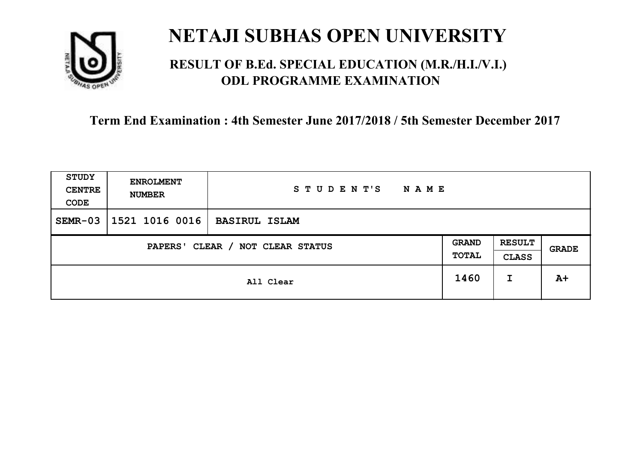

### **RESULT OF B.Ed. SPECIAL EDUCATION (M.R./H.I./V.I.) ODL PROGRAMME EXAMINATION**

| <b>STUDY</b><br><b>CENTRE</b><br>CODE | <b>ENROLMENT</b><br><b>NUMBER</b> | STUDENT'S<br><b>NAME</b> |      |                               |       |
|---------------------------------------|-----------------------------------|--------------------------|------|-------------------------------|-------|
| $SEMR-03$                             | 1521 1016 0016                    | <b>BASIRUL ISLAM</b>     |      |                               |       |
| CLEAR / NOT CLEAR STATUS<br>PAPERS'   |                                   |                          |      | <b>RESULT</b><br><b>CLASS</b> | GRADE |
|                                       |                                   | All Clear                | 1460 | I                             | $A+$  |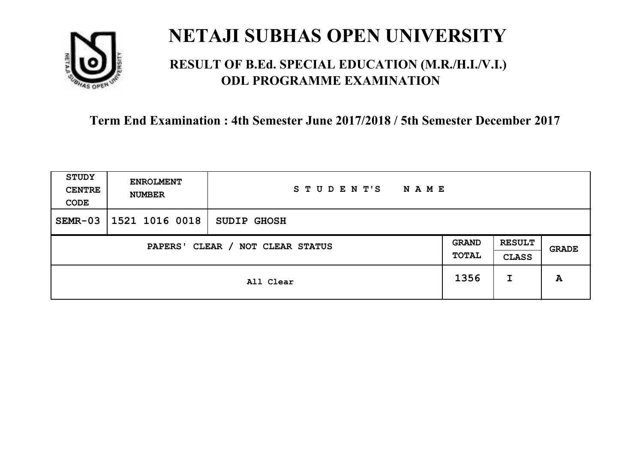

### **RESULT OF B.Ed. SPECIAL EDUCATION (M.R./H.I./V.I.) ODL PROGRAMME EXAMINATION**

| <b>STUDY</b><br><b>CENTRE</b><br>CODE | <b>ENROLMENT</b><br><b>NUMBER</b> | STUDENT'S<br>NAME  |                       |                               |              |
|---------------------------------------|-----------------------------------|--------------------|-----------------------|-------------------------------|--------------|
| $SEMR-03$                             | 1521 1016 0018                    | <b>SUDIP GHOSH</b> |                       |                               |              |
| CLEAR / NOT CLEAR STATUS<br>PAPERS'   |                                   |                    | <b>GRAND</b><br>TOTAL | <b>RESULT</b><br><b>CLASS</b> | <b>GRADE</b> |
|                                       |                                   | All Clear          | 1356                  | I                             | A            |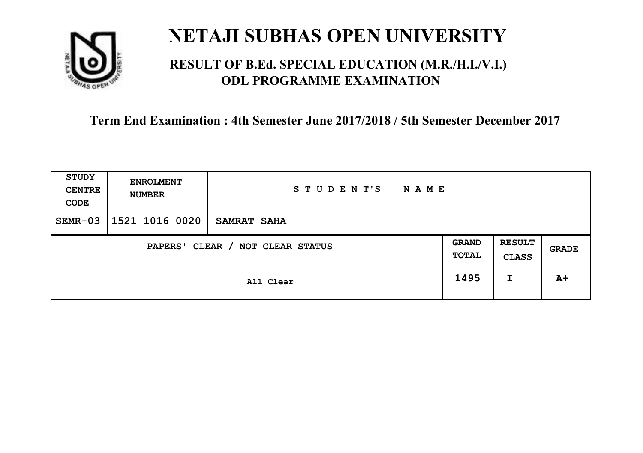

### **RESULT OF B.Ed. SPECIAL EDUCATION (M.R./H.I./V.I.) ODL PROGRAMME EXAMINATION**

| <b>STUDY</b><br><b>CENTRE</b><br>CODE | <b>ENROLMENT</b><br><b>NUMBER</b>   | STUDENT'S<br><b>NAME</b> |      |                               |       |
|---------------------------------------|-------------------------------------|--------------------------|------|-------------------------------|-------|
| $SEMR-03$                             | 1521 1016 0020                      | SAMRAT SAHA              |      |                               |       |
|                                       | CLEAR / NOT CLEAR STATUS<br>PAPERS' |                          |      | <b>RESULT</b><br><b>CLASS</b> | GRADE |
|                                       |                                     | All Clear                | 1495 | I                             | $A+$  |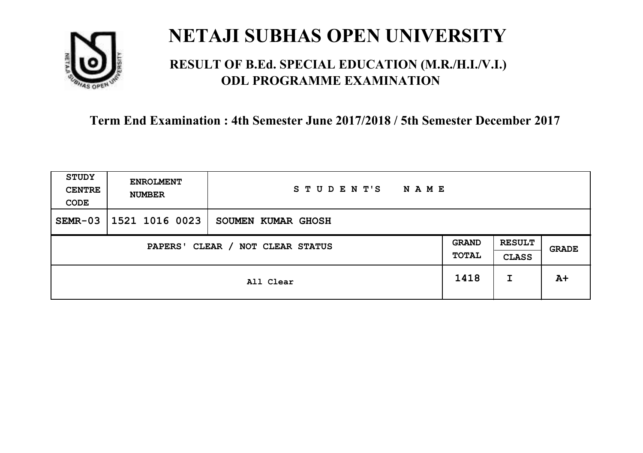

### **RESULT OF B.Ed. SPECIAL EDUCATION (M.R./H.I./V.I.) ODL PROGRAMME EXAMINATION**

| <b>STUDY</b><br><b>CENTRE</b><br>CODE | <b>ENROLMENT</b><br><b>NUMBER</b>   | STUDENT'S<br><b>NAME</b> |      |                               |              |
|---------------------------------------|-------------------------------------|--------------------------|------|-------------------------------|--------------|
| $SEMR-03$                             | 1521 1016 0023                      | SOUMEN KUMAR GHOSH       |      |                               |              |
|                                       | CLEAR / NOT CLEAR STATUS<br>PAPERS' |                          |      | <b>RESULT</b><br><b>CLASS</b> | <b>GRADE</b> |
|                                       |                                     | All Clear                | 1418 | I                             | $A+$         |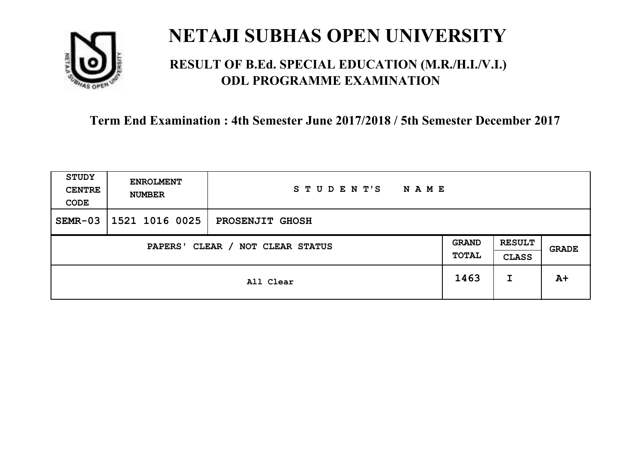

### **RESULT OF B.Ed. SPECIAL EDUCATION (M.R./H.I./V.I.) ODL PROGRAMME EXAMINATION**

| <b>STUDY</b><br><b>CENTRE</b><br>CODE | <b>ENROLMENT</b><br><b>NUMBER</b> | STUDENT'S<br><b>NAME</b> |                       |                               |       |
|---------------------------------------|-----------------------------------|--------------------------|-----------------------|-------------------------------|-------|
| $SEMR-03$                             | 1521 1016 0025                    | PROSENJIT GHOSH          |                       |                               |       |
| CLEAR / NOT CLEAR STATUS<br>PAPERS'   |                                   |                          | <b>GRAND</b><br>TOTAL | <b>RESULT</b><br><b>CLASS</b> | GRADE |
|                                       |                                   | All Clear                | 1463                  | I                             | $A+$  |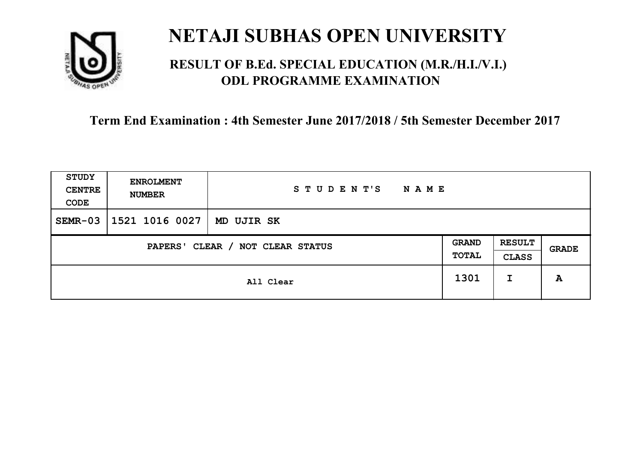

### **RESULT OF B.Ed. SPECIAL EDUCATION (M.R./H.I./V.I.) ODL PROGRAMME EXAMINATION**

| <b>STUDY</b><br><b>CENTRE</b><br>CODE                               | <b>ENROLMENT</b><br><b>NUMBER</b> | STUDENT'S<br><b>NAME</b> |      |                               |              |
|---------------------------------------------------------------------|-----------------------------------|--------------------------|------|-------------------------------|--------------|
| $SEMR-03$                                                           | 1521 1016 0027                    | MD UJIR SK               |      |                               |              |
| <b>GRAND</b><br>CLEAR / NOT CLEAR STATUS<br>PAPERS'<br><b>TOTAL</b> |                                   |                          |      | <b>RESULT</b><br><b>CLASS</b> | <b>GRADE</b> |
|                                                                     |                                   | All Clear                | 1301 | I                             | A            |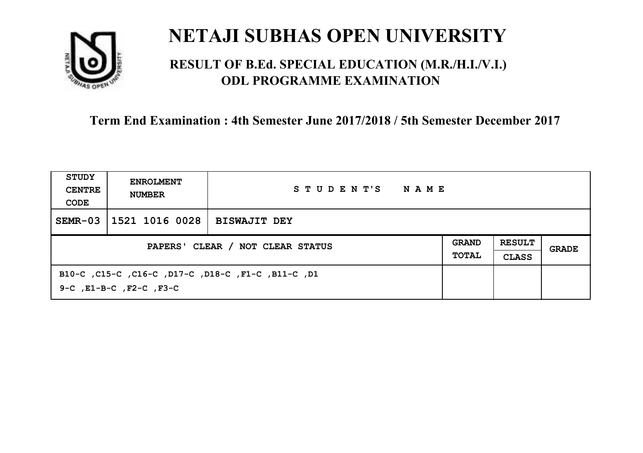

### **RESULT OF B.Ed. SPECIAL EDUCATION (M.R./H.I./V.I.) ODL PROGRAMME EXAMINATION**

| <b>STUDY</b><br><b>CENTRE</b><br>CODE | <b>ENROLMENT</b><br><b>NUMBER</b>                                             | STUDENT'S<br>NAME   |                              |                               |       |
|---------------------------------------|-------------------------------------------------------------------------------|---------------------|------------------------------|-------------------------------|-------|
| $SEMR-03$                             | 1521 1016 0028                                                                | <b>BISWAJIT DEY</b> |                              |                               |       |
| PAPERS' CLEAR / NOT CLEAR STATUS      |                                                                               |                     | <b>GRAND</b><br><b>TOTAL</b> | <b>RESULT</b><br><b>CLASS</b> | GRADE |
|                                       | B10-C, C15-C, C16-C, D17-C, D18-C, F1-C, B11-C, D1<br>9-C, E1-B-C, F2-C, F3-C |                     |                              |                               |       |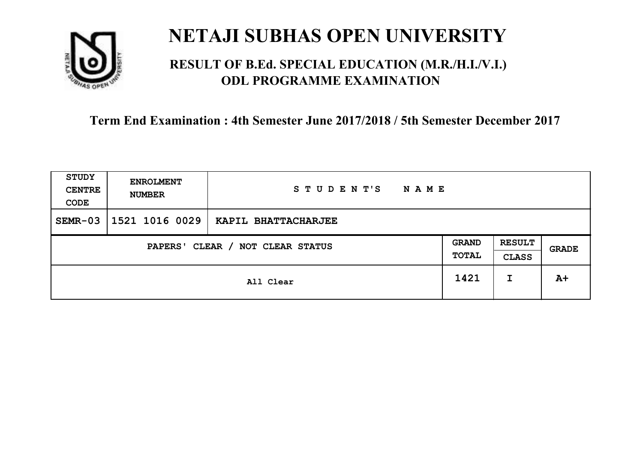

### **RESULT OF B.Ed. SPECIAL EDUCATION (M.R./H.I./V.I.) ODL PROGRAMME EXAMINATION**

| <b>STUDY</b><br><b>CENTRE</b><br>CODE | <b>ENROLMENT</b><br><b>NUMBER</b>   | STUDENT'S<br><b>NAME</b> |      |                               |       |
|---------------------------------------|-------------------------------------|--------------------------|------|-------------------------------|-------|
| $SEMR-03$                             | 1521 1016 0029                      | KAPIL BHATTACHARJEE      |      |                               |       |
|                                       | CLEAR / NOT CLEAR STATUS<br>PAPERS' |                          |      | <b>RESULT</b><br><b>CLASS</b> | GRADE |
|                                       |                                     | All Clear                | 1421 | I                             | $A+$  |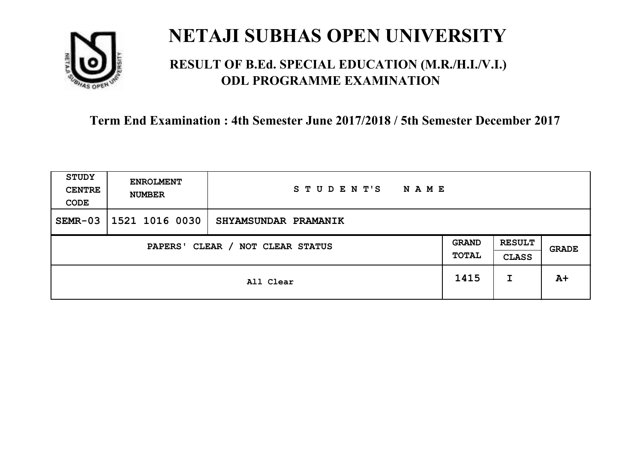

### **RESULT OF B.Ed. SPECIAL EDUCATION (M.R./H.I./V.I.) ODL PROGRAMME EXAMINATION**

| <b>STUDY</b><br><b>CENTRE</b><br>CODE | <b>ENROLMENT</b><br><b>NUMBER</b> | STUDENT'S<br><b>NAME</b> |                       |                               |       |
|---------------------------------------|-----------------------------------|--------------------------|-----------------------|-------------------------------|-------|
| $SEMR-03$                             | 1521 1016 0030                    | SHYAMSUNDAR PRAMANIK     |                       |                               |       |
| CLEAR / NOT CLEAR STATUS<br>PAPERS'   |                                   |                          | <b>GRAND</b><br>TOTAL | <b>RESULT</b><br><b>CLASS</b> | GRADE |
|                                       |                                   | All Clear                | 1415                  | I                             | $A+$  |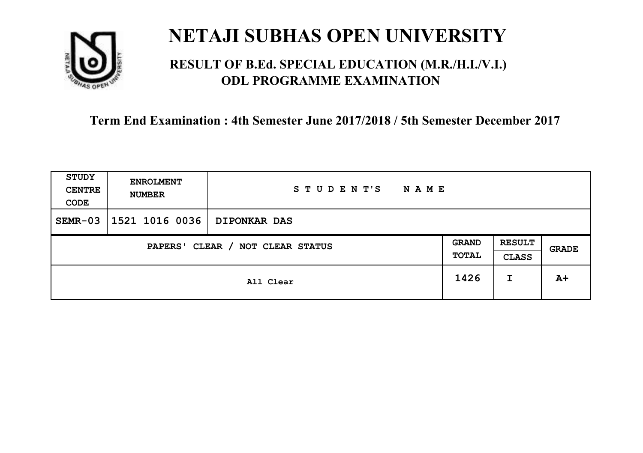

### **RESULT OF B.Ed. SPECIAL EDUCATION (M.R./H.I./V.I.) ODL PROGRAMME EXAMINATION**

| <b>STUDY</b><br><b>CENTRE</b><br>CODE | <b>ENROLMENT</b><br><b>NUMBER</b>   | STUDENT'S<br><b>NAME</b> |  |                               |              |
|---------------------------------------|-------------------------------------|--------------------------|--|-------------------------------|--------------|
| $SEMR-03$                             | 1521 1016 0036                      | <b>DIPONKAR DAS</b>      |  |                               |              |
|                                       | CLEAR / NOT CLEAR STATUS<br>PAPERS' |                          |  | <b>RESULT</b><br><b>CLASS</b> | <b>GRADE</b> |
|                                       | All Clear                           |                          |  | I                             | $A+$         |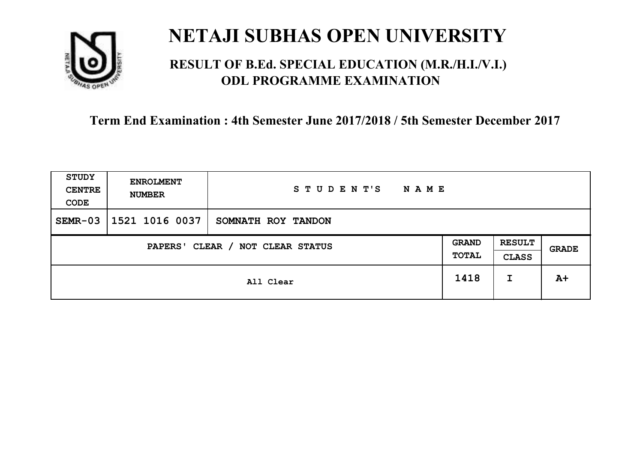

### **RESULT OF B.Ed. SPECIAL EDUCATION (M.R./H.I./V.I.) ODL PROGRAMME EXAMINATION**

| <b>STUDY</b><br><b>CENTRE</b><br>CODE | <b>ENROLMENT</b><br><b>NUMBER</b>   | STUDENT'S<br><b>NAME</b> |      |                               |              |
|---------------------------------------|-------------------------------------|--------------------------|------|-------------------------------|--------------|
| $SEMR-03$                             | 1521 1016 0037                      | SOMNATH ROY TANDON       |      |                               |              |
|                                       | CLEAR / NOT CLEAR STATUS<br>PAPERS' |                          |      | <b>RESULT</b><br><b>CLASS</b> | <b>GRADE</b> |
|                                       |                                     | All Clear                | 1418 | I                             | $A+$         |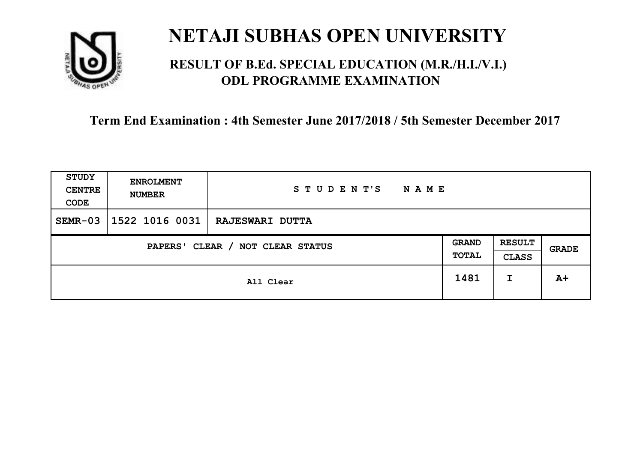

### **RESULT OF B.Ed. SPECIAL EDUCATION (M.R./H.I./V.I.) ODL PROGRAMME EXAMINATION**

| <b>STUDY</b><br><b>CENTRE</b><br>CODE | <b>ENROLMENT</b><br><b>NUMBER</b>   | STUDENT'S<br><b>NAME</b> |      |                               |       |
|---------------------------------------|-------------------------------------|--------------------------|------|-------------------------------|-------|
| $SEMR-03$                             | 1522 1016 0031                      | <b>RAJESWARI DUTTA</b>   |      |                               |       |
|                                       | CLEAR / NOT CLEAR STATUS<br>PAPERS' |                          |      | <b>RESULT</b><br><b>CLASS</b> | GRADE |
|                                       |                                     | All Clear                | 1481 | I                             | $A+$  |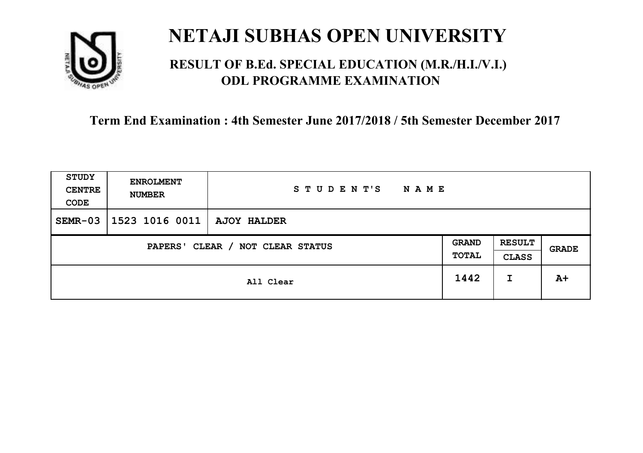

### **RESULT OF B.Ed. SPECIAL EDUCATION (M.R./H.I./V.I.) ODL PROGRAMME EXAMINATION**

| <b>STUDY</b><br><b>CENTRE</b><br>CODE | <b>ENROLMENT</b><br><b>NUMBER</b> | STUDENT'S<br><b>NAME</b> |                       |                               |       |
|---------------------------------------|-----------------------------------|--------------------------|-----------------------|-------------------------------|-------|
| $SEMR-03$                             | $ 1523 1016 0011 $ AJOY HALDER    |                          |                       |                               |       |
| CLEAR / NOT CLEAR STATUS<br>PAPERS'   |                                   |                          | <b>GRAND</b><br>TOTAL | <b>RESULT</b><br><b>CLASS</b> | GRADE |
|                                       |                                   | All Clear                | 1442                  | I                             | $A+$  |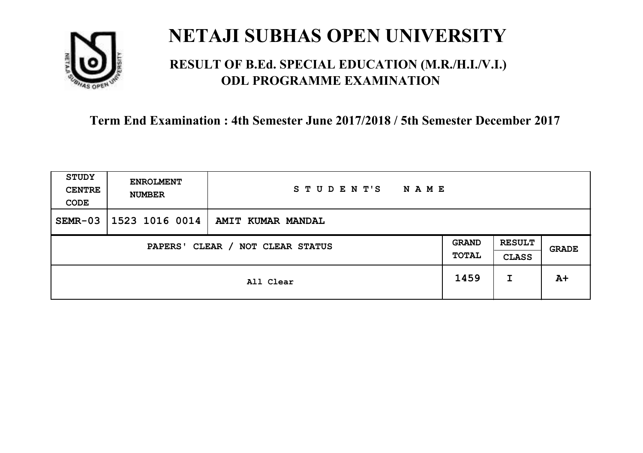

### **RESULT OF B.Ed. SPECIAL EDUCATION (M.R./H.I./V.I.) ODL PROGRAMME EXAMINATION**

| <b>STUDY</b><br><b>CENTRE</b><br>CODE | <b>ENROLMENT</b><br><b>NUMBER</b> | STUDENT'S<br><b>NAME</b> |                       |                               |       |
|---------------------------------------|-----------------------------------|--------------------------|-----------------------|-------------------------------|-------|
| $SEMR-03$                             | 1523 1016 0014                    | AMIT KUMAR MANDAL        |                       |                               |       |
| CLEAR / NOT CLEAR STATUS<br>PAPERS'   |                                   |                          | <b>GRAND</b><br>TOTAL | <b>RESULT</b><br><b>CLASS</b> | GRADE |
|                                       |                                   | All Clear                | 1459                  | I                             | $A+$  |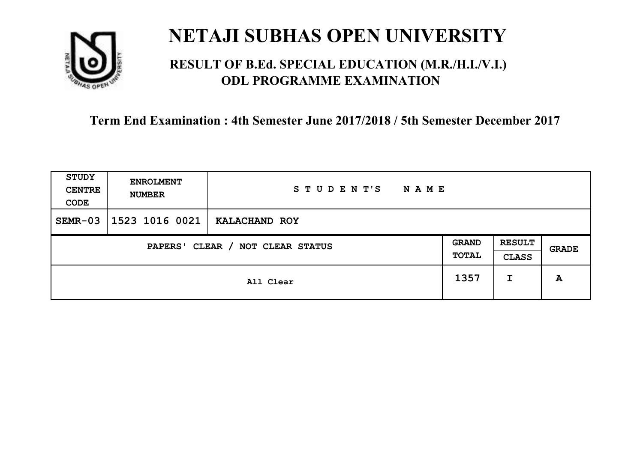

### **RESULT OF B.Ed. SPECIAL EDUCATION (M.R./H.I./V.I.) ODL PROGRAMME EXAMINATION**

| <b>STUDY</b><br><b>CENTRE</b><br>CODE | <b>ENROLMENT</b><br><b>NUMBER</b>   | STUDENT'S<br><b>NAME</b> |      |                               |       |
|---------------------------------------|-------------------------------------|--------------------------|------|-------------------------------|-------|
| $SEMR-03$                             | 1523 1016 0021                      | KALACHAND ROY            |      |                               |       |
|                                       | CLEAR / NOT CLEAR STATUS<br>PAPERS' |                          |      | <b>RESULT</b><br><b>CLASS</b> | GRADE |
|                                       |                                     | All Clear                | 1357 | I                             | A     |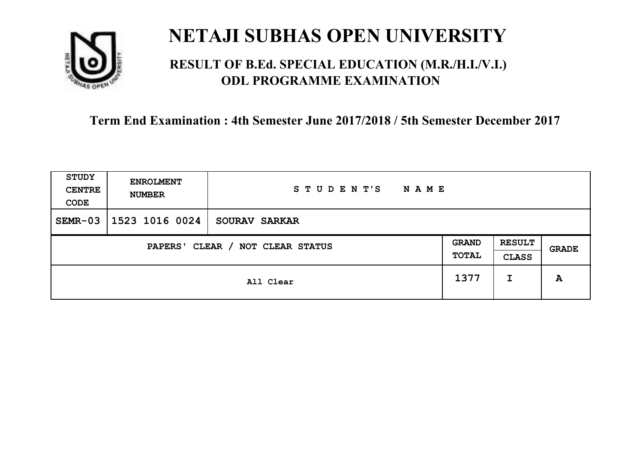

### **RESULT OF B.Ed. SPECIAL EDUCATION (M.R./H.I./V.I.) ODL PROGRAMME EXAMINATION**

| <b>STUDY</b><br><b>CENTRE</b><br>CODE | <b>ENROLMENT</b><br><b>NUMBER</b>   | STUDENT'S<br><b>NAME</b> |      |                               |       |
|---------------------------------------|-------------------------------------|--------------------------|------|-------------------------------|-------|
| $SEMR-03$                             | 1523 1016 0024                      | SOURAV SARKAR            |      |                               |       |
|                                       | CLEAR / NOT CLEAR STATUS<br>PAPERS' |                          |      | <b>RESULT</b><br><b>CLASS</b> | GRADE |
|                                       |                                     | All Clear                | 1377 | I                             | A     |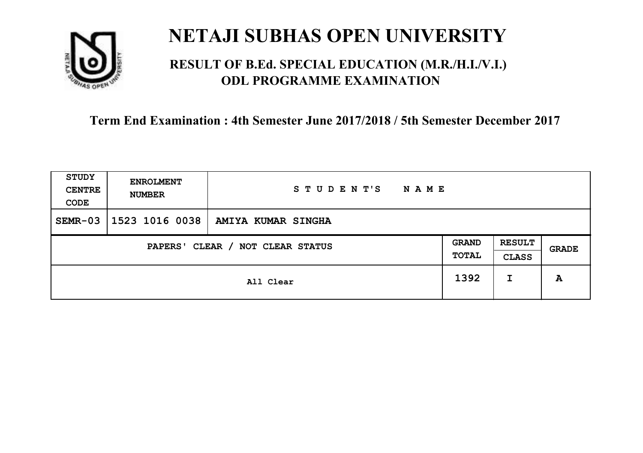

### **RESULT OF B.Ed. SPECIAL EDUCATION (M.R./H.I./V.I.) ODL PROGRAMME EXAMINATION**

| <b>STUDY</b><br><b>CENTRE</b><br>CODE | <b>ENROLMENT</b><br><b>NUMBER</b>          | STUDENT'S<br>NAME  |      |   |              |
|---------------------------------------|--------------------------------------------|--------------------|------|---|--------------|
| $SEMR-03$                             | 1523 1016 0038                             | AMIYA KUMAR SINGHA |      |   |              |
|                                       | CLEAR / NOT CLEAR STATUS<br><b>PAPERS'</b> |                    |      |   | <b>GRADE</b> |
|                                       |                                            | All Clear          | 1392 | I | A            |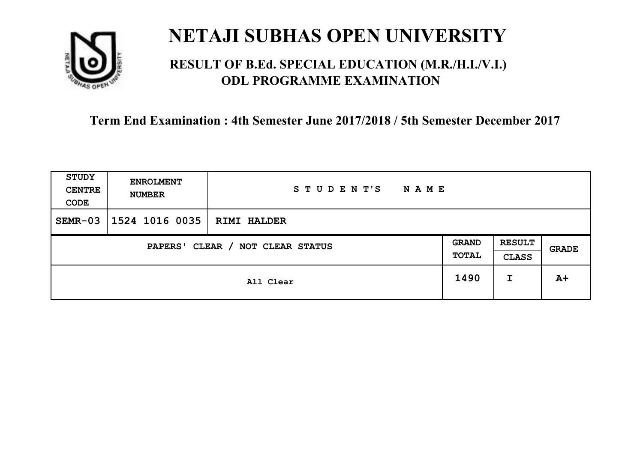

### **RESULT OF B.Ed. SPECIAL EDUCATION (M.R./H.I./V.I.) ODL PROGRAMME EXAMINATION**

| <b>STUDY</b><br><b>CENTRE</b><br>CODE | <b>ENROLMENT</b><br><b>NUMBER</b>   | STUDENT'S<br><b>NAME</b> |      |                               |       |
|---------------------------------------|-------------------------------------|--------------------------|------|-------------------------------|-------|
| $SEMR-03$                             | 1524 1016 0035                      | <b>RIMI HALDER</b>       |      |                               |       |
|                                       | CLEAR / NOT CLEAR STATUS<br>PAPERS' |                          |      | <b>RESULT</b><br><b>CLASS</b> | GRADE |
|                                       |                                     | All Clear                | 1490 | I                             | $A+$  |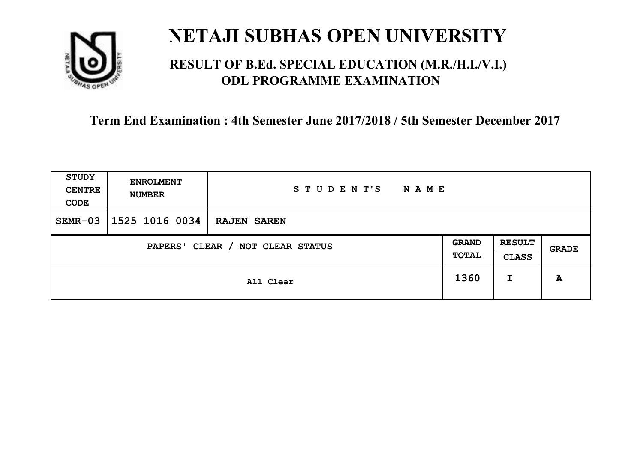

### **RESULT OF B.Ed. SPECIAL EDUCATION (M.R./H.I./V.I.) ODL PROGRAMME EXAMINATION**

| <b>STUDY</b><br><b>CENTRE</b><br>CODE | <b>ENROLMENT</b><br><b>NUMBER</b>   | STUDENT'S<br><b>NAME</b> |      |                               |       |
|---------------------------------------|-------------------------------------|--------------------------|------|-------------------------------|-------|
| $SEMR-03$                             | 1525 1016 0034                      | <b>RAJEN SAREN</b>       |      |                               |       |
|                                       | CLEAR / NOT CLEAR STATUS<br>PAPERS' |                          |      | <b>RESULT</b><br><b>CLASS</b> | GRADE |
|                                       |                                     | All Clear                | 1360 | I                             | A     |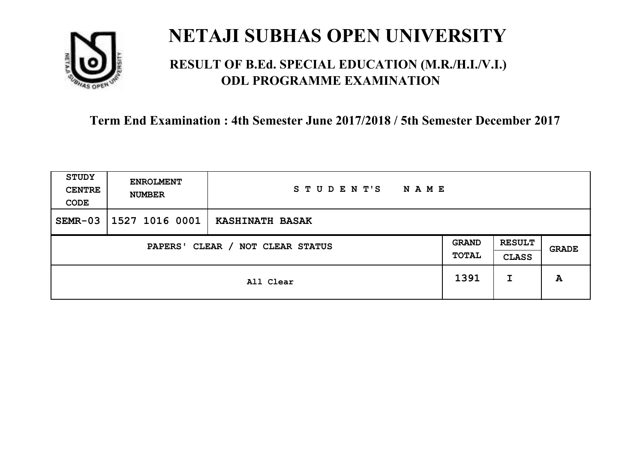

### **RESULT OF B.Ed. SPECIAL EDUCATION (M.R./H.I./V.I.) ODL PROGRAMME EXAMINATION**

| <b>STUDY</b><br><b>CENTRE</b><br>CODE | <b>ENROLMENT</b><br><b>NUMBER</b>   | STUDENT'S<br><b>NAME</b> |      |                               |              |
|---------------------------------------|-------------------------------------|--------------------------|------|-------------------------------|--------------|
| $SEMR-03$                             | 1527 1016 0001                      | <b>KASHINATH BASAK</b>   |      |                               |              |
|                                       | CLEAR / NOT CLEAR STATUS<br>PAPERS' |                          |      | <b>RESULT</b><br><b>CLASS</b> | <b>GRADE</b> |
|                                       |                                     | All Clear                | 1391 | I                             | A            |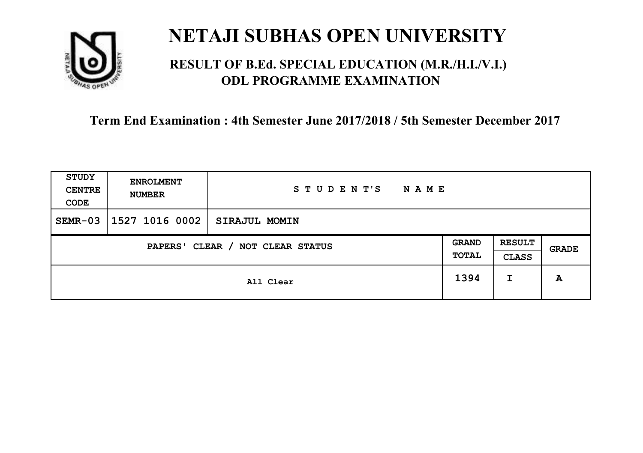

### **RESULT OF B.Ed. SPECIAL EDUCATION (M.R./H.I./V.I.) ODL PROGRAMME EXAMINATION**

| <b>STUDY</b><br><b>CENTRE</b><br>CODE | <b>ENROLMENT</b><br><b>NUMBER</b>   | STUDENT'S<br><b>NAME</b> |      |                               |       |
|---------------------------------------|-------------------------------------|--------------------------|------|-------------------------------|-------|
| $SEMR-03$                             | 1527 1016 0002                      | <b>SIRAJUL MOMIN</b>     |      |                               |       |
|                                       | CLEAR / NOT CLEAR STATUS<br>PAPERS' |                          |      | <b>RESULT</b><br><b>CLASS</b> | GRADE |
|                                       |                                     | All Clear                | 1394 | I                             | A     |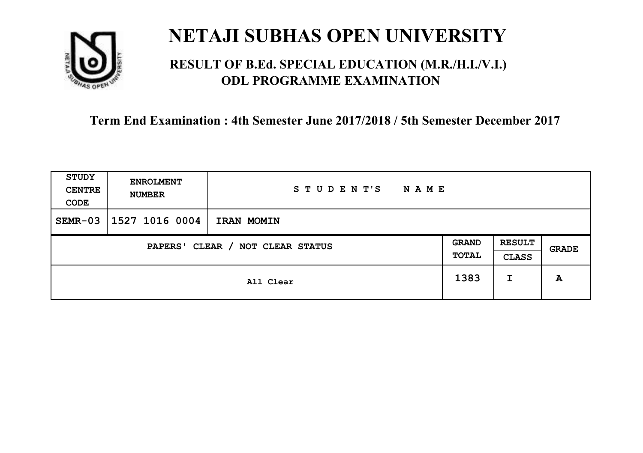

### **RESULT OF B.Ed. SPECIAL EDUCATION (M.R./H.I./V.I.) ODL PROGRAMME EXAMINATION**

| <b>STUDY</b><br><b>CENTRE</b><br>CODE | <b>ENROLMENT</b><br><b>NUMBER</b>   | STUDENT'S<br><b>NAME</b> |      |                               |       |
|---------------------------------------|-------------------------------------|--------------------------|------|-------------------------------|-------|
| $SEMR-03$                             | 1527 1016 0004                      | IRAN MOMIN               |      |                               |       |
|                                       | CLEAR / NOT CLEAR STATUS<br>PAPERS' |                          |      | <b>RESULT</b><br><b>CLASS</b> | GRADE |
|                                       |                                     | All Clear                | 1383 | I                             | A     |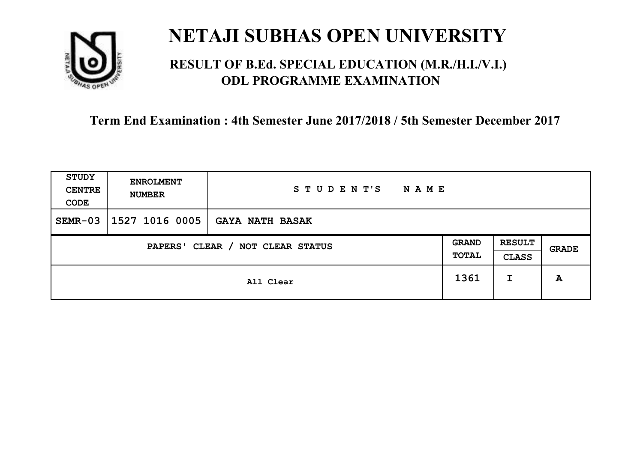

### **RESULT OF B.Ed. SPECIAL EDUCATION (M.R./H.I./V.I.) ODL PROGRAMME EXAMINATION**

| <b>STUDY</b><br><b>CENTRE</b><br>CODE | <b>ENROLMENT</b><br><b>NUMBER</b> | STUDENT'S<br><b>NAME</b> |                       |                               |       |
|---------------------------------------|-----------------------------------|--------------------------|-----------------------|-------------------------------|-------|
| $SEMR-03$                             | 1527 1016 0005                    | <b>GAYA NATH BASAK</b>   |                       |                               |       |
| CLEAR / NOT CLEAR STATUS<br>PAPERS'   |                                   |                          | <b>GRAND</b><br>TOTAL | <b>RESULT</b><br><b>CLASS</b> | GRADE |
|                                       |                                   | All Clear                | 1361                  | I                             | A     |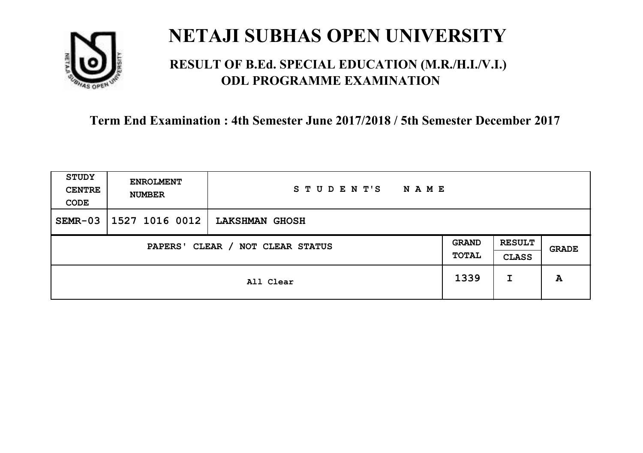

### **RESULT OF B.Ed. SPECIAL EDUCATION (M.R./H.I./V.I.) ODL PROGRAMME EXAMINATION**

| <b>STUDY</b><br><b>CENTRE</b><br>CODE | <b>ENROLMENT</b><br><b>NUMBER</b>   | STUDENT'S<br><b>NAME</b> |      |                               |       |
|---------------------------------------|-------------------------------------|--------------------------|------|-------------------------------|-------|
| $SEMR-03$                             | 1527 1016 0012                      | <b>LAKSHMAN GHOSH</b>    |      |                               |       |
|                                       | CLEAR / NOT CLEAR STATUS<br>PAPERS' |                          |      | <b>RESULT</b><br><b>CLASS</b> | GRADE |
|                                       |                                     | All Clear                | 1339 | I                             | A     |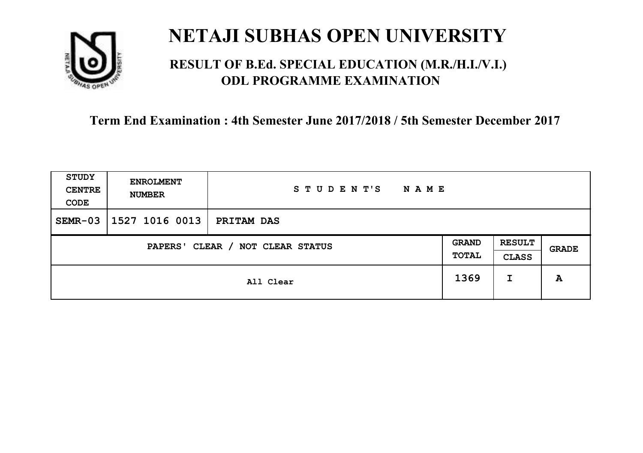

### **RESULT OF B.Ed. SPECIAL EDUCATION (M.R./H.I./V.I.) ODL PROGRAMME EXAMINATION**

| <b>STUDY</b><br><b>CENTRE</b><br>CODE | <b>ENROLMENT</b><br><b>NUMBER</b>   | STUDENT'S<br><b>NAME</b> |      |                               |       |
|---------------------------------------|-------------------------------------|--------------------------|------|-------------------------------|-------|
| $SEMR-03$                             | 1527 1016 0013                      | PRITAM DAS               |      |                               |       |
|                                       | CLEAR / NOT CLEAR STATUS<br>PAPERS' |                          |      | <b>RESULT</b><br><b>CLASS</b> | GRADE |
|                                       |                                     | All Clear                | 1369 | I                             | A     |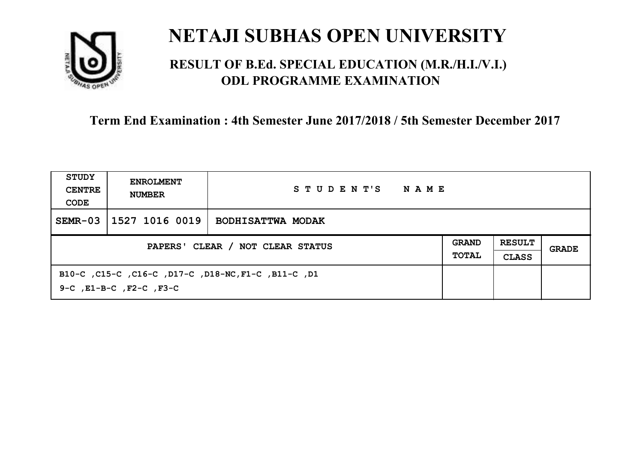

### **RESULT OF B.Ed. SPECIAL EDUCATION (M.R./H.I./V.I.) ODL PROGRAMME EXAMINATION**

| <b>STUDY</b><br><b>CENTRE</b><br>CODE | <b>ENROLMENT</b><br><b>NUMBER</b>                                                         | STUDENT'S<br>NAME        |  |                               |       |
|---------------------------------------|-------------------------------------------------------------------------------------------|--------------------------|--|-------------------------------|-------|
| $SEMR-03$                             | 1527 1016 0019                                                                            | <b>BODHISATTWA MODAK</b> |  |                               |       |
| PAPERS' CLEAR / NOT CLEAR STATUS      |                                                                                           |                          |  | <b>RESULT</b><br><b>CLASS</b> | GRADE |
|                                       | B10-C, C15-C, C16-C, D17-C, D18-NC, F1-C, B11-C, D1<br>$9-C$ , $E1-B-C$ , $F2-C$ , $F3-C$ |                          |  |                               |       |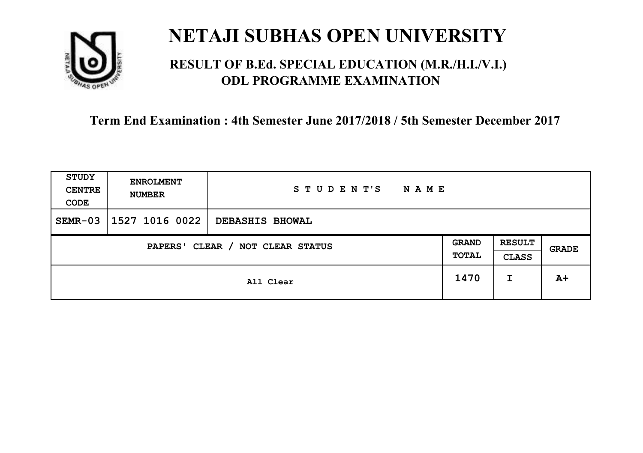

### **RESULT OF B.Ed. SPECIAL EDUCATION (M.R./H.I./V.I.) ODL PROGRAMME EXAMINATION**

| <b>STUDY</b><br><b>CENTRE</b><br>CODE | <b>ENROLMENT</b><br><b>NUMBER</b> | STUDENT'S<br><b>NAME</b> |                       |                               |       |
|---------------------------------------|-----------------------------------|--------------------------|-----------------------|-------------------------------|-------|
| $SEMR-03$                             | 1527 1016 0022                    | <b>DEBASHIS BHOWAL</b>   |                       |                               |       |
| CLEAR / NOT CLEAR STATUS<br>PAPERS'   |                                   |                          | <b>GRAND</b><br>TOTAL | <b>RESULT</b><br><b>CLASS</b> | GRADE |
|                                       | All Clear                         |                          |                       | I                             | $A+$  |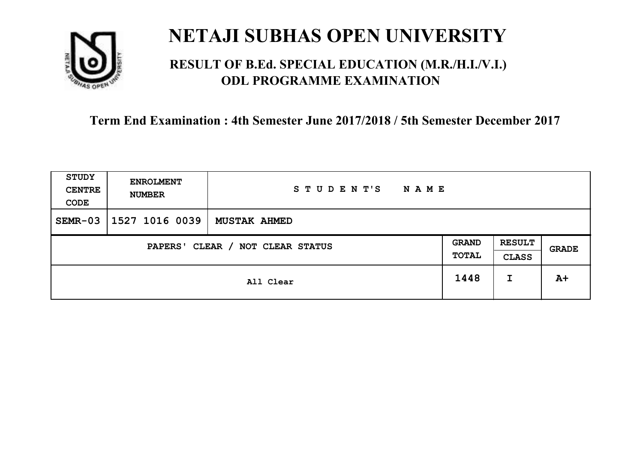

### **RESULT OF B.Ed. SPECIAL EDUCATION (M.R./H.I./V.I.) ODL PROGRAMME EXAMINATION**

| <b>STUDY</b><br><b>CENTRE</b><br>CODE | <b>ENROLMENT</b><br><b>NUMBER</b> | STUDENT'S<br><b>NAME</b> |  |                               |              |
|---------------------------------------|-----------------------------------|--------------------------|--|-------------------------------|--------------|
| $SEMR-03$                             | 1527 1016 0039                    | <b>MUSTAK AHMED</b>      |  |                               |              |
| CLEAR / NOT CLEAR STATUS<br>PAPERS'   |                                   |                          |  | <b>RESULT</b><br><b>CLASS</b> | <b>GRADE</b> |
|                                       | All Clear                         |                          |  | I                             | $A+$         |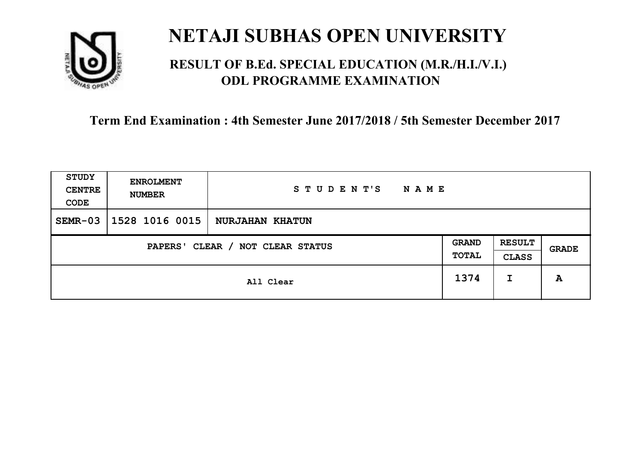

### **RESULT OF B.Ed. SPECIAL EDUCATION (M.R./H.I./V.I.) ODL PROGRAMME EXAMINATION**

| <b>STUDY</b><br><b>CENTRE</b><br>CODE | <b>ENROLMENT</b><br><b>NUMBER</b> | STUDENT'S<br><b>NAME</b> |                       |                               |       |
|---------------------------------------|-----------------------------------|--------------------------|-----------------------|-------------------------------|-------|
| $SEMR-03$                             | 1528 1016 0015                    | <b>NURJAHAN KHATUN</b>   |                       |                               |       |
| CLEAR / NOT CLEAR STATUS<br>PAPERS'   |                                   |                          | <b>GRAND</b><br>TOTAL | <b>RESULT</b><br><b>CLASS</b> | GRADE |
|                                       | All Clear                         |                          | 1374                  | I                             | A     |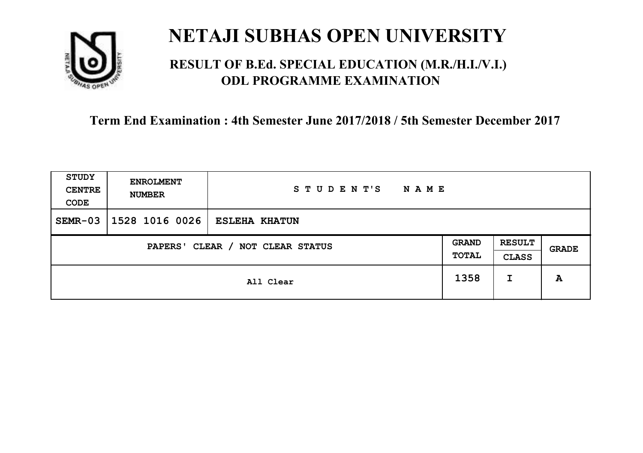

### **RESULT OF B.Ed. SPECIAL EDUCATION (M.R./H.I./V.I.) ODL PROGRAMME EXAMINATION**

| <b>STUDY</b><br><b>CENTRE</b><br>CODE | <b>ENROLMENT</b><br><b>NUMBER</b> | STUDENT'S<br><b>NAME</b> |                       |                               |       |
|---------------------------------------|-----------------------------------|--------------------------|-----------------------|-------------------------------|-------|
| $SEMR-03$                             | 1528 1016 0026                    | <b>ESLEHA KHATUN</b>     |                       |                               |       |
| CLEAR / NOT CLEAR STATUS<br>PAPERS'   |                                   |                          | <b>GRAND</b><br>TOTAL | <b>RESULT</b><br><b>CLASS</b> | GRADE |
|                                       | All Clear                         |                          |                       | I                             | A     |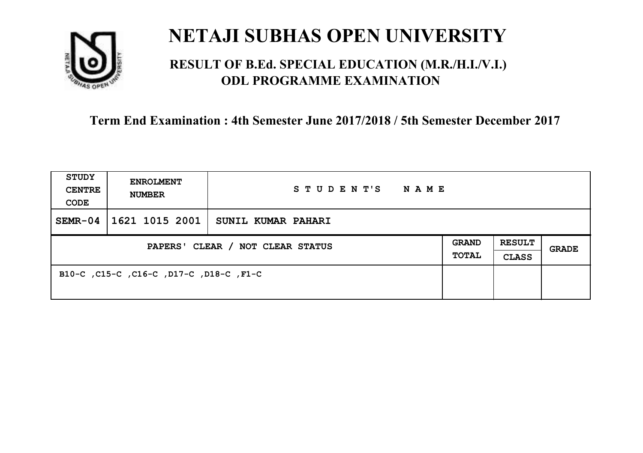

### **RESULT OF B.Ed. SPECIAL EDUCATION (M.R./H.I./V.I.) ODL PROGRAMME EXAMINATION**

| <b>STUDY</b><br><b>CENTRE</b><br>CODE | <b>ENROLMENT</b><br><b>NUMBER</b>       | STUDENT'S<br>NAME  |  |                               |       |
|---------------------------------------|-----------------------------------------|--------------------|--|-------------------------------|-------|
| $SEMR-04$                             | 1621 1015 2001                          | SUNIL KUMAR PAHARI |  |                               |       |
| PAPERS' CLEAR / NOT CLEAR STATUS      |                                         |                    |  | <b>RESULT</b><br><b>CLASS</b> | GRADE |
|                                       | B10-C, C15-C, C16-C, D17-C, D18-C, F1-C |                    |  |                               |       |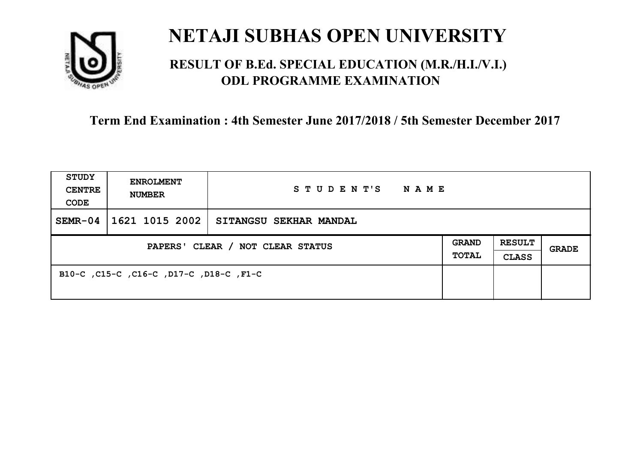

### **RESULT OF B.Ed. SPECIAL EDUCATION (M.R./H.I./V.I.) ODL PROGRAMME EXAMINATION**

| <b>STUDY</b><br><b>CENTRE</b><br>CODE | <b>ENROLMENT</b><br><b>NUMBER</b>       | STUDENT'S<br>NAME      |                              |                               |       |
|---------------------------------------|-----------------------------------------|------------------------|------------------------------|-------------------------------|-------|
| $SEMR-04$                             | 1621 1015 2002                          | SITANGSU SEKHAR MANDAL |                              |                               |       |
| PAPERS' CLEAR / NOT CLEAR STATUS      |                                         |                        | <b>GRAND</b><br><b>TOTAL</b> | <b>RESULT</b><br><b>CLASS</b> | GRADE |
|                                       | B10-C, C15-C, C16-C, D17-C, D18-C, F1-C |                        |                              |                               |       |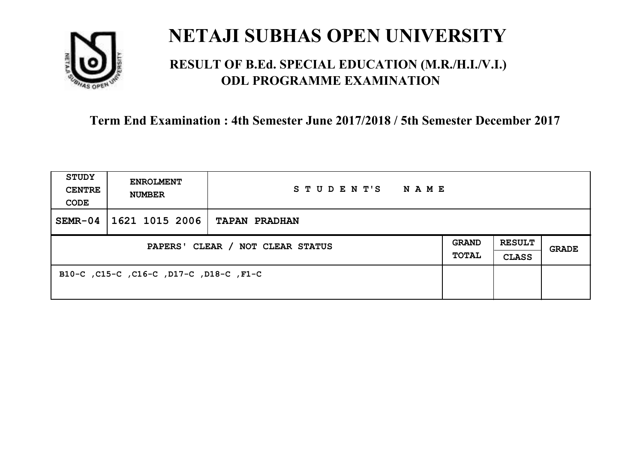

### **RESULT OF B.Ed. SPECIAL EDUCATION (M.R./H.I./V.I.) ODL PROGRAMME EXAMINATION**

| <b>STUDY</b><br><b>CENTRE</b><br>CODE | <b>ENROLMENT</b><br><b>NUMBER</b>       | STUDENT'S<br>NAME    |                       |                               |       |
|---------------------------------------|-----------------------------------------|----------------------|-----------------------|-------------------------------|-------|
| $SEMR-04$                             | 1621 1015 2006                          | <b>TAPAN PRADHAN</b> |                       |                               |       |
| PAPERS' CLEAR / NOT CLEAR STATUS      |                                         |                      | <b>GRAND</b><br>TOTAL | <b>RESULT</b><br><b>CLASS</b> | GRADE |
|                                       | B10-C, C15-C, C16-C, D17-C, D18-C, F1-C |                      |                       |                               |       |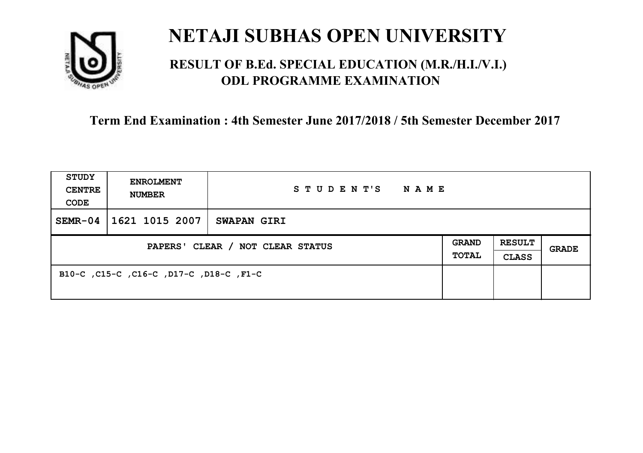

### **RESULT OF B.Ed. SPECIAL EDUCATION (M.R./H.I./V.I.) ODL PROGRAMME EXAMINATION**

| <b>STUDY</b><br><b>CENTRE</b><br>CODE | <b>ENROLMENT</b><br><b>NUMBER</b>       | STUDENT'S<br><b>NAME</b> |                              |                               |       |
|---------------------------------------|-----------------------------------------|--------------------------|------------------------------|-------------------------------|-------|
| $SEMR-04$                             | 1621 1015 2007                          | <b>SWAPAN GIRI</b>       |                              |                               |       |
| PAPERS' CLEAR / NOT CLEAR STATUS      |                                         |                          | <b>GRAND</b><br><b>TOTAL</b> | <b>RESULT</b><br><b>CLASS</b> | GRADE |
|                                       | B10-C, C15-C, C16-C, D17-C, D18-C, F1-C |                          |                              |                               |       |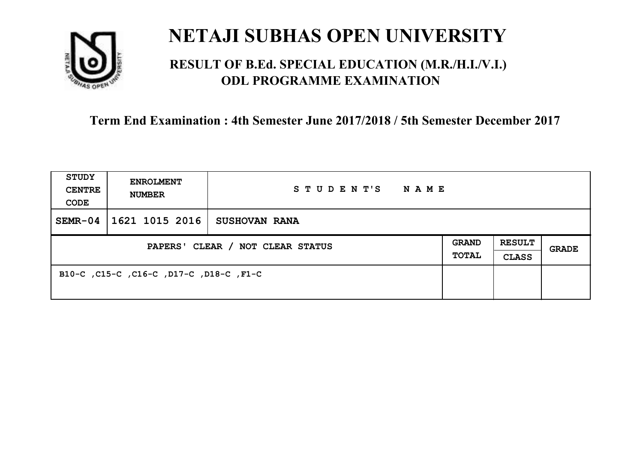

### **RESULT OF B.Ed. SPECIAL EDUCATION (M.R./H.I./V.I.) ODL PROGRAMME EXAMINATION**

| <b>STUDY</b><br><b>CENTRE</b><br>CODE | <b>ENROLMENT</b><br><b>NUMBER</b>       | STUDENT'S<br>NAME    |  |                               |       |
|---------------------------------------|-----------------------------------------|----------------------|--|-------------------------------|-------|
| $SEMR-04$                             | 1621 1015 2016                          | <b>SUSHOVAN RANA</b> |  |                               |       |
| PAPERS' CLEAR / NOT CLEAR STATUS      |                                         |                      |  | <b>RESULT</b><br><b>CLASS</b> | GRADE |
|                                       | B10-C, C15-C, C16-C, D17-C, D18-C, F1-C |                      |  |                               |       |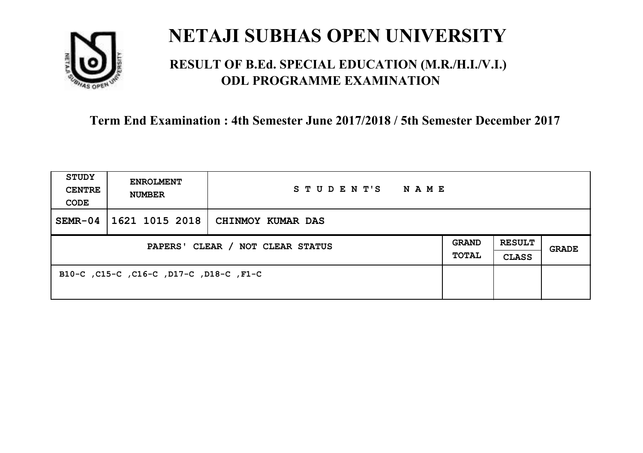

### **RESULT OF B.Ed. SPECIAL EDUCATION (M.R./H.I./V.I.) ODL PROGRAMME EXAMINATION**

| <b>STUDY</b><br><b>CENTRE</b><br>CODE | <b>ENROLMENT</b><br><b>NUMBER</b>       | STUDENT'S<br>NAME |                       |                               |       |
|---------------------------------------|-----------------------------------------|-------------------|-----------------------|-------------------------------|-------|
| $SEMR-04$                             | 1621 1015 2018                          | CHINMOY KUMAR DAS |                       |                               |       |
| PAPERS' CLEAR / NOT CLEAR STATUS      |                                         |                   | <b>GRAND</b><br>TOTAL | <b>RESULT</b><br><b>CLASS</b> | GRADE |
|                                       | B10-C, C15-C, C16-C, D17-C, D18-C, F1-C |                   |                       |                               |       |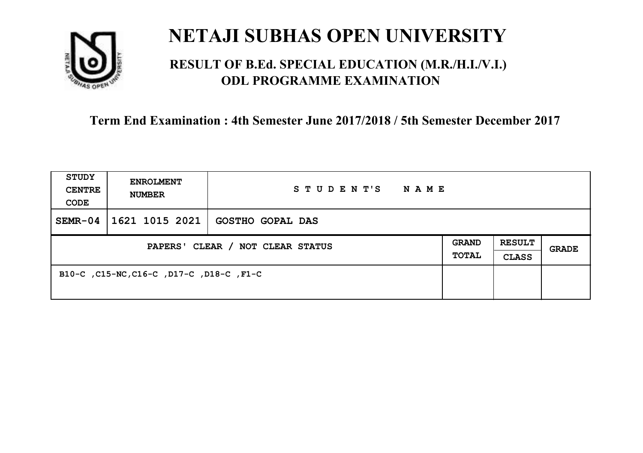

### **RESULT OF B.Ed. SPECIAL EDUCATION (M.R./H.I./V.I.) ODL PROGRAMME EXAMINATION**

| <b>STUDY</b><br><b>CENTRE</b><br>CODE | <b>ENROLMENT</b><br><b>NUMBER</b>        | STUDENT'S<br><b>NAME</b> |                              |                               |       |
|---------------------------------------|------------------------------------------|--------------------------|------------------------------|-------------------------------|-------|
| $SEMR-04$                             | 1621 1015 2021                           | <b>GOSTHO GOPAL DAS</b>  |                              |                               |       |
| PAPERS' CLEAR / NOT CLEAR STATUS      |                                          |                          | <b>GRAND</b><br><b>TOTAL</b> | <b>RESULT</b><br><b>CLASS</b> | GRADE |
|                                       | B10-C, C15-NC, C16-C, D17-C, D18-C, F1-C |                          |                              |                               |       |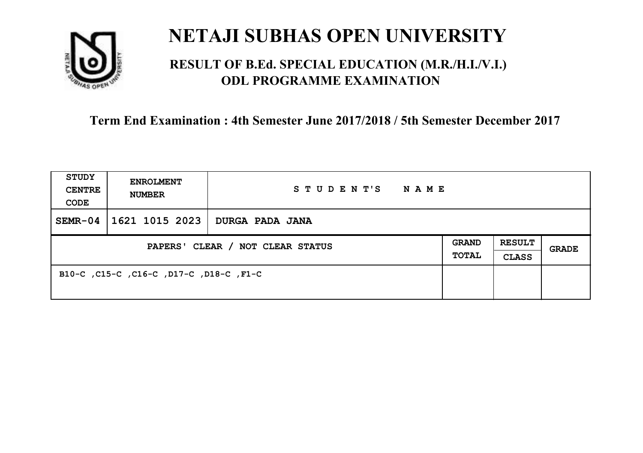

## **RESULT OF B.Ed. SPECIAL EDUCATION (M.R./H.I./V.I.) ODL PROGRAMME EXAMINATION**

| <b>STUDY</b><br><b>CENTRE</b><br>CODE | <b>ENROLMENT</b><br><b>NUMBER</b>       | STUDENT'S<br>NAME |  |                               |       |
|---------------------------------------|-----------------------------------------|-------------------|--|-------------------------------|-------|
| $SEMR-04$                             | 1621 1015 2023                          | DURGA PADA JANA   |  |                               |       |
| PAPERS' CLEAR / NOT CLEAR STATUS      |                                         |                   |  | <b>RESULT</b><br><b>CLASS</b> | GRADE |
|                                       | B10-C, C15-C, C16-C, D17-C, D18-C, F1-C |                   |  |                               |       |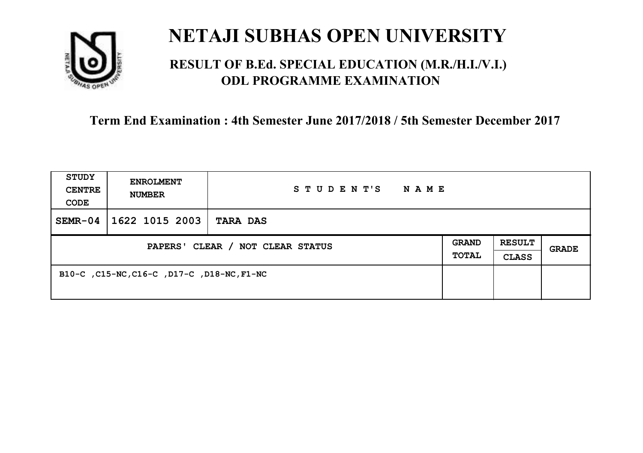

## **RESULT OF B.Ed. SPECIAL EDUCATION (M.R./H.I./V.I.) ODL PROGRAMME EXAMINATION**

| <b>STUDY</b><br><b>CENTRE</b><br>CODE | <b>ENROLMENT</b><br><b>NUMBER</b>          | STUDENT'S<br><b>NAME</b> |  |                               |              |
|---------------------------------------|--------------------------------------------|--------------------------|--|-------------------------------|--------------|
| $SEMR-04$                             | 1622 1015 2003                             | <b>TARA DAS</b>          |  |                               |              |
| PAPERS' CLEAR / NOT CLEAR STATUS      |                                            |                          |  | <b>RESULT</b><br><b>CLASS</b> | <b>GRADE</b> |
|                                       | B10-C, C15-NC, C16-C, D17-C, D18-NC, F1-NC |                          |  |                               |              |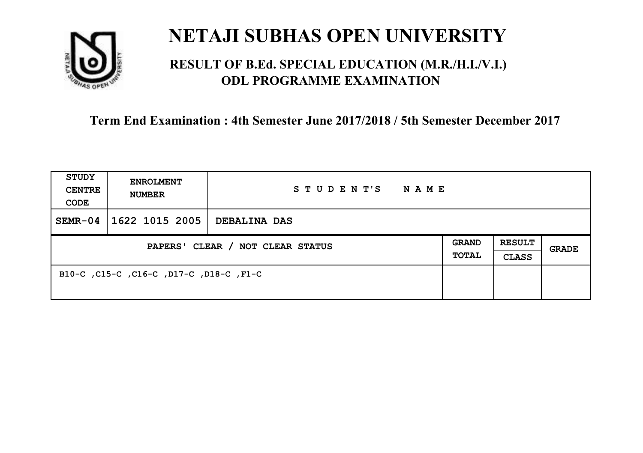

## **RESULT OF B.Ed. SPECIAL EDUCATION (M.R./H.I./V.I.) ODL PROGRAMME EXAMINATION**

| <b>STUDY</b><br><b>CENTRE</b><br>CODE | <b>ENROLMENT</b><br><b>NUMBER</b>       | STUDENT'S<br>NAME |  |                               |       |
|---------------------------------------|-----------------------------------------|-------------------|--|-------------------------------|-------|
| $SEMR-04$                             | 1622 1015 2005                          | DEBALINA DAS      |  |                               |       |
| PAPERS' CLEAR / NOT CLEAR STATUS      |                                         |                   |  | <b>RESULT</b><br><b>CLASS</b> | GRADE |
|                                       | B10-C, C15-C, C16-C, D17-C, D18-C, F1-C |                   |  |                               |       |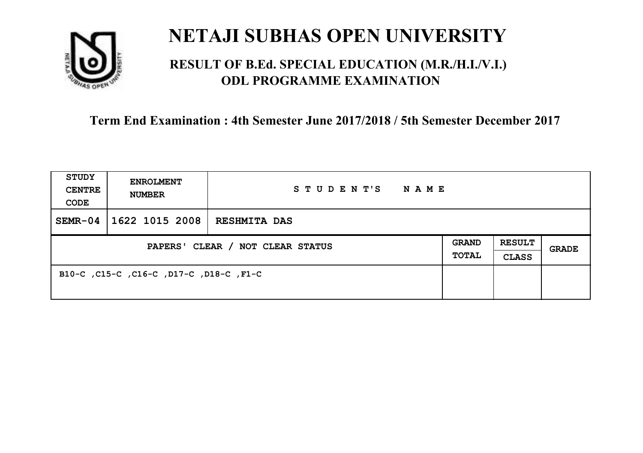

## **RESULT OF B.Ed. SPECIAL EDUCATION (M.R./H.I./V.I.) ODL PROGRAMME EXAMINATION**

| <b>STUDY</b><br><b>CENTRE</b><br>CODE | <b>ENROLMENT</b><br><b>NUMBER</b>       | STUDENT'S<br><b>NAME</b> |  |                               |       |
|---------------------------------------|-----------------------------------------|--------------------------|--|-------------------------------|-------|
| $SEMR-04$                             | 1622 1015 2008                          | <b>RESHMITA DAS</b>      |  |                               |       |
| PAPERS' CLEAR / NOT CLEAR STATUS      |                                         |                          |  | <b>RESULT</b><br><b>CLASS</b> | GRADE |
|                                       | B10-C, C15-C, C16-C, D17-C, D18-C, F1-C |                          |  |                               |       |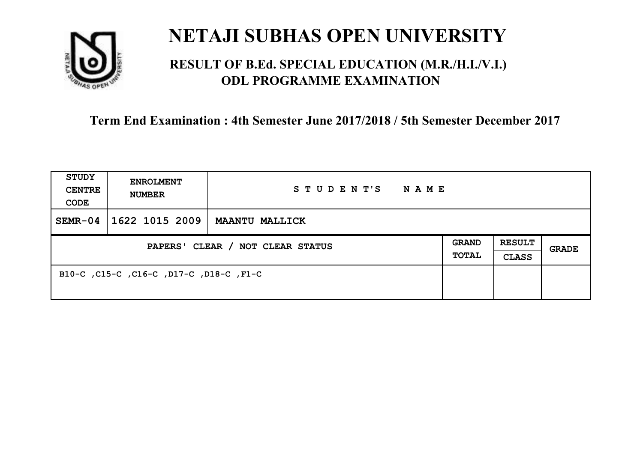

## **RESULT OF B.Ed. SPECIAL EDUCATION (M.R./H.I./V.I.) ODL PROGRAMME EXAMINATION**

| <b>STUDY</b><br><b>CENTRE</b><br>CODE | <b>ENROLMENT</b><br><b>NUMBER</b>       | STUDENT'S<br>NAME     |                       |                               |       |
|---------------------------------------|-----------------------------------------|-----------------------|-----------------------|-------------------------------|-------|
| $SEMR-04$                             | 1622 1015 2009                          | <b>MAANTU MALLICK</b> |                       |                               |       |
| PAPERS' CLEAR / NOT CLEAR STATUS      |                                         |                       | <b>GRAND</b><br>TOTAL | <b>RESULT</b><br><b>CLASS</b> | GRADE |
|                                       | B10-C, C15-C, C16-C, D17-C, D18-C, F1-C |                       |                       |                               |       |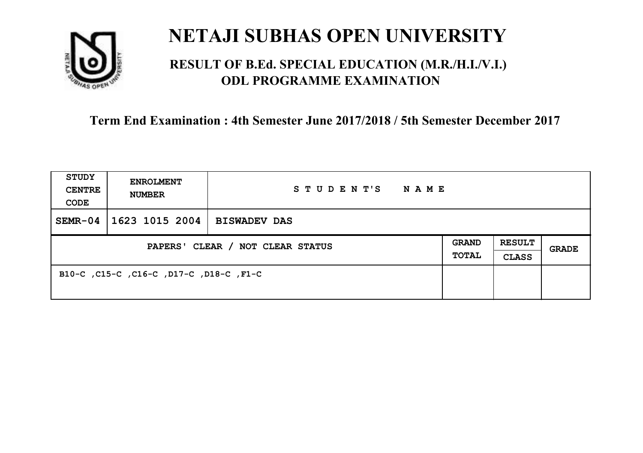

## **RESULT OF B.Ed. SPECIAL EDUCATION (M.R./H.I./V.I.) ODL PROGRAMME EXAMINATION**

| <b>STUDY</b><br><b>CENTRE</b><br>CODE | <b>ENROLMENT</b><br><b>NUMBER</b>       | STUDENT'S<br>NAME   |  |                               |       |
|---------------------------------------|-----------------------------------------|---------------------|--|-------------------------------|-------|
| $SEMR-04$                             | 1623 1015 2004                          | <b>BISWADEV DAS</b> |  |                               |       |
| PAPERS' CLEAR / NOT CLEAR STATUS      |                                         |                     |  | <b>RESULT</b><br><b>CLASS</b> | GRADE |
|                                       | B10-C, C15-C, C16-C, D17-C, D18-C, F1-C |                     |  |                               |       |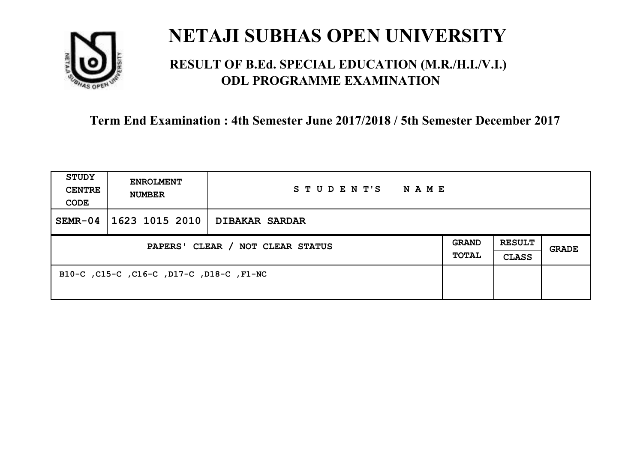

## **RESULT OF B.Ed. SPECIAL EDUCATION (M.R./H.I./V.I.) ODL PROGRAMME EXAMINATION**

| <b>STUDY</b><br><b>CENTRE</b><br>CODE | <b>ENROLMENT</b><br><b>NUMBER</b>        | STUDENT'S<br>NAME     |                              |                               |       |
|---------------------------------------|------------------------------------------|-----------------------|------------------------------|-------------------------------|-------|
| $SEMR-04$                             | 1623 1015 2010                           | <b>DIBAKAR SARDAR</b> |                              |                               |       |
| PAPERS' CLEAR / NOT CLEAR STATUS      |                                          |                       | <b>GRAND</b><br><b>TOTAL</b> | <b>RESULT</b><br><b>CLASS</b> | GRADE |
|                                       | B10-C, C15-C, C16-C, D17-C, D18-C, F1-NC |                       |                              |                               |       |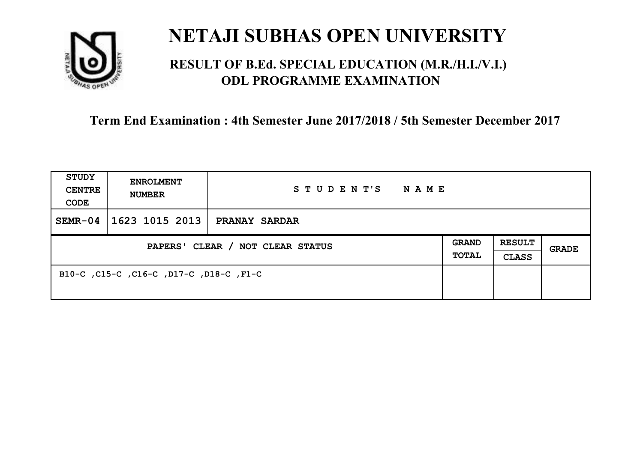

## **RESULT OF B.Ed. SPECIAL EDUCATION (M.R./H.I./V.I.) ODL PROGRAMME EXAMINATION**

| <b>STUDY</b><br><b>CENTRE</b><br>CODE | <b>ENROLMENT</b><br><b>NUMBER</b>       | STUDENT'S<br>NAME    |                       |                               |       |
|---------------------------------------|-----------------------------------------|----------------------|-----------------------|-------------------------------|-------|
| $SEMR-04$                             | 1623 1015 2013                          | <b>PRANAY SARDAR</b> |                       |                               |       |
| PAPERS' CLEAR / NOT CLEAR STATUS      |                                         |                      | <b>GRAND</b><br>TOTAL | <b>RESULT</b><br><b>CLASS</b> | GRADE |
|                                       | B10-C, C15-C, C16-C, D17-C, D18-C, F1-C |                      |                       |                               |       |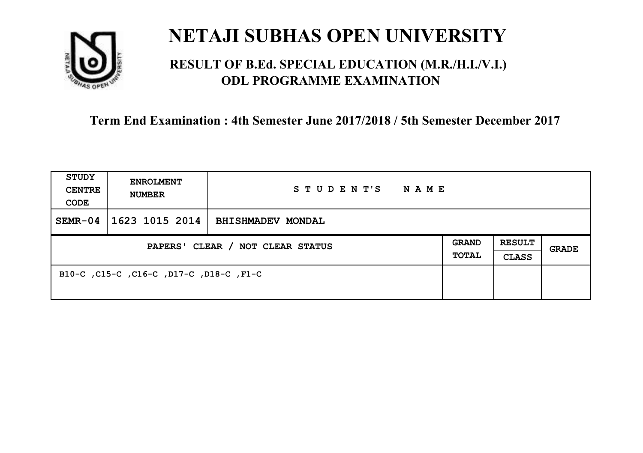

## **RESULT OF B.Ed. SPECIAL EDUCATION (M.R./H.I./V.I.) ODL PROGRAMME EXAMINATION**

| <b>STUDY</b><br><b>CENTRE</b><br>CODE | <b>ENROLMENT</b><br><b>NUMBER</b>       | STUDENT'S<br>NAME        |                              |                               |       |
|---------------------------------------|-----------------------------------------|--------------------------|------------------------------|-------------------------------|-------|
| $SEMR-04$                             | 1623 1015 2014                          | <b>BHISHMADEV MONDAL</b> |                              |                               |       |
| PAPERS' CLEAR / NOT CLEAR STATUS      |                                         |                          | <b>GRAND</b><br><b>TOTAL</b> | <b>RESULT</b><br><b>CLASS</b> | GRADE |
|                                       | B10-C, C15-C, C16-C, D17-C, D18-C, F1-C |                          |                              |                               |       |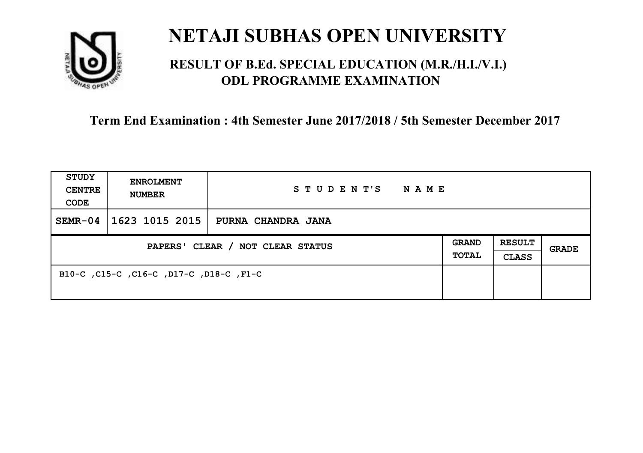

## **RESULT OF B.Ed. SPECIAL EDUCATION (M.R./H.I./V.I.) ODL PROGRAMME EXAMINATION**

| <b>STUDY</b><br><b>CENTRE</b><br>CODE | <b>ENROLMENT</b><br><b>NUMBER</b>       | STUDENT'S<br>NAME  |  |                               |       |
|---------------------------------------|-----------------------------------------|--------------------|--|-------------------------------|-------|
| $SEMR-04$                             | 1623 1015 2015                          | PURNA CHANDRA JANA |  |                               |       |
| PAPERS' CLEAR / NOT CLEAR STATUS      |                                         |                    |  | <b>RESULT</b><br><b>CLASS</b> | GRADE |
|                                       | B10-C, C15-C, C16-C, D17-C, D18-C, F1-C |                    |  |                               |       |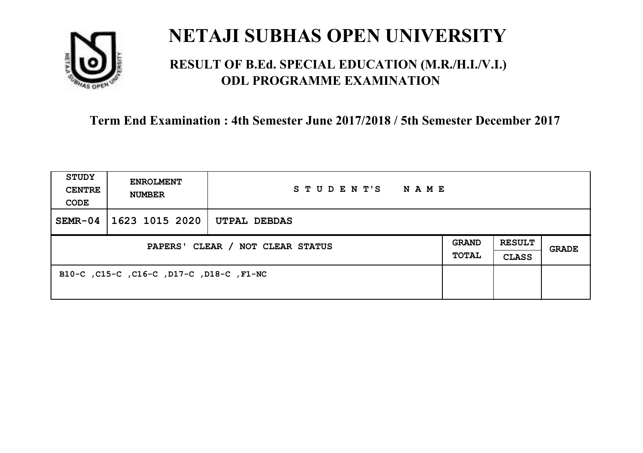

## **RESULT OF B.Ed. SPECIAL EDUCATION (M.R./H.I./V.I.) ODL PROGRAMME EXAMINATION**

| <b>STUDY</b><br><b>CENTRE</b><br>CODE | <b>ENROLMENT</b><br><b>NUMBER</b>        | STUDENT'S<br><b>NAME</b> |  |                               |              |
|---------------------------------------|------------------------------------------|--------------------------|--|-------------------------------|--------------|
| $SEMR-04$                             | 1623 1015 2020                           | UTPAL DEBDAS             |  |                               |              |
| PAPERS' CLEAR / NOT CLEAR STATUS      |                                          |                          |  | <b>RESULT</b><br><b>CLASS</b> | <b>GRADE</b> |
|                                       | B10-C, C15-C, C16-C, D17-C, D18-C, F1-NC |                          |  |                               |              |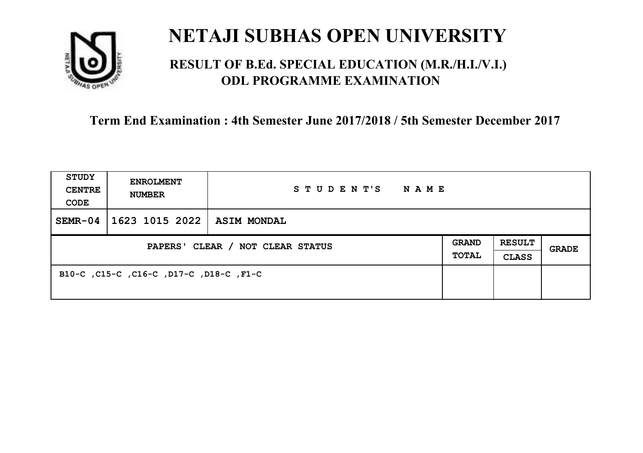

## **RESULT OF B.Ed. SPECIAL EDUCATION (M.R./H.I./V.I.) ODL PROGRAMME EXAMINATION**

| <b>STUDY</b><br><b>CENTRE</b><br>CODE | <b>ENROLMENT</b><br><b>NUMBER</b>       | STUDENT'S<br><b>NAME</b> |  |                               |              |
|---------------------------------------|-----------------------------------------|--------------------------|--|-------------------------------|--------------|
| $SEMR-04$                             | 1623 1015 2022                          | <b>ASIM MONDAL</b>       |  |                               |              |
| PAPERS' CLEAR / NOT CLEAR STATUS      |                                         |                          |  | <b>RESULT</b><br><b>CLASS</b> | <b>GRADE</b> |
|                                       | B10-C, C15-C, C16-C, D17-C, D18-C, F1-C |                          |  |                               |              |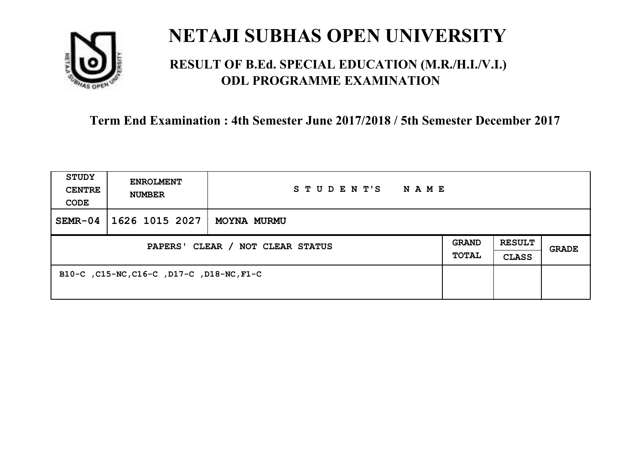

## **RESULT OF B.Ed. SPECIAL EDUCATION (M.R./H.I./V.I.) ODL PROGRAMME EXAMINATION**

| <b>STUDY</b><br><b>CENTRE</b><br>CODE | <b>ENROLMENT</b><br><b>NUMBER</b>         | STUDENT'S<br><b>NAME</b> |  |                               |              |
|---------------------------------------|-------------------------------------------|--------------------------|--|-------------------------------|--------------|
| $SEMR-04$                             | 1626 1015 2027                            | MOYNA MURMU              |  |                               |              |
| PAPERS' CLEAR / NOT CLEAR STATUS      |                                           |                          |  | <b>RESULT</b><br><b>CLASS</b> | <b>GRADE</b> |
|                                       | B10-C, C15-NC, C16-C, D17-C, D18-NC, F1-C |                          |  |                               |              |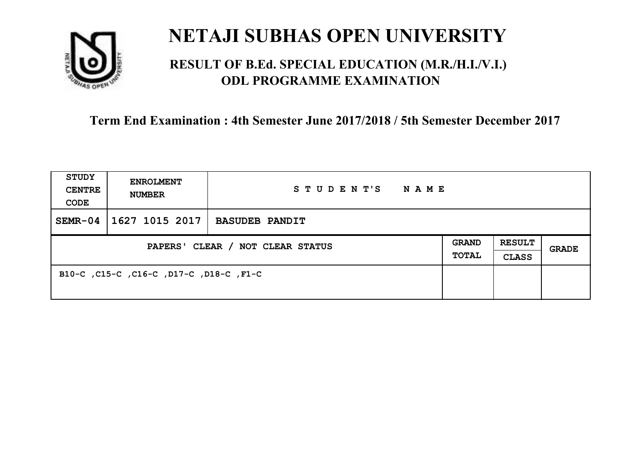

## **RESULT OF B.Ed. SPECIAL EDUCATION (M.R./H.I./V.I.) ODL PROGRAMME EXAMINATION**

| <b>STUDY</b><br><b>CENTRE</b><br>CODE | <b>ENROLMENT</b><br><b>NUMBER</b>       | STUDENT'S<br>NAME     |                       |                               |       |
|---------------------------------------|-----------------------------------------|-----------------------|-----------------------|-------------------------------|-------|
| $SEMR-04$                             | 1627 1015 2017                          | <b>BASUDEB PANDIT</b> |                       |                               |       |
| PAPERS' CLEAR / NOT CLEAR STATUS      |                                         |                       | <b>GRAND</b><br>TOTAL | <b>RESULT</b><br><b>CLASS</b> | GRADE |
|                                       | B10-C, C15-C, C16-C, D17-C, D18-C, F1-C |                       |                       |                               |       |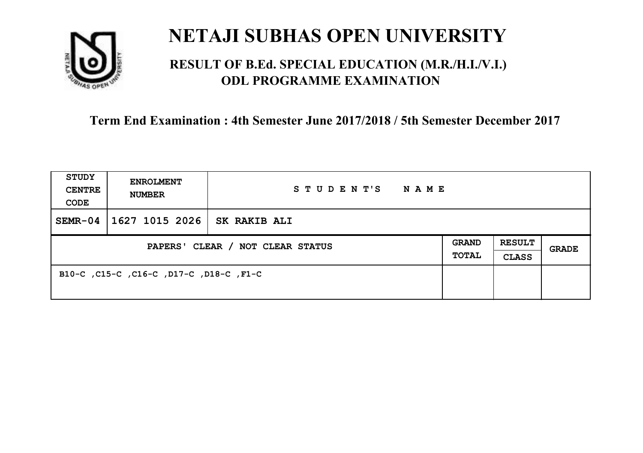

## **RESULT OF B.Ed. SPECIAL EDUCATION (M.R./H.I./V.I.) ODL PROGRAMME EXAMINATION**

| <b>STUDY</b><br><b>CENTRE</b><br>CODE | <b>ENROLMENT</b><br><b>NUMBER</b>       | STUDENT'S<br><b>NAME</b> |  |                               |       |
|---------------------------------------|-----------------------------------------|--------------------------|--|-------------------------------|-------|
| $SEMR-04$                             | 1627 1015 2026                          | <b>SK RAKIB ALI</b>      |  |                               |       |
| PAPERS' CLEAR / NOT CLEAR STATUS      |                                         |                          |  | <b>RESULT</b><br><b>CLASS</b> | GRADE |
|                                       | B10-C, C15-C, C16-C, D17-C, D18-C, F1-C |                          |  |                               |       |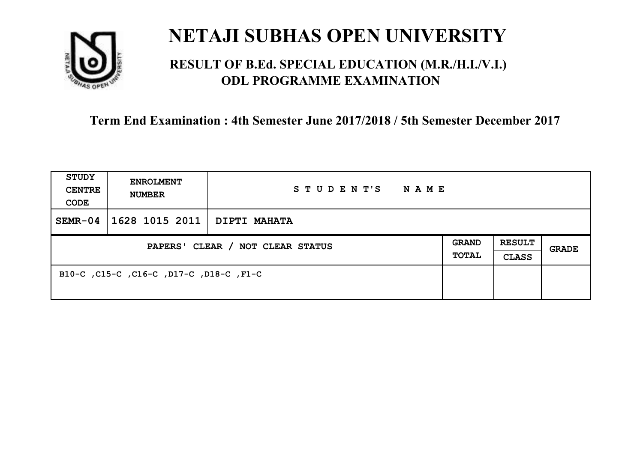

## **RESULT OF B.Ed. SPECIAL EDUCATION (M.R./H.I./V.I.) ODL PROGRAMME EXAMINATION**

| <b>STUDY</b><br><b>CENTRE</b><br>CODE | <b>ENROLMENT</b><br><b>NUMBER</b>       | STUDENT'S<br>NAME |                       |                               |       |
|---------------------------------------|-----------------------------------------|-------------------|-----------------------|-------------------------------|-------|
| $SEMR-04$                             | 1628 1015 2011   DIPTI MAHATA           |                   |                       |                               |       |
| PAPERS' CLEAR / NOT CLEAR STATUS      |                                         |                   | <b>GRAND</b><br>TOTAL | <b>RESULT</b><br><b>CLASS</b> | GRADE |
|                                       | B10-C, C15-C, C16-C, D17-C, D18-C, F1-C |                   |                       |                               |       |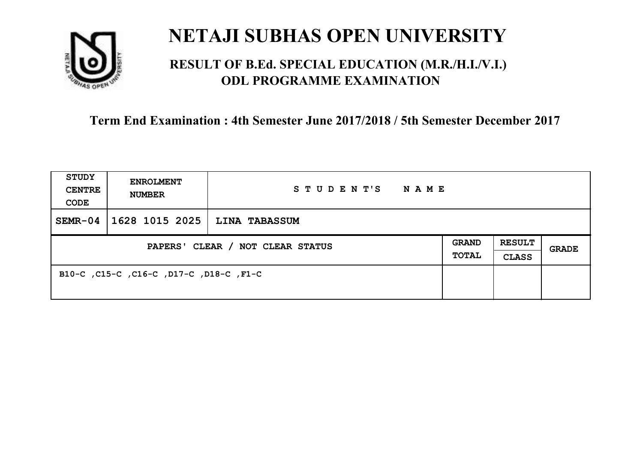

## **RESULT OF B.Ed. SPECIAL EDUCATION (M.R./H.I./V.I.) ODL PROGRAMME EXAMINATION**

| <b>STUDY</b><br><b>CENTRE</b><br>CODE | <b>ENROLMENT</b><br><b>NUMBER</b>       | STUDENT'S<br><b>NAME</b> |                       |                               |       |
|---------------------------------------|-----------------------------------------|--------------------------|-----------------------|-------------------------------|-------|
| $SEMR-04$                             | 1628 1015 2025                          | <b>LINA TABASSUM</b>     |                       |                               |       |
| PAPERS' CLEAR / NOT CLEAR STATUS      |                                         |                          | <b>GRAND</b><br>TOTAL | <b>RESULT</b><br><b>CLASS</b> | GRADE |
|                                       | B10-C, C15-C, C16-C, D17-C, D18-C, F1-C |                          |                       |                               |       |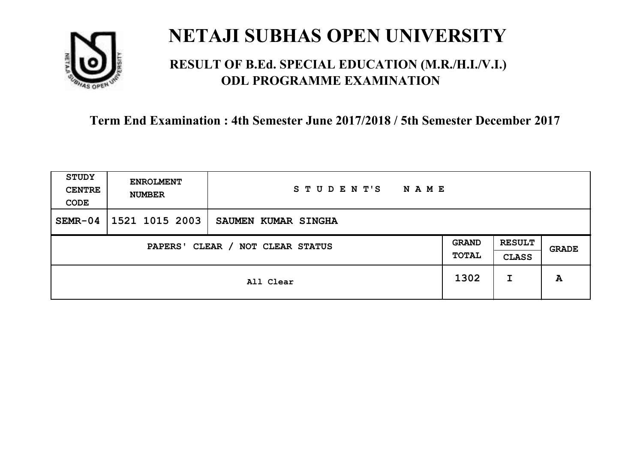

## **RESULT OF B.Ed. SPECIAL EDUCATION (M.R./H.I./V.I.) ODL PROGRAMME EXAMINATION**

| <b>STUDY</b><br><b>CENTRE</b><br>CODE | <b>ENROLMENT</b><br><b>NUMBER</b>   | STUDENT'S<br><b>NAME</b> |      |                               |              |
|---------------------------------------|-------------------------------------|--------------------------|------|-------------------------------|--------------|
| $SEMR-04$                             | 1521 1015 2003                      | SAUMEN KUMAR SINGHA      |      |                               |              |
|                                       | CLEAR / NOT CLEAR STATUS<br>PAPERS' |                          |      | <b>RESULT</b><br><b>CLASS</b> | <b>GRADE</b> |
|                                       |                                     | All Clear                | 1302 | I                             | A            |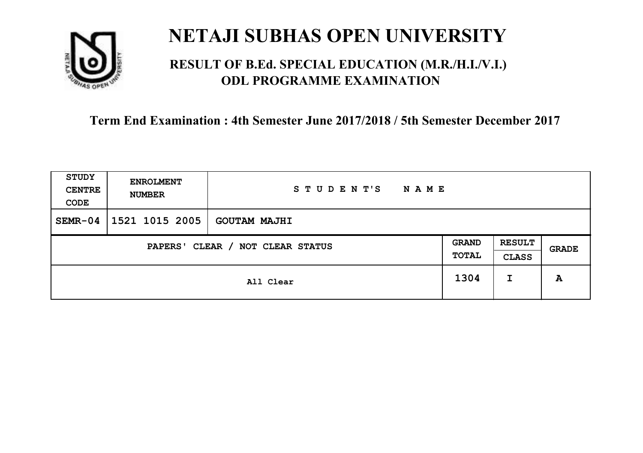

## **RESULT OF B.Ed. SPECIAL EDUCATION (M.R./H.I./V.I.) ODL PROGRAMME EXAMINATION**

| <b>STUDY</b><br><b>CENTRE</b><br>CODE      | <b>ENROLMENT</b><br><b>NUMBER</b> | STUDENT'S<br><b>NAME</b> |                              |                               |              |
|--------------------------------------------|-----------------------------------|--------------------------|------------------------------|-------------------------------|--------------|
| $SEMR-04$                                  | 1521 1015 2005                    | <b>GOUTAM MAJHI</b>      |                              |                               |              |
| CLEAR / NOT CLEAR STATUS<br><b>PAPERS'</b> |                                   |                          | <b>GRAND</b><br><b>TOTAL</b> | <b>RESULT</b><br><b>CLASS</b> | <b>GRADE</b> |
|                                            |                                   | All Clear                | 1304                         | I                             | A            |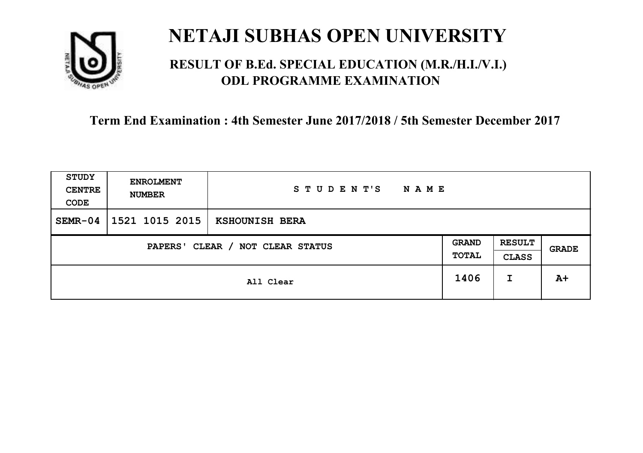

## **RESULT OF B.Ed. SPECIAL EDUCATION (M.R./H.I./V.I.) ODL PROGRAMME EXAMINATION**

| <b>STUDY</b><br><b>CENTRE</b><br>CODE | <b>ENROLMENT</b><br><b>NUMBER</b> | STUDENT'S<br><b>NAME</b> |                       |                               |       |
|---------------------------------------|-----------------------------------|--------------------------|-----------------------|-------------------------------|-------|
| $SEMR-04$                             | 1521 1015 2015                    | KSHOUNISH BERA           |                       |                               |       |
| CLEAR / NOT CLEAR STATUS<br>PAPERS'   |                                   |                          | <b>GRAND</b><br>TOTAL | <b>RESULT</b><br><b>CLASS</b> | GRADE |
|                                       |                                   | All Clear                | 1406                  | I                             | $A+$  |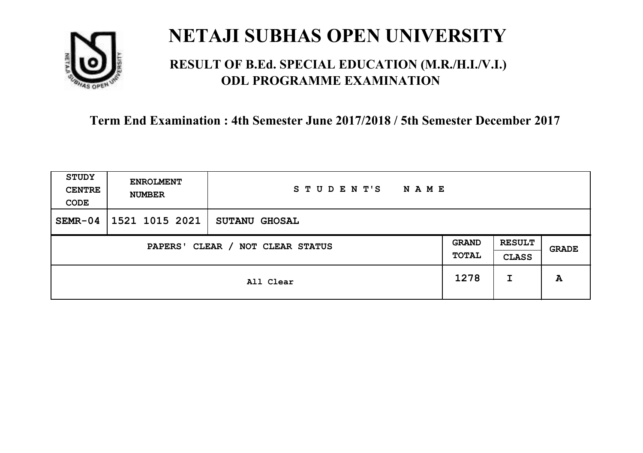

## **RESULT OF B.Ed. SPECIAL EDUCATION (M.R./H.I./V.I.) ODL PROGRAMME EXAMINATION**

| <b>STUDY</b><br><b>CENTRE</b><br>CODE | <b>ENROLMENT</b><br><b>NUMBER</b>   | STUDENT'S<br><b>NAME</b> |      |   |       |
|---------------------------------------|-------------------------------------|--------------------------|------|---|-------|
| $SEMR-04$                             | 1521 1015 2021                      | <b>SUTANU GHOSAL</b>     |      |   |       |
|                                       | CLEAR / NOT CLEAR STATUS<br>PAPERS' |                          |      |   | GRADE |
|                                       |                                     | All Clear                | 1278 | I | A     |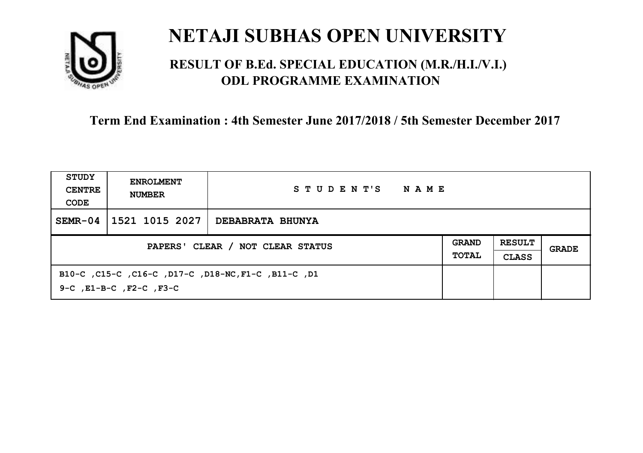

## **RESULT OF B.Ed. SPECIAL EDUCATION (M.R./H.I./V.I.) ODL PROGRAMME EXAMINATION**

| STUDY<br><b>CENTRE</b><br>CODE   | <b>ENROLMENT</b><br><b>NUMBER</b>                                                         | STUDENT'S<br>NAME       |  |                               |       |
|----------------------------------|-------------------------------------------------------------------------------------------|-------------------------|--|-------------------------------|-------|
| $SEMR-04$                        | 1521 1015 2027                                                                            | <b>DEBABRATA BHUNYA</b> |  |                               |       |
| PAPERS' CLEAR / NOT CLEAR STATUS |                                                                                           |                         |  | <b>RESULT</b><br><b>CLASS</b> | GRADE |
|                                  | B10-C, C15-C, C16-C, D17-C, D18-NC, F1-C, B11-C, D1<br>$9-C$ , $E1-B-C$ , $F2-C$ , $F3-C$ |                         |  |                               |       |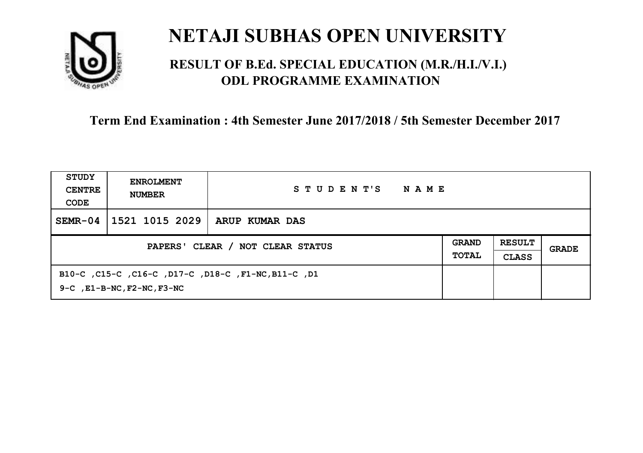

## **RESULT OF B.Ed. SPECIAL EDUCATION (M.R./H.I./V.I.) ODL PROGRAMME EXAMINATION**

| STUDY<br><b>CENTRE</b><br>CODE | <b>ENROLMENT</b><br><b>NUMBER</b>     | STUDENT'S<br>NAME                                   |  |  |       |
|--------------------------------|---------------------------------------|-----------------------------------------------------|--|--|-------|
| $SEMR-04$                      | 1521 1015 2029                        | ARUP KUMAR DAS                                      |  |  |       |
|                                | PAPERS' CLEAR / NOT CLEAR STATUS      |                                                     |  |  | GRADE |
|                                | $9-C$ , $E1-B-NC$ , $F2-NC$ , $F3-NC$ | B10-C, C15-C, C16-C, D17-C, D18-C, F1-NC, B11-C, D1 |  |  |       |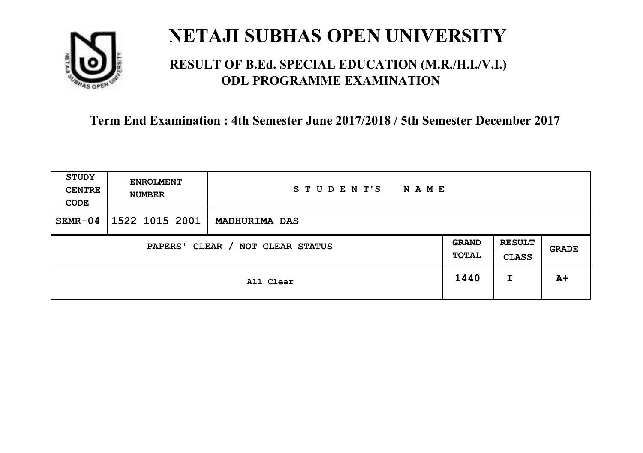

## **RESULT OF B.Ed. SPECIAL EDUCATION (M.R./H.I./V.I.) ODL PROGRAMME EXAMINATION**

| <b>STUDY</b><br><b>CENTRE</b><br>CODE | <b>ENROLMENT</b><br><b>NUMBER</b> | STUDENT'S<br><b>NAME</b> |                       |                               |       |
|---------------------------------------|-----------------------------------|--------------------------|-----------------------|-------------------------------|-------|
| $SEMR-04$                             | 1522 1015 2001                    | <b>MADHURIMA DAS</b>     |                       |                               |       |
| CLEAR / NOT CLEAR STATUS<br>PAPERS'   |                                   |                          | <b>GRAND</b><br>TOTAL | <b>RESULT</b><br><b>CLASS</b> | GRADE |
|                                       |                                   | All Clear                | 1440                  | I                             | $A+$  |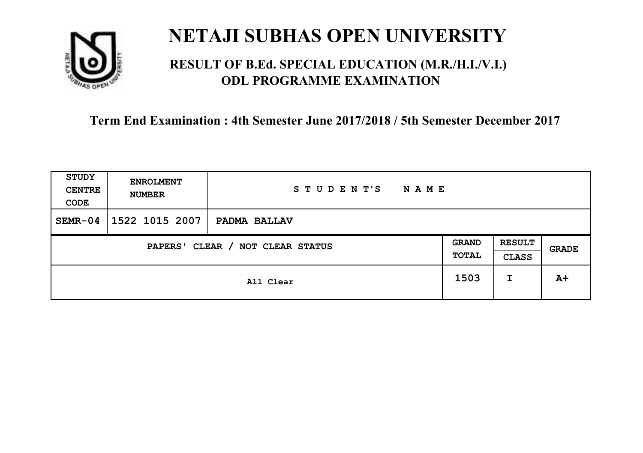

## **RESULT OF B.Ed. SPECIAL EDUCATION (M.R./H.I./V.I.) ODL PROGRAMME EXAMINATION**

| <b>STUDY</b><br><b>CENTRE</b><br>CODE | <b>ENROLMENT</b><br><b>NUMBER</b>          | STUDENT'S<br>NAME |  |   |              |
|---------------------------------------|--------------------------------------------|-------------------|--|---|--------------|
| $SEMR-04$                             | 1522 1015 2007                             | PADMA BALLAV      |  |   |              |
|                                       | CLEAR / NOT CLEAR STATUS<br><b>PAPERS'</b> |                   |  |   | <b>GRADE</b> |
|                                       | All Clear                                  |                   |  | I | $A+$         |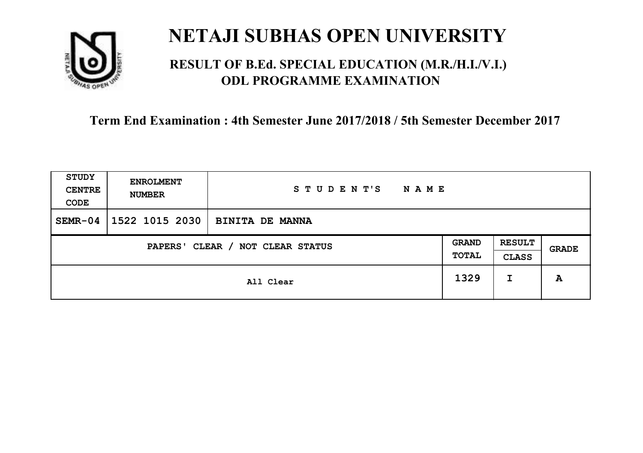

## **RESULT OF B.Ed. SPECIAL EDUCATION (M.R./H.I./V.I.) ODL PROGRAMME EXAMINATION**

| <b>STUDY</b><br><b>CENTRE</b><br>CODE | <b>ENROLMENT</b><br><b>NUMBER</b>   | STUDENT'S<br><b>NAME</b> |      |                               |       |
|---------------------------------------|-------------------------------------|--------------------------|------|-------------------------------|-------|
| $SEMR-04$                             | 1522 1015 2030                      | <b>BINITA DE MANNA</b>   |      |                               |       |
|                                       | CLEAR / NOT CLEAR STATUS<br>PAPERS' |                          |      | <b>RESULT</b><br><b>CLASS</b> | GRADE |
|                                       | All Clear                           |                          | 1329 | I                             | A     |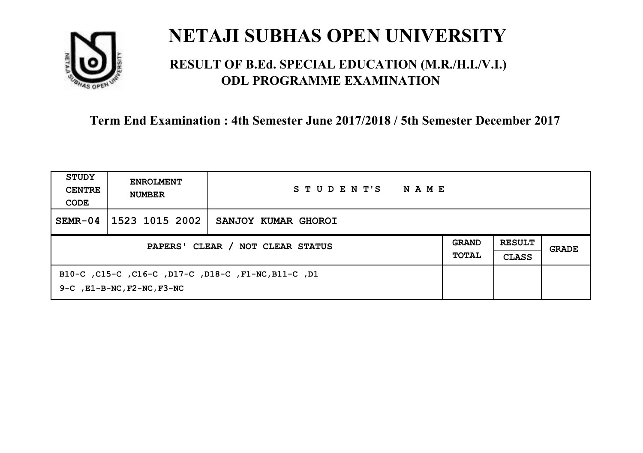

## **RESULT OF B.Ed. SPECIAL EDUCATION (M.R./H.I./V.I.) ODL PROGRAMME EXAMINATION**

| STUDY<br><b>CENTRE</b><br>CODE | <b>ENROLMENT</b><br><b>NUMBER</b>                                                            | STUDENT'S<br>NAME   |  |  |       |
|--------------------------------|----------------------------------------------------------------------------------------------|---------------------|--|--|-------|
| $SEMR-04$                      | 1523 1015 2002                                                                               | SANJOY KUMAR GHOROI |  |  |       |
|                                | PAPERS' CLEAR / NOT CLEAR STATUS                                                             |                     |  |  | GRADE |
|                                | B10-C, C15-C, C16-C, D17-C, D18-C, F1-NC, B11-C, D1<br>$9-C$ , $E1-B-NC$ , $F2-NC$ , $F3-NC$ |                     |  |  |       |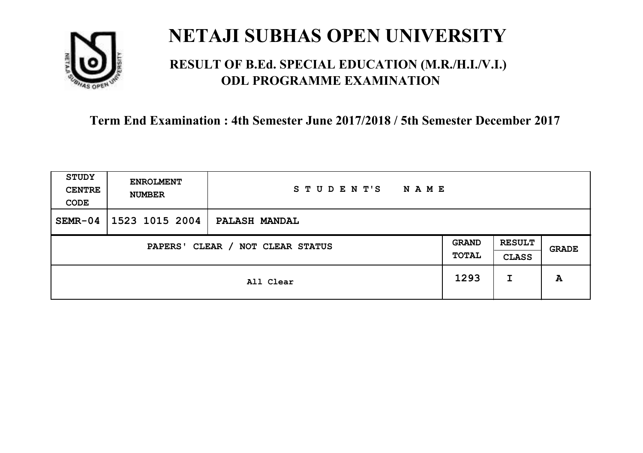

## **RESULT OF B.Ed. SPECIAL EDUCATION (M.R./H.I./V.I.) ODL PROGRAMME EXAMINATION**

| <b>STUDY</b><br><b>CENTRE</b><br>CODE | <b>ENROLMENT</b><br><b>NUMBER</b>   | STUDENT'S<br><b>NAME</b> |  |                               |              |
|---------------------------------------|-------------------------------------|--------------------------|--|-------------------------------|--------------|
| $SEMR-04$                             | 1523 1015 2004                      | <b>PALASH MANDAL</b>     |  |                               |              |
|                                       | CLEAR / NOT CLEAR STATUS<br>PAPERS' |                          |  | <b>RESULT</b><br><b>CLASS</b> | <b>GRADE</b> |
|                                       | All Clear                           |                          |  | I                             | A            |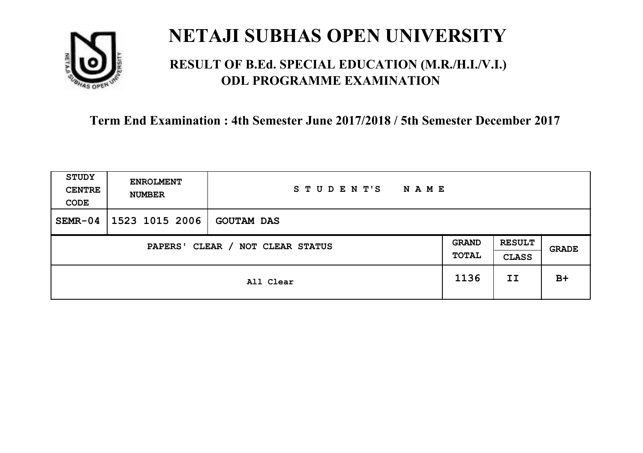

## **RESULT OF B.Ed. SPECIAL EDUCATION (M.R./H.I./V.I.) ODL PROGRAMME EXAMINATION**

| <b>STUDY</b><br><b>CENTRE</b><br>CODE | <b>ENROLMENT</b><br><b>NUMBER</b>   | STUDENT'S<br><b>NAME</b> |      |    |       |
|---------------------------------------|-------------------------------------|--------------------------|------|----|-------|
| $SEMR-04$                             | 1523 1015 2006                      | <b>GOUTAM DAS</b>        |      |    |       |
|                                       | CLEAR / NOT CLEAR STATUS<br>PAPERS' |                          |      |    | GRADE |
|                                       |                                     | All Clear                | 1136 | II | $B+$  |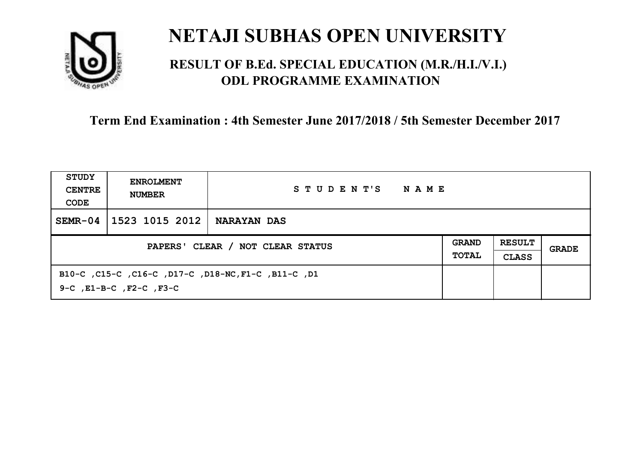

## **RESULT OF B.Ed. SPECIAL EDUCATION (M.R./H.I./V.I.) ODL PROGRAMME EXAMINATION**

| STUDY<br><b>CENTRE</b><br>CODE   | <b>ENROLMENT</b><br><b>NUMBER</b> | STUDENT'S<br>NAME                                   |                              |                               |       |
|----------------------------------|-----------------------------------|-----------------------------------------------------|------------------------------|-------------------------------|-------|
| $SEMR-04$                        | 1523 1015 2012                    | NARAYAN DAS                                         |                              |                               |       |
| PAPERS' CLEAR / NOT CLEAR STATUS |                                   |                                                     | <b>GRAND</b><br><b>TOTAL</b> | <b>RESULT</b><br><b>CLASS</b> | GRADE |
|                                  | 9-C, E1-B-C, F2-C, F3-C           | B10-C, C15-C, C16-C, D17-C, D18-NC, F1-C, B11-C, D1 |                              |                               |       |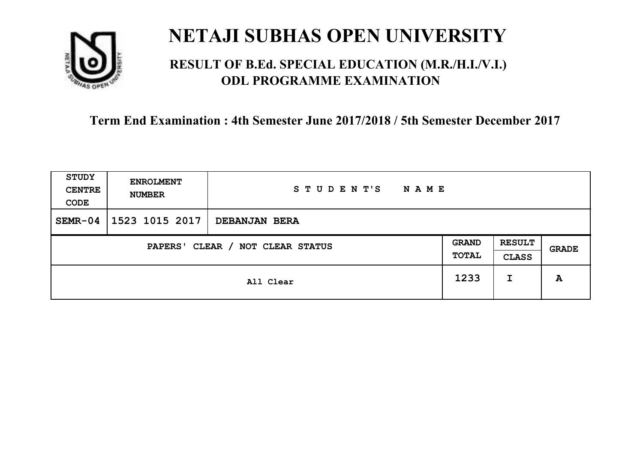

## **RESULT OF B.Ed. SPECIAL EDUCATION (M.R./H.I./V.I.) ODL PROGRAMME EXAMINATION**

| <b>STUDY</b><br><b>CENTRE</b><br>CODE | <b>ENROLMENT</b><br><b>NUMBER</b>   | STUDENT'S<br><b>NAME</b> |  |                               |              |
|---------------------------------------|-------------------------------------|--------------------------|--|-------------------------------|--------------|
| $SEMR-04$                             | 1523 1015 2017                      | DEBANJAN BERA            |  |                               |              |
|                                       | CLEAR / NOT CLEAR STATUS<br>PAPERS' |                          |  | <b>RESULT</b><br><b>CLASS</b> | <b>GRADE</b> |
|                                       | All Clear                           |                          |  | I                             | A            |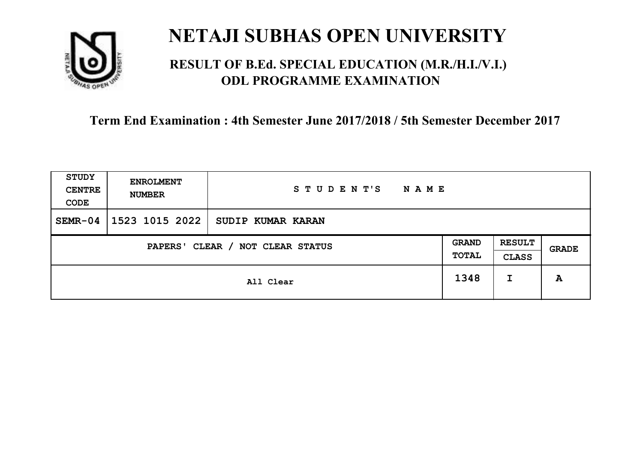

## **RESULT OF B.Ed. SPECIAL EDUCATION (M.R./H.I./V.I.) ODL PROGRAMME EXAMINATION**

| <b>STUDY</b><br><b>CENTRE</b><br>CODE | <b>ENROLMENT</b><br><b>NUMBER</b>   | STUDENT'S<br><b>NAME</b> |      |                               |       |
|---------------------------------------|-------------------------------------|--------------------------|------|-------------------------------|-------|
| $SEMR-04$                             | 1523 1015 2022                      | SUDIP KUMAR KARAN        |      |                               |       |
|                                       | CLEAR / NOT CLEAR STATUS<br>PAPERS' |                          |      | <b>RESULT</b><br><b>CLASS</b> | GRADE |
|                                       |                                     | All Clear                | 1348 | I                             | A     |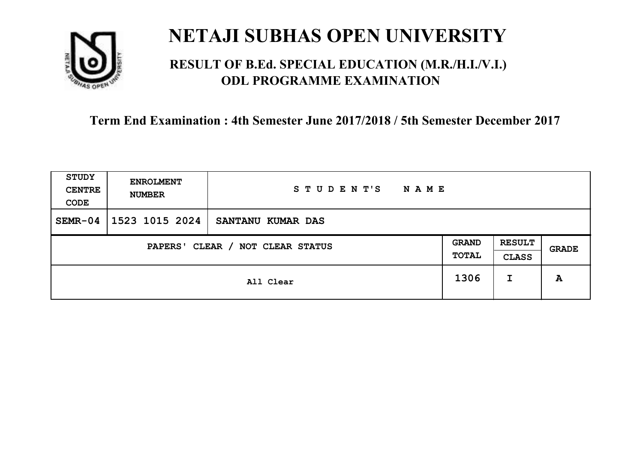

## **RESULT OF B.Ed. SPECIAL EDUCATION (M.R./H.I./V.I.) ODL PROGRAMME EXAMINATION**

| <b>STUDY</b><br><b>CENTRE</b><br>CODE | <b>ENROLMENT</b><br><b>NUMBER</b>   | STUDENT'S<br><b>NAME</b> |      |                               |              |
|---------------------------------------|-------------------------------------|--------------------------|------|-------------------------------|--------------|
| $SEMR-04$                             | 1523 1015 2024                      | SANTANU KUMAR DAS        |      |                               |              |
|                                       | CLEAR / NOT CLEAR STATUS<br>PAPERS' |                          |      | <b>RESULT</b><br><b>CLASS</b> | <b>GRADE</b> |
|                                       |                                     | All Clear                | 1306 | I                             | A            |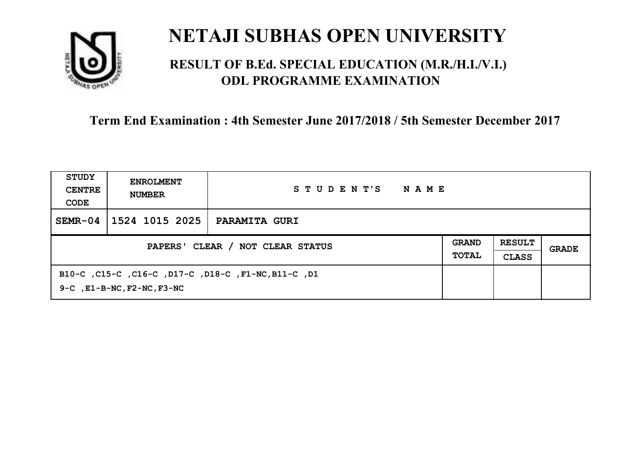

## **RESULT OF B.Ed. SPECIAL EDUCATION (M.R./H.I./V.I.) ODL PROGRAMME EXAMINATION**

| STUDY<br><b>CENTRE</b><br>CODE   | <b>ENROLMENT</b><br><b>NUMBER</b>     | STUDENT'S<br>NAME                                         |  |                               |       |
|----------------------------------|---------------------------------------|-----------------------------------------------------------|--|-------------------------------|-------|
| $SEMR-04$                        | 1524 1015 2025                        | <b>PARAMITA GURI</b>                                      |  |                               |       |
| PAPERS' CLEAR / NOT CLEAR STATUS |                                       |                                                           |  | <b>RESULT</b><br><b>CLASS</b> | GRADE |
|                                  | $9-C$ , $E1-B-NC$ , $F2-NC$ , $F3-NC$ | B10-C , C15-C , C16-C , D17-C , D18-C , F1-NC, B11-C , D1 |  |                               |       |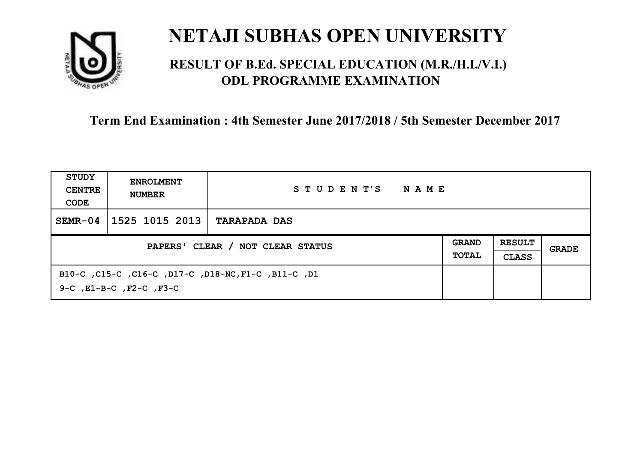

## **RESULT OF B.Ed. SPECIAL EDUCATION (M.R./H.I./V.I.) ODL PROGRAMME EXAMINATION**

| STUDY<br><b>CENTRE</b><br>CODE   | <b>ENROLMENT</b><br><b>NUMBER</b> | STUDENT'S<br>NAME                                   |  |                               |       |
|----------------------------------|-----------------------------------|-----------------------------------------------------|--|-------------------------------|-------|
| $SEMR-04$                        | 1525 1015 2013                    | <b>TARAPADA DAS</b>                                 |  |                               |       |
| PAPERS' CLEAR / NOT CLEAR STATUS |                                   |                                                     |  | <b>RESULT</b><br><b>CLASS</b> | GRADE |
|                                  | 9-C, E1-B-C, F2-C, F3-C           | B10-C, C15-C, C16-C, D17-C, D18-NC, F1-C, B11-C, D1 |  |                               |       |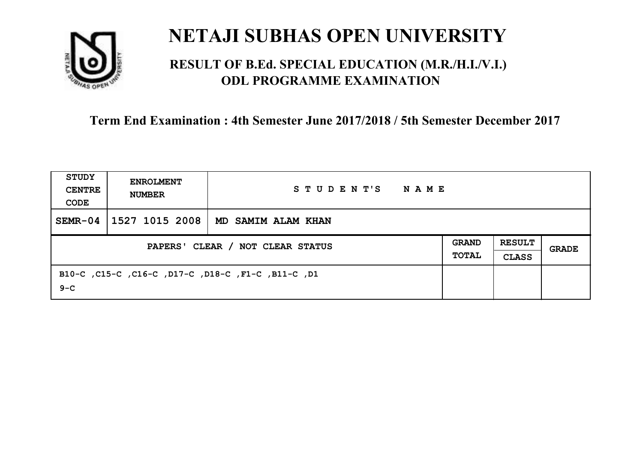

## **RESULT OF B.Ed. SPECIAL EDUCATION (M.R./H.I./V.I.) ODL PROGRAMME EXAMINATION**

| STUDY<br><b>CENTRE</b><br>CODE | <b>ENROLMENT</b><br><b>NUMBER</b> | STUDENT'S<br>NAME                                  |  |  |       |
|--------------------------------|-----------------------------------|----------------------------------------------------|--|--|-------|
| $SEMR-04$                      | 1527 1015 2008                    | MD SAMIM ALAM KHAN                                 |  |  |       |
|                                | PAPERS' CLEAR / NOT CLEAR STATUS  |                                                    |  |  | GRADE |
| $9 - C$                        |                                   | B10-C, C15-C, C16-C, D17-C, D18-C, F1-C, B11-C, D1 |  |  |       |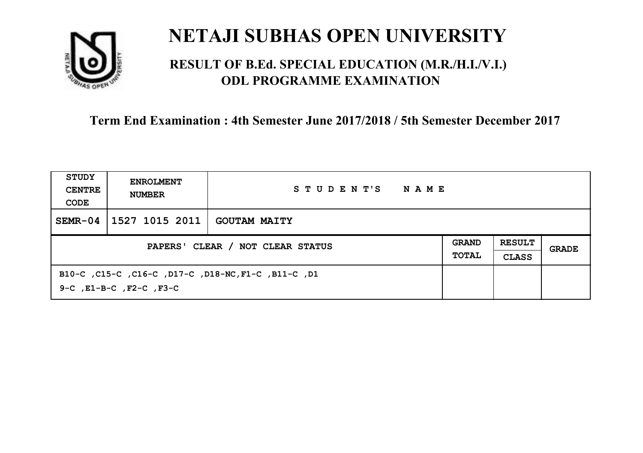

### **RESULT OF B.Ed. SPECIAL EDUCATION (M.R./H.I./V.I.) ODL PROGRAMME EXAMINATION**

| STUDY<br><b>CENTRE</b><br>CODE   | <b>ENROLMENT</b><br><b>NUMBER</b> | STUDENT'S<br>NAME                                  |  |                               |       |
|----------------------------------|-----------------------------------|----------------------------------------------------|--|-------------------------------|-------|
| $SEMR-04$                        | 1527 1015 2011                    | <b>GOUTAM MAITY</b>                                |  |                               |       |
| PAPERS' CLEAR / NOT CLEAR STATUS |                                   |                                                    |  | <b>RESULT</b><br><b>CLASS</b> | GRADE |
|                                  | 9-C, E1-B-C, F2-C, F3-C           | B10-C ,C15-C ,C16-C ,D17-C ,D18-NC,F1-C ,B11-C ,D1 |  |                               |       |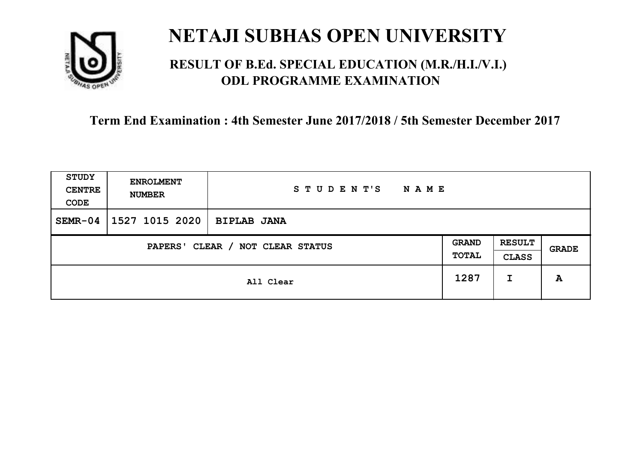

### **RESULT OF B.Ed. SPECIAL EDUCATION (M.R./H.I./V.I.) ODL PROGRAMME EXAMINATION**

| <b>STUDY</b><br><b>CENTRE</b><br>CODE                        | <b>ENROLMENT</b><br><b>NUMBER</b> | STUDENT'S<br><b>NAME</b> |      |                               |       |
|--------------------------------------------------------------|-----------------------------------|--------------------------|------|-------------------------------|-------|
| $SEMR-04$                                                    | 1527 1015 2020                    | <b>BIPLAB JANA</b>       |      |                               |       |
| <b>GRAND</b><br>CLEAR / NOT CLEAR STATUS<br>PAPERS'<br>TOTAL |                                   |                          |      | <b>RESULT</b><br><b>CLASS</b> | GRADE |
|                                                              |                                   | All Clear                | 1287 | I                             | A     |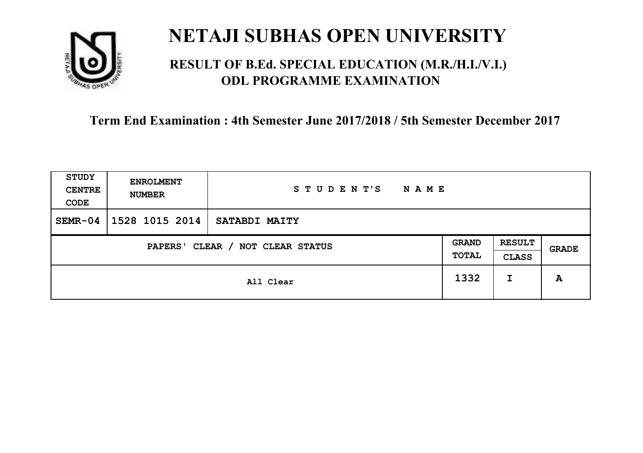

### **RESULT OF B.Ed. SPECIAL EDUCATION (M.R./H.I./V.I.) ODL PROGRAMME EXAMINATION**

| <b>STUDY</b><br><b>CENTRE</b><br>CODE                        | <b>ENROLMENT</b><br><b>NUMBER</b> | STUDENT'S<br><b>NAME</b> |      |                               |       |
|--------------------------------------------------------------|-----------------------------------|--------------------------|------|-------------------------------|-------|
| $SEMR-04$                                                    | 1528 1015 2014                    | SATABDI MAITY            |      |                               |       |
| <b>GRAND</b><br>CLEAR / NOT CLEAR STATUS<br>PAPERS'<br>TOTAL |                                   |                          |      | <b>RESULT</b><br><b>CLASS</b> | GRADE |
|                                                              |                                   | All Clear                | 1332 | I                             | A     |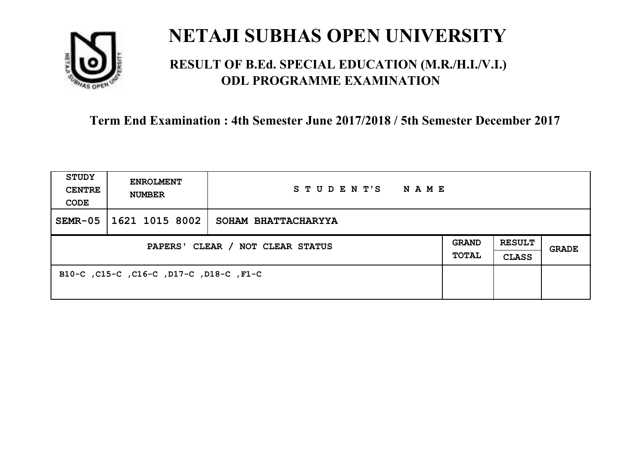

### **RESULT OF B.Ed. SPECIAL EDUCATION (M.R./H.I./V.I.) ODL PROGRAMME EXAMINATION**

| <b>STUDY</b><br><b>CENTRE</b><br>CODE | <b>ENROLMENT</b><br><b>NUMBER</b>       | STUDENT'S NAME      |  |                               |              |
|---------------------------------------|-----------------------------------------|---------------------|--|-------------------------------|--------------|
| $SEMR-05$                             | 1621 1015 8002                          | SOHAM BHATTACHARYYA |  |                               |              |
| PAPERS' CLEAR / NOT CLEAR STATUS      |                                         |                     |  | <b>RESULT</b><br><b>CLASS</b> | <b>GRADE</b> |
|                                       | B10-C, C15-C, C16-C, D17-C, D18-C, F1-C |                     |  |                               |              |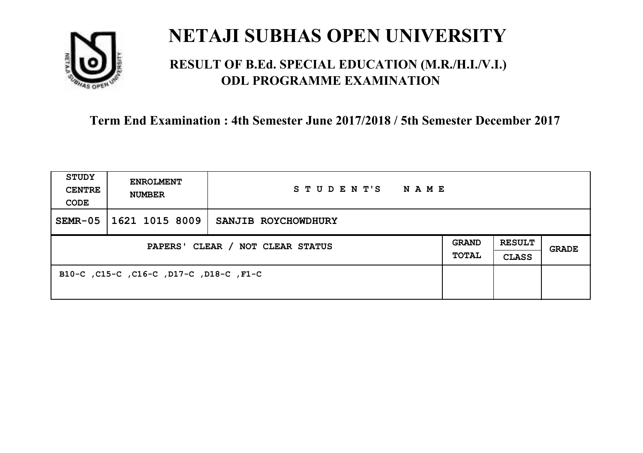

### **RESULT OF B.Ed. SPECIAL EDUCATION (M.R./H.I./V.I.) ODL PROGRAMME EXAMINATION**

| <b>STUDY</b><br><b>CENTRE</b><br>CODE | <b>ENROLMENT</b><br><b>NUMBER</b>       | STUDENT'S NAME      |  |                               |              |
|---------------------------------------|-----------------------------------------|---------------------|--|-------------------------------|--------------|
| $SEMR-05$                             | 1621 1015 8009                          | SANJIB ROYCHOWDHURY |  |                               |              |
| PAPERS' CLEAR / NOT CLEAR STATUS      |                                         |                     |  | <b>RESULT</b><br><b>CLASS</b> | <b>GRADE</b> |
|                                       | B10-C, C15-C, C16-C, D17-C, D18-C, F1-C |                     |  |                               |              |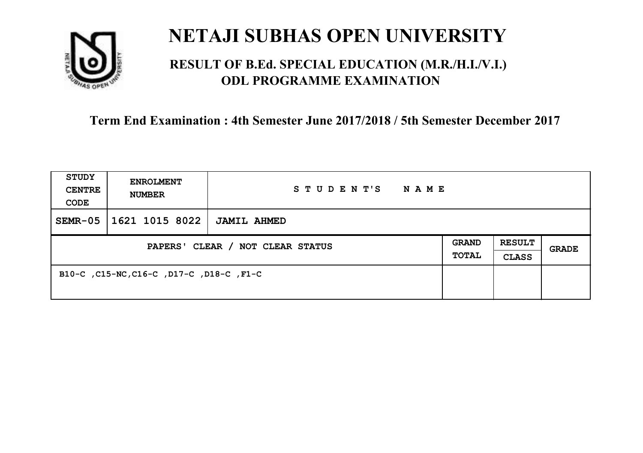

### **RESULT OF B.Ed. SPECIAL EDUCATION (M.R./H.I./V.I.) ODL PROGRAMME EXAMINATION**

| <b>STUDY</b><br><b>CENTRE</b><br>CODE | <b>ENROLMENT</b><br><b>NUMBER</b>        | STUDENT'S<br><b>NAME</b> |                              |                               |       |
|---------------------------------------|------------------------------------------|--------------------------|------------------------------|-------------------------------|-------|
| $SEMR-05$                             | 1621 1015 8022                           | <b>JAMIL AHMED</b>       |                              |                               |       |
| PAPERS' CLEAR / NOT CLEAR STATUS      |                                          |                          | <b>GRAND</b><br><b>TOTAL</b> | <b>RESULT</b><br><b>CLASS</b> | GRADE |
|                                       | B10-C, C15-NC, C16-C, D17-C, D18-C, F1-C |                          |                              |                               |       |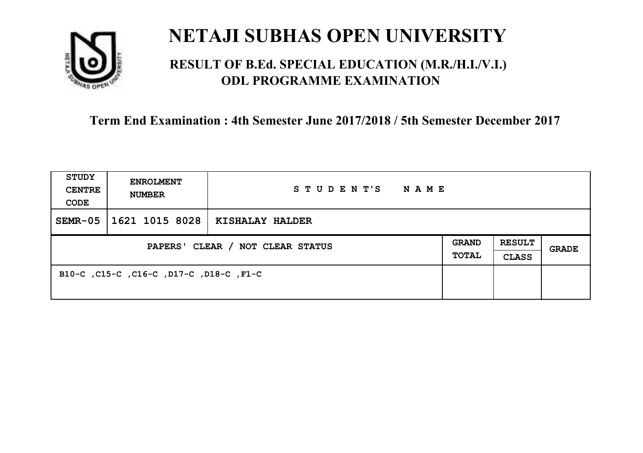

### **RESULT OF B.Ed. SPECIAL EDUCATION (M.R./H.I./V.I.) ODL PROGRAMME EXAMINATION**

| <b>STUDY</b><br><b>CENTRE</b><br>CODE | <b>ENROLMENT</b><br><b>NUMBER</b>       | STUDENT'S<br>NAME |  |                               |       |
|---------------------------------------|-----------------------------------------|-------------------|--|-------------------------------|-------|
| $SEMR-05$                             | 1621 1015 8028                          | KISHALAY HALDER   |  |                               |       |
| PAPERS' CLEAR / NOT CLEAR STATUS      |                                         |                   |  | <b>RESULT</b><br><b>CLASS</b> | GRADE |
|                                       | B10-C, C15-C, C16-C, D17-C, D18-C, F1-C |                   |  |                               |       |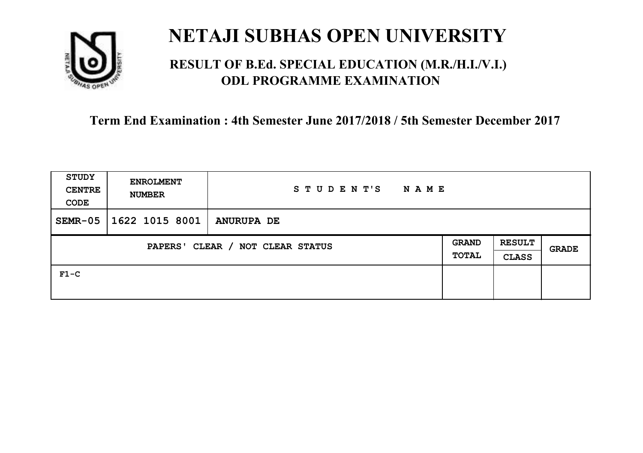

### **RESULT OF B.Ed. SPECIAL EDUCATION (M.R./H.I./V.I.) ODL PROGRAMME EXAMINATION**

| STUDY<br><b>CENTRE</b><br>CODE             | <b>ENROLMENT</b><br><b>NUMBER</b> | STUDENT'S<br>N A M E |  |                               |              |
|--------------------------------------------|-----------------------------------|----------------------|--|-------------------------------|--------------|
| $SEMR-05$                                  | 1622 1015 8001                    | <b>ANURUPA DE</b>    |  |                               |              |
| CLEAR / NOT CLEAR STATUS<br><b>PAPERS'</b> |                                   |                      |  | <b>RESULT</b><br><b>CLASS</b> | <b>GRADE</b> |
| $F1-C$                                     |                                   |                      |  |                               |              |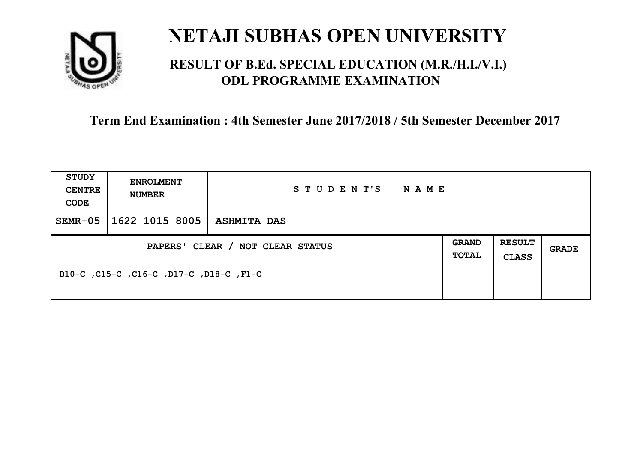

### **RESULT OF B.Ed. SPECIAL EDUCATION (M.R./H.I./V.I.) ODL PROGRAMME EXAMINATION**

| <b>STUDY</b><br><b>CENTRE</b><br>CODE | <b>ENROLMENT</b><br><b>NUMBER</b>       | STUDENT'S<br>NAME  |  |                               |       |
|---------------------------------------|-----------------------------------------|--------------------|--|-------------------------------|-------|
| $SEMR-05$                             | 1622 1015 8005                          | <b>ASHMITA DAS</b> |  |                               |       |
| PAPERS' CLEAR / NOT CLEAR STATUS      |                                         |                    |  | <b>RESULT</b><br><b>CLASS</b> | GRADE |
|                                       | B10-C, C15-C, C16-C, D17-C, D18-C, F1-C |                    |  |                               |       |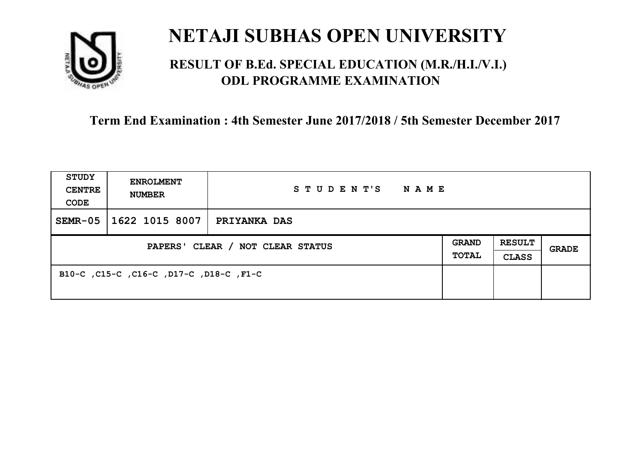

### **RESULT OF B.Ed. SPECIAL EDUCATION (M.R./H.I./V.I.) ODL PROGRAMME EXAMINATION**

| <b>STUDY</b><br><b>CENTRE</b><br>CODE | <b>ENROLMENT</b><br><b>NUMBER</b>       | STUDENT'S<br>NAME   |  |                               |       |
|---------------------------------------|-----------------------------------------|---------------------|--|-------------------------------|-------|
| $SEMR-05$                             | 1622 1015 8007                          | <b>PRIYANKA DAS</b> |  |                               |       |
| PAPERS' CLEAR / NOT CLEAR STATUS      |                                         |                     |  | <b>RESULT</b><br><b>CLASS</b> | GRADE |
|                                       | B10-C, C15-C, C16-C, D17-C, D18-C, F1-C |                     |  |                               |       |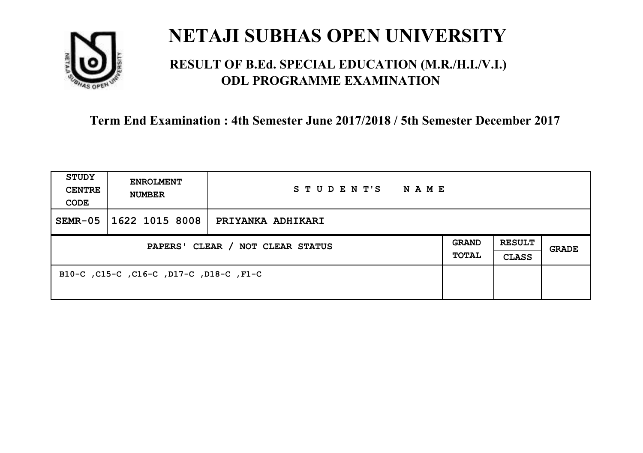

### **RESULT OF B.Ed. SPECIAL EDUCATION (M.R./H.I./V.I.) ODL PROGRAMME EXAMINATION**

| <b>STUDY</b><br><b>CENTRE</b><br>CODE | <b>ENROLMENT</b><br><b>NUMBER</b>       | STUDENT'S<br>NAME |  |                               |       |
|---------------------------------------|-----------------------------------------|-------------------|--|-------------------------------|-------|
| $SEMR-05$                             | 1622 1015 8008                          | PRIYANKA ADHIKARI |  |                               |       |
| PAPERS' CLEAR / NOT CLEAR STATUS      |                                         |                   |  | <b>RESULT</b><br><b>CLASS</b> | GRADE |
|                                       | B10-C, C15-C, C16-C, D17-C, D18-C, F1-C |                   |  |                               |       |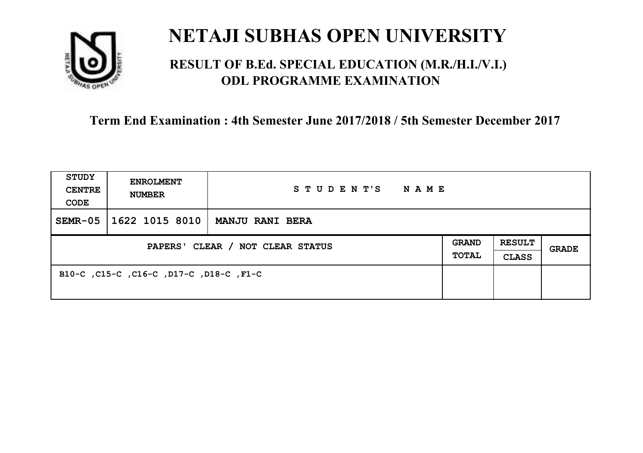

### **RESULT OF B.Ed. SPECIAL EDUCATION (M.R./H.I./V.I.) ODL PROGRAMME EXAMINATION**

| <b>STUDY</b><br><b>CENTRE</b><br>CODE | <b>ENROLMENT</b><br><b>NUMBER</b>       | STUDENT'S<br>NAME      |                       |                               |       |
|---------------------------------------|-----------------------------------------|------------------------|-----------------------|-------------------------------|-------|
| $SEMR-05$                             | 1622 1015 8010                          | <b>MANJU RANI BERA</b> |                       |                               |       |
| PAPERS' CLEAR / NOT CLEAR STATUS      |                                         |                        | <b>GRAND</b><br>TOTAL | <b>RESULT</b><br><b>CLASS</b> | GRADE |
|                                       | B10-C, C15-C, C16-C, D17-C, D18-C, F1-C |                        |                       |                               |       |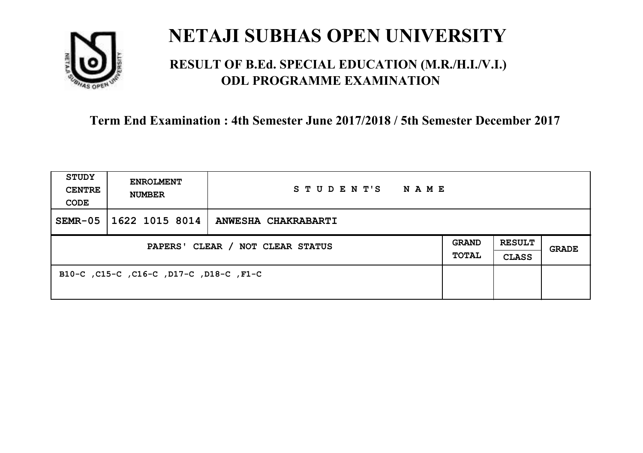

### **RESULT OF B.Ed. SPECIAL EDUCATION (M.R./H.I./V.I.) ODL PROGRAMME EXAMINATION**

| <b>STUDY</b><br><b>CENTRE</b><br>CODE | <b>ENROLMENT</b><br><b>NUMBER</b>       | STUDENT'S NAME      |  |                               |              |
|---------------------------------------|-----------------------------------------|---------------------|--|-------------------------------|--------------|
| $SEMR-05$                             | 1622 1015 8014                          | ANWESHA CHAKRABARTI |  |                               |              |
| PAPERS' CLEAR / NOT CLEAR STATUS      |                                         |                     |  | <b>RESULT</b><br><b>CLASS</b> | <b>GRADE</b> |
|                                       | B10-C, C15-C, C16-C, D17-C, D18-C, F1-C |                     |  |                               |              |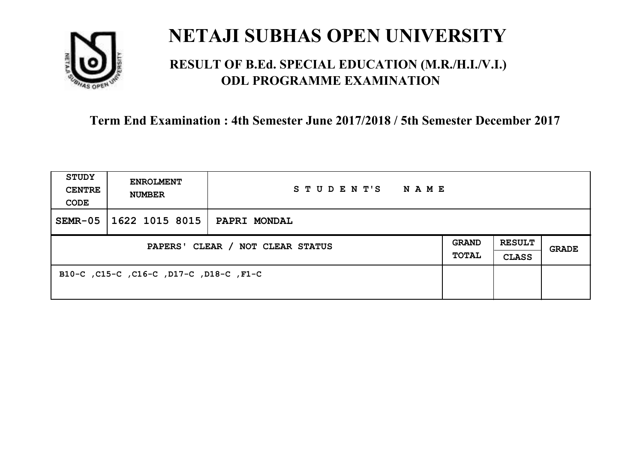

### **RESULT OF B.Ed. SPECIAL EDUCATION (M.R./H.I./V.I.) ODL PROGRAMME EXAMINATION**

| <b>STUDY</b><br><b>CENTRE</b><br>CODE | <b>ENROLMENT</b><br><b>NUMBER</b>       | STUDENT'S<br>NAME   |                       |                               |       |
|---------------------------------------|-----------------------------------------|---------------------|-----------------------|-------------------------------|-------|
| $SEMR-05$                             | 1622 1015 8015                          | <b>PAPRI MONDAL</b> |                       |                               |       |
| PAPERS' CLEAR / NOT CLEAR STATUS      |                                         |                     | <b>GRAND</b><br>TOTAL | <b>RESULT</b><br><b>CLASS</b> | GRADE |
|                                       | B10-C, C15-C, C16-C, D17-C, D18-C, F1-C |                     |                       |                               |       |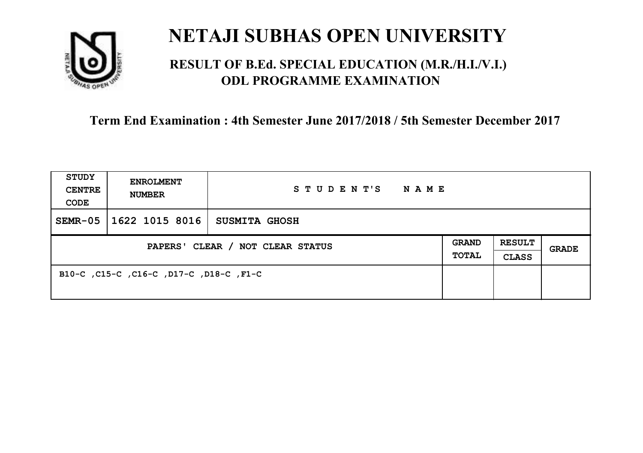

### **RESULT OF B.Ed. SPECIAL EDUCATION (M.R./H.I./V.I.) ODL PROGRAMME EXAMINATION**

| <b>STUDY</b><br><b>CENTRE</b><br>CODE | <b>ENROLMENT</b><br><b>NUMBER</b>       | STUDENT'S<br>NAME    |                       |                               |       |
|---------------------------------------|-----------------------------------------|----------------------|-----------------------|-------------------------------|-------|
| $SEMR-05$                             | 1622 1015 8016                          | <b>SUSMITA GHOSH</b> |                       |                               |       |
| PAPERS' CLEAR / NOT CLEAR STATUS      |                                         |                      | <b>GRAND</b><br>TOTAL | <b>RESULT</b><br><b>CLASS</b> | GRADE |
|                                       | B10-C, C15-C, C16-C, D17-C, D18-C, F1-C |                      |                       |                               |       |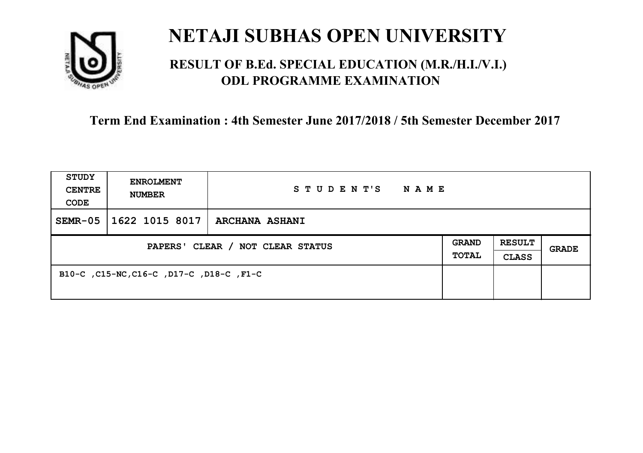

### **RESULT OF B.Ed. SPECIAL EDUCATION (M.R./H.I./V.I.) ODL PROGRAMME EXAMINATION**

| <b>STUDY</b><br><b>CENTRE</b><br>CODE | <b>ENROLMENT</b><br><b>NUMBER</b>        | STUDENT'S<br><b>NAME</b> |                              |                               |       |
|---------------------------------------|------------------------------------------|--------------------------|------------------------------|-------------------------------|-------|
| $SEMR-05$                             | 1622 1015 8017                           | <b>ARCHANA ASHANI</b>    |                              |                               |       |
| PAPERS' CLEAR / NOT CLEAR STATUS      |                                          |                          | <b>GRAND</b><br><b>TOTAL</b> | <b>RESULT</b><br><b>CLASS</b> | GRADE |
|                                       | B10-C, C15-NC, C16-C, D17-C, D18-C, F1-C |                          |                              |                               |       |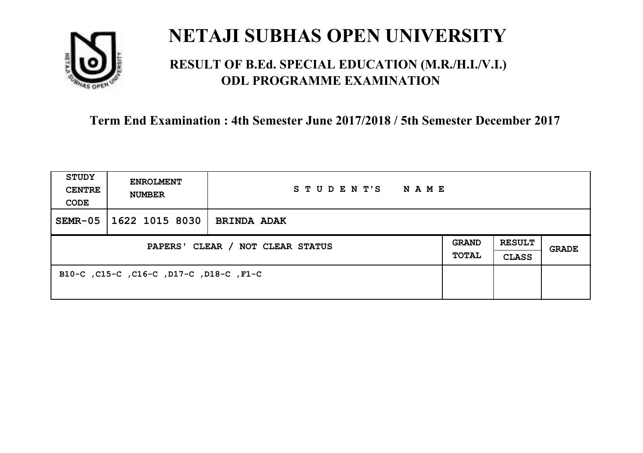

### **RESULT OF B.Ed. SPECIAL EDUCATION (M.R./H.I./V.I.) ODL PROGRAMME EXAMINATION**

| <b>STUDY</b><br><b>CENTRE</b><br>CODE | <b>ENROLMENT</b><br><b>NUMBER</b>       | STUDENT'S<br><b>NAME</b> |                              |                        |       |
|---------------------------------------|-----------------------------------------|--------------------------|------------------------------|------------------------|-------|
| $SEMR-05$                             | 1622 1015 8030                          | <b>BRINDA ADAK</b>       |                              |                        |       |
| PAPERS' CLEAR / NOT CLEAR STATUS      |                                         |                          | <b>GRAND</b><br><b>TOTAL</b> | <b>RESULT</b><br>CLASS | GRADE |
|                                       | B10-C, C15-C, C16-C, D17-C, D18-C, F1-C |                          |                              |                        |       |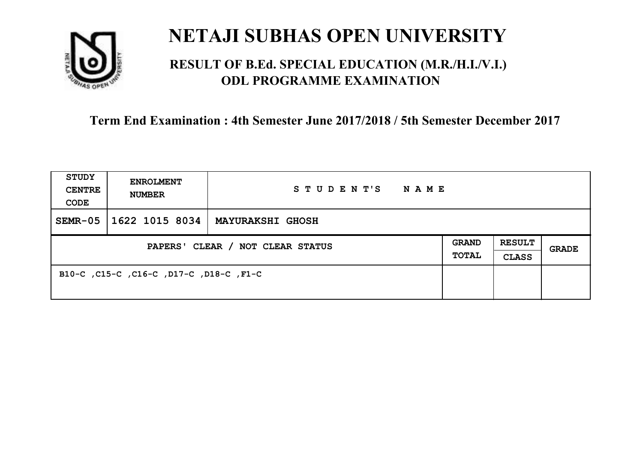

### **RESULT OF B.Ed. SPECIAL EDUCATION (M.R./H.I./V.I.) ODL PROGRAMME EXAMINATION**

| <b>STUDY</b><br><b>CENTRE</b><br>CODE | <b>ENROLMENT</b><br><b>NUMBER</b>       | STUDENT'S<br>NAME       |                       |                               |       |
|---------------------------------------|-----------------------------------------|-------------------------|-----------------------|-------------------------------|-------|
| $SEMR-05$                             | 1622 1015 8034                          | <b>MAYURAKSHI GHOSH</b> |                       |                               |       |
| PAPERS' CLEAR / NOT CLEAR STATUS      |                                         |                         | GRAND<br><b>TOTAL</b> | <b>RESULT</b><br><b>CLASS</b> | GRADE |
|                                       | B10-C, C15-C, C16-C, D17-C, D18-C, F1-C |                         |                       |                               |       |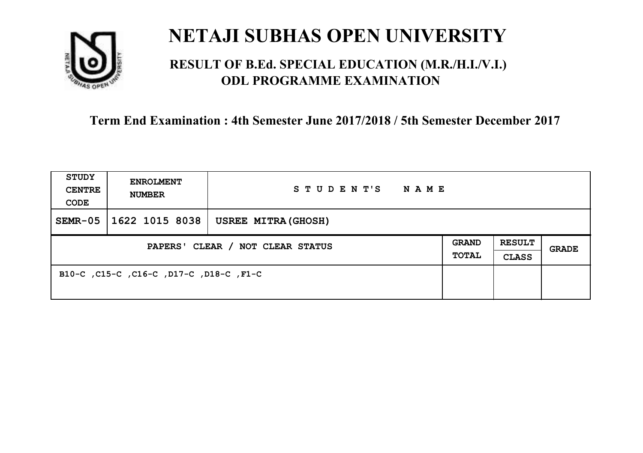

### **RESULT OF B.Ed. SPECIAL EDUCATION (M.R./H.I./V.I.) ODL PROGRAMME EXAMINATION**

| <b>STUDY</b><br><b>CENTRE</b><br>CODE | <b>ENROLMENT</b><br><b>NUMBER</b>       | STUDENT'S<br><b>NAME</b> |                              |                               |       |
|---------------------------------------|-----------------------------------------|--------------------------|------------------------------|-------------------------------|-------|
| $SEMR-05$                             | 1622 1015 8038                          | USREE MITRA (GHOSH)      |                              |                               |       |
| PAPERS' CLEAR / NOT CLEAR STATUS      |                                         |                          | <b>GRAND</b><br><b>TOTAL</b> | <b>RESULT</b><br><b>CLASS</b> | GRADE |
|                                       | B10-C, C15-C, C16-C, D17-C, D18-C, F1-C |                          |                              |                               |       |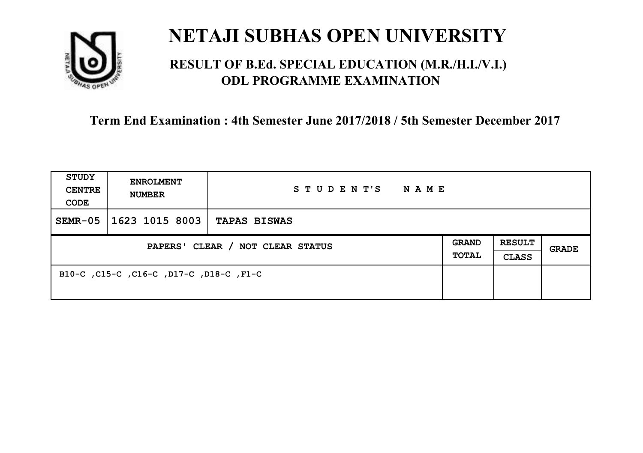

### **RESULT OF B.Ed. SPECIAL EDUCATION (M.R./H.I./V.I.) ODL PROGRAMME EXAMINATION**

| <b>STUDY</b><br><b>CENTRE</b><br>CODE | <b>ENROLMENT</b><br><b>NUMBER</b>       | STUDENT'S<br>NAME   |                       |                               |       |
|---------------------------------------|-----------------------------------------|---------------------|-----------------------|-------------------------------|-------|
| $SEMR-05$                             | 1623 1015 8003                          | <b>TAPAS BISWAS</b> |                       |                               |       |
| PAPERS' CLEAR / NOT CLEAR STATUS      |                                         |                     | <b>GRAND</b><br>TOTAL | <b>RESULT</b><br><b>CLASS</b> | GRADE |
|                                       | B10-C, C15-C, C16-C, D17-C, D18-C, F1-C |                     |                       |                               |       |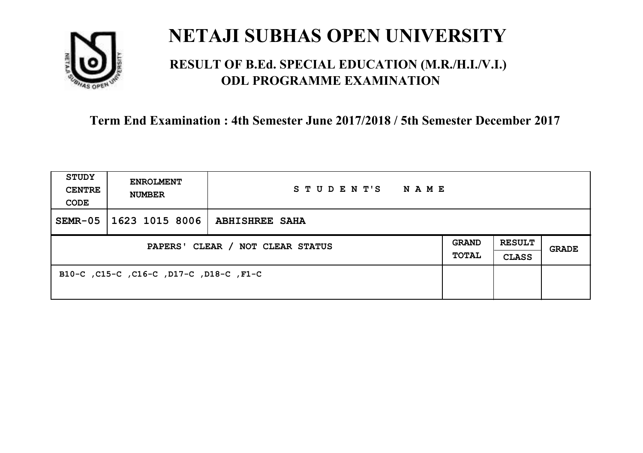

### **RESULT OF B.Ed. SPECIAL EDUCATION (M.R./H.I./V.I.) ODL PROGRAMME EXAMINATION**

| <b>STUDY</b><br><b>CENTRE</b><br>CODE | <b>ENROLMENT</b><br><b>NUMBER</b>       | STUDENT'S<br>NAME     |                              |                               |       |
|---------------------------------------|-----------------------------------------|-----------------------|------------------------------|-------------------------------|-------|
| $SEMR-05$                             | 1623 1015 8006                          | <b>ABHISHREE SAHA</b> |                              |                               |       |
| PAPERS' CLEAR / NOT CLEAR STATUS      |                                         |                       | <b>GRAND</b><br><b>TOTAL</b> | <b>RESULT</b><br><b>CLASS</b> | GRADE |
|                                       | B10-C, C15-C, C16-C, D17-C, D18-C, F1-C |                       |                              |                               |       |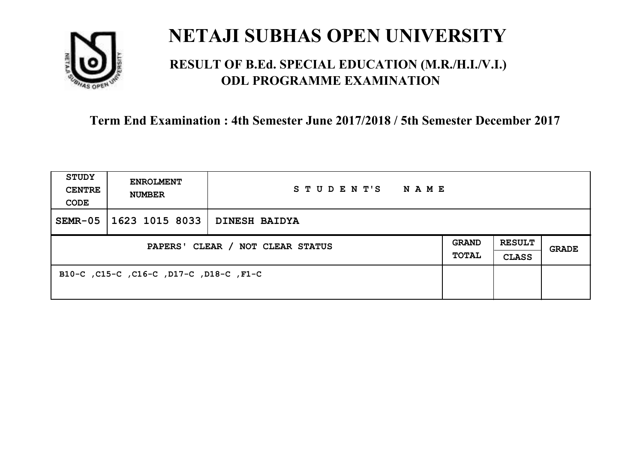

### **RESULT OF B.Ed. SPECIAL EDUCATION (M.R./H.I./V.I.) ODL PROGRAMME EXAMINATION**

| <b>STUDY</b><br><b>CENTRE</b><br>CODE | <b>ENROLMENT</b><br><b>NUMBER</b>       | STUDENT'S<br>NAME    |                       |                               |       |
|---------------------------------------|-----------------------------------------|----------------------|-----------------------|-------------------------------|-------|
| $SEMR-05$                             | 1623 1015 8033                          | <b>DINESH BAIDYA</b> |                       |                               |       |
| PAPERS' CLEAR / NOT CLEAR STATUS      |                                         |                      | <b>GRAND</b><br>TOTAL | <b>RESULT</b><br><b>CLASS</b> | GRADE |
|                                       | B10-C, C15-C, C16-C, D17-C, D18-C, F1-C |                      |                       |                               |       |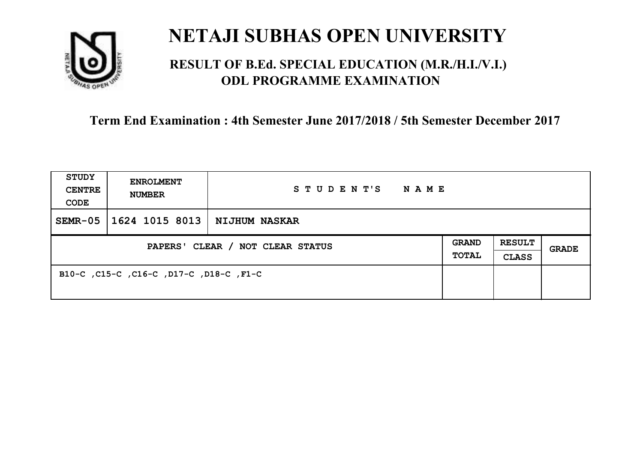

### **RESULT OF B.Ed. SPECIAL EDUCATION (M.R./H.I./V.I.) ODL PROGRAMME EXAMINATION**

| <b>STUDY</b><br><b>CENTRE</b><br>CODE | <b>ENROLMENT</b><br><b>NUMBER</b>       | STUDENT'S<br>NAME |                       |                               |       |
|---------------------------------------|-----------------------------------------|-------------------|-----------------------|-------------------------------|-------|
| $SEMR-05$                             | 1624 1015 8013                          | NIJHUM NASKAR     |                       |                               |       |
| PAPERS' CLEAR / NOT CLEAR STATUS      |                                         |                   | <b>GRAND</b><br>TOTAL | <b>RESULT</b><br><b>CLASS</b> | GRADE |
|                                       | B10-C, C15-C, C16-C, D17-C, D18-C, F1-C |                   |                       |                               |       |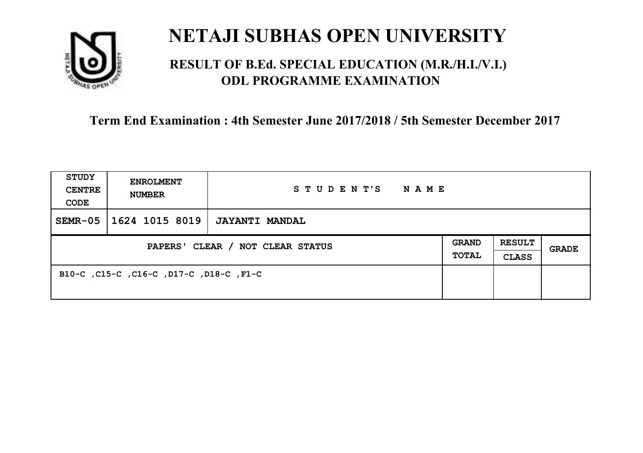

### **RESULT OF B.Ed. SPECIAL EDUCATION (M.R./H.I./V.I.) ODL PROGRAMME EXAMINATION**

| <b>STUDY</b><br><b>CENTRE</b><br>CODE | <b>ENROLMENT</b><br><b>NUMBER</b>       | STUDENT'S<br>NAME     |                       |                               |       |
|---------------------------------------|-----------------------------------------|-----------------------|-----------------------|-------------------------------|-------|
| $SEMR-05$                             | 1624 1015 8019                          | <b>JAYANTI MANDAL</b> |                       |                               |       |
| PAPERS' CLEAR / NOT CLEAR STATUS      |                                         |                       | <b>GRAND</b><br>TOTAL | <b>RESULT</b><br><b>CLASS</b> | GRADE |
|                                       | B10-C, C15-C, C16-C, D17-C, D18-C, F1-C |                       |                       |                               |       |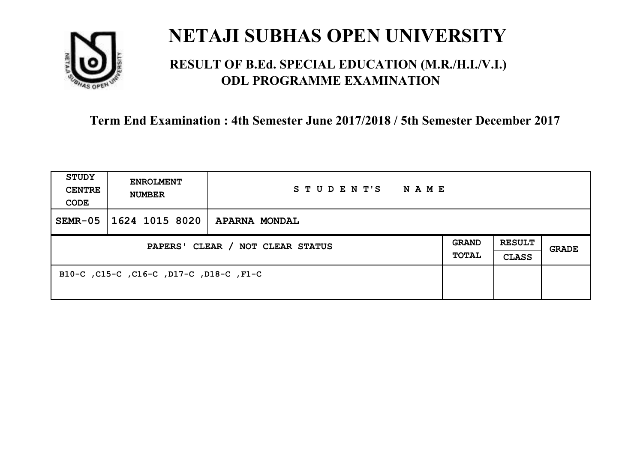

### **RESULT OF B.Ed. SPECIAL EDUCATION (M.R./H.I./V.I.) ODL PROGRAMME EXAMINATION**

| <b>STUDY</b><br><b>CENTRE</b><br>CODE | <b>ENROLMENT</b><br><b>NUMBER</b>       | STUDENT'S<br>NAME    |                              |                               |       |
|---------------------------------------|-----------------------------------------|----------------------|------------------------------|-------------------------------|-------|
| $SEMR-05$                             | 1624 1015 8020                          | <b>APARNA MONDAL</b> |                              |                               |       |
| PAPERS' CLEAR / NOT CLEAR STATUS      |                                         |                      | <b>GRAND</b><br><b>TOTAL</b> | <b>RESULT</b><br><b>CLASS</b> | GRADE |
|                                       | B10-C, C15-C, C16-C, D17-C, D18-C, F1-C |                      |                              |                               |       |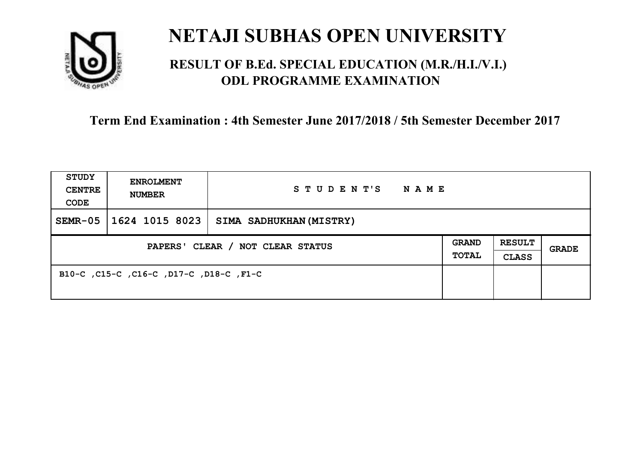

### **RESULT OF B.Ed. SPECIAL EDUCATION (M.R./H.I./V.I.) ODL PROGRAMME EXAMINATION**

| <b>STUDY</b><br><b>CENTRE</b><br>CODE | <b>ENROLMENT</b><br><b>NUMBER</b>       | STUDENT'S<br><b>NAME</b> |  |                               |       |
|---------------------------------------|-----------------------------------------|--------------------------|--|-------------------------------|-------|
| $SEMR-05$                             | 1624 1015 8023                          | SIMA SADHUKHAN (MISTRY)  |  |                               |       |
| PAPERS' CLEAR / NOT CLEAR STATUS      |                                         |                          |  | <b>RESULT</b><br><b>CLASS</b> | GRADE |
|                                       | B10-C, C15-C, C16-C, D17-C, D18-C, F1-C |                          |  |                               |       |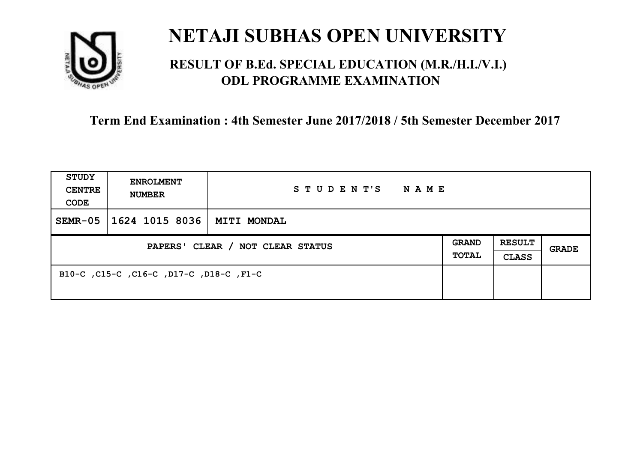

### **RESULT OF B.Ed. SPECIAL EDUCATION (M.R./H.I./V.I.) ODL PROGRAMME EXAMINATION**

| <b>STUDY</b><br><b>CENTRE</b><br>CODE | <b>ENROLMENT</b><br><b>NUMBER</b>       | STUDENT'S<br>NAME  |                              |                               |       |
|---------------------------------------|-----------------------------------------|--------------------|------------------------------|-------------------------------|-------|
| $SEMR-05$                             | 1624 1015 8036                          | <b>MITI MONDAL</b> |                              |                               |       |
| PAPERS' CLEAR / NOT CLEAR STATUS      |                                         |                    | <b>GRAND</b><br><b>TOTAL</b> | <b>RESULT</b><br><b>CLASS</b> | GRADE |
|                                       | B10-C, C15-C, C16-C, D17-C, D18-C, F1-C |                    |                              |                               |       |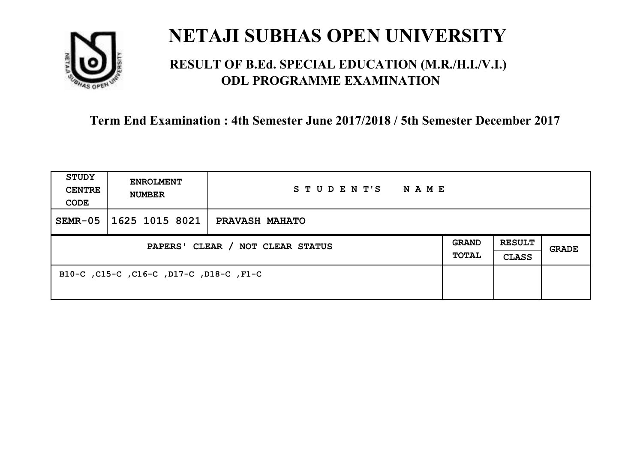

### **RESULT OF B.Ed. SPECIAL EDUCATION (M.R./H.I./V.I.) ODL PROGRAMME EXAMINATION**

| <b>STUDY</b><br><b>CENTRE</b><br>CODE | <b>ENROLMENT</b><br><b>NUMBER</b>       | STUDENT'S NAME        |  |                               |              |
|---------------------------------------|-----------------------------------------|-----------------------|--|-------------------------------|--------------|
| $SEMR-05$                             | 1625 1015 8021                          | <b>PRAVASH MAHATO</b> |  |                               |              |
| PAPERS' CLEAR / NOT CLEAR STATUS      |                                         |                       |  | <b>RESULT</b><br><b>CLASS</b> | <b>GRADE</b> |
|                                       | B10-C, C15-C, C16-C, D17-C, D18-C, F1-C |                       |  |                               |              |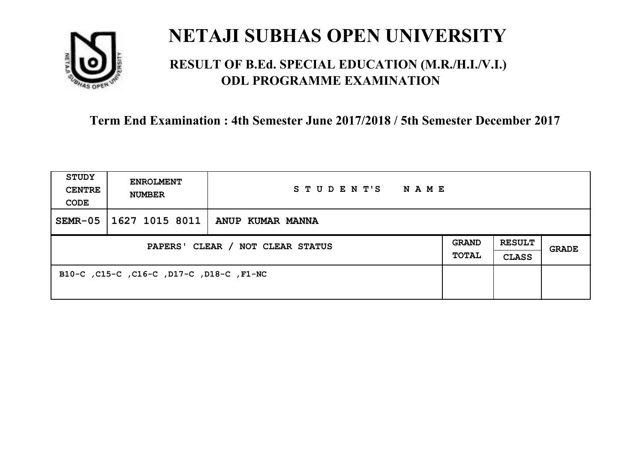

### **RESULT OF B.Ed. SPECIAL EDUCATION (M.R./H.I./V.I.) ODL PROGRAMME EXAMINATION**

| <b>STUDY</b><br><b>CENTRE</b><br>CODE | <b>ENROLMENT</b><br><b>NUMBER</b>        | STUDENT'S<br><b>NAME</b>          |  |                               |              |
|---------------------------------------|------------------------------------------|-----------------------------------|--|-------------------------------|--------------|
| $SEMR-05$                             |                                          | 1627 1015 8011   ANUP KUMAR MANNA |  |                               |              |
| PAPERS' CLEAR / NOT CLEAR STATUS      |                                          |                                   |  | <b>RESULT</b><br><b>CLASS</b> | <b>GRADE</b> |
|                                       | B10-C, C15-C, C16-C, D17-C, D18-C, F1-NC |                                   |  |                               |              |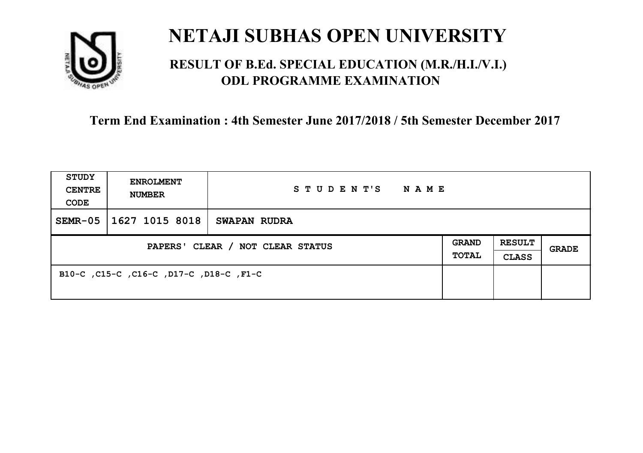

### **RESULT OF B.Ed. SPECIAL EDUCATION (M.R./H.I./V.I.) ODL PROGRAMME EXAMINATION**

| <b>STUDY</b><br><b>CENTRE</b><br>CODE | <b>ENROLMENT</b><br><b>NUMBER</b>       | STUDENT'S<br>NAME   |                              |                               |       |
|---------------------------------------|-----------------------------------------|---------------------|------------------------------|-------------------------------|-------|
| $SEMR-05$                             | 1627 1015 8018                          | <b>SWAPAN RUDRA</b> |                              |                               |       |
| PAPERS' CLEAR / NOT CLEAR STATUS      |                                         |                     | <b>GRAND</b><br><b>TOTAL</b> | <b>RESULT</b><br><b>CLASS</b> | GRADE |
|                                       | B10-C, C15-C, C16-C, D17-C, D18-C, F1-C |                     |                              |                               |       |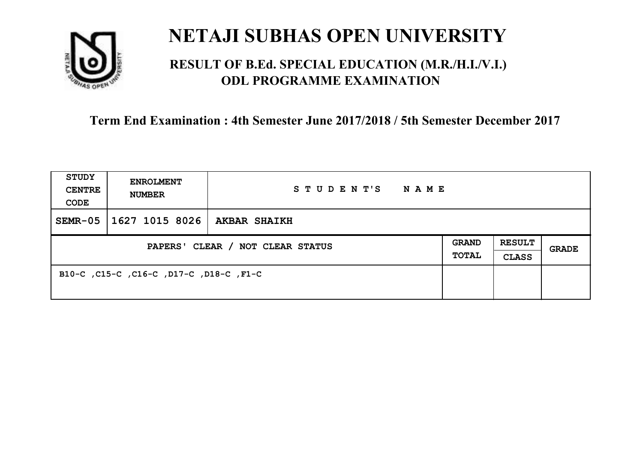

### **RESULT OF B.Ed. SPECIAL EDUCATION (M.R./H.I./V.I.) ODL PROGRAMME EXAMINATION**

| <b>STUDY</b><br><b>CENTRE</b><br>CODE | <b>ENROLMENT</b><br><b>NUMBER</b>       | STUDENT'S<br>NAME   |                              |                               |       |
|---------------------------------------|-----------------------------------------|---------------------|------------------------------|-------------------------------|-------|
| $SEMR-05$                             | 1627 1015 8026                          | <b>AKBAR SHAIKH</b> |                              |                               |       |
| PAPERS' CLEAR / NOT CLEAR STATUS      |                                         |                     | <b>GRAND</b><br><b>TOTAL</b> | <b>RESULT</b><br><b>CLASS</b> | GRADE |
|                                       | B10-C, C15-C, C16-C, D17-C, D18-C, F1-C |                     |                              |                               |       |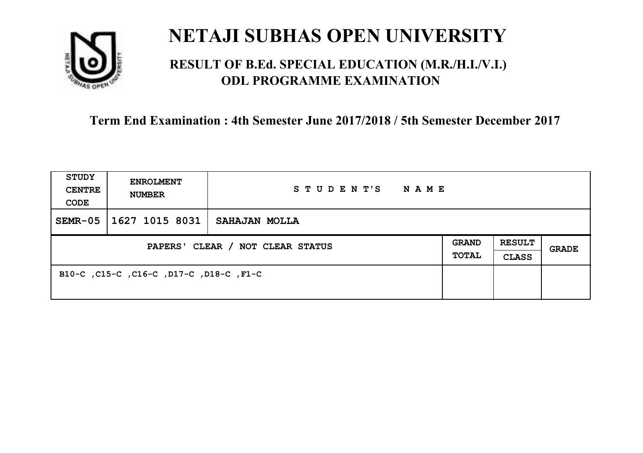

### **RESULT OF B.Ed. SPECIAL EDUCATION (M.R./H.I./V.I.) ODL PROGRAMME EXAMINATION**

| <b>STUDY</b><br><b>CENTRE</b><br>CODE | <b>ENROLMENT</b><br><b>NUMBER</b>       | STUDENT'S<br>NAME |                              |                               |       |
|---------------------------------------|-----------------------------------------|-------------------|------------------------------|-------------------------------|-------|
| $SEMR-05$                             | 1627 1015 8031                          | SAHAJAN MOLLA     |                              |                               |       |
| PAPERS' CLEAR / NOT CLEAR STATUS      |                                         |                   | <b>GRAND</b><br><b>TOTAL</b> | <b>RESULT</b><br><b>CLASS</b> | GRADE |
|                                       | B10-C, C15-C, C16-C, D17-C, D18-C, F1-C |                   |                              |                               |       |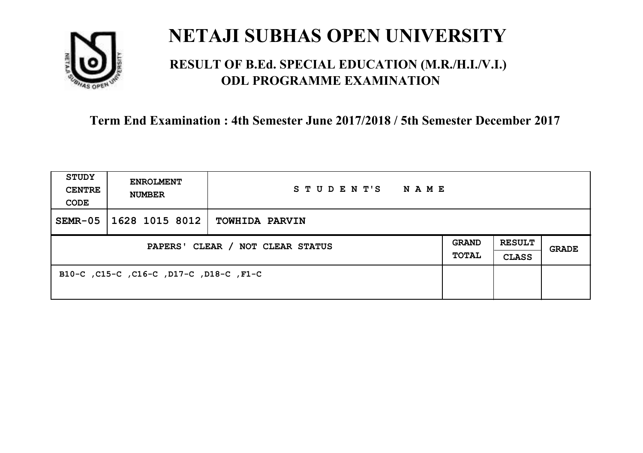

### **RESULT OF B.Ed. SPECIAL EDUCATION (M.R./H.I./V.I.) ODL PROGRAMME EXAMINATION**

| <b>STUDY</b><br><b>CENTRE</b><br>CODE | <b>ENROLMENT</b><br><b>NUMBER</b>       | STUDENT'S<br>NAME     |                       |                               |       |
|---------------------------------------|-----------------------------------------|-----------------------|-----------------------|-------------------------------|-------|
| $SEMR-05$                             | 1628 1015 8012                          | <b>TOWHIDA PARVIN</b> |                       |                               |       |
| PAPERS' CLEAR / NOT CLEAR STATUS      |                                         |                       | <b>GRAND</b><br>TOTAL | <b>RESULT</b><br><b>CLASS</b> | GRADE |
|                                       | B10-C, C15-C, C16-C, D17-C, D18-C, F1-C |                       |                       |                               |       |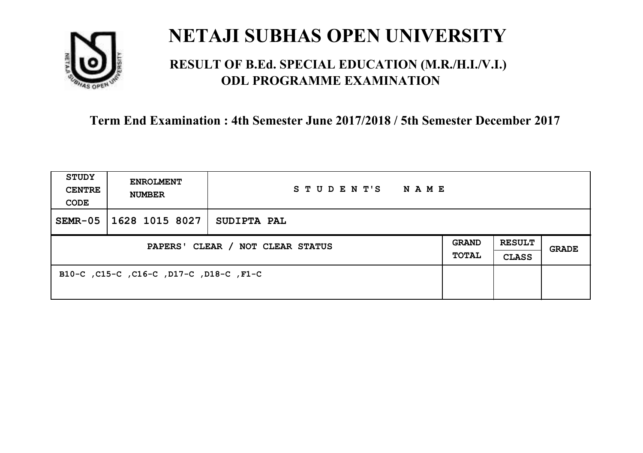

### **RESULT OF B.Ed. SPECIAL EDUCATION (M.R./H.I./V.I.) ODL PROGRAMME EXAMINATION**

| <b>STUDY</b><br><b>CENTRE</b><br>CODE | <b>ENROLMENT</b><br><b>NUMBER</b>       | STUDENT'S<br>NAME |  |                               |       |
|---------------------------------------|-----------------------------------------|-------------------|--|-------------------------------|-------|
| $SEMR-05$                             | 1628 1015 8027                          | SUDIPTA PAL       |  |                               |       |
| PAPERS' CLEAR / NOT CLEAR STATUS      |                                         |                   |  | <b>RESULT</b><br><b>CLASS</b> | GRADE |
|                                       | B10-C, C15-C, C16-C, D17-C, D18-C, F1-C |                   |  |                               |       |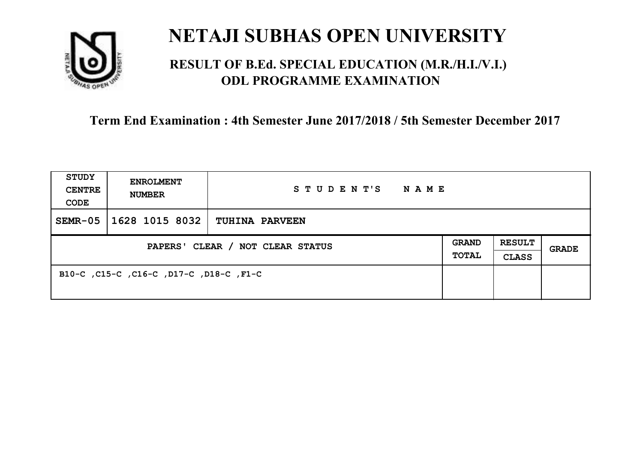

### **RESULT OF B.Ed. SPECIAL EDUCATION (M.R./H.I./V.I.) ODL PROGRAMME EXAMINATION**

| <b>STUDY</b><br><b>CENTRE</b><br>CODE | <b>ENROLMENT</b><br><b>NUMBER</b>       | STUDENT'S NAME        |                       |                               |              |
|---------------------------------------|-----------------------------------------|-----------------------|-----------------------|-------------------------------|--------------|
| $SEMR-05$                             | 1628 1015 8032                          | <b>TUHINA PARVEEN</b> |                       |                               |              |
| PAPERS' CLEAR / NOT CLEAR STATUS      |                                         |                       | GRAND<br><b>TOTAL</b> | <b>RESULT</b><br><b>CLASS</b> | <b>GRADE</b> |
|                                       | B10-C, C15-C, C16-C, D17-C, D18-C, F1-C |                       |                       |                               |              |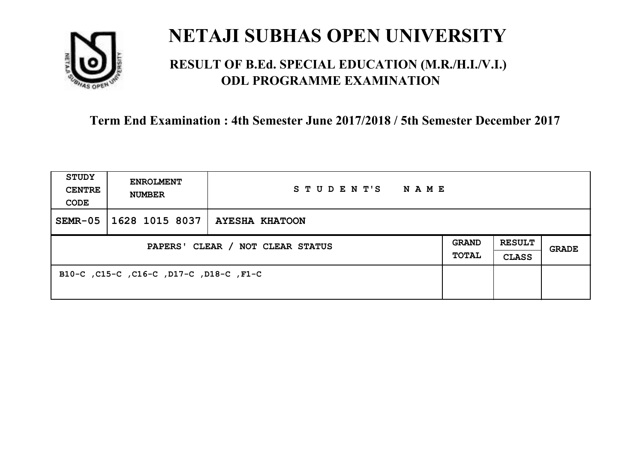

### **RESULT OF B.Ed. SPECIAL EDUCATION (M.R./H.I./V.I.) ODL PROGRAMME EXAMINATION**

| <b>STUDY</b><br><b>CENTRE</b><br>CODE | <b>ENROLMENT</b><br><b>NUMBER</b>       | STUDENT'S<br>NAME     |                       |                               |       |
|---------------------------------------|-----------------------------------------|-----------------------|-----------------------|-------------------------------|-------|
| $SEMR-05$                             | 1628 1015 8037                          | <b>AYESHA KHATOON</b> |                       |                               |       |
| PAPERS' CLEAR / NOT CLEAR STATUS      |                                         |                       | <b>GRAND</b><br>TOTAL | <b>RESULT</b><br><b>CLASS</b> | GRADE |
|                                       | B10-C, C15-C, C16-C, D17-C, D18-C, F1-C |                       |                       |                               |       |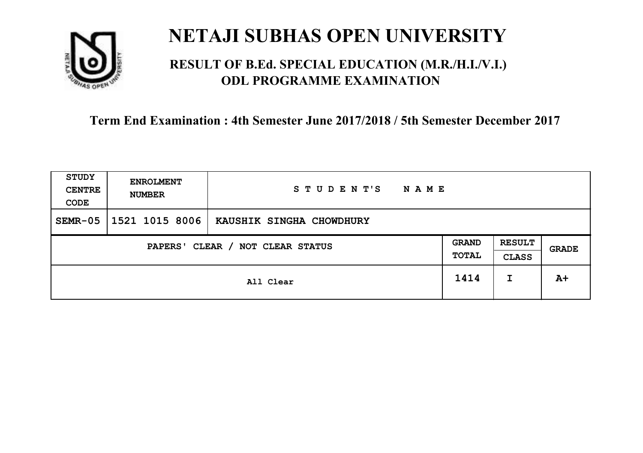

### **RESULT OF B.Ed. SPECIAL EDUCATION (M.R./H.I./V.I.) ODL PROGRAMME EXAMINATION**

| <b>STUDY</b><br><b>CENTRE</b><br>CODE | <b>ENROLMENT</b><br><b>NUMBER</b>   | STUDENT'S<br><b>NAME</b> |      |                               |              |
|---------------------------------------|-------------------------------------|--------------------------|------|-------------------------------|--------------|
| $SEMR-05$                             | 1521 1015 8006                      | KAUSHIK SINGHA CHOWDHURY |      |                               |              |
|                                       | CLEAR / NOT CLEAR STATUS<br>PAPERS' |                          |      | <b>RESULT</b><br><b>CLASS</b> | <b>GRADE</b> |
|                                       |                                     | All Clear                | 1414 | I                             | $A+$         |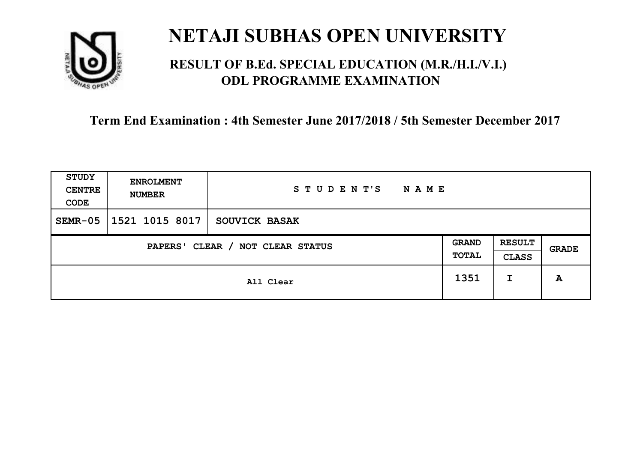

### **RESULT OF B.Ed. SPECIAL EDUCATION (M.R./H.I./V.I.) ODL PROGRAMME EXAMINATION**

| <b>STUDY</b><br><b>CENTRE</b><br>CODE | <b>ENROLMENT</b><br><b>NUMBER</b>   | STUDENT'S<br><b>NAME</b> |      |   |       |
|---------------------------------------|-------------------------------------|--------------------------|------|---|-------|
| $SEMR-05$                             | 1521 1015 8017                      | <b>SOUVICK BASAK</b>     |      |   |       |
|                                       | CLEAR / NOT CLEAR STATUS<br>PAPERS' |                          |      |   | GRADE |
|                                       |                                     | All Clear                | 1351 | I | A     |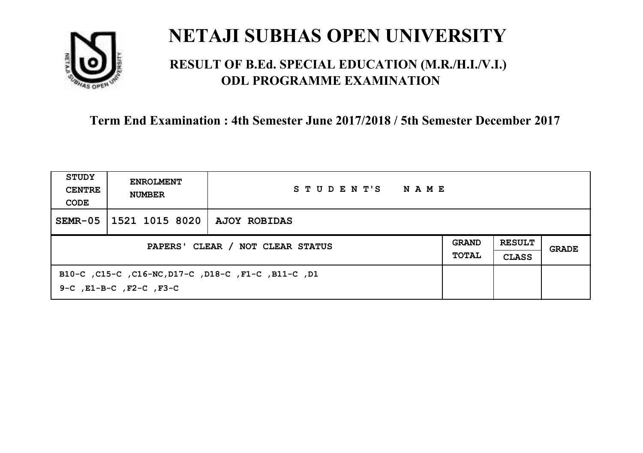

### **RESULT OF B.Ed. SPECIAL EDUCATION (M.R./H.I./V.I.) ODL PROGRAMME EXAMINATION**

| STUDY<br><b>CENTRE</b><br>CODE | <b>ENROLMENT</b><br><b>NUMBER</b>  | STUDENT'S<br>NAME                                   |  |  |       |
|--------------------------------|------------------------------------|-----------------------------------------------------|--|--|-------|
| $SEMR-05$                      | 1521 1015 8020   AJOY ROBIDAS      |                                                     |  |  |       |
|                                | PAPERS' CLEAR / NOT CLEAR STATUS   |                                                     |  |  | GRADE |
|                                | $9-C$ , $E1-B-C$ , $F2-C$ , $F3-C$ | B10-C, C15-C, C16-NC, D17-C, D18-C, F1-C, B11-C, D1 |  |  |       |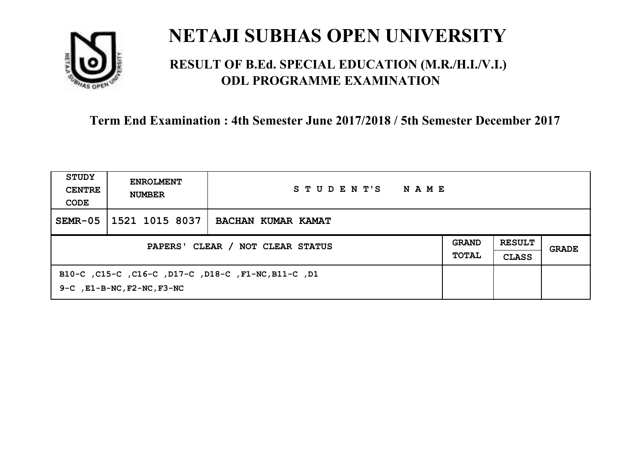

### **RESULT OF B.Ed. SPECIAL EDUCATION (M.R./H.I./V.I.) ODL PROGRAMME EXAMINATION**

| STUDY<br><b>CENTRE</b><br>CODE | <b>ENROLMENT</b><br><b>NUMBER</b>     | STUDENT'S<br>NAME                                   |  |  |       |
|--------------------------------|---------------------------------------|-----------------------------------------------------|--|--|-------|
| $SEMR-05$                      | 1521 1015 8037                        | BACHAN KUMAR KAMAT                                  |  |  |       |
|                                | PAPERS' CLEAR / NOT CLEAR STATUS      |                                                     |  |  | GRADE |
|                                | $9-C$ , $E1-B-NC$ , $F2-NC$ , $F3-NC$ | B10-C, C15-C, C16-C, D17-C, D18-C, F1-NC, B11-C, D1 |  |  |       |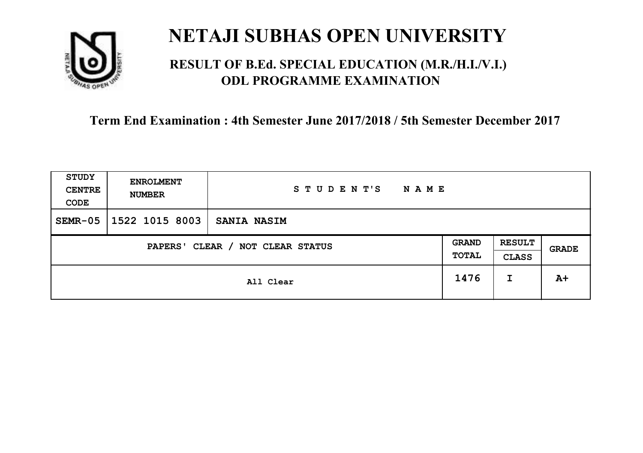

### **RESULT OF B.Ed. SPECIAL EDUCATION (M.R./H.I./V.I.) ODL PROGRAMME EXAMINATION**

| <b>STUDY</b><br><b>CENTRE</b><br>CODE | <b>ENROLMENT</b><br><b>NUMBER</b>          | STUDENT'S<br><b>NAME</b> |      |                               |              |
|---------------------------------------|--------------------------------------------|--------------------------|------|-------------------------------|--------------|
| $SEMR-05$                             | 1522 1015 8003                             | <b>SANIA NASIM</b>       |      |                               |              |
|                                       | CLEAR / NOT CLEAR STATUS<br><b>PAPERS'</b> |                          |      | <b>RESULT</b><br><b>CLASS</b> | <b>GRADE</b> |
|                                       |                                            | All Clear                | 1476 | I                             | $A+$         |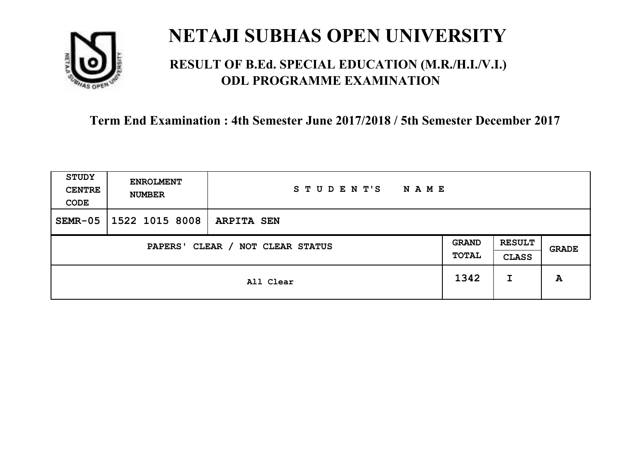

### **RESULT OF B.Ed. SPECIAL EDUCATION (M.R./H.I./V.I.) ODL PROGRAMME EXAMINATION**

| <b>STUDY</b><br><b>CENTRE</b><br>CODE | <b>ENROLMENT</b><br><b>NUMBER</b> | STUDENT'S<br><b>NAME</b> |      |                               |       |
|---------------------------------------|-----------------------------------|--------------------------|------|-------------------------------|-------|
| $SEMR-05$                             | 1522 1015 8008                    | <b>ARPITA SEN</b>        |      |                               |       |
| CLEAR / NOT CLEAR STATUS<br>PAPERS'   |                                   |                          |      | <b>RESULT</b><br><b>CLASS</b> | GRADE |
|                                       |                                   | All Clear                | 1342 | I                             | A     |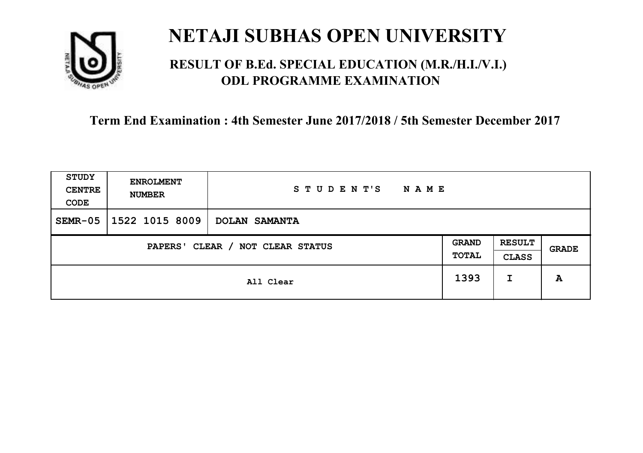

### **RESULT OF B.Ed. SPECIAL EDUCATION (M.R./H.I./V.I.) ODL PROGRAMME EXAMINATION**

| <b>STUDY</b><br><b>CENTRE</b><br>CODE | <b>ENROLMENT</b><br><b>NUMBER</b>   | STUDENT'S<br><b>NAME</b> |      |                               |              |
|---------------------------------------|-------------------------------------|--------------------------|------|-------------------------------|--------------|
| $SEMR-05$                             | 1522 1015 8009                      | DOLAN SAMANTA            |      |                               |              |
|                                       | CLEAR / NOT CLEAR STATUS<br>PAPERS' |                          |      | <b>RESULT</b><br><b>CLASS</b> | <b>GRADE</b> |
|                                       |                                     | All Clear                | 1393 | I                             | A            |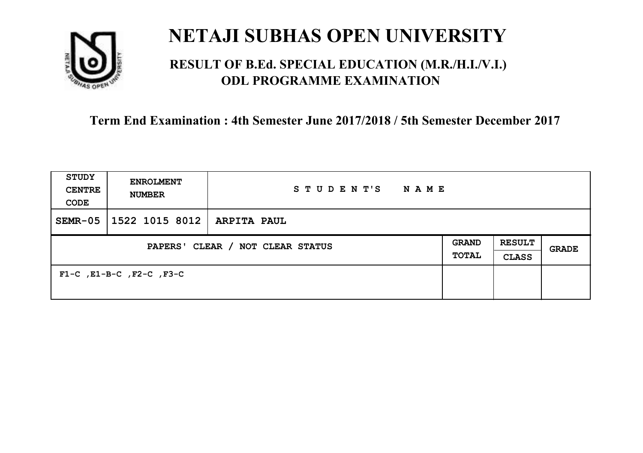

### **RESULT OF B.Ed. SPECIAL EDUCATION (M.R./H.I./V.I.) ODL PROGRAMME EXAMINATION**

| <b>STUDY</b><br><b>CENTRE</b><br>CODE | <b>ENROLMENT</b><br><b>NUMBER</b>   | STUDENT'S<br><b>NAME</b> |  |                               |              |
|---------------------------------------|-------------------------------------|--------------------------|--|-------------------------------|--------------|
| $SEMR-05$                             | 1522 1015 8012                      | <b>ARPITA PAUL</b>       |  |                               |              |
| PAPERS' CLEAR / NOT CLEAR STATUS      |                                     |                          |  | <b>RESULT</b><br><b>CLASS</b> | <b>GRADE</b> |
|                                       | $F1-C$ , $E1-B-C$ , $F2-C$ , $F3-C$ |                          |  |                               |              |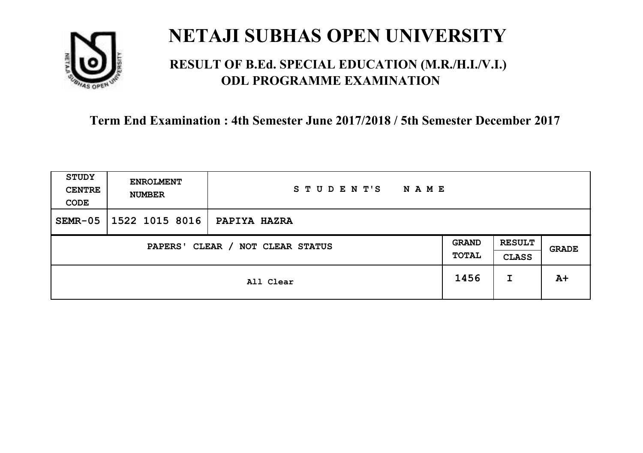

### **RESULT OF B.Ed. SPECIAL EDUCATION (M.R./H.I./V.I.) ODL PROGRAMME EXAMINATION**

| <b>STUDY</b><br><b>CENTRE</b><br>CODE                        | <b>ENROLMENT</b><br><b>NUMBER</b> | STUDENT'S<br><b>NAME</b> |      |                               |       |
|--------------------------------------------------------------|-----------------------------------|--------------------------|------|-------------------------------|-------|
| $SEMR-05$                                                    | 1522 1015 8016                    | <b>PAPIYA HAZRA</b>      |      |                               |       |
| <b>GRAND</b><br>CLEAR / NOT CLEAR STATUS<br>PAPERS'<br>TOTAL |                                   |                          |      | <b>RESULT</b><br><b>CLASS</b> | GRADE |
|                                                              |                                   | All Clear                | 1456 | I                             | $A+$  |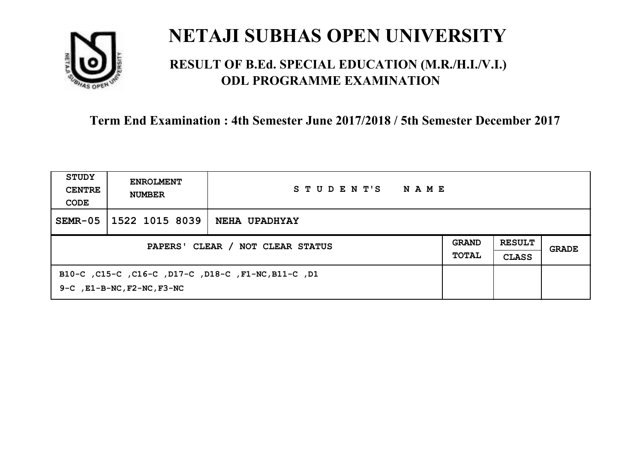

### **RESULT OF B.Ed. SPECIAL EDUCATION (M.R./H.I./V.I.) ODL PROGRAMME EXAMINATION**

| STUDY<br><b>CENTRE</b><br>CODE | <b>ENROLMENT</b><br><b>NUMBER</b>     | STUDENT'S<br>NAME                                   |  |  |       |
|--------------------------------|---------------------------------------|-----------------------------------------------------|--|--|-------|
| $SEMR-05$                      | 1522 1015 8039                        | <b>NEHA UPADHYAY</b>                                |  |  |       |
|                                | PAPERS' CLEAR / NOT CLEAR STATUS      |                                                     |  |  | GRADE |
|                                | $9-C$ , $E1-B-NC$ , $F2-NC$ , $F3-NC$ | B10-C, C15-C, C16-C, D17-C, D18-C, F1-NC, B11-C, D1 |  |  |       |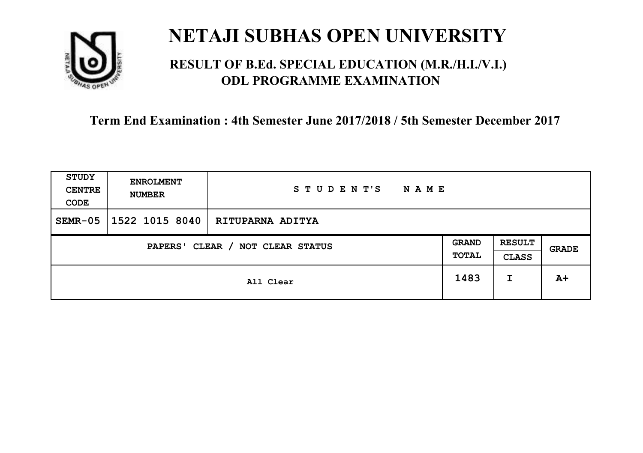

### **RESULT OF B.Ed. SPECIAL EDUCATION (M.R./H.I./V.I.) ODL PROGRAMME EXAMINATION**

| <b>STUDY</b><br><b>CENTRE</b><br>CODE | <b>ENROLMENT</b><br><b>NUMBER</b>   | STUDENT'S<br><b>NAME</b> |      |                               |       |
|---------------------------------------|-------------------------------------|--------------------------|------|-------------------------------|-------|
| $SEMR-05$                             | 1522 1015 8040                      | <b>RITUPARNA ADITYA</b>  |      |                               |       |
|                                       | CLEAR / NOT CLEAR STATUS<br>PAPERS' |                          |      | <b>RESULT</b><br><b>CLASS</b> | GRADE |
|                                       |                                     | All Clear                | 1483 | I                             | $A+$  |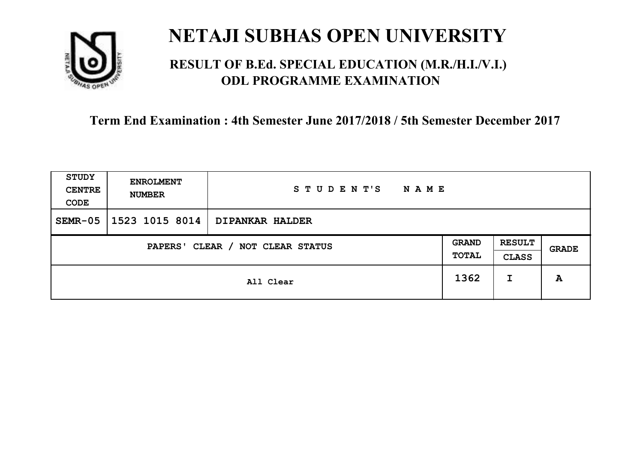

### **RESULT OF B.Ed. SPECIAL EDUCATION (M.R./H.I./V.I.) ODL PROGRAMME EXAMINATION**

| <b>STUDY</b><br><b>CENTRE</b><br>CODE | <b>ENROLMENT</b><br><b>NUMBER</b>   | STUDENT'S<br><b>NAME</b> |      |                               |       |
|---------------------------------------|-------------------------------------|--------------------------|------|-------------------------------|-------|
| $SEMR-05$                             | 1523 1015 8014                      | <b>DIPANKAR HALDER</b>   |      |                               |       |
|                                       | CLEAR / NOT CLEAR STATUS<br>PAPERS' |                          |      | <b>RESULT</b><br><b>CLASS</b> | GRADE |
|                                       |                                     | All Clear                | 1362 | I                             | A     |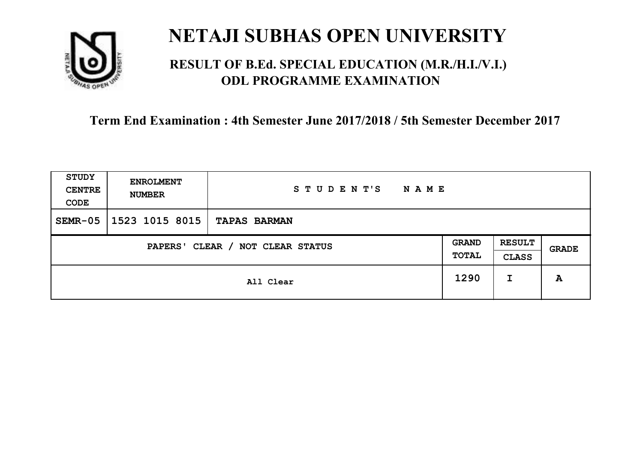

### **RESULT OF B.Ed. SPECIAL EDUCATION (M.R./H.I./V.I.) ODL PROGRAMME EXAMINATION**

| <b>STUDY</b><br><b>CENTRE</b><br>CODE | <b>ENROLMENT</b><br><b>NUMBER</b> | STUDENT'S<br><b>NAME</b> |      |                               |       |
|---------------------------------------|-----------------------------------|--------------------------|------|-------------------------------|-------|
| $SEMR-05$                             | 1523 1015 8015                    | <b>TAPAS BARMAN</b>      |      |                               |       |
| CLEAR / NOT CLEAR STATUS<br>PAPERS'   |                                   |                          |      | <b>RESULT</b><br><b>CLASS</b> | GRADE |
|                                       |                                   | All Clear                | 1290 | I                             | A     |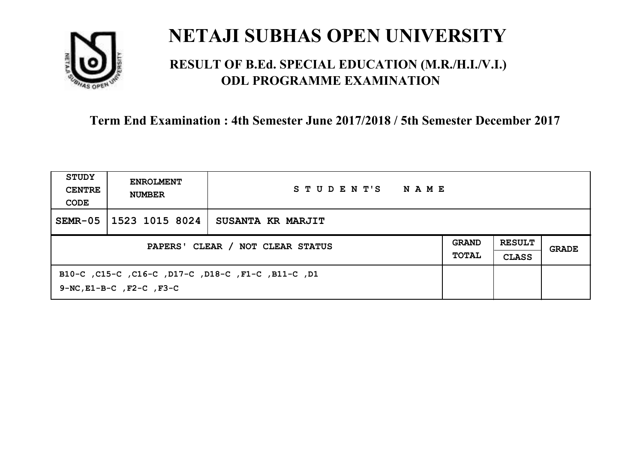

### **RESULT OF B.Ed. SPECIAL EDUCATION (M.R./H.I./V.I.) ODL PROGRAMME EXAMINATION**

| STUDY<br><b>CENTRE</b><br>CODE | <b>ENROLMENT</b><br><b>NUMBER</b>                                                         | STUDENT'S<br>NAME |  |  |       |
|--------------------------------|-------------------------------------------------------------------------------------------|-------------------|--|--|-------|
| $SEMR-05$                      | 1523 1015 8024                                                                            | SUSANTA KR MARJIT |  |  |       |
|                                | PAPERS' CLEAR / NOT CLEAR STATUS                                                          |                   |  |  | GRADE |
|                                | B10-C, C15-C, C16-C, D17-C, D18-C, F1-C, B11-C, D1<br>$9-NC$ , $E1-B-C$ , $F2-C$ , $F3-C$ |                   |  |  |       |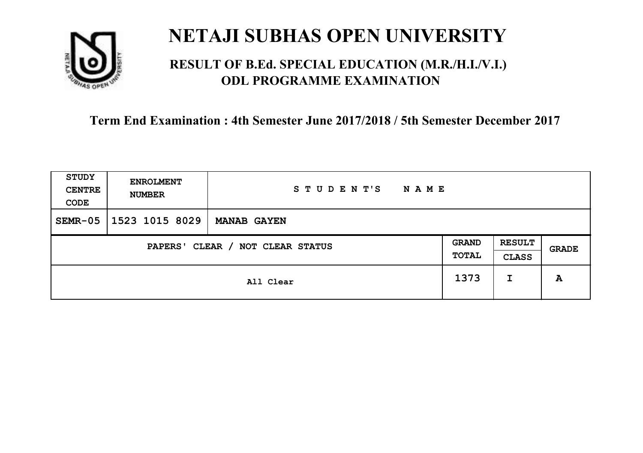

### **RESULT OF B.Ed. SPECIAL EDUCATION (M.R./H.I./V.I.) ODL PROGRAMME EXAMINATION**

| <b>STUDY</b><br><b>CENTRE</b><br>CODE | <b>ENROLMENT</b><br><b>NUMBER</b> | STUDENT'S<br><b>NAME</b> |                       |                               |       |
|---------------------------------------|-----------------------------------|--------------------------|-----------------------|-------------------------------|-------|
| $SEMR-05$                             | 1523 1015 8029                    | <b>MANAB GAYEN</b>       |                       |                               |       |
| CLEAR / NOT CLEAR STATUS<br>PAPERS'   |                                   |                          | <b>GRAND</b><br>TOTAL | <b>RESULT</b><br><b>CLASS</b> | GRADE |
|                                       |                                   | All Clear                | 1373                  | I                             | A     |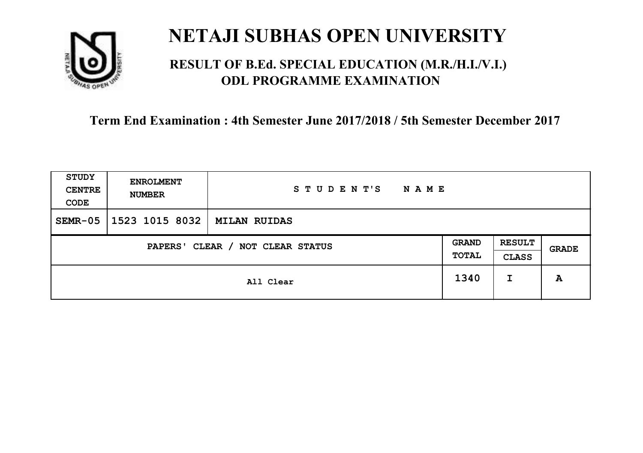

### **RESULT OF B.Ed. SPECIAL EDUCATION (M.R./H.I./V.I.) ODL PROGRAMME EXAMINATION**

| <b>STUDY</b><br><b>CENTRE</b><br>CODE                        | <b>ENROLMENT</b><br><b>NUMBER</b> | STUDENT'S<br><b>NAME</b> |      |                               |       |
|--------------------------------------------------------------|-----------------------------------|--------------------------|------|-------------------------------|-------|
| $SEMR-05$                                                    | 1523 1015 8032                    | <b>MILAN RUIDAS</b>      |      |                               |       |
| <b>GRAND</b><br>CLEAR / NOT CLEAR STATUS<br>PAPERS'<br>TOTAL |                                   |                          |      | <b>RESULT</b><br><b>CLASS</b> | GRADE |
|                                                              |                                   | All Clear                | 1340 | I                             | A     |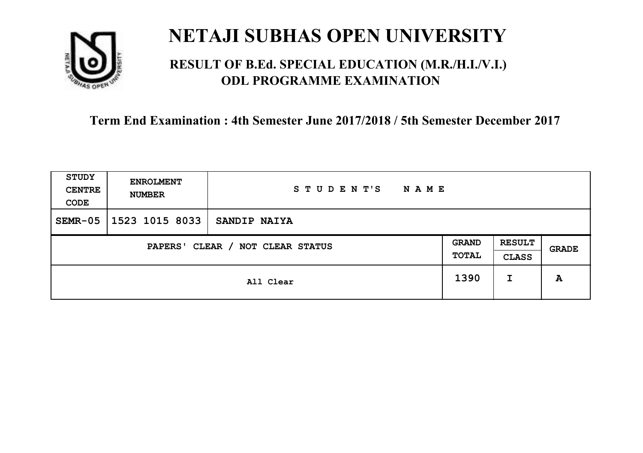

### **RESULT OF B.Ed. SPECIAL EDUCATION (M.R./H.I./V.I.) ODL PROGRAMME EXAMINATION**

| <b>STUDY</b><br><b>CENTRE</b><br>CODE | <b>ENROLMENT</b><br><b>NUMBER</b>   | STUDENT'S<br><b>NAME</b> |      |                               |       |
|---------------------------------------|-------------------------------------|--------------------------|------|-------------------------------|-------|
| $SEMR-05$                             | 1523 1015 8033                      | <b>SANDIP NAIYA</b>      |      |                               |       |
|                                       | CLEAR / NOT CLEAR STATUS<br>PAPERS' |                          |      | <b>RESULT</b><br><b>CLASS</b> | GRADE |
|                                       |                                     | All Clear                | 1390 | I                             | A     |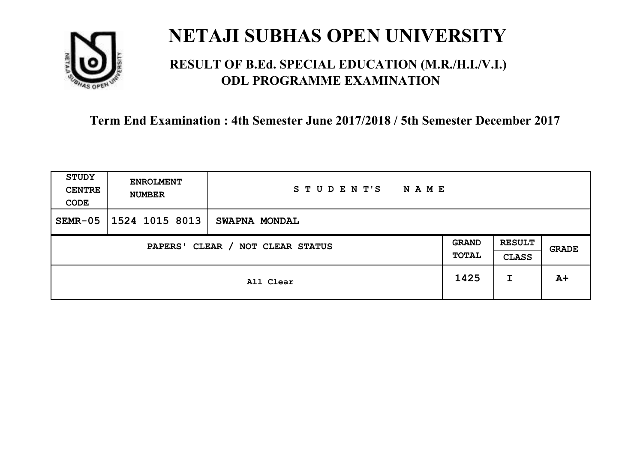

### **RESULT OF B.Ed. SPECIAL EDUCATION (M.R./H.I./V.I.) ODL PROGRAMME EXAMINATION**

| <b>STUDY</b><br><b>CENTRE</b><br>CODE | <b>ENROLMENT</b><br><b>NUMBER</b>   | STUDENT'S<br><b>NAME</b> |      |                               |       |
|---------------------------------------|-------------------------------------|--------------------------|------|-------------------------------|-------|
| $SEMR-05$                             | 1524 1015 8013                      | <b>SWAPNA MONDAL</b>     |      |                               |       |
|                                       | CLEAR / NOT CLEAR STATUS<br>PAPERS' |                          |      | <b>RESULT</b><br><b>CLASS</b> | GRADE |
|                                       |                                     | All Clear                | 1425 | I                             | $A+$  |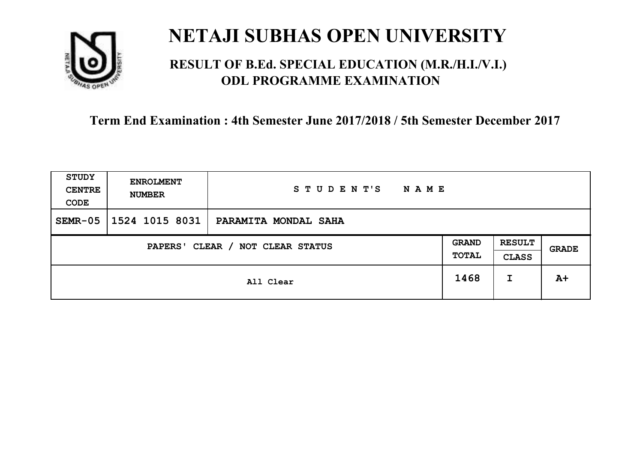

### **RESULT OF B.Ed. SPECIAL EDUCATION (M.R./H.I./V.I.) ODL PROGRAMME EXAMINATION**

| <b>STUDY</b><br><b>CENTRE</b><br>CODE | <b>ENROLMENT</b><br><b>NUMBER</b>   | STUDENT'S<br><b>NAME</b> |      |                               |       |
|---------------------------------------|-------------------------------------|--------------------------|------|-------------------------------|-------|
| $SEMR-05$                             | 1524 1015 8031                      | PARAMITA MONDAL SAHA     |      |                               |       |
|                                       | CLEAR / NOT CLEAR STATUS<br>PAPERS' |                          |      | <b>RESULT</b><br><b>CLASS</b> | GRADE |
|                                       |                                     | All Clear                | 1468 | I                             | $A+$  |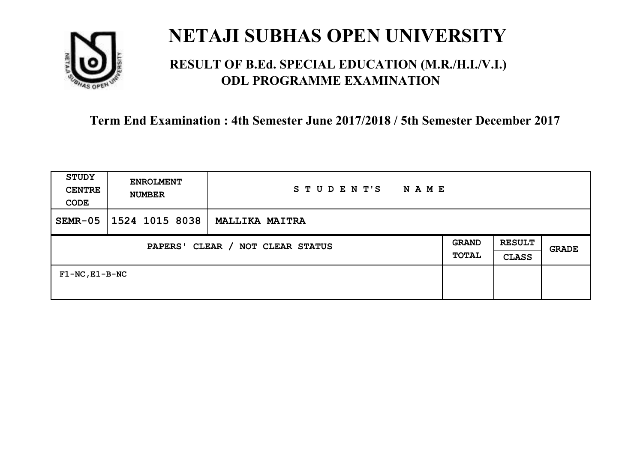

### **RESULT OF B.Ed. SPECIAL EDUCATION (M.R./H.I./V.I.) ODL PROGRAMME EXAMINATION**

| <b>STUDY</b><br><b>CENTRE</b><br>CODE      | <b>ENROLMENT</b><br><b>NUMBER</b> | STUDENT'S<br><b>NAME</b> |                       |                               |              |
|--------------------------------------------|-----------------------------------|--------------------------|-----------------------|-------------------------------|--------------|
| $SEMR-05$                                  | 1524 1015 8038                    | <b>MALLIKA MAITRA</b>    |                       |                               |              |
| CLEAR / NOT CLEAR STATUS<br><b>PAPERS'</b> |                                   |                          | <b>GRAND</b><br>TOTAL | <b>RESULT</b><br><b>CLASS</b> | <b>GRADE</b> |
| $F1-NC$ , $E1-B-NC$                        |                                   |                          |                       |                               |              |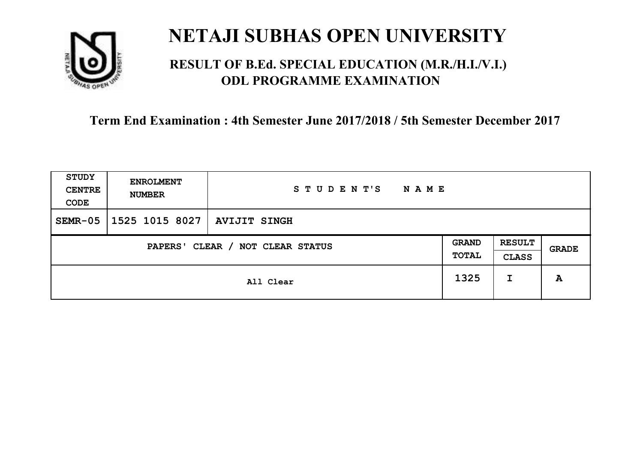

### **RESULT OF B.Ed. SPECIAL EDUCATION (M.R./H.I./V.I.) ODL PROGRAMME EXAMINATION**

| <b>STUDY</b><br><b>CENTRE</b><br>CODE | <b>ENROLMENT</b><br><b>NUMBER</b> | STUDENT'S<br><b>NAME</b> |      |                               |       |
|---------------------------------------|-----------------------------------|--------------------------|------|-------------------------------|-------|
| $SEMR-05$                             | 1525 1015 8027                    | <b>AVIJIT SINGH</b>      |      |                               |       |
| CLEAR / NOT CLEAR STATUS<br>PAPERS'   |                                   |                          |      | <b>RESULT</b><br><b>CLASS</b> | GRADE |
|                                       |                                   | All Clear                | 1325 | I                             | A     |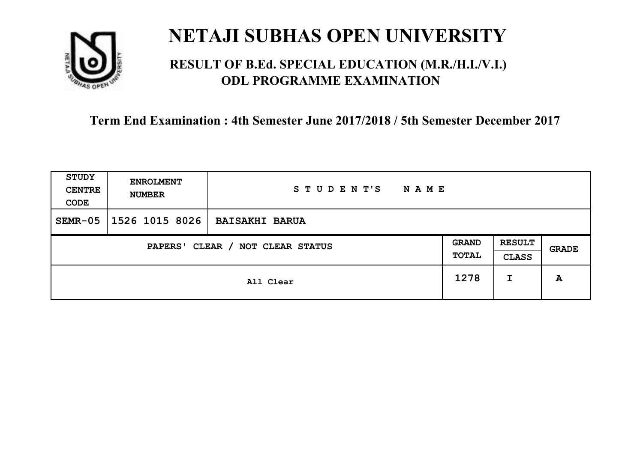

### **RESULT OF B.Ed. SPECIAL EDUCATION (M.R./H.I./V.I.) ODL PROGRAMME EXAMINATION**

| <b>STUDY</b><br><b>CENTRE</b><br>CODE | <b>ENROLMENT</b><br><b>NUMBER</b> | STUDENT'S<br><b>NAME</b> |      |                               |       |
|---------------------------------------|-----------------------------------|--------------------------|------|-------------------------------|-------|
| $SEMR-05$                             | 1526 1015 8026                    | <b>BAISAKHI BARUA</b>    |      |                               |       |
| CLEAR / NOT CLEAR STATUS<br>PAPERS'   |                                   |                          |      | <b>RESULT</b><br><b>CLASS</b> | GRADE |
|                                       |                                   | All Clear                | 1278 | I                             | A     |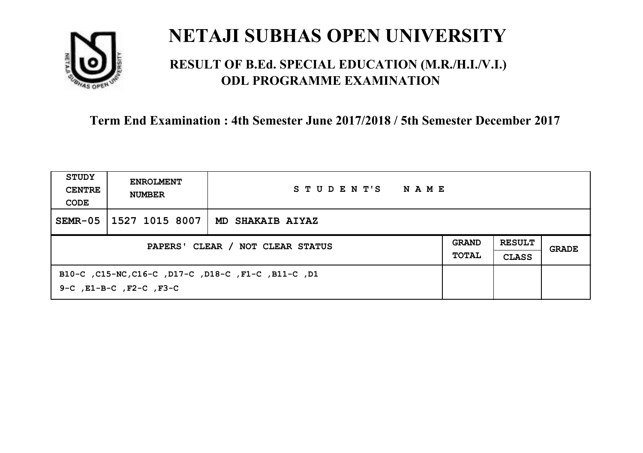

### **RESULT OF B.Ed. SPECIAL EDUCATION (M.R./H.I./V.I.) ODL PROGRAMME EXAMINATION**

| STUDY<br><b>CENTRE</b><br>CODE   | <b>ENROLMENT</b><br><b>NUMBER</b>                                                         | STUDENT'S<br>NAME |                              |                               |       |
|----------------------------------|-------------------------------------------------------------------------------------------|-------------------|------------------------------|-------------------------------|-------|
| $SEMR-05$                        | 1527 1015 8007                                                                            | MD SHAKAIB AIYAZ  |                              |                               |       |
| PAPERS' CLEAR / NOT CLEAR STATUS |                                                                                           |                   | <b>GRAND</b><br><b>TOTAL</b> | <b>RESULT</b><br><b>CLASS</b> | GRADE |
|                                  | B10-C, C15-NC, C16-C, D17-C, D18-C, F1-C, B11-C, D1<br>$9-C$ , $E1-B-C$ , $F2-C$ , $F3-C$ |                   |                              |                               |       |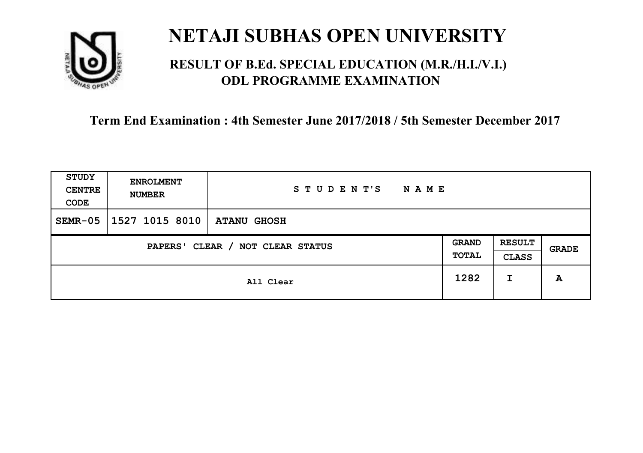

### **RESULT OF B.Ed. SPECIAL EDUCATION (M.R./H.I./V.I.) ODL PROGRAMME EXAMINATION**

| <b>STUDY</b><br><b>CENTRE</b><br>CODE | <b>ENROLMENT</b><br><b>NUMBER</b> | STUDENT'S<br><b>NAME</b> |      |                               |       |
|---------------------------------------|-----------------------------------|--------------------------|------|-------------------------------|-------|
| $SEMR-05$                             | 1527 1015 8010                    | <b>ATANU GHOSH</b>       |      |                               |       |
| CLEAR / NOT CLEAR STATUS<br>PAPERS'   |                                   |                          |      | <b>RESULT</b><br><b>CLASS</b> | GRADE |
|                                       |                                   | All Clear                | 1282 | I                             | A     |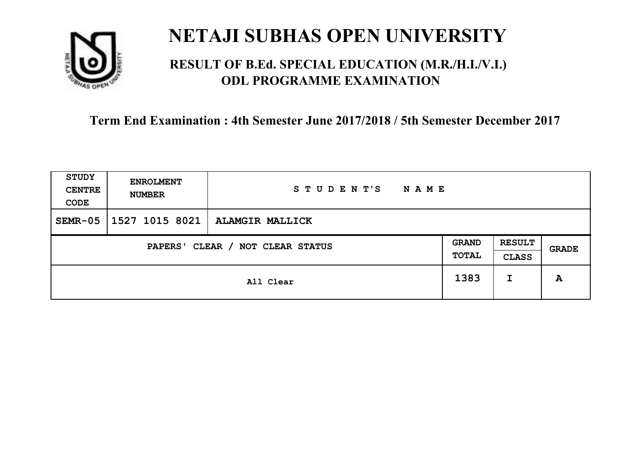

### **RESULT OF B.Ed. SPECIAL EDUCATION (M.R./H.I./V.I.) ODL PROGRAMME EXAMINATION**

| <b>STUDY</b><br><b>CENTRE</b><br>CODE                                                         | <b>ENROLMENT</b><br><b>NUMBER</b> | STUDENT'S<br><b>NAME</b> |      |       |   |
|-----------------------------------------------------------------------------------------------|-----------------------------------|--------------------------|------|-------|---|
| $SEMR-05$                                                                                     | 1527 1015 8021                    | <b>ALAMGIR MALLICK</b>   |      |       |   |
| <b>RESULT</b><br><b>GRAND</b><br>CLEAR / NOT CLEAR STATUS<br>PAPERS'<br>TOTAL<br><b>CLASS</b> |                                   |                          |      | GRADE |   |
|                                                                                               |                                   | All Clear                | 1383 | I     | A |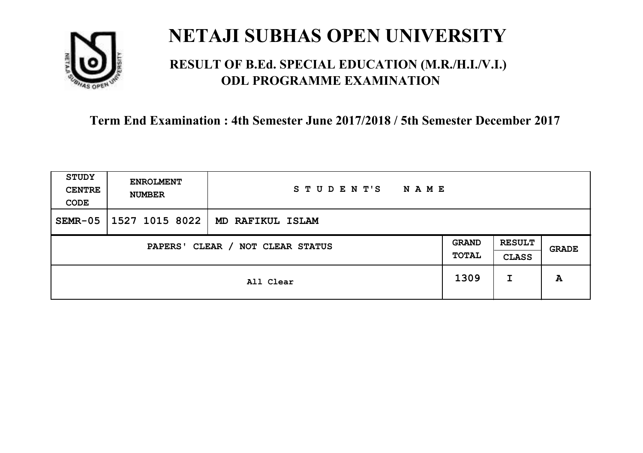

### **RESULT OF B.Ed. SPECIAL EDUCATION (M.R./H.I./V.I.) ODL PROGRAMME EXAMINATION**

| <b>STUDY</b><br><b>CENTRE</b><br>CODE | <b>ENROLMENT</b><br><b>NUMBER</b>   | STUDENT'S<br><b>NAME</b> |      |   |       |
|---------------------------------------|-------------------------------------|--------------------------|------|---|-------|
| $SEMR-05$                             | 1527 1015 8022                      | MD RAFIKUL ISLAM         |      |   |       |
|                                       | CLEAR / NOT CLEAR STATUS<br>PAPERS' |                          |      |   | GRADE |
|                                       |                                     | All Clear                | 1309 | I | A     |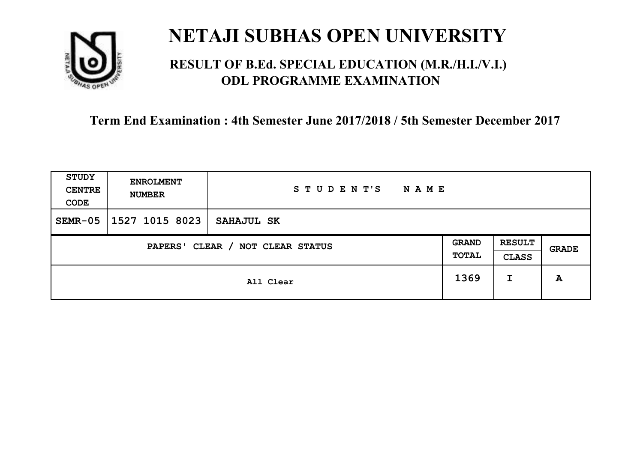

### **RESULT OF B.Ed. SPECIAL EDUCATION (M.R./H.I./V.I.) ODL PROGRAMME EXAMINATION**

| <b>STUDY</b><br><b>CENTRE</b><br>CODE | <b>ENROLMENT</b><br><b>NUMBER</b>                                                                      | STUDENT'S<br><b>NAME</b> |      |   |   |
|---------------------------------------|--------------------------------------------------------------------------------------------------------|--------------------------|------|---|---|
| $SEMR-05$                             | 1527 1015 8023                                                                                         | SAHAJUL SK               |      |   |   |
|                                       | <b>RESULT</b><br><b>GRAND</b><br>CLEAR / NOT CLEAR STATUS<br>PAPERS'<br>GRADE<br>TOTAL<br><b>CLASS</b> |                          |      |   |   |
|                                       |                                                                                                        | All Clear                | 1369 | I | A |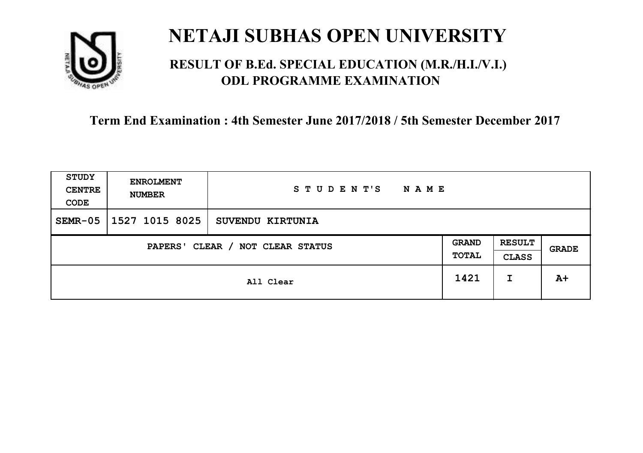

### **RESULT OF B.Ed. SPECIAL EDUCATION (M.R./H.I./V.I.) ODL PROGRAMME EXAMINATION**

| <b>STUDY</b><br><b>CENTRE</b><br>CODE | <b>ENROLMENT</b><br><b>NUMBER</b>   | STUDENT'S<br><b>NAME</b> |      |   |       |
|---------------------------------------|-------------------------------------|--------------------------|------|---|-------|
| $SEMR-05$                             | 1527 1015 8025                      | SUVENDU KIRTUNIA         |      |   |       |
|                                       | CLEAR / NOT CLEAR STATUS<br>PAPERS' |                          |      |   | GRADE |
|                                       |                                     | All Clear                | 1421 | I | $A+$  |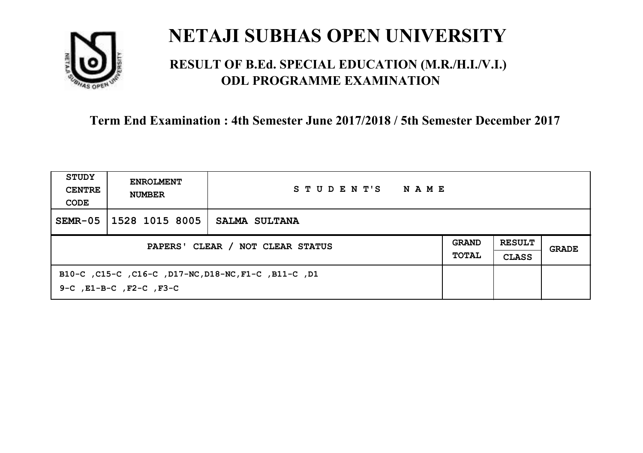

### **RESULT OF B.Ed. SPECIAL EDUCATION (M.R./H.I./V.I.) ODL PROGRAMME EXAMINATION**

| STUDY<br><b>CENTRE</b><br>CODE   | <b>ENROLMENT</b><br><b>NUMBER</b>  | STUDENT'S<br>NAME                                    |  |                               |       |
|----------------------------------|------------------------------------|------------------------------------------------------|--|-------------------------------|-------|
| $SEMR-05$                        | 1528 1015 8005                     | SALMA SULTANA                                        |  |                               |       |
| PAPERS' CLEAR / NOT CLEAR STATUS |                                    |                                                      |  | <b>RESULT</b><br><b>CLASS</b> | GRADE |
|                                  | $9-C$ , $E1-B-C$ , $F2-C$ , $F3-C$ | B10-C, C15-C, C16-C, D17-NC, D18-NC, F1-C, B11-C, D1 |  |                               |       |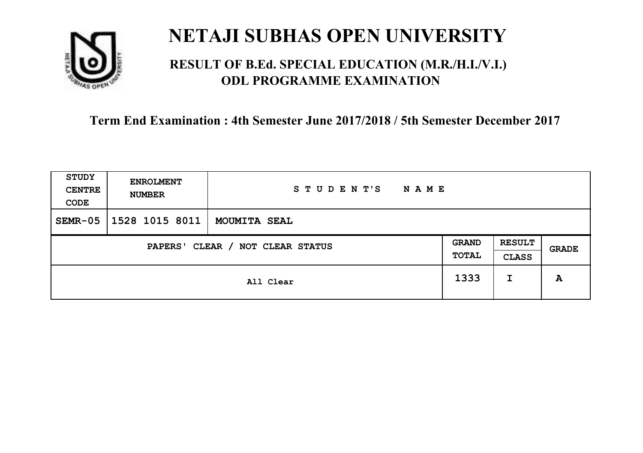

### **RESULT OF B.Ed. SPECIAL EDUCATION (M.R./H.I./V.I.) ODL PROGRAMME EXAMINATION**

| <b>STUDY</b><br><b>CENTRE</b><br>CODE | <b>ENROLMENT</b><br><b>NUMBER</b>                                                                                    | STUDENT'S<br><b>NAME</b> |      |   |   |
|---------------------------------------|----------------------------------------------------------------------------------------------------------------------|--------------------------|------|---|---|
| $SEMR-05$                             | 1528 1015 8011                                                                                                       | <b>MOUMITA SEAL</b>      |      |   |   |
|                                       | <b>RESULT</b><br><b>GRAND</b><br>CLEAR / NOT CLEAR STATUS<br>PAPERS'<br><b>GRADE</b><br><b>TOTAL</b><br><b>CLASS</b> |                          |      |   |   |
|                                       |                                                                                                                      | All Clear                | 1333 | I | A |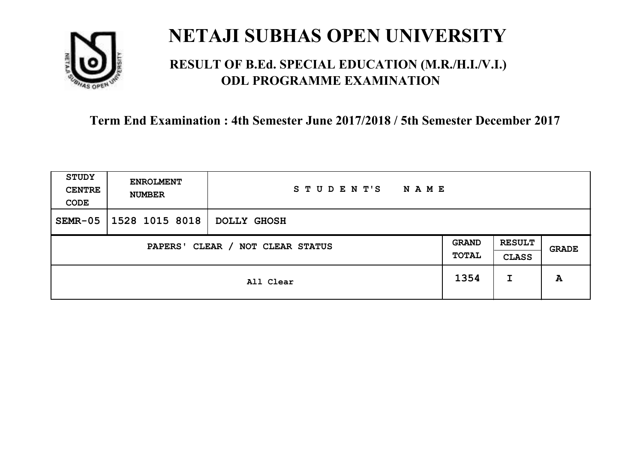

### **RESULT OF B.Ed. SPECIAL EDUCATION (M.R./H.I./V.I.) ODL PROGRAMME EXAMINATION**

| <b>STUDY</b><br><b>CENTRE</b><br>CODE                        | <b>ENROLMENT</b><br><b>NUMBER</b> | STUDENT'S<br>NAME |      |                               |              |
|--------------------------------------------------------------|-----------------------------------|-------------------|------|-------------------------------|--------------|
| $SEMR-05$                                                    | 1528 1015 8018                    | DOLLY GHOSH       |      |                               |              |
| <b>GRAND</b><br>CLEAR / NOT CLEAR STATUS<br>PAPERS'<br>TOTAL |                                   |                   |      | <b>RESULT</b><br><b>CLASS</b> | <b>GRADE</b> |
|                                                              |                                   | All Clear         | 1354 | I                             | A            |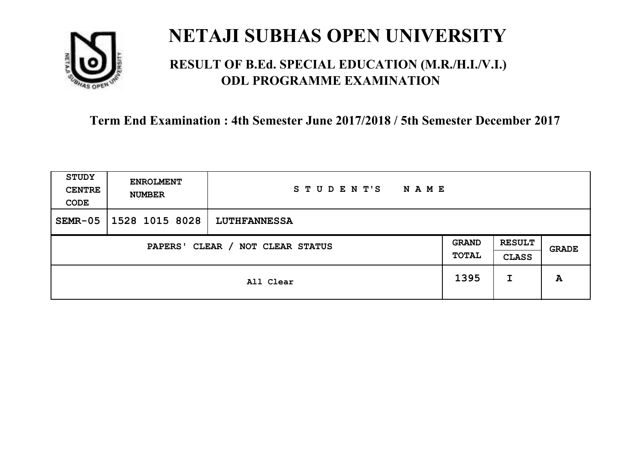

### **RESULT OF B.Ed. SPECIAL EDUCATION (M.R./H.I./V.I.) ODL PROGRAMME EXAMINATION**

| <b>STUDY</b><br><b>CENTRE</b><br>CODE                                                         | <b>ENROLMENT</b><br><b>NUMBER</b> | STUDENT'S<br><b>NAME</b> |      |   |       |
|-----------------------------------------------------------------------------------------------|-----------------------------------|--------------------------|------|---|-------|
| $SEMR-05$                                                                                     | 1528 1015 8028                    | <b>LUTHFANNESSA</b>      |      |   |       |
| <b>RESULT</b><br><b>GRAND</b><br>CLEAR / NOT CLEAR STATUS<br>PAPERS'<br>TOTAL<br><b>CLASS</b> |                                   |                          |      |   | GRADE |
|                                                                                               |                                   | All Clear                | 1395 | I | A     |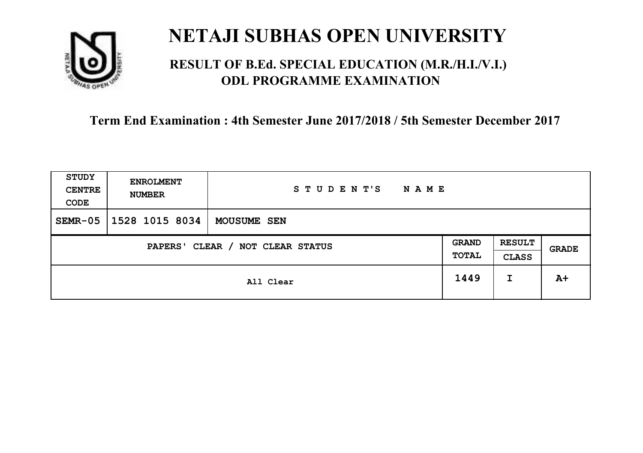

### **RESULT OF B.Ed. SPECIAL EDUCATION (M.R./H.I./V.I.) ODL PROGRAMME EXAMINATION**

| <b>STUDY</b><br><b>CENTRE</b><br>CODE | <b>ENROLMENT</b><br><b>NUMBER</b>                                                                      | STUDENT'S<br><b>NAME</b> |      |   |      |
|---------------------------------------|--------------------------------------------------------------------------------------------------------|--------------------------|------|---|------|
| $SEMR-05$                             | 1528 1015 8034                                                                                         | <b>MOUSUME SEN</b>       |      |   |      |
|                                       | <b>RESULT</b><br><b>GRAND</b><br>CLEAR / NOT CLEAR STATUS<br>PAPERS'<br>GRADE<br>TOTAL<br><b>CLASS</b> |                          |      |   |      |
|                                       |                                                                                                        | All Clear                | 1449 | I | $A+$ |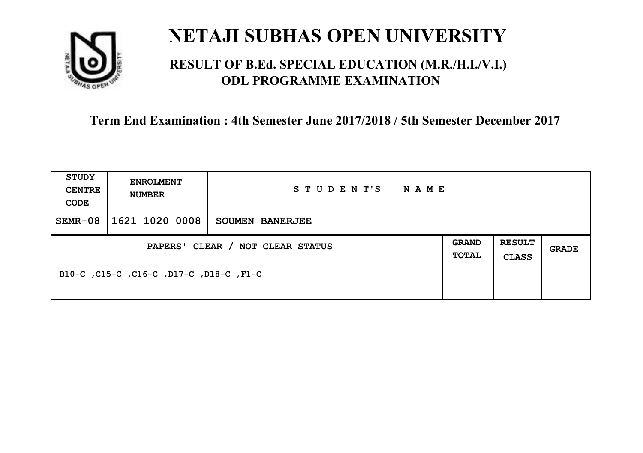

### **RESULT OF B.Ed. SPECIAL EDUCATION (M.R./H.I./V.I.) ODL PROGRAMME EXAMINATION**

| <b>STUDY</b><br><b>CENTRE</b><br>CODE | <b>ENROLMENT</b><br><b>NUMBER</b>       | STUDENT'S<br><b>NAME</b> |  |                               |              |
|---------------------------------------|-----------------------------------------|--------------------------|--|-------------------------------|--------------|
| $SEMR-08$                             | 1621 1020 0008                          | <b>SOUMEN BANERJEE</b>   |  |                               |              |
| PAPERS' CLEAR / NOT CLEAR STATUS      |                                         |                          |  | <b>RESULT</b><br><b>CLASS</b> | <b>GRADE</b> |
|                                       | B10-C, C15-C, C16-C, D17-C, D18-C, F1-C |                          |  |                               |              |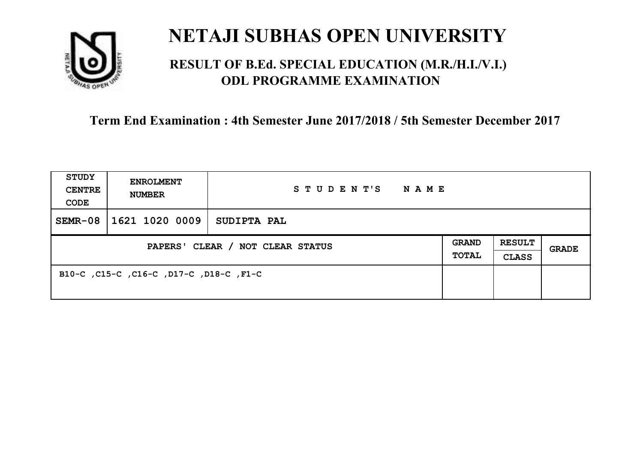

### **RESULT OF B.Ed. SPECIAL EDUCATION (M.R./H.I./V.I.) ODL PROGRAMME EXAMINATION**

| <b>STUDY</b><br><b>CENTRE</b><br>CODE | <b>ENROLMENT</b><br><b>NUMBER</b>       | STUDENT'S<br><b>NAME</b> |  |                               |       |
|---------------------------------------|-----------------------------------------|--------------------------|--|-------------------------------|-------|
| $SEMR-08$                             | 1621 1020 0009                          | SUDIPTA PAL              |  |                               |       |
| PAPERS' CLEAR / NOT CLEAR STATUS      |                                         |                          |  | <b>RESULT</b><br><b>CLASS</b> | GRADE |
|                                       | B10-C, C15-C, C16-C, D17-C, D18-C, F1-C |                          |  |                               |       |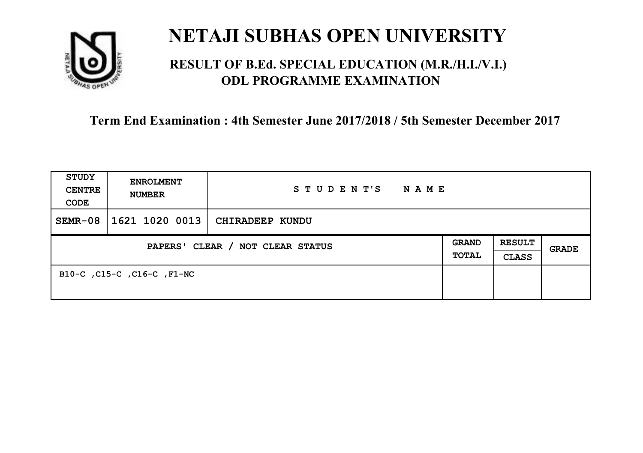

### **RESULT OF B.Ed. SPECIAL EDUCATION (M.R./H.I./V.I.) ODL PROGRAMME EXAMINATION**

| <b>STUDY</b><br><b>CENTRE</b><br>CODE | <b>ENROLMENT</b><br><b>NUMBER</b> | STUDENT'S<br><b>NAME</b> |                              |                               |              |
|---------------------------------------|-----------------------------------|--------------------------|------------------------------|-------------------------------|--------------|
| $SEMR-08$                             | 1621 1020 0013                    | CHIRADEEP KUNDU          |                              |                               |              |
| PAPERS' CLEAR / NOT CLEAR STATUS      |                                   |                          | <b>GRAND</b><br><b>TOTAL</b> | <b>RESULT</b><br><b>CLASS</b> | <b>GRADE</b> |
|                                       | B10-C, C15-C, C16-C, F1-NC        |                          |                              |                               |              |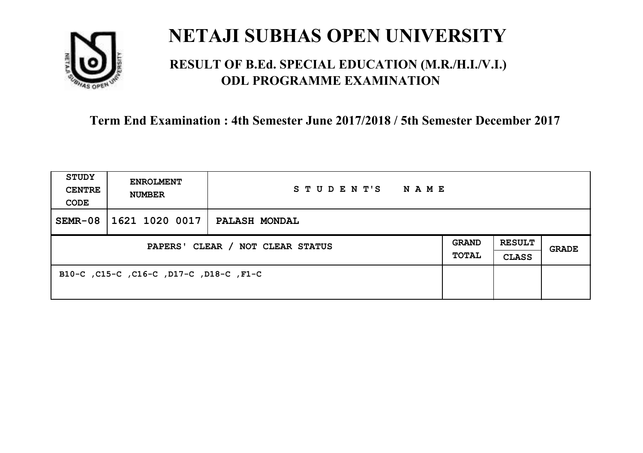

### **RESULT OF B.Ed. SPECIAL EDUCATION (M.R./H.I./V.I.) ODL PROGRAMME EXAMINATION**

| <b>STUDY</b><br><b>CENTRE</b><br>CODE | <b>ENROLMENT</b><br><b>NUMBER</b>       | STUDENT'S<br>NAME    |                       |                               |       |
|---------------------------------------|-----------------------------------------|----------------------|-----------------------|-------------------------------|-------|
| $SEMR-08$                             | 1621 1020 0017                          | <b>PALASH MONDAL</b> |                       |                               |       |
| PAPERS' CLEAR / NOT CLEAR STATUS      |                                         |                      | <b>GRAND</b><br>TOTAL | <b>RESULT</b><br><b>CLASS</b> | GRADE |
|                                       | B10-C, C15-C, C16-C, D17-C, D18-C, F1-C |                      |                       |                               |       |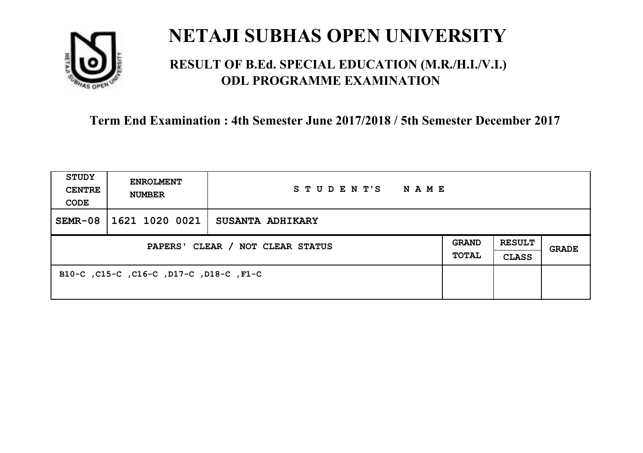

### **RESULT OF B.Ed. SPECIAL EDUCATION (M.R./H.I./V.I.) ODL PROGRAMME EXAMINATION**

| <b>STUDY</b><br><b>CENTRE</b><br>CODE | <b>ENROLMENT</b><br><b>NUMBER</b>       | STUDENT'S<br>NAME       |  |                               |       |
|---------------------------------------|-----------------------------------------|-------------------------|--|-------------------------------|-------|
| $SEMR-08$                             | 1621 1020 0021                          | <b>SUSANTA ADHIKARY</b> |  |                               |       |
| PAPERS' CLEAR / NOT CLEAR STATUS      |                                         |                         |  | <b>RESULT</b><br><b>CLASS</b> | GRADE |
|                                       | B10-C, C15-C, C16-C, D17-C, D18-C, F1-C |                         |  |                               |       |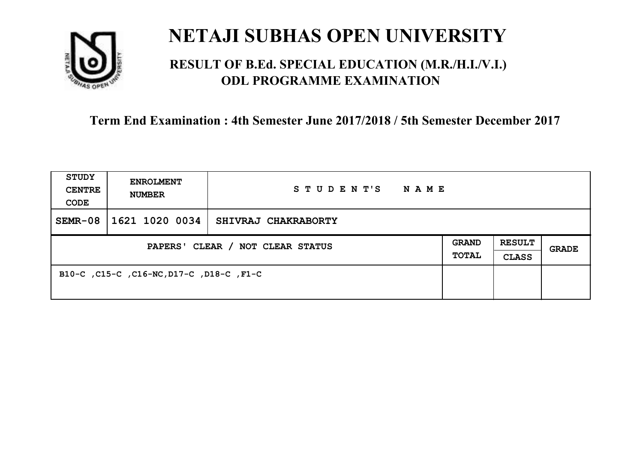

### **RESULT OF B.Ed. SPECIAL EDUCATION (M.R./H.I./V.I.) ODL PROGRAMME EXAMINATION**

| <b>STUDY</b><br><b>CENTRE</b><br>CODE | <b>ENROLMENT</b><br><b>NUMBER</b>        | STUDENT'S<br><b>NAME</b> |  |                               |       |
|---------------------------------------|------------------------------------------|--------------------------|--|-------------------------------|-------|
| $SEMR-08$                             | 1621 1020 0034                           | SHIVRAJ CHAKRABORTY      |  |                               |       |
| PAPERS' CLEAR / NOT CLEAR STATUS      |                                          |                          |  | <b>RESULT</b><br><b>CLASS</b> | GRADE |
|                                       | B10-C, C15-C, C16-NC, D17-C, D18-C, F1-C |                          |  |                               |       |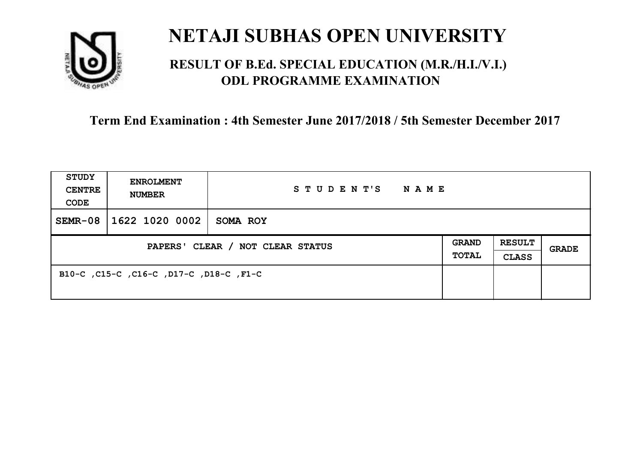

### **RESULT OF B.Ed. SPECIAL EDUCATION (M.R./H.I./V.I.) ODL PROGRAMME EXAMINATION**

| <b>STUDY</b><br><b>CENTRE</b><br>CODE | <b>ENROLMENT</b><br><b>NUMBER</b>       | STUDENT'S<br><b>NAME</b> |  |                               |       |
|---------------------------------------|-----------------------------------------|--------------------------|--|-------------------------------|-------|
| $SEMR-08$                             | 1622 1020 0002                          | SOMA ROY                 |  |                               |       |
| PAPERS' CLEAR / NOT CLEAR STATUS      |                                         |                          |  | <b>RESULT</b><br><b>CLASS</b> | GRADE |
|                                       | B10-C, C15-C, C16-C, D17-C, D18-C, F1-C |                          |  |                               |       |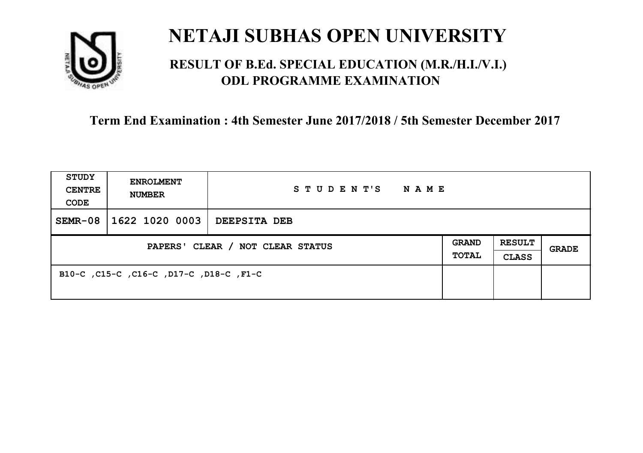

### **RESULT OF B.Ed. SPECIAL EDUCATION (M.R./H.I./V.I.) ODL PROGRAMME EXAMINATION**

| <b>STUDY</b><br><b>CENTRE</b><br>CODE | <b>ENROLMENT</b><br><b>NUMBER</b>       | STUDENT'S<br><b>NAME</b> |  |                               |       |
|---------------------------------------|-----------------------------------------|--------------------------|--|-------------------------------|-------|
| $SEMR-08$                             | 1622 1020 0003                          | DEEPSITA DEB             |  |                               |       |
| PAPERS' CLEAR / NOT CLEAR STATUS      |                                         |                          |  | <b>RESULT</b><br><b>CLASS</b> | GRADE |
|                                       | B10-C, C15-C, C16-C, D17-C, D18-C, F1-C |                          |  |                               |       |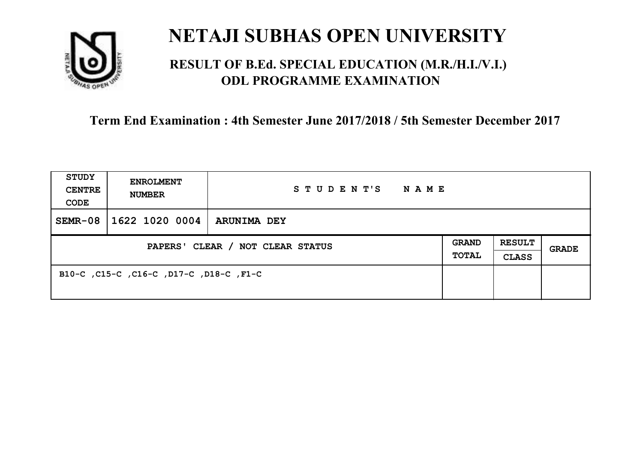

### **RESULT OF B.Ed. SPECIAL EDUCATION (M.R./H.I./V.I.) ODL PROGRAMME EXAMINATION**

| <b>STUDY</b><br><b>CENTRE</b><br>CODE | <b>ENROLMENT</b><br><b>NUMBER</b>       | STUDENT'S<br><b>NAME</b> |  |                               |       |
|---------------------------------------|-----------------------------------------|--------------------------|--|-------------------------------|-------|
| $SEMR-08$                             | 1622 1020 0004                          | <b>ARUNIMA DEY</b>       |  |                               |       |
| PAPERS' CLEAR / NOT CLEAR STATUS      |                                         |                          |  | <b>RESULT</b><br><b>CLASS</b> | GRADE |
|                                       | B10-C, C15-C, C16-C, D17-C, D18-C, F1-C |                          |  |                               |       |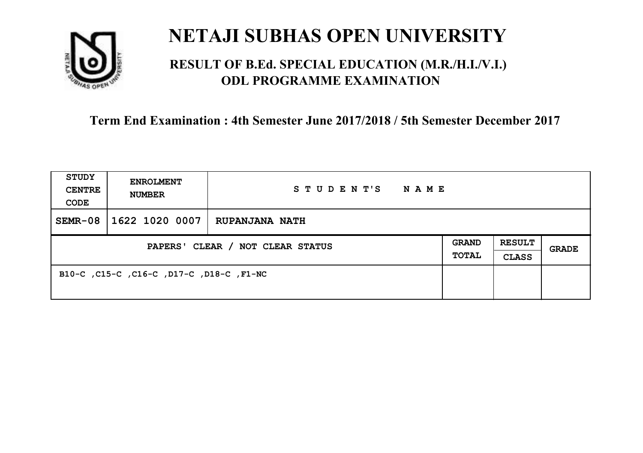

### **RESULT OF B.Ed. SPECIAL EDUCATION (M.R./H.I./V.I.) ODL PROGRAMME EXAMINATION**

| <b>STUDY</b><br><b>CENTRE</b><br>CODE | <b>ENROLMENT</b><br><b>NUMBER</b>        | STUDENT'S<br><b>NAME</b> |                       |                               |       |
|---------------------------------------|------------------------------------------|--------------------------|-----------------------|-------------------------------|-------|
| $SEMR-08$                             | 1622 1020 0007                           | <b>RUPANJANA NATH</b>    |                       |                               |       |
| PAPERS' CLEAR / NOT CLEAR STATUS      |                                          |                          | <b>GRAND</b><br>TOTAL | <b>RESULT</b><br><b>CLASS</b> | GRADE |
|                                       | B10-C, C15-C, C16-C, D17-C, D18-C, F1-NC |                          |                       |                               |       |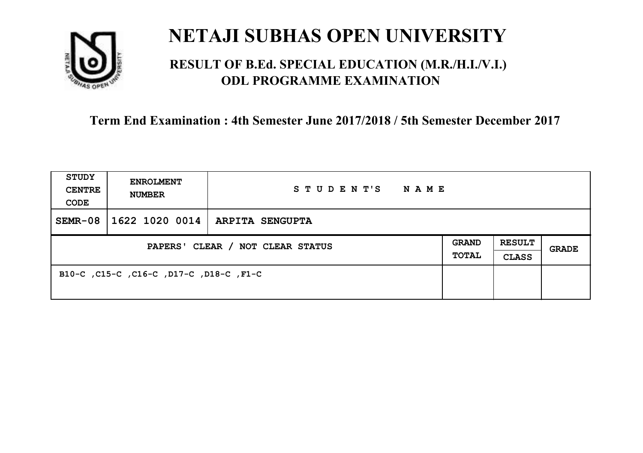

### **RESULT OF B.Ed. SPECIAL EDUCATION (M.R./H.I./V.I.) ODL PROGRAMME EXAMINATION**

| <b>STUDY</b><br><b>CENTRE</b><br>CODE | <b>ENROLMENT</b><br><b>NUMBER</b>       | STUDENT'S<br><b>NAME</b>         |  |                               |              |
|---------------------------------------|-----------------------------------------|----------------------------------|--|-------------------------------|--------------|
| $SEMR-08$                             |                                         | 1622 1020 0014   ARPITA SENGUPTA |  |                               |              |
| PAPERS' CLEAR / NOT CLEAR STATUS      |                                         |                                  |  | <b>RESULT</b><br><b>CLASS</b> | <b>GRADE</b> |
|                                       | B10-C, C15-C, C16-C, D17-C, D18-C, F1-C |                                  |  |                               |              |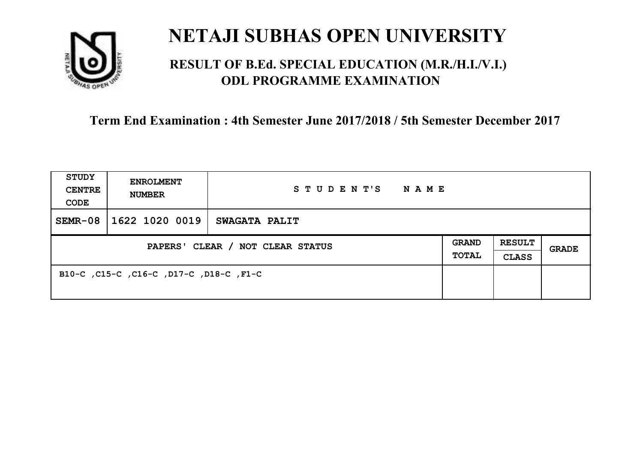

### **RESULT OF B.Ed. SPECIAL EDUCATION (M.R./H.I./V.I.) ODL PROGRAMME EXAMINATION**

| <b>STUDY</b><br><b>CENTRE</b><br>CODE | <b>ENROLMENT</b><br><b>NUMBER</b>       | STUDENT'S<br>NAME    |                              |                               |       |
|---------------------------------------|-----------------------------------------|----------------------|------------------------------|-------------------------------|-------|
| $SEMR-08$                             | 1622 1020 0019                          | <b>SWAGATA PALIT</b> |                              |                               |       |
| PAPERS' CLEAR / NOT CLEAR STATUS      |                                         |                      | <b>GRAND</b><br><b>TOTAL</b> | <b>RESULT</b><br><b>CLASS</b> | GRADE |
|                                       | B10-C, C15-C, C16-C, D17-C, D18-C, F1-C |                      |                              |                               |       |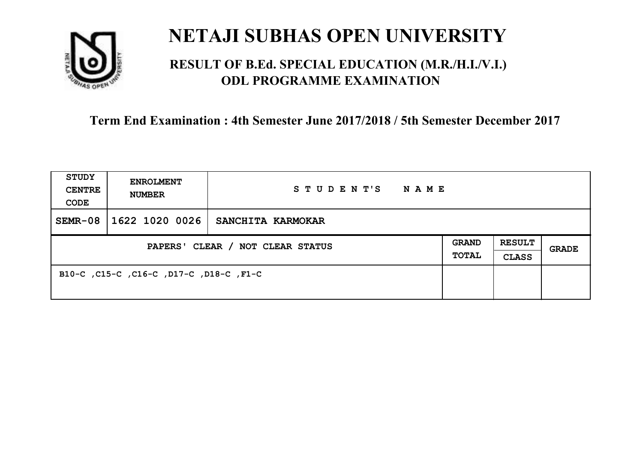

### **RESULT OF B.Ed. SPECIAL EDUCATION (M.R./H.I./V.I.) ODL PROGRAMME EXAMINATION**

| <b>STUDY</b><br><b>CENTRE</b><br>CODE | <b>ENROLMENT</b><br><b>NUMBER</b>       | STUDENT'S<br>NAME |  |                               |       |
|---------------------------------------|-----------------------------------------|-------------------|--|-------------------------------|-------|
| $SEMR-08$                             | 1622 1020 0026                          | SANCHITA KARMOKAR |  |                               |       |
| PAPERS' CLEAR / NOT CLEAR STATUS      |                                         |                   |  | <b>RESULT</b><br><b>CLASS</b> | GRADE |
|                                       | B10-C, C15-C, C16-C, D17-C, D18-C, F1-C |                   |  |                               |       |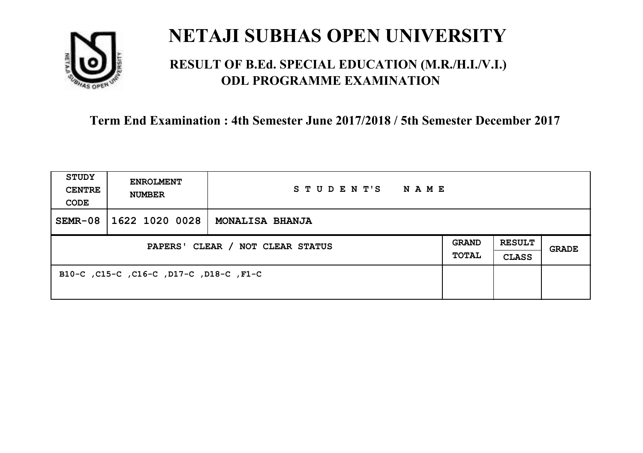

### **RESULT OF B.Ed. SPECIAL EDUCATION (M.R./H.I./V.I.) ODL PROGRAMME EXAMINATION**

| <b>STUDY</b><br><b>CENTRE</b><br>CODE | <b>ENROLMENT</b><br><b>NUMBER</b>       | STUDENT'S<br>NAME      |                       |                               |       |
|---------------------------------------|-----------------------------------------|------------------------|-----------------------|-------------------------------|-------|
| $SEMR-08$                             | 1622 1020 0028                          | <b>MONALISA BHANJA</b> |                       |                               |       |
| PAPERS' CLEAR / NOT CLEAR STATUS      |                                         |                        | <b>GRAND</b><br>TOTAL | <b>RESULT</b><br><b>CLASS</b> | GRADE |
|                                       | B10-C, C15-C, C16-C, D17-C, D18-C, F1-C |                        |                       |                               |       |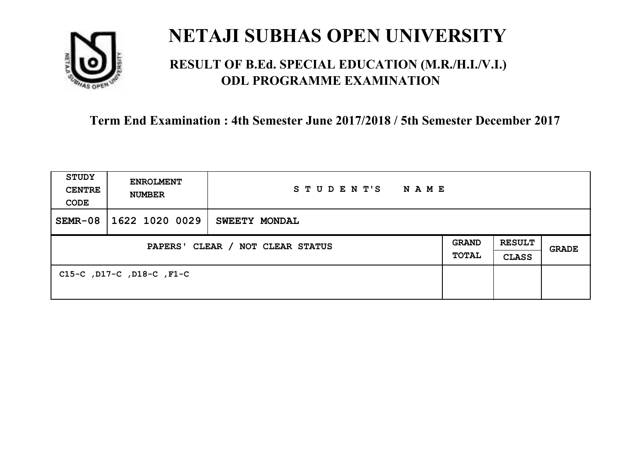

### **RESULT OF B.Ed. SPECIAL EDUCATION (M.R./H.I./V.I.) ODL PROGRAMME EXAMINATION**

| <b>STUDY</b><br><b>CENTRE</b><br>CODE | <b>ENROLMENT</b><br><b>NUMBER</b> | STUDENT'S<br><b>NAME</b> |  |                               |              |
|---------------------------------------|-----------------------------------|--------------------------|--|-------------------------------|--------------|
| $SEMR-08$                             | 1622 1020 0029                    | SWEETY MONDAL            |  |                               |              |
| PAPERS' CLEAR / NOT CLEAR STATUS      |                                   |                          |  | <b>RESULT</b><br><b>CLASS</b> | <b>GRADE</b> |
|                                       | C15-C, D17-C, D18-C, F1-C         |                          |  |                               |              |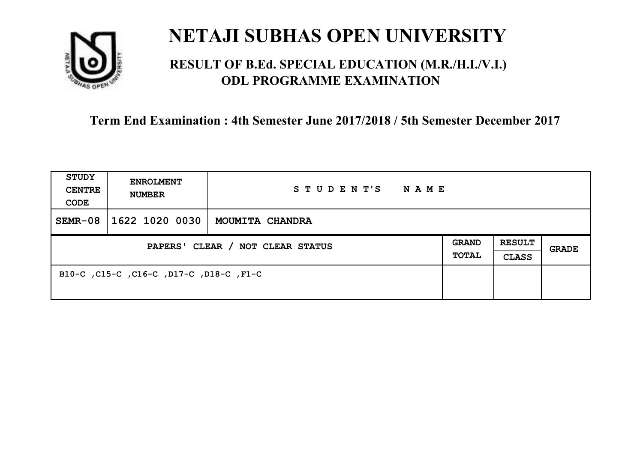

### **RESULT OF B.Ed. SPECIAL EDUCATION (M.R./H.I./V.I.) ODL PROGRAMME EXAMINATION**

| <b>STUDY</b><br><b>CENTRE</b><br>CODE | <b>ENROLMENT</b><br><b>NUMBER</b>       | STUDENT'S<br>NAME |                              |                               |       |
|---------------------------------------|-----------------------------------------|-------------------|------------------------------|-------------------------------|-------|
| $SEMR-08$                             | 1622 1020 0030                          | MOUMITA CHANDRA   |                              |                               |       |
| PAPERS' CLEAR / NOT CLEAR STATUS      |                                         |                   | <b>GRAND</b><br><b>TOTAL</b> | <b>RESULT</b><br><b>CLASS</b> | GRADE |
|                                       | B10-C, C15-C, C16-C, D17-C, D18-C, F1-C |                   |                              |                               |       |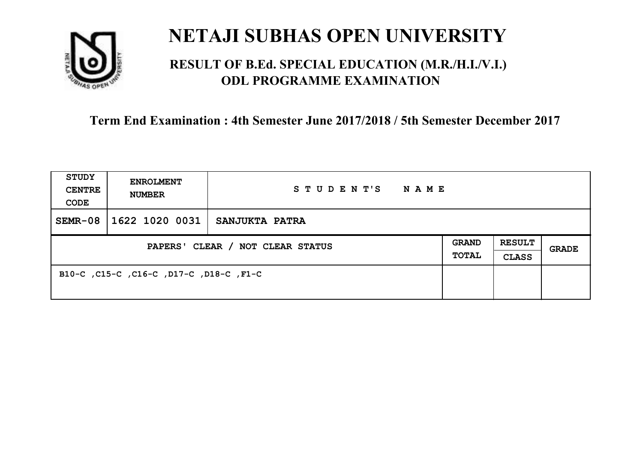

### **RESULT OF B.Ed. SPECIAL EDUCATION (M.R./H.I./V.I.) ODL PROGRAMME EXAMINATION**

| <b>STUDY</b><br><b>CENTRE</b><br>CODE | <b>ENROLMENT</b><br><b>NUMBER</b>       | STUDENT'S<br>NAME |                       |                               |       |
|---------------------------------------|-----------------------------------------|-------------------|-----------------------|-------------------------------|-------|
| $SEMR-08$                             | 1622 1020 0031                          | SANJUKTA PATRA    |                       |                               |       |
| PAPERS' CLEAR / NOT CLEAR STATUS      |                                         |                   | <b>GRAND</b><br>TOTAL | <b>RESULT</b><br><b>CLASS</b> | GRADE |
|                                       | B10-C, C15-C, C16-C, D17-C, D18-C, F1-C |                   |                       |                               |       |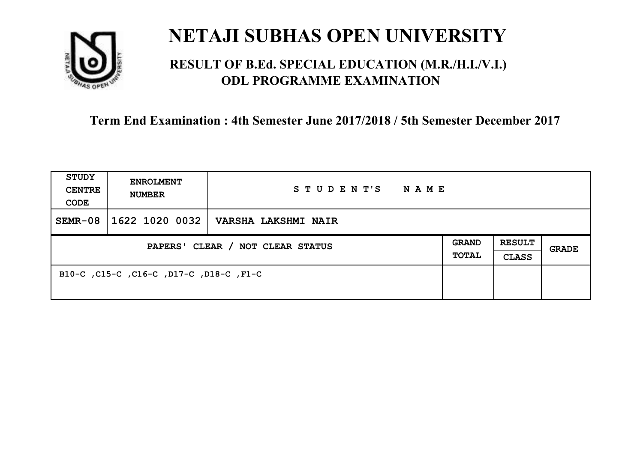

### **RESULT OF B.Ed. SPECIAL EDUCATION (M.R./H.I./V.I.) ODL PROGRAMME EXAMINATION**

| <b>STUDY</b><br><b>CENTRE</b><br>CODE | <b>ENROLMENT</b><br><b>NUMBER</b>       | STUDENT'S<br>NAME   |                              |                               |       |
|---------------------------------------|-----------------------------------------|---------------------|------------------------------|-------------------------------|-------|
| $SEMR-08$                             | 1622 1020 0032                          | VARSHA LAKSHMI NAIR |                              |                               |       |
| PAPERS' CLEAR / NOT CLEAR STATUS      |                                         |                     | <b>GRAND</b><br><b>TOTAL</b> | <b>RESULT</b><br><b>CLASS</b> | GRADE |
|                                       | B10-C, C15-C, C16-C, D17-C, D18-C, F1-C |                     |                              |                               |       |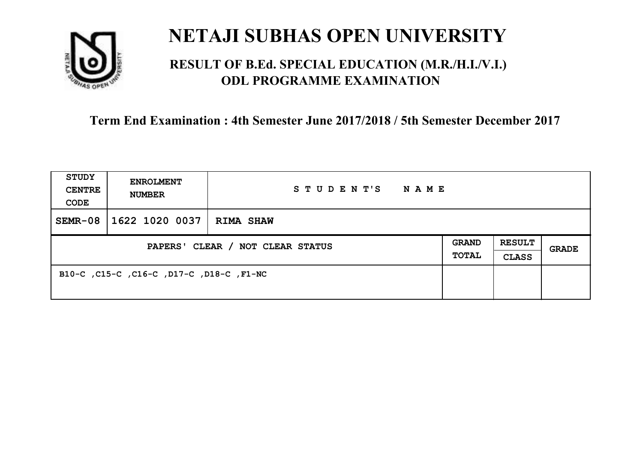

### **RESULT OF B.Ed. SPECIAL EDUCATION (M.R./H.I./V.I.) ODL PROGRAMME EXAMINATION**

| <b>STUDY</b><br><b>CENTRE</b><br>CODE | <b>ENROLMENT</b><br><b>NUMBER</b>        | STUDENT'S<br><b>NAME</b> |                              |                               |              |
|---------------------------------------|------------------------------------------|--------------------------|------------------------------|-------------------------------|--------------|
| $SEMR-08$                             | 1622 1020 0037                           | <b>RIMA SHAW</b>         |                              |                               |              |
| PAPERS' CLEAR / NOT CLEAR STATUS      |                                          |                          | <b>GRAND</b><br><b>TOTAL</b> | <b>RESULT</b><br><b>CLASS</b> | <b>GRADE</b> |
|                                       | B10-C, C15-C, C16-C, D17-C, D18-C, F1-NC |                          |                              |                               |              |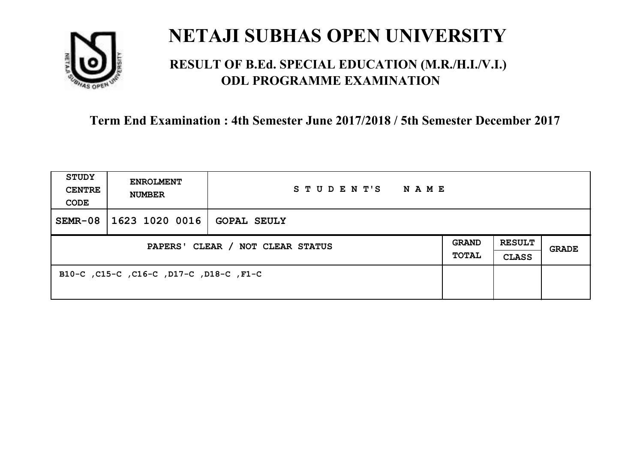

### **RESULT OF B.Ed. SPECIAL EDUCATION (M.R./H.I./V.I.) ODL PROGRAMME EXAMINATION**

| <b>STUDY</b><br><b>CENTRE</b><br>CODE | <b>ENROLMENT</b><br><b>NUMBER</b>       | STUDENT'S<br>NAME  |                              |                               |       |
|---------------------------------------|-----------------------------------------|--------------------|------------------------------|-------------------------------|-------|
| $SEMR-08$                             | 1623 1020 0016                          | <b>GOPAL SEULY</b> |                              |                               |       |
| PAPERS' CLEAR / NOT CLEAR STATUS      |                                         |                    | <b>GRAND</b><br><b>TOTAL</b> | <b>RESULT</b><br><b>CLASS</b> | GRADE |
|                                       | B10-C, C15-C, C16-C, D17-C, D18-C, F1-C |                    |                              |                               |       |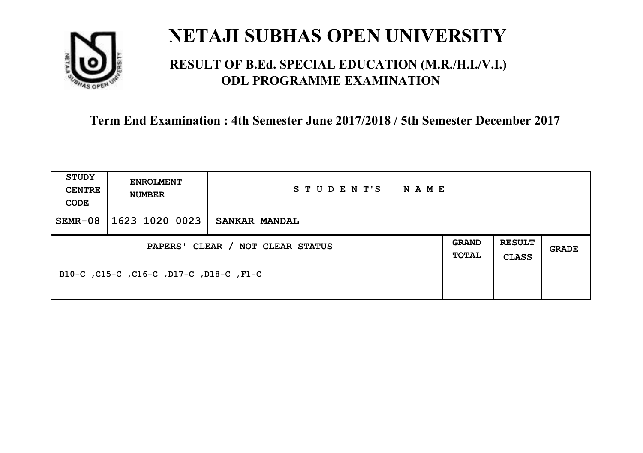

### **RESULT OF B.Ed. SPECIAL EDUCATION (M.R./H.I./V.I.) ODL PROGRAMME EXAMINATION**

| <b>STUDY</b><br><b>CENTRE</b><br>CODE | <b>ENROLMENT</b><br><b>NUMBER</b>       | STUDENT'S<br>NAME |                              |                               |       |
|---------------------------------------|-----------------------------------------|-------------------|------------------------------|-------------------------------|-------|
| $SEMR-08$                             | 1623 1020 0023                          | SANKAR MANDAL     |                              |                               |       |
| PAPERS' CLEAR / NOT CLEAR STATUS      |                                         |                   | <b>GRAND</b><br><b>TOTAL</b> | <b>RESULT</b><br><b>CLASS</b> | GRADE |
|                                       | B10-C, C15-C, C16-C, D17-C, D18-C, F1-C |                   |                              |                               |       |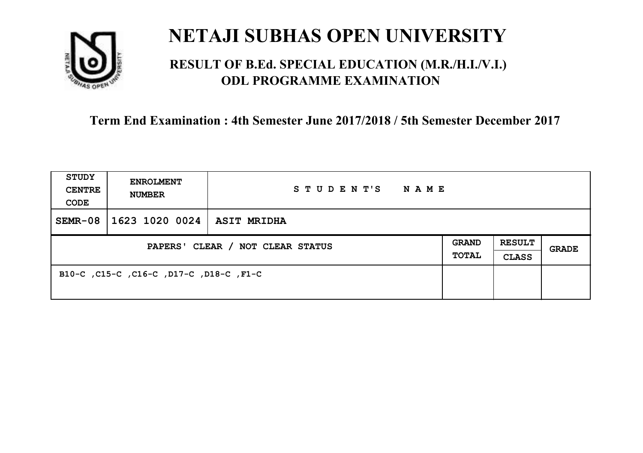

### **RESULT OF B.Ed. SPECIAL EDUCATION (M.R./H.I./V.I.) ODL PROGRAMME EXAMINATION**

| <b>STUDY</b><br><b>CENTRE</b><br>CODE | <b>ENROLMENT</b><br><b>NUMBER</b>       | STUDENT'S<br>NAME  |                              |                               |       |
|---------------------------------------|-----------------------------------------|--------------------|------------------------------|-------------------------------|-------|
| $SEMR-08$                             | 1623 1020 0024                          | <b>ASIT MRIDHA</b> |                              |                               |       |
| PAPERS' CLEAR / NOT CLEAR STATUS      |                                         |                    | <b>GRAND</b><br><b>TOTAL</b> | <b>RESULT</b><br><b>CLASS</b> | GRADE |
|                                       | B10-C, C15-C, C16-C, D17-C, D18-C, F1-C |                    |                              |                               |       |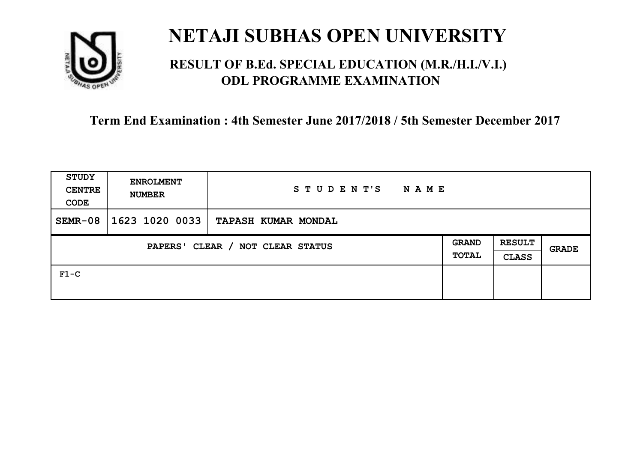

### **RESULT OF B.Ed. SPECIAL EDUCATION (M.R./H.I./V.I.) ODL PROGRAMME EXAMINATION**

| STUDY<br><b>CENTRE</b><br>CODE             | <b>ENROLMENT</b><br><b>NUMBER</b> | STUDENT'S<br>NAME          |                              |                               |              |
|--------------------------------------------|-----------------------------------|----------------------------|------------------------------|-------------------------------|--------------|
| $SEMR-08$                                  | 1623 1020 0033                    | <b>TAPASH KUMAR MONDAL</b> |                              |                               |              |
| CLEAR / NOT CLEAR STATUS<br><b>PAPERS'</b> |                                   |                            | <b>GRAND</b><br><b>TOTAL</b> | <b>RESULT</b><br><b>CLASS</b> | <b>GRADE</b> |
| $F1-C$                                     |                                   |                            |                              |                               |              |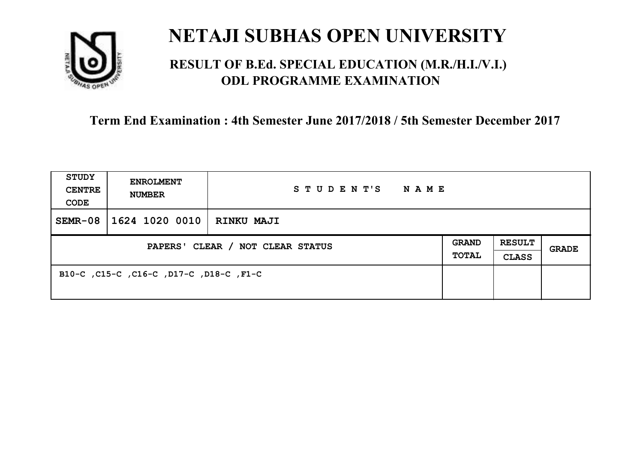

### **RESULT OF B.Ed. SPECIAL EDUCATION (M.R./H.I./V.I.) ODL PROGRAMME EXAMINATION**

| <b>STUDY</b><br><b>CENTRE</b><br>CODE | <b>ENROLMENT</b><br><b>NUMBER</b>       | STUDENT'S<br>NAME |                              |                               |       |
|---------------------------------------|-----------------------------------------|-------------------|------------------------------|-------------------------------|-------|
| $SEMR-08$                             | 1624 1020 0010                          | <b>RINKU MAJI</b> |                              |                               |       |
| PAPERS' CLEAR / NOT CLEAR STATUS      |                                         |                   | <b>GRAND</b><br><b>TOTAL</b> | <b>RESULT</b><br><b>CLASS</b> | GRADE |
|                                       | B10-C, C15-C, C16-C, D17-C, D18-C, F1-C |                   |                              |                               |       |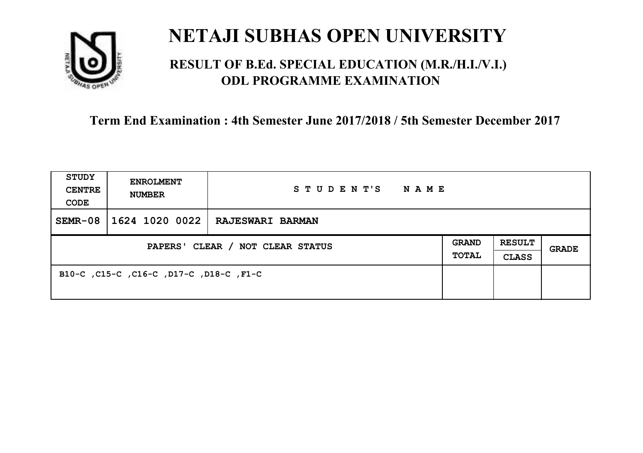

### **RESULT OF B.Ed. SPECIAL EDUCATION (M.R./H.I./V.I.) ODL PROGRAMME EXAMINATION**

| <b>STUDY</b><br><b>CENTRE</b><br>CODE | <b>ENROLMENT</b><br><b>NUMBER</b>       | STUDENT'S<br>NAME       |                              |                               |       |
|---------------------------------------|-----------------------------------------|-------------------------|------------------------------|-------------------------------|-------|
| $SEMR-08$                             | 1624 1020 0022                          | <b>RAJESWARI BARMAN</b> |                              |                               |       |
| PAPERS' CLEAR / NOT CLEAR STATUS      |                                         |                         | <b>GRAND</b><br><b>TOTAL</b> | <b>RESULT</b><br><b>CLASS</b> | GRADE |
|                                       | B10-C, C15-C, C16-C, D17-C, D18-C, F1-C |                         |                              |                               |       |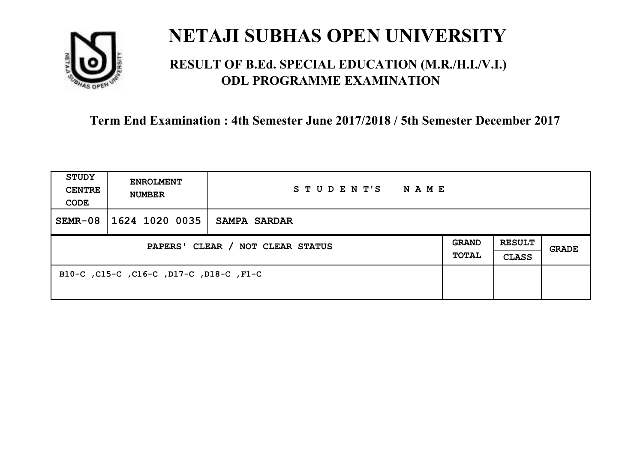

### **RESULT OF B.Ed. SPECIAL EDUCATION (M.R./H.I./V.I.) ODL PROGRAMME EXAMINATION**

| <b>STUDY</b><br><b>CENTRE</b><br>CODE | <b>ENROLMENT</b><br><b>NUMBER</b>       | STUDENT'S<br>NAME   |                              |                               |       |
|---------------------------------------|-----------------------------------------|---------------------|------------------------------|-------------------------------|-------|
| $SEMR-08$                             | 1624 1020 0035                          | <b>SAMPA SARDAR</b> |                              |                               |       |
| PAPERS' CLEAR / NOT CLEAR STATUS      |                                         |                     | <b>GRAND</b><br><b>TOTAL</b> | <b>RESULT</b><br><b>CLASS</b> | GRADE |
|                                       | B10-C, C15-C, C16-C, D17-C, D18-C, F1-C |                     |                              |                               |       |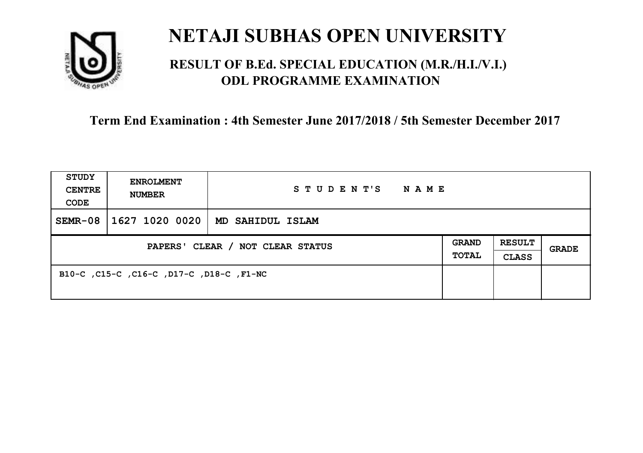

### **RESULT OF B.Ed. SPECIAL EDUCATION (M.R./H.I./V.I.) ODL PROGRAMME EXAMINATION**

| <b>STUDY</b><br><b>CENTRE</b><br>CODE | <b>ENROLMENT</b><br><b>NUMBER</b>        | STUDENT'S<br>NAME |                              |                               |       |
|---------------------------------------|------------------------------------------|-------------------|------------------------------|-------------------------------|-------|
| $SEMR-08$                             | 1627 1020 0020                           | MD SAHIDUL ISLAM  |                              |                               |       |
| PAPERS' CLEAR / NOT CLEAR STATUS      |                                          |                   | <b>GRAND</b><br><b>TOTAL</b> | <b>RESULT</b><br><b>CLASS</b> | GRADE |
|                                       | B10-C, C15-C, C16-C, D17-C, D18-C, F1-NC |                   |                              |                               |       |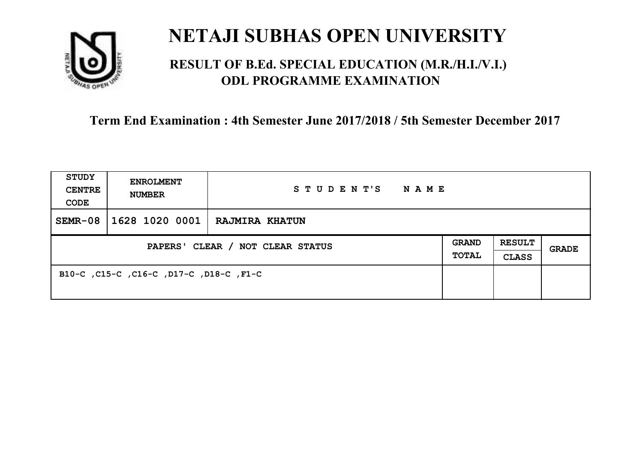

### **RESULT OF B.Ed. SPECIAL EDUCATION (M.R./H.I./V.I.) ODL PROGRAMME EXAMINATION**

| <b>STUDY</b><br><b>CENTRE</b><br>CODE | <b>ENROLMENT</b><br><b>NUMBER</b>       | STUDENT'S<br>NAME     |                       |                               |       |
|---------------------------------------|-----------------------------------------|-----------------------|-----------------------|-------------------------------|-------|
| $SEMR-08$                             | 1628 1020 0001                          | <b>RAJMIRA KHATUN</b> |                       |                               |       |
| PAPERS' CLEAR / NOT CLEAR STATUS      |                                         |                       | <b>GRAND</b><br>TOTAL | <b>RESULT</b><br><b>CLASS</b> | GRADE |
|                                       | B10-C, C15-C, C16-C, D17-C, D18-C, F1-C |                       |                       |                               |       |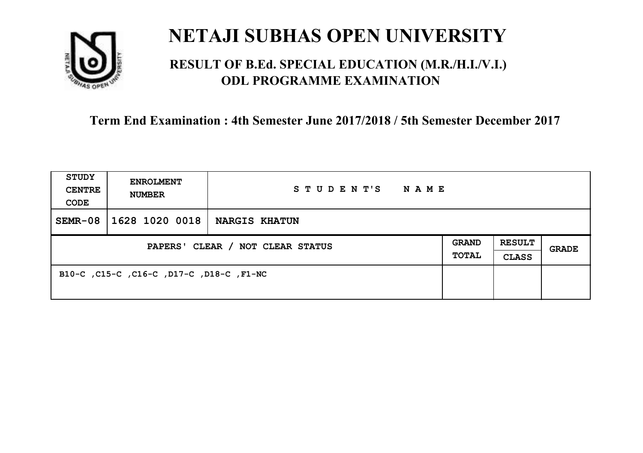

### **RESULT OF B.Ed. SPECIAL EDUCATION (M.R./H.I./V.I.) ODL PROGRAMME EXAMINATION**

| <b>STUDY</b><br><b>CENTRE</b><br>CODE | <b>ENROLMENT</b><br><b>NUMBER</b>        | STUDENT'S<br><b>NAME</b> |                       |                               |              |
|---------------------------------------|------------------------------------------|--------------------------|-----------------------|-------------------------------|--------------|
| $SEMR-08$                             | 1628 1020 0018                           | <b>NARGIS KHATUN</b>     |                       |                               |              |
| PAPERS' CLEAR / NOT CLEAR STATUS      |                                          |                          | GRAND<br><b>TOTAL</b> | <b>RESULT</b><br><b>CLASS</b> | <b>GRADE</b> |
|                                       | B10-C, C15-C, C16-C, D17-C, D18-C, F1-NC |                          |                       |                               |              |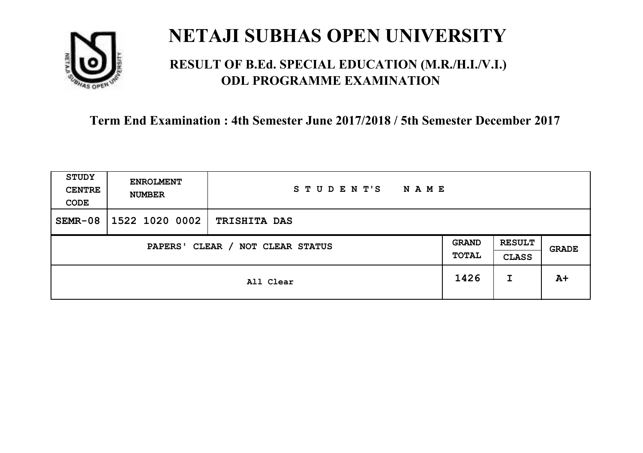

### **RESULT OF B.Ed. SPECIAL EDUCATION (M.R./H.I./V.I.) ODL PROGRAMME EXAMINATION**

| <b>STUDY</b><br><b>CENTRE</b><br>CODE | <b>ENROLMENT</b><br><b>NUMBER</b> | STUDENT'S<br><b>NAME</b> |      |                               |       |
|---------------------------------------|-----------------------------------|--------------------------|------|-------------------------------|-------|
| $SEMR-08$                             | 1522 1020 0002                    | <b>TRISHITA DAS</b>      |      |                               |       |
| CLEAR / NOT CLEAR STATUS<br>PAPERS'   |                                   |                          |      | <b>RESULT</b><br><b>CLASS</b> | GRADE |
|                                       |                                   | All Clear                | 1426 | I                             | $A+$  |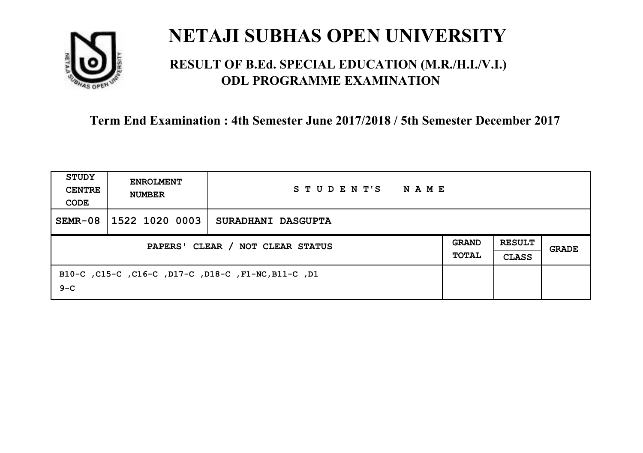

### **RESULT OF B.Ed. SPECIAL EDUCATION (M.R./H.I./V.I.) ODL PROGRAMME EXAMINATION**

| STUDY<br><b>CENTRE</b><br>CODE | <b>ENROLMENT</b><br><b>NUMBER</b>                                                                          | STUDENT'S<br><b>NAME</b>                            |  |  |  |
|--------------------------------|------------------------------------------------------------------------------------------------------------|-----------------------------------------------------|--|--|--|
| $SEMR-08$                      | $1522$ 1020 0003                                                                                           | SURADHANI DASGUPTA                                  |  |  |  |
|                                | <b>RESULT</b><br><b>GRAND</b><br>PAPERS' CLEAR / NOT CLEAR STATUS<br>GRADE<br><b>TOTAL</b><br><b>CLASS</b> |                                                     |  |  |  |
| $9 - C$                        |                                                                                                            | B10-C, C15-C, C16-C, D17-C, D18-C, F1-NC, B11-C, D1 |  |  |  |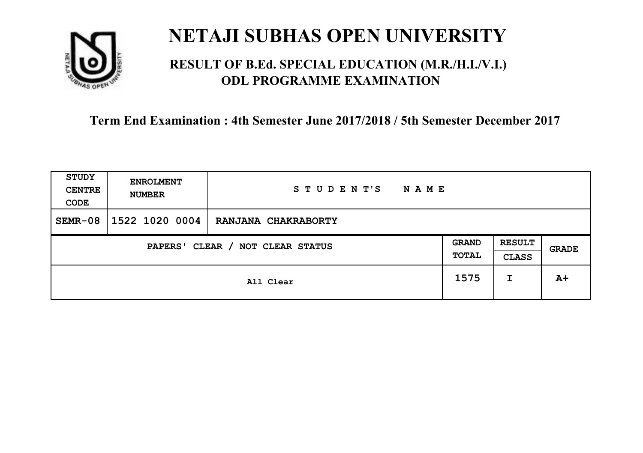

### **RESULT OF B.Ed. SPECIAL EDUCATION (M.R./H.I./V.I.) ODL PROGRAMME EXAMINATION**

| <b>STUDY</b><br><b>CENTRE</b><br>CODE | <b>ENROLMENT</b><br><b>NUMBER</b>   | STUDENT'S<br><b>NAME</b> |      |                               |              |
|---------------------------------------|-------------------------------------|--------------------------|------|-------------------------------|--------------|
| $SEMR-08$                             | 1522 1020 0004                      | RANJANA CHAKRABORTY      |      |                               |              |
|                                       | CLEAR / NOT CLEAR STATUS<br>PAPERS' |                          |      | <b>RESULT</b><br><b>CLASS</b> | <b>GRADE</b> |
|                                       |                                     | All Clear                | 1575 | I                             | $A+$         |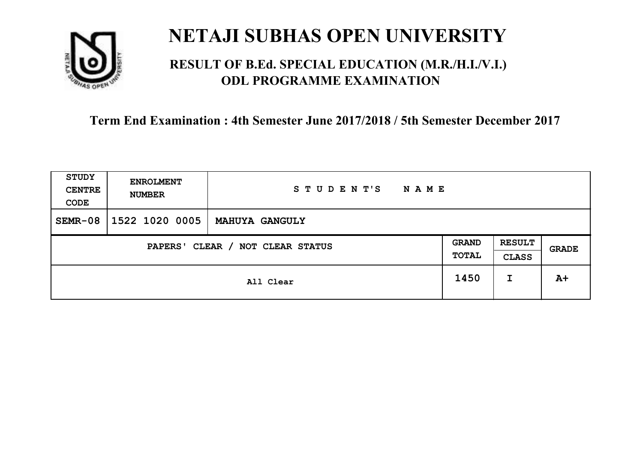

### **RESULT OF B.Ed. SPECIAL EDUCATION (M.R./H.I./V.I.) ODL PROGRAMME EXAMINATION**

| <b>STUDY</b><br><b>CENTRE</b><br>CODE | <b>ENROLMENT</b><br><b>NUMBER</b>   | STUDENT'S<br><b>NAME</b> |      |                               |              |
|---------------------------------------|-------------------------------------|--------------------------|------|-------------------------------|--------------|
| $SEMR-08$                             | 1522 1020 0005                      | <b>MAHUYA GANGULY</b>    |      |                               |              |
|                                       | CLEAR / NOT CLEAR STATUS<br>PAPERS' |                          |      | <b>RESULT</b><br><b>CLASS</b> | <b>GRADE</b> |
|                                       |                                     | All Clear                | 1450 | I                             | $A+$         |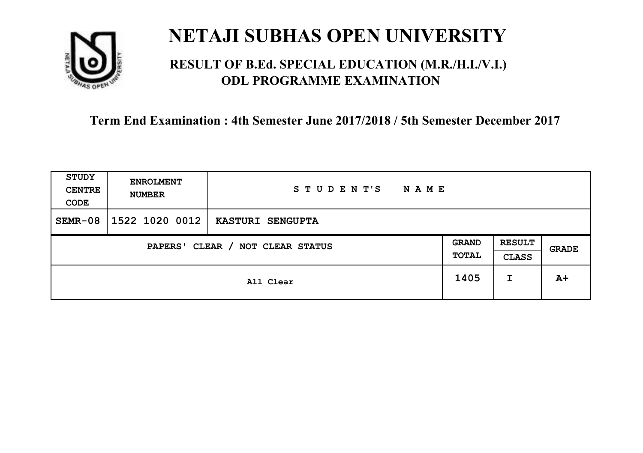

### **RESULT OF B.Ed. SPECIAL EDUCATION (M.R./H.I./V.I.) ODL PROGRAMME EXAMINATION**

| <b>STUDY</b><br><b>CENTRE</b><br>CODE | <b>ENROLMENT</b><br><b>NUMBER</b>   | STUDENT'S<br><b>NAME</b> |      |                               |       |
|---------------------------------------|-------------------------------------|--------------------------|------|-------------------------------|-------|
| $SEMR-08$                             | 1522 1020 0012                      | <b>KASTURI SENGUPTA</b>  |      |                               |       |
|                                       | CLEAR / NOT CLEAR STATUS<br>PAPERS' |                          |      | <b>RESULT</b><br><b>CLASS</b> | GRADE |
|                                       |                                     | All Clear                | 1405 | I                             | $A+$  |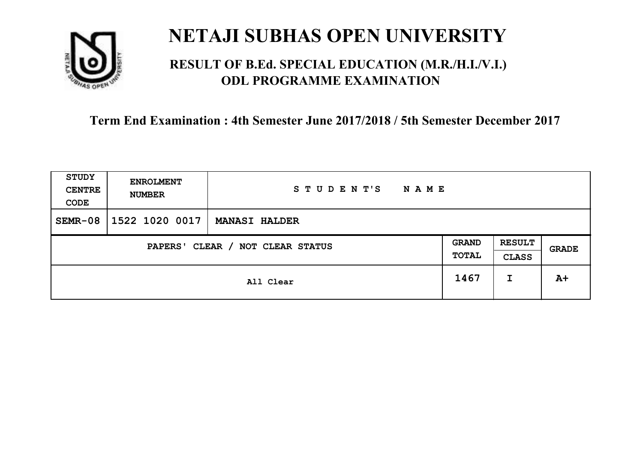

### **RESULT OF B.Ed. SPECIAL EDUCATION (M.R./H.I./V.I.) ODL PROGRAMME EXAMINATION**

| <b>STUDY</b><br><b>CENTRE</b><br>CODE | <b>ENROLMENT</b><br><b>NUMBER</b>   | STUDENT'S<br><b>NAME</b> |  |                               |       |
|---------------------------------------|-------------------------------------|--------------------------|--|-------------------------------|-------|
| $SEMR-08$                             | 1522 1020 0017                      | <b>MANASI HALDER</b>     |  |                               |       |
|                                       | CLEAR / NOT CLEAR STATUS<br>PAPERS' |                          |  | <b>RESULT</b><br><b>CLASS</b> | GRADE |
|                                       | All Clear                           |                          |  | I                             | $A+$  |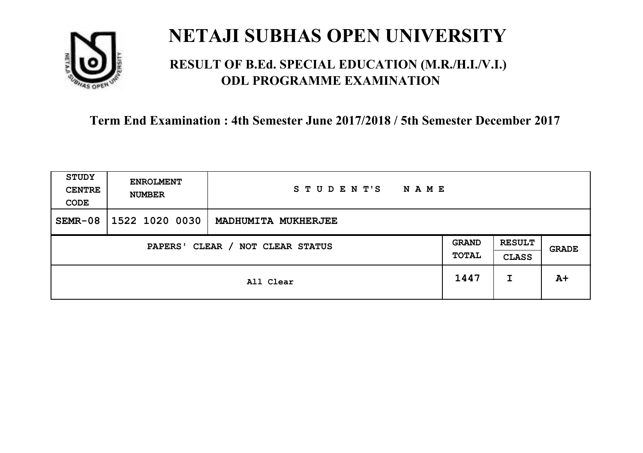

### **RESULT OF B.Ed. SPECIAL EDUCATION (M.R./H.I./V.I.) ODL PROGRAMME EXAMINATION**

| <b>STUDY</b><br><b>CENTRE</b><br>CODE | <b>ENROLMENT</b><br><b>NUMBER</b>   | STUDENT'S<br><b>NAME</b> |      |                               |       |
|---------------------------------------|-------------------------------------|--------------------------|------|-------------------------------|-------|
| $SEMR-08$                             | 1522 1020 0030                      | MADHUMITA MUKHERJEE      |      |                               |       |
|                                       | CLEAR / NOT CLEAR STATUS<br>PAPERS' |                          |      | <b>RESULT</b><br><b>CLASS</b> | GRADE |
|                                       |                                     | All Clear                | 1447 | I                             | $A+$  |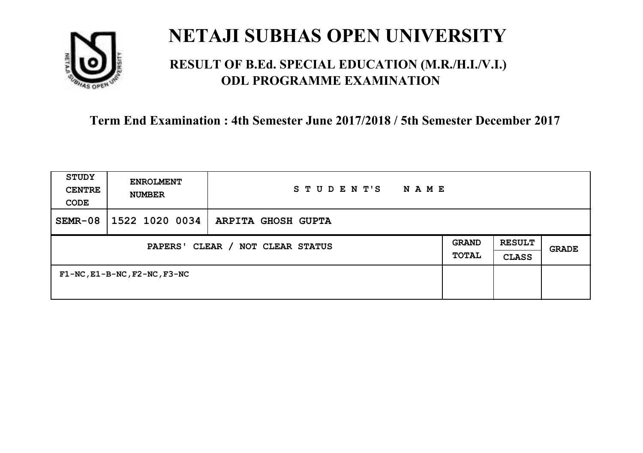

### **RESULT OF B.Ed. SPECIAL EDUCATION (M.R./H.I./V.I.) ODL PROGRAMME EXAMINATION**

| <b>STUDY</b><br><b>CENTRE</b><br>CODE      | <b>ENROLMENT</b><br><b>NUMBER</b>       | STUDENT'S<br>N A M E |                              |                               |              |
|--------------------------------------------|-----------------------------------------|----------------------|------------------------------|-------------------------------|--------------|
| $SEMR-08$                                  | 1522 1020 0034                          | ARPITA GHOSH GUPTA   |                              |                               |              |
| CLEAR / NOT CLEAR STATUS<br><b>PAPERS'</b> |                                         |                      | <b>GRAND</b><br><b>TOTAL</b> | <b>RESULT</b><br><b>CLASS</b> | <b>GRADE</b> |
|                                            | $F1-NC$ , $E1-B-NC$ , $F2-NC$ , $F3-NC$ |                      |                              |                               |              |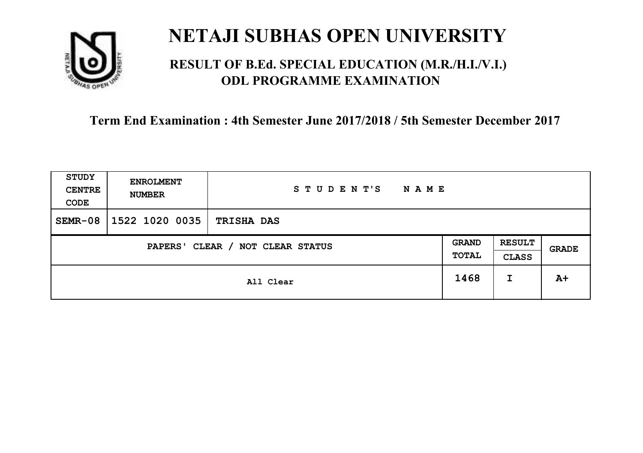

### **RESULT OF B.Ed. SPECIAL EDUCATION (M.R./H.I./V.I.) ODL PROGRAMME EXAMINATION**

| <b>STUDY</b><br><b>CENTRE</b><br>CODE | <b>ENROLMENT</b><br><b>NUMBER</b>   | STUDENT'S<br><b>NAME</b> |      |                               |       |
|---------------------------------------|-------------------------------------|--------------------------|------|-------------------------------|-------|
| $SEMR-08$                             | 1522 1020 0035                      | <b>TRISHA DAS</b>        |      |                               |       |
|                                       | CLEAR / NOT CLEAR STATUS<br>PAPERS' |                          |      | <b>RESULT</b><br><b>CLASS</b> | GRADE |
|                                       |                                     | All Clear                | 1468 | I                             | $A+$  |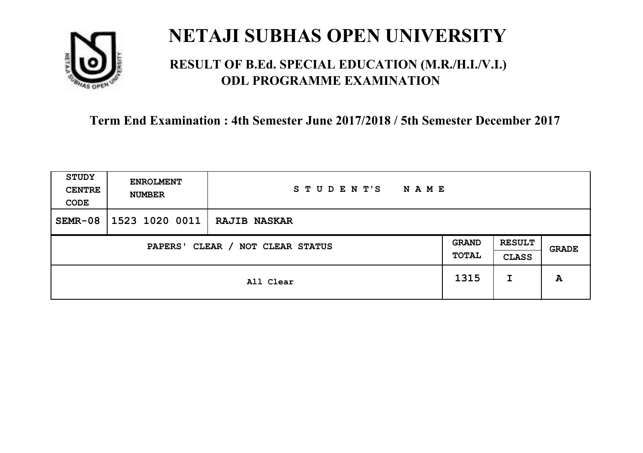

### **RESULT OF B.Ed. SPECIAL EDUCATION (M.R./H.I./V.I.) ODL PROGRAMME EXAMINATION**

| <b>STUDY</b><br><b>CENTRE</b><br>CODE | <b>ENROLMENT</b><br><b>NUMBER</b>   | STUDENT'S<br><b>NAME</b> |      |                               |       |
|---------------------------------------|-------------------------------------|--------------------------|------|-------------------------------|-------|
| $SEMR-08$                             | 1523 1020 0011                      | <b>RAJIB NASKAR</b>      |      |                               |       |
|                                       | CLEAR / NOT CLEAR STATUS<br>PAPERS' |                          |      | <b>RESULT</b><br><b>CLASS</b> | GRADE |
|                                       |                                     | All Clear                | 1315 | I                             | A     |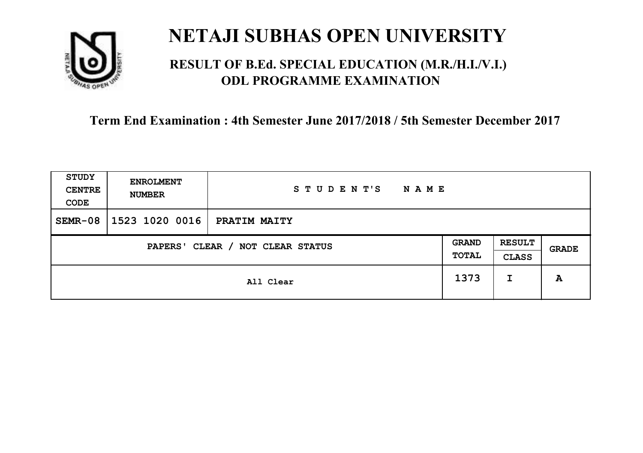

### **RESULT OF B.Ed. SPECIAL EDUCATION (M.R./H.I./V.I.) ODL PROGRAMME EXAMINATION**

| <b>STUDY</b><br><b>CENTRE</b><br>CODE | <b>ENROLMENT</b><br><b>NUMBER</b> | STUDENT'S<br><b>NAME</b> |                       |                               |       |
|---------------------------------------|-----------------------------------|--------------------------|-----------------------|-------------------------------|-------|
| $SEMR-08$                             | 1523 1020 0016                    | PRATIM MAITY             |                       |                               |       |
| CLEAR / NOT CLEAR STATUS<br>PAPERS'   |                                   |                          | <b>GRAND</b><br>TOTAL | <b>RESULT</b><br><b>CLASS</b> | GRADE |
|                                       |                                   | All Clear                | 1373                  | I                             | A     |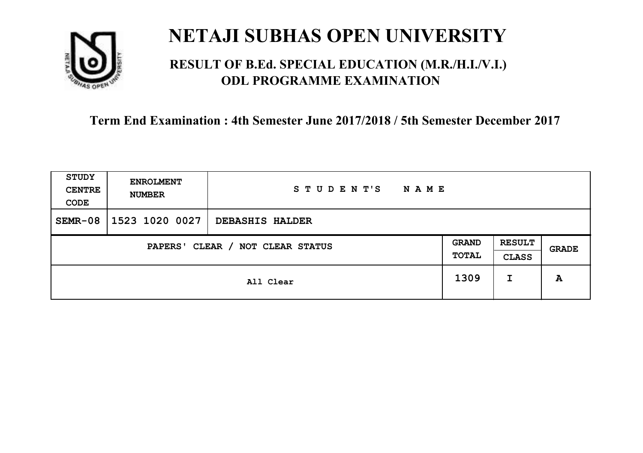

### **RESULT OF B.Ed. SPECIAL EDUCATION (M.R./H.I./V.I.) ODL PROGRAMME EXAMINATION**

| <b>STUDY</b><br><b>CENTRE</b><br>CODE | <b>ENROLMENT</b><br><b>NUMBER</b>   | STUDENT'S<br><b>NAME</b> |      |                               |       |
|---------------------------------------|-------------------------------------|--------------------------|------|-------------------------------|-------|
| $SEMR-08$                             | 1523 1020 0027                      | DEBASHIS HALDER          |      |                               |       |
|                                       | CLEAR / NOT CLEAR STATUS<br>PAPERS' |                          |      | <b>RESULT</b><br><b>CLASS</b> | GRADE |
|                                       |                                     | All Clear                | 1309 | I                             | A     |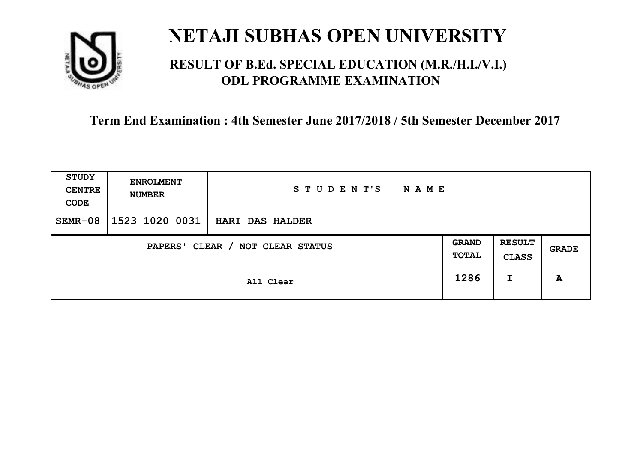

### **RESULT OF B.Ed. SPECIAL EDUCATION (M.R./H.I./V.I.) ODL PROGRAMME EXAMINATION**

| <b>STUDY</b><br><b>CENTRE</b><br>CODE | <b>ENROLMENT</b><br><b>NUMBER</b> | STUDENT'S<br><b>NAME</b> |                       |                               |       |
|---------------------------------------|-----------------------------------|--------------------------|-----------------------|-------------------------------|-------|
| $SEMR-08$                             | 1523 1020 0031                    | <b>HARI DAS HALDER</b>   |                       |                               |       |
| CLEAR / NOT CLEAR STATUS<br>PAPERS'   |                                   |                          | <b>GRAND</b><br>TOTAL | <b>RESULT</b><br><b>CLASS</b> | GRADE |
|                                       |                                   | All Clear                | 1286                  | I                             | A     |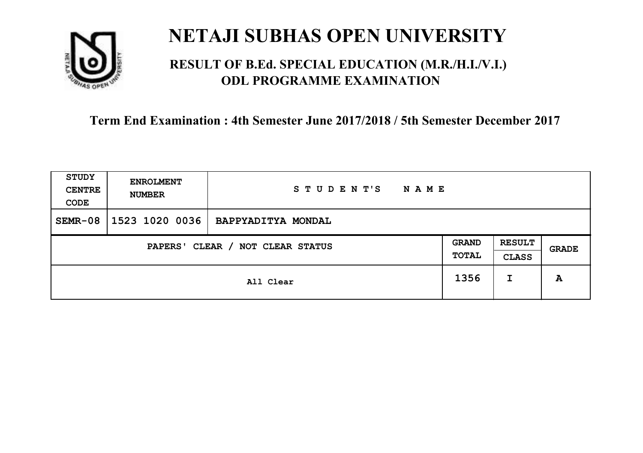

### **RESULT OF B.Ed. SPECIAL EDUCATION (M.R./H.I./V.I.) ODL PROGRAMME EXAMINATION**

| <b>STUDY</b><br><b>CENTRE</b><br>CODE | <b>ENROLMENT</b><br><b>NUMBER</b>   | STUDENT'S<br><b>NAME</b> |      |                               |       |
|---------------------------------------|-------------------------------------|--------------------------|------|-------------------------------|-------|
| $SEMR-08$                             | 1523 1020 0036                      | BAPPYADITYA MONDAL       |      |                               |       |
|                                       | CLEAR / NOT CLEAR STATUS<br>PAPERS' |                          |      | <b>RESULT</b><br><b>CLASS</b> | GRADE |
|                                       |                                     | All Clear                | 1356 | I                             | A     |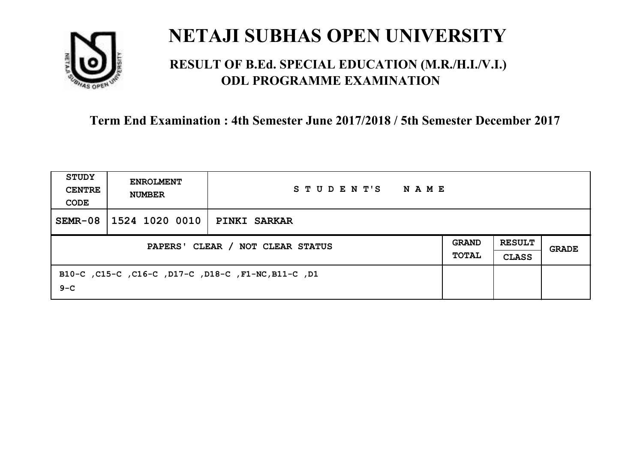

### **RESULT OF B.Ed. SPECIAL EDUCATION (M.R./H.I./V.I.) ODL PROGRAMME EXAMINATION**

| STUDY<br><b>CENTRE</b><br>CODE | <b>ENROLMENT</b><br><b>NUMBER</b> | STUDENT'S<br>NAME                                   |  |                               |       |
|--------------------------------|-----------------------------------|-----------------------------------------------------|--|-------------------------------|-------|
| $SEMR-08$                      | 1524 1020 0010                    | <b>PINKI SARKAR</b>                                 |  |                               |       |
|                                | PAPERS' CLEAR / NOT CLEAR STATUS  |                                                     |  | <b>RESULT</b><br><b>CLASS</b> | GRADE |
| $9 - C$                        |                                   | B10-C, C15-C, C16-C, D17-C, D18-C, F1-NC, B11-C, D1 |  |                               |       |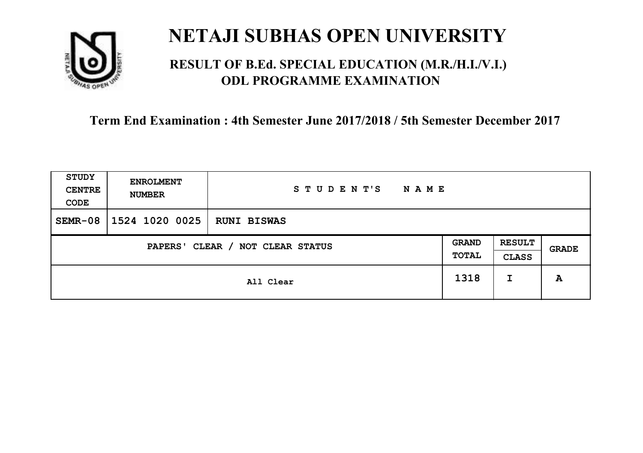

### **RESULT OF B.Ed. SPECIAL EDUCATION (M.R./H.I./V.I.) ODL PROGRAMME EXAMINATION**

| <b>STUDY</b><br><b>CENTRE</b><br>CODE | <b>ENROLMENT</b><br><b>NUMBER</b>   | STUDENT'S<br><b>NAME</b> |      |                               |       |
|---------------------------------------|-------------------------------------|--------------------------|------|-------------------------------|-------|
| $SEMR-08$                             | 1524 1020 0025                      | <b>RUNI BISWAS</b>       |      |                               |       |
|                                       | CLEAR / NOT CLEAR STATUS<br>PAPERS' |                          |      | <b>RESULT</b><br><b>CLASS</b> | GRADE |
|                                       |                                     | All Clear                | 1318 | I                             | A     |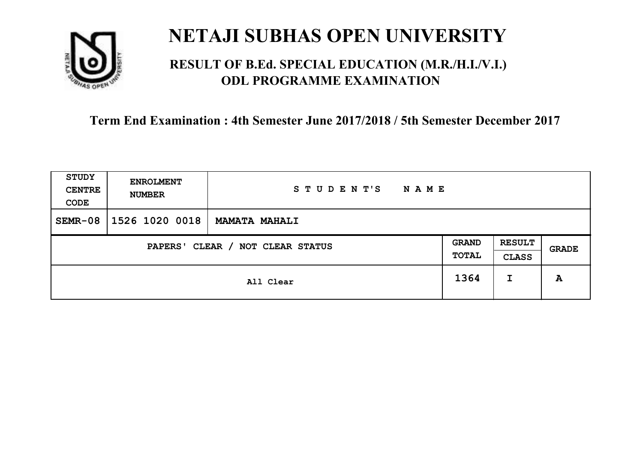

### **RESULT OF B.Ed. SPECIAL EDUCATION (M.R./H.I./V.I.) ODL PROGRAMME EXAMINATION**

| <b>STUDY</b><br><b>CENTRE</b><br>CODE | <b>ENROLMENT</b><br><b>NUMBER</b>   | STUDENT'S<br><b>NAME</b> |      |                               |       |
|---------------------------------------|-------------------------------------|--------------------------|------|-------------------------------|-------|
| $SEMR-08$                             | 1526 1020 0018                      | <b>MAMATA MAHALI</b>     |      |                               |       |
|                                       | CLEAR / NOT CLEAR STATUS<br>PAPERS' |                          |      | <b>RESULT</b><br><b>CLASS</b> | GRADE |
|                                       |                                     | All Clear                | 1364 | I                             | A     |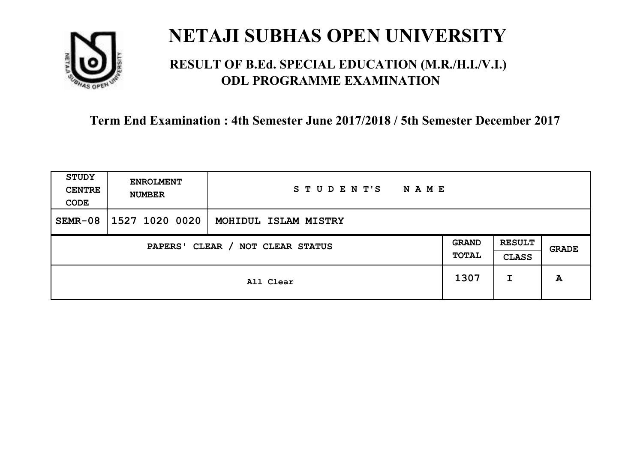

### **RESULT OF B.Ed. SPECIAL EDUCATION (M.R./H.I./V.I.) ODL PROGRAMME EXAMINATION**

| <b>STUDY</b><br><b>CENTRE</b><br>CODE | <b>ENROLMENT</b><br><b>NUMBER</b>   | STUDENT'S<br><b>NAME</b> |      |                               |       |
|---------------------------------------|-------------------------------------|--------------------------|------|-------------------------------|-------|
| $SEMR-08$                             | 1527 1020 0020                      | MOHIDUL ISLAM MISTRY     |      |                               |       |
|                                       | CLEAR / NOT CLEAR STATUS<br>PAPERS' |                          |      | <b>RESULT</b><br><b>CLASS</b> | GRADE |
|                                       |                                     | All Clear                | 1307 | I                             | A     |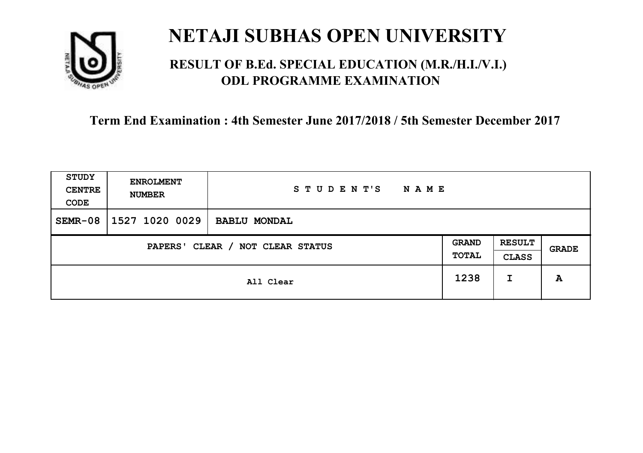

### **RESULT OF B.Ed. SPECIAL EDUCATION (M.R./H.I./V.I.) ODL PROGRAMME EXAMINATION**

| <b>STUDY</b><br><b>CENTRE</b><br>CODE | <b>ENROLMENT</b><br><b>NUMBER</b>   | STUDENT'S<br><b>NAME</b> |      |                               |              |
|---------------------------------------|-------------------------------------|--------------------------|------|-------------------------------|--------------|
| $SEMR-08$                             | 1527 1020 0029                      | <b>BABLU MONDAL</b>      |      |                               |              |
|                                       | CLEAR / NOT CLEAR STATUS<br>PAPERS' |                          |      | <b>RESULT</b><br><b>CLASS</b> | <b>GRADE</b> |
|                                       |                                     | All Clear                | 1238 | I                             | A            |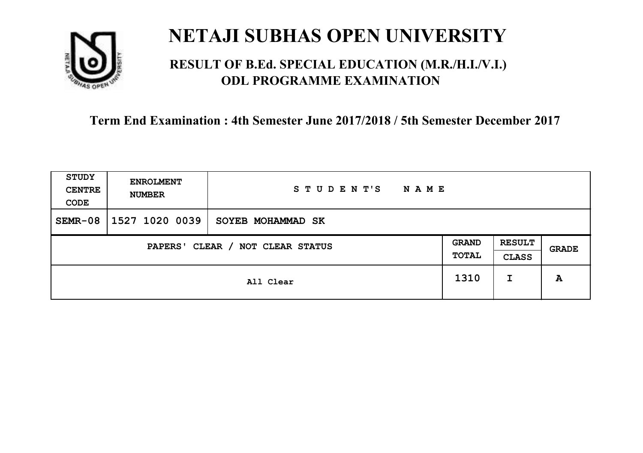

### **RESULT OF B.Ed. SPECIAL EDUCATION (M.R./H.I./V.I.) ODL PROGRAMME EXAMINATION**

| <b>STUDY</b><br><b>CENTRE</b><br>CODE | <b>ENROLMENT</b><br><b>NUMBER</b>   | STUDENT'S<br><b>NAME</b> |      |                               |       |
|---------------------------------------|-------------------------------------|--------------------------|------|-------------------------------|-------|
| $SEMR-08$                             | 1527 1020 0039                      | SOYEB MOHAMMAD SK        |      |                               |       |
|                                       | CLEAR / NOT CLEAR STATUS<br>PAPERS' |                          |      | <b>RESULT</b><br><b>CLASS</b> | GRADE |
|                                       |                                     | All Clear                | 1310 | I                             | A     |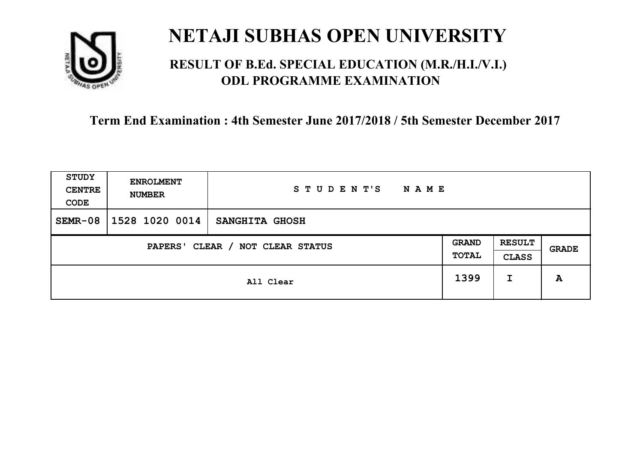

### **RESULT OF B.Ed. SPECIAL EDUCATION (M.R./H.I./V.I.) ODL PROGRAMME EXAMINATION**

| <b>STUDY</b><br><b>CENTRE</b><br>CODE | <b>ENROLMENT</b><br><b>NUMBER</b>   | STUDENT'S<br><b>NAME</b> |      |                               |              |
|---------------------------------------|-------------------------------------|--------------------------|------|-------------------------------|--------------|
| $SEMR-08$                             | 1528 1020 0014                      | SANGHITA GHOSH           |      |                               |              |
|                                       | CLEAR / NOT CLEAR STATUS<br>PAPERS' |                          |      | <b>RESULT</b><br><b>CLASS</b> | <b>GRADE</b> |
|                                       |                                     | All Clear                | 1399 | I                             | A            |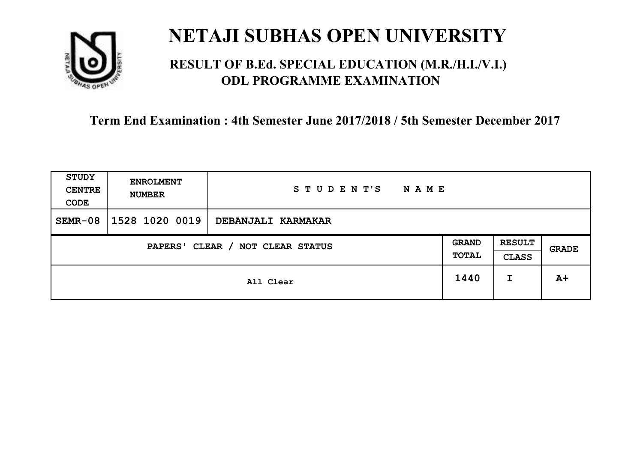

### **RESULT OF B.Ed. SPECIAL EDUCATION (M.R./H.I./V.I.) ODL PROGRAMME EXAMINATION**

| <b>STUDY</b><br><b>CENTRE</b><br>CODE | <b>ENROLMENT</b><br><b>NUMBER</b>   | STUDENT'S<br><b>NAME</b> |      |                               |              |
|---------------------------------------|-------------------------------------|--------------------------|------|-------------------------------|--------------|
| $SEMR-08$                             | 1528 1020 0019                      | DEBANJALI KARMAKAR       |      |                               |              |
|                                       | CLEAR / NOT CLEAR STATUS<br>PAPERS' |                          |      | <b>RESULT</b><br><b>CLASS</b> | <b>GRADE</b> |
|                                       |                                     | All Clear                | 1440 | I                             | $A+$         |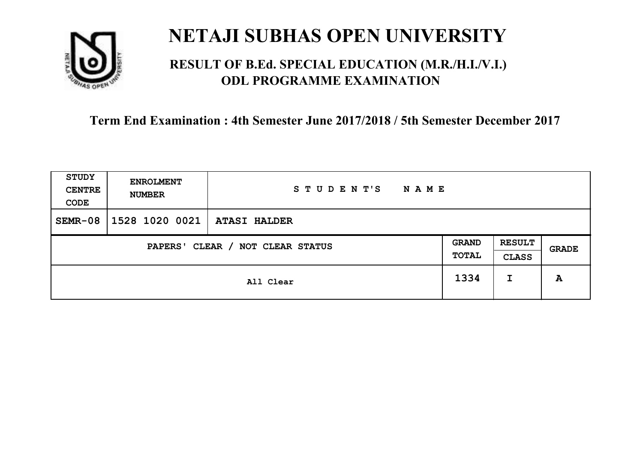

### **RESULT OF B.Ed. SPECIAL EDUCATION (M.R./H.I./V.I.) ODL PROGRAMME EXAMINATION**

| <b>STUDY</b><br><b>CENTRE</b><br>CODE                        | <b>ENROLMENT</b><br><b>NUMBER</b> | STUDENT'S<br><b>NAME</b> |      |                               |       |
|--------------------------------------------------------------|-----------------------------------|--------------------------|------|-------------------------------|-------|
| $SEMR-08$                                                    | 1528 1020 0021                    | <b>ATASI HALDER</b>      |      |                               |       |
| <b>GRAND</b><br>CLEAR / NOT CLEAR STATUS<br>PAPERS'<br>TOTAL |                                   |                          |      | <b>RESULT</b><br><b>CLASS</b> | GRADE |
|                                                              |                                   | All Clear                | 1334 | I                             | A     |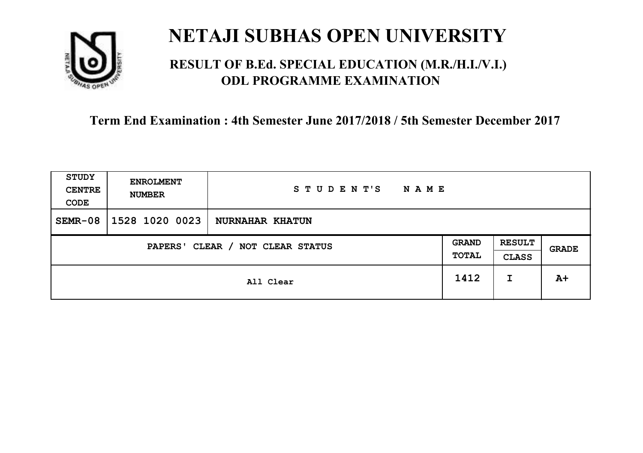

### **RESULT OF B.Ed. SPECIAL EDUCATION (M.R./H.I./V.I.) ODL PROGRAMME EXAMINATION**

| <b>STUDY</b><br><b>CENTRE</b><br>CODE | <b>ENROLMENT</b><br><b>NUMBER</b>   | STUDENT'S<br><b>NAME</b> |      |   |       |
|---------------------------------------|-------------------------------------|--------------------------|------|---|-------|
| $SEMR-08$                             | 1528 1020 0023                      | <b>NURNAHAR KHATUN</b>   |      |   |       |
|                                       | CLEAR / NOT CLEAR STATUS<br>PAPERS' |                          |      |   | GRADE |
|                                       |                                     | All Clear                | 1412 | I | $A+$  |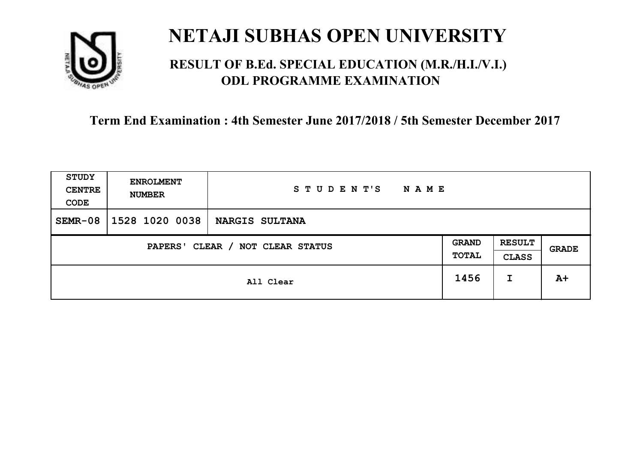

### **RESULT OF B.Ed. SPECIAL EDUCATION (M.R./H.I./V.I.) ODL PROGRAMME EXAMINATION**

| <b>STUDY</b><br><b>CENTRE</b><br>CODE | <b>ENROLMENT</b><br><b>NUMBER</b> | STUDENT'S<br><b>NAME</b> |      |                               |       |
|---------------------------------------|-----------------------------------|--------------------------|------|-------------------------------|-------|
| $SEMR-08$                             | 1528 1020 0038                    | <b>NARGIS SULTANA</b>    |      |                               |       |
| CLEAR / NOT CLEAR STATUS<br>PAPERS'   |                                   |                          |      | <b>RESULT</b><br><b>CLASS</b> | GRADE |
|                                       |                                   | All Clear                | 1456 | I                             | $A+$  |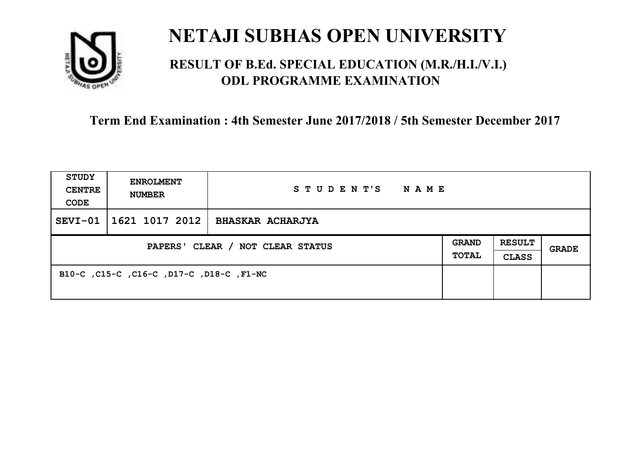

### **RESULT OF B.Ed. SPECIAL EDUCATION (M.R./H.I./V.I.) ODL PROGRAMME EXAMINATION**

| <b>STUDY</b><br><b>CENTRE</b><br>CODE | <b>ENROLMENT</b><br><b>NUMBER</b>        | STUDENT'S<br>NAME       |                              |                               |       |
|---------------------------------------|------------------------------------------|-------------------------|------------------------------|-------------------------------|-------|
| $SEVI-01$                             | 1621 1017 2012                           | <b>BHASKAR ACHARJYA</b> |                              |                               |       |
| PAPERS' CLEAR / NOT CLEAR STATUS      |                                          |                         | <b>GRAND</b><br><b>TOTAL</b> | <b>RESULT</b><br><b>CLASS</b> | GRADE |
|                                       | B10-C, C15-C, C16-C, D17-C, D18-C, F1-NC |                         |                              |                               |       |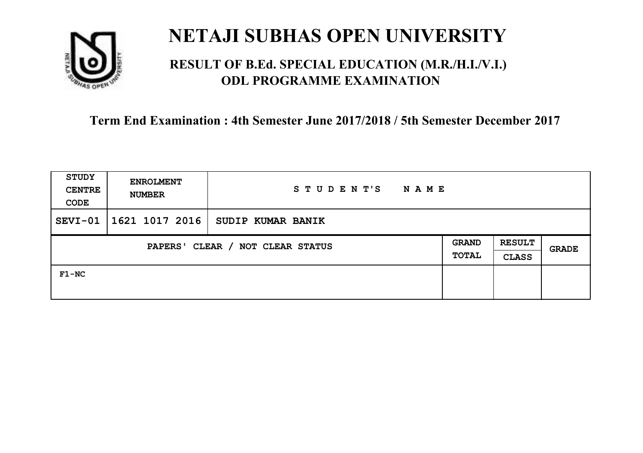

### **RESULT OF B.Ed. SPECIAL EDUCATION (M.R./H.I./V.I.) ODL PROGRAMME EXAMINATION**

| <b>STUDY</b><br><b>CENTRE</b><br>CODE      | <b>ENROLMENT</b><br><b>NUMBER</b> | STUDENT'S<br>N A M E |  |                               |              |
|--------------------------------------------|-----------------------------------|----------------------|--|-------------------------------|--------------|
| SEVI-01                                    | 1621 1017 2016                    | SUDIP KUMAR BANIK    |  |                               |              |
| CLEAR / NOT CLEAR STATUS<br><b>PAPERS'</b> |                                   |                      |  | <b>RESULT</b><br><b>CLASS</b> | <b>GRADE</b> |
| $F1-NC$                                    |                                   |                      |  |                               |              |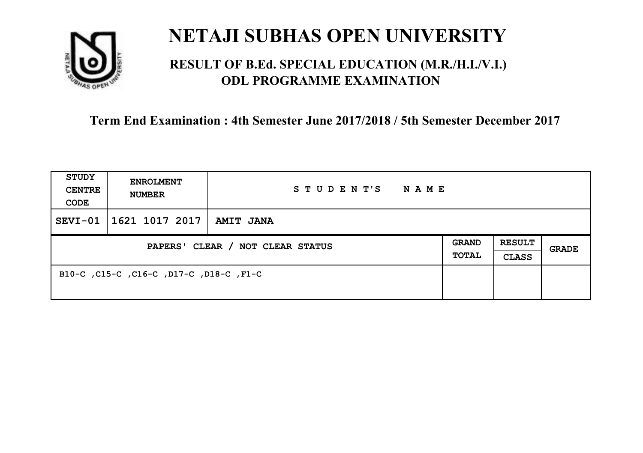

### **RESULT OF B.Ed. SPECIAL EDUCATION (M.R./H.I./V.I.) ODL PROGRAMME EXAMINATION**

| <b>STUDY</b><br><b>CENTRE</b><br>CODE | <b>ENROLMENT</b><br><b>NUMBER</b>       | STUDENT'S<br>NAME |                              |                               |       |
|---------------------------------------|-----------------------------------------|-------------------|------------------------------|-------------------------------|-------|
| $SEVI-01$                             | 1621 1017 2017                          | <b>AMIT JANA</b>  |                              |                               |       |
| PAPERS' CLEAR / NOT CLEAR STATUS      |                                         |                   | <b>GRAND</b><br><b>TOTAL</b> | <b>RESULT</b><br><b>CLASS</b> | GRADE |
|                                       | B10-C, C15-C, C16-C, D17-C, D18-C, F1-C |                   |                              |                               |       |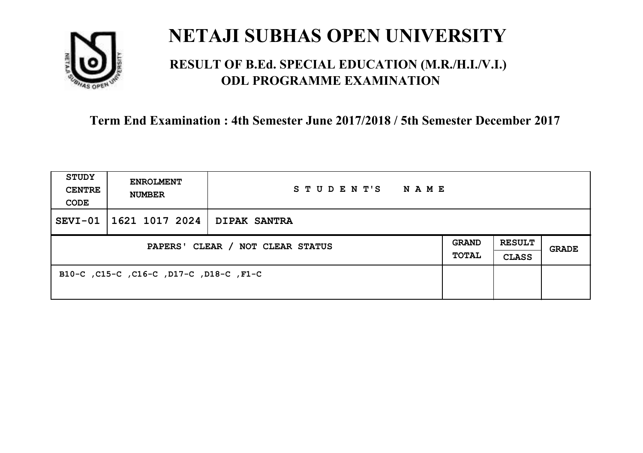

### **RESULT OF B.Ed. SPECIAL EDUCATION (M.R./H.I./V.I.) ODL PROGRAMME EXAMINATION**

| <b>STUDY</b><br><b>CENTRE</b><br>CODE | <b>ENROLMENT</b><br><b>NUMBER</b>       | STUDENT'S<br><b>NAME</b> |  |                               |              |
|---------------------------------------|-----------------------------------------|--------------------------|--|-------------------------------|--------------|
| $SEVI-01$                             | $\mid$ 1621 1017 2024   DIPAK SANTRA    |                          |  |                               |              |
| PAPERS' CLEAR / NOT CLEAR STATUS      |                                         |                          |  | <b>RESULT</b><br><b>CLASS</b> | <b>GRADE</b> |
|                                       | B10-C, C15-C, C16-C, D17-C, D18-C, F1-C |                          |  |                               |              |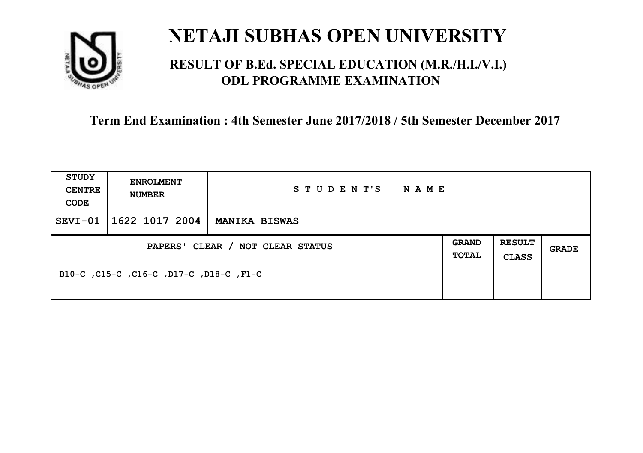

### **RESULT OF B.Ed. SPECIAL EDUCATION (M.R./H.I./V.I.) ODL PROGRAMME EXAMINATION**

| <b>STUDY</b><br><b>CENTRE</b><br>CODE | <b>ENROLMENT</b><br><b>NUMBER</b>       | STUDENT'S<br><b>NAME</b> |                              |                               |       |
|---------------------------------------|-----------------------------------------|--------------------------|------------------------------|-------------------------------|-------|
| $SEVI-01$                             | 1622 1017 2004                          | <b>MANIKA BISWAS</b>     |                              |                               |       |
| PAPERS' CLEAR / NOT CLEAR STATUS      |                                         |                          | <b>GRAND</b><br><b>TOTAL</b> | <b>RESULT</b><br><b>CLASS</b> | GRADE |
|                                       | B10-C, C15-C, C16-C, D17-C, D18-C, F1-C |                          |                              |                               |       |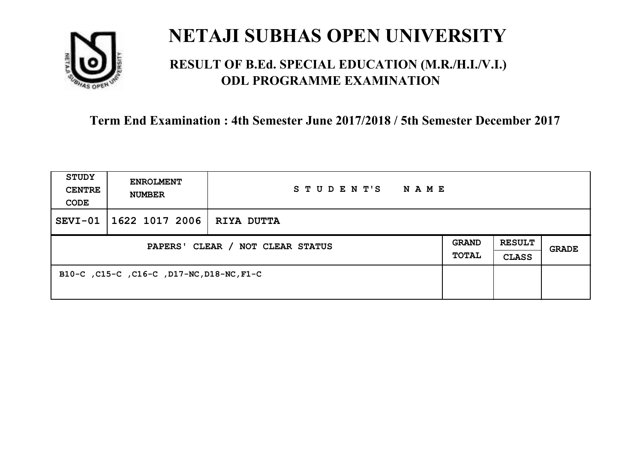

### **RESULT OF B.Ed. SPECIAL EDUCATION (M.R./H.I./V.I.) ODL PROGRAMME EXAMINATION**

| <b>STUDY</b><br><b>CENTRE</b><br>CODE | <b>ENROLMENT</b><br><b>NUMBER</b>         | STUDENT'S<br>NAME |                              |                               |              |
|---------------------------------------|-------------------------------------------|-------------------|------------------------------|-------------------------------|--------------|
| $SEVI-01$                             | 1622 1017 2006                            | RIYA DUTTA        |                              |                               |              |
| PAPERS' CLEAR / NOT CLEAR STATUS      |                                           |                   | <b>GRAND</b><br><b>TOTAL</b> | <b>RESULT</b><br><b>CLASS</b> | <b>GRADE</b> |
|                                       | B10-C, C15-C, C16-C, D17-NC, D18-NC, F1-C |                   |                              |                               |              |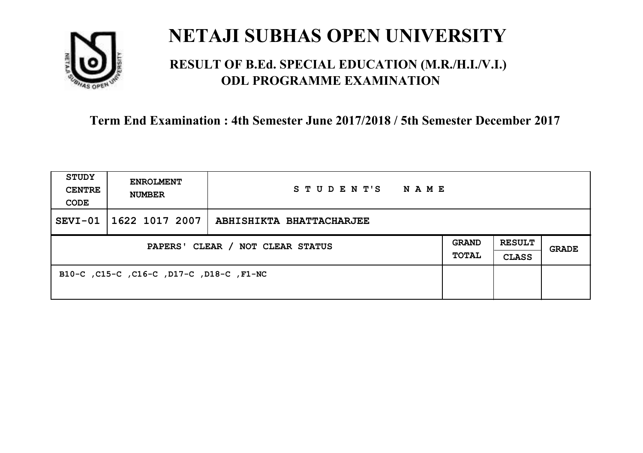

### **RESULT OF B.Ed. SPECIAL EDUCATION (M.R./H.I./V.I.) ODL PROGRAMME EXAMINATION**

| <b>STUDY</b><br><b>CENTRE</b><br>CODE | <b>ENROLMENT</b><br><b>NUMBER</b>        | STUDENT'S<br>NAME        |                              |                               |       |
|---------------------------------------|------------------------------------------|--------------------------|------------------------------|-------------------------------|-------|
| $SEVI-01$                             | 1622 1017 2007                           | ABHISHIKTA BHATTACHARJEE |                              |                               |       |
| PAPERS' CLEAR / NOT CLEAR STATUS      |                                          |                          | <b>GRAND</b><br><b>TOTAL</b> | <b>RESULT</b><br><b>CLASS</b> | GRADE |
|                                       | B10-C, C15-C, C16-C, D17-C, D18-C, F1-NC |                          |                              |                               |       |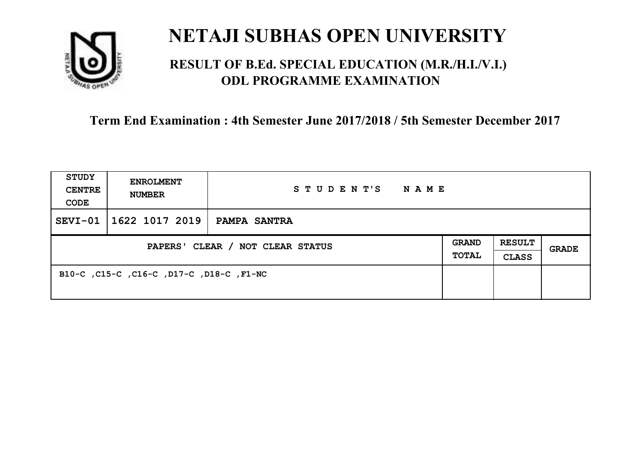

### **RESULT OF B.Ed. SPECIAL EDUCATION (M.R./H.I./V.I.) ODL PROGRAMME EXAMINATION**

| <b>STUDY</b><br><b>CENTRE</b><br>CODE | <b>ENROLMENT</b><br><b>NUMBER</b>        | STUDENT'S<br><b>NAME</b> |  |                               |              |
|---------------------------------------|------------------------------------------|--------------------------|--|-------------------------------|--------------|
| $SEVI-01$                             | 1622 1017 2019                           | <b>PAMPA SANTRA</b>      |  |                               |              |
| PAPERS' CLEAR / NOT CLEAR STATUS      |                                          |                          |  | <b>RESULT</b><br><b>CLASS</b> | <b>GRADE</b> |
|                                       | B10-C, C15-C, C16-C, D17-C, D18-C, F1-NC |                          |  |                               |              |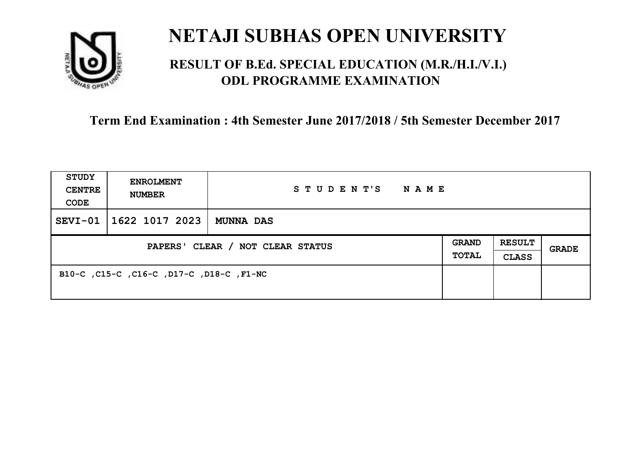

### **RESULT OF B.Ed. SPECIAL EDUCATION (M.R./H.I./V.I.) ODL PROGRAMME EXAMINATION**

| <b>STUDY</b><br><b>CENTRE</b><br>CODE | <b>ENROLMENT</b><br><b>NUMBER</b>        | STUDENT'S<br><b>NAME</b> |                              |                               |       |
|---------------------------------------|------------------------------------------|--------------------------|------------------------------|-------------------------------|-------|
| SEVI-01                               | 1622 1017 2023                           | <b>MUNNA DAS</b>         |                              |                               |       |
| PAPERS' CLEAR / NOT CLEAR STATUS      |                                          |                          | <b>GRAND</b><br><b>TOTAL</b> | <b>RESULT</b><br><b>CLASS</b> | GRADE |
|                                       | B10-C, C15-C, C16-C, D17-C, D18-C, F1-NC |                          |                              |                               |       |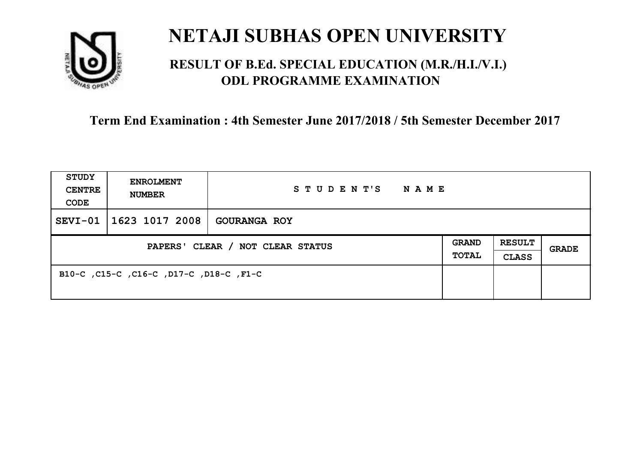

### **RESULT OF B.Ed. SPECIAL EDUCATION (M.R./H.I./V.I.) ODL PROGRAMME EXAMINATION**

| <b>STUDY</b><br><b>CENTRE</b><br>CODE | <b>ENROLMENT</b><br><b>NUMBER</b>       | STUDENT'S<br>NAME   |  |                               |       |
|---------------------------------------|-----------------------------------------|---------------------|--|-------------------------------|-------|
| $SEVI-01$                             | 1623 1017 2008                          | <b>GOURANGA ROY</b> |  |                               |       |
| PAPERS' CLEAR / NOT CLEAR STATUS      |                                         |                     |  | <b>RESULT</b><br><b>CLASS</b> | GRADE |
|                                       | B10-C, C15-C, C16-C, D17-C, D18-C, F1-C |                     |  |                               |       |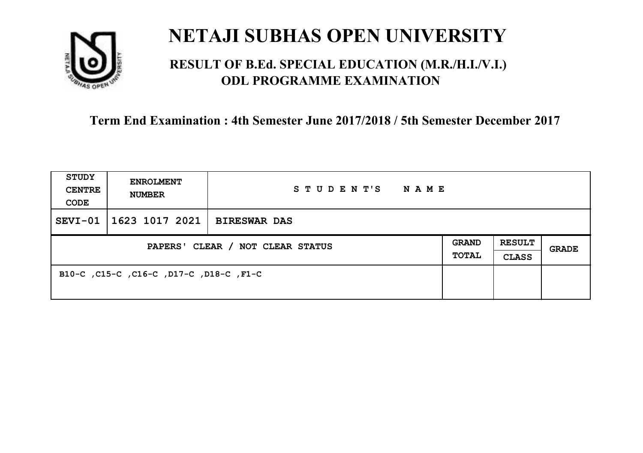

### **RESULT OF B.Ed. SPECIAL EDUCATION (M.R./H.I./V.I.) ODL PROGRAMME EXAMINATION**

| <b>STUDY</b><br><b>CENTRE</b><br>CODE | <b>ENROLMENT</b><br><b>NUMBER</b>       | STUDENT'S<br>NAME   |  |                               |       |
|---------------------------------------|-----------------------------------------|---------------------|--|-------------------------------|-------|
| $SEVI-01$                             | 1623 1017 2021                          | <b>BIRESWAR DAS</b> |  |                               |       |
| PAPERS' CLEAR / NOT CLEAR STATUS      |                                         |                     |  | <b>RESULT</b><br><b>CLASS</b> | GRADE |
|                                       | B10-C, C15-C, C16-C, D17-C, D18-C, F1-C |                     |  |                               |       |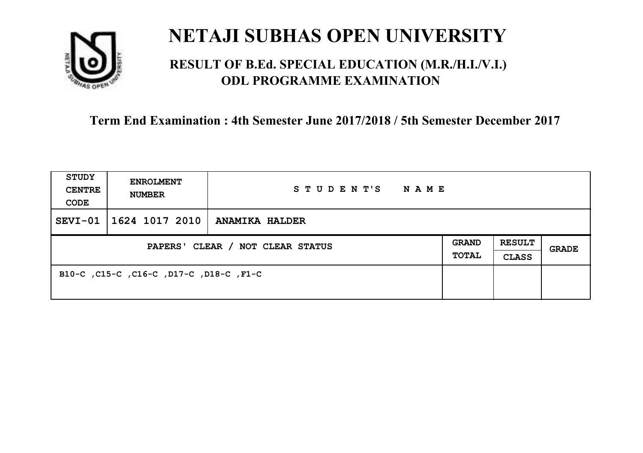

### **RESULT OF B.Ed. SPECIAL EDUCATION (M.R./H.I./V.I.) ODL PROGRAMME EXAMINATION**

| <b>STUDY</b><br><b>CENTRE</b><br>CODE | <b>ENROLMENT</b><br><b>NUMBER</b>       | STUDENT'S<br>NAME     |                              |                               |       |
|---------------------------------------|-----------------------------------------|-----------------------|------------------------------|-------------------------------|-------|
| $SEVI-01$                             | 1624 1017 2010                          | <b>ANAMIKA HALDER</b> |                              |                               |       |
| PAPERS' CLEAR / NOT CLEAR STATUS      |                                         |                       | <b>GRAND</b><br><b>TOTAL</b> | <b>RESULT</b><br><b>CLASS</b> | GRADE |
|                                       | B10-C, C15-C, C16-C, D17-C, D18-C, F1-C |                       |                              |                               |       |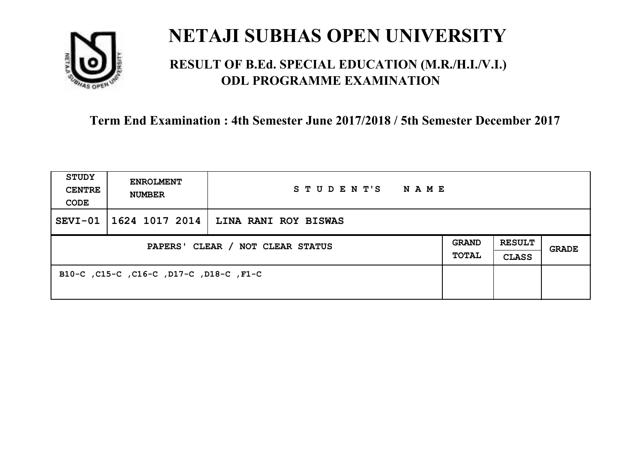

### **RESULT OF B.Ed. SPECIAL EDUCATION (M.R./H.I./V.I.) ODL PROGRAMME EXAMINATION**

| <b>STUDY</b><br><b>CENTRE</b><br>CODE | <b>ENROLMENT</b><br><b>NUMBER</b>       | STUDENT'S<br>NAME    |                              |                               |       |
|---------------------------------------|-----------------------------------------|----------------------|------------------------------|-------------------------------|-------|
| $SEVI-01$                             | 1624 1017 2014                          | LINA RANI ROY BISWAS |                              |                               |       |
| PAPERS' CLEAR / NOT CLEAR STATUS      |                                         |                      | <b>GRAND</b><br><b>TOTAL</b> | <b>RESULT</b><br><b>CLASS</b> | GRADE |
|                                       | B10-C, C15-C, C16-C, D17-C, D18-C, F1-C |                      |                              |                               |       |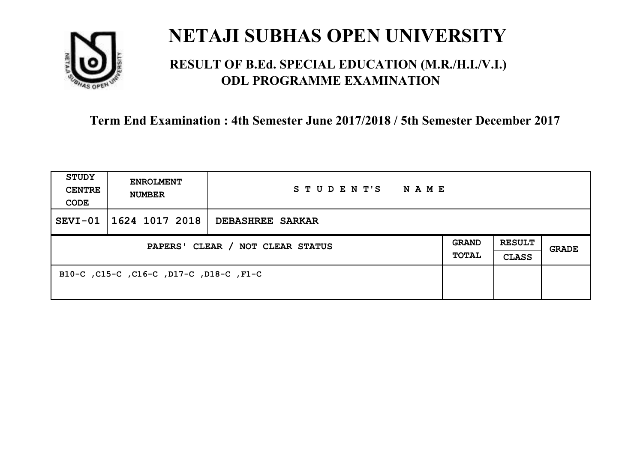

### **RESULT OF B.Ed. SPECIAL EDUCATION (M.R./H.I./V.I.) ODL PROGRAMME EXAMINATION**

| <b>STUDY</b><br><b>CENTRE</b><br>CODE | <b>ENROLMENT</b><br><b>NUMBER</b>       | STUDENT'S NAME          |                       |                               |              |
|---------------------------------------|-----------------------------------------|-------------------------|-----------------------|-------------------------------|--------------|
| $SEVI-01$                             | 1624 1017 2018                          | <b>DEBASHREE SARKAR</b> |                       |                               |              |
| PAPERS' CLEAR / NOT CLEAR STATUS      |                                         |                         | GRAND<br><b>TOTAL</b> | <b>RESULT</b><br><b>CLASS</b> | <b>GRADE</b> |
|                                       | B10-C, C15-C, C16-C, D17-C, D18-C, F1-C |                         |                       |                               |              |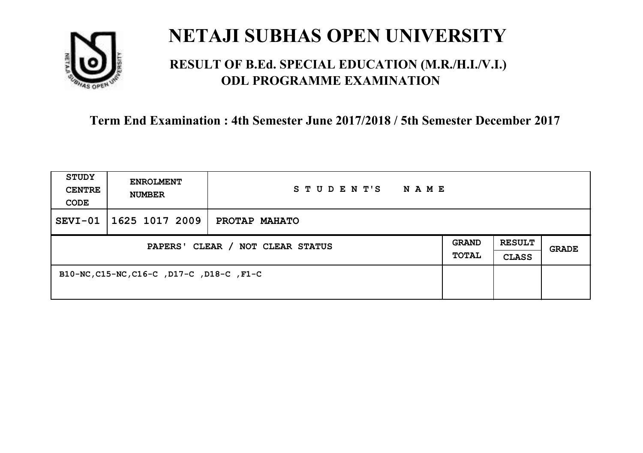

### **RESULT OF B.Ed. SPECIAL EDUCATION (M.R./H.I./V.I.) ODL PROGRAMME EXAMINATION**

| <b>STUDY</b><br><b>CENTRE</b><br>CODE | <b>ENROLMENT</b><br><b>NUMBER</b>         | STUDENT'S<br>N A M E |                              |                               |       |
|---------------------------------------|-------------------------------------------|----------------------|------------------------------|-------------------------------|-------|
| SEVI-01                               | 1625 1017 2009                            | PROTAP MAHATO        |                              |                               |       |
| PAPERS' CLEAR / NOT CLEAR STATUS      |                                           |                      | <b>GRAND</b><br><b>TOTAL</b> | <b>RESULT</b><br><b>CLASS</b> | GRADE |
|                                       | B10-NC, C15-NC, C16-C, D17-C, D18-C, F1-C |                      |                              |                               |       |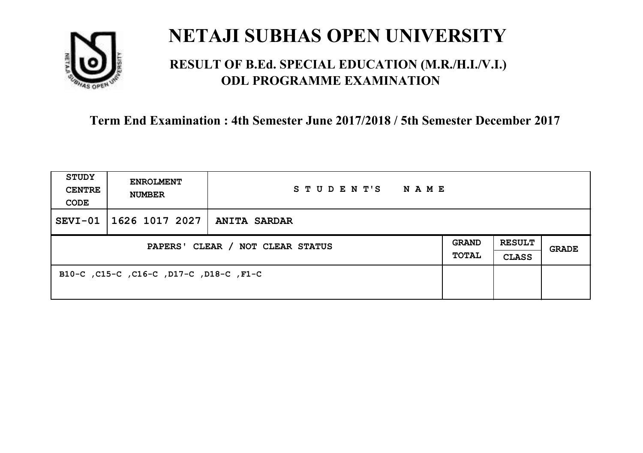

### **RESULT OF B.Ed. SPECIAL EDUCATION (M.R./H.I./V.I.) ODL PROGRAMME EXAMINATION**

| <b>STUDY</b><br><b>CENTRE</b><br>CODE | <b>ENROLMENT</b><br><b>NUMBER</b>       | STUDENT'S<br>NAME   |  |                               |       |
|---------------------------------------|-----------------------------------------|---------------------|--|-------------------------------|-------|
| $SEVI-01$                             | 1626 1017 2027                          | <b>ANITA SARDAR</b> |  |                               |       |
| PAPERS' CLEAR / NOT CLEAR STATUS      |                                         |                     |  | <b>RESULT</b><br><b>CLASS</b> | GRADE |
|                                       | B10-C, C15-C, C16-C, D17-C, D18-C, F1-C |                     |  |                               |       |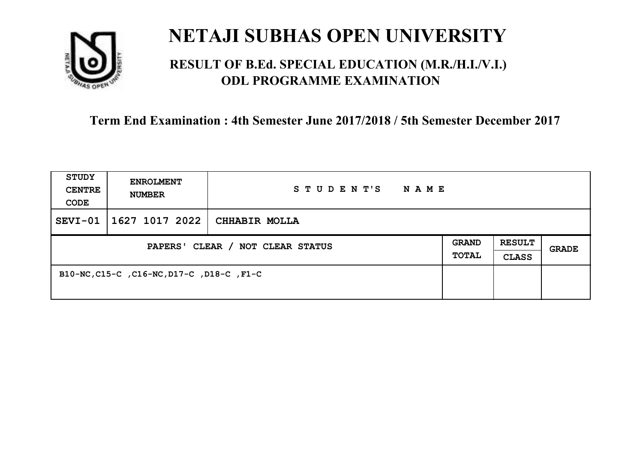

### **RESULT OF B.Ed. SPECIAL EDUCATION (M.R./H.I./V.I.) ODL PROGRAMME EXAMINATION**

| <b>STUDY</b><br><b>CENTRE</b><br>CODE | <b>ENROLMENT</b><br><b>NUMBER</b>         | STUDENT'S<br>N A M E |                              |                               |       |
|---------------------------------------|-------------------------------------------|----------------------|------------------------------|-------------------------------|-------|
| SEVI-01                               | 1627 1017 2022                            | CHHABIR MOLLA        |                              |                               |       |
| PAPERS' CLEAR / NOT CLEAR STATUS      |                                           |                      | <b>GRAND</b><br><b>TOTAL</b> | <b>RESULT</b><br><b>CLASS</b> | GRADE |
|                                       | B10-NC, C15-C, C16-NC, D17-C, D18-C, F1-C |                      |                              |                               |       |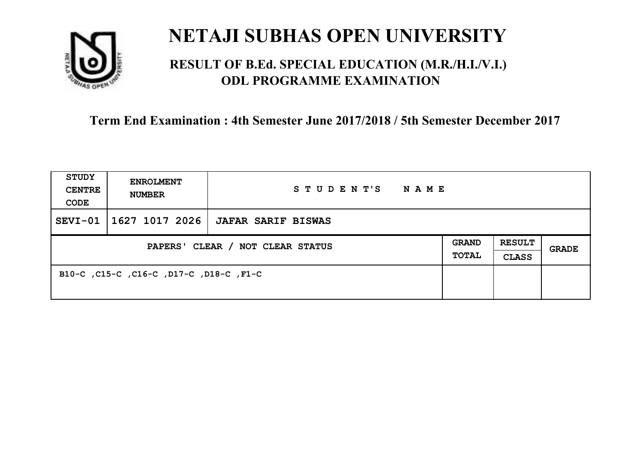

### **RESULT OF B.Ed. SPECIAL EDUCATION (M.R./H.I./V.I.) ODL PROGRAMME EXAMINATION**

| <b>STUDY</b><br><b>CENTRE</b><br>CODE | <b>ENROLMENT</b><br><b>NUMBER</b>       | STUDENT'S<br>NAME         |  |                               |       |
|---------------------------------------|-----------------------------------------|---------------------------|--|-------------------------------|-------|
| $SEVI-01$                             | 1627 1017 2026                          | <b>JAFAR SARIF BISWAS</b> |  |                               |       |
| PAPERS' CLEAR / NOT CLEAR STATUS      |                                         |                           |  | <b>RESULT</b><br><b>CLASS</b> | GRADE |
|                                       | B10-C, C15-C, C16-C, D17-C, D18-C, F1-C |                           |  |                               |       |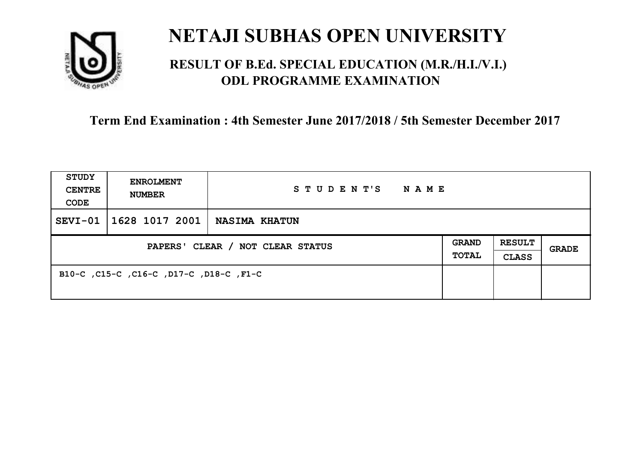

### **RESULT OF B.Ed. SPECIAL EDUCATION (M.R./H.I./V.I.) ODL PROGRAMME EXAMINATION**

| <b>STUDY</b><br><b>CENTRE</b><br>CODE | <b>ENROLMENT</b><br><b>NUMBER</b>       | STUDENT'S<br>NAME    |                       |                               |       |
|---------------------------------------|-----------------------------------------|----------------------|-----------------------|-------------------------------|-------|
| $SEVI-01$                             | 1628 1017 2001                          | <b>NASIMA KHATUN</b> |                       |                               |       |
| PAPERS' CLEAR / NOT CLEAR STATUS      |                                         |                      | <b>GRAND</b><br>TOTAL | <b>RESULT</b><br><b>CLASS</b> | GRADE |
|                                       | B10-C, C15-C, C16-C, D17-C, D18-C, F1-C |                      |                       |                               |       |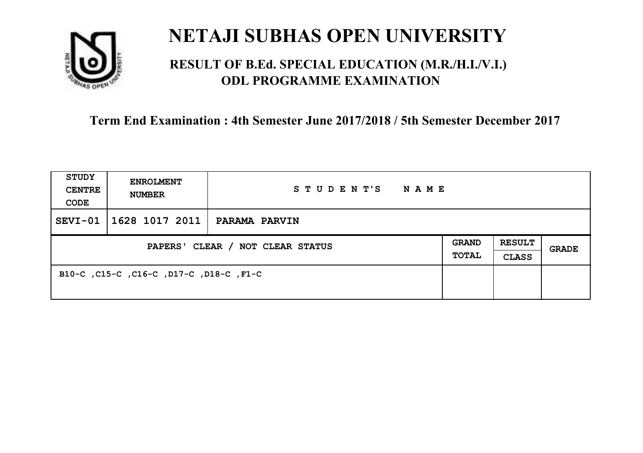

### **RESULT OF B.Ed. SPECIAL EDUCATION (M.R./H.I./V.I.) ODL PROGRAMME EXAMINATION**

| <b>STUDY</b><br><b>CENTRE</b><br>CODE | <b>ENROLMENT</b><br><b>NUMBER</b>       | STUDENT'S<br><b>NAME</b> |                              |                               |       |
|---------------------------------------|-----------------------------------------|--------------------------|------------------------------|-------------------------------|-------|
| $SEVI-01$                             | 1628 1017 2011                          | <b>PARAMA PARVIN</b>     |                              |                               |       |
| PAPERS' CLEAR / NOT CLEAR STATUS      |                                         |                          | <b>GRAND</b><br><b>TOTAL</b> | <b>RESULT</b><br><b>CLASS</b> | GRADE |
|                                       | B10-C, C15-C, C16-C, D17-C, D18-C, F1-C |                          |                              |                               |       |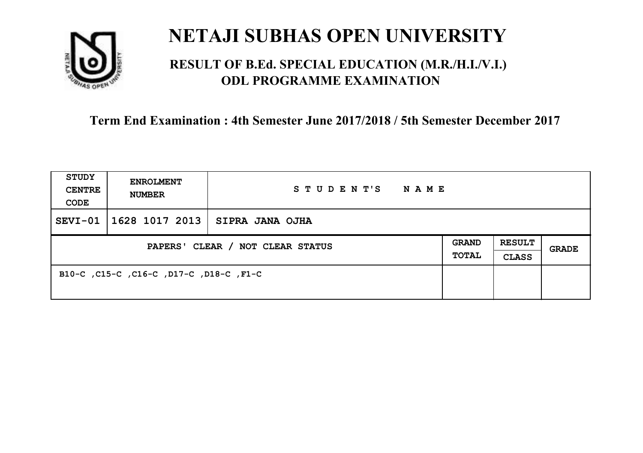

### **RESULT OF B.Ed. SPECIAL EDUCATION (M.R./H.I./V.I.) ODL PROGRAMME EXAMINATION**

| <b>STUDY</b><br><b>CENTRE</b><br>CODE | <b>ENROLMENT</b><br><b>NUMBER</b>       | STUDENT'S<br>NAME |  |                               |       |
|---------------------------------------|-----------------------------------------|-------------------|--|-------------------------------|-------|
| $SEVI-01$                             | 1628 1017 2013                          | SIPRA JANA OJHA   |  |                               |       |
| PAPERS' CLEAR / NOT CLEAR STATUS      |                                         |                   |  | <b>RESULT</b><br><b>CLASS</b> | GRADE |
|                                       | B10-C, C15-C, C16-C, D17-C, D18-C, F1-C |                   |  |                               |       |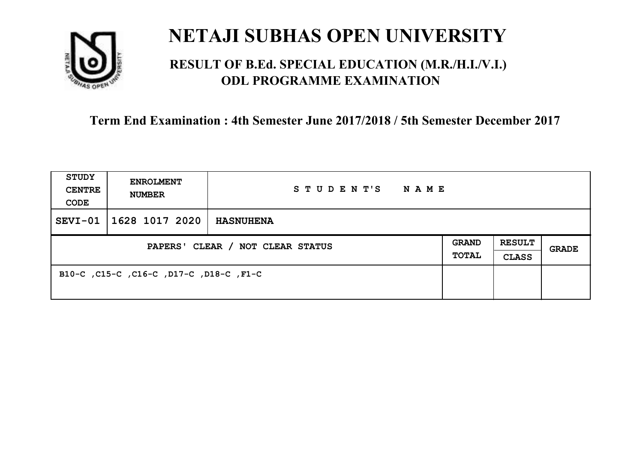

## **RESULT OF B.Ed. SPECIAL EDUCATION (M.R./H.I./V.I.) ODL PROGRAMME EXAMINATION**

| <b>STUDY</b><br><b>CENTRE</b><br>CODE | <b>ENROLMENT</b><br><b>NUMBER</b>       | STUDENT'S<br><b>NAME</b> |                       |                               |       |
|---------------------------------------|-----------------------------------------|--------------------------|-----------------------|-------------------------------|-------|
| SEVI-01                               | 1628 1017 2020                          | <b>HASNUHENA</b>         |                       |                               |       |
| PAPERS' CLEAR / NOT CLEAR STATUS      |                                         |                          | <b>GRAND</b><br>TOTAL | <b>RESULT</b><br><b>CLASS</b> | GRADE |
|                                       | B10-C, C15-C, C16-C, D17-C, D18-C, F1-C |                          |                       |                               |       |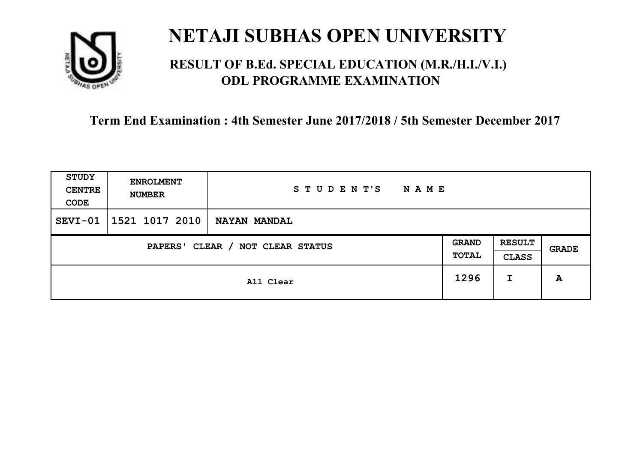

## **RESULT OF B.Ed. SPECIAL EDUCATION (M.R./H.I./V.I.) ODL PROGRAMME EXAMINATION**

| STUDY<br><b>CENTRE</b><br>CODE      | <b>ENROLMENT</b><br><b>NUMBER</b> | STUDENT'S<br><b>NAME</b> |                       |                               |       |
|-------------------------------------|-----------------------------------|--------------------------|-----------------------|-------------------------------|-------|
| $SEVI-01$                           | 1521 1017 2010                    | <b>NAYAN MANDAL</b>      |                       |                               |       |
| CLEAR / NOT CLEAR STATUS<br>PAPERS' |                                   |                          | <b>GRAND</b><br>TOTAL | <b>RESULT</b><br><b>CLASS</b> | GRADE |
|                                     |                                   | All Clear                | 1296                  | I                             | A     |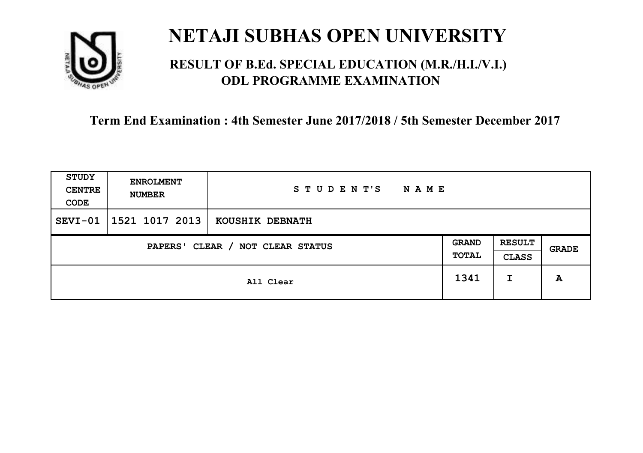

## **RESULT OF B.Ed. SPECIAL EDUCATION (M.R./H.I./V.I.) ODL PROGRAMME EXAMINATION**

| <b>STUDY</b><br><b>CENTRE</b><br>CODE | <b>ENROLMENT</b><br><b>NUMBER</b>   | STUDENT'S<br><b>NAME</b> |      |                               |       |
|---------------------------------------|-------------------------------------|--------------------------|------|-------------------------------|-------|
| $SEVI-01$                             | 1521 1017 2013                      | KOUSHIK DEBNATH          |      |                               |       |
|                                       | CLEAR / NOT CLEAR STATUS<br>PAPERS' |                          |      | <b>RESULT</b><br><b>CLASS</b> | GRADE |
|                                       |                                     | All Clear                | 1341 | I                             | A     |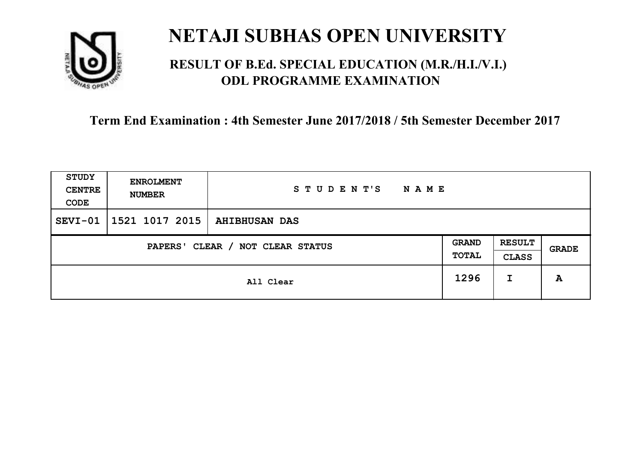

## **RESULT OF B.Ed. SPECIAL EDUCATION (M.R./H.I./V.I.) ODL PROGRAMME EXAMINATION**

| <b>STUDY</b><br><b>CENTRE</b><br>CODE | <b>ENROLMENT</b><br><b>NUMBER</b>   | STUDENT'S<br><b>NAME</b> |      |                               |       |
|---------------------------------------|-------------------------------------|--------------------------|------|-------------------------------|-------|
| $SEVI-01$                             | 1521 1017 2015                      | <b>AHIBHUSAN DAS</b>     |      |                               |       |
|                                       | CLEAR / NOT CLEAR STATUS<br>PAPERS' |                          |      | <b>RESULT</b><br><b>CLASS</b> | GRADE |
|                                       |                                     | All Clear                | 1296 | I                             | A     |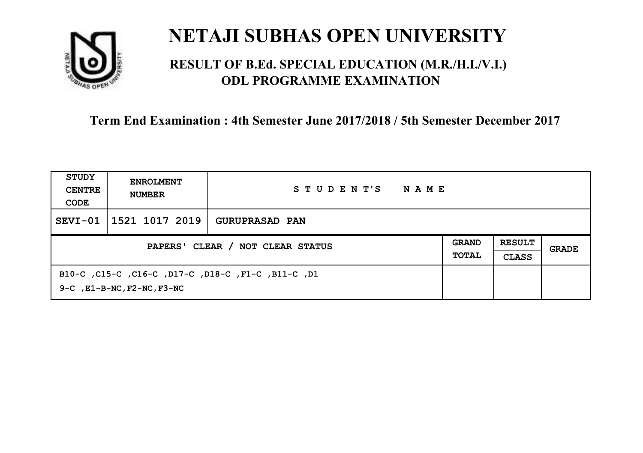

## **RESULT OF B.Ed. SPECIAL EDUCATION (M.R./H.I./V.I.) ODL PROGRAMME EXAMINATION**

| STUDY<br><b>CENTRE</b><br>CODE   | <b>ENROLMENT</b><br><b>NUMBER</b>                                                           | STUDENT'S<br><b>NAME</b> |                              |                               |       |
|----------------------------------|---------------------------------------------------------------------------------------------|--------------------------|------------------------------|-------------------------------|-------|
| $SEVI-01$                        | 1521 1017 2019                                                                              | <b>GURUPRASAD PAN</b>    |                              |                               |       |
| PAPERS' CLEAR / NOT CLEAR STATUS |                                                                                             |                          | <b>GRAND</b><br><b>TOTAL</b> | <b>RESULT</b><br><b>CLASS</b> | GRADE |
|                                  | B10-C, C15-C, C16-C, D17-C, D18-C, F1-C, B11-C, D1<br>$9-C$ , $E1-B-NC$ , $F2-NC$ , $F3-NC$ |                          |                              |                               |       |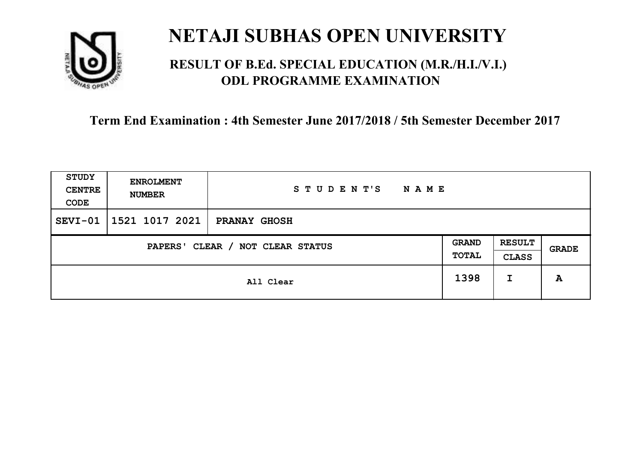

## **RESULT OF B.Ed. SPECIAL EDUCATION (M.R./H.I./V.I.) ODL PROGRAMME EXAMINATION**

| <b>STUDY</b><br><b>CENTRE</b><br>CODE | <b>ENROLMENT</b><br><b>NUMBER</b>   | STUDENT'S<br><b>NAME</b> |      |                               |       |
|---------------------------------------|-------------------------------------|--------------------------|------|-------------------------------|-------|
| $SEVI-01$                             | 1521 1017 2021                      | <b>PRANAY GHOSH</b>      |      |                               |       |
|                                       | CLEAR / NOT CLEAR STATUS<br>PAPERS' |                          |      | <b>RESULT</b><br><b>CLASS</b> | GRADE |
|                                       |                                     | All Clear                | 1398 | I                             | A     |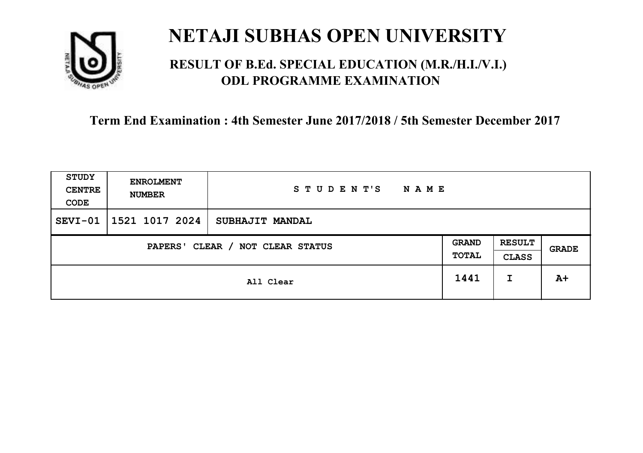

## **RESULT OF B.Ed. SPECIAL EDUCATION (M.R./H.I./V.I.) ODL PROGRAMME EXAMINATION**

| <b>STUDY</b><br><b>CENTRE</b><br>CODE | <b>ENROLMENT</b><br><b>NUMBER</b> | STUDENT'S<br><b>NAME</b> |                       |                               |       |
|---------------------------------------|-----------------------------------|--------------------------|-----------------------|-------------------------------|-------|
| $SEVI-01$                             | 1521 1017 2024                    | <b>SUBHAJIT MANDAL</b>   |                       |                               |       |
| CLEAR / NOT CLEAR STATUS<br>PAPERS'   |                                   |                          | <b>GRAND</b><br>TOTAL | <b>RESULT</b><br><b>CLASS</b> | GRADE |
|                                       |                                   | All Clear                | 1441                  | I                             | $A+$  |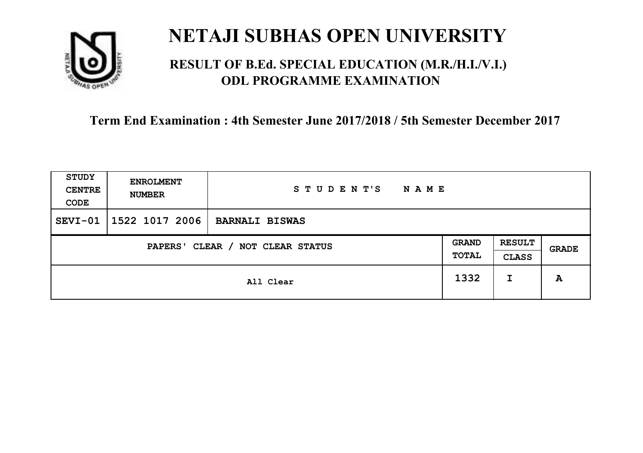

## **RESULT OF B.Ed. SPECIAL EDUCATION (M.R./H.I./V.I.) ODL PROGRAMME EXAMINATION**

| <b>STUDY</b><br><b>CENTRE</b><br>CODE | <b>ENROLMENT</b><br><b>NUMBER</b>   | STUDENT'S<br><b>NAME</b> |      |                               |       |
|---------------------------------------|-------------------------------------|--------------------------|------|-------------------------------|-------|
| $SEVI-01$                             | 1522 1017 2006                      | <b>BARNALI BISWAS</b>    |      |                               |       |
|                                       | CLEAR / NOT CLEAR STATUS<br>PAPERS' |                          |      | <b>RESULT</b><br><b>CLASS</b> | GRADE |
|                                       |                                     | All Clear                | 1332 | I                             | A     |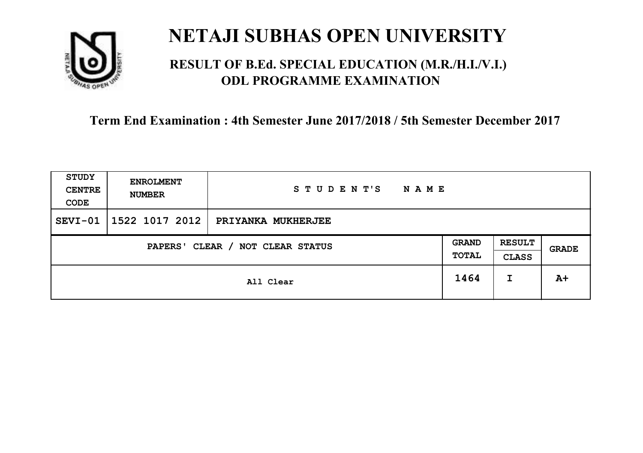

## **RESULT OF B.Ed. SPECIAL EDUCATION (M.R./H.I./V.I.) ODL PROGRAMME EXAMINATION**

| <b>STUDY</b><br><b>CENTRE</b><br>CODE | <b>ENROLMENT</b><br><b>NUMBER</b> | STUDENT'S<br><b>NAME</b> |                       |                               |       |
|---------------------------------------|-----------------------------------|--------------------------|-----------------------|-------------------------------|-------|
| $SEVI-01$                             | 1522 1017 2012                    | PRIYANKA MUKHERJEE       |                       |                               |       |
| CLEAR / NOT CLEAR STATUS<br>PAPERS'   |                                   |                          | <b>GRAND</b><br>TOTAL | <b>RESULT</b><br><b>CLASS</b> | GRADE |
|                                       |                                   | All Clear                | 1464                  | I                             | $A+$  |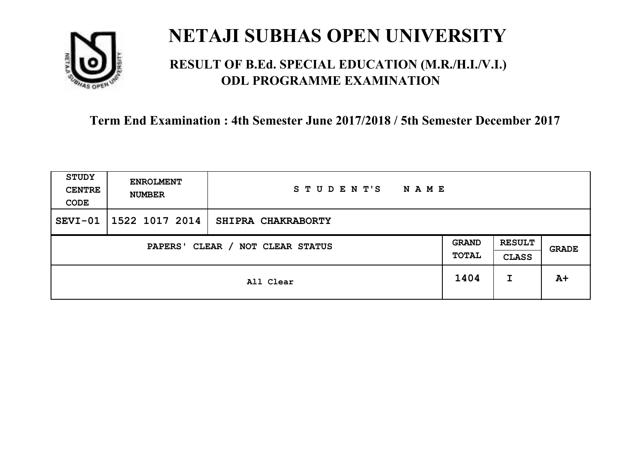

## **RESULT OF B.Ed. SPECIAL EDUCATION (M.R./H.I./V.I.) ODL PROGRAMME EXAMINATION**

| <b>STUDY</b><br><b>CENTRE</b><br>CODE | <b>ENROLMENT</b><br><b>NUMBER</b>   | STUDENT'S<br><b>NAME</b> |      |                               |              |
|---------------------------------------|-------------------------------------|--------------------------|------|-------------------------------|--------------|
| $SEVI-01$                             | 1522 1017 2014                      | SHIPRA CHAKRABORTY       |      |                               |              |
|                                       | CLEAR / NOT CLEAR STATUS<br>PAPERS' |                          |      | <b>RESULT</b><br><b>CLASS</b> | <b>GRADE</b> |
|                                       |                                     | All Clear                | 1404 | I                             | $A+$         |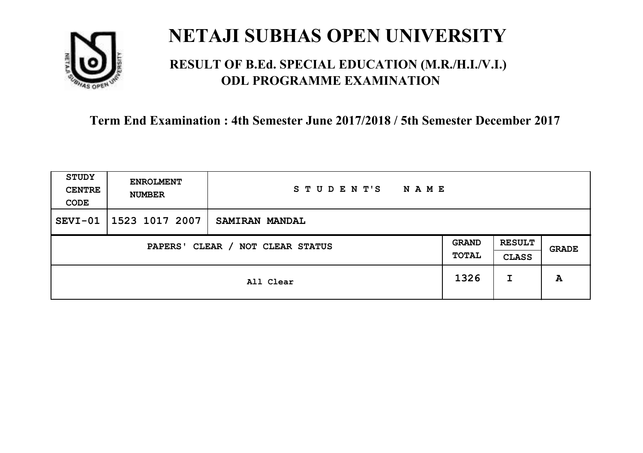

## **RESULT OF B.Ed. SPECIAL EDUCATION (M.R./H.I./V.I.) ODL PROGRAMME EXAMINATION**

| <b>STUDY</b><br><b>CENTRE</b><br>CODE | <b>ENROLMENT</b><br><b>NUMBER</b>   | STUDENT'S<br><b>NAME</b> |      |                               |              |
|---------------------------------------|-------------------------------------|--------------------------|------|-------------------------------|--------------|
| $SEVI-01$                             | 1523 1017 2007                      | SAMIRAN MANDAL           |      |                               |              |
|                                       | CLEAR / NOT CLEAR STATUS<br>PAPERS' |                          |      | <b>RESULT</b><br><b>CLASS</b> | <b>GRADE</b> |
|                                       |                                     | All Clear                | 1326 | I                             | A            |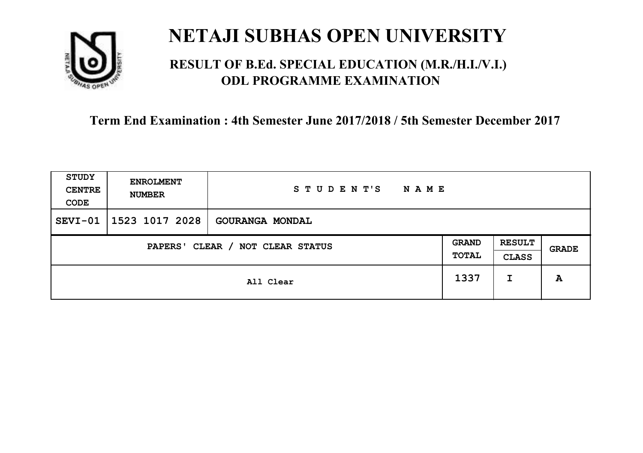

## **RESULT OF B.Ed. SPECIAL EDUCATION (M.R./H.I./V.I.) ODL PROGRAMME EXAMINATION**

| <b>STUDY</b><br><b>CENTRE</b><br>CODE | <b>ENROLMENT</b><br><b>NUMBER</b> | STUDENT'S<br><b>NAME</b> |                       |                               |       |
|---------------------------------------|-----------------------------------|--------------------------|-----------------------|-------------------------------|-------|
| $SEVI-01$                             | 1523 1017 2028                    | <b>GOURANGA MONDAL</b>   |                       |                               |       |
| CLEAR / NOT CLEAR STATUS<br>PAPERS'   |                                   |                          | <b>GRAND</b><br>TOTAL | <b>RESULT</b><br><b>CLASS</b> | GRADE |
|                                       |                                   | All Clear                | 1337                  | I                             | A     |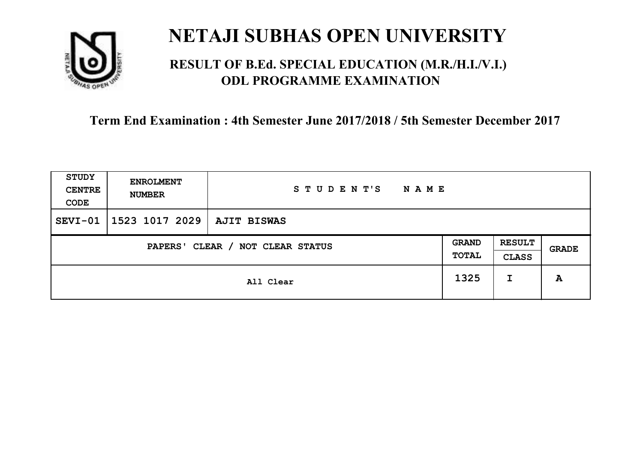

## **RESULT OF B.Ed. SPECIAL EDUCATION (M.R./H.I./V.I.) ODL PROGRAMME EXAMINATION**

| STUDY<br><b>CENTRE</b><br>CODE | <b>ENROLMENT</b><br><b>NUMBER</b>   | STUDENT'S<br><b>NAME</b> |      |                               |       |
|--------------------------------|-------------------------------------|--------------------------|------|-------------------------------|-------|
| $SEVI-01$                      | 1523 1017 2029                      | AJIT BISWAS              |      |                               |       |
|                                | CLEAR / NOT CLEAR STATUS<br>PAPERS' |                          |      | <b>RESULT</b><br><b>CLASS</b> | GRADE |
|                                | All Clear                           |                          | 1325 | I                             | A     |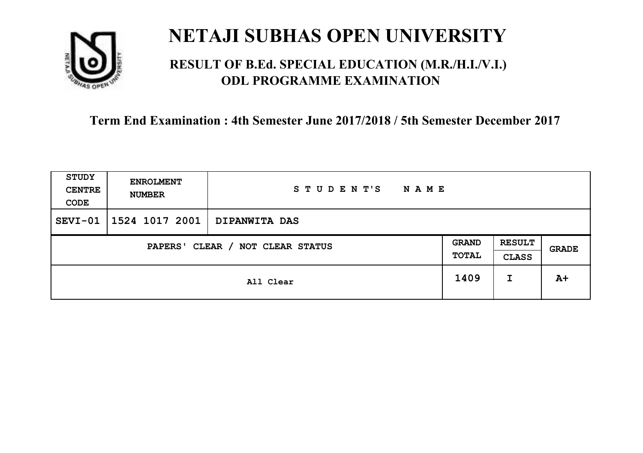

## **RESULT OF B.Ed. SPECIAL EDUCATION (M.R./H.I./V.I.) ODL PROGRAMME EXAMINATION**

| <b>STUDY</b><br><b>CENTRE</b><br>CODE | <b>ENROLMENT</b><br><b>NUMBER</b> | STUDENT'S<br><b>NAME</b> |                       |                               |       |
|---------------------------------------|-----------------------------------|--------------------------|-----------------------|-------------------------------|-------|
| $SEVI-01$                             | 1524 1017 2001                    | <b>DIPANWITA DAS</b>     |                       |                               |       |
| CLEAR / NOT CLEAR STATUS<br>PAPERS'   |                                   |                          | <b>GRAND</b><br>TOTAL | <b>RESULT</b><br><b>CLASS</b> | GRADE |
|                                       | All Clear                         |                          | 1409                  | I                             | $A+$  |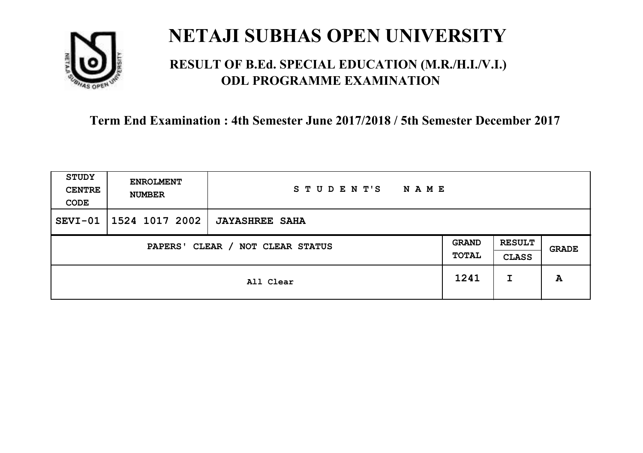

## **RESULT OF B.Ed. SPECIAL EDUCATION (M.R./H.I./V.I.) ODL PROGRAMME EXAMINATION**

| <b>STUDY</b><br><b>CENTRE</b><br>CODE | <b>ENROLMENT</b><br><b>NUMBER</b>   | STUDENT'S<br><b>NAME</b> |      |                               |       |
|---------------------------------------|-------------------------------------|--------------------------|------|-------------------------------|-------|
| $SEVI-01$                             | 1524 1017 2002                      | <b>JAYASHREE SAHA</b>    |      |                               |       |
|                                       | CLEAR / NOT CLEAR STATUS<br>PAPERS' |                          |      | <b>RESULT</b><br><b>CLASS</b> | GRADE |
|                                       | All Clear                           |                          | 1241 | I                             | A     |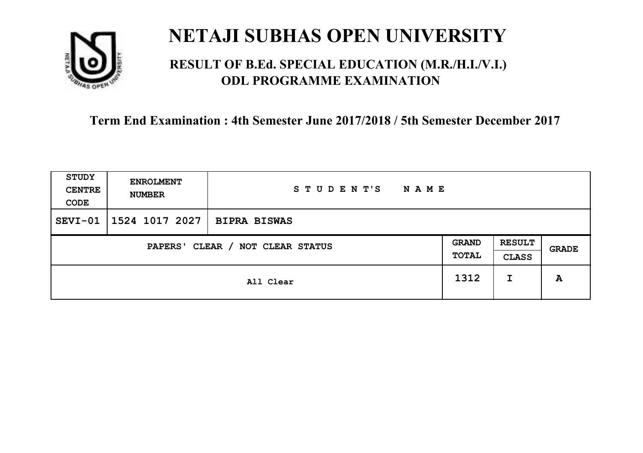

## **RESULT OF B.Ed. SPECIAL EDUCATION (M.R./H.I./V.I.) ODL PROGRAMME EXAMINATION**

| <b>STUDY</b><br><b>CENTRE</b><br>CODE | <b>ENROLMENT</b><br><b>NUMBER</b> | STUDENT'S<br><b>NAME</b> |                       |                               |       |
|---------------------------------------|-----------------------------------|--------------------------|-----------------------|-------------------------------|-------|
| $SEVI-01$                             | 1524 1017 2027                    | <b>BIPRA BISWAS</b>      |                       |                               |       |
| CLEAR / NOT CLEAR STATUS<br>PAPERS'   |                                   |                          | <b>GRAND</b><br>TOTAL | <b>RESULT</b><br><b>CLASS</b> | GRADE |
|                                       |                                   | All Clear                | 1312                  | I                             | A     |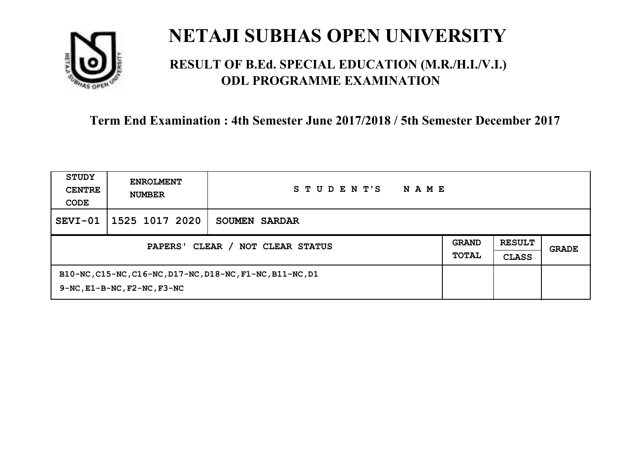

## **RESULT OF B.Ed. SPECIAL EDUCATION (M.R./H.I./V.I.) ODL PROGRAMME EXAMINATION**

| STUDY<br><b>CENTRE</b><br>CODE             | <b>ENROLMENT</b><br><b>NUMBER</b>                                                                   | STUDENT'S<br><b>NAME</b> |                              |                               |       |
|--------------------------------------------|-----------------------------------------------------------------------------------------------------|--------------------------|------------------------------|-------------------------------|-------|
| SEVI-01                                    | 1525 1017 2020                                                                                      | SOUMEN SARDAR            |                              |                               |       |
| CLEAR / NOT CLEAR STATUS<br><b>PAPERS'</b> |                                                                                                     |                          | <b>GRAND</b><br><b>TOTAL</b> | <b>RESULT</b><br><b>CLASS</b> | GRADE |
|                                            | B10-NC, C15-NC, C16-NC, D17-NC, D18-NC, F1-NC, B11-NC, D1<br>$9-NC$ , $E1-B-NC$ , $F2-NC$ , $F3-NC$ |                          |                              |                               |       |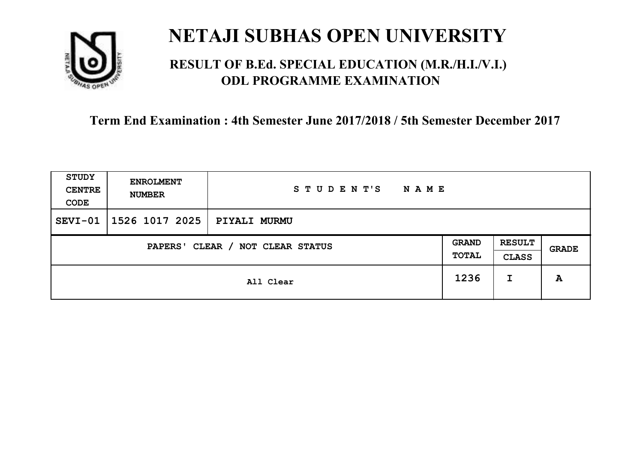

## **RESULT OF B.Ed. SPECIAL EDUCATION (M.R./H.I./V.I.) ODL PROGRAMME EXAMINATION**

| STUDY<br><b>CENTRE</b><br>CODE | <b>ENROLMENT</b><br><b>NUMBER</b>   | STUDENT'S<br>N A M E |      |                               |       |
|--------------------------------|-------------------------------------|----------------------|------|-------------------------------|-------|
| SEVI-01                        | 1526 1017 2025                      | <b>PIYALI MURMU</b>  |      |                               |       |
|                                | CLEAR / NOT CLEAR STATUS<br>PAPERS' |                      |      | <b>RESULT</b><br><b>CLASS</b> | GRADE |
|                                | All Clear                           |                      | 1236 | I                             | A     |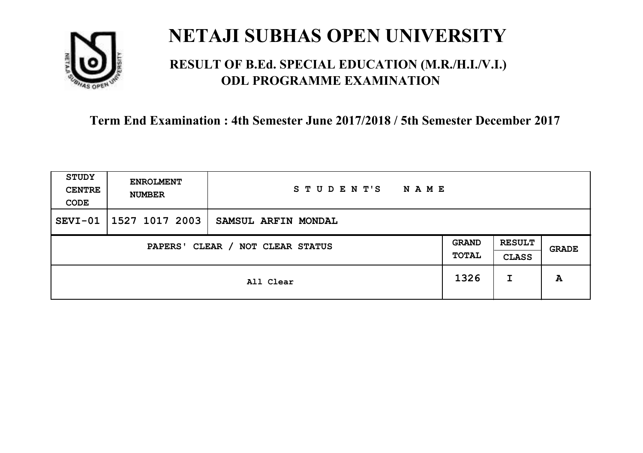

## **RESULT OF B.Ed. SPECIAL EDUCATION (M.R./H.I./V.I.) ODL PROGRAMME EXAMINATION**

| <b>STUDY</b><br><b>CENTRE</b><br>CODE | <b>ENROLMENT</b><br><b>NUMBER</b>   | STUDENT'S<br><b>NAME</b> |      |                               |       |
|---------------------------------------|-------------------------------------|--------------------------|------|-------------------------------|-------|
| $SEVI-01$                             | 1527 1017 2003                      | SAMSUL ARFIN MONDAL      |      |                               |       |
|                                       | CLEAR / NOT CLEAR STATUS<br>PAPERS' |                          |      | <b>RESULT</b><br><b>CLASS</b> | GRADE |
|                                       | All Clear                           |                          | 1326 | I                             | A     |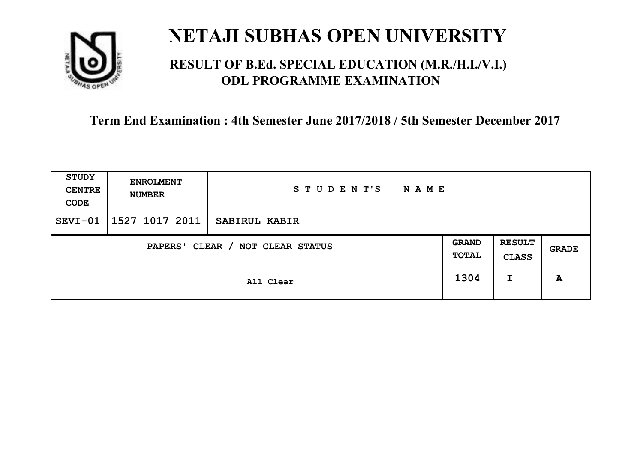

## **RESULT OF B.Ed. SPECIAL EDUCATION (M.R./H.I./V.I.) ODL PROGRAMME EXAMINATION**

| <b>STUDY</b><br><b>CENTRE</b><br>CODE | <b>ENROLMENT</b><br><b>NUMBER</b>   | STUDENT'S<br><b>NAME</b> |      |                               |       |
|---------------------------------------|-------------------------------------|--------------------------|------|-------------------------------|-------|
| $SEVI-01$                             | 1527 1017 2011                      | SABIRUL KABIR            |      |                               |       |
|                                       | CLEAR / NOT CLEAR STATUS<br>PAPERS' |                          |      | <b>RESULT</b><br><b>CLASS</b> | GRADE |
|                                       | All Clear                           |                          | 1304 | I                             | A     |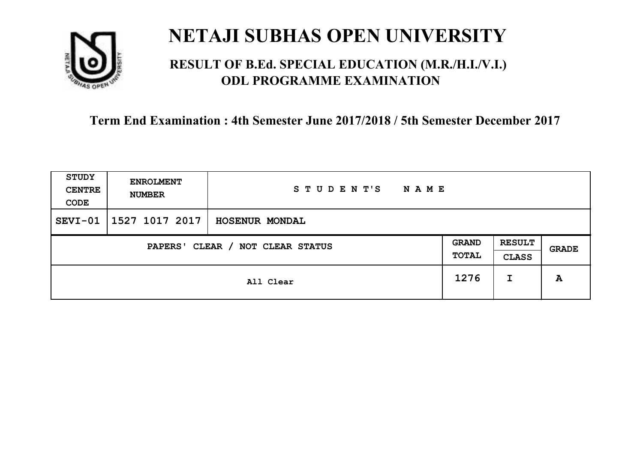

## **RESULT OF B.Ed. SPECIAL EDUCATION (M.R./H.I./V.I.) ODL PROGRAMME EXAMINATION**

| <b>STUDY</b><br><b>CENTRE</b><br>CODE | <b>ENROLMENT</b><br><b>NUMBER</b>   | STUDENT'S<br><b>NAME</b> |      |                               |       |
|---------------------------------------|-------------------------------------|--------------------------|------|-------------------------------|-------|
| $SEVI-01$                             | 1527 1017 2017                      | HOSENUR MONDAL           |      |                               |       |
|                                       | CLEAR / NOT CLEAR STATUS<br>PAPERS' |                          |      | <b>RESULT</b><br><b>CLASS</b> | GRADE |
|                                       | All Clear                           |                          | 1276 | I                             | A     |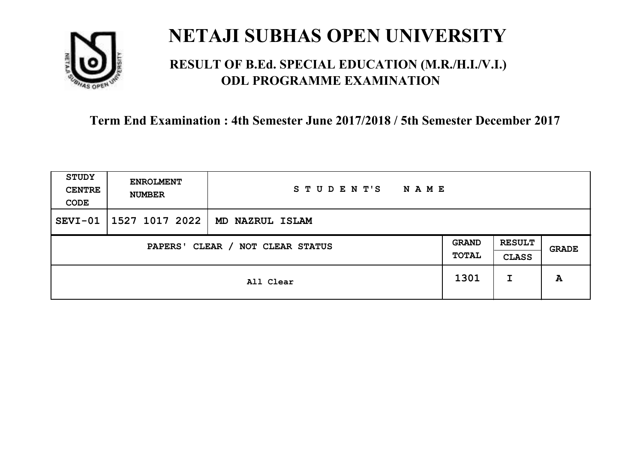

## **RESULT OF B.Ed. SPECIAL EDUCATION (M.R./H.I./V.I.) ODL PROGRAMME EXAMINATION**

| <b>STUDY</b><br><b>CENTRE</b><br>CODE | <b>ENROLMENT</b><br><b>NUMBER</b>          | STUDENT'S<br>NAME |      |                               |              |
|---------------------------------------|--------------------------------------------|-------------------|------|-------------------------------|--------------|
| $SEVI-01$                             | 1527 1017 2022                             | MD NAZRUL ISLAM   |      |                               |              |
|                                       | CLEAR / NOT CLEAR STATUS<br><b>PAPERS'</b> |                   |      | <b>RESULT</b><br><b>CLASS</b> | <b>GRADE</b> |
|                                       | All Clear                                  |                   | 1301 | I                             | A            |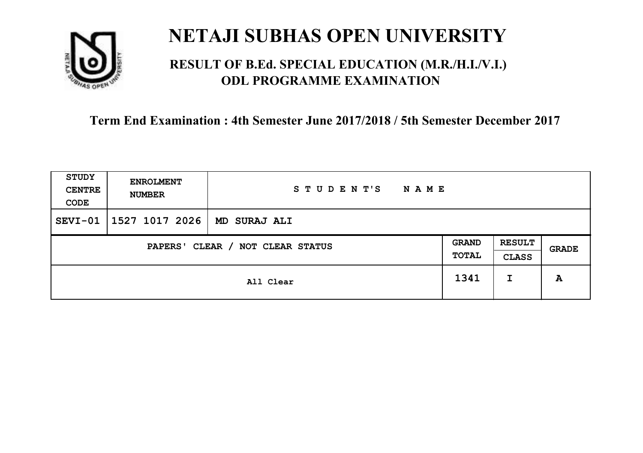

## **RESULT OF B.Ed. SPECIAL EDUCATION (M.R./H.I./V.I.) ODL PROGRAMME EXAMINATION**

| STUDY<br><b>CENTRE</b><br>CODE | <b>ENROLMENT</b><br><b>NUMBER</b>   | STUDENT'S<br><b>NAME</b> |      |                               |       |
|--------------------------------|-------------------------------------|--------------------------|------|-------------------------------|-------|
| SEVI-01                        | 1527 1017 2026                      | MD SURAJ ALI             |      |                               |       |
|                                | CLEAR / NOT CLEAR STATUS<br>PAPERS' |                          |      | <b>RESULT</b><br><b>CLASS</b> | GRADE |
|                                | All Clear                           |                          | 1341 | I                             | A     |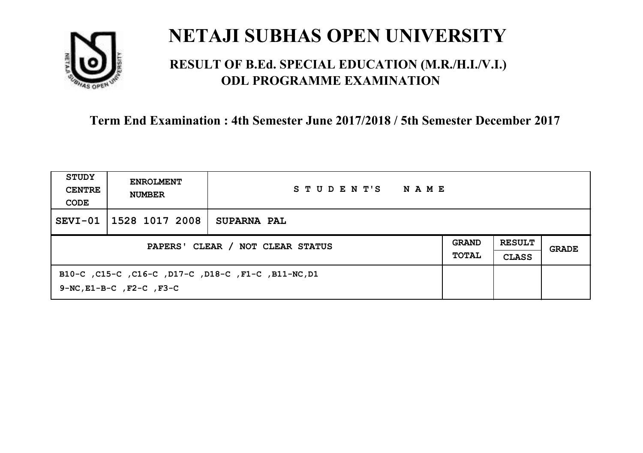

## **RESULT OF B.Ed. SPECIAL EDUCATION (M.R./H.I./V.I.) ODL PROGRAMME EXAMINATION**

| STUDY<br><b>CENTRE</b><br>CODE   | <b>ENROLMENT</b><br><b>NUMBER</b>   | STUDENT'S<br>NAME                                   |                              |                               |       |
|----------------------------------|-------------------------------------|-----------------------------------------------------|------------------------------|-------------------------------|-------|
| SEVI-01                          | 1528 1017 2008                      | <b>SUPARNA PAL</b>                                  |                              |                               |       |
| PAPERS' CLEAR / NOT CLEAR STATUS |                                     |                                                     | <b>GRAND</b><br><b>TOTAL</b> | <b>RESULT</b><br><b>CLASS</b> | GRADE |
|                                  | $9-NC$ , $E1-B-C$ , $F2-C$ , $F3-C$ | B10-C, C15-C, C16-C, D17-C, D18-C, F1-C, B11-NC, D1 |                              |                               |       |